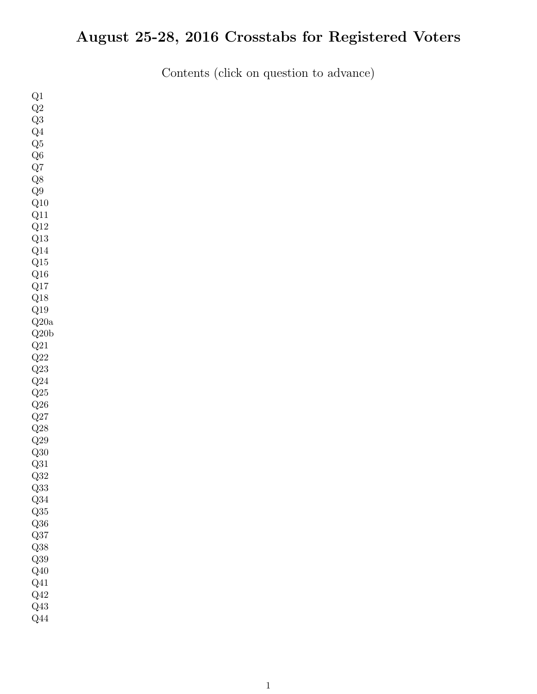# August 25-28, 2016 Crosstabs for Registered Voters

Contents (click on question to advance)

| Q1                    |  |  |
|-----------------------|--|--|
| $\mathrm{Q}2$         |  |  |
| Q3                    |  |  |
| Q <sub>4</sub>        |  |  |
| $\operatorname{Q5}$   |  |  |
| $\mathrm{Q6}$         |  |  |
| $\mathrm{Q}7$         |  |  |
| $\mathrm{Q}8$         |  |  |
| $\mathrm{Q}9$         |  |  |
| $\rm Q10$             |  |  |
| $\rm Q11$             |  |  |
| $\rm Q12$             |  |  |
| $\mathrm{Q}13$        |  |  |
| $\mathrm{Q}14$        |  |  |
| $\mathrm{Q}15$        |  |  |
| $\rm Q16$             |  |  |
| $\mathrm{Q}17$        |  |  |
| $\mathrm{Q}18$        |  |  |
| $\rm Q19$             |  |  |
| Q20a                  |  |  |
| $\operatorname{Q20b}$ |  |  |
| $\mathrm{Q}21$        |  |  |
| $\mathrm{Q}22$        |  |  |
| $\mathrm{Q}23$        |  |  |
| $\mathrm{Q}24$        |  |  |
| $\mathrm{Q}25$        |  |  |
| $\mathrm{Q}26$        |  |  |
| $\mathrm{Q}27$        |  |  |
| $\mathrm{Q}28$        |  |  |
| $\rm Q29$             |  |  |
| $\operatorname{Q30}$  |  |  |
| Q31                   |  |  |
| $\mathrm{Q}32$        |  |  |
| $\mathrm{Q}33$        |  |  |
| $\mathrm{Q}34$        |  |  |
| $\mathrm{Q}35$        |  |  |
| $\mathrm{Q}36$        |  |  |
| $\mathrm{Q}37$        |  |  |
| $\mathrm{Q}38$        |  |  |
| $\mathrm{Q39}$        |  |  |
| $\mathrm{Q}40$        |  |  |
| $\rm Q41$             |  |  |
| Q42                   |  |  |
| Q43                   |  |  |
| $\mathrm{Q}44$        |  |  |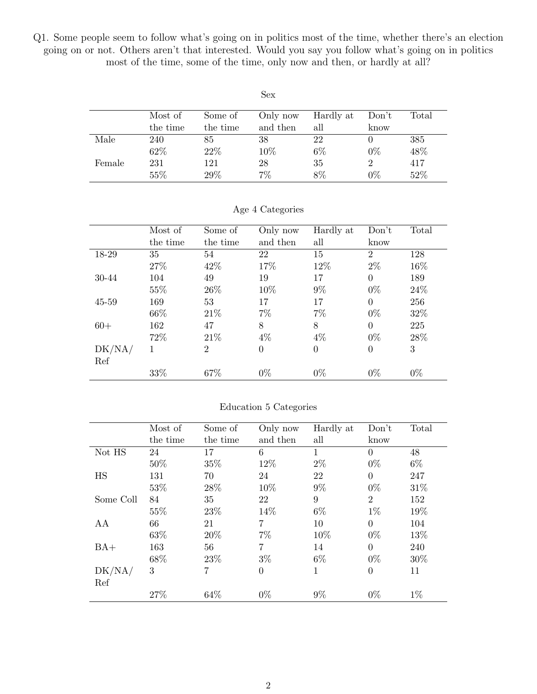<span id="page-1-0"></span>Q1. Some people seem to follow what's going on in politics most of the time, whether there's an election going on or not. Others aren't that interested. Would you say you follow what's going on in politics most of the time, some of the time, only now and then, or hardly at all?

|        |          |          | Sex      |           |       |       |
|--------|----------|----------|----------|-----------|-------|-------|
|        | Most of  | Some of  | Only now | Hardly at | Don't | Total |
|        | the time | the time | and then | all       | know  |       |
| Male   | 240      | 85       | 38       | 22        |       | 385   |
|        | 62%      | 22%      | 10%      | $6\%$     | $0\%$ | 48%   |
| Female | 231      | 121      | 28       | 35        | 2     | 417   |
|        | 55%      | 29%      | 7%       | 8%        | $0\%$ | 52%   |

|        | Most of  | Some of        | Only now | Hardly at | Don't          | Total |
|--------|----------|----------------|----------|-----------|----------------|-------|
|        | the time | the time       | and then | all       | know           |       |
| 18-29  | 35       | 54             | 22       | 15        | $\overline{2}$ | 128   |
|        | 27%      | 42\%           | 17%      | 12%       | $2\%$          | 16%   |
| 30-44  | 104      | 49             | 19       | 17        | $\Omega$       | 189   |
|        | 55%      | 26\%           | 10%      | $9\%$     | $0\%$          | 24\%  |
| 45-59  | 169      | 53             | 17       | 17        | $\Omega$       | 256   |
|        | 66%      | 21\%           | $7\%$    | $7\%$     | $0\%$          | 32%   |
| $60+$  | 162      | 47             | 8        | 8         | $\Omega$       | 225   |
|        | 72%      | 21\%           | $4\%$    | $4\%$     | $0\%$          | 28\%  |
| DK/NA/ | 1        | $\overline{2}$ | $\Omega$ | $\theta$  | $\Omega$       | 3     |
| Ref    |          |                |          |           |                |       |
|        | 33%      | 67%            | $0\%$    | $0\%$     | $0\%$          | $0\%$ |

#### Age 4 Categories

#### Education 5 Categories

|           | Most of  | Some of  | Only now | Hardly at | Don't          | Total |
|-----------|----------|----------|----------|-----------|----------------|-------|
|           | the time | the time | and then | all       | know           |       |
| Not HS    | 24       | 17       | 6        | 1         | $\theta$       | 48    |
|           | 50%      | 35%      | 12%      | $2\%$     | $0\%$          | $6\%$ |
| HS        | 131      | 70       | 24       | 22        | $\Omega$       | 247   |
|           | 53%      | $28\%$   | 10%      | $9\%$     | $0\%$          | 31%   |
| Some Coll | 84       | 35       | 22       | 9         | $\overline{2}$ | 152   |
|           | 55%      | 23%      | 14\%     | $6\%$     | $1\%$          | 19%   |
| AA        | 66       | 21       | 7        | 10        | $\Omega$       | 104   |
|           | 63\%     | 20%      | $7\%$    | 10%       | $0\%$          | 13%   |
| $BA+$     | 163      | 56       | 7        | 14        | $\Omega$       | 240   |
|           | 68%      | 23%      | $3\%$    | $6\%$     | $0\%$          | 30%   |
| DK/NA/    | 3        | 7        | $\theta$ | 1         | $\Omega$       | 11    |
| Ref       |          |          |          |           |                |       |
|           | 27%      | 64\%     | $0\%$    | $9\%$     | $0\%$          | $1\%$ |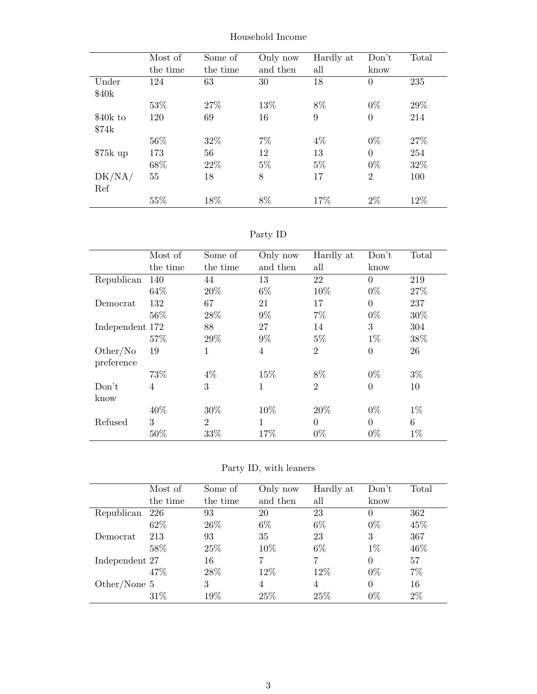|           | Most of  | Some of  | Only now | Hardly at | Don't          | Total |
|-----------|----------|----------|----------|-----------|----------------|-------|
|           | the time | the time | and then | all       | know           |       |
| Under     | 124      | 63       | 30       | 18        | $\overline{0}$ | 235   |
| \$40k     |          |          |          |           |                |       |
|           | 53%      | 27%      | 13%      | 8%        | $0\%$          | 29%   |
| \$40k to  | 120      | 69       | 16       | 9         | $\overline{0}$ | 214   |
| \$74k     |          |          |          |           |                |       |
|           | 56%      | 32\%     | 7%       | $4\%$     | $0\%$          | 27%   |
| $$75k$ up | 173      | 56       | 12       | 13        | $\theta$       | 254   |
|           | 68%      | 22\%     | $5\%$    | $5\%$     | $0\%$          | 32%   |
| DK/NA/    | 55       | 18       | 8        | 17        | $\overline{2}$ | 100   |
| Ref       |          |          |          |           |                |       |
|           | 55%      | 18%      | 8%       | 17%       | $2\%$          | 12%   |

Household Income

### Party ID

|                        | Most of        | Some of        | Only now | Hardly at      | Don't          | Total |
|------------------------|----------------|----------------|----------|----------------|----------------|-------|
|                        | the time       | the time       | and then | all            | know           |       |
| Republican             | 140            | 44             | 13       | 22             | $\theta$       | 219   |
|                        | 64\%           | 20%            | $6\%$    | 10%            | $0\%$          | 27\%  |
| Democrat               | 132            | 67             | 21       | 17             | $\overline{0}$ | 237   |
|                        | 56%            | 28\%           | $9\%$    | $7\%$          | $0\%$          | 30%   |
| Independent 172        |                | 88             | 27       | 14             | 3              | 304   |
|                        | 57%            | 29%            | $9\%$    | $5\%$          | $1\%$          | 38%   |
| Other/No<br>preference | 19             | 1              | 4        | $\overline{2}$ | $\overline{0}$ | 26    |
|                        | 73%            | $4\%$          | 15%      | 8%             | $0\%$          | $3\%$ |
| Don't<br>know          | $\overline{4}$ | 3              | 1        | $\overline{2}$ | $\overline{0}$ | 10    |
|                        | 40%            | 30%            | 10%      | 20%            | $0\%$          | $1\%$ |
| Refused                | 3              | $\overline{2}$ | 1        | $\theta$       | $\theta$       | 6     |
|                        | 50%            | 33%            | 17%      | $0\%$          | $0\%$          | $1\%$ |

Party ID, with leaners

|                | Most of  | Some of  | Only now | Hardly at | Don't    | Total |
|----------------|----------|----------|----------|-----------|----------|-------|
|                | the time | the time | and then | all       | know     |       |
| Republican     | 226      | 93       | 20       | 23        | 0        | 362   |
|                | 62\%     | 26\%     | $6\%$    | $6\%$     | $0\%$    | 45%   |
| Democrat       | 213      | 93       | 35       | 23        | 3        | 367   |
|                | 58%      | 25\%     | 10\%     | $6\%$     | $1\%$    | 46\%  |
| Independent 27 |          | 16       | 7        |           | $\theta$ | 57    |
|                | 47\%     | 28\%     | 12%      | 12%       | $0\%$    | $7\%$ |
| Other/None $5$ |          | 3        | 4        | 4         | 0        | 16    |
|                | 31\%     | 19%      | 25\%     | 25\%      | $0\%$    | $2\%$ |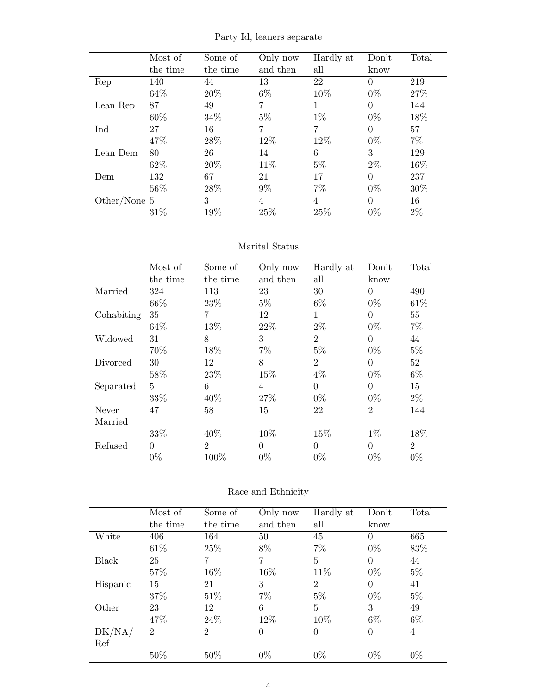|              | Most of  | Some of  | Only now | Hardly at | Don't    | Total |
|--------------|----------|----------|----------|-----------|----------|-------|
|              | the time | the time | and then | all       | know     |       |
| Rep          | 140      | 44       | 13       | 22        | $\Omega$ | 219   |
|              | 64\%     | 20%      | $6\%$    | 10%       | $0\%$    | 27%   |
| Lean Rep     | 87       | 49       | 7        |           | $\Omega$ | 144   |
|              | 60%      | 34\%     | $5\%$    | $1\%$     | $0\%$    | 18%   |
| Ind          | 27       | 16       | 7        | 7         | $\Omega$ | 57    |
|              | 47%      | 28%      | 12%      | 12%       | $0\%$    | $7\%$ |
| Lean Dem     | 80       | 26       | 14       | 6         | 3        | 129   |
|              | 62%      | 20%      | 11\%     | $5\%$     | $2\%$    | 16%   |
| Dem          | 132      | 67       | 21       | 17        | $\Omega$ | 237   |
|              | 56%      | 28%      | $9\%$    | $7\%$     | $0\%$    | 30\%  |
| Other/None 5 |          | 3        | 4        | 4         | $\theta$ | 16    |
|              | 31\%     | 19%      | 25%      | 25%       | $0\%$    | $2\%$ |

Party Id, leaners separate

#### Marital Status

|            | Most of  | Some of        | Only now       | Hardly at      | Don't          | Total          |
|------------|----------|----------------|----------------|----------------|----------------|----------------|
|            | the time | the time       | and then       | all            | know           |                |
| Married    | 324      | 113            | 23             | 30             | $\Omega$       | 490            |
|            | 66%      | 23\%           | $5\%$          | $6\%$          | $0\%$          | 61\%           |
| Cohabiting | 35       | 7              | 12             | $\mathbf 1$    | $\overline{0}$ | 55             |
|            | 64\%     | 13%            | 22%            | $2\%$          | $0\%$          | $7\%$          |
| Widowed    | 31       | 8              | 3              | $\overline{2}$ | $\Omega$       | 44             |
|            | 70%      | 18%            | $7\%$          | $5\%$          | $0\%$          | $5\%$          |
| Divorced   | 30       | 12             | 8              | $\overline{2}$ | $\Omega$       | 52             |
|            | 58%      | 23\%           | 15%            | $4\%$          | $0\%$          | $6\%$          |
| Separated  | 5        | 6              | $\overline{4}$ | $\Omega$       | $\Omega$       | 15             |
|            | 33%      | 40\%           | 27%            | $0\%$          | $0\%$          | $2\%$          |
| Never      | 47       | 58             | 15             | 22             | $\overline{2}$ | 144            |
| Married    |          |                |                |                |                |                |
|            | 33%      | 40\%           | 10%            | 15%            | $1\%$          | 18%            |
| Refused    | $\Omega$ | $\overline{2}$ | $\theta$       | $\theta$       | $\Omega$       | $\overline{2}$ |
|            | $0\%$    | 100%           | $0\%$          | $0\%$          | $0\%$          | $0\%$          |

#### Race and Ethnicity

|          | Most of        | Some of        | Only now       | Hardly at      | Don't          | Total |
|----------|----------------|----------------|----------------|----------------|----------------|-------|
|          | the time       | the time       | and then       | all            | know           |       |
| White    | 406            | 164            | 50             | 45             | $\theta$       | 665   |
|          | 61\%           | 25%            | 8%             | $7\%$          | $0\%$          | 83%   |
| Black    | 25             | 7              | 7              | 5              | $\theta$       | 44    |
|          | 57%            | 16%            | 16%            | 11\%           | $0\%$          | $5\%$ |
| Hispanic | 15             | 21             | 3              | $\overline{2}$ | $\Omega$       | 41    |
|          | 37\%           | 51\%           | 7%             | $5\%$          | $0\%$          | $5\%$ |
| Other    | 23             | 12             | 6              | 5              | 3              | 49    |
|          | 47\%           | 24\%           | 12%            | 10%            | $6\%$          | $6\%$ |
| DK/NA/   | $\overline{2}$ | $\overline{2}$ | $\overline{0}$ | 0              | $\overline{0}$ | 4     |
| Ref      |                |                |                |                |                |       |
|          | 50%            | 50%            | $0\%$          | $0\%$          | $0\%$          | $0\%$ |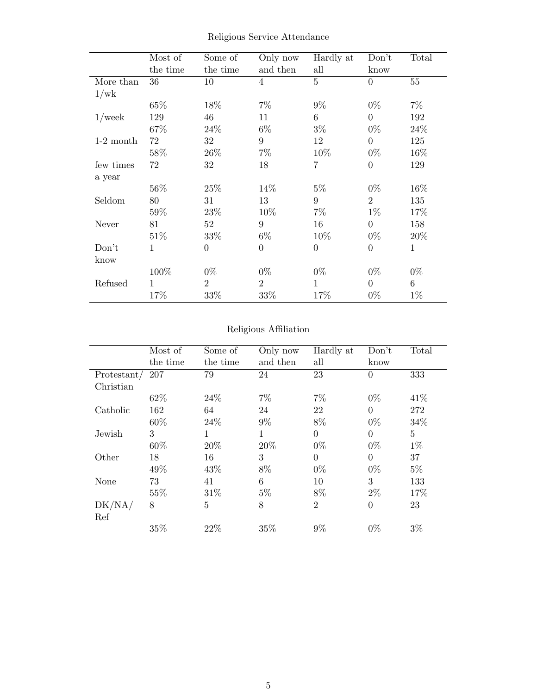|             | Most of      | Some of        | Only now       | Hardly at      | Don't          | Total  |
|-------------|--------------|----------------|----------------|----------------|----------------|--------|
|             | the time     | the time       | and then       | all            | know           |        |
| More than   | 36           | 10             | $\overline{4}$ | $\overline{5}$ | $\theta$       | $55\,$ |
| 1/wk        |              |                |                |                |                |        |
|             | 65%          | 18%            | $7\%$          | $9\%$          | $0\%$          | $7\%$  |
| $1$ /week   | 129          | 46             | 11             | 6              | $\Omega$       | 192    |
|             | 67%          | 24\%           | $6\%$          | $3\%$          | $0\%$          | 24\%   |
| $1-2$ month | 72           | 32             | 9              | 12             | $\theta$       | 125    |
|             | 58%          | 26\%           | $7\%$          | 10%            | $0\%$          | 16\%   |
| few times   | 72           | 32             | 18             | $\overline{7}$ | $\overline{0}$ | 129    |
| a year      |              |                |                |                |                |        |
|             | 56%          | 25%            | 14%            | $5\%$          | $0\%$          | 16%    |
| Seldom      | 80           | 31             | 13             | 9              | $\overline{2}$ | 135    |
|             | 59%          | 23%            | 10%            | $7\%$          | $1\%$          | 17%    |
| Never       | 81           | 52             | 9              | 16             | $\overline{0}$ | 158    |
|             | 51%          | 33%            | $6\%$          | 10%            | $0\%$          | 20%    |
| Don't       | 1            | $\theta$       | $\theta$       | $\overline{0}$ | $\overline{0}$ | 1      |
| know        |              |                |                |                |                |        |
|             | 100%         | $0\%$          | $0\%$          | $0\%$          | $0\%$          | $0\%$  |
| Refused     | $\mathbf{1}$ | $\overline{2}$ | $\overline{2}$ | 1              | $\theta$       | 6      |
|             | 17%          | 33%            | 33%            | 17%            | $0\%$          | $1\%$  |

Religious Service Attendance

#### Religious Affiliation

|             | Most of  | Some of        | Only now | Hardly at      | Don't          | Total           |
|-------------|----------|----------------|----------|----------------|----------------|-----------------|
|             | the time | the time       | and then | all            | know           |                 |
| Protestant/ | 207      | 79             | 24       | 23             | $\overline{0}$ | 333             |
| Christian   |          |                |          |                |                |                 |
|             | 62\%     | 24\%           | $7\%$    | $7\%$          | $0\%$          | 41\%            |
| Catholic    | 162      | 64             | 24       | 22             | $\Omega$       | 272             |
|             | 60%      | 24\%           | $9\%$    | 8%             | $0\%$          | 34%             |
| Jewish      | 3        | 1              | 1        | $\Omega$       | $\overline{0}$ | $5\overline{)}$ |
|             | 60%      | 20%            | 20%      | $0\%$          | $0\%$          | $1\%$           |
| Other       | 18       | 16             | 3        | $\overline{0}$ | $\Omega$       | 37              |
|             | 49%      | 43\%           | 8%       | $0\%$          | $0\%$          | $5\%$           |
| None        | 73       | 41             | 6        | 10             | 3              | 133             |
|             | 55%      | 31%            | $5\%$    | 8%             | $2\%$          | 17%             |
| DK/NA/      | 8        | $\overline{5}$ | 8        | $\overline{2}$ | $\overline{0}$ | 23              |
| Ref         |          |                |          |                |                |                 |
|             | 35%      | 22%            | 35%      | $9\%$          | $0\%$          | $3\%$           |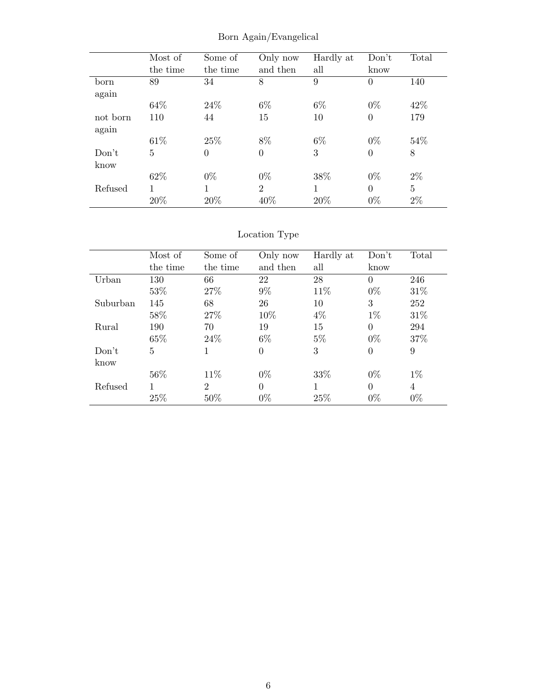|          | Most of  | Some of        | Only now       | Hardly at | Don't          | Total          |
|----------|----------|----------------|----------------|-----------|----------------|----------------|
|          | the time | the time       | and then       | all       | know           |                |
| born     | 89       | 34             | 8              | 9         | $\theta$       | 140            |
| again    |          |                |                |           |                |                |
|          | 64\%     | 24\%           | $6\%$          | $6\%$     | $0\%$          | 42\%           |
| not born | 110      | 44             | 15             | 10        | $\overline{0}$ | 179            |
| again    |          |                |                |           |                |                |
|          | 61\%     | 25\%           | 8%             | $6\%$     | $0\%$          | 54%            |
| Don't    | 5        | $\overline{0}$ | $\overline{0}$ | 3         | $\overline{0}$ | $8\,$          |
| know     |          |                |                |           |                |                |
|          | 62\%     | $0\%$          | $0\%$          | 38%       | $0\%$          | $2\%$          |
| Refused  | 1        | 1              | $\overline{2}$ | 1         | $\theta$       | $\overline{5}$ |
|          | 20%      | 20%            | 40%            | 20%       | $0\%$          | $2\%$          |

Born Again/Evangelical

### Location Type

|          | Most of  | Some of        | Only now | Hardly at | Don't    | Total          |
|----------|----------|----------------|----------|-----------|----------|----------------|
|          | the time | the time       | and then | all       | know     |                |
| Urban    | 130      | 66             | 22       | 28        | $\Omega$ | 246            |
|          | 53%      | 27\%           | $9\%$    | 11\%      | $0\%$    | 31%            |
| Suburban | 145      | 68             | 26       | 10        | 3        | 252            |
|          | 58%      | 27\%           | 10%      | $4\%$     | $1\%$    | 31\%           |
| Rural    | 190      | 70             | 19       | 15        | $\Omega$ | 294            |
|          | 65%      | 24\%           | $6\%$    | $5\%$     | $0\%$    | 37%            |
| Don't    | 5        | 1              | $\theta$ | 3         | $\Omega$ | 9              |
| know     |          |                |          |           |          |                |
|          | 56%      | 11\%           | $0\%$    | 33%       | $0\%$    | $1\%$          |
| Refused  |          | $\overline{2}$ | $\theta$ | 1         | $\Omega$ | $\overline{4}$ |
|          | 25%      | 50%            | $0\%$    | 25%       | $0\%$    | $0\%$          |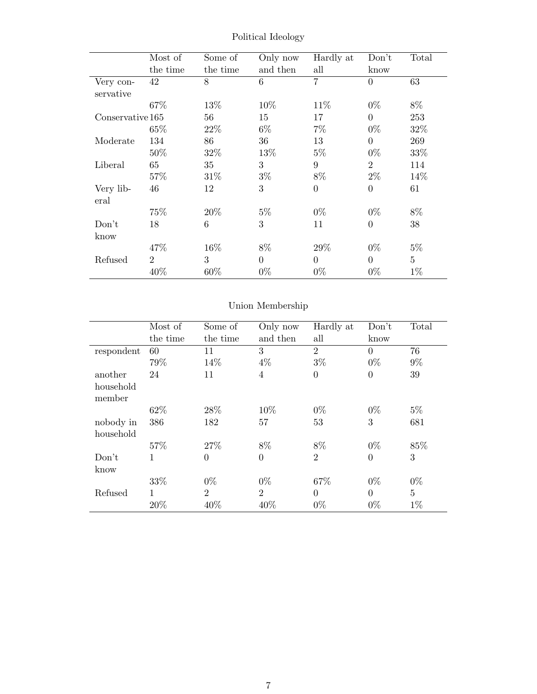|                  | Most of        | Some of  | Only now | Hardly at      | Don't            | Total          |
|------------------|----------------|----------|----------|----------------|------------------|----------------|
|                  |                |          |          |                |                  |                |
|                  | the time       | the time | and then | all            | know             |                |
| Very con-        | 42             | 8        | 6        | $\overline{7}$ | $\overline{0}$   | 63             |
| servative        |                |          |          |                |                  |                |
|                  | 67%            | 13%      | 10%      | 11\%           | $0\%$            | 8%             |
| Conservative 165 |                | 56       | 15       | 17             | $\overline{0}$   | 253            |
|                  | 65\%           | 22\%     | $6\%$    | $7\%$          | $0\%$            | 32%            |
| Moderate         | 134            | 86       | 36       | 13             | $\overline{0}$   | 269            |
|                  | 50%            | 32%      | 13%      | $5\%$          | $0\%$            | 33%            |
| Liberal          | 65             | 35       | 3        | 9              | $\overline{2}$   | 114            |
|                  | 57\%           | 31\%     | $3\%$    | 8%             | $2\%$            | 14\%           |
| Very lib-        | 46             | 12       | 3        | $\theta$       | $\boldsymbol{0}$ | 61             |
| eral             |                |          |          |                |                  |                |
|                  | 75%            | 20%      | $5\%$    | $0\%$          | $0\%$            | 8%             |
| Don't            | 18             | 6        | 3        | 11             | $\overline{0}$   | 38             |
| know             |                |          |          |                |                  |                |
|                  | 47%            | 16%      | 8%       | 29%            | $0\%$            | $5\%$          |
| Refused          | $\overline{2}$ | 3        | $\theta$ | $\Omega$       | $\overline{0}$   | $\overline{5}$ |
|                  | 40%            | $60\%$   | $0\%$    | $0\%$          | $0\%$            | $1\%$          |

Political Ideology

### Union Membership

|                        | Most of  | Some of        | Only now       | Hardly at      | Don't          | Total          |
|------------------------|----------|----------------|----------------|----------------|----------------|----------------|
|                        | the time | the time       | and then       | all            | know           |                |
| respondent             | 60       | 11             | 3              | $\overline{2}$ | $\Omega$       | 76             |
|                        | 79%      | 14%            | $4\%$          | $3\%$          | $0\%$          | $9\%$          |
| another                | 24       | 11             | $\overline{4}$ | $\overline{0}$ | $\overline{0}$ | 39             |
| household<br>member    |          |                |                |                |                |                |
|                        | 62\%     | 28%            | 10%            | $0\%$          | $0\%$          | $5\%$          |
| nobody in<br>household | 386      | 182            | 57             | 53             | 3              | 681            |
|                        | 57%      | 27%            | 8%             | 8%             | $0\%$          | 85%            |
| Don't<br>know          | 1        | $\overline{0}$ | $\overline{0}$ | $\overline{2}$ | $\theta$       | 3              |
|                        | 33%      | $0\%$          | $0\%$          | 67%            | $0\%$          | $0\%$          |
| Refused                | 1        | $\overline{2}$ | $\overline{2}$ | $\theta$       | $\theta$       | $\overline{5}$ |
|                        | 20%      | 40%            | 40%            | $0\%$          | $0\%$          | $1\%$          |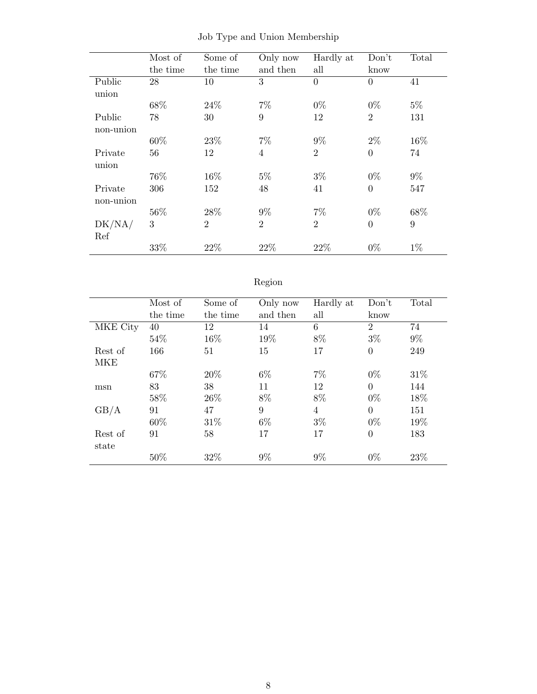|           | Most of  | Some of        | Only now       | Hardly at      | Don't          | Total |
|-----------|----------|----------------|----------------|----------------|----------------|-------|
|           | the time | the time       | and then       | all            | know           |       |
| Public    | 28       | 10             | 3              | $\overline{0}$ | $\overline{0}$ | 41    |
| union     |          |                |                |                |                |       |
|           | 68%      | $24\%$         | $7\%$          | $0\%$          | $0\%$          | $5\%$ |
| Public    | 78       | 30             | 9              | 12             | $\overline{2}$ | 131   |
| non-union |          |                |                |                |                |       |
|           | 60%      | 23\%           | $7\%$          | $9\%$          | $2\%$          | 16%   |
| Private   | 56       | 12             | $\overline{4}$ | $\overline{2}$ | $\overline{0}$ | 74    |
| union     |          |                |                |                |                |       |
|           | 76%      | 16%            | $5\%$          | $3\%$          | $0\%$          | $9\%$ |
| Private   | 306      | 152            | 48             | 41             | $\overline{0}$ | 547   |
| non-union |          |                |                |                |                |       |
|           | 56%      | 28%            | $9\%$          | $7\%$          | $0\%$          | 68%   |
| DK/NA/    | 3        | $\overline{2}$ | $\overline{2}$ | $\overline{2}$ | $\overline{0}$ | 9     |
| Ref       |          |                |                |                |                |       |
|           | 33%      | 22%            | 22%            | 22%            | $0\%$          | $1\%$ |

Job Type and Union Membership

### Region

|          | Most of  | Some of  | Only now | Hardly at      | Don't          | Total  |
|----------|----------|----------|----------|----------------|----------------|--------|
|          | the time | the time | and then | all            | know           |        |
| MKE City | 40       | 12       | 14       | 6              | $\overline{2}$ | 74     |
|          | 54%      | 16%      | 19%      | 8%             | $3\%$          | $9\%$  |
| Rest of  | 166      | 51       | 15       | 17             | $\overline{0}$ | 249    |
| MKE      |          |          |          |                |                |        |
|          | 67%      | 20%      | 6%       | $7\%$          | $0\%$          | 31\%   |
| msn      | 83       | 38       | 11       | 12             | $\theta$       | 144    |
|          | 58%      | 26\%     | 8%       | 8%             | $0\%$          | 18%    |
| GB/A     | 91       | 47       | 9        | $\overline{4}$ | $\theta$       | 151    |
|          | 60\%     | 31\%     | 6%       | $3\%$          | $0\%$          | 19%    |
| Rest of  | 91       | 58       | 17       | 17             | $\overline{0}$ | 183    |
| state    |          |          |          |                |                |        |
|          | 50%      | 32%      | $9\%$    | $9\%$          | $0\%$          | $23\%$ |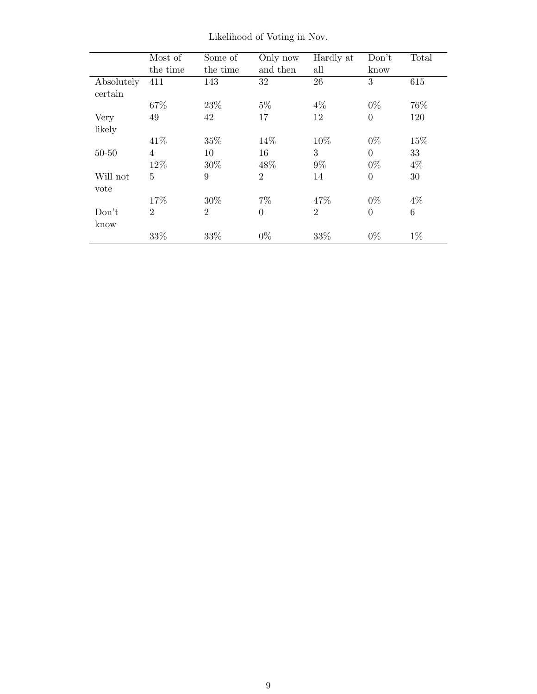|            | Most of<br>the time | Some of<br>the time | Only now<br>and then | Hardly at<br>all | Don't<br>know    | Total |
|------------|---------------------|---------------------|----------------------|------------------|------------------|-------|
| Absolutely | 411                 | 143                 | 32                   | 26               | 3                | 615   |
| certain    |                     |                     |                      |                  |                  |       |
|            | 67%                 | 23\%                | $5\%$                | $4\%$            | $0\%$            | 76%   |
| Very       | 49                  | 42                  | 17                   | 12               | $\overline{0}$   | 120   |
| likely     |                     |                     |                      |                  |                  |       |
|            | 41\%                | 35%                 | 14%                  | 10%              | $0\%$            | 15%   |
| $50 - 50$  | 4                   | 10                  | 16                   | 3                | $\Omega$         | 33    |
|            | 12%                 | 30%                 | 48\%                 | $9\%$            | $0\%$            | $4\%$ |
| Will not   | $\overline{5}$      | 9                   | $\overline{2}$       | 14               | $\boldsymbol{0}$ | 30    |
| vote       |                     |                     |                      |                  |                  |       |
|            | 17%                 | 30%                 | $7\%$                | 47%              | $0\%$            | $4\%$ |
| Don't      | $\overline{2}$      | $\overline{2}$      | $\overline{0}$       | $\overline{2}$   | $\overline{0}$   | 6     |
| know       |                     |                     |                      |                  |                  |       |
|            | 33%                 | 33%                 | $0\%$                | 33%              | $0\%$            | $1\%$ |

Likelihood of Voting in Nov.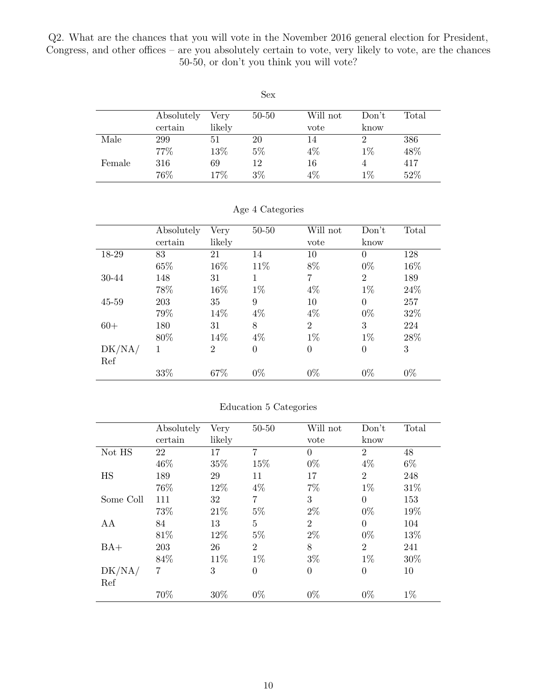<span id="page-9-0"></span>Q2. What are the chances that you will vote in the November 2016 general election for President, Congress, and other offices – are you absolutely certain to vote, very likely to vote, are the chances 50-50, or don't you think you will vote?

|        |            |        | Sex       |          |                |       |
|--------|------------|--------|-----------|----------|----------------|-------|
|        | Absolutely | Very   | $50 - 50$ | Will not | Don't          | Total |
|        | certain    | likely |           | vote     | know           |       |
| Male   | 299        | 51     | 20        | 14       | $\overline{2}$ | 386   |
|        | 77%        | 13%    | $5\%$     | 4%       | $1\%$          | 48%   |
| Female | 316        | 69     | 12        | 16       | 4              | 417   |
|        | 76%        | 17%    | $3\%$     | 4%       | $1\%$          | 52%   |

|           | Absolutely | Very           | $50 - 50$      | Will not         | Don't          | Total |
|-----------|------------|----------------|----------------|------------------|----------------|-------|
|           | certain    | likely         |                | vote             | know           |       |
| 18-29     | 83         | 21             | 14             | 10               | $\theta$       | 128   |
|           | 65%        | 16%            | 11\%           | 8%               | $0\%$          | 16%   |
| 30-44     | 148        | 31             | 1              | 7                | $\overline{2}$ | 189   |
|           | 78%        | 16%            | $1\%$          | $4\%$            | $1\%$          | 24\%  |
| $45 - 59$ | 203        | 35             | 9              | 10               | $\theta$       | 257   |
|           | 79%        | 14%            | $4\%$          | $4\%$            | $0\%$          | 32%   |
| $60+$     | 180        | 31             | 8              | $\overline{2}$   | 3              | 224   |
|           | 80%        | 14%            | $4\%$          | $1\%$            | $1\%$          | 28\%  |
| DK/NA/    | 1          | $\overline{2}$ | $\overline{0}$ | $\boldsymbol{0}$ | $\overline{0}$ | 3     |
| Ref       |            |                |                |                  |                |       |
|           | 33%        | 67%            | $0\%$          | $0\%$            | $0\%$          | $0\%$ |

|  | Age 4 Categories |
|--|------------------|
|--|------------------|

|  | Education 5 Categories |
|--|------------------------|
|  |                        |

|           | Absolutely | Very   | $50 - 50$      | Will not       | Don't          | Total |
|-----------|------------|--------|----------------|----------------|----------------|-------|
|           | certain    | likely |                | vote           | know           |       |
| Not HS    | 22         | 17     | 7              | $\theta$       | $\overline{2}$ | 48    |
|           | 46%        | 35%    | 15%            | $0\%$          | $4\%$          | $6\%$ |
| HS        | 189        | 29     | 11             | 17             | $\overline{2}$ | 248   |
|           | 76%        | 12%    | $4\%$          | $7\%$          | $1\%$          | 31%   |
| Some Coll | 111        | 32     | 7              | 3              | $\overline{0}$ | 153   |
|           | 73%        | 21%    | $5\%$          | $2\%$          | $0\%$          | 19%   |
| AA        | 84         | 13     | $\overline{5}$ | $\overline{2}$ | $\overline{0}$ | 104   |
|           | 81\%       | 12%    | $5\%$          | $2\%$          | $0\%$          | 13%   |
| $BA+$     | 203        | 26     | $\overline{2}$ | 8              | $\overline{2}$ | 241   |
|           | 84\%       | 11%    | $1\%$          | $3\%$          | $1\%$          | 30%   |
| DK/NA/    | 7          | 3      | $\overline{0}$ | $\overline{0}$ | $\overline{0}$ | 10    |
| Ref       |            |        |                |                |                |       |
|           | 70%        | 30%    | $0\%$          | $0\%$          | $0\%$          | $1\%$ |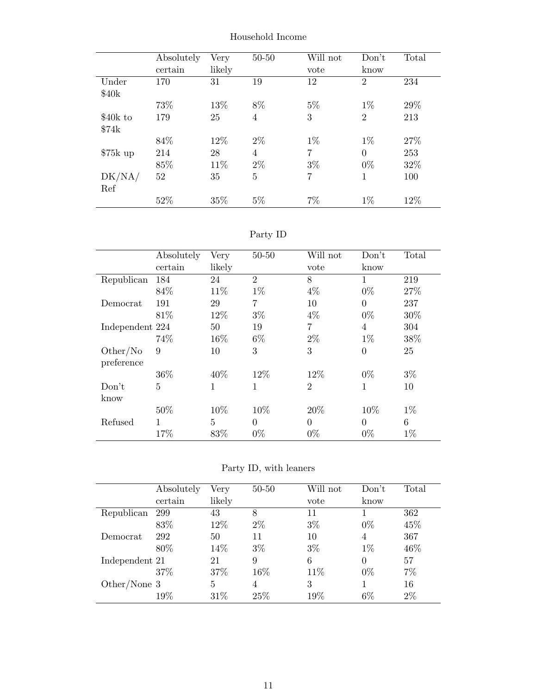|           | Absolutely<br>certain | Very<br>likely | $50 - 50$      | Will not<br>vote | Don't<br>know  | Total |
|-----------|-----------------------|----------------|----------------|------------------|----------------|-------|
| Under     | 170                   | 31             | 19             | 12               | $\overline{2}$ | 234   |
| \$40k     |                       |                |                |                  |                |       |
|           | 73%                   | 13%            | 8%             | $5\%$            | $1\%$          | 29%   |
| \$40k to  | 179                   | 25             | $\overline{4}$ | 3                | $\overline{2}$ | 213   |
| \$74k     |                       |                |                |                  |                |       |
|           | 84%                   | 12%            | $2\%$          | $1\%$            | $1\%$          | 27%   |
| $$75k$ up | 214                   | 28             | $\overline{4}$ | 7                | $\overline{0}$ | 253   |
|           | 85%                   | 11\%           | $2\%$          | $3\%$            | $0\%$          | 32%   |
| DK/NA/    | 52                    | 35             | 5              | 7                | 1              | 100   |
| Ref       |                       |                |                |                  |                |       |
|           | 52%                   | 35%            | $5\%$          | 7%               | $1\%$          | 12%   |

Household Income

Party ID

|                        | Absolutely     | Very           | $50 - 50$      | Will not       | Don't          | Total |
|------------------------|----------------|----------------|----------------|----------------|----------------|-------|
|                        | certain        | likely         |                | vote           | know           |       |
| Republican             | 184            | 24             | $\overline{2}$ | 8              | 1              | 219   |
|                        | 84\%           | 11\%           | $1\%$          | $4\%$          | $0\%$          | 27%   |
| Democrat               | 191            | 29             | $\overline{7}$ | 10             | $\overline{0}$ | 237   |
|                        | 81\%           | 12%            | $3\%$          | $4\%$          | $0\%$          | 30%   |
| Independent 224        |                | 50             | 19             | $\overline{7}$ | 4              | 304   |
|                        | 74%            | 16%            | $6\%$          | $2\%$          | $1\%$          | 38%   |
| Other/No<br>preference | 9              | 10             | 3              | 3              | $\overline{0}$ | 25    |
|                        | 36\%           | 40%            | 12%            | 12%            | $0\%$          | $3\%$ |
| Don't<br>know          | $\overline{5}$ | 1              | 1              | $\overline{2}$ | $\mathbf 1$    | 10    |
|                        | 50\%           | 10%            | 10%            | 20%            | 10%            | $1\%$ |
| Refused                | 1              | $\overline{5}$ | $\theta$       | $\theta$       | $\Omega$       | 6     |
|                        | 17%            | 83%            | $0\%$          | $0\%$          | $0\%$          | $1\%$ |

Party ID, with leaners

|                | Absolutely | Very   | $50 - 50$ | Will not | Don't    | Total |
|----------------|------------|--------|-----------|----------|----------|-------|
|                | certain    | likely |           | vote     | know     |       |
| Republican     | 299        | 43     | 8         | 11       |          | 362   |
|                | 83%        | 12%    | $2\%$     | $3\%$    | $0\%$    | 45%   |
| Democrat       | 292        | 50     | 11        | 10       | 4        | 367   |
|                | 80%        | 14%    | $3\%$     | $3\%$    | $1\%$    | 46%   |
| Independent 21 |            | 21     | 9         | 6        | $\theta$ | 57    |
|                | 37%        | 37%    | 16%       | 11%      | $0\%$    | 7%    |
| Other/None 3   |            | 5      | 4         | 3        |          | 16    |
|                | $19\%$     | 31%    | 25%       | 19%      | $6\%$    | $2\%$ |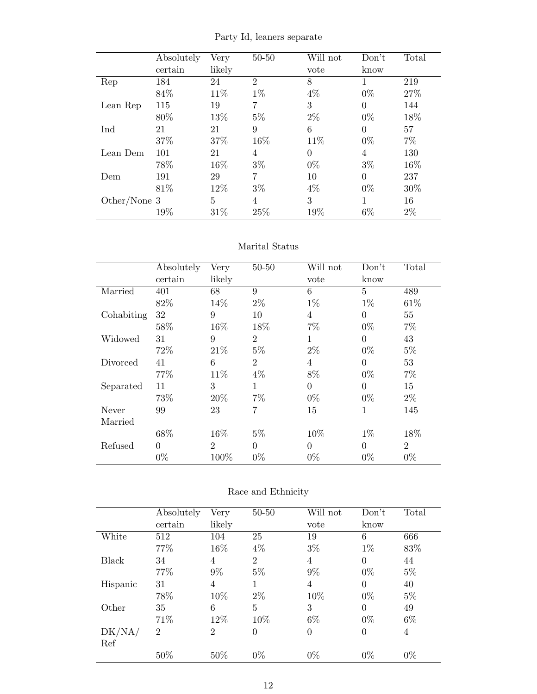|                | Absolutely | Very   | $50 - 50$      | Will not | Don't          | Total |
|----------------|------------|--------|----------------|----------|----------------|-------|
|                | certain    | likely |                | vote     | know           |       |
| Rep            | 184        | 24     | $\overline{2}$ | 8        |                | 219   |
|                | 84%        | 11\%   | $1\%$          | $4\%$    | $0\%$          | 27%   |
| Lean Rep       | 115        | 19     | 7              | 3        | $\theta$       | 144   |
|                | 80%        | 13%    | $5\%$          | $2\%$    | $0\%$          | 18%   |
| Ind            | 21         | 21     | 9              | 6        | $\overline{0}$ | 57    |
|                | 37%        | 37%    | 16%            | 11\%     | $0\%$          | $7\%$ |
| Lean Dem       | 101        | 21     | $\overline{4}$ | $\theta$ | 4              | 130   |
|                | 78%        | 16%    | $3\%$          | $0\%$    | $3\%$          | 16%   |
| Dem            | 191        | 29     | 7              | 10       | $\theta$       | 237   |
|                | 81\%       | 12%    | $3\%$          | $4\%$    | $0\%$          | 30%   |
| Other/None $3$ |            | 5      | 4              | 3        | 1              | 16    |
|                | 19%        | 31%    | 25%            | 19%      | $6\%$          | $2\%$ |

Party Id, leaners separate

#### Marital Status

|            | Absolutely | Very           | $50 - 50$      | Will not       | Don't          | Total          |
|------------|------------|----------------|----------------|----------------|----------------|----------------|
|            | certain    | likely         |                | vote           | know           |                |
| Married    | 401        | 68             | 9              | 6              | 5              | 489            |
|            | 82%        | 14%            | $2\%$          | $1\%$          | $1\%$          | 61\%           |
| Cohabiting | 32         | 9              | 10             | $\overline{4}$ | $\overline{0}$ | 55             |
|            | 58%        | 16%            | 18%            | $7\%$          | $0\%$          | $7\%$          |
| Widowed    | 31         | 9              | $\overline{2}$ | 1              | $\Omega$       | 43             |
|            | 72%        | 21\%           | $5\%$          | $2\%$          | $0\%$          | $5\%$          |
| Divorced   | 41         | 6              | $\overline{2}$ | 4              | $\Omega$       | 53             |
|            | 77%        | 11%            | $4\%$          | 8%             | $0\%$          | $7\%$          |
| Separated  | 11         | 3              | 1              | $\theta$       | $\theta$       | 15             |
|            | 73%        | 20%            | $7\%$          | $0\%$          | $0\%$          | $2\%$          |
| Never      | 99         | 23             | 7              | 15             | 1              | 145            |
| Married    |            |                |                |                |                |                |
|            | 68\%       | 16%            | $5\%$          | 10%            | $1\%$          | 18%            |
| Refused    | $\Omega$   | $\overline{2}$ | $\theta$       | $\theta$       | $\theta$       | $\overline{2}$ |
|            | $0\%$      | 100%           | $0\%$          | $0\%$          | $0\%$          | $0\%$          |

#### Race and Ethnicity

|              | Absolutely     | Very           | $50 - 50$      | Will not         | Don't    | Total |
|--------------|----------------|----------------|----------------|------------------|----------|-------|
|              | certain        | likely         |                | vote             | know     |       |
| White        | 512            | 104            | 25             | 19               | 6        | 666   |
|              | 77%            | 16%            | $4\%$          | $3\%$            | $1\%$    | 83%   |
| <b>Black</b> | 34             | 4              | $\overline{2}$ | 4                | 0        | 44    |
|              | 77%            | 9%             | $5\%$          | $9\%$            | $0\%$    | $5\%$ |
| Hispanic     | 31             | 4              | 1              | 4                | $\Omega$ | 40    |
|              | 78%            | 10%            | $2\%$          | 10%              | $0\%$    | $5\%$ |
| Other        | 35             | 6              | $\overline{5}$ | 3                | $\theta$ | 49    |
|              | 71%            | 12%            | 10%            | $6\%$            | $0\%$    | $6\%$ |
| DK/NA/       | $\overline{2}$ | $\overline{2}$ | $\overline{0}$ | $\boldsymbol{0}$ | 0        | 4     |
| Ref          |                |                |                |                  |          |       |
|              | 50%            | 50%            | $0\%$          | $0\%$            | $0\%$    | $0\%$ |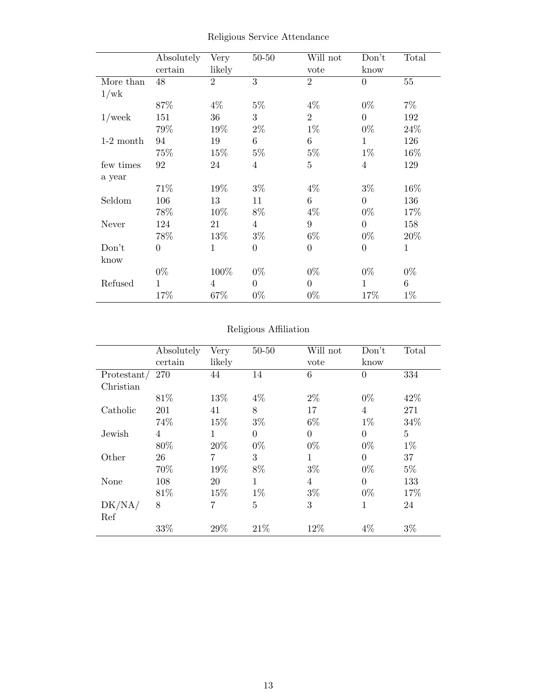|             | Absolutely<br>certain | Very<br>likely | $50 - 50$      | Will not<br>vote | Don't<br>know    | Total  |
|-------------|-----------------------|----------------|----------------|------------------|------------------|--------|
| More than   | 48                    | $\overline{2}$ | 3              | $\overline{2}$   | $\overline{0}$   | 55     |
| 1/wk        |                       |                |                |                  |                  |        |
|             | 87%                   | $4\%$          | $5\%$          | $4\%$            | $0\%$            | $7\%$  |
| $1$ /week   | 151                   | 36             | 3              | $\overline{2}$   | $\overline{0}$   | 192    |
|             | 79%                   | 19%            | $2\%$          | $1\%$            | $0\%$            | 24%    |
| $1-2$ month | 94                    | 19             | 6              | $\,6$            | $\mathbf{1}$     | 126    |
|             | 75\%                  | 15\%           | $5\%$          | $5\%$            | $1\%$            | $16\%$ |
| few times   | 92                    | 24             | 4              | $\mathbf 5$      | 4                | 129    |
| a year      |                       |                |                |                  |                  |        |
|             | 71%                   | 19%            | $3\%$          | $4\%$            | $3\%$            | 16%    |
| Seldom      | 106                   | 13             | 11             | 6                | $\overline{0}$   | 136    |
|             | 78\%                  | 10%            | 8%             | $4\%$            | $0\%$            | 17%    |
| Never       | 124                   | 21             | $\overline{4}$ | $\boldsymbol{9}$ | $\overline{0}$   | 158    |
|             | 78%                   | 13\%           | $3\%$          | $6\%$            | $0\%$            | 20\%   |
| Don't       | $\overline{0}$        | $\mathbf{1}$   | $\theta$       | $\boldsymbol{0}$ | $\boldsymbol{0}$ | 1      |
| know        |                       |                |                |                  |                  |        |
|             | $0\%$                 | 100%           | $0\%$          | $0\%$            | $0\%$            | $0\%$  |
| Refused     | 1                     | $\overline{4}$ | $\overline{0}$ | $\boldsymbol{0}$ | 1                | 6      |
|             | 17%                   | 67%            | $0\%$          | $0\%$            | 17%              | $1\%$  |

Religious Service Attendance

### Religious Affiliation

|             | Absolutely | Very   | $50 - 50$      | Will not       | Don't          | Total |
|-------------|------------|--------|----------------|----------------|----------------|-------|
|             | certain    | likely |                | vote           | know           |       |
| Protestant/ | 270        | 44     | 14             | 6              | $\overline{0}$ | 334   |
| Christian   |            |        |                |                |                |       |
|             | 81%        | 13%    | $4\%$          | $2\%$          | $0\%$          | 42\%  |
| Catholic    | 201        | 41     | 8              | 17             | 4              | 271   |
|             | 74%        | 15%    | $3\%$          | 6%             | $1\%$          | 34%   |
| Jewish      | 4          |        | $\overline{0}$ | $\overline{0}$ | $\overline{0}$ | 5     |
|             | 80%        | 20%    | $0\%$          | $0\%$          | $0\%$          | $1\%$ |
| Other       | 26         | 7      | 3              | 1              | $\Omega$       | 37    |
|             | 70%        | 19%    | 8%             | $3\%$          | $0\%$          | $5\%$ |
| None        | 108        | 20     | 1              | 4              | $\theta$       | 133   |
|             | 81\%       | 15%    | $1\%$          | $3\%$          | $0\%$          | 17%   |
| DK/NA/      | 8          | 7      | 5              | 3              | 1              | 24    |
| Ref         |            |        |                |                |                |       |
|             | 33%        | 29%    | 21\%           | 12\%           | 4%             | $3\%$ |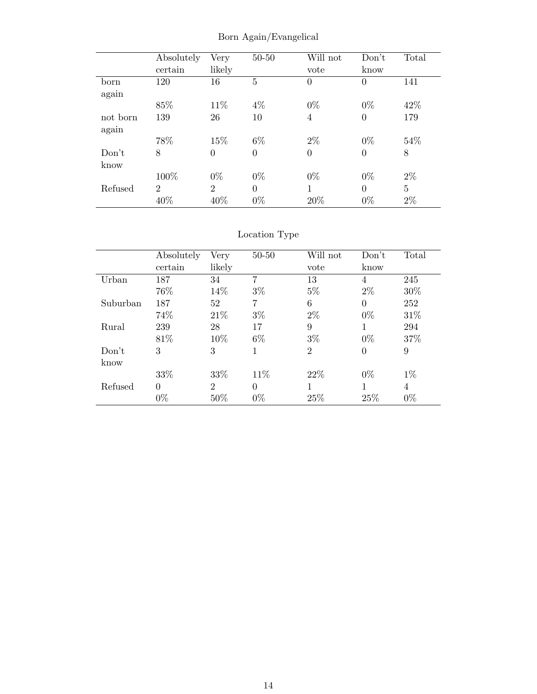|          | Absolutely<br>certain | Very<br>likely | $50 - 50$      | Will not<br>vote | Don't<br>know  | Total |
|----------|-----------------------|----------------|----------------|------------------|----------------|-------|
| born     | 120                   | 16             | 5              | $\overline{0}$   | $\overline{0}$ | 141   |
| again    |                       |                |                |                  |                |       |
|          | 85%                   | 11\%           | $4\%$          | $0\%$            | $0\%$          | 42\%  |
| not born | 139                   | 26             | 10             | 4                | $\overline{0}$ | 179   |
| again    |                       |                |                |                  |                |       |
|          | 78%                   | 15%            | $6\%$          | $2\%$            | $0\%$          | 54%   |
| Don't    | 8                     | 0              | $\overline{0}$ | $\overline{0}$   | $\overline{0}$ | 8     |
| know     |                       |                |                |                  |                |       |
|          | 100%                  | $0\%$          | $0\%$          | $0\%$            | $0\%$          | $2\%$ |
| Refused  | $\overline{2}$        | $\mathfrak{D}$ | $\theta$       | 1                | $\theta$       | 5     |
|          | 40%                   | 40%            | $0\%$          | 20%              | $0\%$          | $2\%$ |

Born Again/Evangelical

### Location Type

|          | Absolutely | Very                        | $50 - 50$ | Will not       | Don't          | Total |
|----------|------------|-----------------------------|-----------|----------------|----------------|-------|
|          | certain    | likely                      |           | vote           | know           |       |
| Urban    | 187        | 34                          | 7         | 13             | $\overline{4}$ | 245   |
|          | 76%        | 14%                         | $3\%$     | $5\%$          | $2\%$          | 30%   |
| Suburban | 187        | 52                          | 7         | 6              | $\overline{0}$ | 252   |
|          | 74%        | 21\%                        | $3\%$     | $2\%$          | $0\%$          | 31%   |
| Rural    | 239        | 28                          | 17        | 9              | 1              | 294   |
|          | 81\%       | 10%                         | 6%        | $3\%$          | $0\%$          | 37%   |
| Don't    | 3          | 3                           | 1         | $\overline{2}$ | $\overline{0}$ | 9     |
| know     |            |                             |           |                |                |       |
|          | 33%        | 33%                         | 11\%      | 22\%           | $0\%$          | $1\%$ |
| Refused  | $\Omega$   | $\mathcal{D}_{\mathcal{L}}$ | $\theta$  | 1              | 1              | 4     |
|          | $0\%$      | 50%                         | $0\%$     | 25%            | 25%            | $0\%$ |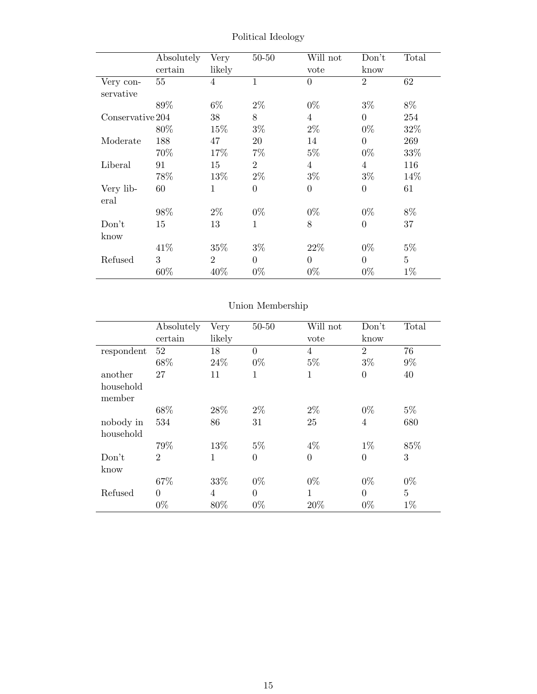|                  | Absolutely | Very           | $50 - 50$      | Will not         | Don't            | Total          |
|------------------|------------|----------------|----------------|------------------|------------------|----------------|
|                  | certain    | likely         |                | vote             | know             |                |
| Very con-        | 55         | 4              | $\mathbf{1}$   | $\overline{0}$   | $\overline{2}$   | 62             |
| servative        |            |                |                |                  |                  |                |
|                  | 89%        | $6\%$          | $2\%$          | $0\%$            | $3\%$            | 8%             |
| Conservative 204 |            | 38             | 8              | $\overline{4}$   | $\overline{0}$   | 254            |
|                  | 80\%       | 15%            | $3\%$          | $2\%$            | $0\%$            | 32%            |
| Moderate         | 188        | 47             | 20             | 14               | $\overline{0}$   | 269            |
|                  | 70\%       | 17%            | $7\%$          | $5\%$            | $0\%$            | 33%            |
| Liberal          | 91         | 15             | $\overline{2}$ | $\overline{4}$   | $\overline{4}$   | 116            |
|                  | 78%        | 13%            | $2\%$          | $3\%$            | $3\%$            | 14\%           |
| Very lib-        | 60         | 1              | $\overline{0}$ | $\boldsymbol{0}$ | $\boldsymbol{0}$ | 61             |
| eral             |            |                |                |                  |                  |                |
|                  | 98%        | $2\%$          | $0\%$          | $0\%$            | $0\%$            | $8\%$          |
| Don't            | 15         | 13             | $\mathbf{1}$   | 8                | $\boldsymbol{0}$ | 37             |
| know             |            |                |                |                  |                  |                |
|                  | 41\%       | 35%            | $3\%$          | 22\%             | $0\%$            | $5\%$          |
| Refused          | 3          | $\overline{2}$ | $\Omega$       | $\overline{0}$   | $\overline{0}$   | $\overline{5}$ |
|                  | 60%        | 40%            | $0\%$          | $0\%$            | $0\%$            | $1\%$          |

Political Ideology

### Union Membership

|            | Absolutely     | Very   | $50 - 50$        | Will not       | Don't          | Total |
|------------|----------------|--------|------------------|----------------|----------------|-------|
|            | certain        | likely |                  | vote           | know           |       |
| respondent | 52             | 18     | $\overline{0}$   | $\overline{4}$ | $\overline{2}$ | 76    |
|            | 68%            | 24\%   | $0\%$            | $5\%$          | $3\%$          | $9\%$ |
| another    | 27             | 11     | 1                | $\mathbf{1}$   | $\overline{0}$ | 40    |
| household  |                |        |                  |                |                |       |
| member     |                |        |                  |                |                |       |
|            | 68%            | 28\%   | $2\%$            | $2\%$          | $0\%$          | $5\%$ |
| nobody in  | 534            | 86     | 31               | 25             | $\overline{4}$ | 680   |
| household  |                |        |                  |                |                |       |
|            | 79%            | 13%    | $5\%$            | $4\%$          | $1\%$          | 85%   |
| Don't      | $\overline{2}$ | 1      | $\boldsymbol{0}$ | $\theta$       | $\overline{0}$ | 3     |
| know       |                |        |                  |                |                |       |
|            | 67%            | 33%    | $0\%$            | $0\%$          | $0\%$          | $0\%$ |
| Refused    | $\theta$       | 4      | $\overline{0}$   | $\mathbf{1}$   | $\theta$       | 5     |
|            | $0\%$          | 80%    | $0\%$            | 20%            | $0\%$          | $1\%$ |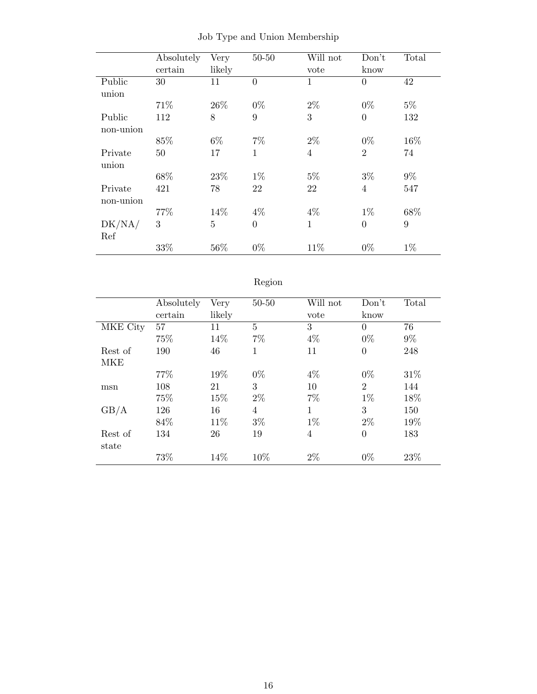|           | Absolutely | Very   | $50 - 50$      | Will not       | Don't          | Total |
|-----------|------------|--------|----------------|----------------|----------------|-------|
|           | certain    | likely |                | vote           | know           |       |
| Public    | 30         | 11     | $\overline{0}$ | $\mathbf{1}$   | $\overline{0}$ | 42    |
| union     |            |        |                |                |                |       |
|           | 71%        | 26\%   | $0\%$          | $2\%$          | $0\%$          | $5\%$ |
| Public    | 112        | 8      | 9              | 3              | $\overline{0}$ | 132   |
| non-union |            |        |                |                |                |       |
|           | 85%        | $6\%$  | $7\%$          | $2\%$          | $0\%$          | 16%   |
| Private   | 50         | 17     | 1              | $\overline{4}$ | $\overline{2}$ | 74    |
| union     |            |        |                |                |                |       |
|           | 68%        | 23%    | $1\%$          | $5\%$          | $3\%$          | $9\%$ |
| Private   | 421        | 78     | 22             | 22             | 4              | 547   |
| non-union |            |        |                |                |                |       |
|           | 77%        | 14%    | $4\%$          | $4\%$          | $1\%$          | 68%   |
| DK/NA/    | 3          | 5      | $\overline{0}$ | $\mathbf{1}$   | $\overline{0}$ | 9     |
| Ref       |            |        |                |                |                |       |
|           | 33%        | 56%    | $0\%$          | 11%            | $0\%$          | $1\%$ |

|  |  |  |  |  | Job Type and Union Membership |
|--|--|--|--|--|-------------------------------|
|--|--|--|--|--|-------------------------------|

| 07<br>c<br>,, |  |
|---------------|--|
|               |  |

|          | Absolutely | Very   | $50 - 50$      | Will not | Don't          | Total |
|----------|------------|--------|----------------|----------|----------------|-------|
|          | certain    | likely |                | vote     | know           |       |
| MKE City | 57         | 11     | 5              | 3        | $\theta$       | 76    |
|          | 75%        | 14%    | $7\%$          | $4\%$    | $0\%$          | $9\%$ |
| Rest of  | 190        | 46     | 1              | 11       | $\overline{0}$ | 248   |
| MKE      |            |        |                |          |                |       |
|          | 77%        | 19%    | $0\%$          | $4\%$    | $0\%$          | 31%   |
| msn      | 108        | 21     | 3              | 10       | $\overline{2}$ | 144   |
|          | 75%        | 15%    | $2\%$          | $7\%$    | $1\%$          | 18%   |
| GB/A     | 126        | 16     | $\overline{4}$ | 1        | 3              | 150   |
|          | 84\%       | 11%    | $3\%$          | $1\%$    | $2\%$          | 19%   |
| Rest of  | 134        | 26     | 19             | 4        | $\overline{0}$ | 183   |
| state    |            |        |                |          |                |       |
|          | 73%        | 14%    | 10\%           | $2\%$    | $0\%$          | 23%   |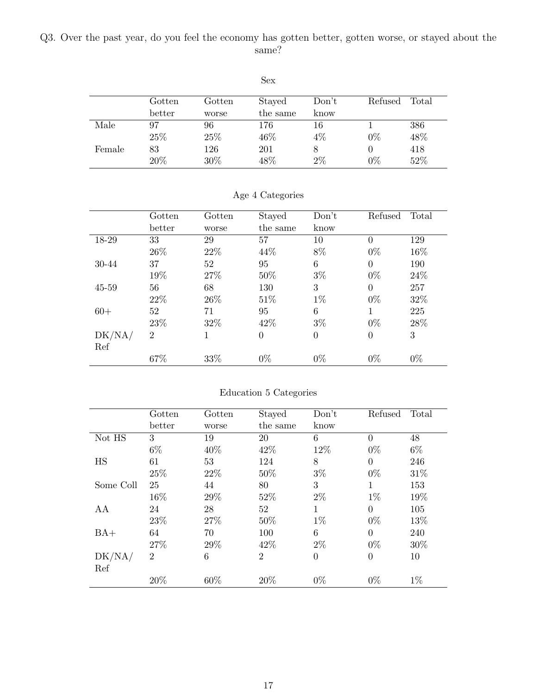<span id="page-16-0"></span>Q3. Over the past year, do you feel the economy has gotten better, gotten worse, or stayed about the same?

|        |        |        | Sex      |       |         |       |
|--------|--------|--------|----------|-------|---------|-------|
|        | Gotten | Gotten | Stayed   | Don't | Refused | Total |
|        | better | worse  | the same | know  |         |       |
| Male   | 97     | 96     | 176      | 16    |         | 386   |
|        | 25%    | 25%    | 46%      | $4\%$ | $0\%$   | 48%   |
| Female | 83     | 126    | 201      | 8     |         | 418   |
|        | 20%    | 30%    | 48%      | 2%    | $0\%$   | 52%   |

|           | Gotten         | Gotten | Stayed   | Don't          | Refused        | Total |
|-----------|----------------|--------|----------|----------------|----------------|-------|
|           | better         | worse  | the same | know           |                |       |
| 18-29     | 33             | 29     | 57       | 10             | $\theta$       | 129   |
|           | 26\%           | 22\%   | 44%      | 8%             | $0\%$          | 16%   |
| 30-44     | 37             | 52     | 95       | 6              | $\theta$       | 190   |
|           | 19%            | 27%    | 50%      | $3\%$          | $0\%$          | 24\%  |
| $45 - 59$ | 56             | 68     | 130      | 3              | $\theta$       | 257   |
|           | 22\%           | 26\%   | 51\%     | $1\%$          | $0\%$          | 32%   |
| $60+$     | 52             | 71     | 95       | 6              | 1              | 225   |
|           | 23\%           | 32%    | 42\%     | $3\%$          | $0\%$          | 28%   |
| DK/NA/    | $\overline{2}$ | 1      | $\Omega$ | $\overline{0}$ | $\overline{0}$ | 3     |
| Ref       |                |        |          |                |                |       |
|           | 67%            | 33%    | $0\%$    | $0\%$          | $0\%$          | $0\%$ |

#### Age 4 Categories

#### Education 5 Categories

|           | Gotten         | Gotten | Stayed         | Don't        | Refused        | Total |
|-----------|----------------|--------|----------------|--------------|----------------|-------|
|           | better         | worse  | the same       | know         |                |       |
| Not HS    | 3              | 19     | 20             | 6            | $\theta$       | 48    |
|           | $6\%$          | 40%    | 42\%           | 12%          | $0\%$          | $6\%$ |
| HS        | 61             | 53     | 124            | 8            | $\theta$       | 246   |
|           | 25%            | 22%    | 50%            | $3\%$        | $0\%$          | 31\%  |
| Some Coll | 25             | 44     | 80             | 3            | 1              | 153   |
|           | 16%            | 29%    | 52%            | $2\%$        | $1\%$          | 19%   |
| AA        | 24             | 28     | 52             | $\mathbf{1}$ | $\theta$       | 105   |
|           | 23%            | 27%    | 50%            | $1\%$        | $0\%$          | 13%   |
| $BA+$     | 64             | 70     | 100            | 6            | $\theta$       | 240   |
|           | 27%            | 29%    | 42\%           | $2\%$        | $0\%$          | 30%   |
| DK/NA/    | $\overline{2}$ | 6      | $\overline{2}$ | $\theta$     | $\overline{0}$ | 10    |
| Ref       |                |        |                |              |                |       |
|           | 20%            | 60%    | 20%            | $0\%$        | $0\%$          | $1\%$ |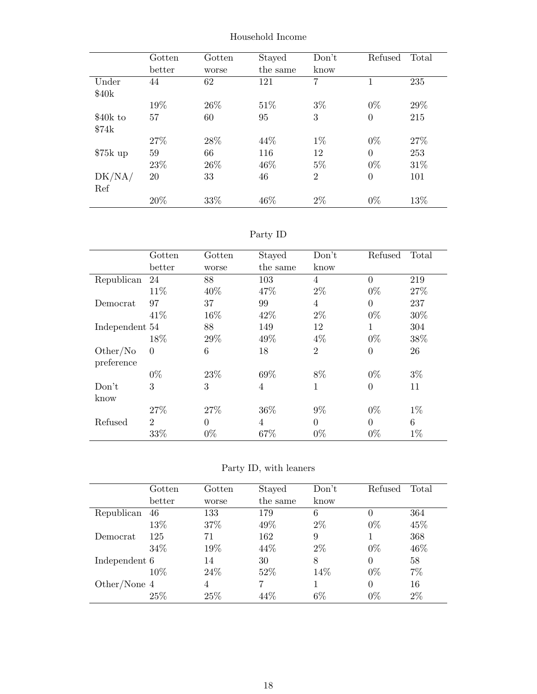|           | Gotten | Gotten | Stayed   | Don't          | Refused        | Total |
|-----------|--------|--------|----------|----------------|----------------|-------|
|           | better | worse  | the same | know           |                |       |
| Under     | 44     | 62     | 121      | 7              | 1              | 235   |
| \$40k     |        |        |          |                |                |       |
|           | 19%    | 26\%   | 51\%     | $3\%$          | $0\%$          | 29%   |
| \$40k to  | 57     | 60     | 95       | 3              | $\overline{0}$ | 215   |
| \$74k     |        |        |          |                |                |       |
|           | 27\%   | 28\%   | 44%      | $1\%$          | $0\%$          | 27%   |
| $$75k$ up | 59     | 66     | 116      | 12             | $\overline{0}$ | 253   |
|           | 23\%   | 26\%   | 46\%     | $5\%$          | $0\%$          | 31\%  |
| DK/NA/    | 20     | 33     | 46       | $\overline{2}$ | $\overline{0}$ | 101   |
| Ref       |        |        |          |                |                |       |
|           | 20%    | 33%    | 46\%     | $2\%$          | $0\%$          | 13%   |

Household Income

### Party ID

|                        | Gotten         | Gotten         | Stayed   | Don't          | Refused        | Total |
|------------------------|----------------|----------------|----------|----------------|----------------|-------|
|                        | better         | worse          | the same | know           |                |       |
| Republican             | 24             | 88             | 103      | 4              | $\overline{0}$ | 219   |
|                        | 11\%           | 40\%           | 47\%     | $2\%$          | $0\%$          | 27%   |
| Democrat               | 97             | 37             | 99       | 4              | $\theta$       | 237   |
|                        | 41\%           | 16%            | 42\%     | $2\%$          | $0\%$          | 30%   |
| Independent 54         |                | 88             | 149      | 12             | 1              | 304   |
|                        | 18%            | 29%            | 49%      | $4\%$          | $0\%$          | 38%   |
| Other/No<br>preference | $\Omega$       | 6              | 18       | $\overline{2}$ | $\overline{0}$ | 26    |
|                        | $0\%$          | 23\%           | 69%      | 8%             | $0\%$          | $3\%$ |
| Don't<br>know          | 3              | 3              | 4        | 1              | $\overline{0}$ | 11    |
|                        | 27%            | 27%            | 36%      | $9\%$          | $0\%$          | $1\%$ |
| Refused                | $\overline{2}$ | $\overline{0}$ | 4        | $\theta$       | $\overline{0}$ | 6     |
|                        | 33%            | $0\%$          | 67%      | $0\%$          | $0\%$          | $1\%$ |

Party ID, with leaners

|               | $\rm{Gotten}$ | Gotten | Stayed   | Don't | Refused  | Total |
|---------------|---------------|--------|----------|-------|----------|-------|
|               | better        | worse  | the same | know  |          |       |
| Republican    | 46            | 133    | 179      | 6     | 0        | 364   |
|               | 13%           | 37\%   | 49\%     | $2\%$ | $0\%$    | 45\%  |
| Democrat      | 125           | 71     | 162      | 9     |          | 368   |
|               | 34\%          | 19%    | 44\%     | $2\%$ | $0\%$    | 46%   |
| Independent 6 |               | 14     | 30       | 8     | $\theta$ | 58    |
|               | $10\%$        | 24\%   | 52%      | 14\%  | $0\%$    | $7\%$ |
| Other/None 4  |               | 4      |          |       | $\theta$ | 16    |
|               | 25\%          | 25\%   | 44%      | $6\%$ | $0\%$    | $2\%$ |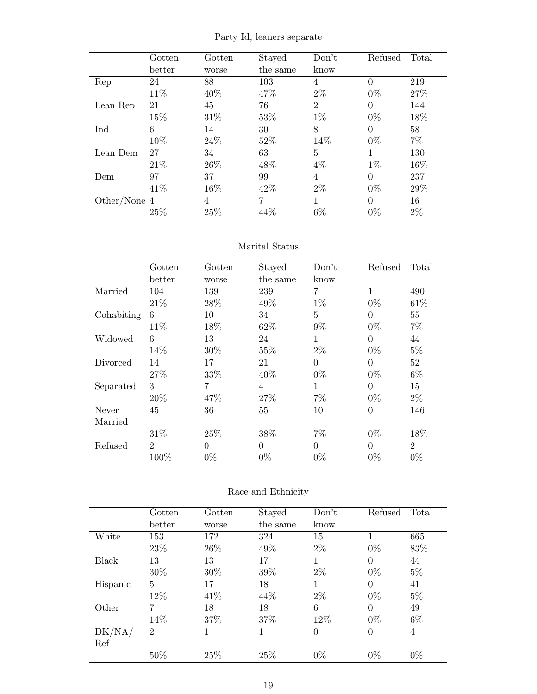|                | Gotten | Gotten         | Stayed         | Don't          | Refused  | Total |
|----------------|--------|----------------|----------------|----------------|----------|-------|
|                | better | worse          | the same       | know           |          |       |
| Rep            | 24     | 88             | 103            | 4              | $\Omega$ | 219   |
|                | 11\%   | 40\%           | 47%            | $2\%$          | $0\%$    | 27%   |
| Lean Rep       | 21     | 45             | 76             | $\overline{2}$ | $\theta$ | 144   |
|                | 15%    | 31\%           | 53%            | $1\%$          | $0\%$    | 18%   |
| Ind            | 6      | 14             | 30             | 8              | $\theta$ | 58    |
|                | 10%    | 24\%           | 52%            | 14%            | $0\%$    | $7\%$ |
| Lean Dem       | 27     | 34             | 63             | 5              | 1        | 130   |
|                | 21\%   | 26\%           | 48%            | 4%             | $1\%$    | 16%   |
| Dem            | 97     | 37             | 99             | 4              | $\Omega$ | 237   |
|                | 41\%   | 16%            | 42\%           | $2\%$          | $0\%$    | 29\%  |
| Other/None $4$ |        | $\overline{4}$ | $\overline{7}$ |                | $\theta$ | 16    |
|                | 25%    | 25%            | 44\%           | $6\%$          | $0\%$    | $2\%$ |

Party Id, leaners separate

#### Marital Status

|            | Gotten         | Gotten   | Stayed   | Don't          | Refused        | Total          |
|------------|----------------|----------|----------|----------------|----------------|----------------|
|            | better         | worse    | the same | know           |                |                |
| Married    | 104            | 139      | 239      | $\overline{7}$ | 1              | 490            |
|            | 21\%           | 28\%     | 49%      | $1\%$          | $0\%$          | 61\%           |
| Cohabiting | 6              | 10       | 34       | 5              | $\Omega$       | 55             |
|            | 11\%           | 18%      | 62\%     | $9\%$          | $0\%$          | $7\%$          |
| Widowed    | 6              | 13       | 24       | 1              | $\theta$       | 44             |
|            | 14%            | 30%      | 55%      | $2\%$          | $0\%$          | $5\%$          |
| Divorced   | 14             | 17       | 21       | $\theta$       | $\theta$       | 52             |
|            | 27%            | 33%      | 40%      | $0\%$          | $0\%$          | $6\%$          |
| Separated  | 3              | 7        | 4        | 1              | $\Omega$       | 15             |
|            | 20%            | 47%      | 27%      | $7\%$          | $0\%$          | $2\%$          |
| Never      | 45             | 36       | 55       | 10             | $\overline{0}$ | 146            |
| Married    |                |          |          |                |                |                |
|            | 31\%           | 25%      | 38%      | $7\%$          | $0\%$          | 18%            |
| Refused    | $\overline{2}$ | $\theta$ | $\theta$ | $\Omega$       | $\theta$       | $\overline{2}$ |
|            | 100%           | $0\%$    | $0\%$    | $0\%$          | $0\%$          | $0\%$          |

#### Race and Ethnicity

|          | Gotten         | $\operatorname{Gotten}$ | Stayed   | Don't | Refused        | Total          |
|----------|----------------|-------------------------|----------|-------|----------------|----------------|
|          | better         | worse                   | the same | know  |                |                |
| White    | 153            | 172                     | 324      | 15    |                | 665            |
|          | 23\%           | 26\%                    | 49%      | $2\%$ | $0\%$          | 83%            |
| Black    | 13             | 13                      | 17       | 1     | $\overline{0}$ | 44             |
|          | 30\%           | 30\%                    | 39%      | $2\%$ | $0\%$          | $5\%$          |
| Hispanic | 5              | 17                      | 18       | 1     | $\theta$       | 41             |
|          | $12\%$         | 41\%                    | 44\%     | $2\%$ | $0\%$          | $5\%$          |
| Other    | 7              | 18                      | 18       | 6     | $\overline{0}$ | 49             |
|          | 14%            | 37\%                    | 37\%     | 12%   | $0\%$          | $6\%$          |
| DK/NA/   | $\overline{2}$ | 1                       | 1        | 0     | $\overline{0}$ | $\overline{4}$ |
| Ref      |                |                         |          |       |                |                |
|          | 50%            | 25%                     | 25%      | $0\%$ | $0\%$          | $0\%$          |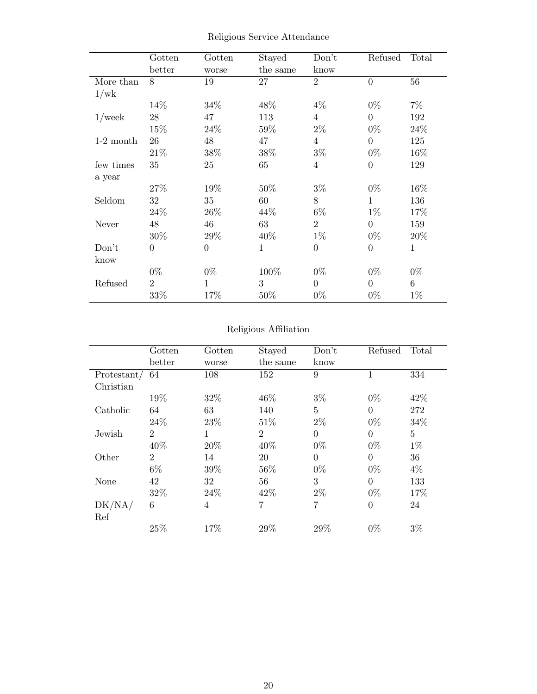|             | Gotten         | Gotten       | Stayed       | Don't          | Refused        | Total        |
|-------------|----------------|--------------|--------------|----------------|----------------|--------------|
|             | better         | worse        | the same     | know           |                |              |
| More than   | 8              | 19           | 27           | $\overline{2}$ | $\overline{0}$ | 56           |
| 1/wk        |                |              |              |                |                |              |
|             | 14%            | 34\%         | 48\%         | $4\%$          | $0\%$          | $7\%$        |
| $1$ /week   | 28             | 47           | 113          | $\overline{4}$ | $\Omega$       | 192          |
|             | 15%            | 24\%         | 59%          | $2\%$          | $0\%$          | 24\%         |
| $1-2$ month | 26             | 48           | 47           | 4              | $\theta$       | 125          |
|             | 21\%           | 38\%         | 38%          | $3\%$          | $0\%$          | 16\%         |
| few times   | 35             | 25           | 65           | $\overline{4}$ | $\overline{0}$ | 129          |
| a year      |                |              |              |                |                |              |
|             | 27\%           | 19%          | 50%          | $3\%$          | $0\%$          | 16%          |
| Seldom      | 32             | 35           | 60           | 8              | 1              | 136          |
|             | 24\%           | 26\%         | 44\%         | $6\%$          | $1\%$          | 17%          |
| Never       | 48             | 46           | 63           | $\overline{2}$ | $\overline{0}$ | 159          |
|             | 30%            | 29%          | 40%          | $1\%$          | $0\%$          | 20%          |
| Don't       | $\theta$       | $\theta$     | $\mathbf{1}$ | $\overline{0}$ | $\overline{0}$ | $\mathbf{1}$ |
| know        |                |              |              |                |                |              |
|             | $0\%$          | $0\%$        | 100%         | $0\%$          | $0\%$          | $0\%$        |
| Refused     | $\overline{2}$ | $\mathbf{1}$ | 3            | $\overline{0}$ | $\theta$       | 6            |
|             | 33%            | 17%          | 50%          | $0\%$          | $0\%$          | $1\%$        |

Religious Service Attendance

#### Religious Affiliation

|             | Gotten         | Gotten         | Stayed         | Don't          | Refused        | Total |
|-------------|----------------|----------------|----------------|----------------|----------------|-------|
|             | better         | worse          | the same       | know           |                |       |
| Protestant/ | 64             | 108            | 152            | 9              |                | 334   |
| Christian   |                |                |                |                |                |       |
|             | 19%            | 32\%           | 46\%           | $3\%$          | $0\%$          | 42\%  |
| Catholic    | 64             | 63             | 140            | 5              | $\Omega$       | 272   |
|             | 24\%           | 23\%           | 51\%           | $2\%$          | $0\%$          | 34%   |
| Jewish      | $\overline{2}$ | 1              | $\overline{2}$ | $\Omega$       | $\theta$       | 5     |
|             | 40%            | 20%            | 40%            | $0\%$          | $0\%$          | $1\%$ |
| Other       | $\overline{2}$ | 14             | 20             | $\theta$       | $\overline{0}$ | 36    |
|             | $6\%$          | 39%            | 56%            | $0\%$          | $0\%$          | $4\%$ |
| None        | 42             | 32             | 56             | 3              | $\theta$       | 133   |
|             | 32%            | 24\%           | 42\%           | $2\%$          | $0\%$          | 17%   |
| DK/NA/      | 6              | $\overline{4}$ | 7              | $\overline{7}$ | $\overline{0}$ | 24    |
| Ref         |                |                |                |                |                |       |
|             | 25%            | 17%            | 29%            | 29\%           | $0\%$          | $3\%$ |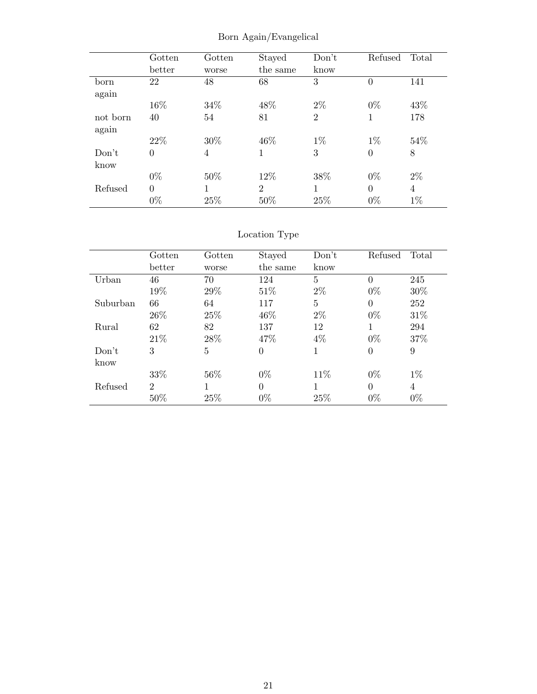|          | Gotten   | Gotten | Stayed         | Don't          | Refused        | Total          |
|----------|----------|--------|----------------|----------------|----------------|----------------|
|          | better   | worse  | the same       | know           |                |                |
| born     | 22       | 48     | 68             | 3              | $\overline{0}$ | 141            |
| again    |          |        |                |                |                |                |
|          | 16%      | 34%    | 48%            | $2\%$          | $0\%$          | 43%            |
| not born | 40       | 54     | 81             | $\overline{2}$ | 1              | 178            |
| again    |          |        |                |                |                |                |
|          | 22\%     | 30\%   | 46\%           | $1\%$          | $1\%$          | 54%            |
| Don't    | $\theta$ | 4      | 1              | 3              | $\overline{0}$ | 8              |
| know     |          |        |                |                |                |                |
|          | $0\%$    | 50%    | 12%            | 38%            | $0\%$          | $2\%$          |
| Refused  | $\theta$ | 1      | $\overline{2}$ |                | $\theta$       | $\overline{4}$ |
|          | $0\%$    | 25%    | 50%            | 25\%           | $0\%$          | $1\%$          |

Born Again/Evangelical

### Location Type

|          | Gotten                      | $\operatorname{Gotten}$ | Stayed   | Don't | Refused  | Total          |
|----------|-----------------------------|-------------------------|----------|-------|----------|----------------|
|          | better                      | worse                   | the same | know  |          |                |
| Urban    | 46                          | 70                      | 124      | 5     | $\Omega$ | 245            |
|          | 19%                         | 29%                     | 51\%     | $2\%$ | $0\%$    | 30\%           |
| Suburban | 66                          | 64                      | 117      | 5     | $\Omega$ | 252            |
|          | 26\%                        | 25\%                    | 46\%     | $2\%$ | $0\%$    | 31\%           |
| Rural    | 62                          | 82                      | 137      | 12    | 1        | 294            |
|          | 21\%                        | 28%                     | 47\%     | $4\%$ | $0\%$    | 37%            |
| Don't    | 3                           | 5                       | $\theta$ | 1     | $\theta$ | 9              |
| know     |                             |                         |          |       |          |                |
|          | 33%                         | 56%                     | $0\%$    | 11\%  | $0\%$    | $1\%$          |
| Refused  | $\mathcal{D}_{\mathcal{L}}$ | 1                       | $\Omega$ |       | $\Omega$ | $\overline{4}$ |
|          | 50%                         | 25%                     | $0\%$    | 25\%  | $0\%$    | $0\%$          |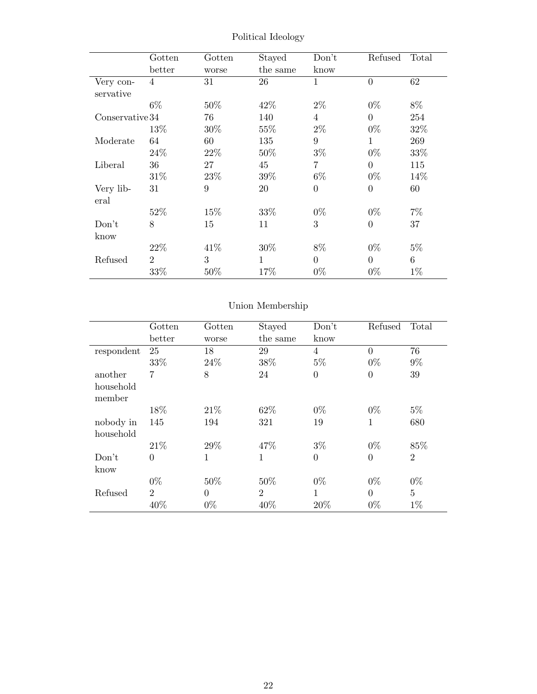|                 | Gotten         | Gotten           | Stayed       | Don't          | Refused          | Total |
|-----------------|----------------|------------------|--------------|----------------|------------------|-------|
|                 | better         | worse            | the same     | know           |                  |       |
| Very con-       | $\overline{4}$ | 31               | 26           | $\mathbf{1}$   | $\overline{0}$   | 62    |
| servative       |                |                  |              |                |                  |       |
|                 | $6\%$          | 50%              | 42\%         | $2\%$          | $0\%$            | 8%    |
| Conservative 34 |                | 76               | 140          | $\overline{4}$ | $\overline{0}$   | 254   |
|                 | 13%            | 30%              | 55%          | $2\%$          | $0\%$            | 32%   |
| Moderate        | 64             | 60               | 135          | 9              | $\mathbf{1}$     | 269   |
|                 | 24\%           | 22\%             | 50%          | $3\%$          | $0\%$            | 33%   |
| Liberal         | 36             | 27               | 45           | 7              | $\overline{0}$   | 115   |
|                 | 31\%           | 23%              | 39%          | $6\%$          | $0\%$            | 14\%  |
| Very lib-       | 31             | $\boldsymbol{9}$ | 20           | $\theta$       | $\boldsymbol{0}$ | 60    |
| eral            |                |                  |              |                |                  |       |
|                 | 52\%           | 15\%             | 33%          | $0\%$          | $0\%$            | $7\%$ |
| Don't           | 8              | 15               | 11           | 3              | $\overline{0}$   | 37    |
| know            |                |                  |              |                |                  |       |
|                 | 22\%           | 41\%             | 30%          | 8%             | $0\%$            | $5\%$ |
| Refused         | $\overline{2}$ | 3                | $\mathbf{1}$ | $\Omega$       | $\overline{0}$   | 6     |
|                 | 33%            | 50\%             | 17%          | $0\%$          | $0\%$            | $1\%$ |

Political Ideology

### Union Membership

|                        | Gotten         | Gotten   | Stayed         | Don't          | Refused  | Total          |
|------------------------|----------------|----------|----------------|----------------|----------|----------------|
|                        | better         | worse    | the same       | know           |          |                |
| respondent             | 25             | 18       | 29             | $\overline{4}$ | $\theta$ | 76             |
|                        | 33%            | 24\%     | 38%            | $5\%$          | $0\%$    | $9\%$          |
| another                | 7              | 8        | 24             | $\overline{0}$ | $\theta$ | 39             |
| household<br>member    |                |          |                |                |          |                |
|                        | 18%            | 21\%     | 62%            | $0\%$          | $0\%$    | $5\%$          |
| nobody in<br>household | 145            | 194      | 321            | 19             | 1        | 680            |
|                        | 21%            | 29%      | 47\%           | $3\%$          | $0\%$    | 85%            |
| Don't<br>know          | $\theta$       | 1        | 1              | $\overline{0}$ | $\theta$ | $\overline{2}$ |
|                        | $0\%$          | 50%      | 50%            | $0\%$          | $0\%$    | $0\%$          |
| Refused                | $\overline{2}$ | $\theta$ | $\overline{2}$ | 1              | $\theta$ | $\overline{5}$ |
|                        | 40%            | $0\%$    | 40%            | 20%            | $0\%$    | $1\%$          |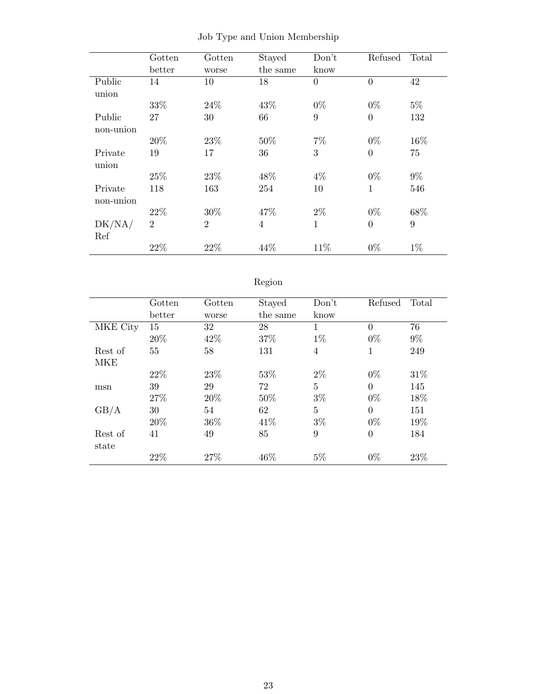|           | Gotten         | Gotten         | Stayed         | Don't          | Refused        | Total |
|-----------|----------------|----------------|----------------|----------------|----------------|-------|
|           | better         | worse          | the same       | know           |                |       |
| Public    | 14             | 10             | 18             | $\overline{0}$ | $\overline{0}$ | 42    |
| union     |                |                |                |                |                |       |
|           | 33%            | 24\%           | 43%            | $0\%$          | $0\%$          | $5\%$ |
| Public    | 27             | 30             | 66             | 9              | $\theta$       | 132   |
| non-union |                |                |                |                |                |       |
|           | 20%            | 23\%           | 50%            | $7\%$          | $0\%$          | 16%   |
| Private   | 19             | 17             | 36             | 3              | $\overline{0}$ | 75    |
| union     |                |                |                |                |                |       |
|           | 25%            | 23\%           | 48%            | $4\%$          | $0\%$          | $9\%$ |
| Private   | 118            | 163            | 254            | 10             | $\mathbf{1}$   | 546   |
| non-union |                |                |                |                |                |       |
|           | 22\%           | 30%            | 47%            | $2\%$          | $0\%$          | 68%   |
| DK/NA/    | $\overline{2}$ | $\overline{2}$ | $\overline{4}$ | $\mathbf{1}$   | $\overline{0}$ | 9     |
| Ref       |                |                |                |                |                |       |
|           | 22%            | 22%            | 44%            | 11%            | $0\%$          | $1\%$ |

|  |  |  |  |  | Job Type and Union Membership |
|--|--|--|--|--|-------------------------------|
|--|--|--|--|--|-------------------------------|

## Region

l,

|          | Gotten | Gotten | Stayed   | Don't          | Refused        | Total |
|----------|--------|--------|----------|----------------|----------------|-------|
|          | better | worse  | the same | know           |                |       |
| MKE City | 15     | 32     | 28       | 1              | $\Omega$       | 76    |
|          | 20%    | 42\%   | 37%      | $1\%$          | $0\%$          | $9\%$ |
| Rest of  | 55     | 58     | 131      | $\overline{4}$ | 1              | 249   |
| MKE      |        |        |          |                |                |       |
|          | 22\%   | 23\%   | 53%      | $2\%$          | $0\%$          | 31\%  |
| msn      | 39     | 29     | 72       | 5              | $\Omega$       | 145   |
|          | 27%    | 20%    | 50%      | $3\%$          | $0\%$          | 18%   |
| GB/A     | 30     | 54     | 62       | 5              | $\theta$       | 151   |
|          | 20%    | 36%    | 41\%     | $3\%$          | $0\%$          | 19%   |
| Rest of  | 41     | 49     | 85       | 9              | $\overline{0}$ | 184   |
| state    |        |        |          |                |                |       |
|          | 22%    | 27%    | 46%      | $5\%$          | $0\%$          | 23%   |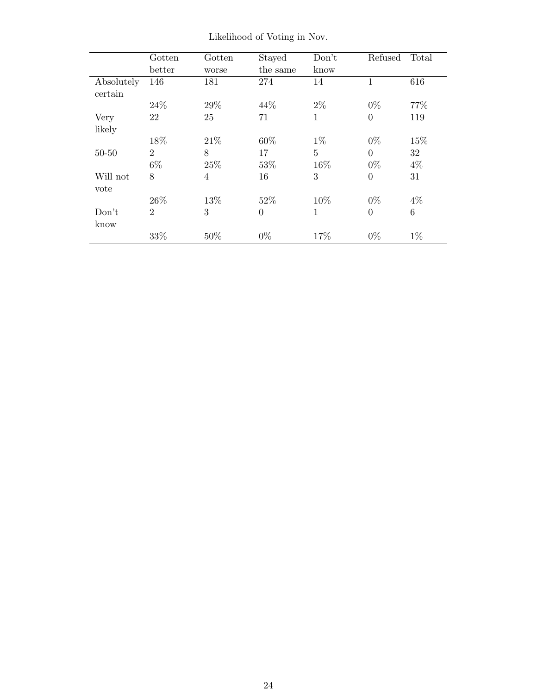|            | Gotten         | Gotten | Stayed   | Don't        | Refused          | Total |
|------------|----------------|--------|----------|--------------|------------------|-------|
|            | better         | worse  | the same | know         |                  |       |
| Absolutely | 146            | 181    | 274      | 14           | 1                | 616   |
| certain    |                |        |          |              |                  |       |
|            | 24\%           | 29%    | 44\%     | $2\%$        | $0\%$            | 77\%  |
| Very       | 22             | 25     | 71       | 1            | $\overline{0}$   | 119   |
| likely     |                |        |          |              |                  |       |
|            | 18%            | 21\%   | 60%      | $1\%$        | $0\%$            | 15%   |
| $50 - 50$  | $\overline{2}$ | 8      | 17       | 5            | $\theta$         | 32    |
|            | $6\%$          | 25%    | 53%      | 16%          | $0\%$            | $4\%$ |
| Will not   | 8              | 4      | 16       | 3            | $\boldsymbol{0}$ | 31    |
| vote       |                |        |          |              |                  |       |
|            | 26\%           | 13%    | 52%      | 10%          | $0\%$            | $4\%$ |
| Don't      | $\overline{2}$ | 3      | $\theta$ | $\mathbf{1}$ | $\overline{0}$   | 6     |
| know       |                |        |          |              |                  |       |
|            | 33%            | 50%    | $0\%$    | 17%          | $0\%$            | $1\%$ |

Likelihood of Voting in Nov.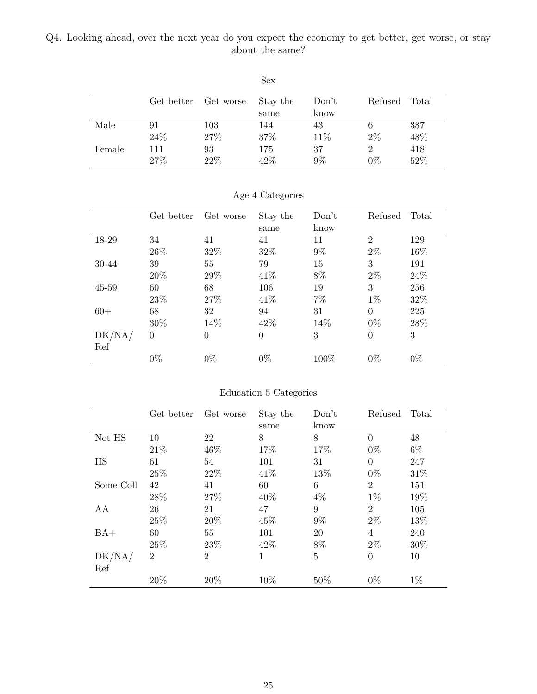#### <span id="page-24-0"></span>Q4. Looking ahead, over the next year do you expect the economy to get better, get worse, or stay about the same?

|        |            |           | ◡◡       |       |               |     |
|--------|------------|-----------|----------|-------|---------------|-----|
|        |            |           |          |       |               |     |
|        | Get better | Get worse | Stay the | Don't | Refused Total |     |
|        |            |           | same     | know  |               |     |
| Male   | 91         | 103       | 144      | 43    |               | 387 |
|        | 24\%       | 27%       | 37%      | 11%   | 2%            | 48% |
| Female | 111        | 93        | 175      | 37    |               | 418 |
|        | 27%        | 22%       | 42%      | 9%    | $0\%$         | 52% |

Sex

|        | Get better | Get worse      | Stay the       | Don't | Refused        | Total |
|--------|------------|----------------|----------------|-------|----------------|-------|
|        |            |                | same           | know  |                |       |
| 18-29  | 34         | 41             | 41             | 11    | $\overline{2}$ | 129   |
|        | 26\%       | 32%            | 32\%           | $9\%$ | $2\%$          | 16%   |
| 30-44  | 39         | 55             | 79             | 15    | 3              | 191   |
|        | 20%        | 29%            | 41\%           | 8%    | $2\%$          | 24\%  |
| 45-59  | 60         | 68             | 106            | 19    | 3              | 256   |
|        | 23%        | 27\%           | 41\%           | $7\%$ | $1\%$          | 32%   |
| $60+$  | 68         | 32             | 94             | 31    | $\Omega$       | 225   |
|        | 30%        | 14%            | 42\%           | 14%   | $0\%$          | 28\%  |
| DK/NA/ | $\theta$   | $\overline{0}$ | $\overline{0}$ | 3     | $\Omega$       | 3     |
| Ref    |            |                |                |       |                |       |
|        | $0\%$      | $0\%$          | $0\%$          | 100%  | $0\%$          | $0\%$ |

Age 4 Categories

|           | Get better     | Get worse      | Stay the | Don't          | Refused        | Total |
|-----------|----------------|----------------|----------|----------------|----------------|-------|
|           |                |                | same     | know           |                |       |
| Not HS    | 10             | 22             | 8        | 8              | $\theta$       | 48    |
|           | 21\%           | 46\%           | 17%      | 17%            | $0\%$          | 6\%   |
| <b>HS</b> | 61             | 54             | 101      | 31             | $\Omega$       | 247   |
|           | 25%            | 22%            | 41\%     | 13%            | $0\%$          | 31\%  |
| Some Coll | 42             | 41             | 60       | 6              | $\overline{2}$ | 151   |
|           | 28%            | 27%            | 40\%     | $4\%$          | $1\%$          | 19%   |
| AA        | 26             | 21             | 47       | 9              | $\overline{2}$ | 105   |
|           | 25%            | 20%            | 45%      | $9\%$          | $2\%$          | 13%   |
| $BA+$     | 60             | 55             | 101      | 20             | $\overline{4}$ | 240   |
|           | 25%            | 23\%           | 42\%     | 8%             | $2\%$          | 30%   |
| DK/NA/    | $\overline{2}$ | $\overline{2}$ | 1        | $\overline{5}$ | $\theta$       | 10    |
| Ref       |                |                |          |                |                |       |
|           | 20%            | 20%            | 10%      | 50%            | $0\%$          | $1\%$ |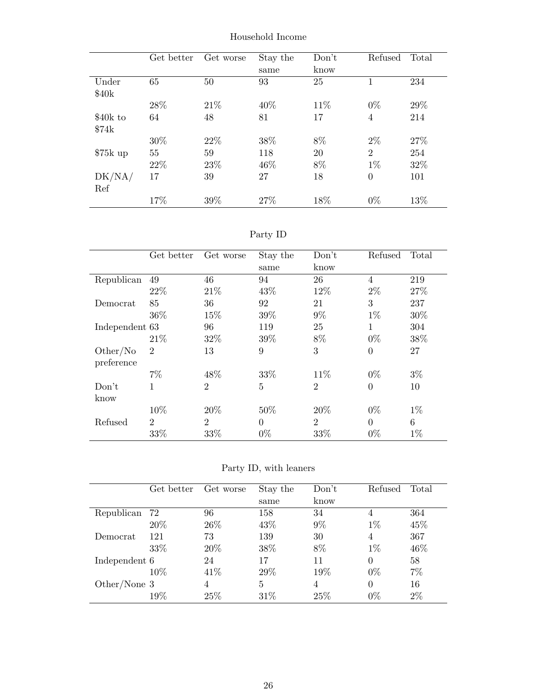|           | Get better | Get worse | Stay the | Don't | Refused        | Total |
|-----------|------------|-----------|----------|-------|----------------|-------|
|           |            |           | same     | know  |                |       |
| Under     | 65         | 50        | 93       | 25    | 1              | 234   |
| \$40k     |            |           |          |       |                |       |
|           | 28\%       | 21\%      | 40\%     | 11\%  | $0\%$          | 29%   |
| \$40k to  | 64         | 48        | 81       | 17    | $\overline{4}$ | 214   |
| \$74k     |            |           |          |       |                |       |
|           | 30%        | 22\%      | 38%      | 8%    | $2\%$          | 27%   |
| $$75k$ up | 55         | 59        | 118      | 20    | $\overline{2}$ | 254   |
|           | 22\%       | 23\%      | 46\%     | 8%    | $1\%$          | 32%   |
| DK/NA/    | 17         | 39        | 27       | 18    | $\overline{0}$ | 101   |
| Ref       |            |           |          |       |                |       |
|           | 17%        | 39%       | 27\%     | 18%   | $0\%$          | 13%   |

Household Income

| эrт |  |
|-----|--|
|-----|--|

|                | Get better     | Get worse      | Stay the       | Don't          | Refused        | Total |
|----------------|----------------|----------------|----------------|----------------|----------------|-------|
|                |                |                | same           | know           |                |       |
| Republican     | 49             | 46             | 94             | 26             | 4              | 219   |
|                | 22\%           | 21\%           | 43%            | 12%            | $2\%$          | 27\%  |
| Democrat       | 85             | 36             | 92             | 21             | 3              | 237   |
|                | 36\%           | 15%            | 39%            | $9\%$          | $1\%$          | 30%   |
| Independent 63 |                | 96             | 119            | 25             | 1              | 304   |
|                | 21%            | 32%            | 39%            | 8%             | $0\%$          | 38%   |
| Other/No       | $\overline{2}$ | 13             | 9              | 3              | $\overline{0}$ | 27    |
| preference     |                |                |                |                |                |       |
|                | $7\%$          | 48\%           | 33%            | 11\%           | $0\%$          | $3\%$ |
| Don't          | 1              | $\overline{2}$ | 5              | $\overline{2}$ | $\overline{0}$ | 10    |
| know           |                |                |                |                |                |       |
|                | 10%            | 20%            | $50\%$         | 20%            | $0\%$          | $1\%$ |
| Refused        | $\overline{2}$ | $\overline{2}$ | $\overline{0}$ | $\overline{2}$ | $\theta$       | 6     |
|                | 33%            | 33%            | $0\%$          | 33%            | $0\%$          | $1\%$ |

Party ID, with leaners

|               | Get better | Get worse | Stay the | Don't | Refused  | Total |
|---------------|------------|-----------|----------|-------|----------|-------|
|               |            |           | same     | know  |          |       |
| Republican    | 72         | 96        | 158      | 34    | 4        | 364   |
|               | 20%        | 26\%      | 43\%     | $9\%$ | $1\%$    | 45%   |
| Democrat      | 121        | 73        | 139      | 30    | 4        | 367   |
|               | 33%        | 20%       | 38\%     | 8%    | $1\%$    | 46\%  |
| Independent 6 |            | 24        | 17       | 11    | $\Omega$ | 58    |
|               | $10\%$     | 41\%      | 29%      | 19%   | $0\%$    | $7\%$ |
| Other/None 3  |            | 4         | 5        | 4     | $\Omega$ | 16    |
|               | 19%        | 25%       | 31\%     | 25%   | $0\%$    | $2\%$ |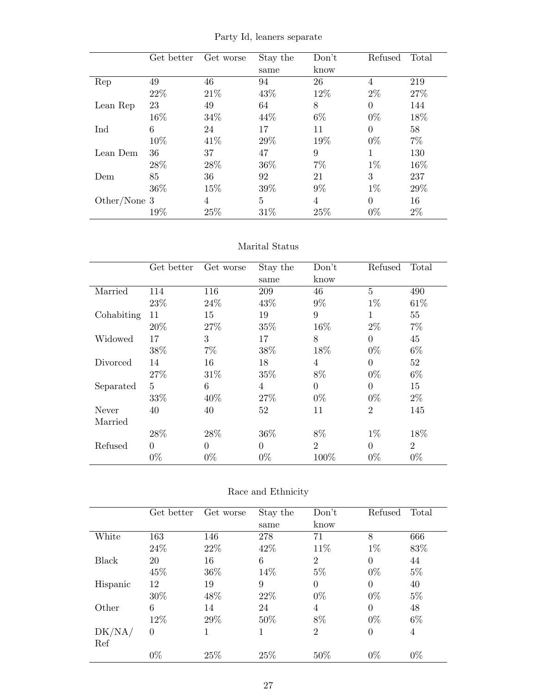Party Id, leaners separate

|              | Get better | Get worse | Stay the | Don't<br>know | Refused  | Total |
|--------------|------------|-----------|----------|---------------|----------|-------|
|              |            |           | same     |               |          |       |
| Rep          | 49         | 46        | 94       | 26            | 4        | 219   |
|              | 22\%       | 21\%      | 43%      | 12%           | $2\%$    | 27\%  |
| Lean Rep     | 23         | 49        | 64       | 8             | $\theta$ | 144   |
|              | 16%        | 34\%      | 44\%     | 6\%           | $0\%$    | 18%   |
| Ind          | 6          | 24        | 17       | 11            | $\Omega$ | 58    |
|              | 10%        | 41\%      | 29%      | 19%           | $0\%$    | $7\%$ |
| Lean Dem     | 36         | 37        | 47       | 9             | 1        | 130   |
|              | 28\%       | 28\%      | 36\%     | $7\%$         | $1\%$    | 16%   |
| Dem          | 85         | 36        | 92       | 21            | 3        | 237   |
|              | 36\%       | 15%       | 39%      | $9\%$         | $1\%$    | 29%   |
| Other/None 3 |            | 4         | 5        | 4             | $\theta$ | 16    |
|              | 19%        | 25%       | 31%      | 25%           | $0\%$    | $2\%$ |

#### Marital Status

|            | Get better     | Get worse | Stay the<br>same | Don't<br>know  | Refused        | Total          |
|------------|----------------|-----------|------------------|----------------|----------------|----------------|
| Married    | 114            | 116       | 209              | 46             | 5              | 490            |
|            | 23\%           | 24\%      | 43\%             | $9\%$          | $1\%$          | 61\%           |
| Cohabiting | 11             | 15        | 19               | 9              | 1              | 55             |
|            | 20%            | 27%       | 35%              | 16%            | $2\%$          | $7\%$          |
| Widowed    | 17             | 3         | 17               | 8              | $\overline{0}$ | 45             |
|            | 38%            | $7\%$     | 38%              | 18%            | $0\%$          | $6\%$          |
| Divorced   | 14             | 16        | 18               | $\overline{4}$ | $\overline{0}$ | 52             |
|            | 27%            | 31\%      | 35%              | $8\%$          | $0\%$          | $6\%$          |
| Separated  | $\overline{5}$ | 6         | $\overline{4}$   | $\overline{0}$ | $\overline{0}$ | 15             |
|            | 33%            | 40\%      | 27\%             | $0\%$          | $0\%$          | $2\%$          |
| Never      | 40             | 40        | 52               | 11             | $\overline{2}$ | 145            |
| Married    |                |           |                  |                |                |                |
|            | 28%            | 28%       | 36\%             | 8%             | $1\%$          | 18%            |
| Refused    | $\theta$       | $\Omega$  | $\overline{0}$   | 2              | $\Omega$       | $\overline{2}$ |
|            | $0\%$          | $0\%$     | $0\%$            | 100%           | $0\%$          | $0\%$          |

| Race and Ethnicity |  |  |
|--------------------|--|--|
|--------------------|--|--|

|          | Get better     | Get worse | Stay the | Don't          | Refused        | Total |
|----------|----------------|-----------|----------|----------------|----------------|-------|
|          |                |           | same     | know           |                |       |
| White    | 163            | 146       | 278      | 71             | 8              | 666   |
|          | 24\%           | 22%       | 42\%     | 11\%           | $1\%$          | 83%   |
| Black    | 20             | 16        | 6        | $\overline{2}$ | $\overline{0}$ | 44    |
|          | 45%            | 36%       | 14%      | $5\%$          | $0\%$          | $5\%$ |
| Hispanic | 12             | 19        | 9        | $\Omega$       | $\theta$       | 40    |
|          | 30%            | 48%       | 22%      | $0\%$          | $0\%$          | $5\%$ |
| Other    | 6              | 14        | 24       | 4              | $\theta$       | 48    |
|          | 12%            | 29%       | 50%      | 8%             | $0\%$          | $6\%$ |
| DK/NA/   | $\overline{0}$ | 1         | 1        | $\overline{2}$ | $\overline{0}$ | 4     |
| Ref      |                |           |          |                |                |       |
|          | $0\%$          | 25%       | 25%      | 50%            | $0\%$          | $0\%$ |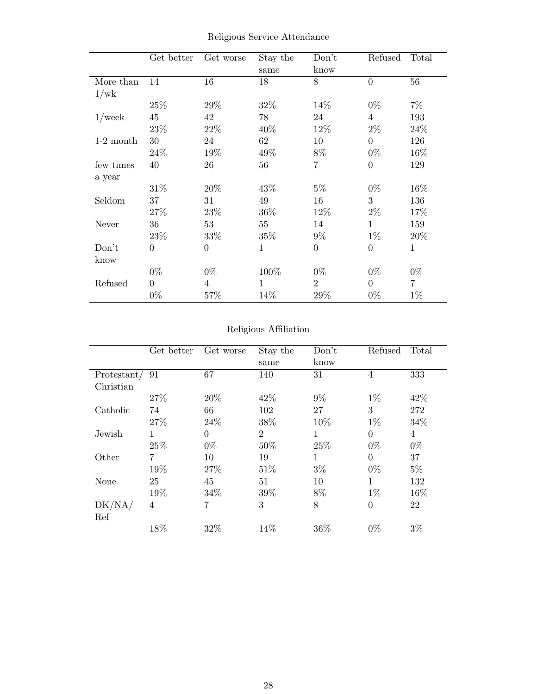|             | Get better     | Get worse      | Stay the | Don't          | Refused        | Total          |
|-------------|----------------|----------------|----------|----------------|----------------|----------------|
|             |                |                | same     | know           |                |                |
| More than   | 14             | 16             | 18       | 8              | $\overline{0}$ | 56             |
| 1/wk        |                |                |          |                |                |                |
|             | 25%            | 29\%           | 32%      | 14\%           | $0\%$          | $7\%$          |
| $1$ /week   | 45             | 42             | 78       | 24             | $\overline{4}$ | 193            |
|             | 23%            | $22\%$         | 40%      | 12%            | $2\%$          | 24\%           |
| $1-2$ month | 30             | 24             | 62       | 10             | $\overline{0}$ | 126            |
|             | 24\%           | 19%            | 49%      | 8%             | $0\%$          | 16\%           |
| few times   | 40             | 26             | 56       | 7              | $\theta$       | 129            |
| a year      |                |                |          |                |                |                |
|             | 31\%           | 20\%           | 43\%     | $5\%$          | $0\%$          | 16\%           |
| Seldom      | 37             | 31             | 49       | 16             | 3              | 136            |
|             | 27%            | 23%            | 36%      | 12%            | $2\%$          | 17%            |
| Never       | 36             | 53             | 55       | 14             | 1              | 159            |
|             | 23\%           | 33%            | 35%      | $9\%$          | $1\%$          | 20%            |
| Don't       | $\overline{0}$ | $\overline{0}$ | 1        | $\theta$       | $\theta$       | $\mathbf{1}$   |
| know        |                |                |          |                |                |                |
|             | $0\%$          | $0\%$          | 100%     | $0\%$          | $0\%$          | $0\%$          |
| Refused     | $\Omega$       | 4              | 1        | $\overline{2}$ | $\overline{0}$ | $\overline{7}$ |
|             | $0\%$          | 57%            | 14%      | 29%            | $0\%$          | $1\%$          |

Religious Service Attendance

#### Religious Affiliation

|             | Get better     | Get worse      | Stay the<br>same | Don't<br>know | Refused        | Total |
|-------------|----------------|----------------|------------------|---------------|----------------|-------|
| Protestant/ | 91             | 67             | 140              | 31            | $\overline{4}$ | 333   |
| Christian   |                |                |                  |               |                |       |
|             | 27\%           | 20%            | 42\%             | $9\%$         | $1\%$          | 42\%  |
| Catholic    | 74             | 66             | 102              | 27            | 3              | 272   |
|             | 27%            | 24\%           | 38%              | 10%           | $1\%$          | 34%   |
| Jewish      | 1              | $\overline{0}$ | $\overline{2}$   | $\mathbf 1$   | $\theta$       | 4     |
|             | 25%            | $0\%$          | 50%              | 25%           | $0\%$          | $0\%$ |
| Other       | $\overline{7}$ | 10             | 19               | $\mathbf{1}$  | $\overline{0}$ | 37    |
|             | 19%            | 27%            | 51\%             | $3\%$         | $0\%$          | $5\%$ |
| None        | 25             | 45             | 51               | 10            | $\mathbf{1}$   | 132   |
|             | 19%            | 34\%           | 39%              | 8%            | $1\%$          | 16%   |
| DK/NA/      | 4              | $\overline{7}$ | 3                | 8             | $\overline{0}$ | 22    |
| Ref         |                |                |                  |               |                |       |
|             | 18%            | 32%            | 14\%             | 36%           | $0\%$          | $3\%$ |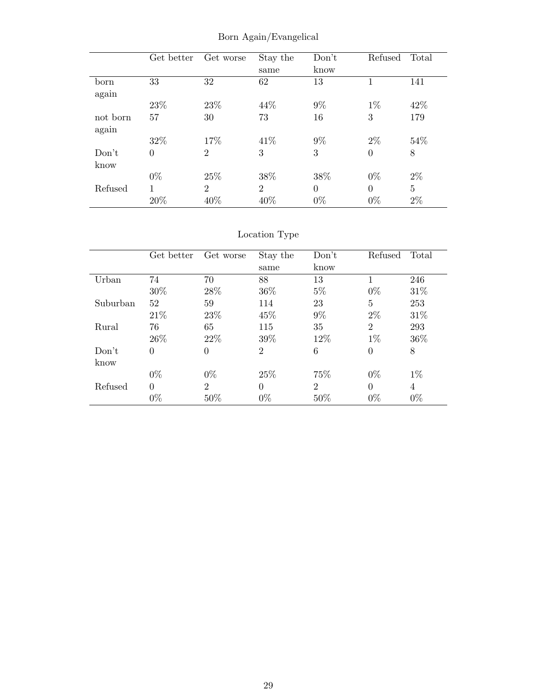|          | Get better | Get worse      | Stay the       | Don't    | Refused        | Total |
|----------|------------|----------------|----------------|----------|----------------|-------|
|          |            |                | same           | know     |                |       |
| born     | 33         | 32             | 62             | 13       | 1              | 141   |
| again    |            |                |                |          |                |       |
|          | 23%        | 23\%           | 44\%           | $9\%$    | $1\%$          | 42%   |
| not born | 57         | 30             | 73             | 16       | 3              | 179   |
| again    |            |                |                |          |                |       |
|          | 32%        | 17%            | 41\%           | $9\%$    | $2\%$          | 54%   |
| Don't    | $\theta$   | $\overline{2}$ | 3              | 3        | $\overline{0}$ | 8     |
| know     |            |                |                |          |                |       |
|          | $0\%$      | 25%            | 38%            | 38%      | $0\%$          | $2\%$ |
| Refused  |            | $\overline{2}$ | $\overline{2}$ | $\theta$ | $\theta$       | 5     |
|          | 20%        | 40%            | 40%            | $0\%$    | $0\%$          | $2\%$ |

Born Again/Evangelical

### Location Type

|          | Get better     | Get worse      | Stay the       | Don't          | Refused        | Total          |
|----------|----------------|----------------|----------------|----------------|----------------|----------------|
|          |                |                | same           | know           |                |                |
| Urban    | 74             | 70             | 88             | 13             |                | 246            |
|          | 30%            | 28\%           | 36\%           | $5\%$          | $0\%$          | 31\%           |
| Suburban | 52             | 59             | 114            | 23             | 5              | 253            |
|          | 21\%           | 23\%           | 45\%           | $9\%$          | $2\%$          | 31\%           |
| Rural    | 76             | 65             | 115            | 35             | $\overline{2}$ | 293            |
|          | 26\%           | 22\%           | 39%            | 12%            | $1\%$          | 36\%           |
| Don't    | $\overline{0}$ | $\theta$       | $\overline{2}$ | 6              | $\overline{0}$ | 8              |
| know     |                |                |                |                |                |                |
|          | $0\%$          | $0\%$          | 25\%           | 75%            | $0\%$          | $1\%$          |
| Refused  | $\Omega$       | $\overline{2}$ | $\Omega$       | $\overline{2}$ | $\Omega$       | $\overline{4}$ |
|          | $0\%$          | 50%            | $0\%$          | $50\%$         | $0\%$          | $0\%$          |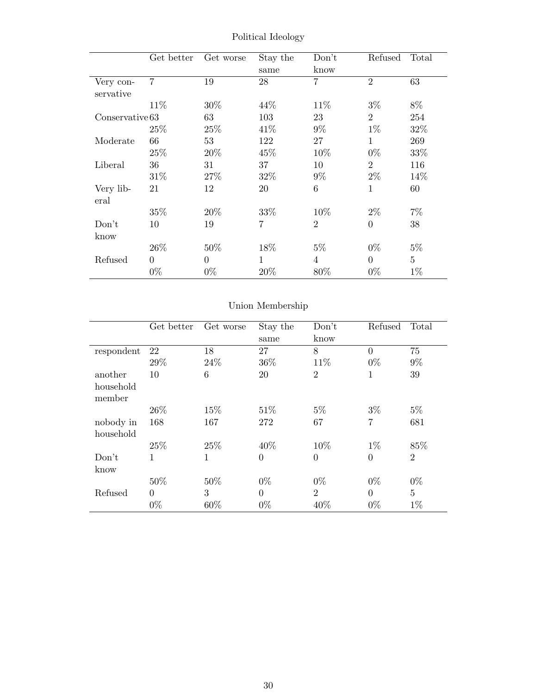|                        | Get better     | Get worse | Stay the<br>same | Don't<br>know  | Refused        | Total          |
|------------------------|----------------|-----------|------------------|----------------|----------------|----------------|
| Very con-<br>servative | $\overline{7}$ | 19        | 28               | $\overline{7}$ | $\overline{2}$ | 63             |
|                        | 11\%           | 30%       | 44\%             | 11\%           | $3\%$          | 8%             |
| Conserveative 63       |                | 63        | 103              | 23             | $\overline{2}$ | 254            |
|                        | 25\%           | 25%       | 41\%             | $9\%$          | $1\%$          | 32%            |
| Moderate               | 66             | 53        | 122              | 27             | $\mathbf{1}$   | 269            |
|                        | 25\%           | 20%       | 45%              | 10%            | $0\%$          | 33%            |
| Liberal                | 36             | 31        | 37               | 10             | $\overline{2}$ | 116            |
|                        | $31\%$         | 27\%      | 32%              | $9\%$          | $2\%$          | 14\%           |
| Very lib-<br>eral      | 21             | 12        | 20               | 6              | $\mathbf{1}$   | 60             |
|                        | 35%            | 20\%      | 33\%             | 10%            | $2\%$          | $7\%$          |
| Don't                  | 10             | 19        | $\overline{7}$   | $\overline{2}$ | $\theta$       | 38             |
| know                   |                |           |                  |                |                |                |
|                        | 26\%           | 50%       | 18%              | $5\%$          | $0\%$          | $5\%$          |
| Refused                | $\Omega$       | $\Omega$  | $\mathbf{1}$     | $\overline{4}$ | $\Omega$       | $\overline{5}$ |
|                        | $0\%$          | $0\%$     | 20\%             | 80\%           | $0\%$          | $1\%$          |

Political Ideology

### Union Membership

|                     | Get better     | Get worse | Stay the<br>same | Don't<br>know  | Refused  | Total          |
|---------------------|----------------|-----------|------------------|----------------|----------|----------------|
| respondent          | 22             | 18        | 27               | 8              | $\theta$ | 75             |
|                     | 29%            | 24\%      | 36%              | 11\%           | $0\%$    | $9\%$          |
| another             | 10             | 6         | 20               | $\overline{2}$ | 1        | 39             |
| household<br>member |                |           |                  |                |          |                |
|                     | 26\%           | 15%       | 51\%             | $5\%$          | $3\%$    | $5\%$          |
| nobody in           | 168            | 167       | 272              | 67             | 7        | 681            |
| household           |                |           |                  |                |          |                |
|                     | 25\%           | 25\%      | 40\%             | 10%            | $1\%$    | 85%            |
| Don't               | 1              | 1         | $\Omega$         | $\overline{0}$ | $\theta$ | $\overline{2}$ |
| know                |                |           |                  |                |          |                |
|                     | 50%            | 50%       | $0\%$            | $0\%$          | $0\%$    | $0\%$          |
| Refused             | $\overline{0}$ | 3         | $\Omega$         | $\overline{2}$ | $\theta$ | $\overline{5}$ |
|                     | $0\%$          | 60%       | $0\%$            | 40%            | $0\%$    | $1\%$          |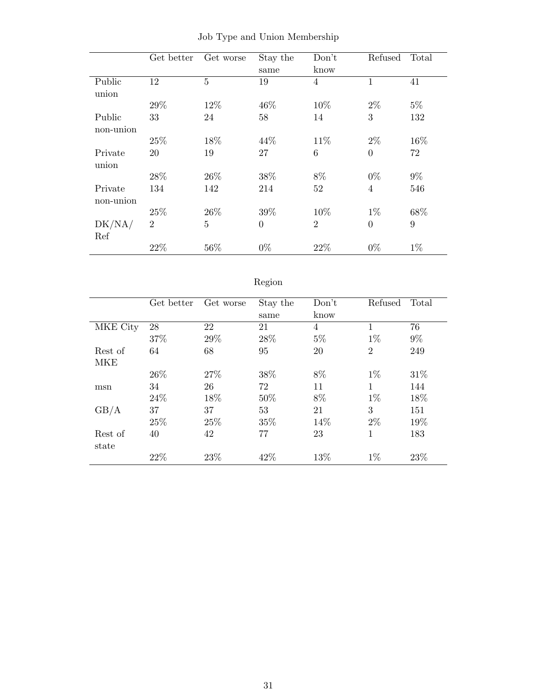|                      | Get better     | Get worse      | Stay the<br>same | Don't<br>know  | Refused        | Total |
|----------------------|----------------|----------------|------------------|----------------|----------------|-------|
| Public<br>union      | 12             | $\bf 5$        | 19               | 4              | $\mathbf 1$    | 41    |
|                      | 29%            | 12%            | 46%              | 10%            | $2\%$          | $5\%$ |
| Public<br>non-union  | 33             | 24             | 58               | 14             | 3              | 132   |
|                      | 25%            | 18%            | 44\%             | 11\%           | $2\%$          | 16%   |
| Private<br>union     | 20             | 19             | 27               | 6              | $\theta$       | 72    |
|                      | $28\%$         | 26\%           | $38\%$           | $8\%$          | $0\%$          | $9\%$ |
| Private<br>non-union | 134            | 142            | 214              | 52             | $\overline{4}$ | 546   |
|                      | 25%            | 26\%           | 39%              | 10%            | $1\%$          | 68\%  |
| DK/NA/<br>Ref        | $\overline{2}$ | $\overline{5}$ | $\overline{0}$   | $\overline{2}$ | $\overline{0}$ | 9     |
|                      | 22%            | 56%            | $0\%$            | 22%            | $0\%$          | $1\%$ |

|  |  |  |  |  | Job Type and Union Membership |
|--|--|--|--|--|-------------------------------|
|--|--|--|--|--|-------------------------------|

| 07<br>e<br>ι τ |  |
|----------------|--|
|                |  |

|            | Get better | Get worse | Stay the | Don't          | Refused        | Total |
|------------|------------|-----------|----------|----------------|----------------|-------|
|            |            |           | same     | know           |                |       |
| MKE City   | 28         | 22        | 21       | $\overline{4}$ |                | 76    |
|            | 37%        | 29%       | 28\%     | $5\%$          | $1\%$          | $9\%$ |
| Rest of    | 64         | 68        | 95       | 20             | $\overline{2}$ | 249   |
| <b>MKE</b> |            |           |          |                |                |       |
|            | 26\%       | 27\%      | 38%      | 8%             | $1\%$          | 31\%  |
| msn        | 34         | 26        | 72       | 11             | 1              | 144   |
|            | 24\%       | 18%       | 50%      | 8%             | $1\%$          | 18%   |
| GB/A       | 37         | 37        | 53       | 21             | 3              | 151   |
|            | 25%        | 25%       | 35%      | 14%            | $2\%$          | 19%   |
| Rest of    | 40         | 42        | 77       | 23             | $\mathbf{1}$   | 183   |
| state      |            |           |          |                |                |       |
|            | 22%        | 23\%      | 42\%     | 13%            | $1\%$          | 23%   |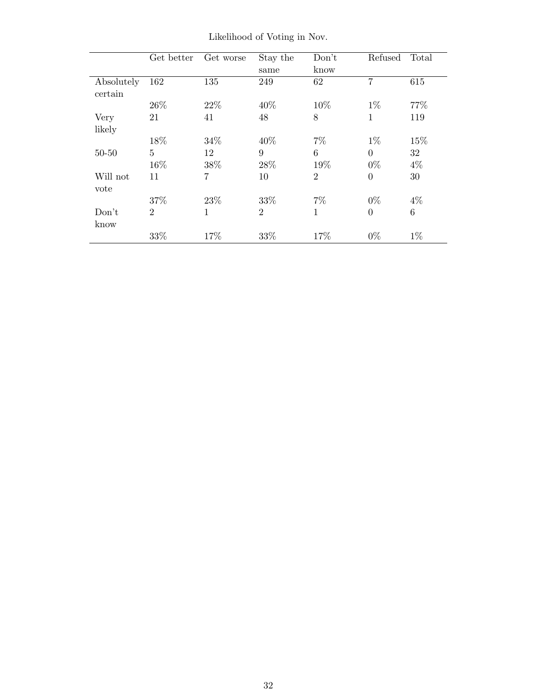|                       | Get better     | Get worse  | Stay the<br>same       | Don't<br>know          | Refused                 | Total       |
|-----------------------|----------------|------------|------------------------|------------------------|-------------------------|-------------|
| Absolutely<br>certain | 162            | 135        | 249                    | 62                     | 7                       | 615         |
|                       | 26\%           | 22\%       | 40%                    | 10%                    | $1\%$                   | 77%         |
| Very<br>likely        | 21             | 41         | 48                     | 8                      | 1                       | 119         |
|                       | 18%            | 34%        | 40%                    | $7\%$                  | $1\%$                   | 15%         |
| $50 - 50$             | 5<br>16%       | 12<br>38\% | $9\phantom{.}$<br>28\% | $6\phantom{.}6$<br>19% | $\overline{0}$<br>$0\%$ | 32<br>$4\%$ |
| Will not<br>vote      | 11             | 7          | 10                     | $\overline{2}$         | $\overline{0}$          | 30          |
|                       | 37%            | 23\%       | 33%                    | $7\%$                  | $0\%$                   | $4\%$       |
| Don't<br>know         | $\overline{2}$ | 1          | $\overline{2}$         | $\mathbf{1}$           | $\overline{0}$          | $\,6\,$     |
|                       | $33\%$         | 17%        | $33\%$                 | 17%                    | $0\%$                   | $1\%$       |

Likelihood of Voting in Nov.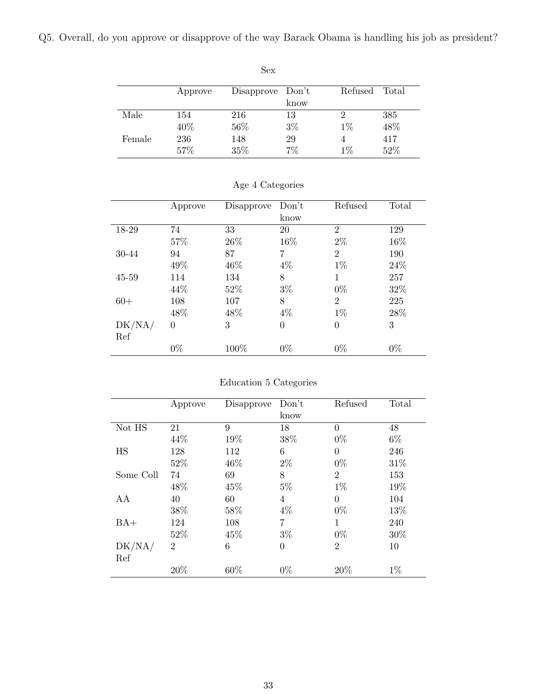<span id="page-32-0"></span>Q5. Overall, do you approve or disapprove of the way Barack Obama is handling his job as president?

| Sex    |         |                  |       |         |       |  |  |  |
|--------|---------|------------------|-------|---------|-------|--|--|--|
|        | Approve | Disapprove Don't |       | Refused | Total |  |  |  |
|        |         |                  | know  |         |       |  |  |  |
| Male   | 154     | 216              | 13    | 2       | 385   |  |  |  |
|        | 40%     | 56%              | $3\%$ | $1\%$   | 48%   |  |  |  |
| Female | 236     | 148              | 29    | 4       | 417   |  |  |  |
|        | 57%     | 35%              | 7%    | $1\%$   | 52%   |  |  |  |

|        | Approve  | Disapprove | Don't          | Refused        | Total |
|--------|----------|------------|----------------|----------------|-------|
|        |          |            | know           |                |       |
| 18-29  | 74       | 33         | 20             | 2              | 129   |
|        | 57%      | 26\%       | 16%            | $2\%$          | 16%   |
| 30-44  | 94       | 87         | $\overline{7}$ | $\overline{2}$ | 190   |
|        | 49%      | 46%        | $4\%$          | $1\%$          | 24\%  |
| 45-59  | 114      | 134        | 8              | 1              | 257   |
|        | 44\%     | 52\%       | $3\%$          | $0\%$          | 32%   |
| $60+$  | 108      | 107        | 8              | $\overline{2}$ | 225   |
|        | 48%      | 48%        | 4%             | $1\%$          | 28\%  |
| DK/NA/ | $\theta$ | 3          | $\overline{0}$ | $\theta$       | 3     |
| Ref    |          |            |                |                |       |
|        | $0\%$    | 100%       | $0\%$          | $0\%$          | $0\%$ |

### Age 4 Categories

|           | Approve        | Disapprove | Don't    | Refused        | Total |
|-----------|----------------|------------|----------|----------------|-------|
|           |                |            | know     |                |       |
| Not HS    | 21             | 9          | 18       | $\theta$       | 48    |
|           | 44%            | 19%        | 38%      | $0\%$          | $6\%$ |
| HS        | 128            | 112        | 6        | $\theta$       | 246   |
|           | 52%            | 46\%       | $2\%$    | $0\%$          | 31%   |
| Some Coll | 74             | 69         | 8        | $\overline{2}$ | 153   |
|           | 48%            | 45\%       | $5\%$    | $1\%$          | 19%   |
| AA        | 40             | 60         | 4        | $\Omega$       | 104   |
|           | 38%            | 58%        | $4\%$    | $0\%$          | 13\%  |
| $BA+$     | 124            | 108        | 7        | 1              | 240   |
|           | 52%            | 45%        | $3\%$    | $0\%$          | 30%   |
| DK/NA/    | $\overline{2}$ | 6          | $\theta$ | $\overline{2}$ | 10    |
| Ref       |                |            |          |                |       |
|           | 20%            | 60\%       | $0\%$    | 20%            | $1\%$ |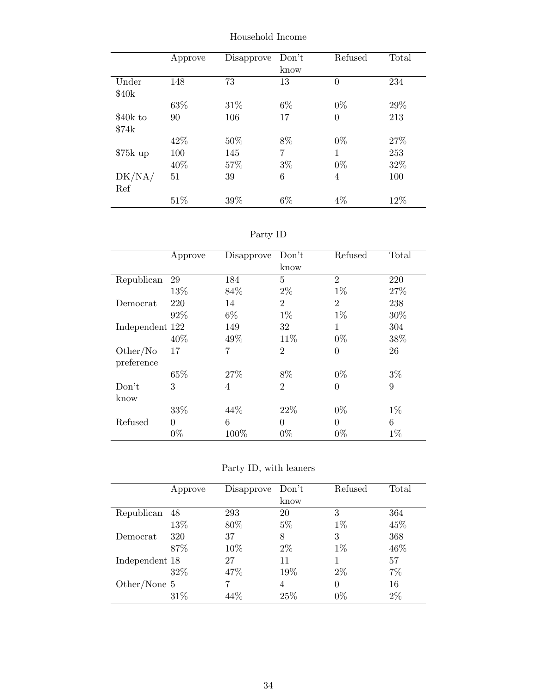|           | Approve | Disapprove | Don't | Refused        | Total |
|-----------|---------|------------|-------|----------------|-------|
|           |         |            | know  |                |       |
| Under     | 148     | 73         | 13    | $\theta$       | 234   |
| \$40k     |         |            |       |                |       |
|           | 63%     | 31\%       | $6\%$ | $0\%$          | 29\%  |
| \$40k to  | 90      | 106        | 17    | $\overline{0}$ | 213   |
| \$74k     |         |            |       |                |       |
|           | 42%     | 50%        | 8%    | $0\%$          | 27%   |
| $$75k$ up | 100     | 145        | 7     | 1              | 253   |
|           | 40%     | 57%        | $3\%$ | $0\%$          | 32%   |
| DK/NA/    | 51      | 39         | 6     | 4              | 100   |
| Ref       |         |            |       |                |       |
|           | 51%     | 39%        | 6%    | 4%             | 12%   |

Household Income

| эrт<br>v |  |
|----------|--|
|          |  |

|                 | Approve  | Disapprove | Don't          | Refused        | Total |
|-----------------|----------|------------|----------------|----------------|-------|
|                 |          |            | know           |                |       |
| Republican      | 29       | 184        | 5              | $\overline{2}$ | 220   |
|                 | 13%      | 84\%       | $2\%$          | $1\%$          | 27\%  |
| Democrat        | 220      | 14         | $\overline{2}$ | $\overline{2}$ | 238   |
|                 | 92%      | $6\%$      | $1\%$          | $1\%$          | 30%   |
| Independent 122 |          | 149        | 32             | 1              | 304   |
|                 | 40%      | 49%        | 11\%           | $0\%$          | 38%   |
| Other/No        | 17       | 7          | $\overline{2}$ | $\theta$       | 26    |
| preference      |          |            |                |                |       |
|                 | 65%      | 27\%       | 8%             | $0\%$          | $3\%$ |
| Don't           | 3        | 4          | $\overline{2}$ | $\theta$       | 9     |
| know            |          |            |                |                |       |
|                 | 33%      | 44\%       | 22%            | $0\%$          | $1\%$ |
| Refused         | $\theta$ | 6          | $\theta$       | $\theta$       | 6     |
|                 | $0\%$    | 100%       | $0\%$          | $0\%$          | $1\%$ |

Party ID, with leaners

|                | Approve | Disapprove | Don't | Refused | Total |
|----------------|---------|------------|-------|---------|-------|
|                |         |            | know  |         |       |
| Republican     | 48      | 293        | 20    | 3       | 364   |
|                | 13%     | 80\%       | $5\%$ | $1\%$   | 45%   |
| Democrat       | 320     | 37         | 8     | 3       | 368   |
|                | 87%     | 10%        | $2\%$ | $1\%$   | 46%   |
| Independent 18 |         | 27         | 11    |         | 57    |
|                | 32%     | 47%        | 19%   | $2\%$   | 7%    |
| Other/None 5   |         |            | 4     | 0       | 16    |
|                | 31\%    | 44%        | 25%   | $0\%$   | 2%    |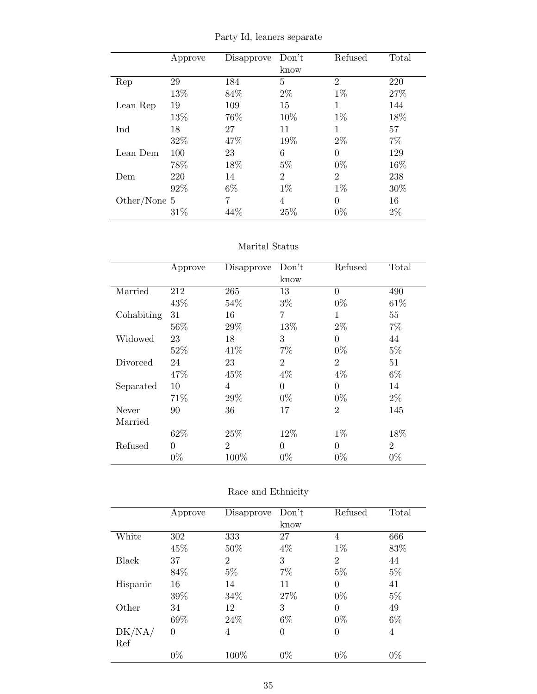Party Id, leaners separate

|              | Approve | Disapprove | Don't          | Refused        | Total |
|--------------|---------|------------|----------------|----------------|-------|
|              |         |            | know           |                |       |
| Rep          | 29      | 184        | 5              | $\overline{2}$ | 220   |
|              | 13%     | 84%        | $2\%$          | $1\%$          | 27%   |
| Lean Rep     | 19      | 109        | 15             | 1              | 144   |
|              | 13%     | 76%        | 10%            | $1\%$          | 18%   |
| Ind          | 18      | 27         | 11             | 1              | 57    |
|              | 32%     | 47\%       | 19%            | $2\%$          | 7%    |
| Lean Dem     | 100     | 23         | 6              | $\theta$       | 129   |
|              | 78%     | 18%        | $5\%$          | $0\%$          | 16%   |
| Dem          | 220     | 14         | $\overline{2}$ | $\overline{2}$ | 238   |
|              | 92%     | 6\%        | $1\%$          | $1\%$          | 30%   |
| Other/None 5 |         | 7          | 4              | $\Omega$       | 16    |
|              | 31\%    | 44\%       | 25%            | $0\%$          | $2\%$ |

#### Marital Status

|            | Approve  | Disapprove     | Don't          | Refused        | Total          |
|------------|----------|----------------|----------------|----------------|----------------|
|            |          |                | know           |                |                |
| Married    | 212      | 265            | 13             | $\theta$       | 490            |
|            | 43%      | 54%            | $3\%$          | $0\%$          | 61\%           |
| Cohabiting | 31       | 16             | 7              | 1              | 55             |
|            | 56%      | 29%            | 13%            | $2\%$          | $7\%$          |
| Widowed    | 23       | 18             | 3              | $\theta$       | 44             |
|            | 52%      | 41\%           | 7%             | $0\%$          | $5\%$          |
| Divorced   | 24       | 23             | $\overline{2}$ | $\overline{2}$ | 51             |
|            | 47\%     | 45%            | $4\%$          | $4\%$          | $6\%$          |
| Separated  | 10       | 4              | $\theta$       | $\theta$       | 14             |
|            | 71%      | 29\%           | $0\%$          | $0\%$          | $2\%$          |
| Never      | 90       | 36             | 17             | $\overline{2}$ | 145            |
| Married    |          |                |                |                |                |
|            | 62%      | 25\%           | 12%            | $1\%$          | 18%            |
| Refused    | $\theta$ | $\overline{2}$ | $\theta$       | $\theta$       | $\overline{2}$ |
|            | $0\%$    | 100%           | $0\%$          | $0\%$          | $0\%$          |

| Race and Ethnicity |
|--------------------|
|                    |

|              | Approve  | Disapprove     | Don't          | Refused        | Total |
|--------------|----------|----------------|----------------|----------------|-------|
|              |          |                | know           |                |       |
| White        | 302      | 333            | 27             | 4              | 666   |
|              | 45\%     | 50%            | $4\%$          | $1\%$          | 83%   |
| Black        | 37       | $\overline{2}$ | 3              | $\overline{2}$ | 44    |
|              | 84\%     | $5\%$          | 7%             | $5\%$          | $5\%$ |
| Hispanic     | 16       | 14             | 11             | $\Omega$       | 41    |
|              | 39%      | 34\%           | 27\%           | $0\%$          | $5\%$ |
| Other        | 34       | 12             | 3              | $\theta$       | 49    |
|              | 69%      | 24\%           | $6\%$          | $0\%$          | $6\%$ |
| $\rm DK/NA/$ | $\theta$ | 4              | $\overline{0}$ | $\theta$       | 4     |
| Ref          |          |                |                |                |       |
|              | $0\%$    | 100%           | $0\%$          | $0\%$          | $0\%$ |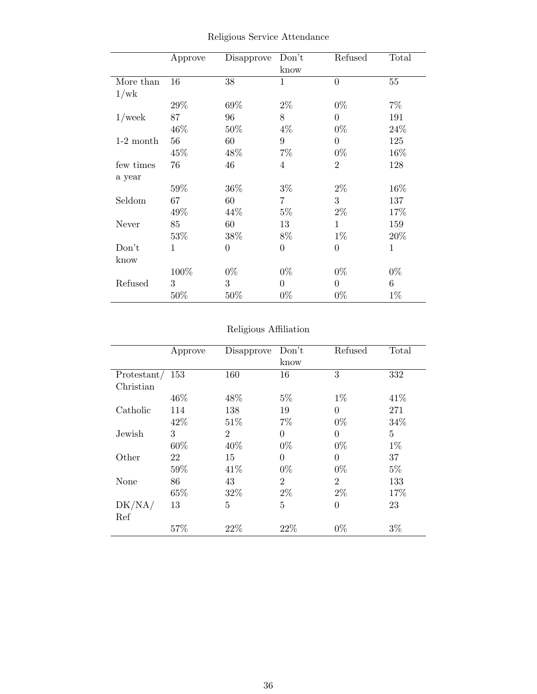|             | Approve | Disapprove     | Don't<br>know    | Refused        | Total  |
|-------------|---------|----------------|------------------|----------------|--------|
| More than   | 16      | 38             | 1                | $\theta$       | $55\,$ |
| 1/wk        |         |                |                  |                |        |
|             | $29\%$  | 69%            | $2\%$            | $0\%$          | $7\%$  |
| $1$ /week   | 87      | 96             | 8                | $\overline{0}$ | 191    |
|             | 46\%    | 50%            | $4\%$            | $0\%$          | 24%    |
| $1-2$ month | 56      | 60             | $\boldsymbol{9}$ | $\overline{0}$ | 125    |
|             | 45\%    | 48\%           | $7\%$            | $0\%$          | 16\%   |
| few times   | 76      | 46             | 4                | $\overline{2}$ | 128    |
| a year      |         |                |                  |                |        |
|             | 59%     | 36%            | $3\%$            | $2\%$          | 16%    |
| Seldom      | 67      | 60             | $\overline{7}$   | 3              | 137    |
|             | 49\%    | 44\%           | $5\%$            | $2\%$          | 17%    |
| Never       | 85      | 60             | 13               | 1              | 159    |
|             | 53\%    | 38%            | 8%               | $1\%$          | 20\%   |
| Don't       | 1       | $\overline{0}$ | $\boldsymbol{0}$ | $\overline{0}$ | 1      |
| know        |         |                |                  |                |        |
|             | 100%    | $0\%$          | $0\%$            | $0\%$          | $0\%$  |
| Refused     | 3       | 3              | $\overline{0}$   | $\overline{0}$ | 6      |
|             | 50%     | $50\%$         | $0\%$            | $0\%$          | $1\%$  |

Religious Service Attendance

### Religious Affiliation

|                   | Approve | Disapprove     | Don't          | Refused        | Total          |
|-------------------|---------|----------------|----------------|----------------|----------------|
|                   |         |                | know           |                |                |
| Protestant/ $153$ |         | 160            | 16             | 3              | 332            |
| Christian         |         |                |                |                |                |
|                   | 46\%    | 48\%           | $5\%$          | $1\%$          | 41\%           |
| Catholic          | 114     | 138            | 19             | $\theta$       | 271            |
|                   | 42\%    | 51\%           | 7%             | $0\%$          | 34%            |
| Jewish            | 3       | $\overline{2}$ | $\overline{0}$ | $\Omega$       | $\overline{5}$ |
|                   | 60%     | 40%            | $0\%$          | $0\%$          | $1\%$          |
| Other             | 22      | 15             | $\theta$       | $\theta$       | 37             |
|                   | 59%     | 41\%           | $0\%$          | $0\%$          | $5\%$          |
| None              | 86      | 43             | $\overline{2}$ | $\overline{2}$ | 133            |
|                   | 65%     | 32%            | $2\%$          | $2\%$          | 17%            |
| DK/NA/            | 13      | 5              | 5              | $\overline{0}$ | 23             |
| Ref               |         |                |                |                |                |
|                   | 57%     | 22%            | 22%            | $0\%$          | $3\%$          |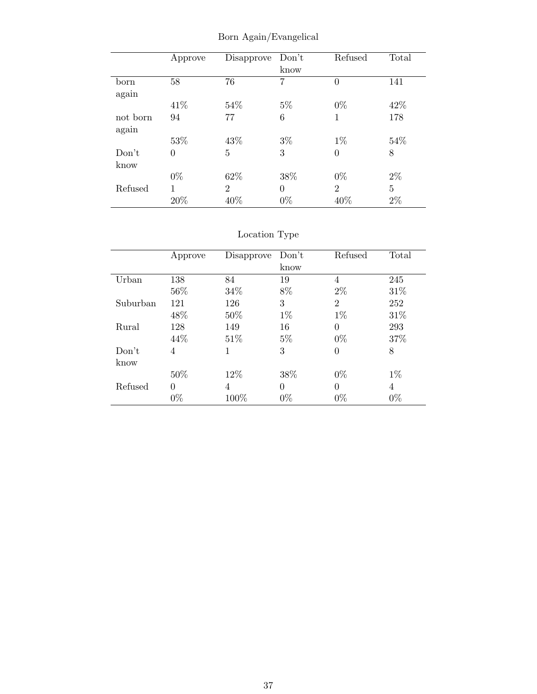|                   | Approve  | Disapprove     | Don't<br>know | Refused        | Total          |
|-------------------|----------|----------------|---------------|----------------|----------------|
| born<br>again     | 58       | 76             | 7             | $\overline{0}$ | 141            |
|                   | 41\%     | 54%            | $5\%$         | $0\%$          | 42\%           |
| not born<br>again | 94       | 77             | 6             | 1              | 178            |
|                   | 53%      | 43%            | $3\%$         | $1\%$          | 54%            |
| Don't<br>know     | $\theta$ | 5              | 3             | $\overline{0}$ | 8              |
|                   | $0\%$    | 62\%           | 38\%          | $0\%$          | $2\%$          |
| Refused           | 1        | $\overline{2}$ | $\theta$      | $\overline{2}$ | $\overline{5}$ |
|                   | 20%      | 40%            | $0\%$         | 40%            | $2\%$          |

Born Again/Evangelical

|          |          |            |          | Refused        |       |
|----------|----------|------------|----------|----------------|-------|
|          | Approve  | Disapprove | Don't    |                | Total |
|          |          |            | know     |                |       |
| Urban    | 138      | 84         | 19       | 4              | 245   |
|          | 56%      | $34\%$     | 8%       | $2\%$          | 31\%  |
| Suburban | 121      | 126        | 3        | $\overline{2}$ | 252   |
|          | 48%      | $50\%$     | $1\%$    | $1\%$          | 31%   |
| Rural    | 128      | 149        | 16       | $\Omega$       | 293   |
|          | 44\%     | 51\%       | $5\%$    | $0\%$          | 37%   |
| Don't    | 4        | 1          | 3        | 0              | 8     |
| know     |          |            |          |                |       |
|          | 50%      | 12\%       | 38%      | $0\%$          | $1\%$ |
| Refused  | $\Omega$ | 4          | $\theta$ | 0              | 4     |
|          | $0\%$    | 100%       | $0\%$    | $0\%$          | $0\%$ |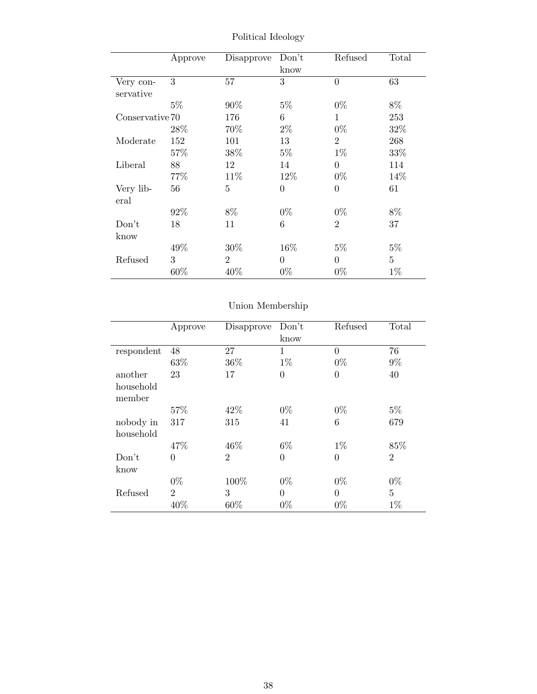|                 | Approve | Disapprove     | Don't          | Refused        | Total          |
|-----------------|---------|----------------|----------------|----------------|----------------|
|                 |         |                | know           |                |                |
| Very con-       | 3       | 57             | 3              | $\overline{0}$ | 63             |
| servative       |         |                |                |                |                |
|                 | $5\%$   | 90%            | $5\%$          | $0\%$          | 8%             |
| Conservative 70 |         | 176            | 6              | 1              | 253            |
|                 | $28\%$  | 70%            | $2\%$          | $0\%$          | 32%            |
| Moderate        | 152     | 101            | 13             | $\overline{2}$ | 268            |
|                 | 57%     | 38%            | $5\%$          | $1\%$          | 33%            |
| Liberal         | 88      | 12             | 14             | $\theta$       | 114            |
|                 | 77\%    | 11\%           | 12\%           | $0\%$          | 14%            |
| Very lib-       | 56      | 5              | $\overline{0}$ | $\overline{0}$ | 61             |
| eral            |         |                |                |                |                |
|                 | 92\%    | 8%             | $0\%$          | $0\%$          | 8%             |
| Don't           | 18      | 11             | 6              | $\overline{2}$ | 37             |
| know            |         |                |                |                |                |
|                 | 49\%    | $30\%$         | 16\%           | $5\%$          | $5\%$          |
| Refused         | 3       | $\overline{2}$ | $\theta$       | $\theta$       | $\overline{5}$ |
|                 | 60%     | 40%            | $0\%$          | $0\%$          | $1\%$          |

Political Ideology

|            | Approve        | Disapprove     | Don't          | Refused        | Total          |
|------------|----------------|----------------|----------------|----------------|----------------|
|            |                |                | know           |                |                |
| respondent | 48             | 27             | $\mathbf{1}$   | $\overline{0}$ | 76             |
|            | 63%            | 36%            | $1\%$          | $0\%$          | $9\%$          |
| another    | 23             | 17             | $\overline{0}$ | $\overline{0}$ | 40             |
| household  |                |                |                |                |                |
| member     |                |                |                |                |                |
|            | 57%            | 42\%           | $0\%$          | $0\%$          | $5\%$          |
| nobody in  | 317            | 315            | 41             | 6              | 679            |
| household  |                |                |                |                |                |
|            | 47%            | 46\%           | $6\%$          | $1\%$          | 85%            |
| Don't      | $\overline{0}$ | $\overline{2}$ | $\overline{0}$ | $\overline{0}$ | $\overline{2}$ |
| know       |                |                |                |                |                |
|            | $0\%$          | 100%           | $0\%$          | $0\%$          | $0\%$          |
| Refused    | $\overline{2}$ | 3              | $\theta$       | $\theta$       | $\overline{5}$ |
|            | 40%            | 60%            | $0\%$          | $0\%$          | $1\%$          |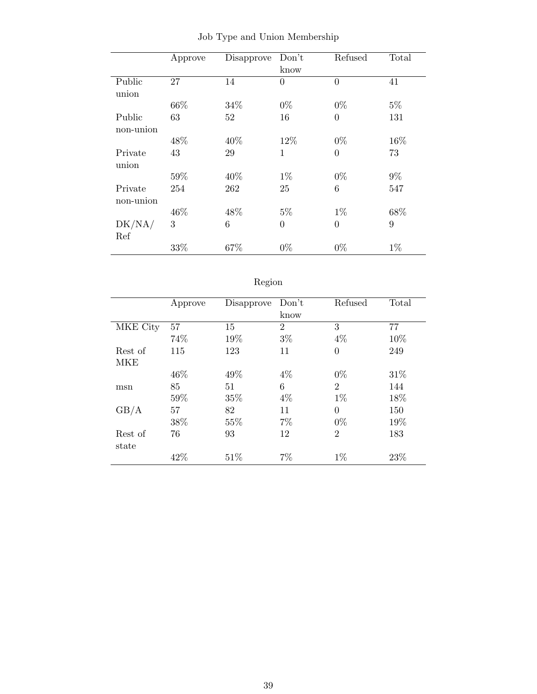|           | Approve | Disapprove | Don't          | Refused        | Total |
|-----------|---------|------------|----------------|----------------|-------|
|           |         |            | know           |                |       |
| Public    | 27      | 14         | $\overline{0}$ | $\theta$       | 41    |
| union     |         |            |                |                |       |
|           | 66%     | 34%        | $0\%$          | $0\%$          | $5\%$ |
| Public    | 63      | 52         | 16             | $\overline{0}$ | 131   |
| non-union |         |            |                |                |       |
|           | 48%     | 40%        | 12%            | $0\%$          | 16%   |
| Private   | 43      | 29         | $\mathbf{1}$   | $\overline{0}$ | 73    |
| union     |         |            |                |                |       |
|           | 59%     | 40%        | $1\%$          | $0\%$          | $9\%$ |
| Private   | 254     | 262        | 25             | 6              | 547   |
| non-union |         |            |                |                |       |
|           | 46\%    | 48\%       | $5\%$          | $1\%$          | 68%   |
| DK/NA/    | 3       | 6          | $\overline{0}$ | $\theta$       | 9     |
| Ref       |         |            |                |                |       |
|           | 33%     | 67%        | $0\%$          | $0\%$          | $1\%$ |

Job Type and Union Membership

| 691OF |
|-------|
|       |

|          | Approve | Disapprove | Don't          | Refused        | Total |
|----------|---------|------------|----------------|----------------|-------|
|          |         |            | know           |                |       |
| MKE City | 57      | 15         | $\overline{2}$ | 3              | 77    |
|          | 74%     | 19%        | $3\%$          | $4\%$          | 10%   |
| Rest of  | 115     | 123        | 11             | $\overline{0}$ | 249   |
| MKE      |         |            |                |                |       |
|          | 46%     | 49%        | $4\%$          | $0\%$          | 31\%  |
| msn      | 85      | 51         | 6              | $\mathfrak{D}$ | 144   |
|          | 59%     | 35%        | $4\%$          | $1\%$          | 18%   |
| GB/A     | 57      | 82         | 11             | $\Omega$       | 150   |
|          | 38%     | 55%        | 7%             | $0\%$          | 19%   |
| Rest of  | 76      | 93         | 12             | $\overline{2}$ | 183   |
| state    |         |            |                |                |       |
|          | 42%     | 51\%       | $7\%$          | $1\%$          | 23%   |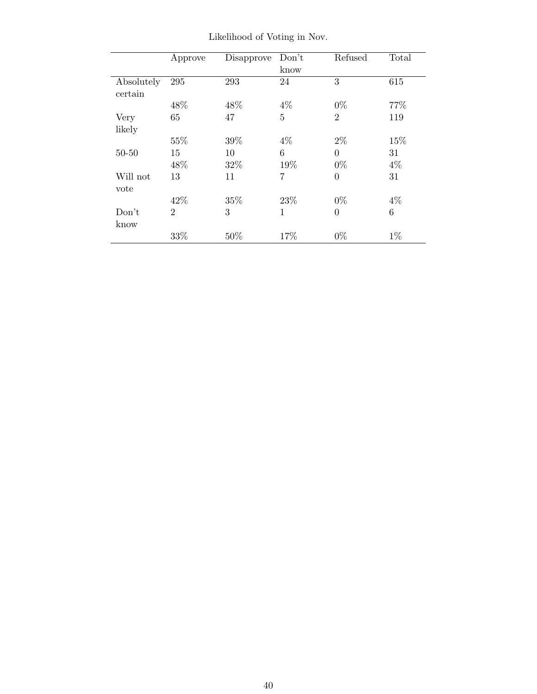|            | Approve        | Disapprove | Don't          | Refused        | Total |
|------------|----------------|------------|----------------|----------------|-------|
|            |                |            | know           |                |       |
| Absolutely | 295            | 293        | 24             | 3              | 615   |
| certain    |                |            |                |                |       |
|            | 48\%           | 48\%       | $4\%$          | $0\%$          | 77%   |
| Very       | 65             | 47         | $\overline{5}$ | $\overline{2}$ | 119   |
| likely     |                |            |                |                |       |
|            | 55%            | 39%        | $4\%$          | $2\%$          | 15%   |
| $50 - 50$  | 15             | 10         | 6              | $\theta$       | 31    |
|            | 48%            | 32\%       | 19%            | $0\%$          | $4\%$ |
| Will not   | 13             | 11         | 7              | $\theta$       | 31    |
| vote       |                |            |                |                |       |
|            | 42\%           | 35%        | 23\%           | $0\%$          | 4%    |
| Don't      | $\mathfrak{D}$ | 3          | $\mathbf{1}$   | $\overline{0}$ | 6     |
| know       |                |            |                |                |       |
|            | 33%            | 50%        | 17%            | $0\%$          | $1\%$ |

Likelihood of Voting in Nov.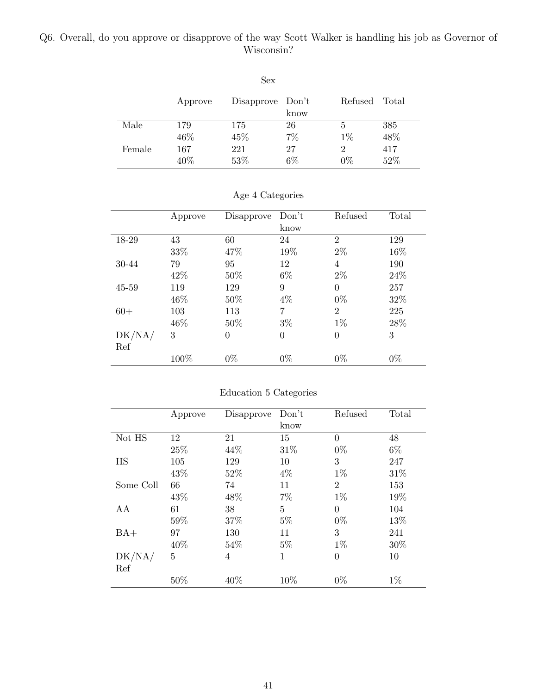### Q6. Overall, do you approve or disapprove of the way Scott Walker is handling his job as Governor of Wisconsin?

|        |         | .                |       |         |       |
|--------|---------|------------------|-------|---------|-------|
|        | Approve | Disapprove Don't |       | Refused | Total |
|        |         |                  | know  |         |       |
| Male   | 179     | 175              | 26    | 5       | 385   |
|        | 46%     | 45%              | $7\%$ | $1\%$   | 48%   |
| Female | 167     | 221              | 27    | 2       | 417   |
|        | 40%     | 53%              | 6%    | $0\%$   | 52%   |

Sex

|  | Age 4 Categories |
|--|------------------|
|--|------------------|

|           | Approve | Disapprove | Don't          | Refused        | Total |
|-----------|---------|------------|----------------|----------------|-------|
|           |         |            | know           |                |       |
| 18-29     | 43      | 60         | 24             | $\overline{2}$ | 129   |
|           | 33%     | 47\%       | 19%            | $2\%$          | 16%   |
| 30-44     | 79      | 95         | 12             | 4              | 190   |
|           | 42\%    | 50%        | $6\%$          | $2\%$          | 24\%  |
| $45 - 59$ | 119     | 129        | 9              | $\overline{0}$ | 257   |
|           | 46\%    | 50%        | $4\%$          | $0\%$          | 32%   |
| $60+$     | 103     | 113        | 7              | $\overline{2}$ | 225   |
|           | 46\%    | 50%        | $3\%$          | $1\%$          | 28%   |
| DK/NA/    | 3       | $\theta$   | $\overline{0}$ | $\overline{0}$ | 3     |
| Ref       |         |            |                |                |       |
|           | 100%    | $0\%$      | $0\%$          | $0\%$          | $0\%$ |

## Education 5 Categories

|           | Approve | Disapprove | Don't          | Refused        | Total |
|-----------|---------|------------|----------------|----------------|-------|
|           |         |            | know           |                |       |
| Not HS    | 12      | 21         | 15             | 0              | 48    |
|           | 25%     | 44\%       | 31\%           | $0\%$          | $6\%$ |
| HS        | 105     | 129        | 10             | 3              | 247   |
|           | 43%     | 52%        | $4\%$          | $1\%$          | 31\%  |
| Some Coll | 66      | 74         | 11             | $\overline{2}$ | 153   |
|           | 43%     | 48%        | 7%             | $1\%$          | 19%   |
| AA        | 61      | 38         | $\overline{5}$ | $\Omega$       | 104   |
|           | 59%     | 37%        | $5\%$          | $0\%$          | 13%   |
| $BA+$     | 97      | 130        | 11             | 3              | 241   |
|           | 40%     | 54%        | $5\%$          | $1\%$          | 30%   |
| DK/NA/    | 5       | 4          | $\mathbf{1}$   | $\overline{0}$ | 10    |
| Ref       |         |            |                |                |       |
|           | 50%     | 40%        | 10%            | $0\%$          | $1\%$ |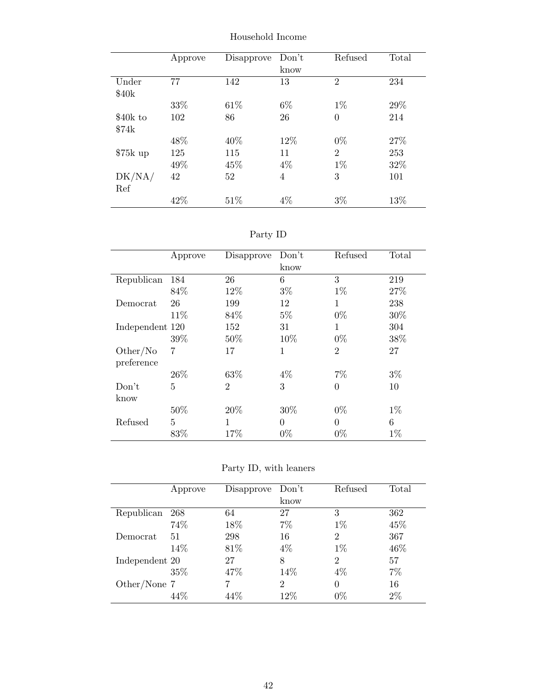Approve Disapprove Don't know Refused Total Under  $\$40\mathrm{k}$ 77 142 13 2 234  $33\%$  61% 6% 1% 29%  $\$40k$  to  $\$74\mathrm{k}$ 102 86 26 0 214  $48\%$   $40\%$   $12\%$   $0\%$   $27\%$  $\textup{\#75k up} \qquad 125 \qquad \qquad 115 \qquad \qquad 11 \qquad \qquad 2 \qquad \qquad 253$ 49%  $45\%$   $4\%$   $1\%$   $32\%$ DK/NA/ Ref 42 52 4 3 101  $42\%$  51%  $4\%$  3% 13%

Household Income

| эrт<br>v |  |
|----------|--|
|          |  |

|                 | Approve | Disapprove     | Don't        | Refused        | Total |
|-----------------|---------|----------------|--------------|----------------|-------|
|                 |         |                | know         |                |       |
| Republican      | 184     | 26             | 6            | 3              | 219   |
|                 | 84\%    | 12%            | $3\%$        | $1\%$          | 27%   |
| Democrat        | 26      | 199            | 12           | 1              | 238   |
|                 | 11\%    | 84\%           | $5\%$        | $0\%$          | 30%   |
| Independent 120 |         | 152            | 31           | 1              | 304   |
|                 | 39\%    | 50%            | 10\%         | $0\%$          | 38%   |
| Other/No        | 7       | 17             | $\mathbf{1}$ | $\overline{2}$ | 27    |
| preference      |         |                |              |                |       |
|                 | 26\%    | 63%            | $4\%$        | $7\%$          | $3\%$ |
| Don't           | 5       | $\overline{2}$ | 3            | $\theta$       | 10    |
| know            |         |                |              |                |       |
|                 | 50%     | 20%            | 30%          | $0\%$          | $1\%$ |
| Refused         | 5       | 1              | $\theta$     | $\theta$       | 6     |
|                 | 83%     | 17%            | $0\%$        | $0\%$          | $1\%$ |

Party ID, with leaners

|                | Approve | Disapprove | Don't          | Refused        | Total |
|----------------|---------|------------|----------------|----------------|-------|
|                |         |            | know           |                |       |
| Republican     | 268     | 64         | 27             | 3              | 362   |
|                | 74%     | 18%        | 7%             | $1\%$          | 45%   |
| Democrat       | 51      | 298        | 16             | $\overline{2}$ | 367   |
|                | 14%     | 81\%       | $4\%$          | $1\%$          | 46\%  |
| Independent 20 |         | 27         | 8              | $\overline{2}$ | 57    |
|                | 35%     | 47%        | 14%            | $4\%$          | 7%    |
| Other/None 7   |         |            | $\overline{2}$ | 0              | 16    |
|                | 44%     | 44%        | $12\%$         | $0\%$          | 2%    |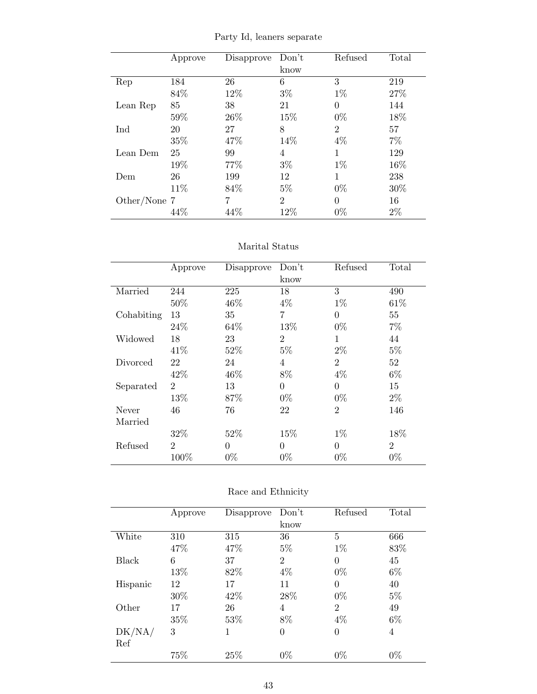Party Id, leaners separate

|              | Approve | Disapprove | Don't          | Refused        | Total |
|--------------|---------|------------|----------------|----------------|-------|
|              |         |            | know           |                |       |
| Rep          | 184     | 26         | 6              | 3              | 219   |
|              | 84\%    | 12%        | $3\%$          | $1\%$          | 27%   |
| Lean Rep     | 85      | 38         | 21             | 0              | 144   |
|              | 59%     | 26\%       | 15%            | $0\%$          | 18%   |
| Ind          | 20      | 27         | 8              | $\overline{2}$ | 57    |
|              | 35%     | 47%        | 14%            | $4\%$          | $7\%$ |
| Lean Dem     | 25      | 99         | 4              | 1              | 129   |
|              | 19%     | 77%        | $3\%$          | $1\%$          | 16%   |
| Dem          | 26      | 199        | 12             | 1              | 238   |
|              | 11\%    | 84\%       | $5\%$          | $0\%$          | 30\%  |
| Other/None 7 |         | 7          | $\overline{2}$ | $\Omega$       | 16    |
|              | 44\%    | 44\%       | 12%            | $0\%$          | $2\%$ |

#### Marital Status

|            | Approve        | Disapprove | Don't          | Refused        | Total          |
|------------|----------------|------------|----------------|----------------|----------------|
|            |                |            | know           |                |                |
| Married    | 244            | 225        | 18             | 3              | 490            |
|            | 50%            | 46\%       | $4\%$          | $1\%$          | 61\%           |
| Cohabiting | 13             | 35         | $\overline{7}$ | $\theta$       | 55             |
|            | 24%            | 64\%       | 13%            | $0\%$          | $7\%$          |
| Widowed    | 18             | 23         | $\overline{2}$ | 1              | 44             |
|            | 41\%           | 52%        | $5\%$          | $2\%$          | $5\%$          |
| Divorced   | 22             | 24         | 4              | $\overline{2}$ | 52             |
|            | 42\%           | 46\%       | 8%             | $4\%$          | $6\%$          |
| Separated  | $\overline{2}$ | 13         | $\overline{0}$ | $\theta$       | 15             |
|            | 13%            | 87%        | $0\%$          | $0\%$          | $2\%$          |
| Never      | 46             | 76         | 22             | $\overline{2}$ | 146            |
| Married    |                |            |                |                |                |
|            | 32%            | 52%        | 15%            | $1\%$          | 18%            |
| Refused    | $\overline{2}$ | $\theta$   | $\theta$       | $\theta$       | $\overline{2}$ |
|            | 100%           | $0\%$      | $0\%$          | $0\%$          | $0\%$          |

| Race and Ethnicity |
|--------------------|
|                    |

|          | Approve | Disapprove | Don't          | Refused        | Total |
|----------|---------|------------|----------------|----------------|-------|
|          |         |            | know           |                |       |
| White    | 310     | 315        | 36             | 5              | 666   |
|          | 47\%    | 47%        | $5\%$          | $1\%$          | 83%   |
| Black    | 6       | 37         | $\overline{2}$ | $\theta$       | 45    |
|          | 13%     | 82%        | 4%             | $0\%$          | $6\%$ |
| Hispanic | 12      | 17         | 11             | $\theta$       | 40    |
|          | 30%     | 42\%       | 28\%           | $0\%$          | $5\%$ |
| Other    | 17      | 26         | 4              | $\overline{2}$ | 49    |
|          | 35%     | 53%        | 8%             | $4\%$          | $6\%$ |
| DK/NA/   | 3       | 1          | $\overline{0}$ | $\theta$       | 4     |
| Ref      |         |            |                |                |       |
|          | 75%     | 25%        | $0\%$          | $0\%$          | $0\%$ |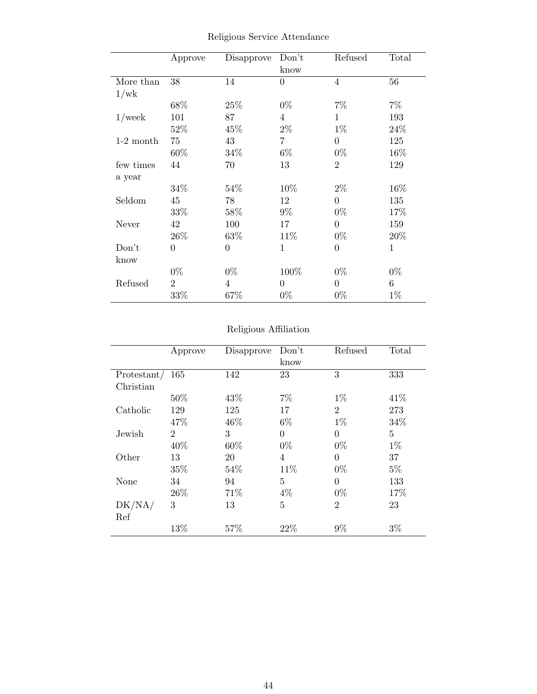|             | Approve        | Disapprove     | Don't<br>know  | Refused        | Total        |
|-------------|----------------|----------------|----------------|----------------|--------------|
| More than   | 38             | 14             | $\overline{0}$ | 4              | 56           |
| 1/wk        |                |                |                |                |              |
|             | 68%            | 25%            | $0\%$          | $7\%$          | $7\%$        |
| $1$ /week   | 101            | 87             | $\overline{4}$ | $\mathbf{1}$   | 193          |
|             | 52%            | 45%            | $2\%$          | $1\%$          | 24%          |
| $1-2$ month | 75             | 43             | $\overline{7}$ | $\Omega$       | 125          |
|             | 60%            | 34\%           | $6\%$          | $0\%$          | $16\%$       |
| few times   | 44             | 70             | 13             | $\overline{2}$ | 129          |
| a year      |                |                |                |                |              |
|             | 34%            | 54\%           | 10%            | $2\%$          | 16%          |
| Seldom      | 45             | 78             | 12             | $\theta$       | 135          |
|             | 33%            | 58%            | $9\%$          | $0\%$          | 17%          |
| Never       | 42             | 100            | 17             | $\overline{0}$ | 159          |
|             | 26\%           | 63%            | 11\%           | $0\%$          | 20%          |
| Don't       | $\overline{0}$ | $\theta$       | $\mathbf{1}$   | $\overline{0}$ | $\mathbf{1}$ |
| know        |                |                |                |                |              |
|             | $0\%$          | $0\%$          | 100%           | $0\%$          | $0\%$        |
| Refused     | $\overline{2}$ | $\overline{4}$ | $\overline{0}$ | $\theta$       | 6            |
|             | 33%            | 67%            | $0\%$          | $0\%$          | $1\%$        |

Religious Service Attendance

# Religious Affiliation

|             | Approve        | Disapprove | Don't          | Refused        | Total          |
|-------------|----------------|------------|----------------|----------------|----------------|
|             |                |            | know           |                |                |
| Protestant/ | 165            | 142        | 23             | 3              | 333            |
| Christian   |                |            |                |                |                |
|             | 50%            | 43%        | 7%             | $1\%$          | 41\%           |
| Catholic    | 129            | 125        | 17             | $\overline{2}$ | 273            |
|             | 47\%           | 46%        | $6\%$          | $1\%$          | 34%            |
| Jewish      | $\overline{2}$ | 3          | $\overline{0}$ | $\theta$       | $\overline{5}$ |
|             | 40%            | 60%        | $0\%$          | $0\%$          | $1\%$          |
| Other       | 13             | 20         | $\overline{4}$ | 0              | 37             |
|             | 35%            | 54%        | 11%            | $0\%$          | $5\%$          |
| None        | 34             | 94         | 5              | $\theta$       | 133            |
|             | 26\%           | 71%        | $4\%$          | $0\%$          | 17%            |
| DK/NA/      | 3              | 13         | 5              | $\overline{2}$ | 23             |
| Ref         |                |            |                |                |                |
|             | 13%            | 57\%       | 22%            | 9%             | $3\%$          |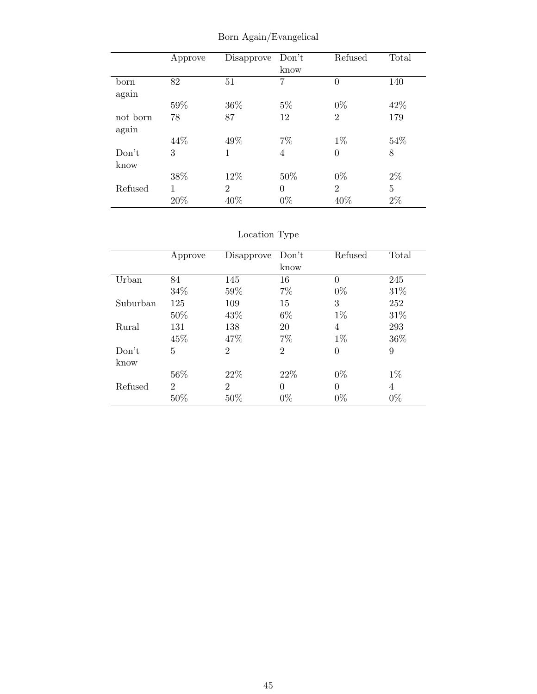|                   | Approve  | Disapprove            | Don't<br>know     | Refused               | Total                   |
|-------------------|----------|-----------------------|-------------------|-----------------------|-------------------------|
| born<br>again     | 82       | 51                    | 7                 | $\theta$              | 140                     |
|                   | 59%      | 36%                   | $5\%$             | $0\%$                 | 42\%                    |
| not born<br>again | 78       | 87                    | 12                | $\overline{2}$        | 179                     |
|                   | 44\%     | 49%                   | $7\%$             | $1\%$                 | 54%                     |
| Don't<br>know     | 3        | 1                     | 4                 | $\overline{0}$        | 8                       |
|                   | 38%      | 12%                   | 50%               | $0\%$                 | $2\%$                   |
| Refused           | 1<br>20% | $\overline{2}$<br>40% | $\Omega$<br>$0\%$ | $\overline{2}$<br>40% | $\overline{5}$<br>$2\%$ |

Born Again/Evangelical

|          | Approve        | Disapprove                  | Don't          | Refused  | Total |
|----------|----------------|-----------------------------|----------------|----------|-------|
|          |                |                             | know           |          |       |
| Urban    | 84             | 145                         | 16             | $\theta$ | 245   |
|          | 34%            | 59%                         | $7\%$          | $0\%$    | 31\%  |
| Suburban | 125            | 109                         | 15             | 3        | 252   |
|          | 50%            | 43\%                        | $6\%$          | $1\%$    | 31%   |
| Rural    | 131            | 138                         | 20             | 4        | 293   |
|          | 45%            | 47\%                        | $7\%$          | $1\%$    | 36%   |
| Don't    | 5              | $\overline{2}$              | $\overline{2}$ | 0        | 9     |
| know     |                |                             |                |          |       |
|          | 56%            | 22%                         | 22\%           | $0\%$    | $1\%$ |
| Refused  | $\overline{2}$ | $\mathcal{D}_{\mathcal{L}}$ | $\theta$       | $\Omega$ | 4     |
|          | 50%            | 50%                         | $0\%$          | $0\%$    | $0\%$ |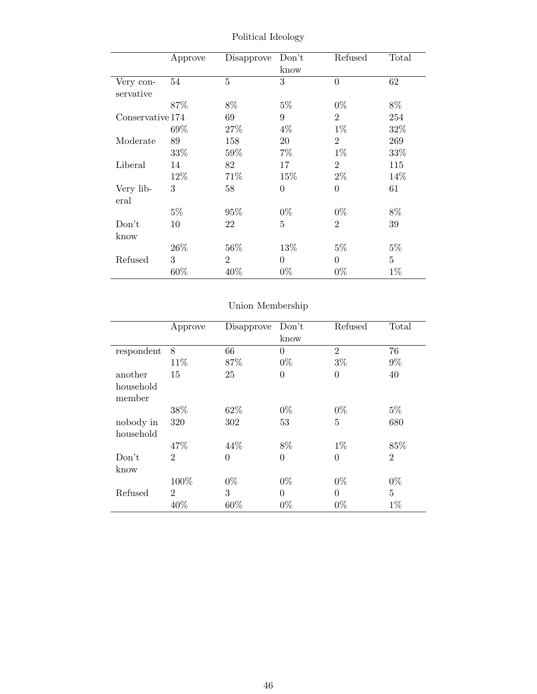|                  | Approve | Disapprove     | Don't          | Refused        | Total          |
|------------------|---------|----------------|----------------|----------------|----------------|
|                  |         |                | know           |                |                |
| Very con-        | 54      | $\overline{5}$ | 3              | $\overline{0}$ | 62             |
| servative        |         |                |                |                |                |
|                  | 87%     | 8%             | $5\%$          | $0\%$          | 8%             |
| Conservative 174 |         | 69             | 9              | $\overline{2}$ | 254            |
|                  | 69%     | 27\%           | $4\%$          | $1\%$          | 32%            |
| Moderate         | 89      | 158            | 20             | $\overline{2}$ | 269            |
|                  | 33%     | $59\%$         | 7%             | $1\%$          | 33%            |
| Liberal          | 14      | 82             | 17             | $\overline{2}$ | 115            |
|                  | 12\%    | 71\%           | 15\%           | $2\%$          | 14%            |
| Very lib-        | 3       | 58             | $\overline{0}$ | $\overline{0}$ | 61             |
| eral             |         |                |                |                |                |
|                  | $5\%$   | 95%            | $0\%$          | $0\%$          | $8\%$          |
| Don't            | 10      | 22             | 5              | $\overline{2}$ | 39             |
| know             |         |                |                |                |                |
|                  | $26\%$  | $56\%$         | 13\%           | $5\%$          | $5\%$          |
| Refused          | 3       | $\overline{2}$ | $\theta$       | $\Omega$       | $\overline{5}$ |
|                  | 60%     | 40%            | $0\%$          | $0\%$          | $1\%$          |

Political Ideology

|            | Approve        | Disapprove     | Don't          | Refused        | Total          |
|------------|----------------|----------------|----------------|----------------|----------------|
|            |                |                | know           |                |                |
| respondent | 8              | 66             | $\overline{0}$ | $\overline{2}$ | 76             |
|            | 11%            | 87%            | $0\%$          | $3\%$          | $9\%$          |
| another    | 15             | 25             | $\overline{0}$ | $\overline{0}$ | 40             |
| household  |                |                |                |                |                |
| member     |                |                |                |                |                |
|            | 38%            | 62%            | $0\%$          | $0\%$          | $5\%$          |
| nobody in  | 320            | 302            | 53             | $\overline{5}$ | 680            |
| household  |                |                |                |                |                |
|            | 47\%           | 44\%           | 8%             | $1\%$          | 85%            |
| Don't      | $\overline{2}$ | $\overline{0}$ | $\overline{0}$ | $\overline{0}$ | $\overline{2}$ |
| know       |                |                |                |                |                |
|            | 100%           | $0\%$          | $0\%$          | $0\%$          | $0\%$          |
| Refused    | $\overline{2}$ | 3              | $\theta$       | $\theta$       | $\overline{5}$ |
|            | 40%            | 60%            | $0\%$          | $0\%$          | $1\%$          |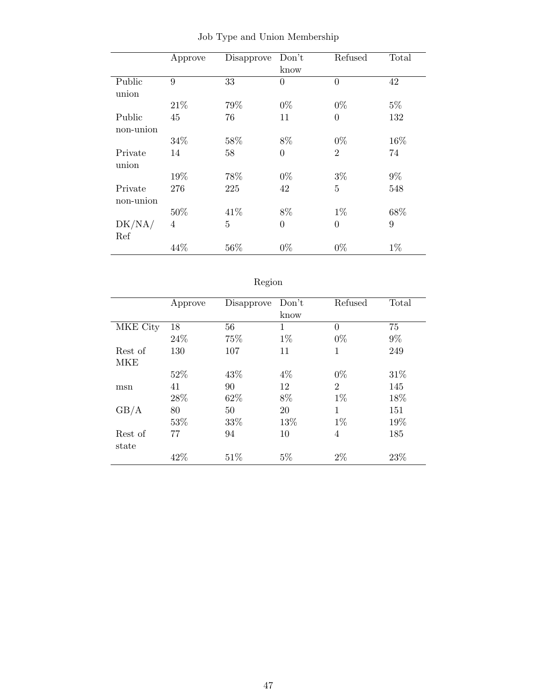|           | Approve | Disapprove | Don't          | Refused        | Total |
|-----------|---------|------------|----------------|----------------|-------|
|           |         |            | know           |                |       |
| Public    | 9       | 33         | $\overline{0}$ | $\theta$       | 42    |
| union     |         |            |                |                |       |
|           | 21\%    | 79%        | $0\%$          | $0\%$          | $5\%$ |
| Public    | 45      | 76         | 11             | $\overline{0}$ | 132   |
| non-union |         |            |                |                |       |
|           | 34%     | 58%        | 8%             | $0\%$          | 16%   |
| Private   | 14      | 58         | $\overline{0}$ | $\overline{2}$ | 74    |
| union     |         |            |                |                |       |
|           | 19%     | 78%        | $0\%$          | $3\%$          | $9\%$ |
| Private   | 276     | 225        | 42             | $\overline{5}$ | 548   |
| non-union |         |            |                |                |       |
|           | 50%     | 41\%       | 8%             | $1\%$          | 68%   |
| DK/NA/    | 4       | 5          | $\overline{0}$ | $\theta$       | 9     |
| Ref       |         |            |                |                |       |
|           | 44%     | 56%        | $0\%$          | $0\%$          | $1\%$ |

Job Type and Union Membership

| t | O.<br>к<br>п |
|---|--------------|

|          | Approve | Disapprove | Don't | Refused        | Total |
|----------|---------|------------|-------|----------------|-------|
|          |         |            | know  |                |       |
| MKE City | 18      | 56         | 1     | 0              | 75    |
|          | 24%     | 75%        | $1\%$ | $0\%$          | $9\%$ |
| Rest of  | 130     | 107        | 11    | 1              | 249   |
| MKE      |         |            |       |                |       |
|          | 52%     | 43\%       | $4\%$ | $0\%$          | 31\%  |
| msn      | 41      | 90         | 12    | $\overline{2}$ | 145   |
|          | 28%     | 62%        | 8%    | $1\%$          | 18%   |
| GB/A     | 80      | 50         | 20    | 1              | 151   |
|          | 53%     | 33%        | 13%   | $1\%$          | 19%   |
| Rest of  | 77      | 94         | 10    | 4              | 185   |
| state    |         |            |       |                |       |
|          | 42%     | 51\%       | $5\%$ | $2\%$          | 23%   |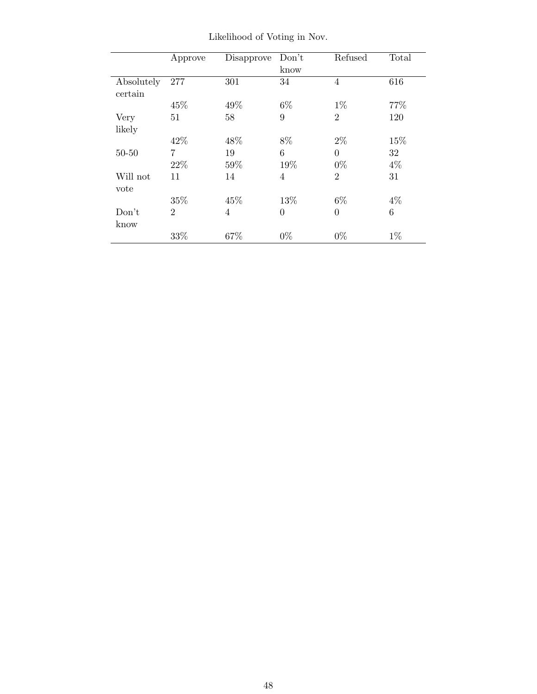|            | Approve        | Disapprove     | Don't          | Refused        | Total |
|------------|----------------|----------------|----------------|----------------|-------|
|            |                |                | know           |                |       |
| Absolutely | 277            | 301            | 34             | $\overline{4}$ | 616   |
| certain    |                |                |                |                |       |
|            | 45%            | 49%            | $6\%$          | $1\%$          | 77%   |
| Very       | 51             | 58             | 9              | $\overline{2}$ | 120   |
| likely     |                |                |                |                |       |
|            | 42\%           | 48\%           | 8%             | $2\%$          | 15%   |
| $50 - 50$  | 7              | 19             | 6              | $\theta$       | 32    |
|            | 22%            | 59%            | 19%            | $0\%$          | $4\%$ |
| Will not   | 11             | 14             | $\overline{4}$ | $\overline{2}$ | 31    |
| vote       |                |                |                |                |       |
|            | 35%            | 45\%           | 13%            | $6\%$          | $4\%$ |
| Don't      | $\overline{2}$ | $\overline{4}$ | $\overline{0}$ | $\Omega$       | 6     |
| know       |                |                |                |                |       |
|            | 33%            | 67%            | $0\%$          | $0\%$          | $1\%$ |

Likelihood of Voting in Nov.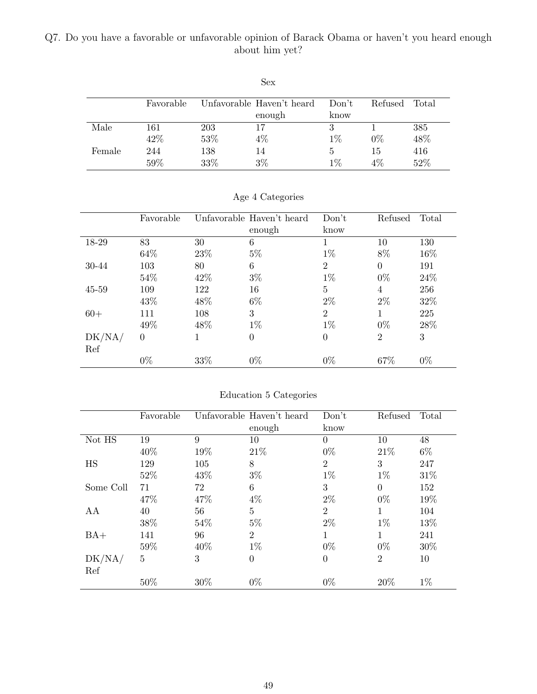## Q7. Do you have a favorable or unfavorable opinion of Barack Obama or haven't you heard enough about him yet?

|        |           |     | Sex                       |       |         |       |
|--------|-----------|-----|---------------------------|-------|---------|-------|
|        | Favorable |     | Unfavorable Haven't heard | Don't | Refused | Total |
|        |           |     | enough                    | know  |         |       |
| Male   | 161       | 203 | 17                        | 3     |         | 385   |
|        | 42%       | 53% | $4\%$                     | $1\%$ | $0\%$   | 48%   |
| Female | 244       | 138 | 14                        | 5     | 15      | 416   |
|        | 59%       | 33% | $3\%$                     | $1\%$ | $4\%$   | 52%   |

|           | Favorable      |      | Unfavorable Haven't heard | Don't          | Refused        | Total |
|-----------|----------------|------|---------------------------|----------------|----------------|-------|
|           |                |      | enough                    | know           |                |       |
| 18-29     | 83             | 30   | 6                         |                | 10             | 130   |
|           | 64\%           | 23\% | $5\%$                     | $1\%$          | 8%             | 16%   |
| 30-44     | 103            | 80   | 6                         | $\overline{2}$ | $\overline{0}$ | 191   |
|           | 54%            | 42\% | $3\%$                     | $1\%$          | $0\%$          | 24\%  |
| $45 - 59$ | 109            | 122  | 16                        | 5              | 4              | 256   |
|           | 43\%           | 48%  | $6\%$                     | $2\%$          | $2\%$          | 32%   |
| $60+$     | 111            | 108  | 3                         | $\overline{2}$ | 1              | 225   |
|           | 49%            | 48\% | $1\%$                     | $1\%$          | $0\%$          | 28%   |
| DK/NA/    | $\overline{0}$ |      | $\boldsymbol{0}$          | $\theta$       | $\overline{2}$ | 3     |
| Ref       |                |      |                           |                |                |       |
|           | $0\%$          | 33%  | $0\%$                     | $0\%$          | 67%            | $0\%$ |

Age 4 Categories

| Education 5 Categories |  |  |
|------------------------|--|--|
|                        |  |  |

|               | Favorable      |      | Unfavorable Haven't heard<br>enough | Don't<br>know  | Refused        | Total |
|---------------|----------------|------|-------------------------------------|----------------|----------------|-------|
| Not HS        | 19             | 9    | 10                                  | $\theta$       | 10             | 48    |
|               | 40%            | 19%  | 21\%                                | $0\%$          | 21\%           | $6\%$ |
| HS            | 129            | 105  | 8                                   | $\overline{2}$ | 3              | 247   |
|               | 52%            | 43\% | $3\%$                               | $1\%$          | $1\%$          | 31%   |
| Some Coll     | 71             | 72   | 6                                   | 3              | $\Omega$       | 152   |
|               | 47%            | 47%  | $4\%$                               | $2\%$          | $0\%$          | 19%   |
| AA            | 40             | 56   | 5                                   | $\overline{2}$ | $\mathbf{1}$   | 104   |
|               | 38%            | 54%  | $5\%$                               | $2\%$          | $1\%$          | 13%   |
| $BA+$         | 141            | 96   | $\overline{2}$                      | 1              | 1              | 241   |
|               | 59%            | 40%  | $1\%$                               | $0\%$          | $0\%$          | 30%   |
| DK/NA/<br>Ref | $\overline{5}$ | 3    | $\boldsymbol{0}$                    | $\theta$       | $\overline{2}$ | 10    |
|               | 50%            | 30%  | $0\%$                               | $0\%$          | 20%            | $1\%$ |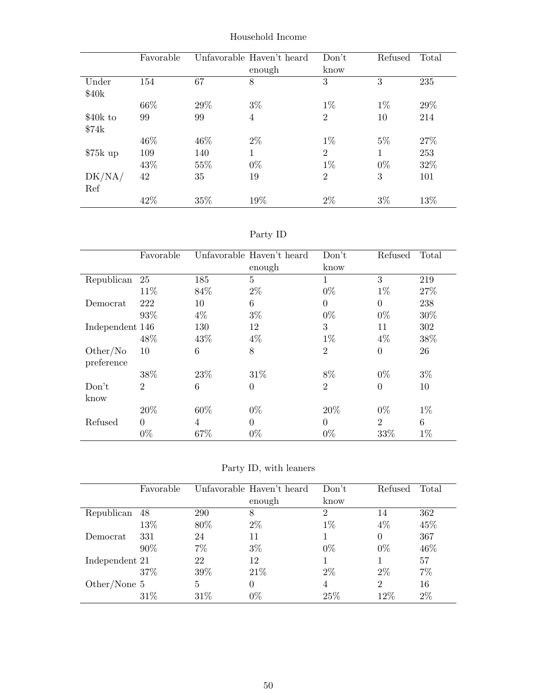|           | Favorable |     | Unfavorable Haven't heard | Don't          | Refused | Total |
|-----------|-----------|-----|---------------------------|----------------|---------|-------|
|           |           |     | enough                    | know           |         |       |
| Under     | 154       | 67  | 8                         | 3              | 3       | 235   |
| \$40k     |           |     |                           |                |         |       |
|           | 66%       | 29% | $3\%$                     | $1\%$          | $1\%$   | 29%   |
| \$40k to  | 99        | 99  | $\overline{4}$            | $\overline{2}$ | 10      | 214   |
| \$74k     |           |     |                           |                |         |       |
|           | 46\%      | 46% | $2\%$                     | $1\%$          | $5\%$   | 27\%  |
| $$75k$ up | 109       | 140 | 1                         | $\overline{2}$ | 1       | 253   |
|           | 43%       | 55% | $0\%$                     | $1\%$          | $0\%$   | 32%   |
| DK/NA/    | 42        | 35  | 19                        | $\overline{2}$ | 3       | 101   |
| Ref       |           |     |                           |                |         |       |
|           | 42\%      | 35% | 19%                       | $2\%$          | $3\%$   | 13%   |

Household Income

| эrт |  |
|-----|--|
|-----|--|

|                 | Favorable      |       | Unfavorable Haven't heard | Don't          | Refused        | Total |
|-----------------|----------------|-------|---------------------------|----------------|----------------|-------|
|                 |                |       | enough                    | know           |                |       |
| Republican      | 25             | 185   | 5                         |                | 3              | 219   |
|                 | 11\%           | 84\%  | $2\%$                     | $0\%$          | $1\%$          | 27%   |
| Democrat        | 222            | 10    | 6                         | $\Omega$       | $\theta$       | 238   |
|                 | 93%            | $4\%$ | $3\%$                     | $0\%$          | $0\%$          | 30%   |
| Independent 146 |                | 130   | 12                        | 3              | 11             | 302   |
|                 | 48\%           | 43\%  | $4\%$                     | $1\%$          | $4\%$          | 38%   |
| Other/No        | 10             | 6     | 8                         | $\overline{2}$ | $\overline{0}$ | 26    |
| preference      |                |       |                           |                |                |       |
|                 | 38%            | 23%   | 31\%                      | 8%             | $0\%$          | $3\%$ |
| Don't           | $\overline{2}$ | 6     | $\overline{0}$            | $\overline{2}$ | $\overline{0}$ | 10    |
| know            |                |       |                           |                |                |       |
|                 | 20%            | 60%   | $0\%$                     | 20%            | $0\%$          | $1\%$ |
| Refused         | $\Omega$       | 4     | $\overline{0}$            | $\Omega$       | $\overline{2}$ | 6     |
|                 | $0\%$          | 67%   | $0\%$                     | $0\%$          | 33%            | $1\%$ |

Party ID, with leaners

|                | Favorable |      | Unfavorable Haven't heard | Don't | Refused        | Total |
|----------------|-----------|------|---------------------------|-------|----------------|-------|
|                |           |      | enough                    | know  |                |       |
| Republican     | 48        | 290  | 8                         | 2     | 14             | 362   |
|                | 13%       | 80\% | $2\%$                     | $1\%$ | 4%             | 45%   |
| Democrat       | 331       | 24   | 11                        |       | 0              | 367   |
|                | 90%       | 7%   | $3\%$                     | $0\%$ | $0\%$          | 46%   |
| Independent 21 |           | 22   | 12                        |       |                | 57    |
|                | 37%       | 39%  | 21\%                      | $2\%$ | $2\%$          | 7%    |
| Other/None $5$ |           | 5    | $\theta$                  | 4     | $\overline{2}$ | 16    |
|                | 31\%      | 31\% | $0\%$                     | 25%   | 12%            | $2\%$ |
|                |           |      |                           |       |                |       |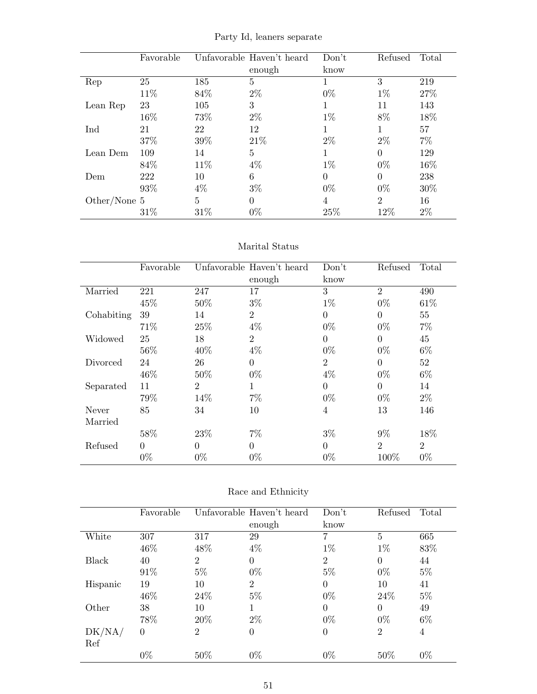Favorable Unfavorable Haven't heard enough Don't know Refused Total Rep 25 185 5 1 3 219  $11\%$  84%  $2\%$  0%  $1\%$  27% Lean Rep 23 105 3 1 11 143  $16\%$  73%  $2\%$  1% 8%  $18\%$  $\text{Ind}$  21 22 12 1 1 57  $37\%$   $39\%$   $21\%$   $2\%$   $2\%$   $7\%$  $\begin{tabular}{lllllll} \textbf{Lean Dem} & 109 & & 14 & & 5 & & 1 & & 0 & & 129 \end{tabular}$  $84\%$  11%  $4\%$  1% 0% 16% Dem 222 10 6 0 0 238  $93\%$   $4\%$   $3\%$   $0\%$   $0\%$   $30\%$  $\begin{array}{ccccccccc} \textrm{Other/None $5$} & & & 5 & & 0 & & 4 & & 2 & & 16 \\ & & 31\% & & 31\% & & 0\% & & 25\% & & 12\% & & 2\% \end{array}$ 

|  |  |  | Party Id, leaners separate |
|--|--|--|----------------------------|
|--|--|--|----------------------------|

#### Marital Status

 $31\%$   $31\%$   $0\%$   $25\%$   $12\%$   $2\%$ 

|            | Favorable |                | Unfavorable Haven't heard | Don't          | Refused        | Total          |
|------------|-----------|----------------|---------------------------|----------------|----------------|----------------|
|            |           |                | enough                    | know           |                |                |
| Married    | 221       | 247            | 17                        | 3              | $\overline{2}$ | 490            |
|            | 45%       | 50%            | $3\%$                     | $1\%$          | $0\%$          | 61\%           |
| Cohabiting | 39        | 14             | $\overline{2}$            | $\overline{0}$ | $\overline{0}$ | 55             |
|            | 71%       | 25%            | $4\%$                     | $0\%$          | $0\%$          | $7\%$          |
| Widowed    | 25        | 18             | $\overline{2}$            | $\theta$       | $\Omega$       | 45             |
|            | 56%       | 40%            | $4\%$                     | $0\%$          | $0\%$          | $6\%$          |
| Divorced   | 24        | 26             | $\Omega$                  | $\overline{2}$ | $\Omega$       | 52             |
|            | 46\%      | 50%            | $0\%$                     | $4\%$          | $0\%$          | $6\%$          |
| Separated  | 11        | $\overline{2}$ | $\mathbf{1}$              | $\overline{0}$ | $\overline{0}$ | 14             |
|            | 79%       | 14%            | $7\%$                     | $0\%$          | $0\%$          | $2\%$          |
| Never      | 85        | 34             | 10                        | 4              | 13             | 146            |
| Married    |           |                |                           |                |                |                |
|            | 58%       | 23\%           | $7\%$                     | $3\%$          | $9\%$          | 18%            |
| Refused    | $\Omega$  | $\Omega$       | $\Omega$                  | $\theta$       | $\overline{2}$ | $\overline{2}$ |
|            | $0\%$     | $0\%$          | $0\%$                     | $0\%$          | 100\%          | $0\%$          |

|  | Race and Ethnicity |
|--|--------------------|
|--|--------------------|

|          | Favorable |                | Unfavorable Haven't heard | Don't          | Refused        | Total |
|----------|-----------|----------------|---------------------------|----------------|----------------|-------|
|          |           |                | enough                    | know           |                |       |
| White    | 307       | 317            | 29                        | 7              | 5              | 665   |
|          | 46%       | 48%            | $4\%$                     | $1\%$          | $1\%$          | 83%   |
| Black    | 40        | $\overline{2}$ | $\overline{0}$            | $\overline{2}$ | $\theta$       | 44    |
|          | 91%       | $5\%$          | $0\%$                     | $5\%$          | $0\%$          | $5\%$ |
| Hispanic | 19        | 10             | $\overline{2}$            | $\theta$       | 10             | 41    |
|          | 46\%      | 24\%           | $5\%$                     | $0\%$          | 24\%           | $5\%$ |
| Other    | 38        | 10             | 1                         | $\Omega$       | $\theta$       | 49    |
|          | 78%       | 20%            | $2\%$                     | $0\%$          | $0\%$          | $6\%$ |
| DK/NA/   | $\theta$  | $\overline{2}$ | $\theta$                  | $\overline{0}$ | $\overline{2}$ | 4     |
| Ref      |           |                |                           |                |                |       |
|          | $0\%$     | 50%            | $0\%$                     | $0\%$          | 50%            | $0\%$ |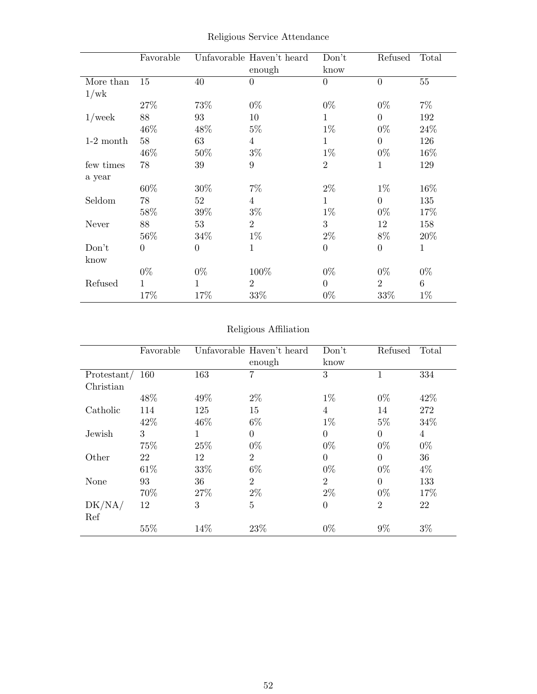|             | Favorable        |                | Unfavorable Haven't heard<br>enough | Don't<br>know    | Refused          | Total        |
|-------------|------------------|----------------|-------------------------------------|------------------|------------------|--------------|
| More than   | 15               | 40             | $\boldsymbol{0}$                    | $\theta$         | $\overline{0}$   | $55\,$       |
| 1/wk        |                  |                |                                     |                  |                  |              |
|             | 27\%             | 73%            | $0\%$                               | $0\%$            | $0\%$            | $7\%$        |
| $1$ /week   | 88               | 93             | 10                                  | $\mathbf 1$      | $\overline{0}$   | 192          |
|             | 46\%             | 48\%           | $5\%$                               | $1\%$            | $0\%$            | 24\%         |
| $1-2$ month | 58               | 63             | $\overline{4}$                      | $\mathbf{1}$     | $\overline{0}$   | 126          |
|             | 46\%             | 50%            | $3\%$                               | $1\%$            | $0\%$            | $16\%$       |
| few times   | 78               | 39             | $9\phantom{.}$                      | $\overline{2}$   | 1                | 129          |
| a year      |                  |                |                                     |                  |                  |              |
|             | 60%              | 30%            | $7\%$                               | $2\%$            | $1\%$            | 16%          |
| Seldom      | 78               | 52             | 4                                   | $\mathbf{1}$     | $\overline{0}$   | 135          |
|             | 58%              | 39%            | $3\%$                               | $1\%$            | $0\%$            | 17%          |
| Never       | 88               | 53             | $\overline{2}$                      | 3                | 12               | 158          |
|             | 56\%             | 34\%           | $1\%$                               | $2\%$            | $8\%$            | 20%          |
| Don't       | $\boldsymbol{0}$ | $\overline{0}$ | 1                                   | $\boldsymbol{0}$ | $\boldsymbol{0}$ | $\mathbf{1}$ |
| know        |                  |                |                                     |                  |                  |              |
|             | $0\%$            | $0\%$          | 100%                                | $0\%$            | $0\%$            | $0\%$        |
| Refused     | 1                | 1              | $\overline{2}$                      | $\overline{0}$   | $\overline{2}$   | $\,6\,$      |
|             | 17%              | 17%            | 33%                                 | $0\%$            | 33%              | $1\%$        |

Religious Service Attendance

## Religious Affiliation

|               | Favorable |      | Unfavorable Haven't heard | Don't          | Refused        | Total          |
|---------------|-----------|------|---------------------------|----------------|----------------|----------------|
|               |           |      | enough                    | know           |                |                |
| Protestant/   | 160       | 163  | 7                         | 3              |                | 334            |
| Christian     |           |      |                           |                |                |                |
|               | 48\%      | 49%  | $2\%$                     | $1\%$          | $0\%$          | 42\%           |
| Catholic      | 114       | 125  | 15                        | 4              | 14             | 272            |
|               | 42\%      | 46\% | $6\%$                     | $1\%$          | $5\%$          | 34%            |
| Jewish        | 3         | 1    | $\Omega$                  | $\overline{0}$ | $\theta$       | $\overline{4}$ |
|               | 75%       | 25%  | $0\%$                     | $0\%$          | $0\%$          | $0\%$          |
| Other         | 22        | 12   | $\overline{2}$            | $\overline{0}$ | $\Omega$       | 36             |
|               | 61\%      | 33%  | $6\%$                     | $0\%$          | $0\%$          | $4\%$          |
| None          | 93        | 36   | $\overline{2}$            | $\overline{2}$ | $\theta$       | 133            |
|               | 70%       | 27\% | $2\%$                     | $2\%$          | $0\%$          | 17%            |
| DK/NA/<br>Ref | 12        | 3    | $\overline{5}$            | $\overline{0}$ | $\overline{2}$ | 22             |
|               | 55%       | 14%  | 23%                       | $0\%$          | $9\%$          | $3\%$          |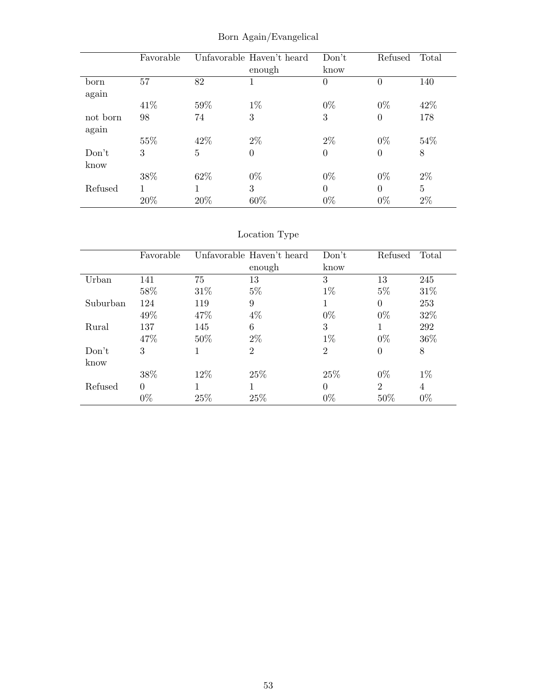|          | Favorable |      | Unfavorable Haven't heard | Don't          | Refused        | Total |
|----------|-----------|------|---------------------------|----------------|----------------|-------|
|          |           |      | enough                    | know           |                |       |
| born     | 57        | 82   | 1                         | $\theta$       | $\overline{0}$ | 140   |
| again    |           |      |                           |                |                |       |
|          | 41\%      | 59%  | $1\%$                     | $0\%$          | $0\%$          | 42\%  |
| not born | 98        | 74   | 3                         | 3              | $\overline{0}$ | 178   |
| again    |           |      |                           |                |                |       |
|          | 55%       | 42\% | $2\%$                     | $2\%$          | $0\%$          | 54\%  |
| Don't    | 3         | 5    | 0                         | $\overline{0}$ | $\theta$       | 8     |
| know     |           |      |                           |                |                |       |
|          | 38%       | 62\% | $0\%$                     | $0\%$          | $0\%$          | $2\%$ |
| Refused  |           |      | 3                         | $\theta$       | $\Omega$       | 5     |
|          | 20%       | 20%  | 60%                       | $0\%$          | $0\%$          | $2\%$ |

Born Again/Evangelical

|          | Favorable |        | Unfavorable Haven't heard | Don't          | Refused        | Total |
|----------|-----------|--------|---------------------------|----------------|----------------|-------|
|          |           |        | enough                    | know           |                |       |
| Urban    | 141       | 75     | 13                        | 3              | 13             | 245   |
|          | 58%       | $31\%$ | $5\%$                     | $1\%$          | $5\%$          | 31\%  |
| Suburban | 124       | 119    | 9                         | 1              | $\Omega$       | 253   |
|          | 49%       | 47\%   | $4\%$                     | $0\%$          | $0\%$          | 32%   |
| Rural    | 137       | 145    | 6                         | 3              |                | 292   |
|          | 47\%      | $50\%$ | $2\%$                     | $1\%$          | $0\%$          | 36%   |
| Don't    | 3         |        | 2                         | $\overline{2}$ | $\overline{0}$ | 8     |
| know     |           |        |                           |                |                |       |
|          | 38%       | 12\%   | 25\%                      | 25\%           | $0\%$          | $1\%$ |
| Refused  | $\Omega$  |        |                           | $\Omega$       | $\overline{2}$ | 4     |
|          | $0\%$     | 25%    | 25%                       | $0\%$          | 50%            | $0\%$ |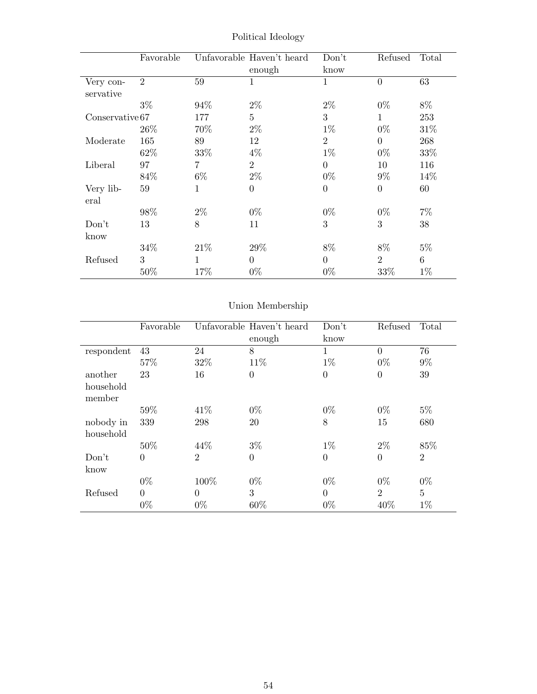|                        | Favorable      |                | Unfavorable Haven't heard<br>enough | Don't<br>know  | Refused        | Total |
|------------------------|----------------|----------------|-------------------------------------|----------------|----------------|-------|
| Very con-<br>servative | $\overline{2}$ | 59             | $\mathbf{1}$                        | $\mathbf 1$    | $\overline{0}$ | 63    |
|                        | $3\%$          | 94%            | $2\%$                               | $2\%$          | $0\%$          | 8%    |
| Conservative 67        |                | 177            | $\overline{5}$                      | 3              | 1              | 253   |
|                        | 26\%           | 70%            | $2\%$                               | $1\%$          | $0\%$          | 31\%  |
| Moderate               | 165            | 89             | 12                                  | $\overline{2}$ | $\Omega$       | 268   |
|                        | 62%            | 33\%           | $4\%$                               | $1\%$          | $0\%$          | 33%   |
| Liberal                | 97             | $\overline{7}$ | $\overline{2}$                      | $\Omega$       | 10             | 116   |
|                        | 84%            | $6\%$          | $2\%$                               | $0\%$          | $9\%$          | 14%   |
| Very lib-<br>eral      | 59             | 1              | $\overline{0}$                      | $\overline{0}$ | $\theta$       | 60    |
|                        | 98%            | $2\%$          | $0\%$                               | $0\%$          | $0\%$          | $7\%$ |
| Don't                  | 13             | 8              | 11                                  | 3              | 3              | 38    |
| know                   |                |                |                                     |                |                |       |
|                        | 34%            | 21\%           | 29%                                 | 8%             | 8%             | $5\%$ |
| Refused                | 3              | $\mathbf{1}$   | $\Omega$                            | $\overline{0}$ | $\overline{2}$ | 6     |
|                        | 50%            | 17%            | $0\%$                               | $0\%$          | 33\%           | $1\%$ |

Political Ideology

|            | Favorable |                | Unfavorable Haven't heard | Don't          | Refused        | Total          |
|------------|-----------|----------------|---------------------------|----------------|----------------|----------------|
|            |           |                | enough                    | know           |                |                |
| respondent | 43        | 24             | 8                         | $\mathbf{1}$   | $\Omega$       | 76             |
|            | 57%       | 32\%           | 11\%                      | $1\%$          | $0\%$          | $9\%$          |
| another    | 23        | 16             | $\overline{0}$            | $\overline{0}$ | $\overline{0}$ | 39             |
| household  |           |                |                           |                |                |                |
| member     |           |                |                           |                |                |                |
|            | 59%       | 41\%           | $0\%$                     | $0\%$          | $0\%$          | $5\%$          |
| nobody in  | 339       | 298            | 20                        | 8              | 15             | 680            |
| household  |           |                |                           |                |                |                |
|            | 50%       | 44%            | $3\%$                     | $1\%$          | $2\%$          | 85%            |
| Don't      | $\theta$  | $\overline{2}$ | $\overline{0}$            | $\overline{0}$ | $\theta$       | $\overline{2}$ |
| know       |           |                |                           |                |                |                |
|            | $0\%$     | 100%           | $0\%$                     | $0\%$          | $0\%$          | $0\%$          |
| Refused    | $\theta$  | $\Omega$       | 3                         | $\theta$       | $\overline{2}$ | $\overline{5}$ |
|            | $0\%$     | $0\%$          | 60%                       | $0\%$          | 40%            | $1\%$          |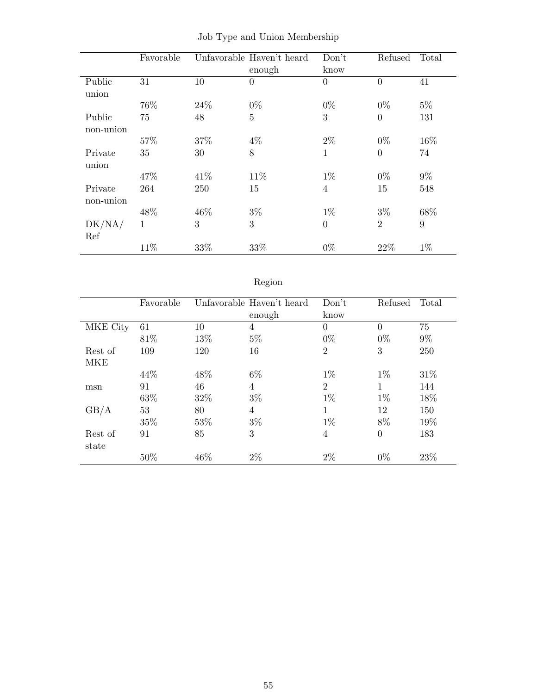|           | Favorable |      | Unfavorable Haven't heard | Don't          | Refused        | Total |
|-----------|-----------|------|---------------------------|----------------|----------------|-------|
|           |           |      | enough                    | know           |                |       |
| Public    | 31        | 10   | $\overline{0}$            | $\theta$       | $\overline{0}$ | 41    |
| union     |           |      |                           |                |                |       |
|           | 76%       | 24\% | $0\%$                     | $0\%$          | $0\%$          | $5\%$ |
| Public    | 75        | 48   | $\overline{5}$            | 3              | $\overline{0}$ | 131   |
| non-union |           |      |                           |                |                |       |
|           | 57%       | 37%  | $4\%$                     | $2\%$          | $0\%$          | 16%   |
| Private   | 35        | 30   | 8                         | 1              | $\overline{0}$ | 74    |
| union     |           |      |                           |                |                |       |
|           | 47\%      | 41\% | 11\%                      | $1\%$          | $0\%$          | $9\%$ |
| Private   | 264       | 250  | 15                        | $\overline{4}$ | 15             | 548   |
| non-union |           |      |                           |                |                |       |
|           | 48%       | 46%  | $3\%$                     | $1\%$          | $3\%$          | 68%   |
| DK/NA/    | 1         | 3    | 3                         | $\Omega$       | $\overline{2}$ | 9     |
| Ref       |           |      |                           |                |                |       |
|           | 11%       | 33%  | 33%                       | $0\%$          | 22\%           | $1\%$ |

|  |  |  |  |  | Job Type and Union Membership |
|--|--|--|--|--|-------------------------------|
|--|--|--|--|--|-------------------------------|

# Region

|            | Favorable |     | Unfavorable Haven't heard<br>enough | Don't<br>know  | Refused      | Total |
|------------|-----------|-----|-------------------------------------|----------------|--------------|-------|
| MKE City   | 61        | 10  | 4                                   | $\overline{0}$ | $\Omega$     | 75    |
|            | 81\%      | 13% | $5\%$                               | $0\%$          | $0\%$        | $9\%$ |
| Rest of    | 109       | 120 | 16                                  | $\overline{2}$ | 3            | 250   |
| <b>MKE</b> |           |     |                                     |                |              |       |
|            | 44\%      | 48% | $6\%$                               | $1\%$          | $1\%$        | 31\%  |
| msn        | 91        | 46  | 4                                   | $\overline{2}$ | $\mathbf{1}$ | 144   |
|            | 63%       | 32% | $3\%$                               | $1\%$          | $1\%$        | 18%   |
| GB/A       | 53        | 80  | 4                                   | 1              | 12           | 150   |
|            | 35%       | 53% | $3\%$                               | $1\%$          | 8%           | 19%   |
| Rest of    | 91        | 85  | 3                                   | 4              | $\Omega$     | 183   |
| state      |           |     |                                     |                |              |       |
|            | 50%       | 46% | $2\%$                               | $2\%$          | $0\%$        | 23%   |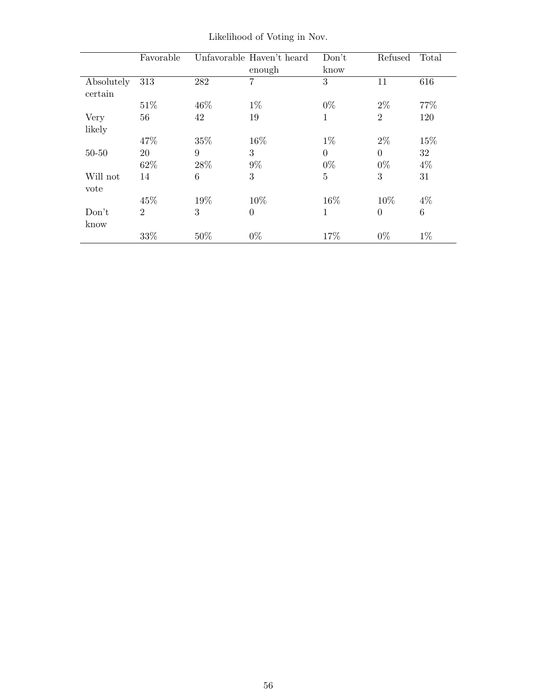|                       | Favorable      |      | Unfavorable Haven't heard<br>enough | Don't<br>know  | Refused        | Total           |
|-----------------------|----------------|------|-------------------------------------|----------------|----------------|-----------------|
| Absolutely<br>certain | 313            | 282  | 7                                   | 3              | 11             | 616             |
|                       | 51\%           | 46\% | $1\%$                               | $0\%$          | $2\%$          | 77\%            |
| Very                  | 56             | 42   | 19                                  | 1              | $\overline{2}$ | 120             |
| likely                |                |      |                                     |                |                |                 |
|                       | 47%            | 35%  | 16%                                 | $1\%$          | $2\%$          | 15%             |
| $50 - 50$             | 20             | 9    | 3                                   | $\theta$       | $\Omega$       | 32              |
|                       | 62%            | 28\% | $9\%$                               | $0\%$          | $0\%$          | $4\%$           |
| Will not              | 14             | 6    | 3                                   | $\overline{5}$ | 3              | 31              |
| vote                  |                |      |                                     |                |                |                 |
|                       | 45%            | 19%  | 10%                                 | 16%            | 10%            | $4\%$           |
| Don't<br>know         | $\overline{2}$ | 3    | $\Omega$                            | 1              | $\theta$       | $6\phantom{.}6$ |
|                       | 33%            | 50%  | $0\%$                               | 17%            | $0\%$          | $1\%$           |

Likelihood of Voting in Nov.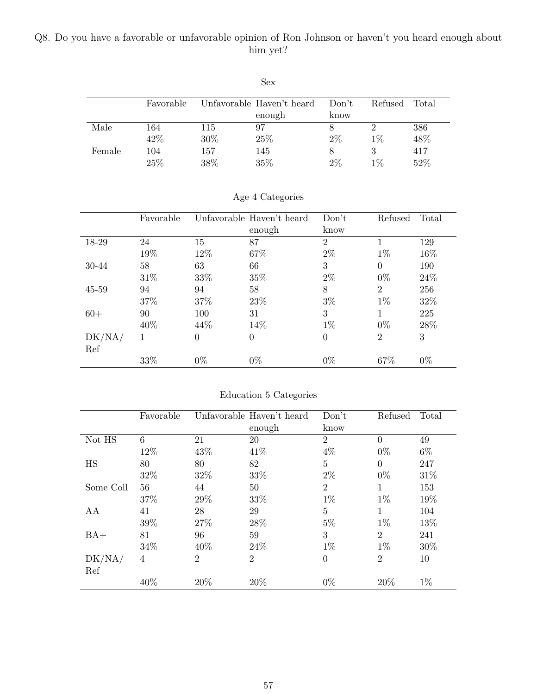## Q8. Do you have a favorable or unfavorable opinion of Ron Johnson or haven't you heard enough about him yet?

|        |           |      | Sex                       |       |         |       |
|--------|-----------|------|---------------------------|-------|---------|-------|
|        | Favorable |      | Unfavorable Haven't heard | Don't | Refused | Total |
|        |           |      | enough                    | know  |         |       |
| Male   | 164       | 115  | 97                        | 8     |         | 386   |
|        | 42%       | 30%  | 25%                       | $2\%$ | $1\%$   | 48%   |
| Female | 104       | 157  | 145                       | 8     | 3       | 417   |
|        | 25%       | 38\% | 35%                       | 2%    | $1\%$   | 52%   |

|           | Favorable |          | Unfavorable Haven't heard | Don't          | Refused        | Total  |
|-----------|-----------|----------|---------------------------|----------------|----------------|--------|
|           |           |          | enough                    | know           |                |        |
| 18-29     | 24        | 15       | 87                        | $\overline{2}$ |                | 129    |
|           | 19%       | 12%      | 67%                       | $2\%$          | $1\%$          | 16%    |
| 30-44     | 58        | 63       | 66                        | 3              | $\theta$       | 190    |
|           | 31\%      | 33\%     | 35%                       | $2\%$          | $0\%$          | 24\%   |
| $45 - 59$ | 94        | 94       | 58                        | 8              | $\overline{2}$ | 256    |
|           | 37%       | 37%      | 23\%                      | $3\%$          | $1\%$          | $32\%$ |
| $60+$     | 90        | 100      | 31                        | 3              |                | 225    |
|           | 40\%      | 44\%     | 14\%                      | $1\%$          | $0\%$          | 28\%   |
| DK/NA/    | 1         | $\Omega$ | $\theta$                  | $\overline{0}$ | $\overline{2}$ | 3      |
| Ref       |           |          |                           |                |                |        |
|           | 33%       | $0\%$    | $0\%$                     | $0\%$          | 67%            | $0\%$  |

Age 4 Categories

| Education 5 Categories |  |  |
|------------------------|--|--|
|                        |  |  |

|           | Favorable |                | Unfavorable Haven't heard | Don't          | Refused        | Total |
|-----------|-----------|----------------|---------------------------|----------------|----------------|-------|
|           |           |                | enough                    | know           |                |       |
| Not HS    | 6         | 21             | 20                        | 2              | $\theta$       | 49    |
|           | 12%       | 43%            | 41\%                      | $4\%$          | $0\%$          | $6\%$ |
| HS        | 80        | 80             | 82                        | 5              | $\Omega$       | 247   |
|           | 32%       | 32%            | 33%                       | $2\%$          | $0\%$          | 31%   |
| Some Coll | 56        | 44             | 50                        | $\overline{2}$ | 1              | 153   |
|           | 37%       | 29%            | 33%                       | $1\%$          | $1\%$          | 19%   |
| AA        | 41        | 28             | 29                        | $\overline{5}$ | 1              | 104   |
|           | 39%       | 27%            | 28%                       | $5\%$          | $1\%$          | 13%   |
| $BA+$     | 81        | 96             | 59                        | 3              | $\overline{2}$ | 241   |
|           | 34\%      | 40%            | 24\%                      | $1\%$          | $1\%$          | 30%   |
| DK/NA/    | 4         | $\overline{2}$ | $\overline{2}$            | $\theta$       | $\overline{2}$ | 10    |
| Ref       |           |                |                           |                |                |       |
|           | 40%       | 20%            | 20%                       | $0\%$          | 20%            | $1\%$ |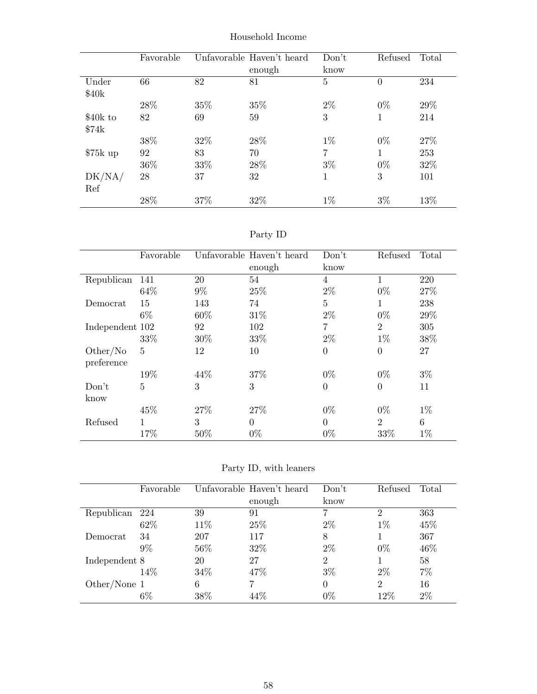|           | Favorable |     | Unfavorable Haven't heard | Don't          | Refused  | Total |
|-----------|-----------|-----|---------------------------|----------------|----------|-------|
|           |           |     | enough                    | know           |          |       |
| Under     | 66        | 82  | 81                        | $\overline{5}$ | $\theta$ | 234   |
| \$40k     |           |     |                           |                |          |       |
|           | 28\%      | 35% | 35%                       | $2\%$          | $0\%$    | 29%   |
| \$40k to  | 82        | 69  | 59                        | 3              | 1        | 214   |
| \$74k     |           |     |                           |                |          |       |
|           | 38%       | 32% | 28\%                      | $1\%$          | $0\%$    | 27%   |
| $$75k$ up | 92        | 83  | 70                        | 7              | 1        | 253   |
|           | 36%       | 33% | 28%                       | $3\%$          | $0\%$    | 32%   |
| DK/NA/    | 28        | 37  | 32                        | 1              | 3        | 101   |
| Ref       |           |     |                           |                |          |       |
|           | 28\%      | 37% | 32%                       | $1\%$          | $3\%$    | 13%   |

Household Income

| эrт<br>v |
|----------|
|----------|

|                 | Favorable      |       | Unfavorable Haven't heard | Don't.         | Refused        | Total |
|-----------------|----------------|-------|---------------------------|----------------|----------------|-------|
|                 |                |       | enough                    | know           |                |       |
| Republican      | 141            | 20    | 54                        | 4              |                | 220   |
|                 | 64\%           | $9\%$ | 25%                       | $2\%$          | $0\%$          | 27%   |
| Democrat        | 15             | 143   | 74                        | 5              | 1              | 238   |
|                 | $6\%$          | 60%   | 31\%                      | $2\%$          | $0\%$          | 29%   |
| Independent 102 |                | 92    | 102                       | 7              | $\overline{2}$ | 305   |
|                 | 33%            | 30\%  | 33%                       | $2\%$          | $1\%$          | 38%   |
| Other/No        | 5              | 12    | 10                        | $\overline{0}$ | $\theta$       | 27    |
| preference      | 19%            | 44\%  | 37%                       | $0\%$          | $0\%$          | $3\%$ |
| Don't           | $\overline{5}$ | 3     | 3                         | $\overline{0}$ | $\theta$       | 11    |
| know            |                |       |                           |                |                |       |
|                 | 45%            | 27\%  | 27\%                      | $0\%$          | $0\%$          | $1\%$ |
| Refused         |                | 3     | $\Omega$                  | $\theta$       | $\overline{2}$ | 6     |
|                 | 17%            | 50%   | $0\%$                     | $0\%$          | 33%            | $1\%$ |

Party ID, with leaners

|                | Favorable |      | Unfavorable Haven't heard | Don't          | Refused        | Total |
|----------------|-----------|------|---------------------------|----------------|----------------|-------|
|                |           |      | enough                    | know           |                |       |
| Republican 224 |           | 39   | 91                        |                | $\overline{2}$ | 363   |
|                | 62\%      | 11\% | 25\%                      | $2\%$          | $1\%$          | 45%   |
| Democrat       | 34        | 207  | 117                       | 8              |                | 367   |
|                | $9\%$     | 56%  | 32%                       | $2\%$          | $0\%$          | 46%   |
| Independent 8  |           | 20   | 27                        | $\overline{2}$ |                | 58    |
|                | 14%       | 34\% | 47\%                      | $3\%$          | $2\%$          | 7%    |
| Other/None $1$ |           | 6    |                           | $\Omega$       | $\overline{2}$ | 16    |
|                | $6\%$     | 38%  | $44\%$                    | $0\%$          | 12%            | 2%    |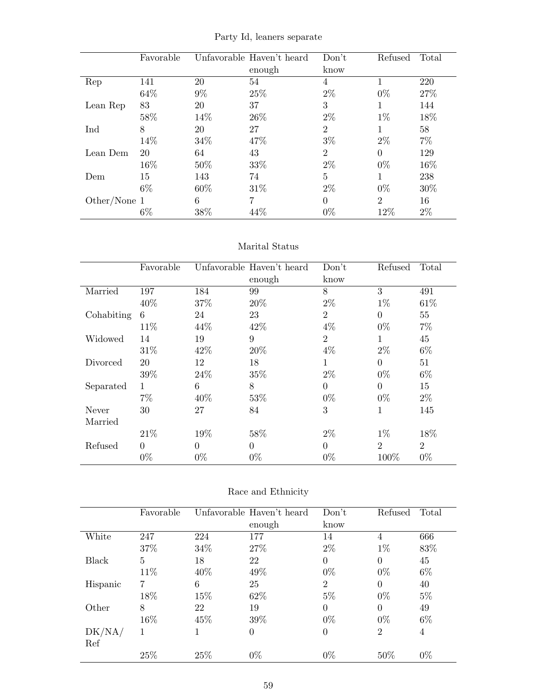|              | Favorable |       | Unfavorable Haven't heard<br>enough | Don't<br>know  | Refused        | Total |
|--------------|-----------|-------|-------------------------------------|----------------|----------------|-------|
| Rep          | 141       | 20    | 54                                  | 4              |                | 220   |
|              | 64%       | $9\%$ | 25%                                 | $2\%$          | $0\%$          | 27%   |
| Lean Rep     | 83        | 20    | 37                                  | 3              |                | 144   |
|              | 58%       | 14\%  | 26\%                                | $2\%$          | $1\%$          | 18%   |
| Ind          | 8         | 20    | 27                                  | $\overline{2}$ |                | 58    |
|              | 14%       | 34%   | 47%                                 | $3\%$          | $2\%$          | $7\%$ |
| Lean Dem     | 20        | 64    | 43                                  | $\overline{2}$ | $\Omega$       | 129   |
|              | 16%       | 50%   | 33\%                                | $2\%$          | $0\%$          | 16%   |
| Dem          | 15        | 143   | 74                                  | 5              |                | 238   |
|              | $6\%$     | 60%   | 31\%                                | $2\%$          | $0\%$          | 30\%  |
| Other/None 1 |           | 6     | 7                                   | $\Omega$       | $\overline{2}$ | 16    |
|              | $6\%$     | 38%   | 44%                                 | $0\%$          | 12%            | $2\%$ |

Party Id, leaners separate

### Marital Status

|            | Favorable |       | Unfavorable Haven't heard | Don't          | Refused        | Total          |
|------------|-----------|-------|---------------------------|----------------|----------------|----------------|
|            |           |       | enough                    | know           |                |                |
| Married    | 197       | 184   | 99                        | 8              | 3              | 491            |
|            | 40%       | 37%   | 20%                       | $2\%$          | $1\%$          | 61\%           |
| Cohabiting | 6         | 24    | 23                        | $\overline{2}$ | $\Omega$       | 55             |
|            | 11\%      | 44%   | 42\%                      | $4\%$          | $0\%$          | $7\%$          |
| Widowed    | 14        | 19    | 9                         | $\overline{2}$ | 1              | 45             |
|            | 31%       | 42\%  | 20%                       | $4\%$          | $2\%$          | $6\%$          |
| Divorced   | 20        | 12    | 18                        | $\mathbf 1$    | $\overline{0}$ | 51             |
|            | 39%       | 24\%  | 35%                       | $2\%$          | $0\%$          | $6\%$          |
| Separated  | 1         | 6     | 8                         | $\Omega$       | $\theta$       | 15             |
|            | $7\%$     | 40%   | 53%                       | $0\%$          | $0\%$          | $2\%$          |
| Never      | 30        | 27    | 84                        | 3              | 1              | 145            |
| Married    |           |       |                           |                |                |                |
|            | 21\%      | 19%   | 58%                       | $2\%$          | $1\%$          | 18%            |
| Refused    | $\theta$  | 0     | $\Omega$                  | $\Omega$       | $\overline{2}$ | $\overline{2}$ |
|            | $0\%$     | $0\%$ | $0\%$                     | $0\%$          | 100%           | $0\%$          |

| Race and Ethnicity |  |
|--------------------|--|
|--------------------|--|

|          | Favorable |      | Unfavorable Haven't heard | Don't          | Refused        | Total |
|----------|-----------|------|---------------------------|----------------|----------------|-------|
|          |           |      | enough                    | know           |                |       |
| White    | 247       | 224  | 177                       | 14             | 4              | 666   |
|          | 37%       | 34\% | 27%                       | $2\%$          | $1\%$          | 83%   |
| Black    | 5         | 18   | 22                        | $\theta$       | $\theta$       | 45    |
|          | 11%       | 40\% | 49%                       | $0\%$          | $0\%$          | $6\%$ |
| Hispanic | 7         | 6    | 25                        | $\overline{2}$ | $\theta$       | 40    |
|          | 18%       | 15%  | 62\%                      | $5\%$          | $0\%$          | $5\%$ |
| Other    | 8         | 22   | 19                        | $\theta$       | $\theta$       | 49    |
|          | 16%       | 45\% | 39%                       | $0\%$          | $0\%$          | $6\%$ |
| DK/NA/   | 1         |      | 0                         | $\theta$       | $\overline{2}$ | 4     |
| Ref      |           |      |                           |                |                |       |
|          | 25%       | 25%  | $0\%$                     | $0\%$          | 50%            | $0\%$ |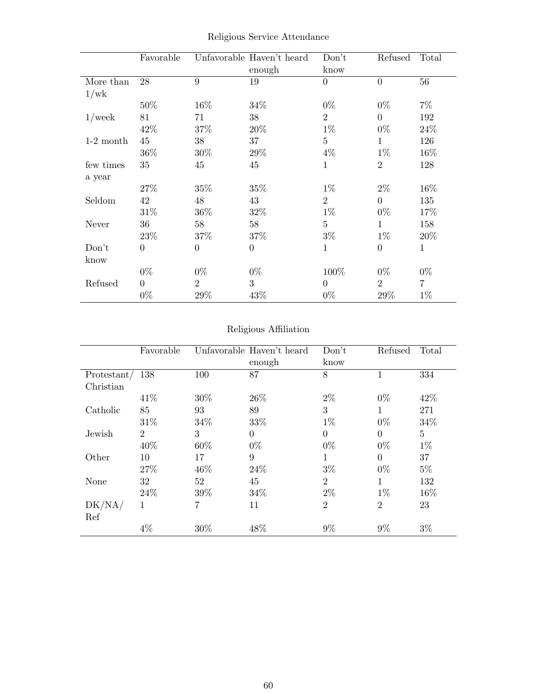|             | Favorable      |                | Unfavorable Haven't heard<br>enough | Don't<br>know  | Refused        | Total          |
|-------------|----------------|----------------|-------------------------------------|----------------|----------------|----------------|
| More than   | 28             | 9              | 19                                  | $\theta$       | $\overline{0}$ | 56             |
| 1/wk        |                |                |                                     |                |                |                |
|             | 50%            | 16%            | 34\%                                | $0\%$          | $0\%$          | $7\%$          |
| $1$ /week   | 81             | 71             | 38                                  | $\overline{2}$ | $\overline{0}$ | 192            |
|             | 42%            | 37%            | 20%                                 | $1\%$          | $0\%$          | 24%            |
| $1-2$ month | 45             | 38             | 37                                  | 5              | $\mathbf{1}$   | 126            |
|             | 36%            | 30%            | 29%                                 | $4\%$          | $1\%$          | 16%            |
| few times   | 35             | 45             | 45                                  | $\mathbf{1}$   | $\overline{2}$ | 128            |
| a year      |                |                |                                     |                |                |                |
|             | 27%            | 35%            | $35\%$                              | $1\%$          | $2\%$          | 16%            |
| Seldom      | 42             | 48             | 43                                  | $\overline{2}$ | $\theta$       | 135            |
|             | 31%            | 36%            | 32%                                 | $1\%$          | $0\%$          | 17%            |
| Never       | 36             | 58             | 58                                  | $\overline{5}$ | $\mathbf{1}$   | 158            |
|             | 23%            | 37%            | 37\%                                | $3\%$          | $1\%$          | 20%            |
| Don't       | $\overline{0}$ | $\theta$       | $\theta$                            | $\mathbf{1}$   | $\theta$       | $\mathbf{1}$   |
| know        |                |                |                                     |                |                |                |
|             | $0\%$          | $0\%$          | $0\%$                               | 100%           | $0\%$          | $0\%$          |
| Refused     | $\overline{0}$ | $\overline{2}$ | 3                                   | $\overline{0}$ | $\overline{2}$ | $\overline{7}$ |
|             | $0\%$          | 29%            | 43%                                 | $0\%$          | 29%            | $1\%$          |

Religious Service Attendance

## Religious Affiliation

|             | Favorable      |      | Unfavorable Haven't heard | Don't          | Refused        | Total |
|-------------|----------------|------|---------------------------|----------------|----------------|-------|
|             |                |      | enough                    | know           |                |       |
| Protestant/ | 138            | 100  | 87                        | 8              |                | 334   |
| Christian   |                |      |                           |                |                |       |
|             | 41\%           | 30%  | 26\%                      | $2\%$          | $0\%$          | 42\%  |
| Catholic    | 85             | 93   | 89                        | 3              | 1              | 271   |
|             | 31\%           | 34\% | 33%                       | $1\%$          | $0\%$          | 34%   |
| Jewish      | $\overline{2}$ | 3    | $\Omega$                  | $\overline{0}$ | $\Omega$       | 5     |
|             | 40%            | 60%  | $0\%$                     | $0\%$          | $0\%$          | $1\%$ |
| Other       | 10             | 17   | 9                         | 1              | $\Omega$       | 37    |
|             | 27%            | 46%  | 24\%                      | $3\%$          | $0\%$          | $5\%$ |
| None        | 32             | 52   | 45                        | $\overline{2}$ | 1              | 132   |
|             | 24\%           | 39%  | 34%                       | $2\%$          | $1\%$          | 16%   |
| DK/NA/      | 1              | 7    | 11                        | $\overline{2}$ | $\overline{2}$ | 23    |
| Ref         |                |      |                           |                |                |       |
|             | $4\%$          | 30%  | 48%                       | $9\%$          | $9\%$          | $3\%$ |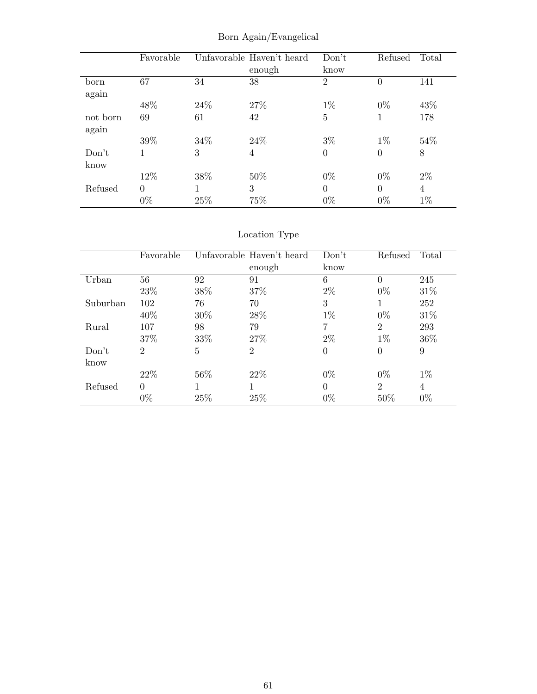|          | Favorable |      | Unfavorable Haven't heard | Don't          | Refused        | Total |
|----------|-----------|------|---------------------------|----------------|----------------|-------|
|          |           |      | enough                    | know           |                |       |
| born     | 67        | 34   | 38                        | $\overline{2}$ | $\overline{0}$ | 141   |
| again    |           |      |                           |                |                |       |
|          | 48%       | 24\% | 27%                       | $1\%$          | $0\%$          | 43\%  |
| not born | 69        | 61   | 42                        | $\overline{5}$ |                | 178   |
| again    |           |      |                           |                |                |       |
|          | 39%       | 34%  | 24\%                      | $3\%$          | $1\%$          | 54\%  |
| Don't    | 1         | 3    | 4                         | $\overline{0}$ | $\theta$       | 8     |
| know     |           |      |                           |                |                |       |
|          | 12%       | 38%  | 50%                       | $0\%$          | $0\%$          | $2\%$ |
| Refused  | $\theta$  |      | 3                         | $\theta$       | $\Omega$       | 4     |
|          | $0\%$     | 25%  | 75%                       | $0\%$          | $0\%$          | $1\%$ |

Born Again/Evangelical

|          | Favorable      |        | Unfavorable Haven't heard | Don't    | Refused        | Total |
|----------|----------------|--------|---------------------------|----------|----------------|-------|
|          |                |        | enough                    | know     |                |       |
| Urban    | 56             | 92     | 91                        | 6        | $\theta$       | 245   |
|          | 23%            | 38\%   | 37\%                      | $2\%$    | $0\%$          | 31\%  |
| Suburban | 102            | 76     | 70                        | 3        | 1              | 252   |
|          | 40\%           | $30\%$ | $28\%$                    | $1\%$    | $0\%$          | 31\%  |
| Rural    | 107            | 98     | 79                        | 7        | $\overline{2}$ | 293   |
|          | 37%            | 33\%   | 27\%                      | $2\%$    | $1\%$          | 36\%  |
| Don't    | $\overline{2}$ | 5      | $\overline{2}$            | $\theta$ | $\overline{0}$ | 9     |
| know     |                |        |                           |          |                |       |
|          | 22\%           | 56\%   | 22\%                      | $0\%$    | $0\%$          | $1\%$ |
| Refused  | $\theta$       |        |                           | $\Omega$ | $\overline{2}$ | 4     |
|          | $0\%$          | 25%    | 25%                       | $0\%$    | 50%            | $0\%$ |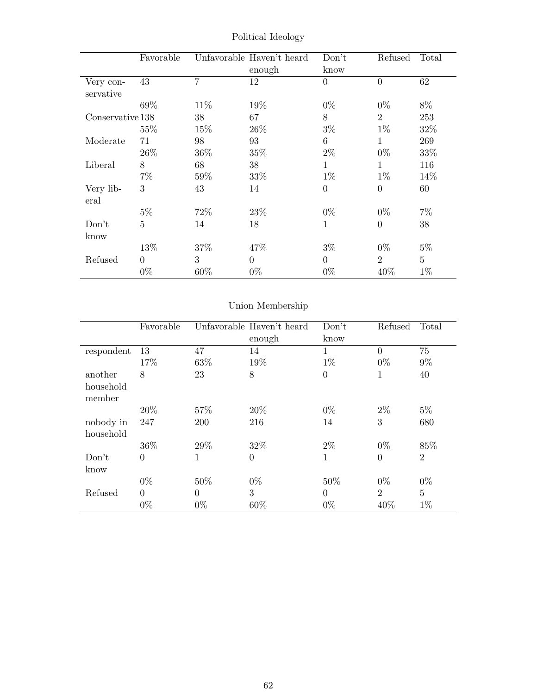|                        | Favorable      |        | Unfavorable Haven't heard<br>enough | Don't<br>know  | Refused        | Total          |
|------------------------|----------------|--------|-------------------------------------|----------------|----------------|----------------|
| Very con-<br>servative | 43             | 7      | 12                                  | $\overline{0}$ | $\overline{0}$ | 62             |
|                        | 69%            | 11\%   | 19%                                 | $0\%$          | $0\%$          | 8%             |
| Conservative 138       |                | 38     | 67                                  | 8              | $\overline{2}$ | 253            |
|                        | 55%            | 15%    | 26\%                                | $3\%$          | $1\%$          | 32%            |
| Moderate               | 71             | 98     | 93                                  | 6              | $\mathbf{1}$   | 269            |
|                        | 26\%           | $36\%$ | $35\%$                              | $2\%$          | $0\%$          | 33%            |
| Liberal                | 8              | 68     | 38                                  | 1              | $\mathbf{1}$   | 116            |
|                        | $7\%$          | 59%    | 33%                                 | $1\%$          | $1\%$          | 14\%           |
| Very lib-<br>eral      | 3              | 43     | 14                                  | $\overline{0}$ | $\theta$       | 60             |
|                        | $5\%$          | 72\%   | 23\%                                | $0\%$          | $0\%$          | $7\%$          |
| Don't                  | $\overline{5}$ | 14     | 18                                  | $\mathbf{1}$   | $\overline{0}$ | 38             |
| know                   |                |        |                                     |                |                |                |
|                        | 13%            | 37\%   | 47\%                                | $3\%$          | $0\%$          | $5\%$          |
| Refused                | $\Omega$       | 3      | $\Omega$                            | $\theta$       | $\overline{2}$ | $\overline{5}$ |
|                        | $0\%$          | $60\%$ | $0\%$                               | $0\%$          | 40\%           | $1\%$          |

Political Ideology

|                     | Favorable |            | Unfavorable Haven't heard | Don't    | Refused        | Total          |
|---------------------|-----------|------------|---------------------------|----------|----------------|----------------|
|                     |           |            | enough                    | know     |                |                |
| respondent          | 13        | 47         | 14                        | 1        | $\overline{0}$ | 75             |
|                     | 17%       | 63%        | 19%                       | $1\%$    | $0\%$          | $9\%$          |
| another             | 8         | 23         | 8                         | $\theta$ | 1              | 40             |
| household<br>member |           |            |                           |          |                |                |
|                     | 20%       | 57\%       | 20%                       | $0\%$    | $2\%$          | $5\%$          |
| nobody in           | 247       | <b>200</b> | 216                       | 14       | 3              | 680            |
| household           |           |            |                           |          |                |                |
|                     | 36\%      | 29%        | 32%                       | $2\%$    | $0\%$          | 85%            |
| Don't               | $\theta$  | 1          | $\theta$                  | 1        | $\Omega$       | $\overline{2}$ |
| know                |           |            |                           |          |                |                |
|                     | $0\%$     | 50%        | $0\%$                     | 50%      | $0\%$          | $0\%$          |
| Refused             | $\Omega$  | $\Omega$   | 3                         | $\Omega$ | $\overline{2}$ | $\overline{5}$ |
|                     | $0\%$     | $0\%$      | 60%                       | $0\%$    | 40%            | $1\%$          |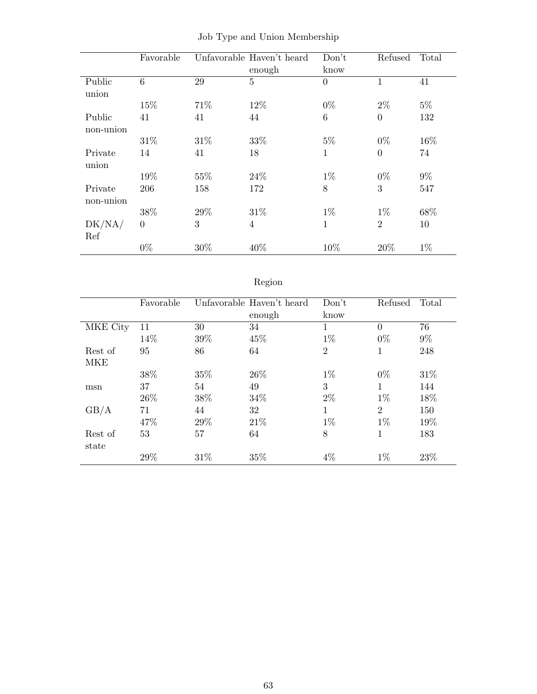|           | Favorable |      | Unfavorable Haven't heard | Don't           | Refused        | Total |
|-----------|-----------|------|---------------------------|-----------------|----------------|-------|
|           |           |      | enough                    | know            |                |       |
| Public    | 6         | 29   | $\overline{5}$            | $\theta$        | $\mathbf{1}$   | 41    |
| union     |           |      |                           |                 |                |       |
|           | 15%       | 71%  | 12%                       | $0\%$           | $2\%$          | $5\%$ |
| Public    | 41        | 41   | 44                        | $6\phantom{.}6$ | $\overline{0}$ | 132   |
| non-union |           |      |                           |                 |                |       |
|           | 31\%      | 31\% | 33%                       | $5\%$           | $0\%$          | 16%   |
| Private   | 14        | 41   | 18                        | 1               | $\overline{0}$ | 74    |
| union     |           |      |                           |                 |                |       |
|           | 19%       | 55%  | 24\%                      | $1\%$           | $0\%$          | $9\%$ |
| Private   | 206       | 158  | 172                       | 8               | 3              | 547   |
| non-union |           |      |                           |                 |                |       |
|           | 38%       | 29%  | 31\%                      | $1\%$           | $1\%$          | 68%   |
| DK/NA/    | $\theta$  | 3    | $\overline{4}$            | $\mathbf{1}$    | $\overline{2}$ | 10    |
| Ref       |           |      |                           |                 |                |       |
|           | $0\%$     | 30%  | 40%                       | 10%             | 20%            | $1\%$ |

|  |  |  |  |  | Job Type and Union Membership |
|--|--|--|--|--|-------------------------------|
|--|--|--|--|--|-------------------------------|

# Region

|            | Favorable |      | Unfavorable Haven't heard<br>enough | Don't<br>know  | Refused        | Total |
|------------|-----------|------|-------------------------------------|----------------|----------------|-------|
| MKE City   | 11        | 30   | 34                                  | 1              | $\Omega$       | 76    |
|            | 14%       | 39%  | 45%                                 | $1\%$          | $0\%$          | $9\%$ |
| Rest of    | 95        | 86   | 64                                  | $\overline{2}$ | 1              | 248   |
| <b>MKE</b> |           |      |                                     |                |                |       |
|            | 38%       | 35%  | 26\%                                | $1\%$          | $0\%$          | 31\%  |
| msn        | 37        | 54   | 49                                  | 3              | $\mathbf{1}$   | 144   |
|            | 26\%      | 38\% | 34\%                                | $2\%$          | $1\%$          | 18%   |
| GB/A       | 71        | 44   | 32                                  | 1              | $\overline{2}$ | 150   |
|            | 47%       | 29%  | 21\%                                | $1\%$          | $1\%$          | 19%   |
| Rest of    | 53        | 57   | 64                                  | 8              | 1              | 183   |
| state      |           |      |                                     |                |                |       |
|            | 29%       | 31%  | 35%                                 | $4\%$          | $1\%$          | 23%   |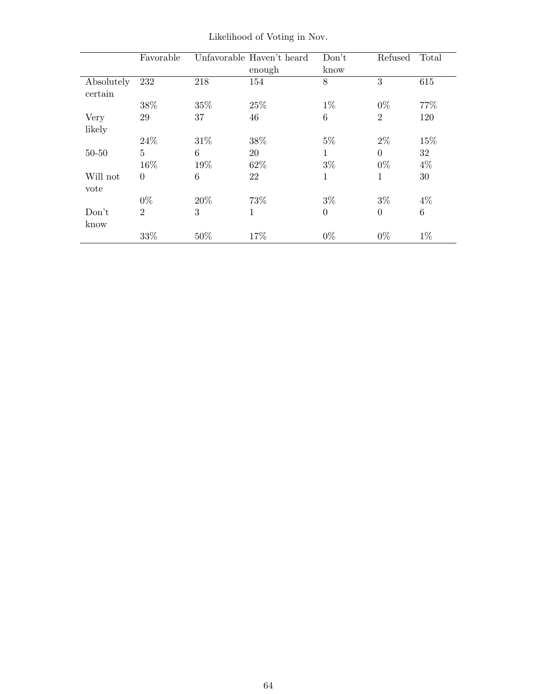|                       | Favorable      |      | Unfavorable Haven't heard | Don't          | Refused        | Total           |
|-----------------------|----------------|------|---------------------------|----------------|----------------|-----------------|
|                       |                |      | enough                    | know           |                |                 |
| Absolutely<br>certain | 232            | 218  | 154                       | 8              | 3              | 615             |
|                       | 38%            | 35%  | 25%                       | $1\%$          | $0\%$          | 77\%            |
| Very                  | 29             | 37   | 46                        | 6              | $\overline{2}$ | 120             |
| likely                |                |      |                           |                |                |                 |
|                       | 24\%           | 31\% | 38%                       | $5\%$          | $2\%$          | 15%             |
| $50 - 50$             | $\overline{5}$ | 6    | 20                        | 1              | $\Omega$       | 32              |
|                       | 16%            | 19%  | 62%                       | $3\%$          | $0\%$          | $4\%$           |
| Will not<br>vote      | $\theta$       | 6    | 22                        | 1              | 1              | 30              |
|                       | $0\%$          | 20%  | 73%                       | $3\%$          | $3\%$          | $4\%$           |
| Don't<br>know         | $\overline{2}$ | 3    | 1                         | $\overline{0}$ | $\overline{0}$ | $6\phantom{.}6$ |
|                       | 33%            | 50%  | 17\%                      | $0\%$          | $0\%$          | $1\%$           |

Likelihood of Voting in Nov.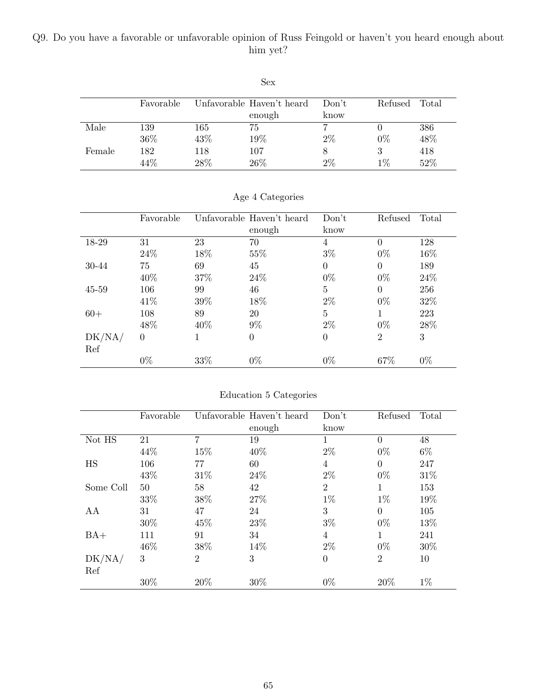### Q9. Do you have a favorable or unfavorable opinion of Russ Feingold or haven't you heard enough about him yet?

|        |           |      | NUA.                      |       |         |       |
|--------|-----------|------|---------------------------|-------|---------|-------|
|        |           |      |                           |       |         |       |
|        | Favorable |      | Unfavorable Haven't heard | Don't | Refused | Total |
|        |           |      | enough                    | know  |         |       |
| Male   | 139       | 165  | 75                        |       |         | 386   |
|        | 36%       | 43%  | 19%                       | $2\%$ | $0\%$   | 48%   |
| Female | 182       | 118  | 107                       |       | 3       | 418   |
|        | 44%       | 28\% | 26\%                      | $2\%$ | $1\%$   | 52%   |
|        |           |      |                           |       |         |       |

Sex

|           | Favorable |      | Unfavorable Haven't heard | Don't          | Refused        | Total |
|-----------|-----------|------|---------------------------|----------------|----------------|-------|
|           |           |      | enough                    | know           |                |       |
| 18-29     | 31        | 23   | 70                        | 4              | $\theta$       | 128   |
|           | 24\%      | 18%  | 55%                       | $3\%$          | $0\%$          | 16%   |
| 30-44     | 75        | 69   | 45                        | $\overline{0}$ | $\theta$       | 189   |
|           | 40\%      | 37%  | 24\%                      | $0\%$          | $0\%$          | 24\%  |
| $45 - 59$ | 106       | 99   | 46                        | $\overline{5}$ | $\theta$       | 256   |
|           | 41\%      | 39%  | 18%                       | $2\%$          | $0\%$          | 32\%  |
| $60+$     | 108       | 89   | 20                        | 5              |                | 223   |
|           | 48\%      | 40\% | $9\%$                     | $2\%$          | $0\%$          | 28\%  |
| DK/NA/    | $\theta$  | 1    | $\theta$                  | $\overline{0}$ | $\overline{2}$ | 3     |
| Ref       |           |      |                           |                |                |       |
|           | $0\%$     | 33%  | $0\%$                     | $0\%$          | 67%            | $0\%$ |

Age 4 Categories

Education 5 Categories

|           | Favorable |                | Unfavorable Haven't heard | Don't          | Refused        | Total |
|-----------|-----------|----------------|---------------------------|----------------|----------------|-------|
|           |           |                | enough                    | know           |                |       |
| Not HS    | 21        | 7              | 19                        | 1              | $\Omega$       | 48    |
|           | 44%       | 15%            | 40%                       | $2\%$          | $0\%$          | $6\%$ |
| HS        | 106       | 77             | 60                        | $\overline{4}$ | $\Omega$       | 247   |
|           | 43%       | 31%            | 24%                       | $2\%$          | $0\%$          | 31%   |
| Some Coll | 50        | 58             | 42                        | $\overline{2}$ | 1              | 153   |
|           | 33%       | 38%            | 27%                       | $1\%$          | $1\%$          | 19%   |
| AA        | 31        | 47             | 24                        | 3              | $\Omega$       | 105   |
|           | 30%       | 45%            | 23%                       | $3\%$          | $0\%$          | 13%   |
| $BA+$     | 111       | 91             | 34                        | $\overline{4}$ | 1              | 241   |
|           | 46\%      | 38%            | 14%                       | $2\%$          | $0\%$          | 30%   |
| DK/NA/    | 3         | $\overline{2}$ | 3                         | $\Omega$       | $\overline{2}$ | 10    |
| Ref       |           |                |                           |                |                |       |
|           | 30%       | 20%            | 30%                       | $0\%$          | 20%            | $1\%$ |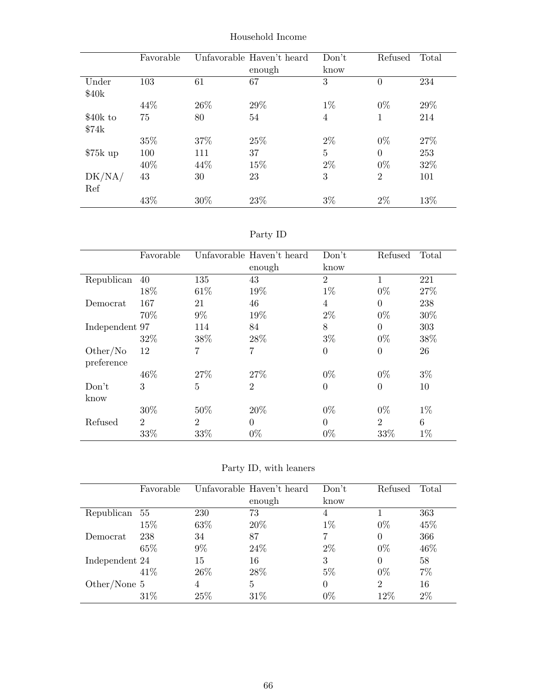|           | Favorable |      | Unfavorable Haven't heard | Don't          | Refused        | Total |
|-----------|-----------|------|---------------------------|----------------|----------------|-------|
|           |           |      | enough                    | know           |                |       |
| Under     | 103       | 61   | 67                        | 3              | $\overline{0}$ | 234   |
| \$40k     |           |      |                           |                |                |       |
|           | 44\%      | 26\% | 29%                       | $1\%$          | $0\%$          | 29%   |
| \$40k to  | 75        | 80   | 54                        | $\overline{4}$ | 1              | 214   |
| \$74k     |           |      |                           |                |                |       |
|           | 35%       | 37\% | 25%                       | $2\%$          | $0\%$          | 27\%  |
| $$75k$ up | 100       | 111  | 37                        | 5              | $\theta$       | 253   |
|           | 40\%      | 44\% | 15%                       | $2\%$          | $0\%$          | 32%   |
| DK/NA/    | 43        | 30   | 23                        | 3              | $\overline{2}$ | 101   |
| Ref       |           |      |                           |                |                |       |
|           | 43\%      | 30%  | 23%                       | $3\%$          | 2%             | 13%   |

Household Income

| эrт<br>v |
|----------|
|----------|

|                | Favorable      |                | Unfavorable Haven't heard | Don't          | Refused        | Total |
|----------------|----------------|----------------|---------------------------|----------------|----------------|-------|
|                |                |                | enough                    | know           |                |       |
| Republican     | 40             | 135            | 43                        | $\overline{2}$ | 1              | 221   |
|                | 18%            | 61\%           | 19%                       | $1\%$          | $0\%$          | 27\%  |
| Democrat       | 167            | 21             | 46                        | 4              | $\theta$       | 238   |
|                | 70%            | $9\%$          | 19%                       | $2\%$          | $0\%$          | 30%   |
| Independent 97 |                | 114            | 84                        | 8              | 0              | 303   |
|                | 32\%           | 38%            | 28%                       | $3\%$          | $0\%$          | 38%   |
| Other/No       | 12             | 7              | $\overline{7}$            | $\theta$       | $\theta$       | 26    |
| preference     |                |                |                           |                |                |       |
|                | 46\%           | 27\%           | 27%                       | $0\%$          | $0\%$          | $3\%$ |
| Don't          | 3              | 5              | $\overline{2}$            | $\theta$       | $\overline{0}$ | 10    |
| know           |                |                |                           |                |                |       |
|                | 30%            | 50%            | 20%                       | $0\%$          | $0\%$          | $1\%$ |
| Refused        | $\overline{2}$ | $\overline{2}$ | $\overline{0}$            | $\theta$       | 2              | 6     |
|                | 33%            | 33%            | $0\%$                     | $0\%$          | 33\%           | $1\%$ |

Party ID, with leaners

|                | Favorable |       | Unfavorable Haven't heard | Don't    | Refused        | Total |
|----------------|-----------|-------|---------------------------|----------|----------------|-------|
|                |           |       | enough                    | know     |                |       |
| Republican     | 55        | 230   | 73                        | 4        |                | 363   |
|                | 15%       | 63%   | 20%                       | $1\%$    | $0\%$          | 45%   |
| Democrat       | 238       | 34    | 87                        | 7        | 0              | 366   |
|                | 65%       | $9\%$ | 24\%                      | $2\%$    | $0\%$          | 46%   |
| Independent 24 |           | 15    | 16                        | 3        | $\Omega$       | 58    |
|                | 41\%      | 26\%  | 28\%                      | $5\%$    | $0\%$          | 7%    |
| Other/None $5$ |           | 4     | 5                         | $\theta$ | $\overline{2}$ | 16    |
|                | 31\%      | 25%   | 31\%                      | $0\%$    | 12%            | $2\%$ |
|                |           |       |                           |          |                |       |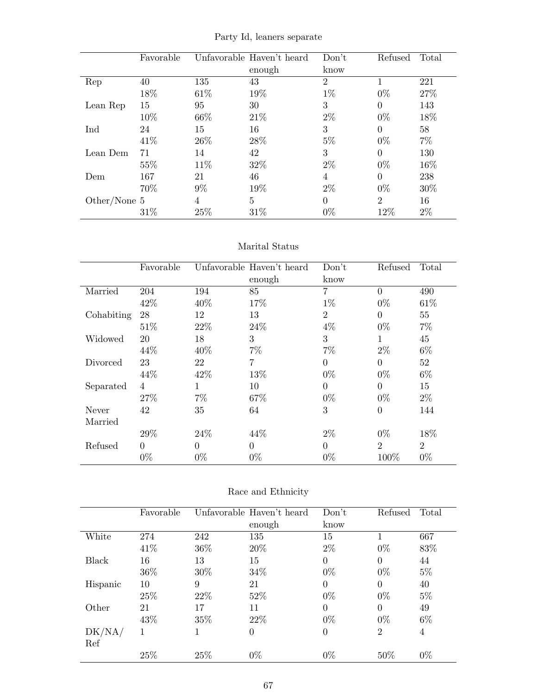|              | Favorable |       | Unfavorable Haven't heard | Don't          | Refused        | Total |
|--------------|-----------|-------|---------------------------|----------------|----------------|-------|
|              |           |       | enough                    | know           |                |       |
| Rep          | 40        | 135   | 43                        | $\mathfrak{D}$ |                | 221   |
|              | 18%       | 61\%  | 19%                       | $1\%$          | $0\%$          | 27\%  |
| Lean Rep     | 15        | 95    | 30                        | 3              | $\overline{0}$ | 143   |
|              | 10%       | 66%   | 21\%                      | $2\%$          | $0\%$          | 18%   |
| Ind          | 24        | 15    | 16                        | 3              | $\Omega$       | 58    |
|              | 41\%      | 26\%  | 28%                       | $5\%$          | $0\%$          | $7\%$ |
| Lean Dem     | 71        | 14    | 42                        | 3              | $\Omega$       | 130   |
|              | 55%       | 11\%  | 32%                       | $2\%$          | $0\%$          | 16%   |
| Dem          | 167       | 21    | 46                        | 4              | 0              | 238   |
|              | 70%       | $9\%$ | 19%                       | $2\%$          | $0\%$          | 30%   |
| Other/None 5 |           | 4     | 5                         | $\Omega$       | $\overline{2}$ | 16    |
|              | 31%       | 25%   | 31%                       | $0\%$          | 12%            | $2\%$ |

Party Id, leaners separate

### Marital Status

|            | Favorable      |          | Unfavorable Haven't heard | Don't          | Refused        | Total          |
|------------|----------------|----------|---------------------------|----------------|----------------|----------------|
|            |                |          | enough                    | know           |                |                |
| Married    | 204            | 194      | 85                        | $\overline{7}$ | $\theta$       | 490            |
|            | 42\%           | 40%      | 17%                       | $1\%$          | $0\%$          | 61\%           |
| Cohabiting | 28             | 12       | 13                        | $\overline{2}$ | $\Omega$       | 55             |
|            | 51%            | 22%      | 24\%                      | $4\%$          | $0\%$          | $7\%$          |
| Widowed    | 20             | 18       | 3                         | 3              | 1              | 45             |
|            | 44%            | 40%      | $7\%$                     | $7\%$          | $2\%$          | $6\%$          |
| Divorced   | 23             | 22       | 7                         | $\Omega$       | $\overline{0}$ | 52             |
|            | 44%            | 42%      | 13%                       | $0\%$          | $0\%$          | $6\%$          |
| Separated  | $\overline{4}$ | 1        | 10                        | $\Omega$       | $\theta$       | 15             |
|            | 27%            | $7\%$    | 67%                       | $0\%$          | $0\%$          | $2\%$          |
| Never      | 42             | 35       | 64                        | 3              | $\theta$       | 144            |
| Married    |                |          |                           |                |                |                |
|            | 29%            | 24\%     | 44%                       | $2\%$          | $0\%$          | 18%            |
| Refused    | $\theta$       | $\Omega$ | $\theta$                  | $\Omega$       | $\overline{2}$ | $\overline{2}$ |
|            | $0\%$          | $0\%$    | $0\%$                     | $0\%$          | 100%           | $0\%$          |

| Race and Ethnicity |  |
|--------------------|--|
|--------------------|--|

|          | Favorable |      | Unfavorable Haven't heard | Don't          | Refused        | Total |
|----------|-----------|------|---------------------------|----------------|----------------|-------|
|          |           |      | enough                    | know           |                |       |
| White    | 274       | 242  | 135                       | 15             |                | 667   |
|          | 41\%      | 36\% | 20%                       | $2\%$          | $0\%$          | 83%   |
| Black    | 16        | 13   | 15                        | $\theta$       | $\theta$       | 44    |
|          | 36\%      | 30\% | 34%                       | $0\%$          | $0\%$          | $5\%$ |
| Hispanic | 10        | 9    | 21                        | $\theta$       | $\theta$       | 40    |
|          | 25%       | 22\% | 52%                       | $0\%$          | $0\%$          | $5\%$ |
| Other    | 21        | 17   | 11                        | $\Omega$       | $\theta$       | 49    |
|          | 43%       | 35%  | 22\%                      | $0\%$          | $0\%$          | $6\%$ |
| DK/NA/   | 1         |      | $\theta$                  | $\overline{0}$ | $\overline{2}$ | 4     |
| Ref      |           |      |                           |                |                |       |
|          | 25%       | 25%  | $0\%$                     | $0\%$          | 50%            | $0\%$ |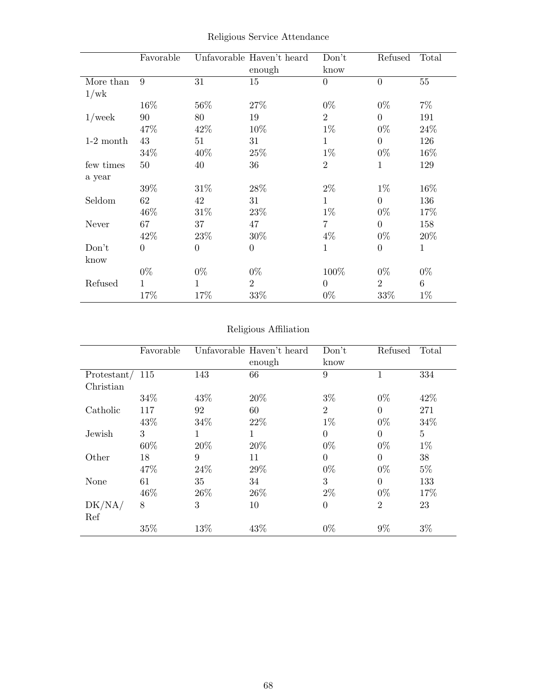|             | Favorable      |                | Unfavorable Haven't heard<br>enough | Don't<br>know  | Refused        | Total        |
|-------------|----------------|----------------|-------------------------------------|----------------|----------------|--------------|
| More than   | 9              | 31             | 15                                  | $\theta$       | $\overline{0}$ | $55\,$       |
| 1/wk        |                |                |                                     |                |                |              |
|             | 16%            | 56%            | 27%                                 | $0\%$          | $0\%$          | $7\%$        |
| $1$ /week   | $90\,$         | 80             | 19                                  | $\overline{2}$ | $\overline{0}$ | 191          |
|             | 47%            | 42\%           | 10%                                 | $1\%$          | $0\%$          | 24\%         |
| $1-2$ month | 43             | 51             | 31                                  | $\mathbf{1}$   | $\overline{0}$ | 126          |
|             | 34%            | 40\%           | 25\%                                | $1\%$          | $0\%$          | $16\%$       |
| few times   | 50             | 40             | 36                                  | $\overline{2}$ | 1              | 129          |
| a year      |                |                |                                     |                |                |              |
|             | 39%            | 31\%           | 28%                                 | $2\%$          | $1\%$          | 16%          |
| Seldom      | 62             | 42             | 31                                  | $\mathbf{1}$   | $\overline{0}$ | 136          |
|             | 46\%           | 31\%           | 23\%                                | $1\%$          | $0\%$          | 17%          |
| Never       | 67             | 37             | 47                                  | $\overline{7}$ | $\overline{0}$ | 158          |
|             | 42\%           | $23\%$         | $30\%$                              | $4\%$          | $0\%$          | 20\%         |
| Don't       | $\overline{0}$ | $\overline{0}$ | $\boldsymbol{0}$                    | 1              | $\overline{0}$ | $\mathbf{1}$ |
| know        |                |                |                                     |                |                |              |
|             | $0\%$          | $0\%$          | $0\%$                               | 100%           | $0\%$          | $0\%$        |
| Refused     | 1              | 1              | $\overline{2}$                      | $\theta$       | $\overline{2}$ | $\,6\,$      |
|             | 17%            | 17%            | 33%                                 | $0\%$          | 33%            | $1\%$        |

Religious Service Attendance

## Religious Affiliation

|               | Favorable |      | Unfavorable Haven't heard | Don't          | Refused        | Total          |
|---------------|-----------|------|---------------------------|----------------|----------------|----------------|
|               |           |      | enough                    | know           |                |                |
| Protestant/   | 115       | 143  | 66                        | 9              |                | 334            |
| Christian     |           |      |                           |                |                |                |
|               | 34\%      | 43\% | 20%                       | $3\%$          | $0\%$          | 42\%           |
| Catholic      | 117       | 92   | 60                        | $\overline{2}$ | $\Omega$       | 271            |
|               | 43\%      | 34\% | 22\%                      | $1\%$          | $0\%$          | 34%            |
| Jewish        | 3         | 1    | $\mathbf 1$               | $\overline{0}$ | $\theta$       | $\overline{5}$ |
|               | 60%       | 20%  | 20%                       | $0\%$          | $0\%$          | $1\%$          |
| Other         | 18        | 9    | 11                        | $\overline{0}$ | $\Omega$       | 38             |
|               | 47%       | 24\% | 29%                       | $0\%$          | $0\%$          | $5\%$          |
| None          | 61        | 35   | 34                        | 3              | $\theta$       | 133            |
|               | 46%       | 26\% | 26\%                      | $2\%$          | $0\%$          | 17%            |
| DK/NA/<br>Ref | 8         | 3    | 10                        | $\overline{0}$ | $\overline{2}$ | 23             |
|               | 35%       | 13%  | 43%                       | $0\%$          | $9\%$          | $3\%$          |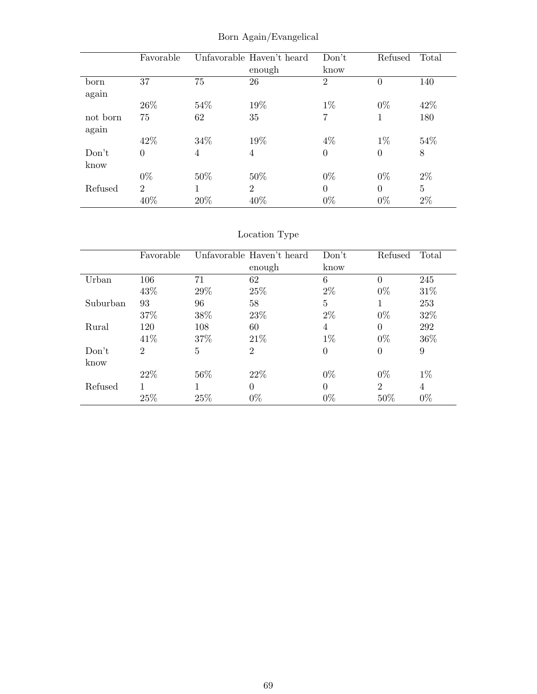|          | Favorable      |      | Unfavorable Haven't heard | Don't          | Refused  | Total          |
|----------|----------------|------|---------------------------|----------------|----------|----------------|
|          |                |      | enough                    | know           |          |                |
| born     | 37             | 75   | 26                        | $\overline{2}$ | $\theta$ | 140            |
| again    |                |      |                           |                |          |                |
|          | 26\%           | 54%  | 19%                       | $1\%$          | $0\%$    | 42\%           |
| not born | 75             | 62   | 35                        | 7              | 1        | 180            |
| again    |                |      |                           |                |          |                |
|          | 42\%           | 34\% | 19%                       | $4\%$          | $1\%$    | 54%            |
| Don't    | $\overline{0}$ | 4    | 4                         | $\theta$       | $\theta$ | 8              |
| know     |                |      |                           |                |          |                |
|          | $0\%$          | 50%  | 50%                       | $0\%$          | $0\%$    | $2\%$          |
| Refused  | $\overline{2}$ |      | $\overline{2}$            | $\theta$       | $\Omega$ | $\overline{5}$ |
|          | 40%            | 20%  | 40\%                      | $0\%$          | $0\%$    | $2\%$          |

Born Again/Evangelical

|          | Favorable |                | Unfavorable Haven't heard | Don't          | Refused                     | Total  |
|----------|-----------|----------------|---------------------------|----------------|-----------------------------|--------|
|          |           |                | enough                    | know           |                             |        |
| Urban    | 106       | 71             | 62                        | 6              |                             | 245    |
|          | 43\%      | 29%            | 25\%                      | $2\%$          | $0\%$                       | $31\%$ |
| Suburban | 93        | 96             | 58                        | $\overline{5}$ | 1                           | 253    |
|          | 37%       | 38%            | 23\%                      | $2\%$          | $0\%$                       | 32\%   |
| Rural    | 120       | 108            | 60                        | 4              | $\Omega$                    | 292    |
|          | 41\%      | 37\%           | 21\%                      | $1\%$          | $0\%$                       | 36%    |
| Don't    | 2         | $\overline{5}$ | $\overline{2}$            | $\overline{0}$ | $\theta$                    | 9      |
| know     |           |                |                           |                |                             |        |
|          | 22\%      | 56%            | 22\%                      | $0\%$          | $0\%$                       | $1\%$  |
| Refused  |           |                | $\Omega$                  | $\theta$       | $\mathcal{D}_{\mathcal{L}}$ | 4      |
|          | 25%       | 25\%           | $0\%$                     | $0\%$          | 50%                         | $0\%$  |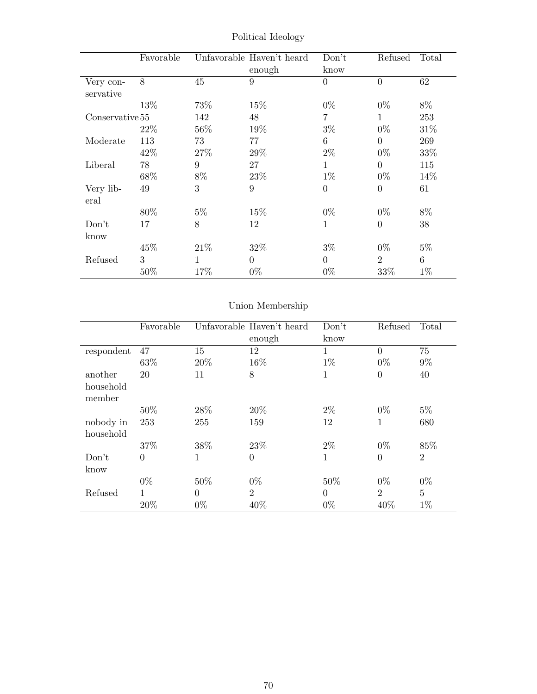|                        | Favorable |              | Unfavorable Haven't heard<br>enough | Don't<br>know  | Refused        | Total |
|------------------------|-----------|--------------|-------------------------------------|----------------|----------------|-------|
| Very con-<br>servative | 8         | 45           | 9                                   | $\overline{0}$ | $\overline{0}$ | 62    |
|                        | 13\%      | 73%          | 15%                                 | $0\%$          | $0\%$          | 8%    |
| Conservative 55        |           | 142          | 48                                  | 7              | $\mathbf{1}$   | 253   |
|                        | 22\%      | 56%          | 19%                                 | $3\%$          | $0\%$          | 31\%  |
| Moderate               | 113       | 73           | 77                                  | 6              | $\Omega$       | 269   |
|                        | 42\%      | 27\%         | 29%                                 | $2\%$          | $0\%$          | 33%   |
| Liberal                | 78        | 9            | 27                                  | 1              | $\theta$       | 115   |
|                        | 68%       | $8\%$        | 23\%                                | $1\%$          | $0\%$          | 14\%  |
| Very lib-<br>eral      | 49        | 3            | 9                                   | $\overline{0}$ | $\theta$       | 61    |
|                        | 80\%      | $5\%$        | 15%                                 | $0\%$          | $0\%$          | 8%    |
| Don't                  | 17        | 8            | 12                                  | $\mathbf{1}$   | $\Omega$       | 38    |
| know                   |           |              |                                     |                |                |       |
|                        | 45%       | 21\%         | 32%                                 | $3\%$          | $0\%$          | $5\%$ |
| Refused                | 3         | $\mathbf{1}$ | $\Omega$                            | $\theta$       | $\overline{2}$ | 6     |
|                        | 50%       | 17%          | $0\%$                               | $0\%$          | 33%            | $1\%$ |

Political Ideology

|            | Favorable      |          | Unfavorable Haven't heard | Don't        | Refused        | Total          |
|------------|----------------|----------|---------------------------|--------------|----------------|----------------|
|            |                |          | enough                    | know         |                |                |
| respondent | 47             | 15       | 12                        | $\mathbf{1}$ | $\theta$       | 75             |
|            | 63%            | 20%      | 16%                       | $1\%$        | $0\%$          | $9\%$          |
| another    | 20             | 11       | 8                         | 1            | $\overline{0}$ | 40             |
| household  |                |          |                           |              |                |                |
| member     |                |          |                           |              |                |                |
|            | 50%            | 28%      | 20%                       | $2\%$        | $0\%$          | $5\%$          |
| nobody in  | 253            | 255      | 159                       | 12           | 1              | 680            |
| household  |                |          |                           |              |                |                |
|            | 37%            | 38%      | 23\%                      | $2\%$        | $0\%$          | 85%            |
| Don't      | $\overline{0}$ | 1        | $\overline{0}$            | $\mathbf 1$  | $\theta$       | $\overline{2}$ |
| know       |                |          |                           |              |                |                |
|            | $0\%$          | 50%      | $0\%$                     | 50%          | $0\%$          | $0\%$          |
| Refused    | 1              | $\Omega$ | $\overline{2}$            | $\Omega$     | $\overline{2}$ | $\overline{5}$ |
|            | 20%            | $0\%$    | 40%                       | $0\%$        | 40%            | $1\%$          |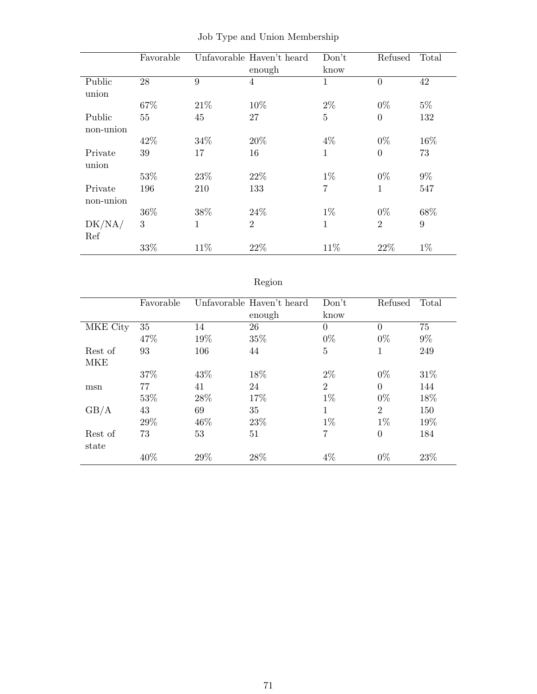|           | Favorable |              | Unfavorable Haven't heard<br>enough | Don't<br>know  | Refused        | Total |
|-----------|-----------|--------------|-------------------------------------|----------------|----------------|-------|
| Public    | 28        | 9            | $\overline{4}$                      | $\mathbf{1}$   | $\theta$       | 42    |
| union     |           |              |                                     |                |                |       |
|           | 67%       | 21\%         | 10%                                 | $2\%$          | $0\%$          | $5\%$ |
| Public    | 55        | 45           | 27                                  | $\overline{5}$ | $\overline{0}$ | 132   |
| non-union |           |              |                                     |                |                |       |
|           | 42\%      | 34%          | 20%                                 | $4\%$          | $0\%$          | 16%   |
| Private   | 39        | 17           | 16                                  | $\mathbf{1}$   | $\overline{0}$ | 73    |
| union     |           |              |                                     |                |                |       |
|           | 53%       | 23%          | 22%                                 | $1\%$          | $0\%$          | $9\%$ |
| Private   | 196       | 210          | 133                                 | $\overline{7}$ | $\mathbf{1}$   | 547   |
| non-union |           |              |                                     |                |                |       |
|           | 36\%      | 38%          | 24\%                                | $1\%$          | $0\%$          | 68%   |
| DK/NA/    | 3         | $\mathbf{1}$ | $\overline{2}$                      | $\mathbf{1}$   | $\overline{2}$ | 9     |
| Ref       |           |              |                                     |                |                |       |
|           | 33%       | 11\%         | 22%                                 | 11%            | 22%            | $1\%$ |

Job Type and Union Membership

# Region

|            | Favorable |      | Unfavorable Haven't heard<br>enough | Don't<br>know  | Refused        | Total |
|------------|-----------|------|-------------------------------------|----------------|----------------|-------|
| MKE City   | 35        | 14   | 26                                  | $\theta$       | $\Omega$       | 75    |
|            | 47%       | 19%  | 35%                                 | $0\%$          | $0\%$          | $9\%$ |
| Rest of    | 93        | 106  | 44                                  | 5              | 1              | 249   |
| <b>MKE</b> |           |      |                                     |                |                |       |
|            | 37%       | 43\% | 18%                                 | $2\%$          | $0\%$          | 31\%  |
| msn        | 77        | 41   | 24                                  | $\overline{2}$ | $\theta$       | 144   |
|            | 53%       | 28\% | 17%                                 | $1\%$          | $0\%$          | 18%   |
| GB/A       | 43        | 69   | 35                                  | 1              | $\overline{2}$ | 150   |
|            | 29%       | 46\% | 23%                                 | $1\%$          | $1\%$          | 19%   |
| Rest of    | 73        | 53   | 51                                  | 7              | $\theta$       | 184   |
| state      |           |      |                                     |                |                |       |
|            | 40%       | 29\% | 28\%                                | $4\%$          | $0\%$          | 23%   |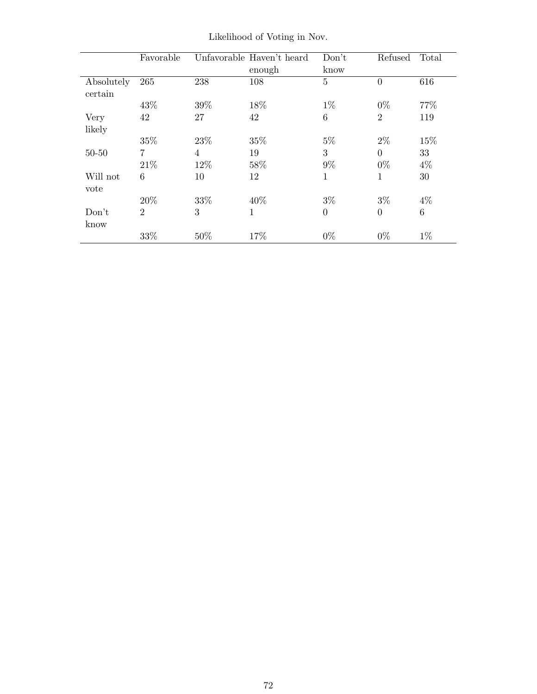|                       | Favorable      |     | Unfavorable Haven't heard<br>enough | Don't<br>know  | Refused        | Total   |
|-----------------------|----------------|-----|-------------------------------------|----------------|----------------|---------|
| Absolutely<br>certain | 265            | 238 | 108                                 | $\overline{5}$ | $\overline{0}$ | 616     |
|                       | 43%            | 39% | 18%                                 | $1\%$          | $0\%$          | 77\%    |
| Very                  | 42             | 27  | 42                                  | 6              | $\overline{2}$ | 119     |
| likely                |                |     |                                     |                |                |         |
|                       | 35%            | 23% | 35%                                 | $5\%$          | $2\%$          | 15%     |
| $50 - 50$             | 7              | 4   | 19                                  | 3              | $\Omega$       | 33      |
|                       | 21\%           | 12% | 58%                                 | $9\%$          | $0\%$          | $4\%$   |
| Will not<br>vote      | 6              | 10  | 12                                  | 1              | $\mathbf{1}$   | 30      |
|                       | 20%            | 33% | 40%                                 | $3\%$          | $3\%$          | $4\%$   |
| Don't<br>know         | $\overline{2}$ | 3   | $\mathbf{1}$                        | $\overline{0}$ | $\overline{0}$ | $\,6\,$ |
|                       | 33%            | 50% | 17%                                 | $0\%$          | $0\%$          | $1\%$   |

Likelihood of Voting in Nov.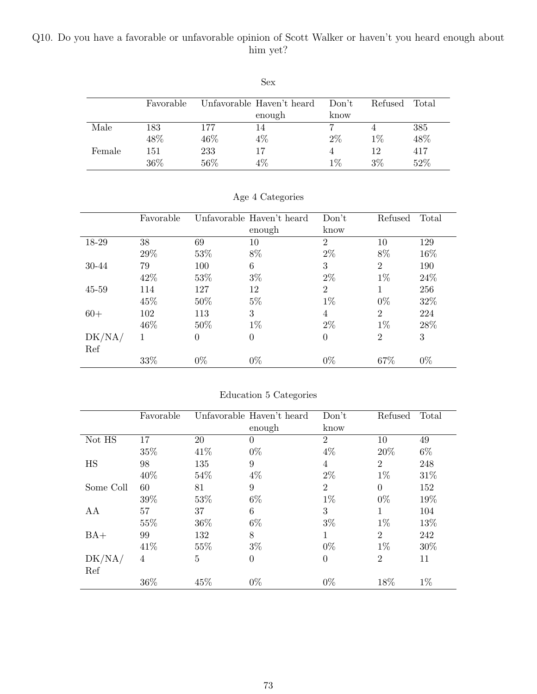## Q10. Do you have a favorable or unfavorable opinion of Scott Walker or haven't you heard enough about him yet?

|        |           |     | Sex                       |       |         |       |
|--------|-----------|-----|---------------------------|-------|---------|-------|
|        | Favorable |     | Unfavorable Haven't heard | Don't | Refused | Total |
|        |           |     | enough                    | know  |         |       |
| Male   | 183       | 177 | 14                        |       |         | 385   |
|        | 48%       | 46% | $4\%$                     | $2\%$ | $1\%$   | 48%   |
| Female | 151       | 233 | 17                        | 4     | 12      | 417   |
|        | 36%       | 56% | 4%                        | $1\%$ | $3\%$   | 52%   |

|           | Favorable |          | Unfavorable Haven't heard | Don't          | Refused        | Total |
|-----------|-----------|----------|---------------------------|----------------|----------------|-------|
|           |           |          | enough                    | know           |                |       |
| 18-29     | 38        | 69       | 10                        | $\overline{2}$ | 10             | 129   |
|           | 29%       | 53\%     | 8%                        | $2\%$          | 8%             | 16%   |
| 30-44     | 79        | 100      | 6                         | 3              | $\overline{2}$ | 190   |
|           | 42%       | 53\%     | $3\%$                     | $2\%$          | $1\%$          | 24\%  |
| $45 - 59$ | 114       | 127      | 12                        | $\overline{2}$ |                | 256   |
|           | 45%       | $50\%$   | $5\%$                     | $1\%$          | $0\%$          | 32%   |
| $60+$     | 102       | 113      | 3                         | 4              | $\overline{2}$ | 224   |
|           | 46\%      | $50\%$   | $1\%$                     | $2\%$          | $1\%$          | 28\%  |
| DK/NA/    | 1         | $\Omega$ | $\theta$                  | $\theta$       | $\overline{2}$ | 3     |
| Ref       |           |          |                           |                |                |       |
|           | 33%       | $0\%$    | $0\%$                     | $0\%$          | 67%            | $0\%$ |

Age 4 Categories

| Education 5 Categories |  |  |
|------------------------|--|--|
|                        |  |  |

|           | Favorable      |                | Unfavorable Haven't heard | Don't          | Refused        | Total |
|-----------|----------------|----------------|---------------------------|----------------|----------------|-------|
|           |                |                | enough                    | know           |                |       |
| Not HS    | 17             | 20             | $\overline{0}$            | $\overline{2}$ | 10             | 49    |
|           | 35%            | 41\%           | $0\%$                     | $4\%$          | 20%            | $6\%$ |
| HS        | 98             | 135            | 9                         | 4              | $\overline{2}$ | 248   |
|           | 40%            | 54%            | $4\%$                     | $2\%$          | $1\%$          | 31%   |
| Some Coll | 60             | 81             | 9                         | $\overline{2}$ | $\Omega$       | 152   |
|           | 39%            | 53%            | $6\%$                     | $1\%$          | $0\%$          | 19%   |
| AA        | 57             | 37             | 6                         | 3              | $\mathbf{1}$   | 104   |
|           | 55%            | 36%            | $6\%$                     | $3\%$          | $1\%$          | 13%   |
| $BA+$     | 99             | 132            | 8                         | 1              | $\overline{2}$ | 242   |
|           | 41\%           | 55%            | $3\%$                     | $0\%$          | $1\%$          | 30%   |
| DK/NA/    | $\overline{4}$ | $\overline{5}$ | $\boldsymbol{0}$          | $\theta$       | $\overline{2}$ | 11    |
| Ref       |                |                |                           |                |                |       |
|           | 36%            | 45%            | $0\%$                     | $0\%$          | 18%            | $1\%$ |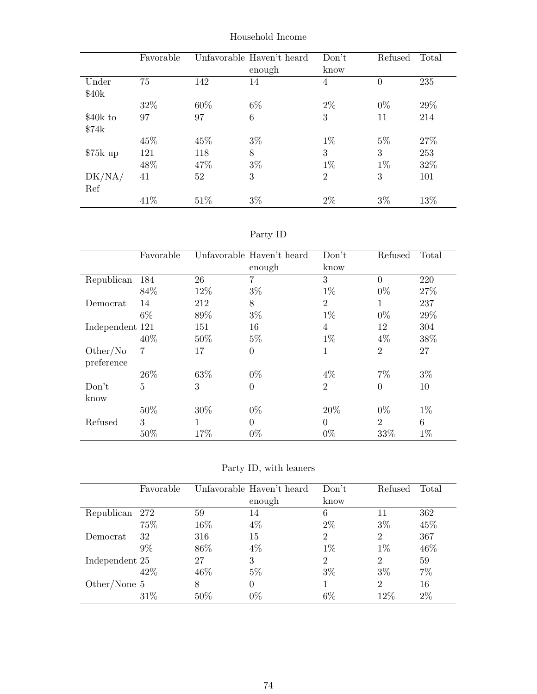|           | Favorable |      | Unfavorable Haven't heard | Don't          | Refused        | Total |
|-----------|-----------|------|---------------------------|----------------|----------------|-------|
|           |           |      | enough                    | know           |                |       |
| Under     | 75        | 142  | 14                        | 4              | $\overline{0}$ | 235   |
| \$40k     |           |      |                           |                |                |       |
|           | 32%       | 60%  | $6\%$                     | $2\%$          | $0\%$          | 29%   |
| \$40k to  | 97        | 97   | 6                         | 3              | 11             | 214   |
| \$74k     |           |      |                           |                |                |       |
|           | 45\%      | 45%  | $3\%$                     | $1\%$          | $5\%$          | 27%   |
| $$75k$ up | 121       | 118  | 8                         | 3              | 3              | 253   |
|           | 48%       | 47%  | $3\%$                     | $1\%$          | $1\%$          | 32%   |
| DK/NA/    | 41        | 52   | 3                         | $\overline{2}$ | 3              | 101   |
| Ref       |           |      |                           |                |                |       |
|           | 41\%      | 51\% | $3\%$                     | $2\%$          | $3\%$          | 13%   |

Household Income

| эrт |  |
|-----|--|
|-----|--|

|                        | Favorable |     | Unfavorable Haven't heard<br>enough | Don't<br>know  | Refused        | Total |
|------------------------|-----------|-----|-------------------------------------|----------------|----------------|-------|
| Republican             | 184       | 26  | 7                                   | 3              | $\theta$       | 220   |
|                        | 84%       | 12% | $3\%$                               | $1\%$          | $0\%$          | 27\%  |
| Democrat               | 14        | 212 | 8                                   | $\overline{2}$ | 1              | 237   |
|                        | $6\%$     | 89% | $3\%$                               | $1\%$          | $0\%$          | 29%   |
| Independent 121        |           | 151 | 16                                  | 4              | 12             | 304   |
|                        | 40%       | 50% | $5\%$                               | $1\%$          | $4\%$          | 38%   |
| Other/No<br>preference | 7         | 17  | $\overline{0}$                      | 1              | $\overline{2}$ | 27    |
|                        | 26\%      | 63% | $0\%$                               | $4\%$          | $7\%$          | $3\%$ |
| Don't<br>know          | 5         | 3   | $\overline{0}$                      | $\overline{2}$ | $\theta$       | 10    |
|                        | 50%       | 30% | $0\%$                               | 20%            | $0\%$          | $1\%$ |
| Refused                | 3         | 1   | $\theta$                            | $\Omega$       | $\overline{2}$ | 6     |
|                        | 50%       | 17% | $0\%$                               | $0\%$          | 33\%           | $1\%$ |

Party ID, with leaners

|                | Favorable |        | Unfavorable Haven't heard | Don't          | Refused        | Total |
|----------------|-----------|--------|---------------------------|----------------|----------------|-------|
|                |           |        | enough                    | know           |                |       |
| Republican     | 272       | 59     | 14                        | 6              | 11             | 362   |
|                | 75%       | $16\%$ | $4\%$                     | $2\%$          | $3\%$          | 45%   |
| Democrat       | 32        | 316    | 15                        | 2              | 2              | 367   |
|                | 9%        | 86\%   | $4\%$                     | $1\%$          | $1\%$          | 46%   |
| Independent 25 |           | 27     | 3                         | $\overline{2}$ | $\overline{2}$ | 59    |
|                | 42\%      | 46\%   | $5\%$                     | $3\%$          | $3\%$          | 7%    |
| Other/None $5$ |           | 8      | 0                         |                | $\overline{2}$ | 16    |
|                | 31\%      | 50%    | $0\%$                     | 6%             | 12%            | $2\%$ |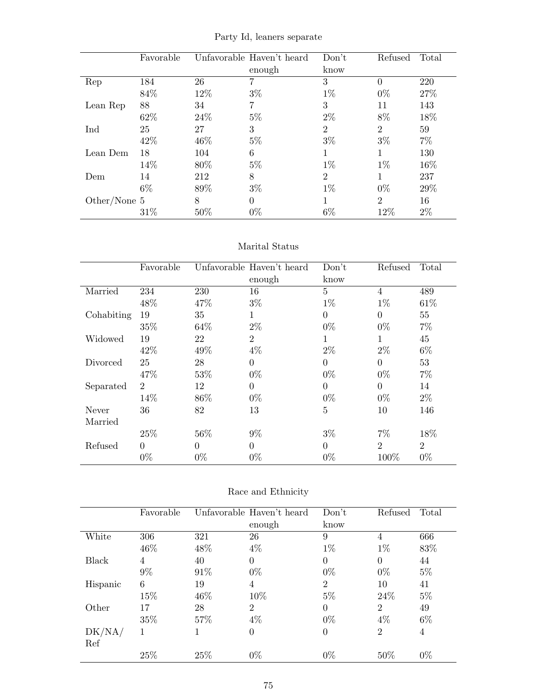Favorable Unfavorable Haven't heard enough Don't know Refused Total Rep 184 26 7 3 0 220  $84\%$   $12\%$   $3\%$   $1\%$   $0\%$   $27\%$ Lean Rep 88 34 7 3 11 143  $62\%$  24%  $5\%$  2% 8% 18%  $\text{Ind}$  25 27 3 2 2 59  $42\%$   $46\%$   $5\%$   $3\%$   $3\%$   $7\%$  $\begin{tabular}{lllllllll} \textbf{Lean Dem} & 18 & & 104 & & 6 & & 1 & & 130 \end{tabular}$  $14\%$  80% 5% 1% 1% 1% 16% Dem 14 212 8 2 1 237  $6\%$  89%  $3\%$  1% 0%  $29\%$  $\begin{array}{ccccccccc} \textrm{Other/None $5$} & & 8 & & 0 & & 1 & & 2 & & 16 \\ & & 31\% & & 50\% & & 0\% & & 6\% & & 12\% & & 2\% \end{array}$  $31\%$   $50\%$   $0\%$   $6\%$   $12\%$   $2\%$ 

Party Id, leaners separate

#### Marital Status

|            | Favorable      |          | Unfavorable Haven't heard | Don't          | Refused        | Total          |
|------------|----------------|----------|---------------------------|----------------|----------------|----------------|
|            |                |          | enough                    | know           |                |                |
| Married    | 234            | 230      | 16                        | $\overline{5}$ | $\overline{4}$ | 489            |
|            | 48\%           | 47%      | $3\%$                     | $1\%$          | $1\%$          | 61\%           |
| Cohabiting | 19             | 35       | 1                         | $\overline{0}$ | $\overline{0}$ | 55             |
|            | 35%            | 64%      | $2\%$                     | $0\%$          | $0\%$          | $7\%$          |
| Widowed    | 19             | 22       | $\overline{2}$            | 1              | 1              | 45             |
|            | 42\%           | 49%      | $4\%$                     | $2\%$          | $2\%$          | $6\%$          |
| Divorced   | 25             | 28       | $\Omega$                  | $\overline{0}$ | $\Omega$       | 53             |
|            | 47%            | 53%      | $0\%$                     | $0\%$          | $0\%$          | $7\%$          |
| Separated  | $\overline{2}$ | 12       | $\Omega$                  | $\overline{0}$ | $\overline{0}$ | 14             |
|            | 14%            | 86%      | $0\%$                     | $0\%$          | $0\%$          | $2\%$          |
| Never      | 36             | 82       | 13                        | 5              | 10             | 146            |
| Married    |                |          |                           |                |                |                |
|            | 25%            | 56%      | $9\%$                     | $3\%$          | $7\%$          | 18%            |
| Refused    | $\Omega$       | $\Omega$ | $\Omega$                  | $\theta$       | $\overline{2}$ | $\overline{2}$ |
|            | $0\%$          | $0\%$    | $0\%$                     | $0\%$          | 100\%          | $0\%$          |

| Race and Ethnicity |
|--------------------|
|                    |

|          | Favorable |      | Unfavorable Haven't heard | Don't          | Refused        | Total |
|----------|-----------|------|---------------------------|----------------|----------------|-------|
|          |           |      | enough                    | know           |                |       |
| White    | 306       | 321  | 26                        | 9              | $\overline{4}$ | 666   |
|          | 46%       | 48\% | $4\%$                     | $1\%$          | $1\%$          | 83%   |
| Black    | 4         | 40   | $\theta$                  | $\theta$       | $\theta$       | 44    |
|          | $9\%$     | 91%  | $0\%$                     | $0\%$          | $0\%$          | $5\%$ |
| Hispanic | 6         | 19   | 4                         | $\overline{2}$ | 10             | 41    |
|          | 15%       | 46\% | 10%                       | $5\%$          | 24\%           | $5\%$ |
| Other    | 17        | 28   | $\overline{2}$            | $\theta$       | $\overline{2}$ | 49    |
|          | 35%       | 57\% | $4\%$                     | $0\%$          | $4\%$          | $6\%$ |
| DK/NA/   | 1         |      | 0                         | $\overline{0}$ | $\overline{2}$ | 4     |
| Ref      |           |      |                           |                |                |       |
|          | 25%       | 25%  | $0\%$                     | $0\%$          | 50%            | $0\%$ |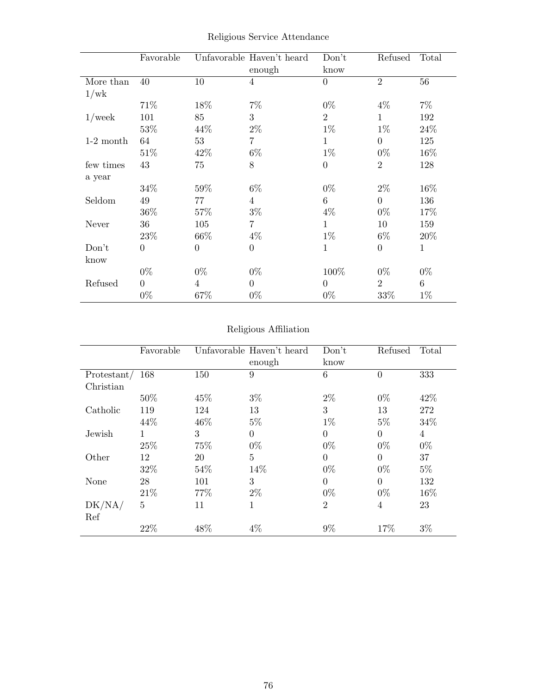|             | Favorable      |          | Unfavorable Haven't heard<br>enough | Don't<br>know  | Refused        | Total        |
|-------------|----------------|----------|-------------------------------------|----------------|----------------|--------------|
| More than   | 40             | 10       | 4                                   | $\overline{0}$ | $\overline{2}$ | 56           |
| 1/wk        |                |          |                                     |                |                |              |
|             | 71\%           | 18%      | $7\%$                               | $0\%$          | $4\%$          | $7\%$        |
| $1$ /week   | 101            | 85       | 3                                   | $\overline{2}$ | $\mathbf{1}$   | 192          |
|             | 53%            | 44%      | $2\%$                               | $1\%$          | $1\%$          | 24%          |
| $1-2$ month | 64             | 53       | $\overline{7}$                      | $\mathbf{1}$   | $\theta$       | 125          |
|             | 51\%           | 42\%     | $6\%$                               | $1\%$          | $0\%$          | 16%          |
| few times   | 43             | 75       | 8                                   | $\overline{0}$ | $\overline{2}$ | 128          |
| a year      |                |          |                                     |                |                |              |
|             | 34%            | 59%      | $6\%$                               | $0\%$          | $2\%$          | 16%          |
| Seldom      | 49             | 77       | $\overline{4}$                      | 6              | $\Omega$       | 136          |
|             | 36%            | 57%      | $3\%$                               | $4\%$          | $0\%$          | 17%          |
| Never       | 36             | 105      | 7                                   | $\mathbf{1}$   | 10             | 159          |
|             | 23%            | 66%      | $4\%$                               | $1\%$          | $6\%$          | 20%          |
| Don't       | $\theta$       | $\Omega$ | $\boldsymbol{0}$                    | $\mathbf{1}$   | $\overline{0}$ | $\mathbf{1}$ |
| know        |                |          |                                     |                |                |              |
|             | $0\%$          | $0\%$    | $0\%$                               | 100%           | $0\%$          | $0\%$        |
| Refused     | $\overline{0}$ | 4        | $\boldsymbol{0}$                    | $\overline{0}$ | $\overline{2}$ | $\,6\,$      |
|             | $0\%$          | 67%      | $0\%$                               | $0\%$          | 33%            | $1\%$        |

Religious Service Attendance

## Religious Affiliation

|             | Favorable      |      | Unfavorable Haven't heard | Don't          | Refused  | Total |  |
|-------------|----------------|------|---------------------------|----------------|----------|-------|--|
|             |                |      | enough                    | know           |          |       |  |
| Protestant/ | 168            | 150  | 9                         | 6              | $\theta$ | 333   |  |
| Christian   |                |      |                           |                |          |       |  |
|             | 50\%           | 45\% | $3\%$                     | $2\%$          | $0\%$    | 42\%  |  |
| Catholic    | 119            | 124  | 13                        | 3              | 13       | 272   |  |
|             | 44\%           | 46%  | $5\%$                     | $1\%$          | $5\%$    | 34\%  |  |
| Jewish      | 1              | 3    | $\Omega$                  | $\overline{0}$ | $\Omega$ | 4     |  |
|             | 25%            | 75%  | $0\%$                     | $0\%$          | $0\%$    | $0\%$ |  |
| Other       | 12             | 20   | 5                         | $\theta$       | $\Omega$ | 37    |  |
|             | 32%            | 54\% | 14%                       | $0\%$          | $0\%$    | $5\%$ |  |
| None        | 28             | 101  | 3                         | $\overline{0}$ | $\Omega$ | 132   |  |
|             | 21\%           | 77%  | $2\%$                     | $0\%$          | $0\%$    | 16%   |  |
| DK/NA/      | $\overline{5}$ | 11   | 1                         | $\overline{2}$ | 4        | 23    |  |
| Ref         |                |      |                           |                |          |       |  |
|             | 22%            | 48%  | $4\%$                     | $9\%$          | 17%      | $3\%$ |  |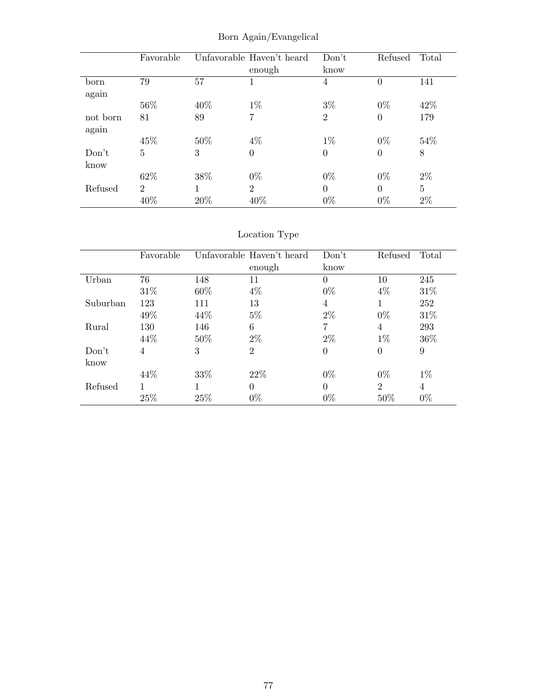|          | Favorable      |     | Unfavorable Haven't heard<br>enough | Don't<br>know  | Refused  | Total |
|----------|----------------|-----|-------------------------------------|----------------|----------|-------|
| born     | 79             | 57  | 1                                   | 4              | $\theta$ | 141   |
| again    |                |     |                                     |                |          |       |
|          | 56%            | 40% | $1\%$                               | $3\%$          | $0\%$    | 42%   |
| not born | 81             | 89  | 7                                   | $\overline{2}$ | $\theta$ | 179   |
| again    |                |     |                                     |                |          |       |
|          | 45%            | 50% | $4\%$                               | $1\%$          | $0\%$    | 54\%  |
| Don't    | $\overline{5}$ | 3   | $\boldsymbol{0}$                    | $\theta$       | $\theta$ | 8     |
| know     |                |     |                                     |                |          |       |
|          | 62%            | 38% | $0\%$                               | $0\%$          | $0\%$    | $2\%$ |
| Refused  | $\overline{2}$ |     | $\overline{2}$                      | $\Omega$       | $\Omega$ | 5     |
|          | 40%            | 20% | 40%                                 | $0\%$          | $0\%$    | $2\%$ |

Born Again/Evangelical

# Location Type

|          | Favorable |        | Unfavorable Haven't heard | Don't    | Refused        | Total |
|----------|-----------|--------|---------------------------|----------|----------------|-------|
|          |           |        | enough                    | know     |                |       |
| Urban    | 76        | 148    | 11                        | $\Omega$ | 10             | 245   |
|          | 31\%      | 60\%   | $4\%$                     | $0\%$    | 4%             | 31\%  |
| Suburban | 123       | 111    | 13                        | 4        |                | 252   |
|          | 49%       | 44\%   | $5\%$                     | $2\%$    | $0\%$          | 31\%  |
| Rural    | 130       | 146    | 6                         | 7        | 4              | 293   |
|          | 44%       | $50\%$ | $2\%$                     | $2\%$    | $1\%$          | 36%   |
| Don't    | 4         | 3      | 2                         | 0        | $\overline{0}$ | 9     |
| know     |           |        |                           |          |                |       |
|          | 44\%      | 33\%   | 22\%                      | $0\%$    | $0\%$          | $1\%$ |
| Refused  |           |        | $\Omega$                  | $\Omega$ | $\overline{2}$ | 4     |
|          | 25%       | 25\%   | $0\%$                     | $0\%$    | 50%            | $0\%$ |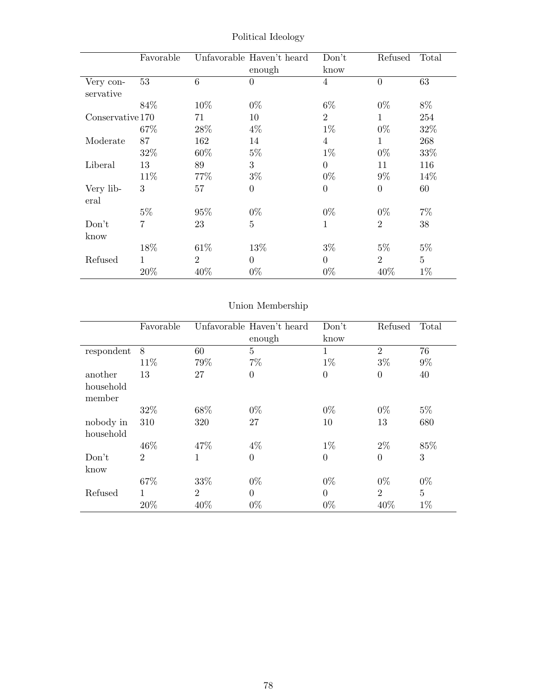|                        | Favorable      |                | Unfavorable Haven't heard<br>enough | Don't<br>know  | Refused        | Total          |
|------------------------|----------------|----------------|-------------------------------------|----------------|----------------|----------------|
| Very con-<br>servative | 53             | 6              | $\overline{0}$                      | $\overline{4}$ | $\overline{0}$ | 63             |
|                        | 84\%           | 10\%           | $0\%$                               | $6\%$          | $0\%$          | 8%             |
| Conservative 170       |                | 71             | 10                                  | $\overline{2}$ | 1              | 254            |
|                        | 67%            | 28\%           | $4\%$                               | $1\%$          | $0\%$          | 32%            |
| Moderate               | 87             | 162            | 14                                  | 4              | 1              | 268            |
|                        | 32%            | 60\%           | $5\%$                               | $1\%$          | $0\%$          | 33%            |
| Liberal                | 13             | 89             | 3                                   | $\Omega$       | 11             | 116            |
|                        | 11%            | 77%            | $3\%$                               | $0\%$          | $9\%$          | 14%            |
| Very lib-<br>eral      | 3              | 57             | $\overline{0}$                      | $\overline{0}$ | $\theta$       | 60             |
|                        | $5\%$          | 95%            | $0\%$                               | $0\%$          | $0\%$          | $7\%$          |
| Don't                  | $\overline{7}$ | 23             | 5                                   | 1              | $\overline{2}$ | 38             |
| know                   |                |                |                                     |                |                |                |
|                        | 18%            | 61\%           | 13%                                 | $3\%$          | $5\%$          | $5\%$          |
| Refused                | $\mathbf{1}$   | $\overline{2}$ | $\Omega$                            | $\theta$       | $\overline{2}$ | $\overline{5}$ |
|                        | $20\%$         | 40%            | $0\%$                               | $0\%$          | 40\%           | $1\%$          |

Political Ideology

# Union Membership

|            | Favorable      |     | Unfavorable Haven't heard | Don't          | Refused        | Total          |
|------------|----------------|-----|---------------------------|----------------|----------------|----------------|
|            |                |     | enough                    | know           |                |                |
| respondent | 8              | 60  | $\overline{5}$            | $\mathbf{1}$   | $\overline{2}$ | 76             |
|            | 11%            | 79% | $7\%$                     | $1\%$          | $3\%$          | $9\%$          |
| another    | 13             | 27  | $\overline{0}$            | $\overline{0}$ | $\overline{0}$ | 40             |
| household  |                |     |                           |                |                |                |
| member     |                |     |                           |                |                |                |
|            | 32\%           | 68% | $0\%$                     | $0\%$          | $0\%$          | $5\%$          |
| nobody in  | 310            | 320 | 27                        | 10             | 13             | 680            |
| household  |                |     |                           |                |                |                |
|            | 46%            | 47% | $4\%$                     | $1\%$          | $2\%$          | 85%            |
| Don't      | $\overline{2}$ | 1   | $\overline{0}$            | $\overline{0}$ | $\theta$       | 3              |
| know       |                |     |                           |                |                |                |
|            | 67%            | 33% | $0\%$                     | $0\%$          | $0\%$          | $0\%$          |
| Refused    | 1              | 2   | $\overline{0}$            | $\Omega$       | $\overline{2}$ | $\overline{5}$ |
|            | 20%            | 40% | $0\%$                     | $0\%$          | 40%            | $1\%$          |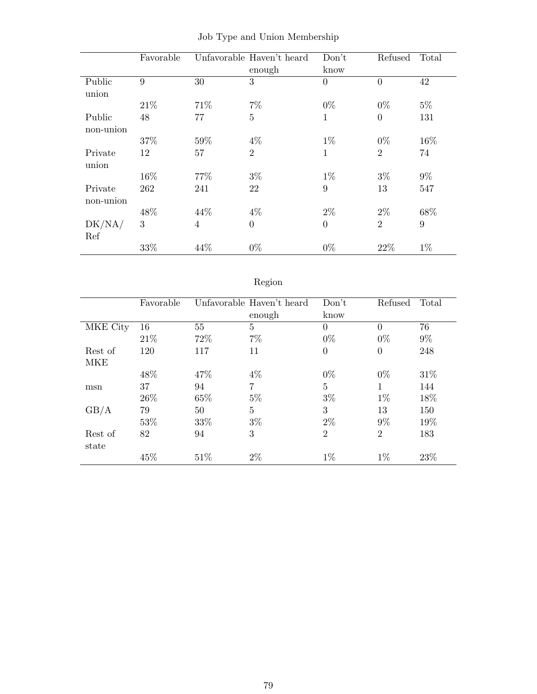|           | Favorable |                | Unfavorable Haven't heard<br>enough | Don't<br>know | Refused          | Total |
|-----------|-----------|----------------|-------------------------------------|---------------|------------------|-------|
| Public    | 9         | 30             | 3                                   | $\theta$      | $\overline{0}$   | 42    |
| union     |           |                |                                     |               |                  |       |
|           | 21\%      | 71\%           | $7\%$                               | $0\%$         | $0\%$            | $5\%$ |
| Public    | 48        | 77             | $\overline{5}$                      | $\mathbf{1}$  | $\boldsymbol{0}$ | 131   |
| non-union |           |                |                                     |               |                  |       |
|           | 37%       | 59%            | $4\%$                               | $1\%$         | $0\%$            | 16%   |
| Private   | 12        | 57             | $\overline{2}$                      | $\mathbf{1}$  | $\overline{2}$   | 74    |
| union     |           |                |                                     |               |                  |       |
|           | 16%       | 77%            | $3\%$                               | $1\%$         | $3\%$            | $9\%$ |
| Private   | 262       | 241            | 22                                  | 9             | 13               | 547   |
| non-union |           |                |                                     |               |                  |       |
|           | 48%       | 44%            | $4\%$                               | $2\%$         | $2\%$            | 68%   |
| DK/NA/    | 3         | $\overline{4}$ | $\overline{0}$                      | $\theta$      | $\overline{2}$   | 9     |
| Ref       |           |                |                                     |               |                  |       |
|           | 33%       | 44%            | $0\%$                               | $0\%$         | 22%              | $1\%$ |

Job Type and Union Membership

# Region

|            | Favorable |      | Unfavorable Haven't heard<br>enough | Don't<br>know  | Refused        | Total |
|------------|-----------|------|-------------------------------------|----------------|----------------|-------|
| MKE City   | 16        | 55   | 5                                   | $\Omega$       | $\Omega$       | 76    |
|            | 21\%      | 72\% | $7\%$                               | $0\%$          | $0\%$          | $9\%$ |
| Rest of    | 120       | 117  | 11                                  | $\Omega$       | $\overline{0}$ | 248   |
| <b>MKE</b> |           |      |                                     |                |                |       |
|            | 48\%      | 47\% | $4\%$                               | $0\%$          | $0\%$          | 31\%  |
| msn        | 37        | 94   | $\overline{7}$                      | $\overline{5}$ | 1              | 144   |
|            | 26\%      | 65%  | $5\%$                               | $3\%$          | $1\%$          | 18%   |
| GB/A       | 79        | 50   | 5                                   | 3              | 13             | 150   |
|            | 53%       | 33%  | $3\%$                               | $2\%$          | $9\%$          | 19%   |
| Rest of    | 82        | 94   | 3                                   | $\overline{2}$ | $\overline{2}$ | 183   |
| state      |           |      |                                     |                |                |       |
|            | 45%       | 51\% | $2\%$                               | $1\%$          | $1\%$          | 23%   |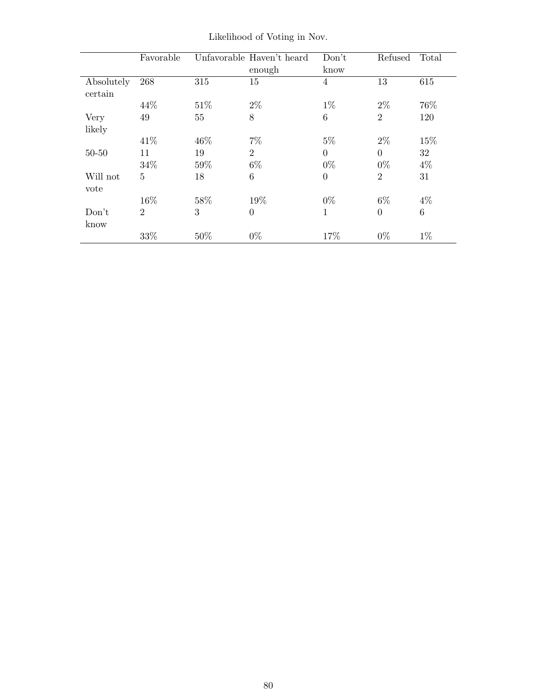|                       | Favorable      |      | Unfavorable Haven't heard | Don't    | Refused        | Total           |
|-----------------------|----------------|------|---------------------------|----------|----------------|-----------------|
|                       |                |      | enough                    | know     |                |                 |
| Absolutely<br>certain | 268            | 315  | 15                        | 4        | 13             | 615             |
|                       | 44\%           | 51\% | $2\%$                     | $1\%$    | $2\%$          | 76%             |
| Very                  | 49             | 55   | 8                         | 6        | $\overline{2}$ | 120             |
| likely                |                |      |                           |          |                |                 |
|                       | 41\%           | 46%  | $7\%$                     | $5\%$    | $2\%$          | 15%             |
| $50 - 50$             | 11             | 19   | $\overline{2}$            | $\theta$ | $\Omega$       | 32              |
|                       | 34%            | 59%  | $6\%$                     | $0\%$    | $0\%$          | $4\%$           |
| Will not              | 5              | 18   | 6                         | $\theta$ | $\overline{2}$ | 31              |
| vote                  |                |      |                           |          |                |                 |
|                       | 16%            | 58%  | 19%                       | $0\%$    | 6\%            | $4\%$           |
| Don't                 | $\overline{2}$ | 3    | $\theta$                  | 1        | $\theta$       | $6\phantom{.}6$ |
| know                  |                |      |                           |          |                |                 |
|                       | 33%            | 50%  | $0\%$                     | 17%      | $0\%$          | $1\%$           |

Likelihood of Voting in Nov.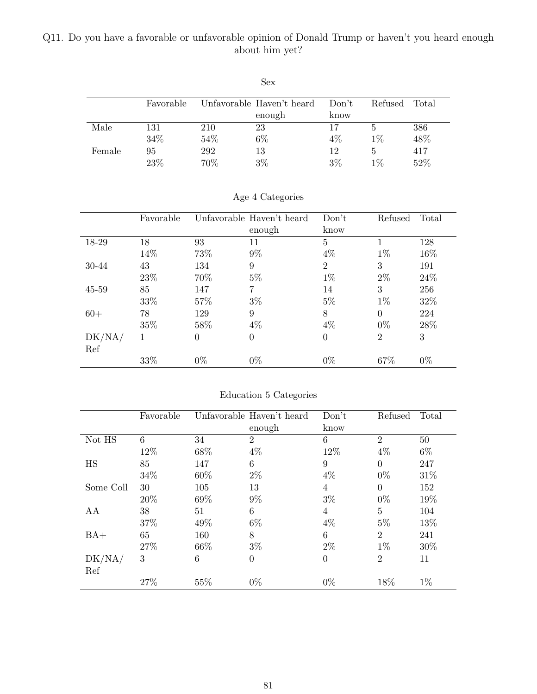## Q11. Do you have a favorable or unfavorable opinion of Donald Trump or haven't you heard enough about him yet?

|        |           |     | Sex                       |       |         |       |
|--------|-----------|-----|---------------------------|-------|---------|-------|
|        | Favorable |     | Unfavorable Haven't heard | Don't | Refused | Total |
|        |           |     | enough                    | know  |         |       |
| Male   | 131       | 210 | 23                        | 17    | 5       | 386   |
|        | 34%       | 54% | 6%                        | $4\%$ | $1\%$   | 48%   |
| Female | 95        | 292 | 13                        | 12    | 5       | 417   |
|        | 23%       | 70% | 3%                        | $3\%$ | $1\%$   | 52%   |

|           | Favorable |          | Unfavorable Haven't heard | Don't          | Refused        | Total |
|-----------|-----------|----------|---------------------------|----------------|----------------|-------|
|           |           |          | enough                    | know           |                |       |
| 18-29     | 18        | 93       | 11                        | 5              |                | 128   |
|           | 14%       | 73%      | $9\%$                     | $4\%$          | $1\%$          | 16%   |
| 30-44     | 43        | 134      | 9                         | $\overline{2}$ | 3              | 191   |
|           | 23\%      | 70%      | $5\%$                     | $1\%$          | $2\%$          | 24\%  |
| $45 - 59$ | 85        | 147      | 7                         | 14             | 3              | 256   |
|           | 33%       | 57%      | $3\%$                     | $5\%$          | $1\%$          | 32%   |
| $60+$     | 78        | 129      | 9                         | 8              | $\theta$       | 224   |
|           | 35%       | 58%      | $4\%$                     | $4\%$          | $0\%$          | 28%   |
| DK/NA/    |           | $\Omega$ | $\overline{0}$            | $\Omega$       | $\overline{2}$ | 3     |
| Ref       |           |          |                           |                |                |       |
|           | 33%       | $0\%$    | $0\%$                     | $0\%$          | 67%            | $0\%$ |

Age 4 Categories

| Education 5 Categories |  |  |
|------------------------|--|--|
|                        |  |  |

|               | Favorable |      | Unfavorable Haven't heard<br>enough | Don't<br>know  | Refused        | Total  |
|---------------|-----------|------|-------------------------------------|----------------|----------------|--------|
| Not HS        | 6         | 34   | $\overline{2}$                      | 6              | $\overline{2}$ | $50\,$ |
|               | 12%       | 68%  | $4\%$                               | 12%            | $4\%$          | $6\%$  |
| HS<br>85      |           | 147  | 6                                   | 9              | $\Omega$       | 247    |
|               | 34%       | 60%  | $2\%$                               | $4\%$          | $0\%$          | 31%    |
| Some Coll     | 30        | 105  | 13                                  | 4              | $\Omega$       | 152    |
|               | 20%       | 69%  | $9\%$                               | $3\%$          | $0\%$          | 19%    |
| AA            | 38        | 51   | 6                                   | 4              | 5              | 104    |
|               | 37%       | 49%  | $6\%$                               | $4\%$          | $5\%$          | 13%    |
| $BA+$         | 65        | 160  | 8                                   | 6              | $\overline{2}$ | 241    |
|               | 27\%      | 66\% | $3\%$                               | $2\%$          | $1\%$          | $30\%$ |
| DK/NA/<br>Ref | 3         | 6    | $\boldsymbol{0}$                    | $\overline{0}$ | $\overline{2}$ | 11     |
|               | 27%       | 55%  | $0\%$                               | $0\%$          | 18%            | $1\%$  |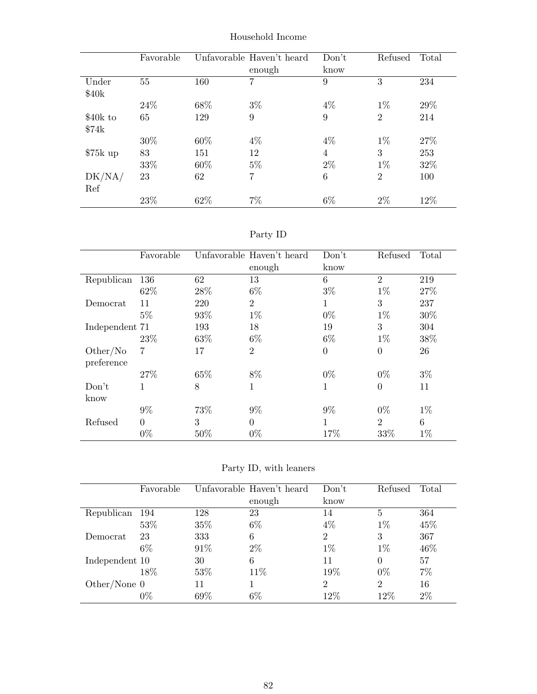|           | Favorable |      | Unfavorable Haven't heard | Don't          | Refused        | Total |
|-----------|-----------|------|---------------------------|----------------|----------------|-------|
|           |           |      | enough                    | know           |                |       |
| Under     | 55        | 160  | 7                         | 9              | 3              | 234   |
| \$40k     |           |      |                           |                |                |       |
|           | 24\%      | 68%  | $3\%$                     | 4%             | $1\%$          | 29%   |
| \$40k to  | 65        | 129  | 9                         | 9              | $\overline{2}$ | 214   |
| \$74k     |           |      |                           |                |                |       |
|           | 30%       | 60\% | $4\%$                     | $4\%$          | $1\%$          | 27%   |
| $$75k$ up | 83        | 151  | 12                        | $\overline{4}$ | 3              | 253   |
|           | 33%       | 60%  | $5\%$                     | $2\%$          | $1\%$          | 32%   |
| DK/NA/    | 23        | 62   | $\overline{7}$            | 6              | $\overline{2}$ | 100   |
| Ref       |           |      |                           |                |                |       |
|           | 23\%      | 62%  | $7\%$                     | $6\%$          | 2%             | 12%   |

Household Income

| эrт |  |
|-----|--|
|-----|--|

|                | Favorable   |      | Unfavorable Haven't heard | Don't    | Refused        | Total |
|----------------|-------------|------|---------------------------|----------|----------------|-------|
|                |             |      | enough                    | know     |                |       |
| Republican     | 136         | 62   | 13                        | 6        | $\overline{2}$ | 219   |
|                | 62%         | 28\% | $6\%$                     | $3\%$    | $1\%$          | 27%   |
| Democrat       | 11          | 220  | $\overline{2}$            | 1        | 3              | 237   |
|                | $5\%$       | 93%  | $1\%$                     | $0\%$    | $1\%$          | 30%   |
| Independent 71 |             | 193  | 18                        | 19       | 3              | 304   |
|                | 23\%        | 63%  | $6\%$                     | $6\%$    | $1\%$          | 38%   |
| Other/No       | 7           | 17   | $\overline{2}$            | $\theta$ | $\overline{0}$ | 26    |
| preference     |             |      |                           |          |                |       |
|                | 27%         | 65%  | 8%                        | $0\%$    | $0\%$          | $3\%$ |
| Don't          | $\mathbf 1$ | 8    | 1                         | 1        | $\overline{0}$ | 11    |
| know           |             |      |                           |          |                |       |
|                | $9\%$       | 73%  | $9\%$                     | $9\%$    | $0\%$          | $1\%$ |
| Refused        | $\Omega$    | 3    | $\theta$                  | 1        | $\overline{2}$ | 6     |
|                | $0\%$       | 50%  | $0\%$                     | 17%      | 33\%           | $1\%$ |

Party ID, with leaners

|                | Favorable |      | Unfavorable Haven't heard | Don't          | Refused        | Total |
|----------------|-----------|------|---------------------------|----------------|----------------|-------|
|                |           |      | enough                    | know           |                |       |
| Republican     | 194       | 128  | 23                        | 14             | 5              | 364   |
|                | 53%       | 35%  | $6\%$                     | 4%             | $1\%$          | 45%   |
| Democrat       | 23        | 333  | 6                         | 2              | 3              | 367   |
|                | 6\%       | 91\% | $2\%$                     | $1\%$          | $1\%$          | 46%   |
| Independent 10 |           | 30   | 6                         | 11             | $\Omega$       | 57    |
|                | 18%       | 53%  | 11\%                      | 19%            | $0\%$          | 7%    |
| Other/None $0$ |           | 11   |                           | $\overline{2}$ | $\overline{2}$ | 16    |
|                | 0%        | 69%  | $6\%$                     | $12\%$         | 12%            | $2\%$ |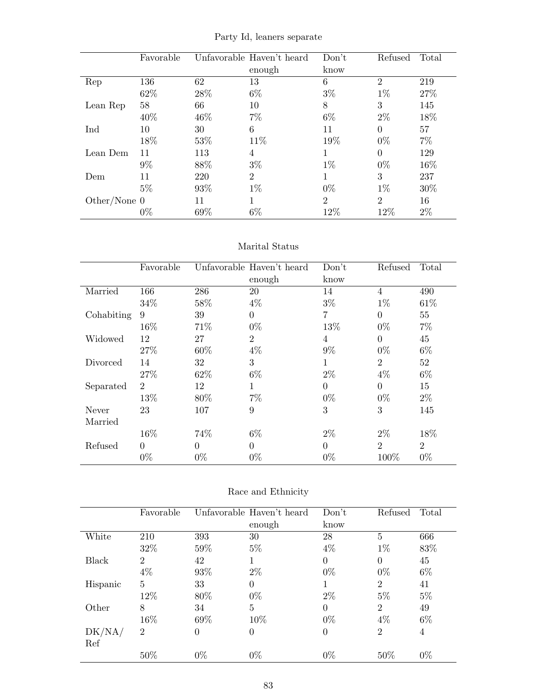|                | Favorable |      | Unfavorable Haven't heard | Don't          | Refused        | Total |
|----------------|-----------|------|---------------------------|----------------|----------------|-------|
|                |           |      | enough                    | know           |                |       |
| Rep            | 136       | 62   | 13                        | 6              | $\overline{2}$ | 219   |
|                | 62\%      | 28\% | $6\%$                     | $3\%$          | $1\%$          | 27%   |
| Lean Rep       | 58        | 66   | 10                        | 8              | 3              | 145   |
|                | 40\%      | 46%  | $7\%$                     | $6\%$          | $2\%$          | 18%   |
| Ind            | 10        | 30   | 6                         | 11             | $\Omega$       | 57    |
|                | 18%       | 53%  | 11\%                      | 19%            | $0\%$          | $7\%$ |
| Lean Dem       | 11        | 113  | 4                         | 1              | $\Omega$       | 129   |
|                | $9\%$     | 88\% | $3\%$                     | $1\%$          | $0\%$          | 16%   |
| Dem            | 11        | 220  | $\overline{2}$            |                | 3              | 237   |
|                | $5\%$     | 93%  | $1\%$                     | $0\%$          | $1\%$          | 30%   |
| Other/None $0$ |           | 11   | 1                         | $\overline{2}$ | $\overline{2}$ | 16    |
|                | $0\%$     | 69%  | $6\%$                     | 12%            | 12%            | $2\%$ |

Party Id, leaners separate

#### Marital Status

|            | Favorable      |          | Unfavorable Haven't heard | Don't    | Refused        | Total          |
|------------|----------------|----------|---------------------------|----------|----------------|----------------|
|            |                |          | enough                    | know     |                |                |
| Married    | 166            | 286      | 20                        | 14       | $\overline{4}$ | 490            |
|            | 34%            | 58%      | $4\%$                     | $3\%$    | $1\%$          | 61\%           |
| Cohabiting | 9              | 39       | $\Omega$                  | 7        | $\Omega$       | 55             |
|            | 16%            | 71%      | $0\%$                     | 13%      | $0\%$          | $7\%$          |
| Widowed    | 12             | 27       | $\overline{2}$            | 4        | $\Omega$       | 45             |
|            | 27%            | 60%      | $4\%$                     | $9\%$    | $0\%$          | $6\%$          |
| Divorced   | 14             | 32       | 3                         | 1        | $\overline{2}$ | 52             |
|            | 27%            | 62\%     | $6\%$                     | $2\%$    | $4\%$          | $6\%$          |
| Separated  | $\overline{2}$ | 12       | 1                         | $\Omega$ | $\theta$       | 15             |
|            | 13%            | 80%      | $7\%$                     | $0\%$    | $0\%$          | $2\%$          |
| Never      | 23             | 107      | 9                         | 3        | 3              | 145            |
| Married    |                |          |                           |          |                |                |
|            | 16%            | 74%      | $6\%$                     | $2\%$    | $2\%$          | 18%            |
| Refused    | $\theta$       | $\Omega$ | $\theta$                  | $\Omega$ | $\overline{2}$ | $\overline{2}$ |
|            | $0\%$          | $0\%$    | $0\%$                     | $0\%$    | 100%           | $0\%$          |

|  | Race and Ethnicity |
|--|--------------------|
|--|--------------------|

|          | Favorable      |          | Unfavorable Haven't heard | Don't    | Refused        | Total |
|----------|----------------|----------|---------------------------|----------|----------------|-------|
|          |                |          | enough                    | know     |                |       |
| White    | 210            | 393      | 30                        | 28       | 5              | 666   |
|          | 32%            | 59%      | $5\%$                     | $4\%$    | $1\%$          | 83%   |
| Black    | $\overline{2}$ | 42       |                           | $\theta$ | $\theta$       | 45    |
|          | $4\%$          | 93%      | $2\%$                     | $0\%$    | $0\%$          | $6\%$ |
| Hispanic | 5              | 33       | 0                         |          | $\overline{2}$ | 41    |
|          | 12%            | 80%      | $0\%$                     | $2\%$    | $5\%$          | $5\%$ |
| Other    | 8              | 34       | 5                         | $\theta$ | $\overline{2}$ | 49    |
|          | 16%            | 69%      | 10%                       | $0\%$    | $4\%$          | $6\%$ |
| DK/NA/   | $\overline{2}$ | $\theta$ | 0                         | $\theta$ | $\overline{2}$ | 4     |
| Ref      |                |          |                           |          |                |       |
|          | 50%            | $0\%$    | $0\%$                     | $0\%$    | 50%            | $0\%$ |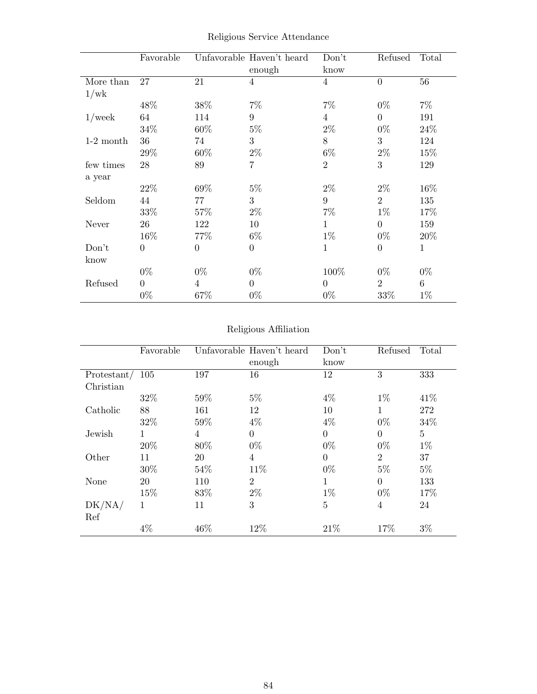|             | Favorable      |                | Unfavorable Haven't heard<br>enough | Don't<br>know  | Refused        | Total        |
|-------------|----------------|----------------|-------------------------------------|----------------|----------------|--------------|
| More than   | 27             | 21             | 4                                   | $\overline{4}$ | $\overline{0}$ | 56           |
| 1/wk        |                |                |                                     |                |                |              |
|             | 48%            | 38%            | $7\%$                               | $7\%$          | $0\%$          | $7\%$        |
| $1$ /week   | 64             | 114            | 9                                   | $\overline{4}$ | $\overline{0}$ | 191          |
|             | 34%            | 60%            | $5\%$                               | $2\%$          | $0\%$          | 24%          |
| $1-2$ month | 36             | 74             | 3                                   | 8              | 3              | 124          |
|             | 29%            | 60%            | $2\%$                               | $6\%$          | $2\%$          | 15%          |
| few times   | 28             | 89             | 7                                   | $\overline{2}$ | 3              | 129          |
| a year      |                |                |                                     |                |                |              |
|             | 22%            | 69%            | $5\%$                               | $2\%$          | $2\%$          | 16%          |
| Seldom      | 44             | 77             | 3                                   | 9              | $\overline{2}$ | 135          |
|             | 33%            | 57%            | $2\%$                               | $7\%$          | $1\%$          | 17%          |
| Never       | 26             | 122            | 10                                  | 1              | $\overline{0}$ | 159          |
|             | 16%            | 77%            | $6\%$                               | $1\%$          | $0\%$          | 20%          |
| Don't       | $\overline{0}$ | $\overline{0}$ | $\overline{0}$                      | $\mathbf{1}$   | $\overline{0}$ | $\mathbf{1}$ |
| know        |                |                |                                     |                |                |              |
|             | $0\%$          | $0\%$          | $0\%$                               | 100%           | $0\%$          | $0\%$        |
| Refused     | $\overline{0}$ | 4              | $\boldsymbol{0}$                    | $\overline{0}$ | $\overline{2}$ | $\,6\,$      |
|             | $0\%$          | 67%            | $0\%$                               | $0\%$          | 33%            | $1\%$        |

Religious Service Attendance

## Religious Affiliation

|               | Favorable |      | Unfavorable Haven't heard<br>enough | Don't<br>know  | Refused        | Total |
|---------------|-----------|------|-------------------------------------|----------------|----------------|-------|
| Protestant/   | 105       | 197  | 16                                  | 12             | 3              | 333   |
| Christian     |           |      |                                     |                |                |       |
|               | 32\%      | 59%  | $5\%$                               | $4\%$          | $1\%$          | 41\%  |
| Catholic      | 88        | 161  | 12                                  | 10             | $\mathbf{1}$   | 272   |
|               | 32%       | 59%  | $4\%$                               | $4\%$          | $0\%$          | 34\%  |
| Jewish        | 1         | 4    | $\overline{0}$                      | $\theta$       | $\Omega$       | 5     |
|               | 20%       | 80%  | $0\%$                               | $0\%$          | $0\%$          | $1\%$ |
| Other         | 11        | 20   | $\overline{4}$                      | $\overline{0}$ | $\overline{2}$ | 37    |
|               | 30%       | 54\% | 11\%                                | $0\%$          | $5\%$          | $5\%$ |
| None          | 20        | 110  | $\overline{2}$                      | 1              | $\Omega$       | 133   |
|               | 15%       | 83%  | $2\%$                               | $1\%$          | $0\%$          | 17%   |
| DK/NA/<br>Ref | 1         | 11   | 3                                   | $\overline{5}$ | 4              | 24    |
|               | $4\%$     | 46%  | 12%                                 | 21\%           | 17%            | $3\%$ |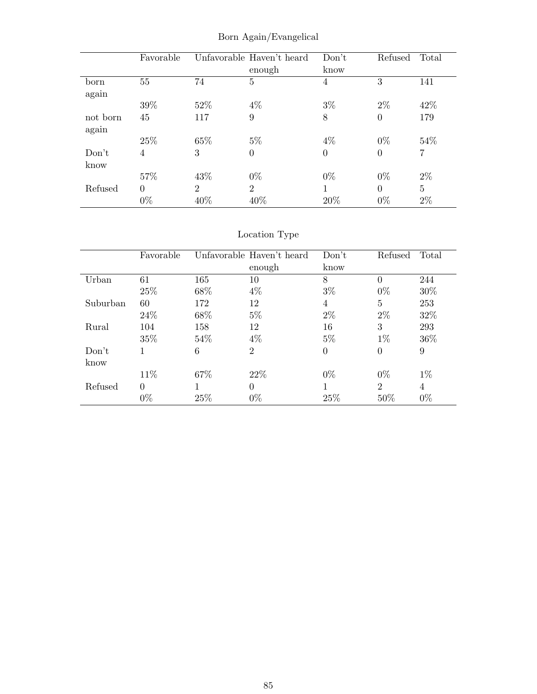|          | Favorable      |                             | Unfavorable Haven't heard | Don't          | Refused        | Total |
|----------|----------------|-----------------------------|---------------------------|----------------|----------------|-------|
|          |                |                             | enough                    | know           |                |       |
| born     | 55             | 74                          | $\overline{5}$            | 4              | 3              | 141   |
| again    |                |                             |                           |                |                |       |
|          | 39%            | 52%                         | $4\%$                     | $3\%$          | $2\%$          | 42%   |
| not born | 45             | 117                         | 9                         | 8              | $\theta$       | 179   |
| again    |                |                             |                           |                |                |       |
|          | 25%            | 65%                         | $5\%$                     | $4\%$          | $0\%$          | 54\%  |
| Don't    | 4              | 3                           | $\overline{0}$            | $\overline{0}$ | $\overline{0}$ | 7     |
| know     |                |                             |                           |                |                |       |
|          | 57%            | 43\%                        | $0\%$                     | $0\%$          | $0\%$          | $2\%$ |
| Refused  | $\overline{0}$ | $\mathcal{D}_{\mathcal{L}}$ | $\overline{2}$            | 1              | $\Omega$       | 5     |
|          | $0\%$          | 40%                         | 40\%                      | 20%            | $0\%$          | $2\%$ |

Born Again/Evangelical

# Location Type

|          | Favorable |      | Unfavorable Haven't heard | Don't    | Refused        | Total |
|----------|-----------|------|---------------------------|----------|----------------|-------|
|          |           |      | enough                    | know     |                |       |
| Urban    | 61        | 165  | 10                        | 8        | $\theta$       | 244   |
|          | 25\%      | 68%  | $4\%$                     | $3\%$    | $0\%$          | 30%   |
| Suburban | 60        | 172  | 12                        | 4        | 5              | 253   |
|          | 24\%      | 68%  | $5\%$                     | $2\%$    | $2\%$          | 32%   |
| Rural    | 104       | 158  | 12                        | 16       | 3              | 293   |
|          | 35%       | 54\% | $4\%$                     | $5\%$    | $1\%$          | 36\%  |
| Don't    | 1         | 6    | $\overline{2}$            | $\Omega$ | $\overline{0}$ | 9     |
| know     |           |      |                           |          |                |       |
|          | 11\%      | 67\% | 22\%                      | $0\%$    | $0\%$          | $1\%$ |
| Refused  | $\Omega$  |      | $\Omega$                  |          | $\overline{2}$ | 4     |
|          | $0\%$     | 25%  | $0\%$                     | 25%      | 50%            | $0\%$ |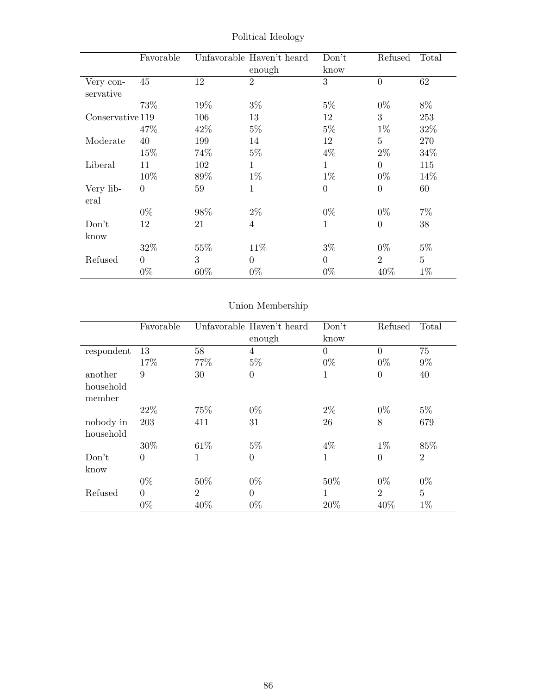|                        | Favorable      |        | Unfavorable Haven't heard<br>enough | Don't<br>know  | Refused        | Total          |
|------------------------|----------------|--------|-------------------------------------|----------------|----------------|----------------|
| Very con-<br>servative | 45             | 12     | $\overline{2}$                      | 3              | $\overline{0}$ | 62             |
|                        | 73\%           | 19%    | $3\%$                               | $5\%$          | $0\%$          | 8%             |
| Conservative 119       |                | 106    | 13                                  | 12             | 3              | 253            |
|                        | 47%            | 42\%   | $5\%$                               | $5\%$          | $1\%$          | 32%            |
| Moderate               | 40             | 199    | 14                                  | 12             | $\overline{5}$ | 270            |
|                        | 15\%           | 74\%   | $5\%$                               | $4\%$          | $2\%$          | 34%            |
| Liberal                | 11             | 102    | $\mathbf{1}$                        | 1              | $\overline{0}$ | 115            |
|                        | 10%            | 89%    | $1\%$                               | $1\%$          | $0\%$          | 14\%           |
| Very lib-<br>eral      | $\overline{0}$ | 59     | $\mathbf{1}$                        | $\overline{0}$ | $\theta$       | 60             |
|                        | $0\%$          | 98%    | $2\%$                               | $0\%$          | $0\%$          | $7\%$          |
| Don't                  | 12             | 21     | $\overline{4}$                      | $\mathbf{1}$   | $\Omega$       | 38             |
| know                   |                |        |                                     |                |                |                |
|                        | 32%            | 55%    | 11\%                                | $3\%$          | $0\%$          | $5\%$          |
| Refused                | $\Omega$       | 3      | $\Omega$                            | $\theta$       | $\overline{2}$ | $\overline{5}$ |
|                        | $0\%$          | $60\%$ | $0\%$                               | $0\%$          | 40\%           | $1\%$          |

Political Ideology

# Union Membership

|            | Favorable      |                | Unfavorable Haven't heard | Don't          | Refused        | Total          |
|------------|----------------|----------------|---------------------------|----------------|----------------|----------------|
|            |                |                | enough                    | know           |                |                |
| respondent | 13             | 58             | 4                         | $\overline{0}$ | $\Omega$       | 75             |
|            | 17%            | 77%            | $5\%$                     | $0\%$          | $0\%$          | $9\%$          |
| another    | 9              | 30             | $\overline{0}$            | 1              | $\overline{0}$ | 40             |
| household  |                |                |                           |                |                |                |
| member     |                |                |                           |                |                |                |
|            | 22\%           | 75%            | $0\%$                     | $2\%$          | $0\%$          | $5\%$          |
| nobody in  | 203            | 411            | 31                        | 26             | 8              | 679            |
| household  |                |                |                           |                |                |                |
|            | 30%            | 61\%           | $5\%$                     | $4\%$          | $1\%$          | 85%            |
| Don't      | $\overline{0}$ | 1              | $\overline{0}$            | $\mathbf{1}$   | $\overline{0}$ | $\overline{2}$ |
| know       |                |                |                           |                |                |                |
|            | $0\%$          | 50%            | $0\%$                     | 50%            | $0\%$          | $0\%$          |
| Refused    | $\overline{0}$ | $\overline{2}$ | $\theta$                  | $\mathbf{1}$   | $\overline{2}$ | $\overline{5}$ |
|            | $0\%$          | 40%            | $0\%$                     | 20%            | 40%            | $1\%$          |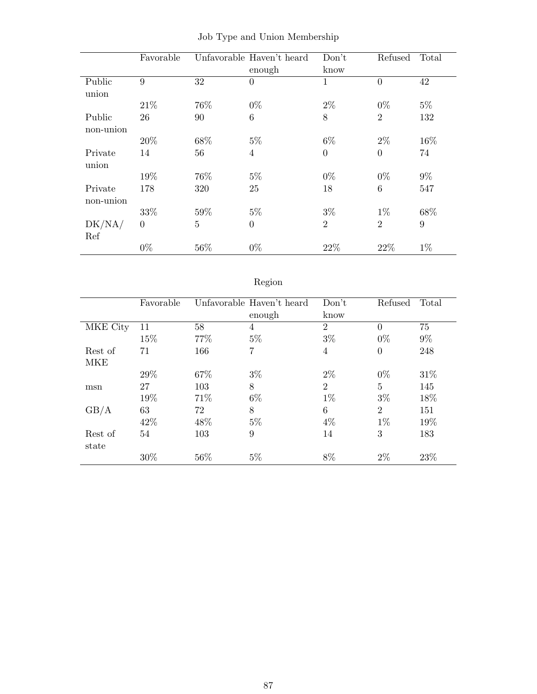|             | Favorable |                | Unfavorable Haven't heard | Don't          | Refused        | Total |
|-------------|-----------|----------------|---------------------------|----------------|----------------|-------|
|             |           |                | enough                    | know           |                |       |
| Public      | 9         | 32             | $\overline{0}$            | $\mathbf{1}$   | $\overline{0}$ | 42    |
| union       |           |                |                           |                |                |       |
|             | 21\%      | 76%            | $0\%$                     | $2\%$          | $0\%$          | $5\%$ |
| Public      | 26        | 90             | 6                         | 8              | $\overline{2}$ | 132   |
| non-union   |           |                |                           |                |                |       |
|             | 20%       | 68%            | $5\%$                     | $6\%$          | $2\%$          | 16%   |
| Private     | 14        | 56             | $\overline{4}$            | $\Omega$       | $\overline{0}$ | 74    |
| union       |           |                |                           |                |                |       |
|             | 19%       | 76%            | $5\%$                     | $0\%$          | $0\%$          | $9\%$ |
| Private     | 178       | 320            | 25                        | 18             | 6              | 547   |
| $non-union$ |           |                |                           |                |                |       |
|             | 33%       | 59%            | $5\%$                     | $3\%$          | $1\%$          | 68%   |
| DK/NA/      | $\theta$  | $\overline{5}$ | $\overline{0}$            | $\overline{2}$ | $\overline{2}$ | 9     |
| Ref         |           |                |                           |                |                |       |
|             | $0\%$     | 56%            | $0\%$                     | 22%            | 22\%           | $1\%$ |

|  |  |  |  |  | Job Type and Union Membership |
|--|--|--|--|--|-------------------------------|
|--|--|--|--|--|-------------------------------|

# Region

|            | Favorable |      | Unfavorable Haven't heard<br>enough | Don't<br>know  | Refused        | Total |
|------------|-----------|------|-------------------------------------|----------------|----------------|-------|
| MKE City   | 11        | 58   | 4                                   | $\overline{2}$ | $\Omega$       | 75    |
|            | 15%       | 77%  | $5\%$                               | $3\%$          | $0\%$          | $9\%$ |
| Rest of    | 71        | 166  | 7                                   | 4              | $\theta$       | 248   |
| <b>MKE</b> |           |      |                                     |                |                |       |
|            | 29%       | 67%  | $3\%$                               | $2\%$          | $0\%$          | 31%   |
| msn        | 27        | 103  | 8                                   | $\overline{2}$ | 5              | 145   |
|            | 19%       | 71\% | $6\%$                               | $1\%$          | $3\%$          | 18%   |
| GB/A       | 63        | 72   | 8                                   | 6              | $\overline{2}$ | 151   |
|            | 42%       | 48%  | $5\%$                               | $4\%$          | $1\%$          | 19%   |
| Rest of    | 54        | 103  | 9                                   | 14             | 3              | 183   |
| state      |           |      |                                     |                |                |       |
|            | 30%       | 56%  | $5\%$                               | 8%             | $2\%$          | 23%   |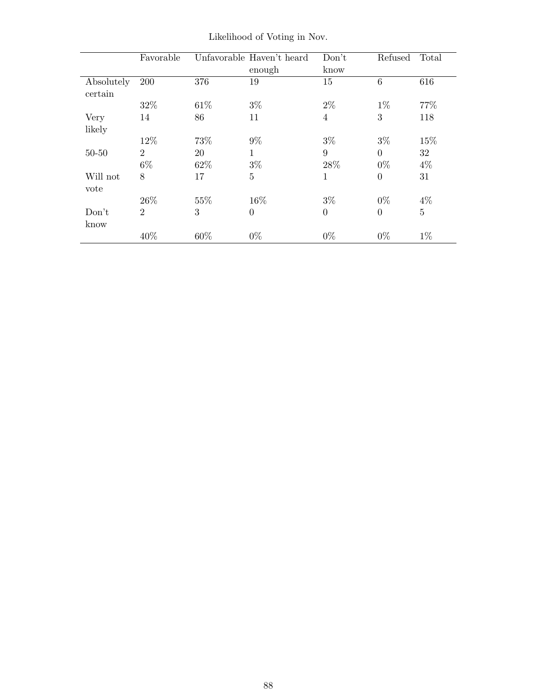|                       | Favorable      |      | Unfavorable Haven't heard | Don't          | Refused        | Total          |
|-----------------------|----------------|------|---------------------------|----------------|----------------|----------------|
|                       |                |      | enough                    | know           |                |                |
| Absolutely<br>certain | 200            | 376  | 19                        | 15             | 6              | 616            |
|                       | 32%            | 61\% | $3\%$                     | $2\%$          | $1\%$          | 77\%           |
| Very                  | 14             | 86   | 11                        | $\overline{4}$ | 3              | 118            |
| likely                |                |      |                           |                |                |                |
|                       | 12%            | 73%  | $9\%$                     | $3\%$          | $3\%$          | 15%            |
| $50 - 50$             | $\overline{2}$ | 20   | 1                         | 9              | $\theta$       | 32             |
|                       | $6\%$          | 62%  | $3\%$                     | 28\%           | $0\%$          | $4\%$          |
| Will not<br>vote      | 8              | 17   | 5                         | 1              | $\theta$       | 31             |
|                       | 26\%           | 55%  | 16%                       | $3\%$          | $0\%$          | $4\%$          |
| Don't<br>know         | $\overline{2}$ | 3    | $\theta$                  | $\overline{0}$ | $\overline{0}$ | $\overline{5}$ |
|                       | 40%            | 60%  | $0\%$                     | $0\%$          | $0\%$          | $1\%$          |

Likelihood of Voting in Nov.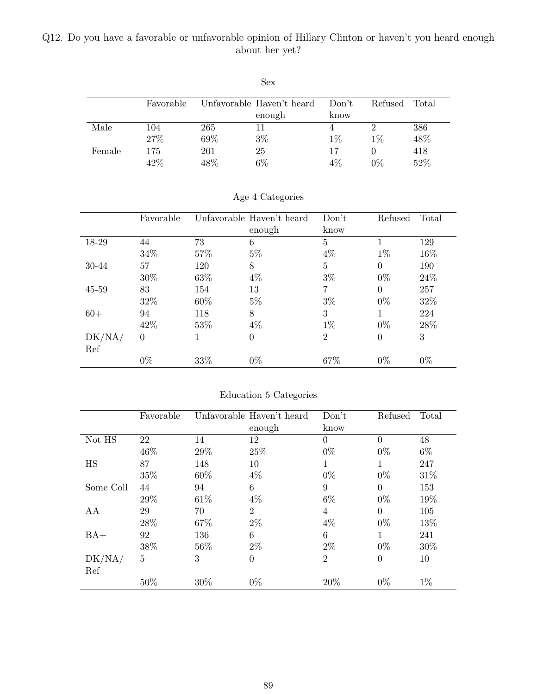## Q12. Do you have a favorable or unfavorable opinion of Hillary Clinton or haven't you heard enough about her yet?

|        |           |      | Sex                       |       |         |       |
|--------|-----------|------|---------------------------|-------|---------|-------|
|        | Favorable |      | Unfavorable Haven't heard | Don't | Refused | Total |
|        |           |      | enough                    | know  |         |       |
| Male   | 104       | 265  | 11                        | 4     | 2       | 386   |
|        | 27%       | 69%  | $3\%$                     | $1\%$ | $1\%$   | 48%   |
| Female | 175       | 201  | 25                        | 17    |         | 418   |
|        | 42\%      | 48\% | $6\%$                     | $4\%$ | $0\%$   | 52%   |

|           | Favorable      |        | Unfavorable Haven't heard | Don't          | Refused  | Total |
|-----------|----------------|--------|---------------------------|----------------|----------|-------|
|           |                |        | enough                    | know           |          |       |
| 18-29     | 44             | 73     | $6\phantom{.}6$           | $\overline{5}$ |          | 129   |
|           | 34%            | 57%    | $5\%$                     | $4\%$          | $1\%$    | 16\%  |
| 30-44     | 57             | 120    | 8                         | $\overline{5}$ | $\Omega$ | 190   |
|           | 30\%           | 63\%   | $4\%$                     | $3\%$          | $0\%$    | 24\%  |
| $45 - 59$ | 83             | 154    | 13                        | 7              | $\theta$ | 257   |
|           | 32%            | $60\%$ | $5\%$                     | $3\%$          | $0\%$    | 32\%  |
| $60+$     | 94             | 118    | 8                         | 3              |          | 224   |
|           | 42\%           | 53\%   | $4\%$                     | $1\%$          | $0\%$    | 28%   |
| DK/NA/    | $\overline{0}$ |        | $\overline{0}$            | $\overline{2}$ | $\Omega$ | 3     |
| Ref       |                |        |                           |                |          |       |
|           | $0\%$          | 33%    | $0\%$                     | 67%            | $0\%$    | $0\%$ |

Age 4 Categories

| Education 5 Categories |  |  |
|------------------------|--|--|
|                        |  |  |

|           | Favorable      |      | Unfavorable Haven't heard | Don't          | Refused  | Total |
|-----------|----------------|------|---------------------------|----------------|----------|-------|
|           |                |      | enough                    | know           |          |       |
| Not HS    | 22             | 14   | 12                        | $\Omega$       | $\Omega$ | 48    |
|           | 46%            | 29%  | 25%                       | $0\%$          | $0\%$    | $6\%$ |
| HS        | 87             | 148  | 10                        |                |          | 247   |
|           | 35%            | 60%  | $4\%$                     | $0\%$          | $0\%$    | 31%   |
| Some Coll | 44             | 94   | 6                         | 9              | $\Omega$ | 153   |
|           | 29%            | 61\% | $4\%$                     | $6\%$          | $0\%$    | 19%   |
| AA        | 29             | 70   | $\overline{2}$            | $\overline{4}$ | $\Omega$ | 105   |
|           | 28%            | 67%  | $2\%$                     | $4\%$          | $0\%$    | 13%   |
| $BA+$     | 92             | 136  | 6                         | 6              |          | 241   |
|           | 38%            | 56%  | $2\%$                     | $2\%$          | $0\%$    | 30%   |
| DK/NA/    | $\overline{5}$ | 3    | $\boldsymbol{0}$          | $\overline{2}$ | $\theta$ | 10    |
| Ref       |                |      |                           |                |          |       |
|           | 50%            | 30%  | $0\%$                     | 20%            | $0\%$    | $1\%$ |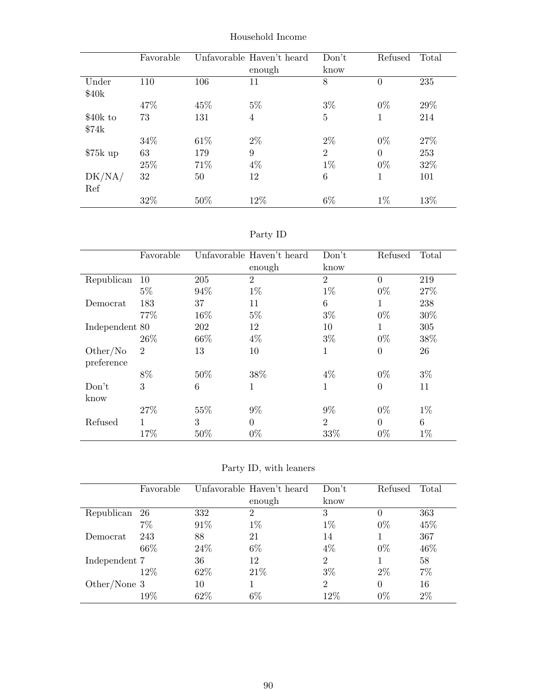|           | Favorable |      | Unfavorable Haven't heard | Don't          | Refused        | Total |
|-----------|-----------|------|---------------------------|----------------|----------------|-------|
|           |           |      | enough                    | know           |                |       |
| Under     | 110       | 106  | 11                        | 8              | $\overline{0}$ | 235   |
| \$40k     |           |      |                           |                |                |       |
|           | 47%       | 45%  | $5\%$                     | $3\%$          | $0\%$          | 29%   |
| \$40k to  | 73        | 131  | $\overline{4}$            | 5              | 1              | 214   |
| \$74k     |           |      |                           |                |                |       |
|           | 34%       | 61\% | $2\%$                     | $2\%$          | $0\%$          | 27\%  |
| $$75k$ up | 63        | 179  | 9                         | $\overline{2}$ | $\Omega$       | 253   |
|           | 25%       | 71%  | $4\%$                     | $1\%$          | $0\%$          | 32%   |
| DK/NA/    | 32        | 50   | 12                        | 6              | 1              | 101   |
| Ref       |           |      |                           |                |                |       |
|           | 32%       | 50%  | 12%                       | $6\%$          | $1\%$          | 13%   |

Household Income

| эrт |  |
|-----|--|
|-----|--|

|                        | Favorable      |      | Unfavorable Haven't heard | Don't          | Refused        | Total |
|------------------------|----------------|------|---------------------------|----------------|----------------|-------|
|                        |                |      | enough                    | know           |                |       |
| Republican             | 10             | 205  | $\overline{2}$            | $\overline{2}$ | $\theta$       | 219   |
|                        | $5\%$          | 94%  | $1\%$                     | $1\%$          | $0\%$          | 27%   |
| Democrat               | 183            | 37   | 11                        | 6              | 1              | 238   |
|                        | 77%            | 16%  | $5\%$                     | $3\%$          | $0\%$          | 30%   |
| Independent 80         |                | 202  | 12                        | 10             | 1              | 305   |
|                        | 26\%           | 66\% | $4\%$                     | $3\%$          | $0\%$          | 38%   |
| Other/No<br>preference | $\overline{2}$ | 13   | 10                        | 1              | $\overline{0}$ | 26    |
|                        | 8%             | 50%  | 38%                       | $4\%$          | $0\%$          | $3\%$ |
| Don't<br>know          | 3              | 6    | 1                         | 1              | $\overline{0}$ | 11    |
|                        | 27%            | 55%  | $9\%$                     | $9\%$          | $0\%$          | $1\%$ |
| Refused                | 1              | 3    | $\overline{0}$            | $\overline{2}$ | $\theta$       | 6     |
|                        | 17%            | 50%  | $0\%$                     | 33%            | $0\%$          | $1\%$ |

Party ID, with leaners

|               | Favorable |      | Unfavorable Haven't heard | Don't          | Refused  | Total |
|---------------|-----------|------|---------------------------|----------------|----------|-------|
|               |           |      | enough                    | know           |          |       |
| Republican    | -26       | 332  | $\overline{2}$            | 3              | $\theta$ | 363   |
|               | $7\%$     | 91\% | $1\%$                     | $1\%$          | $0\%$    | 45%   |
| Democrat      | 243       | 88   | 21                        | 14             |          | 367   |
|               | 66\%      | 24\% | $6\%$                     | 4%             | $0\%$    | 46%   |
| Independent 7 |           | 36   | 12                        | $\overline{2}$ |          | 58    |
|               | 12%       | 62\% | 21\%                      | $3\%$          | $2\%$    | 7%    |
| Other/None 3  |           | 10   |                           | $\overline{2}$ | 0        | 16    |
|               | $19\%$    | 62%  | $6\%$                     | $12\%$         | $0\%$    | $2\%$ |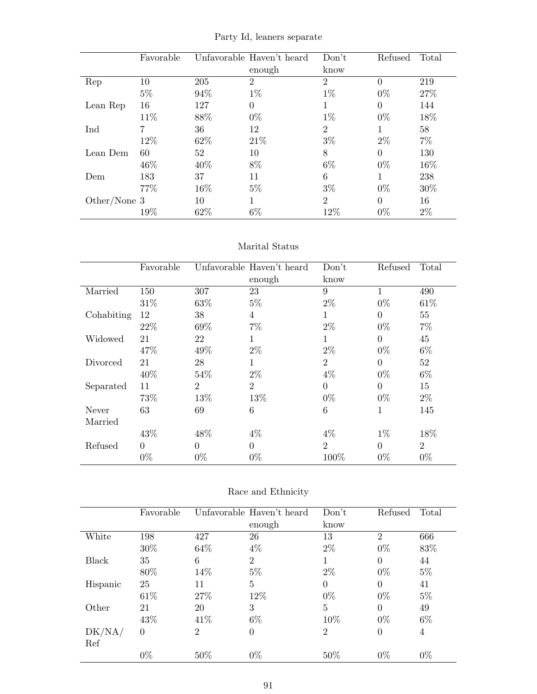|  |  | Party Id, leaners separate |
|--|--|----------------------------|
|--|--|----------------------------|

|              | Favorable |              | Unfavorable Haven't heard | Don't          | Refused  | Total |
|--------------|-----------|--------------|---------------------------|----------------|----------|-------|
|              |           |              | enough                    | know           |          |       |
| Rep          | 10        | 205          | $\overline{2}$            | $\overline{2}$ | $\Omega$ | 219   |
|              | $5\%$     | 94%          | $1\%$                     | $1\%$          | $0\%$    | 27%   |
| Lean Rep     | 16        | 127          | $\Omega$                  | 1              | $\Omega$ | 144   |
|              | 11\%      | 88%          | $0\%$                     | $1\%$          | $0\%$    | 18%   |
| Ind          | 7         | 36           | 12                        | $\overline{2}$ |          | 58    |
|              | 12\%      | 62\%         | 21\%                      | $3\%$          | $2\%$    | $7\%$ |
| Lean Dem     | 60        | $52^{\circ}$ | 10                        | 8              | $\Omega$ | 130   |
|              | 46\%      | 40\%         | 8%                        | $6\%$          | $0\%$    | 16%   |
| Dem          | 183       | 37           | 11                        | 6              | 1        | 238   |
|              | 77\%      | 16%          | $5\%$                     | $3\%$          | $0\%$    | 30%   |
| Other/None 3 |           | 10           |                           | $\mathfrak{D}$ | $\Omega$ | 16    |
|              | 19%       | 62%          | $6\%$                     | 12%            | $0\%$    | $2\%$ |

#### Marital Status

|            | Favorable |                | Unfavorable Haven't heard<br>enough | Don't<br>know  | Refused        | Total          |
|------------|-----------|----------------|-------------------------------------|----------------|----------------|----------------|
| Married    | 150       | 307            | 23                                  | 9              | $\mathbf{1}$   | 490            |
|            | 31%       | 63%            | $5\%$                               | $2\%$          | $0\%$          | 61\%           |
| Cohabiting | 12        | 38             | 4                                   | 1              | $\Omega$       | 55             |
|            | 22\%      | 69%            | $7\%$                               | $2\%$          | $0\%$          | $7\%$          |
| Widowed    | 21        | 22             | 1                                   | 1              | $\theta$       | 45             |
|            | 47%       | 49%            | $2\%$                               | $2\%$          | $0\%$          | $6\%$          |
| Divorced   | 21        | 28             | 1                                   | $\overline{2}$ | $\theta$       | 52             |
|            | 40%       | 54%            | $2\%$                               | $4\%$          | $0\%$          | $6\%$          |
| Separated  | 11        | $\overline{2}$ | $\overline{2}$                      | $\Omega$       | $\overline{0}$ | 15             |
|            | 73%       | 13%            | 13%                                 | $0\%$          | $0\%$          | $2\%$          |
| Never      | 63        | 69             | 6                                   | 6              | 1              | 145            |
| Married    |           |                |                                     |                |                |                |
|            | 43%       | 48%            | $4\%$                               | $4\%$          | $1\%$          | 18%            |
| Refused    | $\theta$  | $\theta$       | $\overline{0}$                      | $\overline{2}$ | $\theta$       | $\overline{2}$ |
|            | $0\%$     | $0\%$          | $0\%$                               | 100%           | $0\%$          | $0\%$          |

## Race and Ethnicity

|          | Favorable |      | Unfavorable Haven't heard | Don't          | Refused        | Total |
|----------|-----------|------|---------------------------|----------------|----------------|-------|
|          |           |      | enough                    | know           |                |       |
| White    | 198       | 427  | 26                        | 13             | $\overline{2}$ | 666   |
|          | 30\%      | 64\% | $4\%$                     | $2\%$          | $0\%$          | 83\%  |
| Black    | 35        | 6    | 2                         | 1              | $\Omega$       | 44    |
|          | 80%       | 14%  | $5\%$                     | $2\%$          | $0\%$          | $5\%$ |
| Hispanic | 25        | 11   | 5                         | $\Omega$       | $\Omega$       | 41    |
|          | 61\%      | 27%  | 12%                       | $0\%$          | $0\%$          | $5\%$ |
| Other    | 21        | 20   | 3                         | $\overline{5}$ | $\Omega$       | 49    |
|          | 43\%      | 41\% | $6\%$                     | 10%            | $0\%$          | $6\%$ |
| DK/NA/   | $\theta$  | 2    | $\overline{0}$            | $\overline{2}$ | $\theta$       | 4     |
| Ref      |           |      |                           |                |                |       |
|          | $0\%$     | 50%  | $0\%$                     | 50%            | $0\%$          | $0\%$ |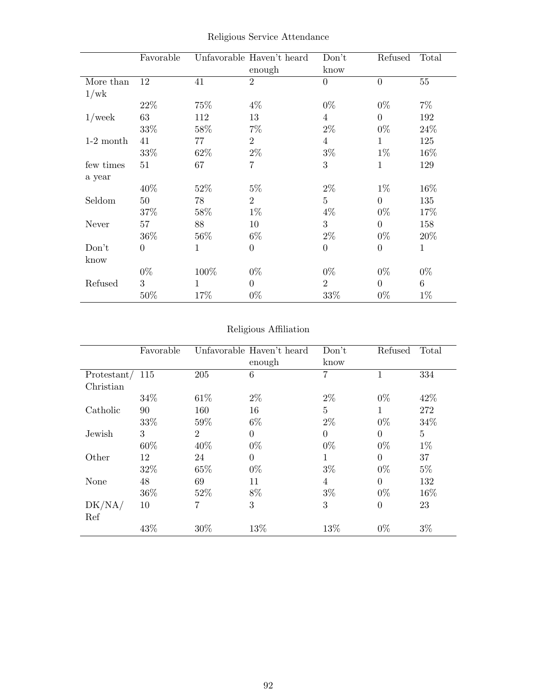|             | Favorable        |      | Unfavorable Haven't heard<br>enough | Don't<br>know    | Refused          | Total        |
|-------------|------------------|------|-------------------------------------|------------------|------------------|--------------|
| More than   | 12               | 41   | $\overline{2}$                      | $\overline{0}$   | $\boldsymbol{0}$ | 55           |
| 1/wk        |                  |      |                                     |                  |                  |              |
|             | 22\%             | 75%  | $4\%$                               | $0\%$            | $0\%$            | $7\%$        |
| $1$ /week   | 63               | 112  | 13                                  | $\overline{4}$   | $\theta$         | 192          |
|             | 33%              | 58%  | $7\%$                               | $2\%$            | $0\%$            | 24%          |
| $1-2$ month | 41               | 77   | $\overline{2}$                      | $\overline{4}$   | 1                | 125          |
|             | 33%              | 62\% | $2\%$                               | $3\%$            | $1\%$            | 16\%         |
| few times   | 51               | 67   | 7                                   | 3                | $\mathbf{1}$     | 129          |
| a year      |                  |      |                                     |                  |                  |              |
|             | $40\%$           | 52%  | $5\%$                               | $2\%$            | $1\%$            | 16\%         |
| Seldom      | 50               | 78   | $\overline{2}$                      | $\overline{5}$   | $\overline{0}$   | 135          |
|             | 37%              | 58%  | $1\%$                               | $4\%$            | $0\%$            | 17%          |
| Never       | 57               | 88   | 10                                  | 3                | $\overline{0}$   | 158          |
|             | 36\%             | 56\% | $6\%$                               | $2\%$            | $0\%$            | 20%          |
| Don't       | $\boldsymbol{0}$ | 1    | $\boldsymbol{0}$                    | $\boldsymbol{0}$ | $\boldsymbol{0}$ | $\mathbf{1}$ |
| know        |                  |      |                                     |                  |                  |              |
|             | $0\%$            | 100% | $0\%$                               | $0\%$            | $0\%$            | $0\%$        |
| Refused     | 3                | 1    | $\overline{0}$                      | $\overline{2}$   | $\overline{0}$   | $6\,$        |
|             | 50%              | 17%  | $0\%$                               | 33%              | $0\%$            | $1\%$        |

Religious Service Attendance

## Religious Affiliation

|               | Favorable |                | Unfavorable Haven't heard | Don't          | Refused        | Total          |
|---------------|-----------|----------------|---------------------------|----------------|----------------|----------------|
|               |           |                | enough                    | know           |                |                |
| Protestant/   | 115       | 205            | 6                         | 7              |                | 334            |
| Christian     |           |                |                           |                |                |                |
|               | 34\%      | 61\%           | $2\%$                     | $2\%$          | $0\%$          | 42\%           |
| Catholic      | 90        | 160            | 16                        | 5              |                | 272            |
|               | 33%       | 59%            | $6\%$                     | $2\%$          | $0\%$          | 34\%           |
| Jewish        | 3         | $\overline{2}$ | $\Omega$                  | $\overline{0}$ | $\theta$       | $\overline{5}$ |
|               | 60%       | 40%            | $0\%$                     | $0\%$          | $0\%$          | $1\%$          |
| Other         | 12        | 24             | $\Omega$                  | 1              | $\Omega$       | 37             |
|               | 32%       | 65%            | $0\%$                     | $3\%$          | $0\%$          | $5\%$          |
| None          | 48        | 69             | 11                        | 4              | $\theta$       | 132            |
|               | 36%       | 52%            | 8%                        | $3\%$          | $0\%$          | 16%            |
| DK/NA/<br>Ref | 10        |                | 3                         | 3              | $\overline{0}$ | 23             |
|               | 43%       | 30%            | 13%                       | 13%            | $0\%$          | $3\%$          |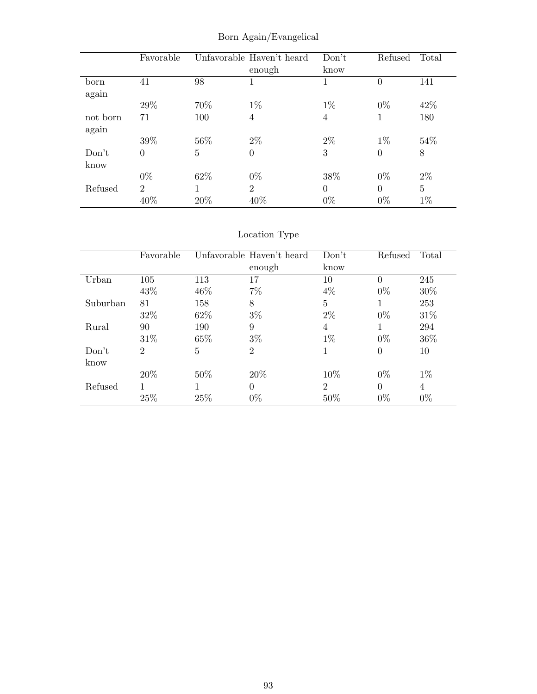|          | Favorable      |     | Unfavorable Haven't heard | Don't    | Refused  | Total |
|----------|----------------|-----|---------------------------|----------|----------|-------|
|          |                |     | enough                    | know     |          |       |
| born     | 41             | 98  |                           |          | $\theta$ | 141   |
| again    |                |     |                           |          |          |       |
|          | 29%            | 70% | $1\%$                     | $1\%$    | $0\%$    | 42\%  |
| not born | 71             | 100 | $\overline{4}$            | 4        | 1        | 180   |
| again    |                |     |                           |          |          |       |
|          | 39%            | 56% | $2\%$                     | $2\%$    | $1\%$    | 54\%  |
| Don't    | $\overline{0}$ | 5   | $\overline{0}$            | 3        | $\theta$ | 8     |
| know     |                |     |                           |          |          |       |
|          | $0\%$          | 62% | $0\%$                     | 38%      | $0\%$    | $2\%$ |
| Refused  | $\overline{2}$ |     | $\overline{2}$            | $\theta$ | $\Omega$ | 5     |
|          | 40%            | 20% | 40\%                      | $0\%$    | $0\%$    | $1\%$ |

Born Again/Evangelical

Location Type

|          | Favorable |      | Unfavorable Haven't heard | Don't          | Refused  | Total |
|----------|-----------|------|---------------------------|----------------|----------|-------|
|          |           |      | enough                    | know           |          |       |
| Urban    | 105       | 113  | 17                        | 10             | $\theta$ | 245   |
|          | 43\%      | 46\% | $7\%$                     | $4\%$          | $0\%$    | 30%   |
| Suburban | 81        | 158  | 8                         | 5              |          | 253   |
|          | 32%       | 62\% | $3\%$                     | $2\%$          | $0\%$    | 31\%  |
| Rural    | 90        | 190  | 9                         | 4              |          | 294   |
|          | 31%       | 65%  | $3\%$                     | $1\%$          | $0\%$    | 36%   |
| Don't    | 2         | 5    | 2                         | 1              | $\Omega$ | 10    |
| know     |           |      |                           |                |          |       |
|          | 20%       | 50%  | 20%                       | 10%            | $0\%$    | $1\%$ |
| Refused  |           |      | $\Omega$                  | $\overline{2}$ | $\Omega$ | 4     |
|          | 25%       | 25\% | $0\%$                     | 50%            | $0\%$    | $0\%$ |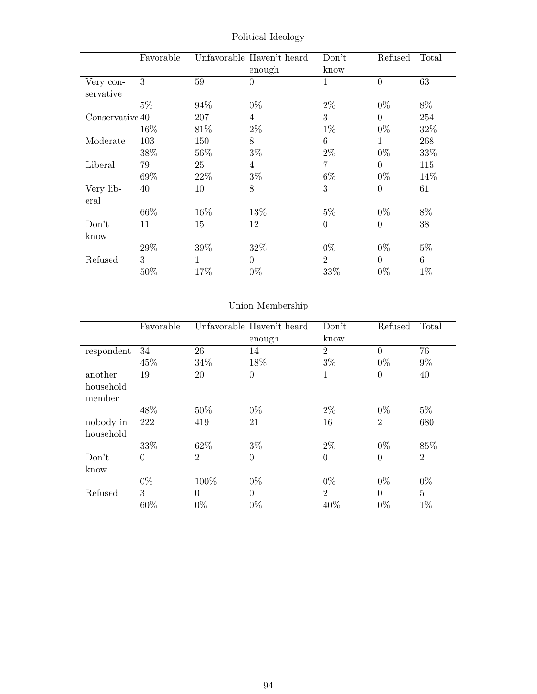|                        | Favorable |              | Unfavorable Haven't heard<br>enough | Don't<br>know  | Refused        | Total |
|------------------------|-----------|--------------|-------------------------------------|----------------|----------------|-------|
| Very con-<br>servative | 3         | 59           | $\overline{0}$                      | $\mathbf{1}$   | $\overline{0}$ | 63    |
|                        | $5\%$     | 94%          | $0\%$                               | $2\%$          | $0\%$          | 8%    |
| Conservative 40        |           | 207          | 4                                   | 3              | $\Omega$       | 254   |
|                        | 16%       | 81\%         | $2\%$                               | $1\%$          | $0\%$          | 32%   |
| Moderate               | 103       | 150          | 8                                   | 6              | $\mathbf{1}$   | 268   |
|                        | 38%       | $56\%$       | $3\%$                               | $2\%$          | $0\%$          | 33%   |
| Liberal                | 79        | 25           | 4                                   | 7              | $\theta$       | 115   |
|                        | 69%       | 22%          | $3\%$                               | $6\%$          | $0\%$          | 14%   |
| Very lib-<br>eral      | 40        | 10           | 8                                   | 3              | $\overline{0}$ | 61    |
|                        | 66%       | 16%          | 13%                                 | $5\%$          | $0\%$          | 8%    |
| Don't                  | 11        | 15           | 12                                  | $\theta$       | $\overline{0}$ | 38    |
| know                   |           |              |                                     |                |                |       |
|                        | 29%       | 39%          | 32%                                 | $0\%$          | $0\%$          | $5\%$ |
| Refused                | 3         | $\mathbf{1}$ | $\Omega$                            | $\overline{2}$ | $\theta$       | 6     |
|                        | 50%       | 17%          | $0\%$                               | 33%            | $0\%$          | $1\%$ |

Political Ideology

# Union Membership

|            | Favorable |                | Unfavorable Haven't heard | Don't          | Refused        | Total          |
|------------|-----------|----------------|---------------------------|----------------|----------------|----------------|
|            |           |                | enough                    | know           |                |                |
| respondent | 34        | 26             | 14                        | $\overline{2}$ | $\theta$       | 76             |
|            | 45%       | 34\%           | 18%                       | $3\%$          | $0\%$          | $9\%$          |
| another    | 19        | 20             | $\overline{0}$            | 1              | $\overline{0}$ | 40             |
| household  |           |                |                           |                |                |                |
| member     |           |                |                           |                |                |                |
|            | 48%       | 50%            | $0\%$                     | $2\%$          | $0\%$          | $5\%$          |
| nobody in  | 222       | 419            | 21                        | 16             | $\overline{2}$ | 680            |
| household  |           |                |                           |                |                |                |
|            | 33%       | 62%            | $3\%$                     | $2\%$          | $0\%$          | 85%            |
| Don't      | $\theta$  | $\overline{2}$ | $\overline{0}$            | $\overline{0}$ | $\overline{0}$ | $\overline{2}$ |
| know       |           |                |                           |                |                |                |
|            | $0\%$     | 100%           | $0\%$                     | $0\%$          | $0\%$          | $0\%$          |
| Refused    | 3         | $\theta$       | $\overline{0}$            | $\overline{2}$ | $\overline{0}$ | $\overline{5}$ |
|            | 60%       | $0\%$          | $0\%$                     | 40%            | $0\%$          | $1\%$          |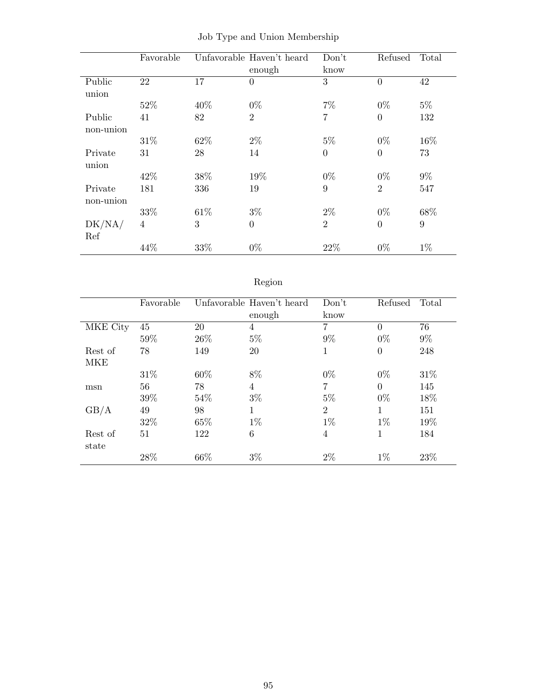|             | Favorable |      | Unfavorable Haven't heard | Don't          | Refused        | Total |
|-------------|-----------|------|---------------------------|----------------|----------------|-------|
|             |           |      | enough                    | know           |                |       |
| Public      | 22        | 17   | $\theta$                  | 3              | $\theta$       | 42    |
| union       |           |      |                           |                |                |       |
|             | 52%       | 40%  | $0\%$                     | $7\%$          | $0\%$          | $5\%$ |
| Public      | 41        | 82   | $\overline{2}$            | 7              | $\overline{0}$ | 132   |
| non-union   |           |      |                           |                |                |       |
|             | 31\%      | 62%  | $2\%$                     | $5\%$          | $0\%$          | 16%   |
| Private     | 31        | 28   | 14                        | $\theta$       | $\theta$       | 73    |
| union       |           |      |                           |                |                |       |
|             | 42\%      | 38%  | 19%                       | $0\%$          | $0\%$          | $9\%$ |
| Private     | 181       | 336  | 19                        | 9              | $\overline{2}$ | 547   |
| $non-union$ |           |      |                           |                |                |       |
|             | 33%       | 61\% | $3\%$                     | $2\%$          | $0\%$          | 68%   |
| DK/NA/      | 4         | 3    | $\overline{0}$            | $\overline{2}$ | $\overline{0}$ | 9     |
| Ref         |           |      |                           |                |                |       |
|             | 44%       | 33%  | $0\%$                     | 22%            | $0\%$          | $1\%$ |

|  |  |  |  |  | Job Type and Union Membership |
|--|--|--|--|--|-------------------------------|
|--|--|--|--|--|-------------------------------|

# Region

|            | Favorable |      | Unfavorable Haven't heard | Don't          | Refused        | Total |
|------------|-----------|------|---------------------------|----------------|----------------|-------|
|            |           |      | enough                    | know           |                |       |
| MKE City   | 45        | 20   | $\overline{4}$            | $\overline{7}$ | $\Omega$       | 76    |
|            | 59%       | 26\% | $5\%$                     | $9\%$          | $0\%$          | $9\%$ |
| Rest of    | 78        | 149  | 20                        | 1              | $\overline{0}$ | 248   |
| <b>MKE</b> |           |      |                           |                |                |       |
|            | 31\%      | 60%  | 8%                        | $0\%$          | $0\%$          | 31\%  |
| msn        | 56        | 78   | 4                         | 7              | $\theta$       | 145   |
|            | 39%       | 54%  | $3\%$                     | $5\%$          | $0\%$          | 18%   |
| GB/A       | 49        | 98   | 1                         | $\overline{2}$ | 1              | 151   |
|            | 32%       | 65%  | $1\%$                     | $1\%$          | $1\%$          | 19%   |
| Rest of    | 51        | 122  | 6                         | $\overline{4}$ | 1              | 184   |
| state      |           |      |                           |                |                |       |
|            | 28%       | 66%  | $3\%$                     | $2\%$          | $1\%$          | 23\%  |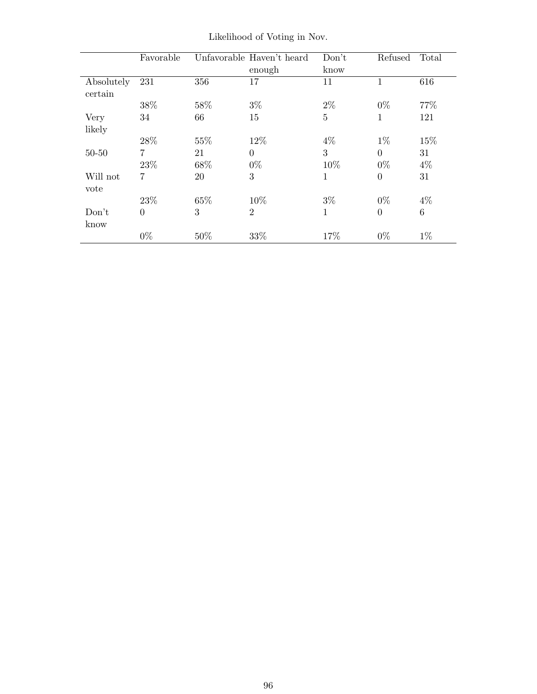|                       | Favorable      |     | Unfavorable Haven't heard | Don't | Refused      | Total           |
|-----------------------|----------------|-----|---------------------------|-------|--------------|-----------------|
|                       |                |     | enough                    | know  |              |                 |
| Absolutely<br>certain | 231            | 356 | 17                        | 11    | 1            | 616             |
|                       | 38%            | 58% | $3\%$                     | $2\%$ | $0\%$        | 77\%            |
| Very                  | 34             | 66  | 15                        | 5     | $\mathbf{1}$ | 121             |
| likely                |                |     |                           |       |              |                 |
|                       | 28%            | 55% | 12%                       | $4\%$ | $1\%$        | 15%             |
| $50 - 50$             | $\overline{7}$ | 21  | $\Omega$                  | 3     | $\Omega$     | 31              |
|                       | 23%            | 68% | $0\%$                     | 10%   | $0\%$        | $4\%$           |
| Will not<br>vote      | $\overline{7}$ | 20  | 3                         | 1     | $\theta$     | 31              |
|                       | 23\%           | 65% | 10%                       | $3\%$ | $0\%$        | $4\%$           |
| Don't<br>know         | $\overline{0}$ | 3   | $\overline{2}$            | 1     | $\theta$     | $6\phantom{.}6$ |
|                       | $0\%$          | 50% | 33%                       | 17%   | $0\%$        | $1\%$           |

Likelihood of Voting in Nov.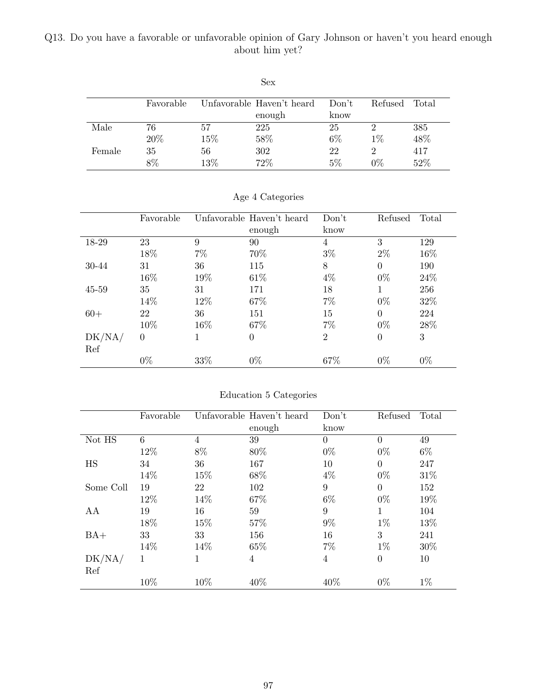#### Q13. Do you have a favorable or unfavorable opinion of Gary Johnson or haven't you heard enough about him yet?

|        |           |     | Sex                       |       |         |       |
|--------|-----------|-----|---------------------------|-------|---------|-------|
|        | Favorable |     | Unfavorable Haven't heard | Don't | Refused | Total |
|        |           |     | enough                    | know  |         |       |
| Male   | 76        | 57  | 225                       | 25    | ٠,      | 385   |
|        | 20%       | 15% | 58%                       | $6\%$ | $1\%$   | 48%   |
| Female | 35        | 56  | 302                       | 22    | 2       | 417   |
|        | 8%        | 13% | 72%                       | 5%    | $0\%$   | 52%   |

|        | Favorable |       | Unfavorable Haven't heard | Don't          | Refused        | Total |
|--------|-----------|-------|---------------------------|----------------|----------------|-------|
|        |           |       | enough                    | know           |                |       |
| 18-29  | 23        | 9     | 90                        | 4              | 3              | 129   |
|        | 18%       | $7\%$ | 70%                       | $3\%$          | $2\%$          | 16\%  |
| 30-44  | 31        | 36    | 115                       | 8              | $\theta$       | 190   |
|        | 16%       | 19%   | 61\%                      | $4\%$          | $0\%$          | 24\%  |
| 45-59  | 35        | 31    | 171                       | 18             | 1              | 256   |
|        | 14%       | 12\%  | 67%                       | $7\%$          | $0\%$          | 32%   |
| $60+$  | 22        | 36    | 151                       | 15             | $\theta$       | 224   |
|        | 10%       | 16%   | 67\%                      | 7%             | $0\%$          | 28%   |
| DK/NA/ | $\theta$  | 1     | $\overline{0}$            | $\overline{2}$ | $\overline{0}$ | 3     |
| Ref    |           |       |                           |                |                |       |
|        | $0\%$     | 33%   | $0\%$                     | 67%            | $0\%$          | $0\%$ |

#### Age 4 Categories

#### Education 5 Categories

|           | Favorable |                | Unfavorable Haven't heard | Don't    | Refused        | Total |
|-----------|-----------|----------------|---------------------------|----------|----------------|-------|
|           |           |                | enough                    | know     |                |       |
| Not HS    | 6         | $\overline{4}$ | 39                        | $\Omega$ | $\Omega$       | 49    |
|           | 12%       | 8%             | 80%                       | $0\%$    | $0\%$          | $6\%$ |
| HS        | 34        | 36             | 167                       | 10       | $\Omega$       | 247   |
|           | 14%       | 15%            | 68%                       | $4\%$    | $0\%$          | 31%   |
| Some Coll | 19        | 22             | 102                       | 9        | $\Omega$       | 152   |
|           | 12%       | 14%            | 67%                       | $6\%$    | $0\%$          | 19%   |
| AA        | 19        | 16             | 59                        | 9        | 1              | 104   |
|           | 18%       | 15%            | 57%                       | $9\%$    | $1\%$          | 13%   |
| $BA+$     | 33        | 33             | 156                       | 16       | 3              | 241   |
|           | 14%       | 14%            | 65%                       | $7\%$    | $1\%$          | 30%   |
| DK/NA/    | 1         |                | $\overline{4}$            | 4        | $\overline{0}$ | 10    |
| Ref       |           |                |                           |          |                |       |
|           | 10%       | 10%            | 40%                       | 40%      | $0\%$          | $1\%$ |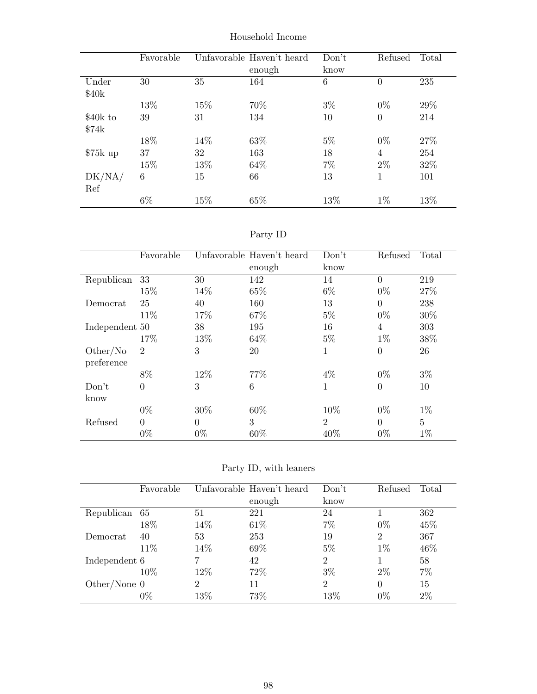|           | Favorable |      | Unfavorable Haven't heard | Don't | Refused        | Total |
|-----------|-----------|------|---------------------------|-------|----------------|-------|
|           |           |      | enough                    | know  |                |       |
| Under     | 30        | 35   | 164                       | 6     | $\overline{0}$ | 235   |
| \$40k     |           |      |                           |       |                |       |
|           | 13%       | 15%  | 70%                       | $3\%$ | $0\%$          | 29%   |
| \$40k to  | 39        | 31   | 134                       | 10    | $\theta$       | 214   |
| \$74k     |           |      |                           |       |                |       |
|           | 18%       | 14\% | 63%                       | $5\%$ | $0\%$          | 27%   |
| $$75k$ up | 37        | 32   | 163                       | 18    | 4              | 254   |
|           | 15%       | 13%  | 64\%                      | $7\%$ | $2\%$          | 32%   |
| DK/NA/    | 6         | 15   | 66                        | 13    | 1              | 101   |
| Ref       |           |      |                           |       |                |       |
|           | $6\%$     | 15%  | 65%                       | 13%   | $1\%$          | 13%   |

Household Income

| эrт<br>v |  |
|----------|--|
|          |  |

|                | Favorable      |          | Unfavorable Haven't heard | Don't          | Refused        | Total |
|----------------|----------------|----------|---------------------------|----------------|----------------|-------|
|                |                |          | enough                    | know           |                |       |
| Republican     | 33             | 30       | 142                       | 14             | $\theta$       | 219   |
|                | 15%            | 14\%     | 65%                       | $6\%$          | $0\%$          | 27%   |
| Democrat       | 25             | 40       | 160                       | 13             | $\theta$       | 238   |
|                | 11\%           | 17\%     | 67%                       | $5\%$          | $0\%$          | 30%   |
| Independent 50 |                | 38       | 195                       | 16             | 4              | 303   |
|                | 17%            | 13%      | 64\%                      | $5\%$          | $1\%$          | 38%   |
| Other/No       | $\overline{2}$ | 3        | 20                        | 1              | $\overline{0}$ | 26    |
| preference     |                |          |                           |                |                |       |
|                | 8%             | 12%      | 77%                       | $4\%$          | $0\%$          | $3\%$ |
| Don't          | $\theta$       | 3        | 6                         | 1              | $\overline{0}$ | 10    |
| know           |                |          |                           |                |                |       |
|                | $0\%$          | 30%      | 60%                       | 10%            | $0\%$          | $1\%$ |
| Refused        | $\Omega$       | $\theta$ | 3                         | $\overline{2}$ | $\theta$       | 5     |
|                | $0\%$          | $0\%$    | 60%                       | 40\%           | $0\%$          | $1\%$ |

Party ID, with leaners

|                | Favorable |      | Unfavorable Haven't heard | Don't          | Refused        | Total |
|----------------|-----------|------|---------------------------|----------------|----------------|-------|
|                |           |      |                           |                |                |       |
|                |           |      | enough                    | know           |                |       |
| Republican     | 65        | 51   | 221                       | 24             |                | 362   |
|                | 18%       | 14\% | 61\%                      | 7%             | $0\%$          | 45%   |
| Democrat       | 40        | 53   | 253                       | 19             | $\overline{2}$ | 367   |
|                | 11\%      | 14\% | 69%                       | $5\%$          | $1\%$          | 46%   |
| Independent 6  |           |      | 42                        | $\overline{2}$ |                | 58    |
|                | 10%       | 12%  | 72%                       | $3\%$          | $2\%$          | $7\%$ |
| Other/None $0$ |           | 2    | 11                        | $\overline{2}$ | 0              | 15    |
|                | $0\%$     | 13%  | 73%                       | 13%            | $0\%$          | $2\%$ |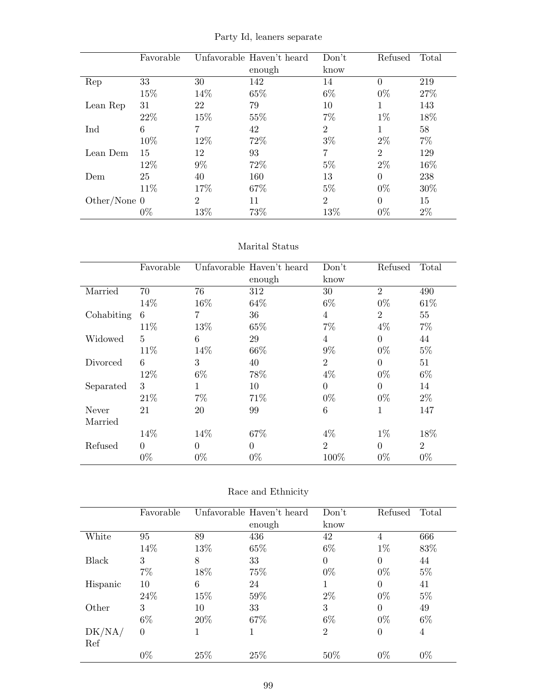|                | Favorable |                | Unfavorable Haven't heard | Don't          | Refused        | Total |
|----------------|-----------|----------------|---------------------------|----------------|----------------|-------|
|                |           |                | enough                    | know           |                |       |
| Rep            | 33        | 30             | 142                       | 14             | $\Omega$       | 219   |
|                | 15%       | 14%            | 65%                       | $6\%$          | $0\%$          | 27\%  |
| Lean Rep       | 31        | 22             | 79                        | 10             |                | 143   |
|                | 22\%      | 15%            | 55%                       | 7%             | $1\%$          | 18%   |
| Ind            | 6         | 7              | 42                        | $\overline{2}$ |                | 58    |
|                | 10%       | 12%            | 72%                       | $3\%$          | $2\%$          | $7\%$ |
| Lean Dem       | 15        | 12             | 93                        | 7              | $\overline{2}$ | 129   |
|                | 12%       | $9\%$          | 72%                       | $5\%$          | $2\%$          | 16%   |
| Dem            | 25        | 40             | 160                       | 13             | 0              | 238   |
|                | 11\%      | 17%            | 67%                       | $5\%$          | $0\%$          | 30\%  |
| Other/None $0$ |           | $\overline{2}$ | 11                        | $\overline{2}$ | 0              | 15    |
|                | $0\%$     | 13%            | 73%                       | 13%            | $0\%$          | $2\%$ |

Party Id, leaners separate

#### Marital Status

|            | Favorable |          | Unfavorable Haven't heard | Don't          | Refused        | Total          |
|------------|-----------|----------|---------------------------|----------------|----------------|----------------|
|            |           |          | enough                    | know           |                |                |
| Married    | 70        | 76       | 312                       | 30             | $\overline{2}$ | 490            |
|            | 14%       | 16%      | 64\%                      | $6\%$          | $0\%$          | 61\%           |
| Cohabiting | 6         | 7        | 36                        | 4              | $\overline{2}$ | 55             |
|            | 11\%      | 13%      | 65%                       | $7\%$          | $4\%$          | $7\%$          |
| Widowed    | 5         | 6        | 29                        | 4              | $\overline{0}$ | 44             |
|            | 11\%      | 14%      | 66\%                      | $9\%$          | $0\%$          | $5\%$          |
| Divorced   | 6         | 3        | 40                        | $\overline{2}$ | $\overline{0}$ | 51             |
|            | 12%       | $6\%$    | 78%                       | $4\%$          | $0\%$          | $6\%$          |
| Separated  | 3         | 1        | 10                        | $\theta$       | $\theta$       | 14             |
|            | 21\%      | 7%       | 71\%                      | $0\%$          | $0\%$          | $2\%$          |
| Never      | 21        | 20       | 99                        | 6              | 1              | 147            |
| Married    |           |          |                           |                |                |                |
|            | 14\%      | 14%      | 67\%                      | $4\%$          | $1\%$          | 18%            |
| Refused    | $\theta$  | $\Omega$ | $\overline{0}$            | $\overline{2}$ | $\overline{0}$ | $\overline{2}$ |
|            | $0\%$     | $0\%$    | $0\%$                     | 100%           | $0\%$          | $0\%$          |

| Race and Ethnicity |  |
|--------------------|--|
|--------------------|--|

|          | Favorable |     | Unfavorable Haven't heard | Don't          | Refused        | Total |
|----------|-----------|-----|---------------------------|----------------|----------------|-------|
|          |           |     | enough                    | know           |                |       |
| White    | 95        | 89  | 436                       | 42             | 4              | 666   |
|          | 14%       | 13% | 65%                       | $6\%$          | $1\%$          | 83%   |
| Black    | 3         | 8   | 33                        | $\theta$       | $\theta$       | 44    |
|          | $7\%$     | 18% | 75%                       | $0\%$          | $0\%$          | $5\%$ |
| Hispanic | 10        | 6   | 24                        |                | $\theta$       | 41    |
|          | 24\%      | 15% | 59%                       | $2\%$          | $0\%$          | $5\%$ |
| Other    | 3         | 10  | 33                        | 3              | $\theta$       | 49    |
|          | $6\%$     | 20% | 67%                       | $6\%$          | $0\%$          | $6\%$ |
| DK/NA/   | $\theta$  |     | 1                         | $\overline{2}$ | $\overline{0}$ | 4     |
| Ref      |           |     |                           |                |                |       |
|          | $0\%$     | 25% | 25\%                      | 50%            | $0\%$          | $0\%$ |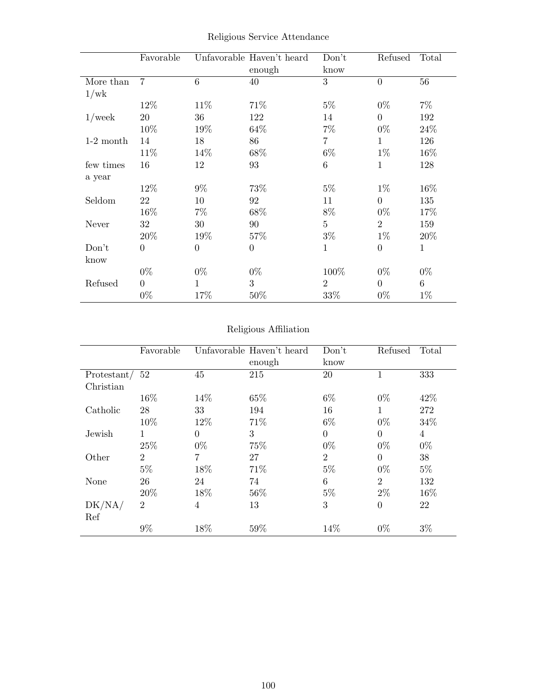|             | Favorable        |                | Unfavorable Haven't heard<br>enough | Don't<br>know  | Refused        | Total           |
|-------------|------------------|----------------|-------------------------------------|----------------|----------------|-----------------|
| More than   | $\overline{7}$   | 6              | 40                                  | 3              | $\overline{0}$ | 56              |
| 1/wk        |                  |                |                                     |                |                |                 |
|             | 12%              | 11\%           | 71\%                                | $5\%$          | $0\%$          | $7\%$           |
| $1$ /week   | $20\,$           | 36             | 122                                 | 14             | $\overline{0}$ | 192             |
|             | 10%              | 19%            | 64\%                                | $7\%$          | $0\%$          | 24%             |
| $1-2$ month | 14               | 18             | 86                                  | 7              | $\mathbf{1}$   | 126             |
|             | 11%              | 14%            | 68\%                                | $6\%$          | $1\%$          | 16\%            |
| few times   | 16               | 12             | 93                                  | $\,6$          | $\mathbf{1}$   | 128             |
| a year      |                  |                |                                     |                |                |                 |
|             | 12%              | $9\%$          | 73%                                 | $5\%$          | $1\%$          | 16%             |
| Seldom      | 22               | 10             | 92                                  | 11             | $\overline{0}$ | 135             |
|             | 16%              | $7\%$          | 68\%                                | $8\%$          | $0\%$          | 17%             |
| Never       | 32               | 30             | 90                                  | $\overline{5}$ | $\overline{2}$ | 159             |
|             | 20%              | 19%            | 57\%                                | $3\%$          | $1\%$          | 20%             |
| Don't       | $\boldsymbol{0}$ | $\overline{0}$ | $\boldsymbol{0}$                    | $\mathbf{1}$   | $\overline{0}$ | $\mathbf{1}$    |
| know        |                  |                |                                     |                |                |                 |
|             | $0\%$            | $0\%$          | $0\%$                               | 100%           | $0\%$          | $0\%$           |
| Refused     | $\theta$         | 1              | 3                                   | $\overline{2}$ | $\overline{0}$ | $6\phantom{.}6$ |
|             | $0\%$            | 17%            | 50\%                                | 33%            | $0\%$          | $1\%$           |

Religious Service Attendance

## Religious Affiliation

|                  | Favorable      |          | Unfavorable Haven't heard | Don't          | Refused        | Total          |
|------------------|----------------|----------|---------------------------|----------------|----------------|----------------|
|                  |                |          | enough                    | know           |                |                |
| Protestant/ $52$ |                | 45       | 215                       | 20             |                | 333            |
| Christian        |                |          |                           |                |                |                |
|                  | 16\%           | 14\%     | 65%                       | $6\%$          | $0\%$          | 42\%           |
| Catholic         | 28             | 33       | 194                       | 16             | 1              | 272            |
|                  | 10\%           | 12\%     | 71\%                      | $6\%$          | $0\%$          | 34\%           |
| Jewish           | 1              | $\theta$ | 3                         | $\overline{0}$ | $\theta$       | $\overline{4}$ |
|                  | 25%            | $0\%$    | 75%                       | $0\%$          | $0\%$          | $0\%$          |
| Other            | $\overline{2}$ | 7        | 27                        | $\overline{2}$ | $\Omega$       | 38             |
|                  | $5\%$          | 18%      | 71%                       | $5\%$          | $0\%$          | $5\%$          |
| None             | 26             | 24       | 74                        | 6              | $\overline{2}$ | 132            |
|                  | 20%            | 18%      | 56%                       | $5\%$          | $2\%$          | 16\%           |
| DK/NA/<br>Ref    | $\overline{2}$ | 4        | 13                        | 3              | $\overline{0}$ | 22             |
|                  | 9%             | 18%      | 59%                       | 14%            | $0\%$          | $3\%$          |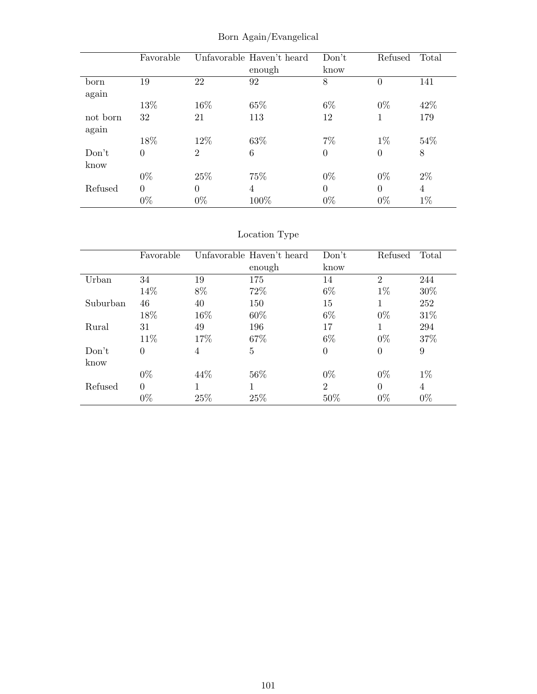|          | Favorable      |                | Unfavorable Haven't heard | Don't    | Refused        | Total          |
|----------|----------------|----------------|---------------------------|----------|----------------|----------------|
|          |                |                | enough                    | know     |                |                |
| born     | 19             | 22             | 92                        | 8        | $\theta$       | 141            |
| again    |                |                |                           |          |                |                |
|          | 13%            | 16%            | 65%                       | $6\%$    | $0\%$          | 42\%           |
| not born | 32             | 21             | 113                       | 12       |                | 179            |
| again    |                |                |                           |          |                |                |
|          | 18%            | 12\%           | 63%                       | $7\%$    | $1\%$          | 54%            |
| Don't    | $\overline{0}$ | $\overline{2}$ | 6                         | $\theta$ | $\overline{0}$ | 8              |
| know     |                |                |                           |          |                |                |
|          | $0\%$          | 25%            | 75%                       | $0\%$    | $0\%$          | $2\%$          |
| Refused  | $\theta$       | $\Omega$       | 4                         | $\theta$ | $\Omega$       | $\overline{4}$ |
|          | $0\%$          | $0\%$          | 100%                      | $0\%$    | $0\%$          | $1\%$          |

Born Again/Evangelical

# Location Type

|          | Favorable      |        | Unfavorable Haven't heard | Don't          | Refused        | Total |
|----------|----------------|--------|---------------------------|----------------|----------------|-------|
|          |                |        | enough                    | know           |                |       |
| Urban    | 34             | 19     | 175                       | 14             | $\overline{2}$ | 244   |
|          | 14%            | 8%     | 72\%                      | $6\%$          | $1\%$          | 30%   |
| Suburban | 46             | 40     | 150                       | 15             | 1              | 252   |
|          | 18%            | $16\%$ | 60%                       | $6\%$          | $0\%$          | 31\%  |
| Rural    | 31             | 49     | 196                       | 17             |                | 294   |
|          | 11\%           | 17%    | 67\%                      | $6\%$          | $0\%$          | 37%   |
| Don't    | $\overline{0}$ | 4      | $\overline{5}$            | $\theta$       | $\theta$       | 9     |
| know     |                |        |                           |                |                |       |
|          | $0\%$          | 44\%   | 56%                       | $0\%$          | $0\%$          | $1\%$ |
| Refused  | $\theta$       |        |                           | $\overline{2}$ | $\Omega$       | 4     |
|          | $0\%$          | 25%    | 25%                       | 50%            | $0\%$          | $0\%$ |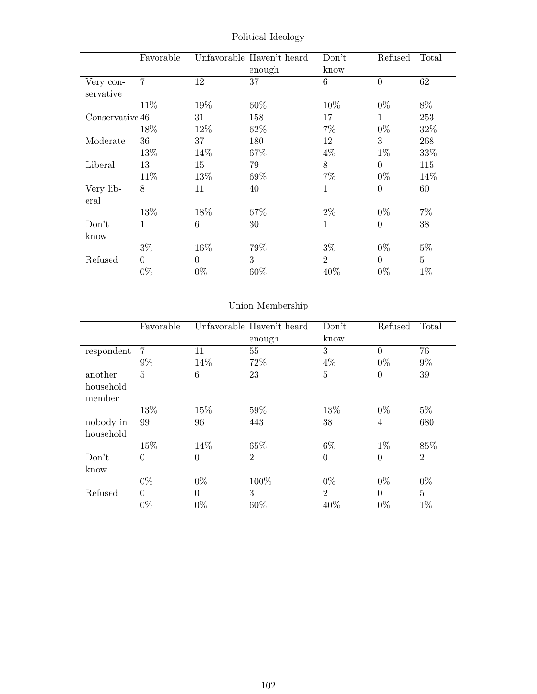|                        | Favorable      |                | Unfavorable Haven't heard<br>enough | Don't<br>know   | Refused        | Total          |
|------------------------|----------------|----------------|-------------------------------------|-----------------|----------------|----------------|
| Very con-<br>servative | $\overline{7}$ | 12             | 37                                  | $6\overline{6}$ | $\overline{0}$ | 62             |
|                        | 11\%           | 19%            | 60\%                                | 10%             | $0\%$          | 8%             |
| Conservative 46        |                | 31             | 158                                 | 17              | $\mathbf{1}$   | 253            |
|                        | 18%            | 12\%           | 62\%                                | $7\%$           | $0\%$          | 32%            |
| Moderate               | 36             | 37             | 180                                 | 12              | 3              | 268            |
|                        | 13%            | 14\%           | 67%                                 | $4\%$           | $1\%$          | 33%            |
| Liberal                | 13             | 15             | 79                                  | 8               | $\Omega$       | 115            |
|                        | 11%            | 13%            | 69%                                 | $7\%$           | $0\%$          | 14\%           |
| Very lib-<br>eral      | 8              | 11             | 40                                  | 1               | $\theta$       | 60             |
|                        | 13%            | 18%            | 67%                                 | $2\%$           | $0\%$          | $7\%$          |
| Don't                  | $\mathbf{1}$   | 6              | 30                                  | $\mathbf{1}$    | $\Omega$       | 38             |
| know                   |                |                |                                     |                 |                |                |
|                        | $3\%$          | 16\%           | 79%                                 | $3\%$           | $0\%$          | $5\%$          |
| Refused                | $\Omega$       | $\overline{0}$ | 3                                   | $\overline{2}$  | $\theta$       | $\overline{5}$ |
|                        | $0\%$          | $0\%$          | 60\%                                | 40%             | $0\%$          | $1\%$          |

Political Ideology

# Union Membership

|                     | Favorable      |                | Unfavorable Haven't heard | Don't          | Refused        | Total          |
|---------------------|----------------|----------------|---------------------------|----------------|----------------|----------------|
|                     |                |                | enough                    | know           |                |                |
| respondent          | 7              | 11             | 55                        | 3              | $\theta$       | 76             |
|                     | $9\%$          | 14%            | 72%                       | $4\%$          | $0\%$          | $9\%$          |
| another             | $\overline{5}$ | 6              | 23                        | $\overline{5}$ | $\theta$       | 39             |
| household<br>member |                |                |                           |                |                |                |
|                     | 13%            | 15%            | 59%                       | 13%            | $0\%$          | $5\%$          |
| nobody in           | 99             | 96             | 443                       | 38             | $\overline{4}$ | 680            |
| household           |                |                |                           |                |                |                |
|                     | 15%            | 14%            | 65%                       | $6\%$          | $1\%$          | 85%            |
| Don't               | $\theta$       | $\overline{0}$ | $\overline{2}$            | $\theta$       | $\overline{0}$ | $\overline{2}$ |
| know                |                |                |                           |                |                |                |
|                     | $0\%$          | $0\%$          | 100\%                     | $0\%$          | $0\%$          | $0\%$          |
| Refused             | $\Omega$       | $\overline{0}$ | 3                         | $\overline{2}$ | $\Omega$       | $\overline{5}$ |
|                     | $0\%$          | $0\%$          | 60%                       | 40%            | $0\%$          | $1\%$          |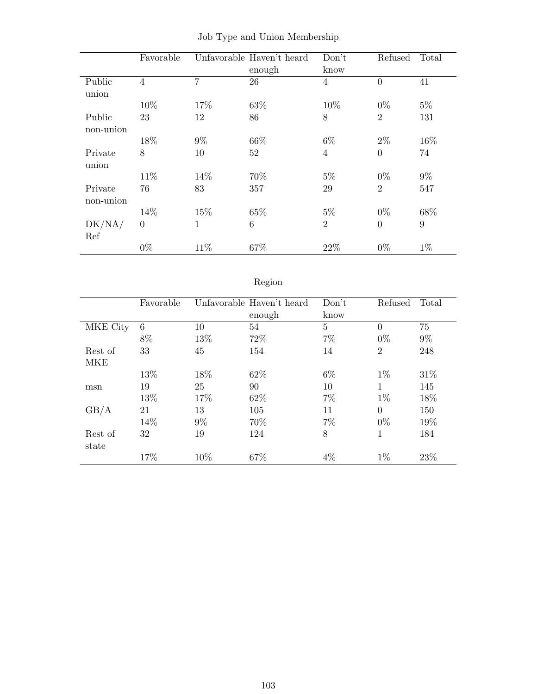|           | Favorable      |                | Unfavorable Haven't heard | Don't          | Refused        | Total |
|-----------|----------------|----------------|---------------------------|----------------|----------------|-------|
|           |                |                | enough                    | know           |                |       |
| Public    | $\overline{4}$ | $\overline{7}$ | 26                        | $\overline{4}$ | $\theta$       | 41    |
| union     |                |                |                           |                |                |       |
|           | 10%            | 17%            | 63%                       | 10%            | $0\%$          | $5\%$ |
| Public    | 23             | 12             | 86                        | 8              | $\overline{2}$ | 131   |
| non-union |                |                |                           |                |                |       |
|           | 18%            | $9\%$          | 66\%                      | $6\%$          | $2\%$          | 16%   |
| Private   | 8              | 10             | 52                        | $\overline{4}$ | $\overline{0}$ | 74    |
| union     |                |                |                           |                |                |       |
|           | 11\%           | 14%            | 70%                       | $5\%$          | $0\%$          | $9\%$ |
| Private   | 76             | 83             | 357                       | 29             | $\overline{2}$ | 547   |
| non-union |                |                |                           |                |                |       |
|           | 14%            | 15%            | 65%                       | $5\%$          | $0\%$          | 68%   |
| DK/NA/    | $\theta$       | $\mathbf{1}$   | 6                         | $\overline{2}$ | $\overline{0}$ | 9     |
| Ref       |                |                |                           |                |                |       |
|           | $0\%$          | 11%            | 67%                       | 22%            | $0\%$          | $1\%$ |

|  |  |  |  |  | Job Type and Union Membership |
|--|--|--|--|--|-------------------------------|
|--|--|--|--|--|-------------------------------|

# Region

|          | Favorable |       | Unfavorable Haven't heard | Don't          | Refused        | Total |
|----------|-----------|-------|---------------------------|----------------|----------------|-------|
|          |           |       | enough                    | know           |                |       |
| MKE City | 6         | 10    | 54                        | $\overline{5}$ | $\Omega$       | 75    |
|          | 8%        | 13%   | 72%                       | 7%             | $0\%$          | $9\%$ |
| Rest of  | 33        | 45    | 154                       | 14             | $\overline{2}$ | 248   |
| MKE      |           |       |                           |                |                |       |
|          | 13%       | 18%   | 62%                       | $6\%$          | $1\%$          | 31\%  |
| msn      | 19        | 25    | 90                        | 10             | 1              | 145   |
|          | 13%       | 17%   | 62\%                      | $7\%$          | $1\%$          | 18%   |
| GB/A     | 21        | 13    | 105                       | 11             | $\Omega$       | 150   |
|          | 14%       | $9\%$ | 70%                       | $7\%$          | $0\%$          | 19%   |
| Rest of  | 32        | 19    | 124                       | 8              | 1              | 184   |
| state    |           |       |                           |                |                |       |
|          | 17%       | 10%   | 67%                       | $4\%$          | $1\%$          | 23%   |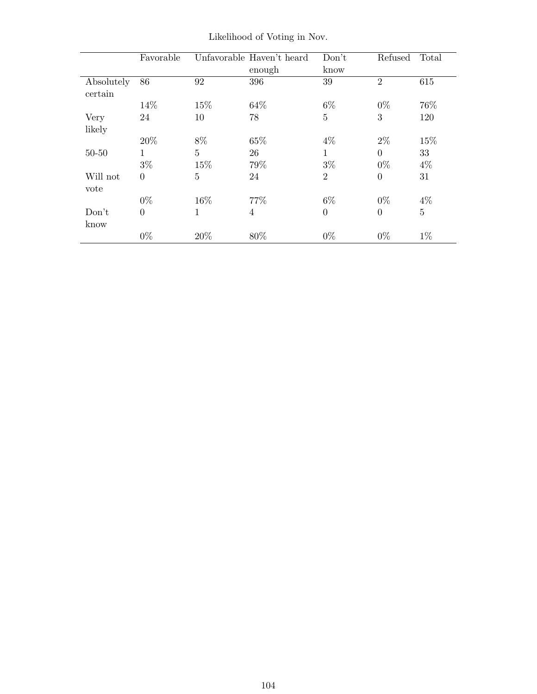|                       | Favorable      |                | Unfavorable Haven't heard | Don't          | Refused        | Total          |
|-----------------------|----------------|----------------|---------------------------|----------------|----------------|----------------|
|                       |                |                | enough                    | know           |                |                |
| Absolutely<br>certain | 86             | 92             | 396                       | 39             | $\overline{2}$ | 615            |
|                       | 14\%           | 15%            | 64\%                      | 6\%            | $0\%$          | 76%            |
| Very                  | 24             | 10             | 78                        | 5              | 3              | 120            |
| likely                |                |                |                           |                |                |                |
|                       | 20%            | 8%             | 65%                       | $4\%$          | $2\%$          | 15%            |
| $50 - 50$             | 1              | $\overline{5}$ | 26                        | 1              | $\Omega$       | 33             |
|                       | $3\%$          | 15%            | 79%                       | $3\%$          | $0\%$          | $4\%$          |
| Will not              | $\theta$       | $\overline{5}$ | 24                        | $\overline{2}$ | $\theta$       | 31             |
| vote                  |                |                |                           |                |                |                |
|                       | $0\%$          | 16%            | 77%                       | $6\%$          | $0\%$          | $4\%$          |
| Don't                 | $\overline{0}$ | $\mathbf{1}$   | $\overline{4}$            | $\overline{0}$ | $\overline{0}$ | $\overline{5}$ |
| know                  |                |                |                           |                |                |                |
|                       | $0\%$          | 20%            | 80%                       | $0\%$          | $0\%$          | $1\%$          |

Likelihood of Voting in Nov.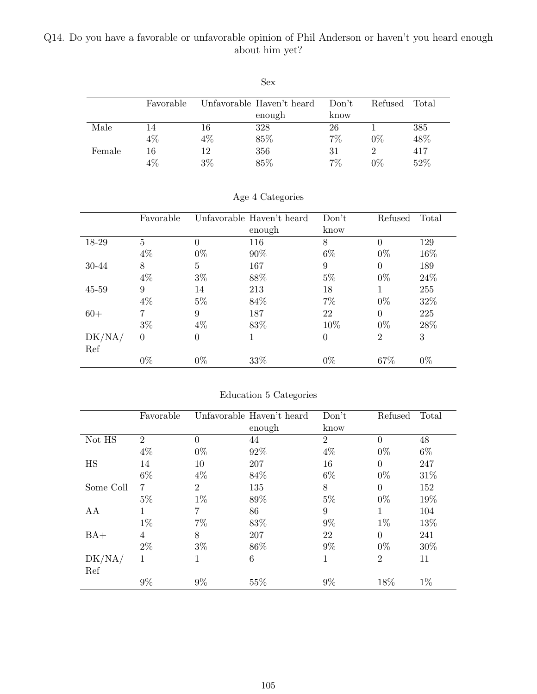## Q14. Do you have a favorable or unfavorable opinion of Phil Anderson or haven't you heard enough about him yet?

|        |           |       | <b>Sex</b>                |       |         |       |
|--------|-----------|-------|---------------------------|-------|---------|-------|
|        | Favorable |       | Unfavorable Haven't heard | Don't | Refused | Total |
|        |           |       | enough                    | know  |         |       |
| Male   | 14        | 16    | 328                       | 26    |         | 385   |
|        | 4%        | $4\%$ | 85%                       | $7\%$ | $0\%$   | 48%   |
| Female | 16        | 12    | 356                       | 31    | 2       | 417   |
|        | $4\%$     | 3%    | 85%                       | 7%    | $0\%$   | 52%   |

|           | Favorable      |       | Unfavorable Haven't heard | Don't          | Refused        | Total |
|-----------|----------------|-------|---------------------------|----------------|----------------|-------|
|           |                |       | enough                    | know           |                |       |
| 18-29     | 5              | 0     | 116                       | 8              | $\Omega$       | 129   |
|           | $4\%$          | $0\%$ | 90%                       | $6\%$          | $0\%$          | 16%   |
| 30-44     | 8              | 5     | 167                       | 9              | $\Omega$       | 189   |
|           | $4\%$          | $3\%$ | 88%                       | $5\%$          | $0\%$          | 24\%  |
| $45 - 59$ | 9              | 14    | 213                       | 18             |                | 255   |
|           | $4\%$          | $5\%$ | 84%                       | $7\%$          | $0\%$          | 32%   |
| $60+$     | $\overline{7}$ | 9     | 187                       | 22             | $\Omega$       | 225   |
|           | $3\%$          | $4\%$ | 83%                       | 10%            | $0\%$          | 28%   |
| DK/NA/    | $\overline{0}$ | 0     |                           | $\overline{0}$ | $\overline{2}$ | 3     |
| Ref       |                |       |                           |                |                |       |
|           | $0\%$          | $0\%$ | 33%                       | $0\%$          | 67%            | $0\%$ |

Age 4 Categories

| Education 5 Categories |  |  |
|------------------------|--|--|
|                        |  |  |

|           | Favorable      |                | Unfavorable Haven't heard | Don't          | Refused        | Total |
|-----------|----------------|----------------|---------------------------|----------------|----------------|-------|
|           |                |                | enough                    | know           |                |       |
| Not HS    | $\overline{2}$ | $\theta$       | 44                        | $\overline{2}$ | $\theta$       | 48    |
|           | $4\%$          | $0\%$          | 92%                       | $4\%$          | $0\%$          | $6\%$ |
| HS        | 14             | 10             | 207                       | 16             | $\Omega$       | 247   |
|           | $6\%$          | $4\%$          | 84%                       | $6\%$          | $0\%$          | 31\%  |
| Some Coll | 7              | $\overline{2}$ | 135                       | 8              | $\Omega$       | 152   |
|           | $5\%$          | $1\%$          | 89%                       | $5\%$          | $0\%$          | 19%   |
| AA        | 1              | 7              | 86                        | 9              | 1              | 104   |
|           | $1\%$          | $7\%$          | 83%                       | $9\%$          | $1\%$          | 13%   |
| $BA+$     | 4              | 8              | 207                       | 22             | $\Omega$       | 241   |
|           | $2\%$          | $3\%$          | 86\%                      | $9\%$          | $0\%$          | 30%   |
| DK/NA/    | 1              | 1              | 6                         | $\mathbf 1$    | $\overline{2}$ | 11    |
| Ref       |                |                |                           |                |                |       |
|           | $9\%$          | 9%             | 55\%                      | $9\%$          | 18%            | $1\%$ |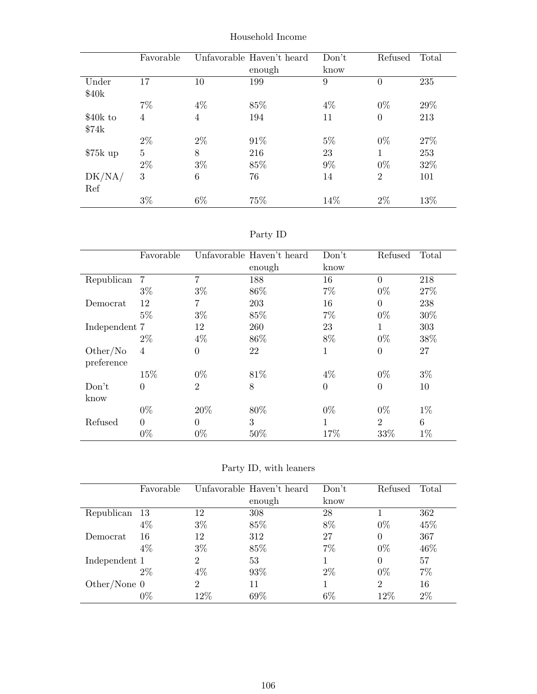|           | Favorable      |                | Unfavorable Haven't heard | Don't | Refused        | Total |
|-----------|----------------|----------------|---------------------------|-------|----------------|-------|
|           |                |                | enough                    | know  |                |       |
| Under     | 17             | 10             | 199                       | 9     | $\overline{0}$ | 235   |
| \$40k     |                |                |                           |       |                |       |
|           | $7\%$          | $4\%$          | 85%                       | $4\%$ | $0\%$          | 29%   |
| \$40k to  | $\overline{4}$ | $\overline{4}$ | 194                       | 11    | $\overline{0}$ | 213   |
| \$74k     |                |                |                           |       |                |       |
|           | $2\%$          | $2\%$          | 91%                       | $5\%$ | $0\%$          | 27\%  |
| $$75k$ up | $\overline{5}$ | 8              | 216                       | 23    | 1              | 253   |
|           | $2\%$          | $3\%$          | 85%                       | $9\%$ | $0\%$          | 32%   |
| DK/NA/    | 3              | 6              | 76                        | 14    | $\overline{2}$ | 101   |
| Ref       |                |                |                           |       |                |       |
|           | $3\%$          | $6\%$          | 75%                       | 14\%  | 2%             | 13%   |

Household Income

| эrт<br>v |
|----------|
|----------|

|               | Favorable      |                | Unfavorable Haven't heard | Don't    | Refused        | Total |
|---------------|----------------|----------------|---------------------------|----------|----------------|-------|
|               |                |                | enough                    | know     |                |       |
| Republican    | 7              | 7              | 188                       | 16       | $\theta$       | 218   |
|               | $3\%$          | $3\%$          | 86\%                      | $7\%$    | $0\%$          | 27\%  |
| Democrat      | 12             | 7              | 203                       | 16       | $\overline{0}$ | 238   |
|               | $5\%$          | $3\%$          | 85%                       | $7\%$    | $0\%$          | 30%   |
| Independent 7 |                | 12             | 260                       | 23       | 1              | 303   |
|               | $2\%$          | $4\%$          | 86\%                      | 8%       | $0\%$          | 38%   |
| Other/No      | $\overline{4}$ | $\overline{0}$ | 22                        | 1        | $\overline{0}$ | 27    |
| preference    |                |                |                           |          |                |       |
|               | 15%            | $0\%$          | 81\%                      | $4\%$    | $0\%$          | $3\%$ |
| Don't         | $\theta$       | $\overline{2}$ | 8                         | $\theta$ | $\overline{0}$ | 10    |
| know          |                |                |                           |          |                |       |
|               | $0\%$          | 20%            | 80%                       | $0\%$    | $0\%$          | $1\%$ |
| Refused       | $\Omega$       | $\theta$       | 3                         |          | $\overline{2}$ | 6     |
|               | $0\%$          | $0\%$          | 50%                       | 17\%     | 33%            | $1\%$ |

Party ID, with leaners

|                | Favorable |                | Unfavorable Haven't heard | Don't | Refused        | Total |
|----------------|-----------|----------------|---------------------------|-------|----------------|-------|
|                |           |                | enough                    | know  |                |       |
| Republican 13  |           | 12             | 308                       | 28    |                | 362   |
|                | 4%        | $3\%$          | 85%                       | 8%    | $0\%$          | 45%   |
| Democrat       | 16        | 12             | 312                       | 27    | $\Omega$       | 367   |
|                | $4\%$     | $3\%$          | 85%                       | 7%    | $0\%$          | 46%   |
| Independent 1  |           | 2              | 53                        |       | $\Omega$       | 57    |
|                | $2\%$     | $4\%$          | 93%                       | $2\%$ | $0\%$          | $7\%$ |
| Other/None $0$ |           | $\overline{2}$ | 11                        |       | $\overline{2}$ | 16    |
|                | $0\%$     | 12%            | 69\%                      | $6\%$ | 12%            | $2\%$ |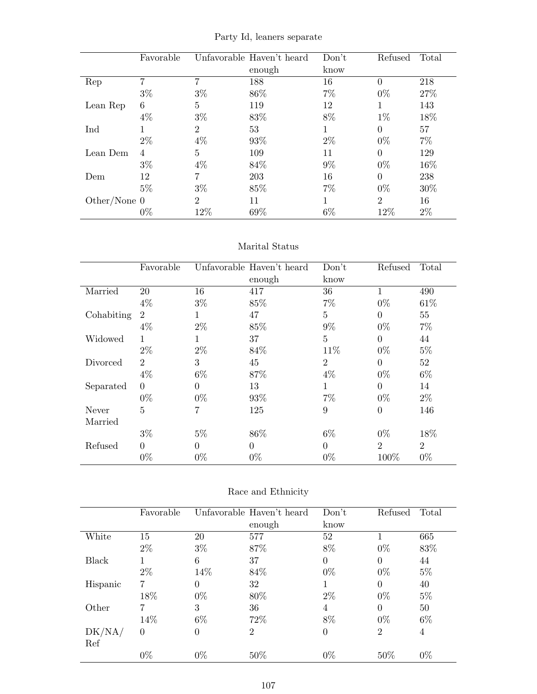|  |  |  | Party Id, leaners separate |
|--|--|--|----------------------------|
|--|--|--|----------------------------|

|                | Favorable |                | Unfavorable Haven't heard | Don't | Refused        | Total |
|----------------|-----------|----------------|---------------------------|-------|----------------|-------|
|                |           |                | enough                    | know  |                |       |
| Rep            | 7         |                | 188                       | 16    | $\Omega$       | 218   |
|                | $3\%$     | $3\%$          | 86%                       | $7\%$ | $0\%$          | 27%   |
| Lean Rep       | 6         | $\overline{5}$ | 119                       | 12    |                | 143   |
|                | $4\%$     | $3\%$          | 83%                       | 8%    | $1\%$          | 18%   |
| Ind            |           | $\overline{2}$ | 53                        | 1     | $\Omega$       | 57    |
|                | $2\%$     | $4\%$          | 93%                       | $2\%$ | $0\%$          | $7\%$ |
| Lean Dem       | 4         | $\overline{5}$ | 109                       | 11    | $\Omega$       | 129   |
|                | $3\%$     | $4\%$          | 84\%                      | $9\%$ | $0\%$          | 16%   |
| Dem            | 12        |                | 203                       | 16    | $\Omega$       | 238   |
|                | $5\%$     | $3\%$          | 85%                       | $7\%$ | $0\%$          | 30%   |
| Other/None $0$ |           | $\overline{2}$ | 11                        | 1     | $\overline{2}$ | 16    |
|                | $0\%$     | 12%            | 69%                       | $6\%$ | 12%            | $2\%$ |

#### Marital Status

|            | Favorable      |                | Unfavorable Haven't heard | Don't          | Refused        | Total          |
|------------|----------------|----------------|---------------------------|----------------|----------------|----------------|
|            |                |                | enough                    | know           |                |                |
| Married    | 20             | 16             | 417                       | 36             | 1              | 490            |
|            | $4\%$          | $3\%$          | 85%                       | 7%             | $0\%$          | 61\%           |
| Cohabiting | $\overline{2}$ |                | 47                        | 5              | $\Omega$       | 55             |
|            | $4\%$          | $2\%$          | 85%                       | $9\%$          | $0\%$          | $7\%$          |
| Widowed    | 1              | 1              | 37                        | $\overline{5}$ | $\theta$       | 44             |
|            | $2\%$          | $2\%$          | 84%                       | 11\%           | $0\%$          | $5\%$          |
| Divorced   | $\overline{2}$ | 3              | 45                        | $\overline{2}$ | $\Omega$       | 52             |
|            | $4\%$          | $6\%$          | 87%                       | $4\%$          | $0\%$          | $6\%$          |
| Separated  | $\theta$       | $\Omega$       | 13                        | 1              | $\theta$       | 14             |
|            | $0\%$          | $0\%$          | 93%                       | 7%             | $0\%$          | $2\%$          |
| Never      | $\overline{5}$ | $\overline{7}$ | 125                       | 9              | $\overline{0}$ | 146            |
| Married    |                |                |                           |                |                |                |
|            | $3\%$          | $5\%$          | 86\%                      | $6\%$          | $0\%$          | 18%            |
| Refused    | $\Omega$       | $\theta$       | $\theta$                  | $\theta$       | $\overline{2}$ | $\overline{2}$ |
|            | $0\%$          | $0\%$          | $0\%$                     | $0\%$          | 100%           | $0\%$          |

| Race and Ethnicity |  |
|--------------------|--|
|--------------------|--|

|          | Favorable |       | Unfavorable Haven't heard | Don't          | Refused        | Total |
|----------|-----------|-------|---------------------------|----------------|----------------|-------|
|          |           |       | enough                    | know           |                |       |
| White    | 15        | 20    | 577                       | 52             | 1              | 665   |
|          | $2\%$     | $3\%$ | 87%                       | 8%             | $0\%$          | 83%   |
| Black    | 1         | 6     | 37                        | $\theta$       | $\theta$       | 44    |
|          | $2\%$     | 14%   | 84\%                      | $0\%$          | $0\%$          | $5\%$ |
| Hispanic | 7         | 0     | 32                        |                | $\Omega$       | 40    |
|          | 18%       | $0\%$ | 80%                       | $2\%$          | $0\%$          | $5\%$ |
| Other    | 7         | 3     | 36                        | 4              | $\theta$       | 50    |
|          | 14%       | $6\%$ | 72%                       | 8%             | $0\%$          | $6\%$ |
| DK/NA/   | $\theta$  | 0     | $\overline{2}$            | $\overline{0}$ | $\overline{2}$ | 4     |
| Ref      |           |       |                           |                |                |       |
|          | $0\%$     | $0\%$ | 50\%                      | $0\%$          | 50%            | $0\%$ |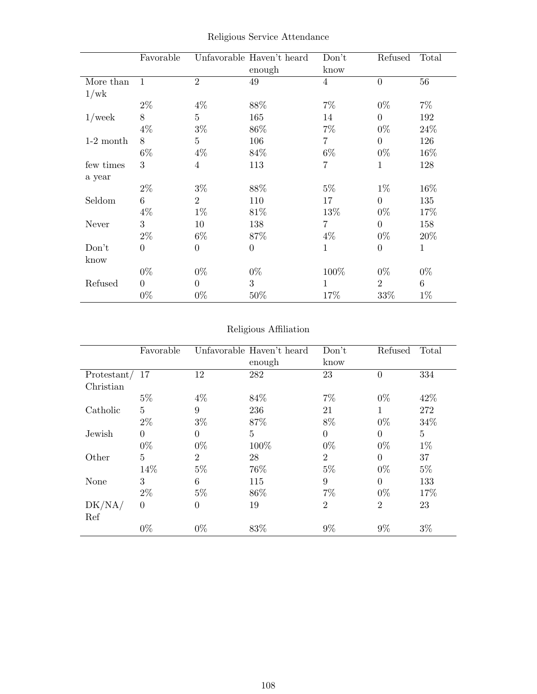|             | Favorable      |                | Unfavorable Haven't heard<br>enough | Don't<br>know  | Refused        | Total        |
|-------------|----------------|----------------|-------------------------------------|----------------|----------------|--------------|
| More than   | 1              | $\overline{2}$ | 49                                  | $\overline{4}$ | $\overline{0}$ | 56           |
| 1/wk        |                |                |                                     |                |                |              |
|             | $2\%$          | $4\%$          | 88%                                 | $7\%$          | $0\%$          | $7\%$        |
| $1$ /week   | 8              | 5              | 165                                 | 14             | $\Omega$       | 192          |
|             | $4\%$          | $3\%$          | 86\%                                | $7\%$          | $0\%$          | 24\%         |
| $1-2$ month | 8              | 5              | 106                                 | $\overline{7}$ | $\Omega$       | 126          |
|             | $6\%$          | $4\%$          | 84\%                                | $6\%$          | $0\%$          | $16\%$       |
| few times   | 3              | $\overline{4}$ | 113                                 | 7              | 1              | 128          |
| a year      |                |                |                                     |                |                |              |
|             | $2\%$          | $3\%$          | 88%                                 | $5\%$          | $1\%$          | $16\%$       |
| Seldom      | 6              | $\overline{2}$ | 110                                 | 17             | $\Omega$       | 135          |
|             | $4\%$          | $1\%$          | 81\%                                | 13%            | $0\%$          | 17%          |
| Never       | 3              | 10             | 138                                 | 7              | $\Omega$       | 158          |
|             | $2\%$          | $6\%$          | 87%                                 | $4\%$          | $0\%$          | 20%          |
| Don't       | $\theta$       | $\overline{0}$ | $\theta$                            | $\mathbf{1}$   | $\Omega$       | $\mathbf{1}$ |
| know        |                |                |                                     |                |                |              |
|             | $0\%$          | $0\%$          | $0\%$                               | 100%           | $0\%$          | $0\%$        |
| Refused     | $\overline{0}$ | $\Omega$       | 3                                   | 1              | $\overline{2}$ | 6            |
|             | $0\%$          | $0\%$          | 50%                                 | 17%            | 33%            | $1\%$        |

Religious Service Attendance

## Religious Affiliation

|             | Favorable      |                | Unfavorable Haven't heard<br>enough | Don't<br>know  | Refused        | Total          |
|-------------|----------------|----------------|-------------------------------------|----------------|----------------|----------------|
|             |                |                |                                     |                |                |                |
| Protestant/ | 17             | 12             | 282                                 | 23             |                | 334            |
| Christian   |                |                |                                     |                |                |                |
|             | $5\%$          | $4\%$          | 84\%                                | $7\%$          | $0\%$          | 42\%           |
| Catholic    | $\overline{5}$ | 9              | 236                                 | 21             | 1              | 272            |
|             | $2\%$          | $3\%$          | 87%                                 | 8%             | $0\%$          | 34%            |
| Jewish      | $\theta$       | $\overline{0}$ | $\overline{5}$                      | $\theta$       | $\Omega$       | $\overline{5}$ |
|             | $0\%$          | $0\%$          | 100%                                | $0\%$          | $0\%$          | $1\%$          |
| Other       | $\overline{5}$ | $\overline{2}$ | 28                                  | $\overline{2}$ | $\Omega$       | 37             |
|             | 14%            | $5\%$          | 76%                                 | $5\%$          | $0\%$          | $5\%$          |
| None        | 3              | 6              | 115                                 | 9              | $\theta$       | 133            |
|             | $2\%$          | $5\%$          | 86\%                                | $7\%$          | $0\%$          | 17%            |
| DK/NA/      | $\theta$       | $\theta$       | 19                                  | $\overline{2}$ | $\overline{2}$ | 23             |
| Ref         | $0\%$          | $0\%$          | 83%                                 | 9%             | $9\%$          | $3\%$          |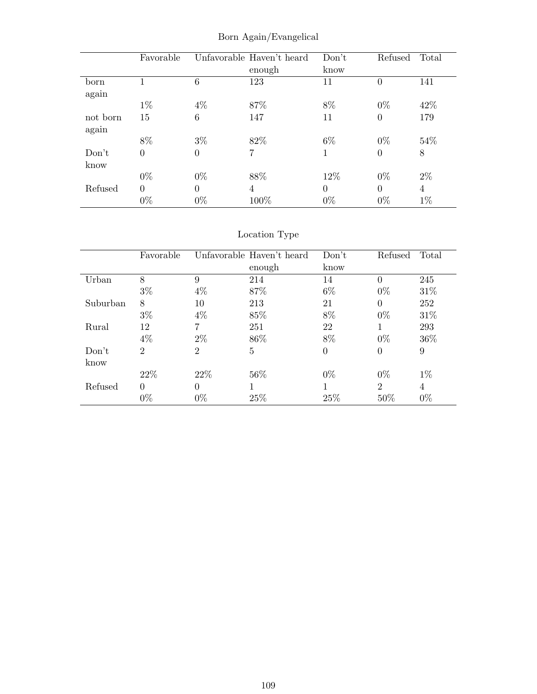|          | Favorable        |          | Unfavorable Haven't heard | Don't    | Refused        | Total |
|----------|------------------|----------|---------------------------|----------|----------------|-------|
|          |                  |          | enough                    | know     |                |       |
| born     | 1                | 6        | 123                       | 11       | $\overline{0}$ | 141   |
| again    |                  |          |                           |          |                |       |
|          | $1\%$            | $4\%$    | 87%                       | 8%       | $0\%$          | 42\%  |
| not born | 15               | 6        | 147                       | 11       | $\theta$       | 179   |
| again    |                  |          |                           |          |                |       |
|          | 8%               | $3\%$    | 82%                       | $6\%$    | $0\%$          | 54\%  |
| Don't    | $\boldsymbol{0}$ | $\theta$ | 7                         | 1        | $\theta$       | 8     |
| know     |                  |          |                           |          |                |       |
|          | $0\%$            | $0\%$    | 88%                       | 12%      | $0\%$          | $2\%$ |
| Refused  | $\theta$         | $\Omega$ | 4                         | $\theta$ | $\Omega$       | 4     |
|          | $0\%$            | $0\%$    | 100%                      | $0\%$    | $0\%$          | $1\%$ |

Born Again/Evangelical

# Location Type

|          | Favorable      |          | Unfavorable Haven't heard | Don't    | Refused        | Total |
|----------|----------------|----------|---------------------------|----------|----------------|-------|
|          |                |          | enough                    | know     |                |       |
| Urban    | 8              | 9        | 214                       | 14       | $\theta$       | 245   |
|          | $3\%$          | $4\%$    | 87\%                      | $6\%$    | $0\%$          | 31\%  |
| Suburban | 8              | 10       | 213                       | 21       | $\theta$       | 252   |
|          | $3\%$          | $4\%$    | 85%                       | 8%       | $0\%$          | 31\%  |
| Rural    | 12             |          | 251                       | 22       |                | 293   |
|          | $4\%$          | $2\%$    | 86\%                      | 8%       | $0\%$          | 36%   |
| Don't    | $\overline{2}$ | 2        | 5                         | $\theta$ | $\overline{0}$ | 9     |
| know     |                |          |                           |          |                |       |
|          | 22\%           | 22%      | 56%                       | $0\%$    | $0\%$          | $1\%$ |
| Refused  | $\theta$       | $\Omega$ |                           | 1        | $\overline{2}$ | 4     |
|          | $0\%$          | $0\%$    | 25%                       | 25%      | 50%            | $0\%$ |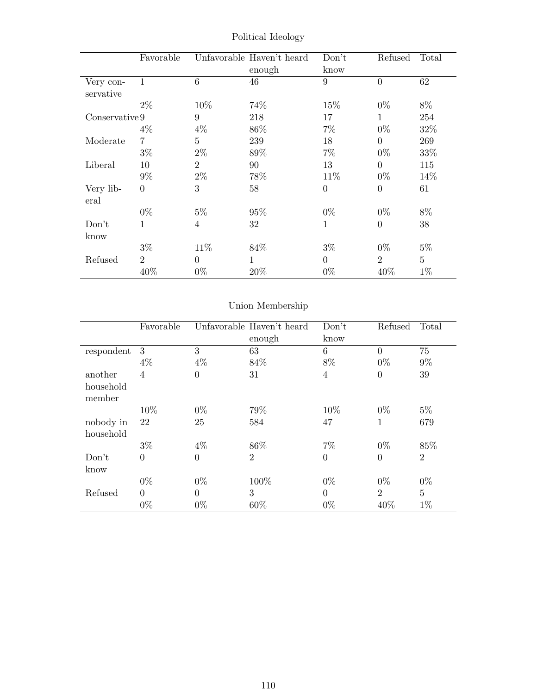|                        | Favorable      |                | Unfavorable Haven't heard<br>enough | Don't<br>know  | Refused        | Total          |
|------------------------|----------------|----------------|-------------------------------------|----------------|----------------|----------------|
| Very con-<br>servative | $\mathbf{1}$   | 6              | 46                                  | 9              | $\overline{0}$ | 62             |
|                        | $2\%$          | 10%            | 74%                                 | 15%            | $0\%$          | 8%             |
| Conservative 9         |                | 9              | 218                                 | 17             | $\mathbf{1}$   | 254            |
|                        | $4\%$          | $4\%$          | 86\%                                | $7\%$          | $0\%$          | 32%            |
| Moderate               | 7              | $\overline{5}$ | 239                                 | 18             | $\Omega$       | 269            |
|                        | $3\%$          | $2\%$          | 89%                                 | $7\%$          | $0\%$          | 33%            |
| Liberal                | 10             | $\overline{2}$ | 90                                  | 13             | $\overline{0}$ | 115            |
|                        | $9\%$          | $2\%$          | 78%                                 | 11\%           | $0\%$          | 14%            |
| Very lib-<br>eral      | $\overline{0}$ | 3              | 58                                  | $\overline{0}$ | $\theta$       | 61             |
|                        | $0\%$          | $5\%$          | 95%                                 | $0\%$          | $0\%$          | 8%             |
| Don't<br>know          | 1              | $\overline{4}$ | 32                                  | $\mathbf{1}$   | $\overline{0}$ | 38             |
|                        | $3\%$          | 11\%           | 84\%                                | $3\%$          | $0\%$          | $5\%$          |
| Refused                | $\overline{2}$ | $\overline{0}$ | $\mathbf{1}$                        | $\overline{0}$ | $\overline{2}$ | $\overline{5}$ |
|                        | 40%            | $0\%$          | 20%                                 | $0\%$          | 40\%           | $1\%$          |

Political Ideology

# Union Membership

|            | Favorable      |          | Unfavorable Haven't heard | Don't          | Refused        | Total          |
|------------|----------------|----------|---------------------------|----------------|----------------|----------------|
|            |                |          | enough                    | know           |                |                |
| respondent | 3              | 3        | 63                        | 6              | $\overline{0}$ | 75             |
|            | $4\%$          | $4\%$    | 84%                       | 8%             | $0\%$          | $9\%$          |
| another    | $\overline{4}$ | $\theta$ | 31                        | $\overline{4}$ | $\overline{0}$ | 39             |
| household  |                |          |                           |                |                |                |
| member     |                |          |                           |                |                |                |
|            | 10%            | $0\%$    | 79%                       | 10%            | $0\%$          | $5\%$          |
| nobody in  | 22             | 25       | 584                       | 47             | 1              | 679            |
| household  |                |          |                           |                |                |                |
|            | $3\%$          | $4\%$    | 86\%                      | $7\%$          | $0\%$          | 85%            |
| Don't      | $\theta$       | $\theta$ | $\overline{2}$            | $\overline{0}$ | $\overline{0}$ | $\overline{2}$ |
| know       |                |          |                           |                |                |                |
|            | $0\%$          | $0\%$    | 100%                      | $0\%$          | $0\%$          | $0\%$          |
| Refused    | $\Omega$       | $\Omega$ | 3                         | $\Omega$       | $\overline{2}$ | $\overline{5}$ |
|            | $0\%$          | $0\%$    | 60%                       | $0\%$          | 40%            | $1\%$          |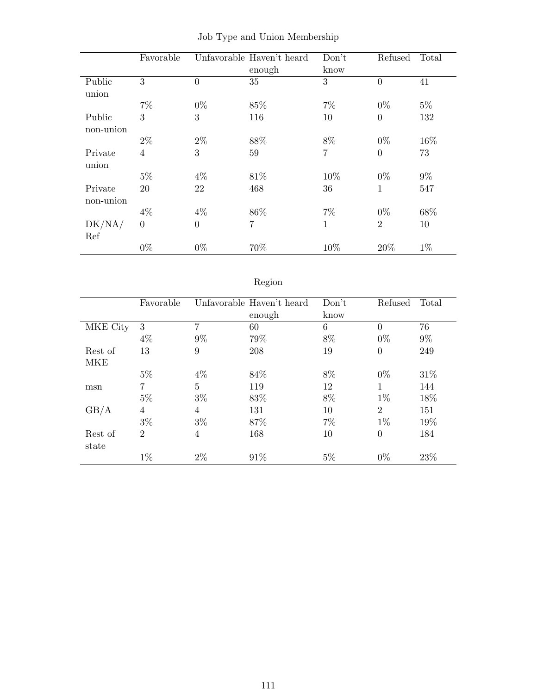|           | Favorable      |          | Unfavorable Haven't heard | Don't | Refused        | Total |
|-----------|----------------|----------|---------------------------|-------|----------------|-------|
|           |                |          | enough                    | know  |                |       |
| Public    | 3              | $\theta$ | 35                        | 3     | $\overline{0}$ | 41    |
| union     |                |          |                           |       |                |       |
|           | $7\%$          | $0\%$    | 85%                       | $7\%$ | $0\%$          | $5\%$ |
| Public    | 3              | 3        | 116                       | 10    | $\overline{0}$ | 132   |
| non-union |                |          |                           |       |                |       |
|           | $2\%$          | $2\%$    | 88%                       | 8%    | $0\%$          | 16%   |
| Private   | $\overline{4}$ | 3        | 59                        | 7     | $\overline{0}$ | 73    |
| union     |                |          |                           |       |                |       |
|           | $5\%$          | $4\%$    | 81\%                      | 10%   | $0\%$          | $9\%$ |
| Private   | 20             | 22       | 468                       | 36    | $\mathbf{1}$   | 547   |
| non-union |                |          |                           |       |                |       |
|           | $4\%$          | $4\%$    | 86\%                      | $7\%$ | $0\%$          | 68%   |
| DK/NA/    | $\overline{0}$ | $\theta$ | $\overline{7}$            | 1     | $\overline{2}$ | 10    |
| Ref       |                |          |                           |       |                |       |
|           | $0\%$          | $0\%$    | 70%                       | 10%   | 20%            | $1\%$ |

|  |  |  |  |  | Job Type and Union Membership |
|--|--|--|--|--|-------------------------------|
|--|--|--|--|--|-------------------------------|

# Region

|          | Favorable      |                | Unfavorable Haven't heard<br>enough | Don't<br>know | Refused        | Total |
|----------|----------------|----------------|-------------------------------------|---------------|----------------|-------|
| MKE City | 3              | 7              | 60                                  | 6             | $\Omega$       | 76    |
|          | $4\%$          | $9\%$          | 79%                                 | 8%            | $0\%$          | $9\%$ |
| Rest of  | 13             | 9              | 208                                 | 19            | $\theta$       | 249   |
| MKE      |                |                |                                     |               |                |       |
|          | $5\%$          | $4\%$          | 84\%                                | 8%            | $0\%$          | 31\%  |
| msn      | $\overline{7}$ | $\overline{5}$ | 119                                 | 12            | 1              | 144   |
|          | $5\%$          | $3\%$          | 83\%                                | 8%            | $1\%$          | 18%   |
| GB/A     | $\overline{4}$ | $\overline{4}$ | 131                                 | 10            | $\overline{2}$ | 151   |
|          | $3\%$          | $3\%$          | 87%                                 | $7\%$         | $1\%$          | 19%   |
| Rest of  | $\overline{2}$ | $\overline{4}$ | 168                                 | 10            | $\theta$       | 184   |
| state    |                |                |                                     |               |                |       |
|          | $1\%$          | $2\%$          | 91%                                 | $5\%$         | $0\%$          | 23%   |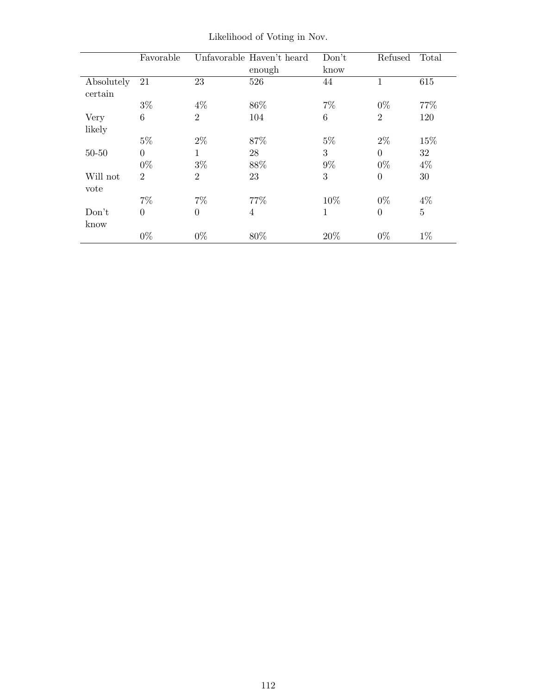|                       | Favorable       |                | Unfavorable Haven't heard<br>enough | Don't<br>know | Refused        | Total          |
|-----------------------|-----------------|----------------|-------------------------------------|---------------|----------------|----------------|
| Absolutely<br>certain | 21              | 23             | 526                                 | 44            | 1              | 615            |
|                       | $3\%$           | $4\%$          | 86\%                                | $7\%$         | $0\%$          | 77%            |
| Very                  | $6\phantom{.}6$ | $\overline{2}$ | 104                                 | 6             | $\overline{2}$ | 120            |
| likely                |                 |                |                                     |               |                |                |
|                       | $5\%$           | $2\%$          | 87%                                 | $5\%$         | $2\%$          | 15%            |
| $50 - 50$             | $\Omega$        | $\mathbf 1$    | 28                                  | 3             | $\Omega$       | 32             |
|                       | $0\%$           | $3\%$          | $88\%$                              | $9\%$         | $0\%$          | $4\%$          |
| Will not<br>vote      | $\overline{2}$  | $\overline{2}$ | 23                                  | 3             | $\theta$       | 30             |
|                       | $7\%$           | $7\%$          | 77%                                 | 10%           | $0\%$          | $4\%$          |
| Don't<br>know         | $\overline{0}$  | $\theta$       | 4                                   | 1             | $\overline{0}$ | $\overline{5}$ |
|                       | $0\%$           | $0\%$          | 80%                                 | 20%           | $0\%$          | $1\%$          |

Likelihood of Voting in Nov.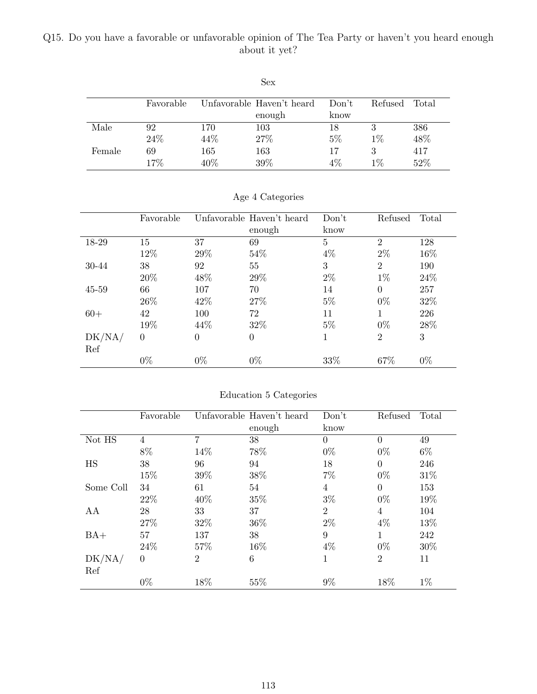## Q15. Do you have a favorable or unfavorable opinion of The Tea Party or haven't you heard enough about it yet?

|        |           |      | Sex                       |       |         |       |
|--------|-----------|------|---------------------------|-------|---------|-------|
|        | Favorable |      | Unfavorable Haven't heard | Don't | Refused | Total |
|        |           |      | enough                    | know  |         |       |
| Male   | 92        | 170  | 103                       | 18    | 3       | 386   |
|        | 24\%      | 44\% | 27%                       | $5\%$ | $1\%$   | 48%   |
| Female | 69        | 165  | 163                       | 17    | 3       | 417   |
|        | 17%       | 40\% | 39%                       | $4\%$ | $1\%$   | 52%   |

|        | Favorable |          | Unfavorable Haven't heard | Don't | Refused        | Total |
|--------|-----------|----------|---------------------------|-------|----------------|-------|
|        |           |          | enough                    | know  |                |       |
| 18-29  | 15        | 37       | 69                        | 5     | $\overline{2}$ | 128   |
|        | 12%       | 29%      | 54\%                      | $4\%$ | $2\%$          | 16%   |
| 30-44  | 38        | 92       | 55                        | 3     | $\overline{2}$ | 190   |
|        | 20%       | 48\%     | 29%                       | $2\%$ | $1\%$          | 24\%  |
| 45-59  | 66        | 107      | 70                        | 14    | $\Omega$       | 257   |
|        | 26\%      | 42\%     | 27%                       | $5\%$ | $0\%$          | 32%   |
| $60+$  | 42        | 100      | 72                        | 11    |                | 226   |
|        | 19%       | 44\%     | 32\%                      | $5\%$ | $0\%$          | 28%   |
| DK/NA/ | $\theta$  | $\Omega$ | $\overline{0}$            | 1     | $\overline{2}$ | 3     |
| Ref    |           |          |                           |       |                |       |
|        | $0\%$     | $0\%$    | $0\%$                     | 33%   | 67%            | $0\%$ |

Age 4 Categories

| Education 5 Categories |  |  |
|------------------------|--|--|
|                        |  |  |

|                 | Favorable |                | Unfavorable Haven't heard | Don't          | Refused        | Total |  |
|-----------------|-----------|----------------|---------------------------|----------------|----------------|-------|--|
|                 |           |                | enough                    | know           |                |       |  |
| Not HS          | 4         | 7              | 38                        | $\theta$       | $\theta$       | 49    |  |
|                 | 8%        | 14%            | 78%                       | $0\%$          | $0\%$          | $6\%$ |  |
| <b>HS</b>       | 38        | 96             | 94                        | 18             | $\Omega$       | 246   |  |
|                 | 15%       | 39%            | 38%                       | 7%             | $0\%$          | 31%   |  |
| 34<br>Some Coll |           | 61             | 54                        | 4              | $\theta$       | 153   |  |
|                 | 22\%      | 40%            | 35%                       | $3\%$          | $0\%$          | 19%   |  |
| AA              | 28        | 33             | 37                        | $\overline{2}$ | 4              | 104   |  |
|                 | 27%       | 32%            | 36%                       | $2\%$          | $4\%$          | 13%   |  |
| $BA+$           | 57        | 137            | 38                        | 9              | 1              | 242   |  |
|                 | 24\%      | 57%            | 16%                       | $4\%$          | $0\%$          | 30%   |  |
| DK/NA/          | $\theta$  | $\overline{2}$ | $\,6$                     | 1              | $\overline{2}$ | 11    |  |
| Ref             |           |                |                           |                |                |       |  |
|                 | $0\%$     | 18%            | 55%                       | 9%             | 18%            | $1\%$ |  |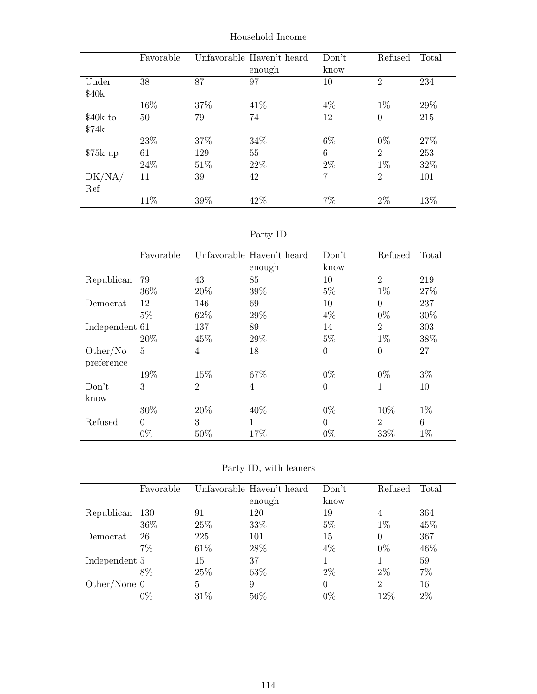|           | Favorable |      | Unfavorable Haven't heard | Don't          | Refused        | Total |
|-----------|-----------|------|---------------------------|----------------|----------------|-------|
|           |           |      | enough                    | know           |                |       |
| Under     | 38        | 87   | 97                        | 10             | $\overline{2}$ | 234   |
| \$40k     |           |      |                           |                |                |       |
|           | 16%       | 37%  | 41\%                      | $4\%$          | $1\%$          | 29%   |
| \$40k to  | 50        | 79   | 74                        | 12             | $\theta$       | 215   |
| \$74k     |           |      |                           |                |                |       |
|           | 23%       | 37\% | 34\%                      | $6\%$          | $0\%$          | 27\%  |
| $$75k$ up | 61        | 129  | 55                        | 6              | $\overline{2}$ | 253   |
|           | 24\%      | 51\% | 22\%                      | $2\%$          | $1\%$          | 32%   |
| DK/NA/    | 11        | 39   | 42                        | $\overline{7}$ | $\overline{2}$ | 101   |
| Ref       |           |      |                           |                |                |       |
|           | 11%       | 39%  | 42%                       | 7%             | 2%             | 13%   |

Household Income

| эrт<br>v |  |
|----------|--|
|          |  |

|                | Favorable      |                | Unfavorable Haven't heard | Don't    | Refused        | Total |
|----------------|----------------|----------------|---------------------------|----------|----------------|-------|
|                |                |                | enough                    | know     |                |       |
| Republican     | 79             | 43             | 85                        | 10       | $\overline{2}$ | 219   |
|                | 36\%           | 20%            | 39%                       | $5\%$    | $1\%$          | 27%   |
| Democrat       | 12             | 146            | 69                        | 10       | $\theta$       | 237   |
|                | $5\%$          | 62\%           | 29%                       | $4\%$    | $0\%$          | 30%   |
| Independent 61 |                | 137            | 89                        | 14       | $\overline{2}$ | 303   |
|                | 20%            | 45\%           | 29%                       | $5\%$    | $1\%$          | 38%   |
| Other/No       | $\overline{5}$ | $\overline{4}$ | 18                        | $\theta$ | $\overline{0}$ | 27    |
| preference     |                |                |                           |          |                |       |
|                | 19%            | 15%            | 67\%                      | $0\%$    | $0\%$          | $3\%$ |
| Don't          | 3              | $\overline{2}$ | $\overline{4}$            | $\theta$ | 1              | 10    |
| know           |                |                |                           |          |                |       |
|                | 30%            | 20%            | 40\%                      | $0\%$    | 10%            | $1\%$ |
| Refused        | $\Omega$       | 3              | $\mathbf{1}$              | $\theta$ | $\overline{2}$ | 6     |
|                | $0\%$          | 50%            | 17%                       | $0\%$    | 33%            | $1\%$ |

Party ID, with leaners

|                | Favorable |      | Unfavorable Haven't heard | Don't    | Refused        | Total |
|----------------|-----------|------|---------------------------|----------|----------------|-------|
|                |           |      | enough                    | know     |                |       |
| Republican     | 130       | 91   | 120                       | 19       | 4              | 364   |
|                | 36\%      | 25\% | 33%                       | $5\%$    | $1\%$          | 45%   |
| Democrat       | 26        | 225  | 101                       | 15       | $\Omega$       | 367   |
|                | 7%        | 61\% | 28\%                      | $4\%$    | $0\%$          | 46%   |
| Independent 5  |           | 15   | 37                        |          |                | 59    |
|                | 8%        | 25\% | 63\%                      | $2\%$    | $2\%$          | 7%    |
| Other/None $0$ |           | 5    | 9                         | $\Omega$ | $\overline{2}$ | 16    |
|                | $0\%$     | 31\% | 56%                       | $0\%$    | 12%            | 2%    |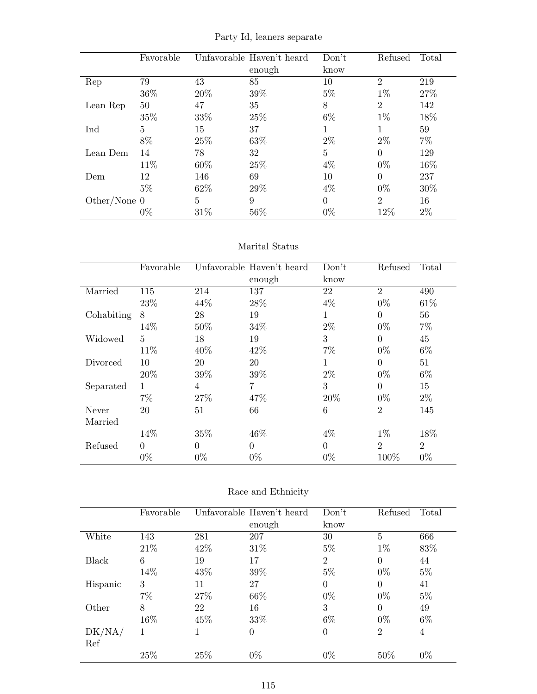|                | Favorable       |      | Unfavorable Haven't heard | Don't          | Refused        | Total |
|----------------|-----------------|------|---------------------------|----------------|----------------|-------|
|                |                 |      | enough                    | know           |                |       |
| Rep            | 79              | 43   | 85                        | 10             | $\overline{2}$ | 219   |
|                | 36\%            | 20%  | 39%                       | $5\%$          | $1\%$          | 27\%  |
| Lean Rep       | 50              | 47   | 35                        | 8              | $\overline{2}$ | 142   |
|                | 35%             | 33%  | 25%                       | $6\%$          | $1\%$          | 18%   |
| Ind            | $5\overline{)}$ | 15   | 37                        | 1              |                | 59    |
|                | 8%              | 25%  | 63%                       | $2\%$          | $2\%$          | $7\%$ |
| Lean Dem       | 14              | 78   | 32                        | $\overline{5}$ | 0              | 129   |
|                | 11\%            | 60%  | 25%                       | $4\%$          | $0\%$          | 16%   |
| Dem            | 12              | 146  | 69                        | 10             | 0              | 237   |
|                | $5\%$           | 62%  | 29%                       | $4\%$          | $0\%$          | 30%   |
| Other/None $0$ |                 | 5    | 9                         | $\Omega$       | $\overline{2}$ | 16    |
|                | $0\%$           | 31\% | 56%                       | $0\%$          | 12%            | $2\%$ |

Party Id, leaners separate

#### Marital Status

|            | Favorable      |       | Unfavorable Haven't heard | Don't       | Refused        | Total          |
|------------|----------------|-------|---------------------------|-------------|----------------|----------------|
|            |                |       | enough                    | know        |                |                |
| Married    | 115            | 214   | 137                       | 22          | $\overline{2}$ | 490            |
|            | 23%            | 44%   | 28%                       | $4\%$       | $0\%$          | 61\%           |
| Cohabiting | 8              | 28    | 19                        | 1           | $\Omega$       | 56             |
|            | 14%            | 50%   | 34%                       | $2\%$       | $0\%$          | $7\%$          |
| Widowed    | $\overline{5}$ | 18    | 19                        | 3           | $\theta$       | 45             |
|            | 11\%           | 40%   | 42\%                      | $7\%$       | $0\%$          | $6\%$          |
| Divorced   | 10             | 20    | 20                        | $\mathbf 1$ | $\overline{0}$ | 51             |
|            | 20%            | 39%   | 39%                       | $2\%$       | $0\%$          | $6\%$          |
| Separated  | 1              | 4     | 7                         | 3           | $\theta$       | 15             |
|            | $7\%$          | 27%   | 47%                       | 20%         | $0\%$          | $2\%$          |
| Never      | 20             | 51    | 66                        | 6           | $\overline{2}$ | 145            |
| Married    |                |       |                           |             |                |                |
|            | 14%            | 35%   | 46%                       | $4\%$       | $1\%$          | 18%            |
| Refused    | $\theta$       | 0     | $\theta$                  | $\Omega$    | $\overline{2}$ | $\overline{2}$ |
|            | $0\%$          | $0\%$ | $0\%$                     | $0\%$       | 100%           | $0\%$          |

| Race and Ethnicity |  |
|--------------------|--|
|--------------------|--|

|          | Favorable |      | Unfavorable Haven't heard | Don't          | Refused        | Total |
|----------|-----------|------|---------------------------|----------------|----------------|-------|
|          |           |      | enough                    | know           |                |       |
| White    | 143       | 281  | 207                       | 30             | 5              | 666   |
|          | 21\%      | 42\% | 31%                       | $5\%$          | $1\%$          | 83%   |
| Black    | 6         | 19   | 17                        | $\overline{2}$ | $\theta$       | 44    |
|          | 14%       | 43\% | 39%                       | $5\%$          | $0\%$          | $5\%$ |
| Hispanic | 3         | 11   | 27                        | $\theta$       | $\theta$       | 41    |
|          | $7\%$     | 27\% | 66\%                      | $0\%$          | $0\%$          | $5\%$ |
| Other    | 8         | 22   | 16                        | 3              | $\theta$       | 49    |
|          | 16%       | 45%  | 33%                       | $6\%$          | $0\%$          | $6\%$ |
| DK/NA/   | 1         |      | $\theta$                  | $\overline{0}$ | $\overline{2}$ | 4     |
| Ref      |           |      |                           |                |                |       |
|          | 25%       | 25%  | $0\%$                     | $0\%$          | 50%            | $0\%$ |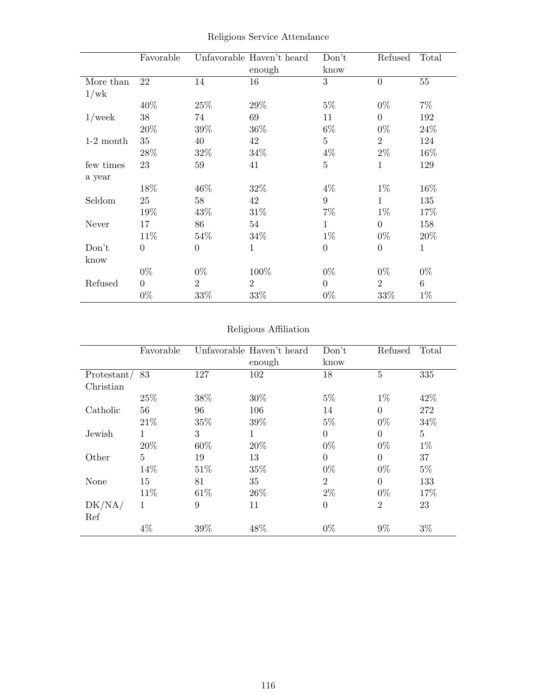|             | Favorable      |                | Unfavorable Haven't heard<br>enough | Don't<br>know    | Refused        | Total  |
|-------------|----------------|----------------|-------------------------------------|------------------|----------------|--------|
| More than   | 22             | 14             | 16                                  | 3                | $\theta$       | $55\,$ |
| 1/wk        |                |                |                                     |                  |                |        |
|             | 40%            | 25%            | 29%                                 | $5\%$            | $0\%$          | $7\%$  |
| $1$ /week   | $38\,$         | 74             | 69                                  | 11               | $\theta$       | 192    |
|             | 20%            | 39%            | 36\%                                | $6\%$            | $0\%$          | 24\%   |
| $1-2$ month | 35             | 40             | 42                                  | $\overline{5}$   | $\overline{2}$ | 124    |
|             | 28\%           | 32%            | 34\%                                | $4\%$            | $2\%$          | $16\%$ |
| few times   | 23             | 59             | 41                                  | $\overline{5}$   | 1              | 129    |
| a year      |                |                |                                     |                  |                |        |
|             | 18%            | 46%            | 32%                                 | $4\%$            | $1\%$          | $16\%$ |
| Seldom      | 25             | 58             | 42                                  | 9                | $\mathbf{1}$   | 135    |
|             | 19%            | 43%            | 31\%                                | $7\%$            | $1\%$          | 17%    |
| Never       | 17             | 86             | 54                                  | $\mathbf{1}$     | $\Omega$       | 158    |
|             | 11%            | 54%            | 34\%                                | $1\%$            | $0\%$          | 20%    |
| Don't       | $\overline{0}$ | $\Omega$       | $\mathbf{1}$                        | $\theta$         | $\theta$       | 1      |
| know        |                |                |                                     |                  |                |        |
|             | $0\%$          | $0\%$          | 100%                                | $0\%$            | $0\%$          | $0\%$  |
| Refused     | $\theta$       | $\overline{2}$ | $\overline{2}$                      | $\boldsymbol{0}$ | $\overline{2}$ | 6      |
|             | $0\%$          | 33%            | 33%                                 | $0\%$            | 33%            | $1\%$  |

Religious Service Attendance

## Religious Affiliation

|               | Favorable |      | Unfavorable Haven't heard | Don't          | Refused        | Total          |
|---------------|-----------|------|---------------------------|----------------|----------------|----------------|
|               |           |      | enough                    | know           |                |                |
| Protestant/83 |           | 127  | 102                       | 18             | 5              | 335            |
| Christian     |           |      |                           |                |                |                |
|               | 25\%      | 38%  | 30%                       | $5\%$          | $1\%$          | 42\%           |
| Catholic      | 56        | 96   | 106                       | 14             | $\Omega$       | 272            |
|               | 21\%      | 35%  | 39%                       | $5\%$          | $0\%$          | 34\%           |
| Jewish        | 1         | 3    | $\mathbf{1}$              | $\overline{0}$ | $\theta$       | $\overline{5}$ |
|               | 20%       | 60%  | 20%                       | $0\%$          | $0\%$          | $1\%$          |
| Other         | 5         | 19   | 13                        | $\overline{0}$ | $\Omega$       | 37             |
|               | 14%       | 51\% | 35%                       | $0\%$          | $0\%$          | $5\%$          |
| None          | 15        | 81   | 35                        | $\overline{2}$ | $\Omega$       | 133            |
|               | 11%       | 61\% | 26\%                      | $2\%$          | $0\%$          | 17%            |
| DK/NA/<br>Ref | 1         | 9    | 11                        | $\overline{0}$ | $\overline{2}$ | 23             |
|               | $4\%$     | 39%  | 48%                       | $0\%$          | $9\%$          | $3\%$          |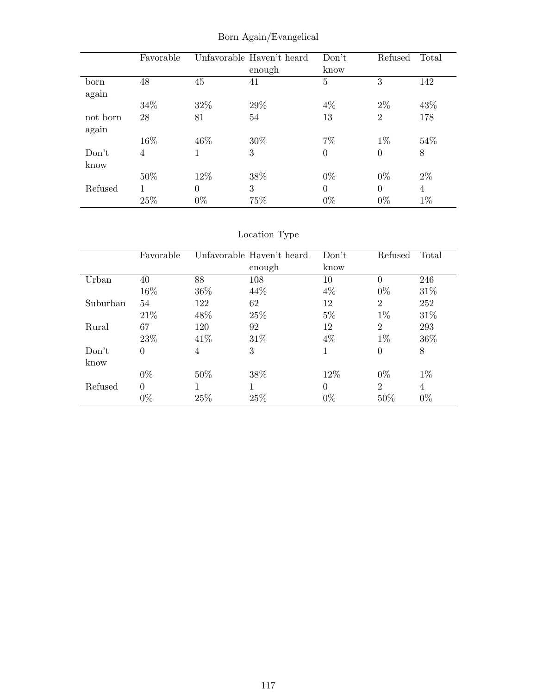|          | Favorable |          | Unfavorable Haven't heard | Don't          | Refused        | Total          |
|----------|-----------|----------|---------------------------|----------------|----------------|----------------|
|          |           |          | enough                    | know           |                |                |
| born     | 48        | 45       | 41                        | $\overline{5}$ | 3              | 142            |
| again    |           |          |                           |                |                |                |
|          | 34\%      | 32\%     | 29%                       | $4\%$          | $2\%$          | 43%            |
| not born | 28        | 81       | 54                        | 13             | $\overline{2}$ | 178            |
| again    |           |          |                           |                |                |                |
|          | 16%       | $46\%$   | 30%                       | $7\%$          | $1\%$          | 54%            |
| Don't    | 4         | 1        | 3                         | $\theta$       | $\overline{0}$ | 8              |
| know     |           |          |                           |                |                |                |
|          | 50%       | 12\%     | 38%                       | $0\%$          | $0\%$          | $2\%$          |
| Refused  |           | $\Omega$ | 3                         | $\theta$       | $\Omega$       | $\overline{4}$ |
|          | 25%       | $0\%$    | 75%                       | $0\%$          | $0\%$          | $1\%$          |

Born Again/Evangelical

# Location Type

|          | Favorable      |      | Unfavorable Haven't heard | Don't    | Refused        | Total |
|----------|----------------|------|---------------------------|----------|----------------|-------|
|          |                |      | enough                    | know     |                |       |
| Urban    | 40             | 88   | 108                       | 10       | $\theta$       | 246   |
|          | 16%            | 36\% | 44\%                      | $4\%$    | $0\%$          | 31%   |
| Suburban | 54             | 122  | 62                        | 12       | $\overline{2}$ | 252   |
|          | 21\%           | 48%  | 25%                       | $5\%$    | $1\%$          | 31%   |
| Rural    | 67             | 120  | 92                        | 12       | $\overline{2}$ | 293   |
|          | 23%            | 41\% | 31\%                      | $4\%$    | $1\%$          | 36\%  |
| Don't    | $\overline{0}$ | 4    | 3                         |          | $\overline{0}$ | 8     |
| know     |                |      |                           |          |                |       |
|          | $0\%$          | 50%  | 38%                       | 12\%     | $0\%$          | $1\%$ |
| Refused  | $\Omega$       |      |                           | $\Omega$ | $\overline{2}$ | 4     |
|          | $0\%$          | 25%  | 25%                       | $0\%$    | 50%            | $0\%$ |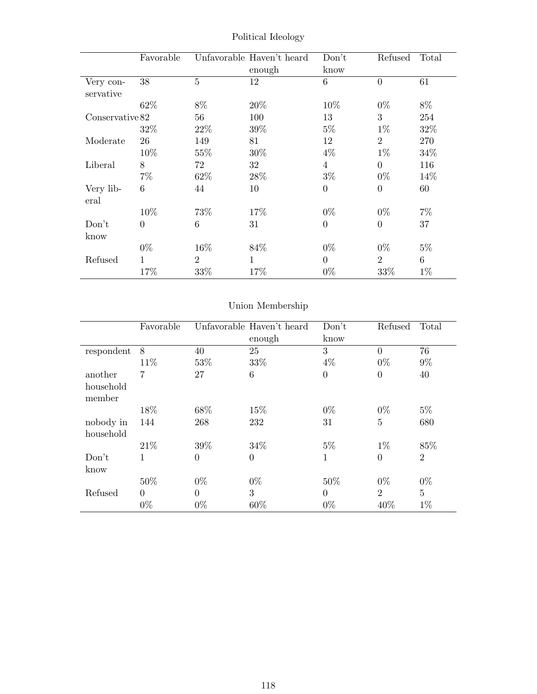|                        | Favorable       |                | Unfavorable Haven't heard<br>enough | Don't<br>know  | Refused        | Total |
|------------------------|-----------------|----------------|-------------------------------------|----------------|----------------|-------|
| Very con-<br>servative | 38              | $\overline{5}$ | 12                                  | $\overline{6}$ | $\overline{0}$ | 61    |
|                        | 62%             | 8%             | 20%                                 | 10\%           | $0\%$          | 8%    |
| Conservative 82        |                 | 56             | 100                                 | 13             | 3              | 254   |
|                        | 32%             | 22\%           | 39%                                 | $5\%$          | $1\%$          | 32%   |
| Moderate               | 26              | 149            | 81                                  | 12             | $\overline{2}$ | 270   |
|                        | 10%             | 55%            | 30%                                 | $4\%$          | $1\%$          | 34%   |
| Liberal                | 8               | 72             | 32                                  | $\overline{4}$ | $\Omega$       | 116   |
|                        | $7\%$           | 62\%           | 28\%                                | $3\%$          | $0\%$          | 14%   |
| Very lib-<br>eral      | $6\phantom{.}6$ | 44             | 10                                  | $\overline{0}$ | $\theta$       | 60    |
|                        | 10%             | 73%            | 17%                                 | $0\%$          | $0\%$          | $7\%$ |
| Don't<br>know          | $\Omega$        | 6              | 31                                  | $\overline{0}$ | $\overline{0}$ | 37    |
|                        | $0\%$           | 16\%           | 84\%                                | $0\%$          | $0\%$          | $5\%$ |
| Refused                | 1               | $\overline{2}$ | $\mathbf{1}$                        | $\theta$       | $\overline{2}$ | 6     |
|                        | 17%             | 33%            | 17%                                 | $0\%$          | 33\%           | $1\%$ |

Political Ideology

# Union Membership

|            | Favorable |          | Unfavorable Haven't heard | Don't    | Refused        | Total          |
|------------|-----------|----------|---------------------------|----------|----------------|----------------|
|            |           |          | enough                    | know     |                |                |
| respondent | 8         | 40       | 25                        | 3        | $\theta$       | 76             |
|            | 11\%      | 53%      | 33%                       | $4\%$    | $0\%$          | $9\%$          |
| another    | 7         | 27       | 6                         | $\theta$ | $\overline{0}$ | 40             |
| household  |           |          |                           |          |                |                |
| member     |           |          |                           |          |                |                |
|            | 18%       | 68\%     | 15%                       | $0\%$    | $0\%$          | $5\%$          |
| nobody in  | 144       | 268      | 232                       | 31       | $\bf 5$        | 680            |
| household  |           |          |                           |          |                |                |
|            | 21\%      | 39%      | 34\%                      | $5\%$    | $1\%$          | 85%            |
| Don't      | 1         | $\theta$ | $\theta$                  | 1        | $\overline{0}$ | $\overline{2}$ |
| know       |           |          |                           |          |                |                |
|            | 50%       | $0\%$    | $0\%$                     | 50%      | $0\%$          | $0\%$          |
| Refused    | $\Omega$  | $\theta$ | 3                         | $\Omega$ | $\overline{2}$ | $\overline{5}$ |
|            | $0\%$     | $0\%$    | 60%                       | $0\%$    | 40%            | $1\%$          |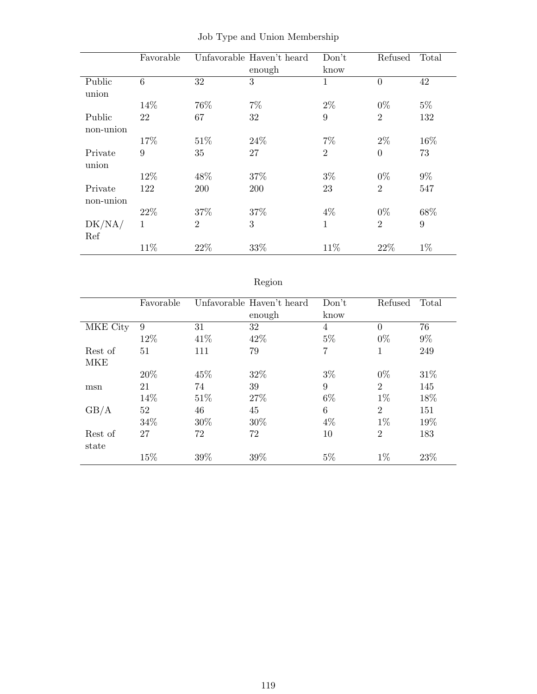|           | Favorable |                | Unfavorable Haven't heard | Don't          | Refused        | Total |
|-----------|-----------|----------------|---------------------------|----------------|----------------|-------|
|           |           |                | enough                    | know           |                |       |
| Public    | 6         | 32             | 3                         | $\mathbf 1$    | $\theta$       | 42    |
| union     |           |                |                           |                |                |       |
|           | 14%       | 76%            | $7\%$                     | $2\%$          | $0\%$          | $5\%$ |
| Public    | 22        | 67             | 32                        | 9              | $\overline{2}$ | 132   |
| non-union |           |                |                           |                |                |       |
|           | 17%       | 51\%           | 24%                       | $7\%$          | $2\%$          | 16%   |
| Private   | 9         | 35             | 27                        | $\overline{2}$ | $\theta$       | 73    |
| union     |           |                |                           |                |                |       |
|           | 12%       | 48%            | 37%                       | $3\%$          | $0\%$          | $9\%$ |
| Private   | 122       | 200            | 200                       | 23             | $\overline{2}$ | 547   |
| non-union |           |                |                           |                |                |       |
|           | 22\%      | 37%            | 37%                       | $4\%$          | $0\%$          | 68%   |
| DK/NA/    | 1         | $\overline{2}$ | 3                         | 1              | $\overline{2}$ | 9     |
| Ref       |           |                |                           |                |                |       |
|           | 11%       | 22%            | 33%                       | 11%            | 22%            | $1\%$ |

|  |  |  |  |  | Job Type and Union Membership |
|--|--|--|--|--|-------------------------------|
|--|--|--|--|--|-------------------------------|

# Region

|          | Favorable |      | Unfavorable Haven't heard<br>enough | Don't<br>know  | Refused        | Total |
|----------|-----------|------|-------------------------------------|----------------|----------------|-------|
| MKE City | 9         | 31   | 32                                  | $\overline{4}$ | $\Omega$       | 76    |
|          | 12%       | 41\% | 42\%                                | $5\%$          | $0\%$          | $9\%$ |
| Rest of  | 51        | 111  | 79                                  | 7              | 1              | 249   |
| MKE      |           |      |                                     |                |                |       |
|          | 20%       | 45%  | 32%                                 | $3\%$          | $0\%$          | 31\%  |
| msn      | 21        | 74   | 39                                  | 9              | $\overline{2}$ | 145   |
|          | 14%       | 51%  | $27\%$                              | $6\%$          | $1\%$          | 18%   |
| GB/A     | 52        | 46   | 45                                  | 6              | $\overline{2}$ | 151   |
|          | 34%       | 30%  | 30%                                 | $4\%$          | $1\%$          | 19%   |
| Rest of  | 27        | 72   | 72                                  | 10             | $\overline{2}$ | 183   |
| state    |           |      |                                     |                |                |       |
|          | 15%       | 39%  | 39%                                 | $5\%$          | $1\%$          | 23%   |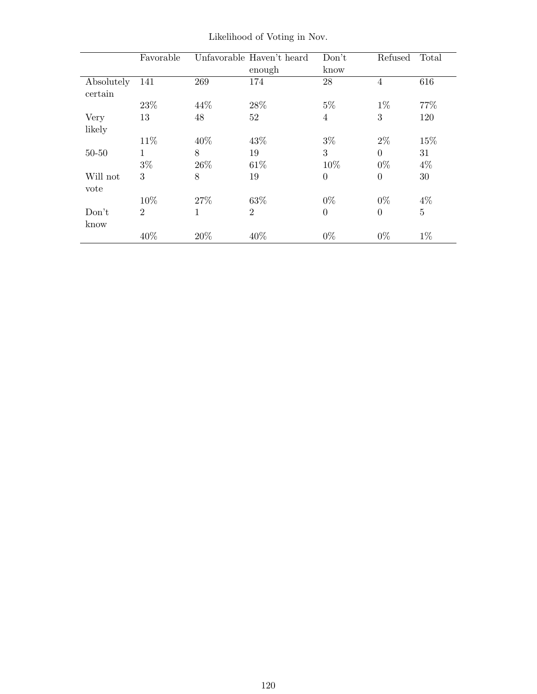|                       | Favorable      |      | Unfavorable Haven't heard<br>enough | Don't<br>know  | Refused        | Total          |
|-----------------------|----------------|------|-------------------------------------|----------------|----------------|----------------|
| Absolutely<br>certain | 141            | 269  | 174                                 | 28             | $\overline{4}$ | 616            |
|                       | 23%            | 44\% | 28%                                 | $5\%$          | $1\%$          | 77\%           |
| Very                  | 13             | 48   | 52                                  | $\overline{4}$ | 3              | 120            |
| likely                |                |      |                                     |                |                |                |
|                       | 11\%           | 40%  | 43%                                 | $3\%$          | $2\%$          | 15%            |
| $50 - 50$             | 1              | 8    | 19                                  | 3              | $\Omega$       | 31             |
|                       | $3\%$          | 26\% | 61\%                                | 10%            | $0\%$          | $4\%$          |
| Will not<br>vote      | 3              | 8    | 19                                  | $\theta$       | $\Omega$       | 30             |
|                       | 10%            | 27%  | 63%                                 | $0\%$          | $0\%$          | $4\%$          |
| Don't<br>know         | $\overline{2}$ | 1    | $\overline{2}$                      | $\overline{0}$ | $\overline{0}$ | $\overline{5}$ |
|                       | 40%            | 20%  | 40%                                 | $0\%$          | $0\%$          | $1\%$          |

Likelihood of Voting in Nov.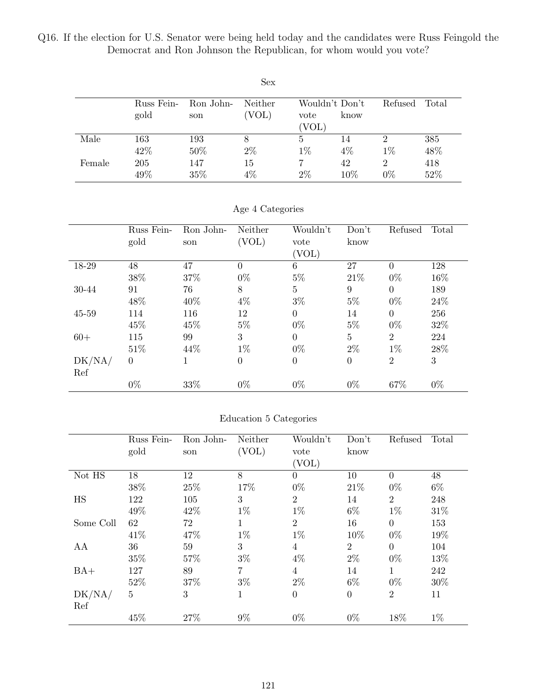Q16. If the election for U.S. Senator were being held today and the candidates were Russ Feingold the Democrat and Ron Johnson the Republican, for whom would you vote?

|        |            |           | <b>Sex</b> |                |       |                |                |
|--------|------------|-----------|------------|----------------|-------|----------------|----------------|
|        | Russ Fein- | Ron John- | Neither    | Wouldn't Don't |       | Refused        | $\text{Total}$ |
|        | gold       | son       | (VOL)      | vote           | know  |                |                |
|        |            |           |            | (VOL)          |       |                |                |
| Male   | 163        | 193       | 8          | 5              | 14    | $\overline{2}$ | 385            |
|        | 42%        | $50\%$    | $2\%$      | $1\%$          | $4\%$ | $1\%$          | 48%            |
| Female | 205        | 147       | 15         |                | 42    | $\overline{2}$ | 418            |
|        | 49%        | 35%       | 4%         | $2\%$          | 10%   | $0\%$          | 52%            |

|  | Age 4 Categories |  |
|--|------------------|--|
|  |                  |  |

|        | Russ Fein-<br>gold | Ron John-<br>son | Neither<br>(VOL) | Wouldn't<br>vote<br>(VOL) | Don't<br>know  | Refused        | Total  |
|--------|--------------------|------------------|------------------|---------------------------|----------------|----------------|--------|
| 18-29  | 48                 | 47               | $\overline{0}$   | 6                         | 27             | $\theta$       | 128    |
|        | 38%                | 37%              | $0\%$            | $5\%$                     | 21\%           | $0\%$          | 16\%   |
| 30-44  | 91                 | 76               | 8                | $\overline{5}$            | 9              | $\overline{0}$ | 189    |
|        | 48%                | 40\%             | $4\%$            | $3\%$                     | $5\%$          | $0\%$          | $24\%$ |
| 45-59  | 114                | 116              | 12               | $\overline{0}$            | 14             | $\theta$       | 256    |
|        | 45%                | 45\%             | $5\%$            | $0\%$                     | $5\%$          | $0\%$          | $32\%$ |
| $60+$  | 115                | 99               | 3                | $\boldsymbol{0}$          | $\overline{5}$ | $\overline{2}$ | 224    |
|        | 51%                | 44\%             | $1\%$            | $0\%$                     | $2\%$          | $1\%$          | 28%    |
| DK/NA/ | $\theta$           | 1                | $\boldsymbol{0}$ | $\boldsymbol{0}$          | $\theta$       | $\overline{2}$ | 3      |
| Ref    |                    |                  |                  |                           |                |                |        |
|        | $0\%$              | 33%              | $0\%$            | $0\%$                     | $0\%$          | 67%            | $0\%$  |

#### Education 5 Categories

|           | Russ Fein-     | Ron John- | Neither        | Wouldn't       | Don't            | Refused        | Total |
|-----------|----------------|-----------|----------------|----------------|------------------|----------------|-------|
|           | gold           | son       | (VOL)          | vote           | know             |                |       |
|           |                |           |                | (VOL)          |                  |                |       |
| Not HS    | 18             | 12        | 8              | $\overline{0}$ | 10               | $\theta$       | 48    |
|           | $38\%$         | 25%       | 17%            | $0\%$          | 21\%             | $0\%$          | $6\%$ |
| HS        | 122            | 105       | 3              | $\overline{2}$ | 14               | $\overline{2}$ | 248   |
|           | 49%            | 42\%      | $1\%$          | $1\%$          | $6\%$            | $1\%$          | 31\%  |
| Some Coll | 62             | 72        | $\mathbf 1$    | $\overline{2}$ | 16               | $\overline{0}$ | 153   |
|           | 41\%           | 47%       | $1\%$          | $1\%$          | 10%              | $0\%$          | 19%   |
| AA        | 36             | 59        | 3              | $\overline{4}$ | $\overline{2}$   | $\theta$       | 104   |
|           | 35%            | 57%       | $3\%$          | $4\%$          | $2\%$            | $0\%$          | 13%   |
| $BA+$     | 127            | 89        | $\overline{7}$ | $\overline{4}$ | 14               | $\mathbf{1}$   | 242   |
|           | 52%            | 37%       | $3\%$          | $2\%$          | $6\%$            | $0\%$          | 30%   |
| DK/NA/    | $\overline{5}$ | 3         | 1              | $\overline{0}$ | $\boldsymbol{0}$ | $\overline{2}$ | 11    |
| Ref       |                |           |                |                |                  |                |       |
|           | 45%            | 27%       | $9\%$          | $0\%$          | $0\%$            | 18%            | $1\%$ |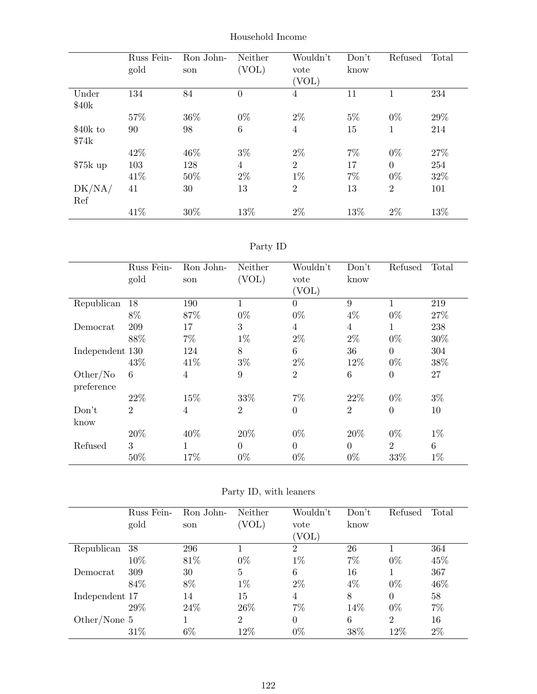|                   | Russ Fein-<br>gold | Ron John-<br>son | Neither<br>(VOL) | Wouldn't<br>vote<br>(VOL) | Don't<br>know | Refused        | Total |
|-------------------|--------------------|------------------|------------------|---------------------------|---------------|----------------|-------|
| Under<br>\$40k    | 134                | 84               | $\theta$         | 4                         | 11            | 1              | 234   |
|                   | 57%                | 36%              | $0\%$            | $2\%$                     | $5\%$         | $0\%$          | 29%   |
| \$40k to<br>\$74k | 90                 | 98               | 6                | $\overline{4}$            | 15            | 1              | 214   |
|                   | 42\%               | 46%              | $3\%$            | $2\%$                     | $7\%$         | $0\%$          | 27%   |
| $$75k$ up         | 103                | 128              | 4                | $\overline{2}$            | 17            | $\theta$       | 254   |
|                   | 41\%               | 50%              | $2\%$            | $1\%$                     | $7\%$         | $0\%$          | 32%   |
| DK/NA/<br>Ref     | 41                 | 30               | 13               | $\overline{2}$            | 13            | $\overline{2}$ | 101   |
|                   | 41\%               | 30%              | 13%              | $2\%$                     | 13%           | $2\%$          | 13%   |

Household Income

| aг<br>L |  |
|---------|--|
|---------|--|

|                 | Russ Fein-     | Ron John-      | Neither        | Wouldn't         | Don't          | Refused        | Total |
|-----------------|----------------|----------------|----------------|------------------|----------------|----------------|-------|
|                 | gold           | son            | (VOL)          | vote             | know           |                |       |
|                 |                |                |                | (VOL)            |                |                |       |
| Republican      | 18             | 190            | 1              | $\overline{0}$   | 9              | 1              | 219   |
|                 | 8%             | 87%            | $0\%$          | $0\%$            | $4\%$          | $0\%$          | 27%   |
| Democrat        | 209            | 17             | 3              | $\overline{4}$   | $\overline{4}$ | 1              | 238   |
|                 | 88%            | $7\%$          | $1\%$          | $2\%$            | $2\%$          | $0\%$          | 30%   |
| Independent 130 |                | 124            | 8              | $\,6\,$          | 36             | $\overline{0}$ | 304   |
|                 | 43%            | 41\%           | $3\%$          | $2\%$            | 12%            | $0\%$          | 38%   |
| Other/No        | 6              | $\overline{4}$ | 9              | $\overline{2}$   | 6              | $\overline{0}$ | 27    |
| preference      |                |                |                |                  |                |                |       |
|                 | 22%            | 15%            | 33%            | $7\%$            | 22%            | $0\%$          | $3\%$ |
| Don't           | $\overline{2}$ | 4              | $\overline{2}$ | $\boldsymbol{0}$ | $\overline{2}$ | $\overline{0}$ | 10    |
| know            |                |                |                |                  |                |                |       |
|                 | 20%            | 40%            | 20%            | $0\%$            | 20%            | $0\%$          | $1\%$ |
| Refused         | 3              | 1              | $\Omega$       | $\overline{0}$   | $\overline{0}$ | $\overline{2}$ | 6     |
|                 | 50%            | 17%            | $0\%$          | $0\%$            | $0\%$          | 33%            | $1\%$ |

|  |  |  |  | Party ID, with leaners |
|--|--|--|--|------------------------|
|--|--|--|--|------------------------|

|                | Russ Fein-<br>gold | Ron John-<br>son | Neither<br>'VOL) | Wouldn't<br>vote<br>[VOL] | Don't<br>know | Refused        | Total |
|----------------|--------------------|------------------|------------------|---------------------------|---------------|----------------|-------|
| Republican     | 38                 | 296              |                  | $\overline{2}$            | 26            |                | 364   |
|                | 10%                | 81\%             | $0\%$            | $1\%$                     | $7\%$         | $0\%$          | 45%   |
| Democrat       | 309                | 30               | $\overline{5}$   | 6                         | 16            |                | 367   |
|                | 84\%               | 8%               | $1\%$            | $2\%$                     | $4\%$         | $0\%$          | 46\%  |
| Independent 17 |                    | 14               | 15               | 4                         | 8             | $\Omega$       | 58    |
|                | 29%                | 24\%             | 26\%             | 7%                        | 14%           | $0\%$          | 7%    |
| Other/None $5$ |                    |                  | $\overline{2}$   | $\Omega$                  | 6             | $\overline{2}$ | 16    |
|                | 31%                | $6\%$            | 12%              | $0\%$                     | 38%           | 12%            | $2\%$ |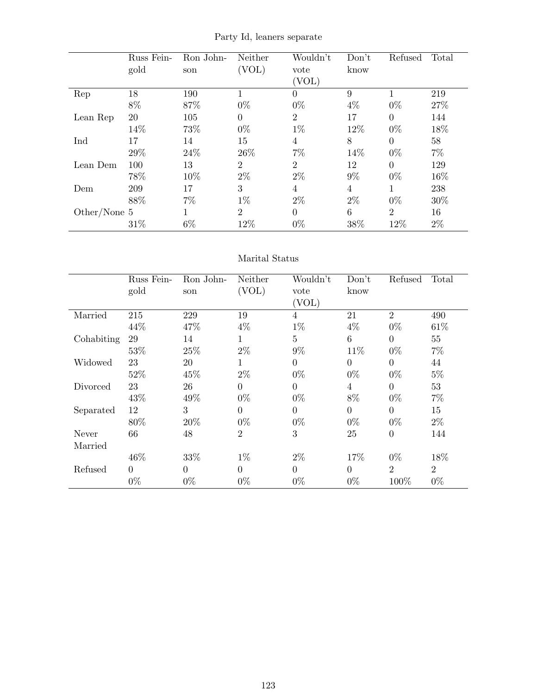Party Id, leaners separate

|              | Russ Fein- | Ron John- | Neither        | Wouldn't       | Don't          | Refused        | Total |
|--------------|------------|-----------|----------------|----------------|----------------|----------------|-------|
|              | gold       | son       | (VOL)          | vote           | know           |                |       |
|              |            |           |                | (VOL)          |                |                |       |
| Rep          | 18         | 190       |                | $\overline{0}$ | 9              |                | 219   |
|              | $8\%$      | 87%       | $0\%$          | $0\%$          | $4\%$          | $0\%$          | 27%   |
| Lean Rep     | 20         | 105       | $\Omega$       | $\overline{2}$ | 17             | $\overline{0}$ | 144   |
|              | 14%        | 73%       | $0\%$          | $1\%$          | 12%            | $0\%$          | 18%   |
| Ind          | 17         | 14        | 15             | 4              | $8\,$          | $\overline{0}$ | 58    |
|              | 29%        | 24\%      | 26\%           | $7\%$          | 14%            | $0\%$          | $7\%$ |
| Lean Dem     | 100        | 13        | $\overline{2}$ | $\overline{2}$ | 12             | $\overline{0}$ | 129   |
|              | 78%        | 10%       | $2\%$          | $2\%$          | $9\%$          | $0\%$          | 16%   |
| Dem          | 209        | 17        | 3              | 4              | $\overline{4}$ | 1              | 238   |
|              | 88%        | $7\%$     | $1\%$          | $2\%$          | $2\%$          | $0\%$          | 30%   |
| Other/None 5 |            |           | $\overline{2}$ | $\overline{0}$ | 6              | $\overline{2}$ | 16    |
|              | 31%        | $6\%$     | 12%            | $0\%$          | 38%            | 12%            | $2\%$ |

#### Marital Status

|            | Russ Fein- | Ron John- | Neither        | Wouldn't       | Don't    | Refused        | Total          |
|------------|------------|-----------|----------------|----------------|----------|----------------|----------------|
|            | gold       | son       | (VOL)          | vote           | know     |                |                |
|            |            |           |                | (VOL)          |          |                |                |
| Married    | 215        | 229       | 19             | $\overline{4}$ | 21       | $\overline{2}$ | 490            |
|            | 44%        | 47%       | $4\%$          | $1\%$          | $4\%$    | $0\%$          | 61%            |
| Cohabiting | 29         | 14        | 1              | $\mathbf{5}$   | 6        | $\overline{0}$ | 55             |
|            | 53%        | 25%       | $2\%$          | $9\%$          | 11\%     | $0\%$          | $7\%$          |
| Widowed    | 23         | 20        | 1              | $\Omega$       | $\Omega$ | $\theta$       | 44             |
|            | 52\%       | 45%       | $2\%$          | $0\%$          | $0\%$    | $0\%$          | $5\%$          |
| Divorced   | 23         | 26        | $\Omega$       | $\Omega$       | 4        | $\overline{0}$ | 53             |
|            | 43%        | 49%       | $0\%$          | $0\%$          | $8\%$    | $0\%$          | $7\%$          |
| Separated  | 12         | 3         | $\overline{0}$ | $\Omega$       | $\Omega$ | $\overline{0}$ | 15             |
|            | 80%        | 20%       | $0\%$          | $0\%$          | $0\%$    | $0\%$          | $2\%$          |
| Never      | 66         | 48        | $\overline{2}$ | 3              | 25       | $\overline{0}$ | 144            |
| Married    |            |           |                |                |          |                |                |
|            | 46%        | 33%       | $1\%$          | $2\%$          | 17%      | $0\%$          | 18%            |
| Refused    | $\theta$   | $\theta$  | $\overline{0}$ | $\theta$       | $\Omega$ | $\overline{2}$ | $\overline{2}$ |
|            | $0\%$      | $0\%$     | $0\%$          | $0\%$          | $0\%$    | 100%           | $0\%$          |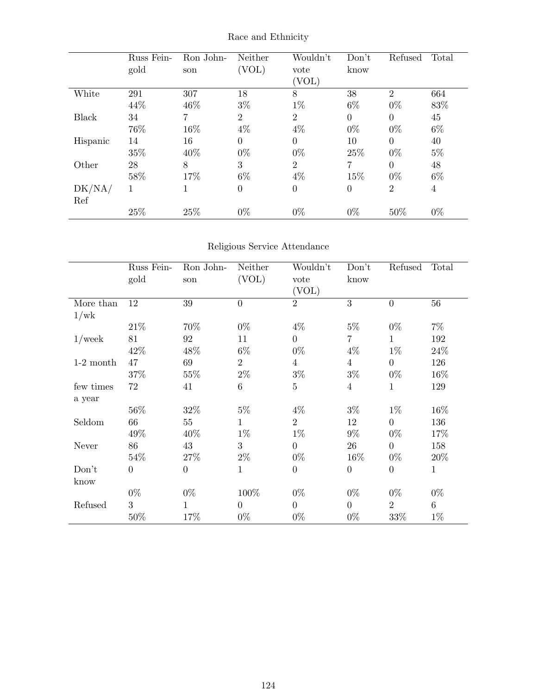|              | Russ Fein-<br>gold | Ron John-<br>son | Neither<br>(VOL) | Wouldn't<br>vote<br>(VOL) | Don't<br>know  | Refused        | Total |
|--------------|--------------------|------------------|------------------|---------------------------|----------------|----------------|-------|
| White        | 291                | 307              | 18               | 8                         | 38             | $\overline{2}$ | 664   |
|              | 44%                | 46%              | $3\%$            | $1\%$                     | $6\%$          | $0\%$          | 83%   |
| <b>Black</b> | 34                 | 7                | $\overline{2}$   | $\overline{2}$            | $\theta$       | $\Omega$       | 45    |
|              | 76%                | 16%              | $4\%$            | $4\%$                     | $0\%$          | $0\%$          | $6\%$ |
| Hispanic     | 14                 | 16               | $\theta$         | $\theta$                  | 10             | $\theta$       | 40    |
|              | 35%                | 40%              | $0\%$            | $0\%$                     | 25%            | $0\%$          | $5\%$ |
| Other        | 28                 | 8                | 3                | $\overline{2}$            | 7              | $\overline{0}$ | 48    |
|              | 58%                | 17%              | $6\%$            | $4\%$                     | 15%            | $0\%$          | $6\%$ |
| DK/NA/       | 1                  | 1                | $\boldsymbol{0}$ | $\boldsymbol{0}$          | $\overline{0}$ | $\overline{2}$ | 4     |
| Ref          |                    |                  |                  |                           |                |                |       |
|              | 25%                | 25%              | $0\%$            | $0\%$                     | $0\%$          | 50%            | $0\%$ |

Race and Ethnicity

## Religious Service Attendance

|             | Russ Fein-<br>gold | Ron John-<br>son | Neither<br>(VOL) | Wouldn't<br>vote<br>(VOL) | Don't<br>know    | Refused          | Total        |
|-------------|--------------------|------------------|------------------|---------------------------|------------------|------------------|--------------|
| More than   | 12                 | 39               | $\overline{0}$   | $\overline{2}$            | 3                | $\overline{0}$   | 56           |
| 1/wk        |                    |                  |                  |                           |                  |                  |              |
|             | 21\%               | 70%              | $0\%$            | $4\%$                     | $5\%$            | $0\%$            | $7\%$        |
| $1$ /week   | 81                 | 92               | 11               | $\overline{0}$            | 7                | 1                | 192          |
|             | 42\%               | 48\%             | $6\%$            | $0\%$                     | $4\%$            | $1\%$            | 24%          |
| $1-2$ month | 47                 | 69               | $\overline{2}$   | $\overline{4}$            | $\overline{4}$   | $\overline{0}$   | 126          |
|             | 37%                | 55%              | $2\%$            | $3\%$                     | $3\%$            | $0\%$            | 16\%         |
| few times   | 72                 | 41               | 6                | $\overline{5}$            | $\overline{4}$   | 1                | 129          |
| a year      |                    |                  |                  |                           |                  |                  |              |
|             | 56%                | 32%              | $5\%$            | $4\%$                     | $3\%$            | $1\%$            | 16%          |
| Seldom      | 66                 | 55               | 1                | $\overline{2}$            | 12               | $\overline{0}$   | 136          |
|             | 49%                | 40\%             | $1\%$            | $1\%$                     | $9\%$            | $0\%$            | 17%          |
| Never       | 86                 | 43               | 3                | $\overline{0}$            | 26               | $\theta$         | 158          |
|             | 54%                | 27\%             | $2\%$            | $0\%$                     | 16%              | $0\%$            | 20%          |
| Don't       | $\overline{0}$     | $\overline{0}$   | $\mathbf{1}$     | $\boldsymbol{0}$          | $\boldsymbol{0}$ | $\boldsymbol{0}$ | $\mathbf{1}$ |
| know        |                    |                  |                  |                           |                  |                  |              |
|             | $0\%$              | $0\%$            | 100%             | $0\%$                     | $0\%$            | $0\%$            | $0\%$        |
| Refused     | 3                  | 1                | $\overline{0}$   | $\overline{0}$            | $\overline{0}$   | $\overline{2}$   | $6\,$        |
|             | 50%                | 17%              | $0\%$            | $0\%$                     | $0\%$            | 33%              | $1\%$        |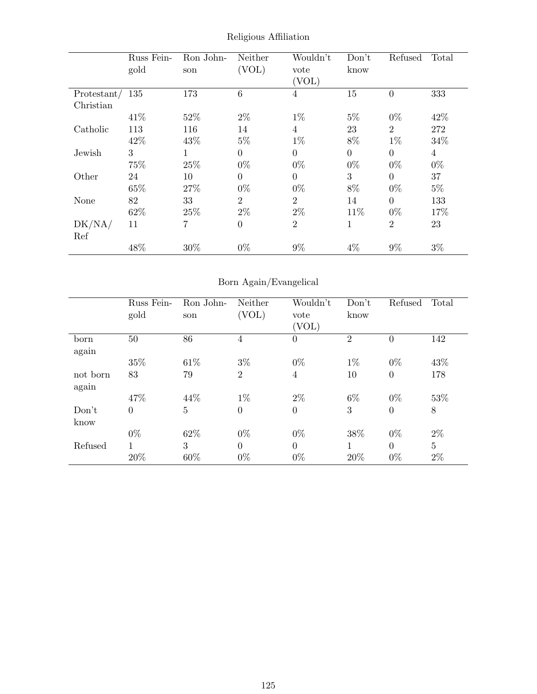|             | Russ Fein- | Ron John-      | Neither        | Wouldn't         | Don't          | Refused        | Total |
|-------------|------------|----------------|----------------|------------------|----------------|----------------|-------|
|             | gold       | son            | (VOL)          | vote             | know           |                |       |
|             |            |                |                | (VOL)            |                |                |       |
| Protestant/ | 135        | 173            | 6              | 4                | 15             | $\theta$       | 333   |
| Christian   |            |                |                |                  |                |                |       |
|             | 41\%       | 52%            | $2\%$          | $1\%$            | $5\%$          | $0\%$          | 42%   |
| Catholic    | 113        | 116            | 14             | 4                | 23             | $\overline{2}$ | 272   |
|             | 42\%       | 43%            | $5\%$          | $1\%$            | $8\%$          | $1\%$          | 34%   |
| Jewish      | 3          |                | $\overline{0}$ | $\theta$         | $\overline{0}$ | $\Omega$       | 4     |
|             | 75%        | 25%            | $0\%$          | $0\%$            | $0\%$          | $0\%$          | $0\%$ |
| Other       | 24         | 10             | $\overline{0}$ | $\boldsymbol{0}$ | 3              | $\Omega$       | 37    |
|             | 65%        | 27%            | $0\%$          | $0\%$            | 8%             | $0\%$          | $5\%$ |
| None        | 82         | 33             | $\overline{2}$ | $\overline{2}$   | 14             | $\Omega$       | 133   |
|             | 62%        | 25%            | $2\%$          | $2\%$            | 11%            | $0\%$          | 17%   |
| DK/NA/      | 11         | $\overline{7}$ | $\overline{0}$ | $\overline{2}$   | 1              | $\overline{2}$ | 23    |
| Ref         |            |                |                |                  |                |                |       |
|             | 48%        | 30%            | $0\%$          | $9\%$            | $4\%$          | $9\%$          | $3\%$ |

Religious Affiliation

## Born Again/Evangelical

|          | Russ Fein- | Ron John-      | Neither        | Wouldn't         | Don't          | Refused        | Total          |
|----------|------------|----------------|----------------|------------------|----------------|----------------|----------------|
|          | gold       | son            | (VOL)          | vote             | know           |                |                |
|          |            |                |                | (VOL)            |                |                |                |
| born     | $50\,$     | 86             | 4              | $\boldsymbol{0}$ | $\overline{2}$ | $\overline{0}$ | 142            |
| again    |            |                |                |                  |                |                |                |
|          | 35%        | 61\%           | $3\%$          | $0\%$            | $1\%$          | $0\%$          | 43%            |
| not born | 83         | 79             | $\overline{2}$ | $\overline{4}$   | 10             | $\overline{0}$ | 178            |
| again    |            |                |                |                  |                |                |                |
|          | 47\%       | 44\%           | $1\%$          | $2\%$            | $6\%$          | $0\%$          | 53%            |
| Don't    | $\theta$   | $\overline{5}$ | $\overline{0}$ | $\boldsymbol{0}$ | 3              | $\overline{0}$ | 8              |
| know     |            |                |                |                  |                |                |                |
|          | $0\%$      | 62%            | $0\%$          | $0\%$            | 38%            | $0\%$          | $2\%$          |
| Refused  | 1          | 3              | $\Omega$       | $\overline{0}$   | 1              | $\theta$       | $\overline{5}$ |
|          | 20%        | 60%            | $0\%$          | $0\%$            | 20%            | $0\%$          | $2\%$          |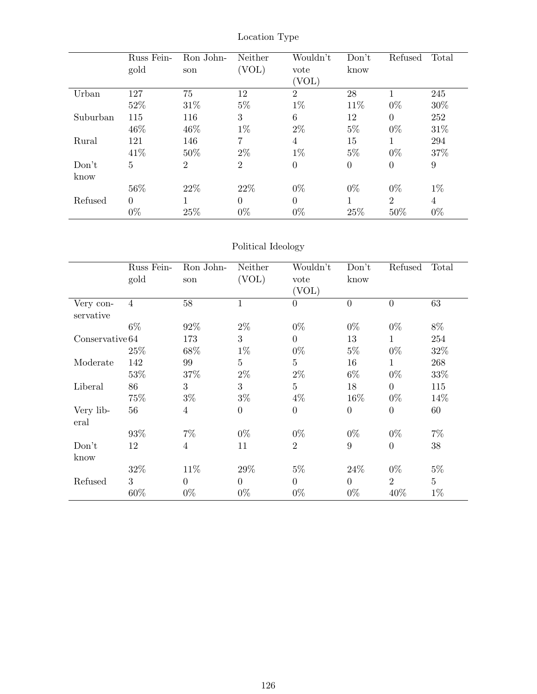|          | Russ Fein- | Ron John-      | Neither        | Wouldn't       | Don't          | Refused        | Total |
|----------|------------|----------------|----------------|----------------|----------------|----------------|-------|
|          | gold       | son            | (VOL)          | vote           | know           |                |       |
|          |            |                |                | VOL)           |                |                |       |
| Urban    | 127        | 75             | 12             | $\overline{2}$ | 28             |                | 245   |
|          | 52%        | 31\%           | $5\%$          | $1\%$          | 11%            | $0\%$          | 30%   |
| Suburban | 115        | 116            | 3              | 6              | 12             | $\theta$       | 252   |
|          | 46\%       | 46\%           | $1\%$          | $2\%$          | $5\%$          | $0\%$          | 31%   |
| Rural    | 121        | 146            | 7              | 4              | 15             | 1              | 294   |
|          | 41\%       | 50%            | $2\%$          | $1\%$          | $5\%$          | $0\%$          | 37%   |
| Don't    | 5          | $\overline{2}$ | $\overline{2}$ | $\overline{0}$ | $\overline{0}$ | $\theta$       | 9     |
| know     |            |                |                |                |                |                |       |
|          | 56%        | 22\%           | 22\%           | $0\%$          | $0\%$          | $0\%$          | $1\%$ |
| Refused  | $\Omega$   | 1              | $\overline{0}$ | $\overline{0}$ | 1              | $\overline{2}$ | 4     |
|          | $0\%$      | 25%            | $0\%$          | $0\%$          | 25%            | 50%            | $0\%$ |

Location Type

## Political Ideology

|                        | Russ Fein-<br>gold | Ron John-<br>son | Neither<br>(VOL) | Wouldn't<br>vote<br>(VOL) | Don't<br>know  | Refused        | Total          |
|------------------------|--------------------|------------------|------------------|---------------------------|----------------|----------------|----------------|
| Very con-<br>servative | $\overline{4}$     | 58               | $\mathbf 1$      | 0                         | $\theta$       | $\overline{0}$ | 63             |
|                        | $6\%$              | 92%              | $2\%$            | $0\%$                     | $0\%$          | $0\%$          | 8%             |
| Conserve the 64        |                    | 173              | 3                | $\overline{0}$            | 13             | 1              | 254            |
|                        | 25%                | 68%              | $1\%$            | $0\%$                     | $5\%$          | $0\%$          | 32%            |
| Moderate               | 142                | 99               | 5                | $\overline{5}$            | 16             | $\mathbf{1}$   | 268            |
|                        | 53%                | 37%              | $2\%$            | $2\%$                     | $6\%$          | $0\%$          | 33%            |
| Liberal                | 86                 | 3                | 3                | $\overline{5}$            | 18             | $\overline{0}$ | 115            |
|                        | 75%                | $3\%$            | $3\%$            | $4\%$                     | 16%            | $0\%$          | 14%            |
| Very lib-<br>eral      | 56                 | $\overline{4}$   | $\theta$         | $\boldsymbol{0}$          | $\overline{0}$ | $\overline{0}$ | 60             |
|                        | 93%                | $7\%$            | $0\%$            | $0\%$                     | $0\%$          | $0\%$          | $7\%$          |
| Don't<br>know          | 12                 | $\overline{4}$   | 11               | $\overline{2}$            | 9              | $\overline{0}$ | 38             |
|                        | 32\%               | 11\%             | 29%              | $5\%$                     | 24\%           | $0\%$          | $5\%$          |
| Refused                | 3                  | $\Omega$         | $\Omega$         | $\overline{0}$            | $\overline{0}$ | $\overline{2}$ | $\overline{5}$ |
|                        | 60%                | $0\%$            | $0\%$            | $0\%$                     | $0\%$          | 40%            | $1\%$          |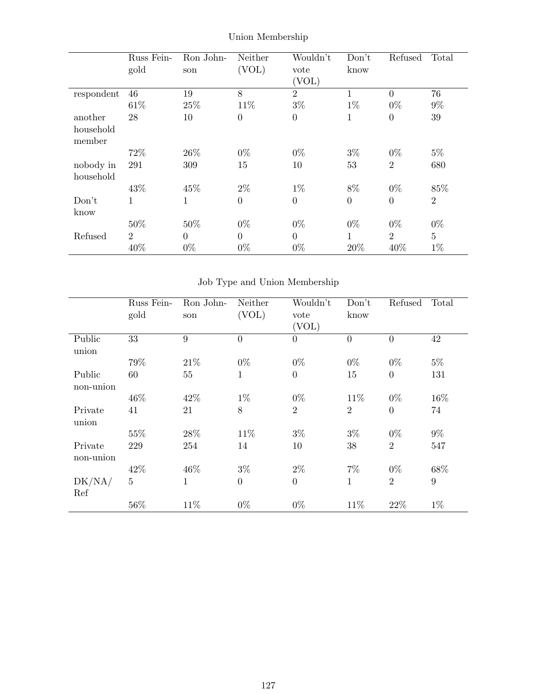|            | Russ Fein-     | Ron John- | Neither          | Wouldn't         | Don't            | Refused        | Total          |
|------------|----------------|-----------|------------------|------------------|------------------|----------------|----------------|
|            | gold           | son       | (VOL)            | vote             | know             |                |                |
|            |                |           |                  | (VOL)            |                  |                |                |
| respondent | 46             | 19        | 8                | $\boldsymbol{2}$ | 1                | $\overline{0}$ | 76             |
|            | 61\%           | 25%       | 11%              | $3\%$            | $1\%$            | $0\%$          | $9\%$          |
| another    | 28             | 10        | $\overline{0}$   | $\boldsymbol{0}$ | 1                | $\overline{0}$ | 39             |
| household  |                |           |                  |                  |                  |                |                |
| member     |                |           |                  |                  |                  |                |                |
|            | 72\%           | 26\%      | $0\%$            | $0\%$            | $3\%$            | $0\%$          | $5\%$          |
| nobody in  | 291            | 309       | 15               | 10               | 53               | $\overline{2}$ | 680            |
| household  |                |           |                  |                  |                  |                |                |
|            | 43\%           | 45%       | $2\%$            | $1\%$            | 8%               | $0\%$          | 85%            |
| Don't      | 1              | 1         | $\boldsymbol{0}$ | $\boldsymbol{0}$ | $\boldsymbol{0}$ | $\overline{0}$ | $\overline{2}$ |
| know       |                |           |                  |                  |                  |                |                |
|            | 50%            | 50%       | $0\%$            | $0\%$            | $0\%$            | $0\%$          | $0\%$          |
| Refused    | $\overline{2}$ | $\theta$  | $\Omega$         | $\overline{0}$   | 1                | $\overline{2}$ | $\overline{5}$ |
|            | 40%            | $0\%$     | $0\%$            | $0\%$            | 20%              | 40%            | $1\%$          |

Union Membership

Job Type and Union Membership

|                      | Russ Fein-<br>gold | Ron John-<br>son | Neither<br>(VOL) | Wouldn't<br>vote<br>(VOL) | Don't<br>know  | Refused        | Total           |
|----------------------|--------------------|------------------|------------------|---------------------------|----------------|----------------|-----------------|
| Public<br>union      | 33                 | 9                | $\overline{0}$   | $\overline{0}$            | $\overline{0}$ | $\overline{0}$ | 42              |
|                      | 79%                | 21\%             | $0\%$            | $0\%$                     | $0\%$          | $0\%$          | $5\%$           |
| Public<br>non-union  | 60                 | 55               | $\mathbf 1$      | $\boldsymbol{0}$          | 15             | $\overline{0}$ | 131             |
|                      | 46%                | 42\%             | $1\%$            | $0\%$                     | 11%            | $0\%$          | 16%             |
| Private<br>union     | 41                 | 21               | 8                | $\overline{2}$            | $\overline{2}$ | $\overline{0}$ | 74              |
|                      | 55%                | 28\%             | 11\%             | $3\%$                     | $3\%$          | $0\%$          | $9\%$           |
| Private<br>non-union | 229                | 254              | 14               | 10                        | 38             | $\overline{2}$ | 547             |
|                      | 42\%               | 46%              | $3\%$            | $2\%$                     | $7\%$          | $0\%$          | 68%             |
| DK/NA/<br>Ref        | $\overline{5}$     | 1                | $\boldsymbol{0}$ | $\theta$                  | 1              | $\overline{2}$ | $9\phantom{.0}$ |
|                      | $56\%$             | 11\%             | $0\%$            | $0\%$                     | 11%            | 22%            | $1\%$           |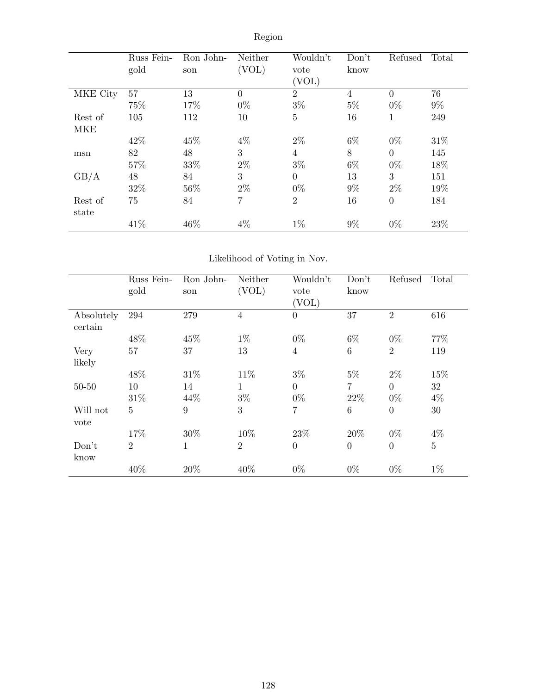|            | Russ Fein-<br>gold | Ron John-<br>son | Neither<br>(VOL) | Wouldn't<br>vote<br>(VOL) | Don't<br>know  | Refused        | Total |
|------------|--------------------|------------------|------------------|---------------------------|----------------|----------------|-------|
| MKE City   | 57                 | 13               | $\overline{0}$   | $\overline{2}$            | $\overline{4}$ | $\theta$       | 76    |
|            | 75%                | 17%              | $0\%$            | $3\%$                     | $5\%$          | $0\%$          | $9\%$ |
| Rest of    | 105                | 112              | 10               | $\overline{5}$            | 16             | 1              | 249   |
| <b>MKE</b> |                    |                  |                  |                           |                |                |       |
|            | 42\%               | 45%              | $4\%$            | $2\%$                     | $6\%$          | $0\%$          | 31\%  |
| msn        | 82                 | 48               | 3                | $\overline{4}$            | 8              | $\overline{0}$ | 145   |
|            | 57%                | 33%              | $2\%$            | $3\%$                     | $6\%$          | $0\%$          | 18%   |
| GB/A       | 48                 | 84               | 3                | $\overline{0}$            | 13             | 3              | 151   |
|            | 32%                | 56%              | $2\%$            | $0\%$                     | $9\%$          | $2\%$          | 19%   |
| Rest of    | 75                 | 84               | 7                | $\overline{2}$            | 16             | $\theta$       | 184   |
| state      |                    |                  |                  |                           |                |                |       |
|            | 41\%               | 46%              | $4\%$            | $1\%$                     | $9\%$          | $0\%$          | 23%   |

# Region

## Likelihood of Voting in Nov.

|                       | Russ Fein-<br>gold | Ron John-<br>son | Neither<br>(VOL) | Wouldn't<br>vote<br>(VOL) | Don't<br>know  | Refused        | Total          |
|-----------------------|--------------------|------------------|------------------|---------------------------|----------------|----------------|----------------|
| Absolutely<br>certain | 294                | 279              | $\overline{4}$   | $\theta$                  | 37             | $\overline{2}$ | 616            |
|                       | 48%                | 45%              | $1\%$            | $0\%$                     | $6\%$          | $0\%$          | 77%            |
| Very                  | 57                 | 37               | 13               | $\overline{4}$            | 6              | $\overline{2}$ | 119            |
| likely                |                    |                  |                  |                           |                |                |                |
|                       | 48%                | 31\%             | 11%              | $3\%$                     | $5\%$          | $2\%$          | 15%            |
| $50 - 50$             | 10                 | 14               | 1                | $\overline{0}$            | 7              | $\Omega$       | 32             |
|                       | 31\%               | 44\%             | $3\%$            | $0\%$                     | 22\%           | $0\%$          | $4\%$          |
| Will not<br>vote      | $\overline{5}$     | 9                | 3                | 7                         | 6              | $\Omega$       | 30             |
|                       | 17%                | 30%              | 10%              | 23\%                      | 20%            | $0\%$          | $4\%$          |
| Don't<br>know         | $\overline{2}$     | 1                | $\overline{2}$   | $\theta$                  | $\overline{0}$ | $\Omega$       | $\overline{5}$ |
|                       | 40%                | 20%              | 40%              | $0\%$                     | $0\%$          | $0\%$          | $1\%$          |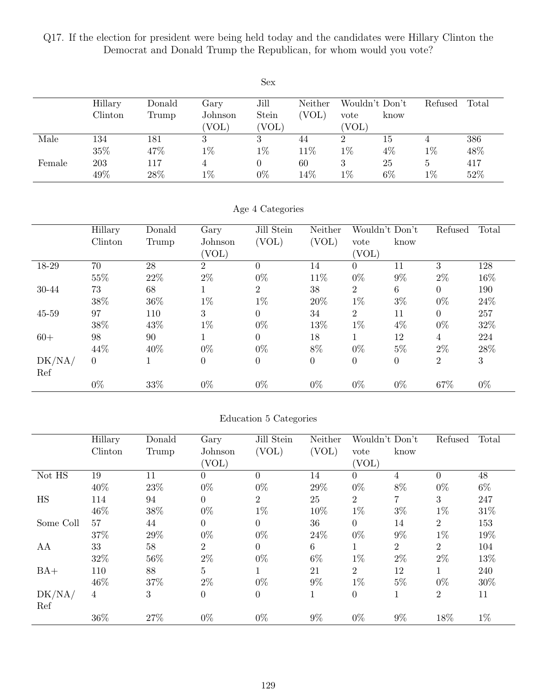Q17. If the election for president were being held today and the candidates were Hillary Clinton the Democrat and Donald Trump the Republican, for whom would you vote?

|        |         |        |         | Sex      |         |          |                |         |       |
|--------|---------|--------|---------|----------|---------|----------|----------------|---------|-------|
|        | Hillary | Donald | Gary    | Jill     | Neither |          | Wouldn't Don't | Refused | Total |
|        | Clinton | Trump  | Johnson | Stein    | 'VOL)   | vote     | know           |         |       |
|        |         |        | (VOL)   | (VOL)    |         | (VOL)    |                |         |       |
| Male   | 134     | 181    | 3       | 3        | 44      | $\Omega$ | 15             | 4       | 386   |
|        | 35%     | 47%    | $1\%$   | $1\%$    | 11%     | $1\%$    | $4\%$          | $1\%$   | 48%   |
| Female | 203     | 117    |         | $\theta$ | 60      | 3        | 25             | 5       | 417   |
|        | 49%     | 28%    | $1\%$   | $0\%$    | 14\%    | $1\%$    | $6\%$          | $1\%$   | 52%   |

#### Age 4 Categories

|           | Hillary  | Donald | Gary             | Jill Stein     | Neither        | Wouldn't Don't   |                  | Refused        | Total |
|-----------|----------|--------|------------------|----------------|----------------|------------------|------------------|----------------|-------|
|           | Clinton  | Trump  | Johnson          | (VOL)          | (VOL)          | vote             | know             |                |       |
|           |          |        | (VOL)            |                |                | 'VOL)            |                  |                |       |
| 18-29     | 70       | 28     | $\overline{2}$   | $\Omega$       | 14             | $\theta$         | 11               | 3              | 128   |
|           | 55%      | 22%    | $2\%$            | $0\%$          | 11\%           | $0\%$            | $9\%$            | $2\%$          | 16%   |
| 30-44     | 73       | 68     |                  | $\overline{2}$ | 38             | $\overline{2}$   | $\,6\,$          | $\Omega$       | 190   |
|           | 38%      | 36%    | $1\%$            | $1\%$          | 20%            | $1\%$            | $3\%$            | $0\%$          | 24\%  |
| $45 - 59$ | 97       | 110    | 3                | $\theta$       | 34             | $\overline{2}$   | 11               | $\Omega$       | 257   |
|           | 38\%     | 43%    | $1\%$            | $0\%$          | 13%            | $1\%$            | $4\%$            | $0\%$          | 32%   |
| $60+$     | 98       | 90     |                  | $\Omega$       | 18             |                  | 12               | 4              | 224   |
|           | 44%      | 40%    | $0\%$            | $0\%$          | 8%             | $0\%$            | $5\%$            | $2\%$          | 28\%  |
| DK/NA/    | $\theta$ |        | $\boldsymbol{0}$ | $\overline{0}$ | $\overline{0}$ | $\boldsymbol{0}$ | $\boldsymbol{0}$ | $\overline{2}$ | 3     |
| Ref       |          |        |                  |                |                |                  |                  |                |       |
|           | $0\%$    | 33%    | $0\%$            | $0\%$          | $0\%$          | $0\%$            | $0\%$            | 67%            | $0\%$ |

#### Education 5 Categories

|           | Hillary        | Donald | Gary             | Jill Stein     | Neither | Wouldn't Don't |                | Refused        | Total |
|-----------|----------------|--------|------------------|----------------|---------|----------------|----------------|----------------|-------|
|           | Clinton        | Trump  | Johnson          | (VOL)          | (VOL)   | vote           | know           |                |       |
|           |                |        | (VOL)            |                |         | (VOL)          |                |                |       |
| Not HS    | 19             | 11     | $\overline{0}$   | $\Omega$       | 14      | $\theta$       | 4              | $\Omega$       | 48    |
|           | 40%            | 23\%   | $0\%$            | $0\%$          | 29%     | $0\%$          | 8%             | $0\%$          | $6\%$ |
| <b>HS</b> | 114            | 94     | 0                | $\overline{2}$ | 25      | $\overline{2}$ | 7              | 3              | 247   |
|           | 46%            | 38%    | $0\%$            | $1\%$          | 10%     | $1\%$          | $3\%$          | $1\%$          | 31\%  |
| Some Coll | 57             | 44     | $\overline{0}$   | $\Omega$       | 36      | $\Omega$       | 14             | $\overline{2}$ | 153   |
|           | 37%            | 29%    | $0\%$            | $0\%$          | 24\%    | $0\%$          | $9\%$          | $1\%$          | 19%   |
| AA        | 33             | 58     | $\overline{2}$   | $\theta$       | 6       | 1              | $\overline{2}$ | $\overline{2}$ | 104   |
|           | 32%            | 56%    | $2\%$            | $0\%$          | $6\%$   | $1\%$          | $2\%$          | $2\%$          | 13%   |
| $BA+$     | 110            | 88     | 5                |                | 21      | $\overline{2}$ | 12             |                | 240   |
|           | 46%            | 37%    | $2\%$            | $0\%$          | $9\%$   | $1\%$          | $5\%$          | $0\%$          | 30%   |
| DK/NA/    | $\overline{4}$ | 3      | $\boldsymbol{0}$ | $\overline{0}$ | 1       | $\overline{0}$ | 1              | $\overline{2}$ | 11    |
| Ref       |                |        |                  |                |         |                |                |                |       |
|           | 36%            | 27%    | $0\%$            | $0\%$          | $9\%$   | $0\%$          | $9\%$          | 18%            | $1\%$ |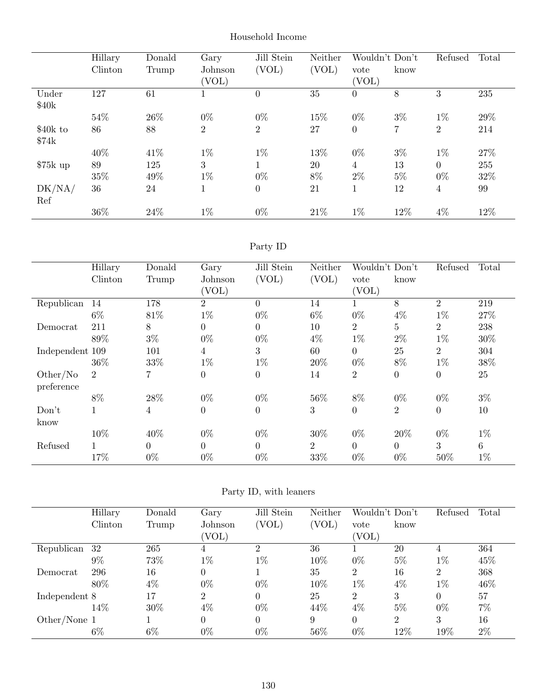|           | Hillary | Donald | Gary           | Jill Stein     | Neither | Wouldn't Don't   |       | Refused        | Total |
|-----------|---------|--------|----------------|----------------|---------|------------------|-------|----------------|-------|
|           | Clinton | Trump  | Johnson        | (VOL)          | (VOL)   | vote             | know  |                |       |
|           |         |        | (VOL)          |                |         | (VOL)            |       |                |       |
| Under     | 127     | 61     |                | $\overline{0}$ | 35      | $\overline{0}$   | 8     | 3              | 235   |
| \$40k     |         |        |                |                |         |                  |       |                |       |
|           | 54%     | 26\%   | $0\%$          | $0\%$          | 15%     | $0\%$            | $3\%$ | $1\%$          | 29%   |
| $$40k$ to | 86      | 88     | $\overline{2}$ | $\overline{2}$ | 27      | $\boldsymbol{0}$ | 7     | $\overline{2}$ | 214   |
| \$74k     |         |        |                |                |         |                  |       |                |       |
|           | 40%     | 41\%   | $1\%$          | $1\%$          | 13%     | $0\%$            | $3\%$ | $1\%$          | 27%   |
| $$75k$ up | 89      | 125    | 3              |                | 20      | 4                | 13    | $\overline{0}$ | 255   |
|           | 35%     | 49%    | $1\%$          | $0\%$          | 8%      | $2\%$            | $5\%$ | $0\%$          | 32%   |
| DK/NA/    | 36      | 24     | $\mathbf{I}$   | $\overline{0}$ | 21      | $\mathbf{I}$     | 12    | 4              | 99    |
| Ref       |         |        |                |                |         |                  |       |                |       |
|           | 36%     | 24%    | $1\%$          | $0\%$          | 21\%    | $1\%$            | 12%   | $4\%$          | 12%   |

#### Household Income

## Party ID

|                 | Hillary        | Donald   | Gary           | Jill Stein<br>Wouldn't Don't<br>Neither |                |                | Refused        | Total          |                 |
|-----------------|----------------|----------|----------------|-----------------------------------------|----------------|----------------|----------------|----------------|-----------------|
|                 | Clinton        | Trump    | Johnson        | (VOL)                                   | (VOL)          | vote           | know           |                |                 |
|                 |                |          | (VOL)          |                                         |                | (VOL)          |                |                |                 |
| Republican      | 14             | 178      | $\overline{2}$ | $\Omega$                                | 14             | T.             | 8              | $\overline{2}$ | 219             |
|                 | $6\%$          | 81\%     | $1\%$          | $0\%$                                   | $6\%$          | $0\%$          | $4\%$          | $1\%$          | 27\%            |
| Democrat        | 211            | 8        | $\overline{0}$ | $\Omega$                                | 10             | $\overline{2}$ | $5\,$          | $\overline{2}$ | 238             |
|                 | 89%            | $3\%$    | $0\%$          | $0\%$                                   | $4\%$          | $1\%$          | $2\%$          | $1\%$          | 30%             |
| Independent 109 |                | 101      | $\overline{4}$ | 3                                       | 60             | $\overline{0}$ | 25             | $\overline{2}$ | 304             |
|                 | 36%            | 33%      | $1\%$          | $1\%$                                   | 20%            | $0\%$          | 8%             | $1\%$          | 38%             |
| Other/No        | $\overline{2}$ | 7        | $\overline{0}$ | $\Omega$                                | 14             | $\overline{2}$ | $\theta$       | $\Omega$       | $25\,$          |
| preference      |                |          |                |                                         |                |                |                |                |                 |
|                 | 8%             | 28%      | $0\%$          | $0\%$                                   | 56%            | 8%             | $0\%$          | $0\%$          | $3\%$           |
| Don't           | $\mathbf{1}$   | 4        | $\overline{0}$ | $\overline{0}$                          | 3              | $\overline{0}$ | $\overline{2}$ | $\overline{0}$ | 10              |
| know            |                |          |                |                                         |                |                |                |                |                 |
|                 | 10%            | 40%      | $0\%$          | $0\%$                                   | 30%            | $0\%$          | 20%            | $0\%$          | $1\%$           |
| Refused         | $\mathbf{1}$   | $\Omega$ | $\overline{0}$ | $\Omega$                                | $\overline{2}$ | $\Omega$       | $\Omega$       | 3              | $6\phantom{.}6$ |
|                 | 17%            | $0\%$    | $0\%$          | $0\%$                                   | 33%            | $0\%$          | $0\%$          | 50%            | $1\%$           |

## Party ID, with leaners

|               | Hillary | Donald | Gary           | Jill Stein | Neither | Wouldn't Don't |                | Refused  | Total |
|---------------|---------|--------|----------------|------------|---------|----------------|----------------|----------|-------|
|               | Clinton | Trump  | Johnson        | (VOL)      | (VOL)   | vote           | know           |          |       |
|               |         |        | 'VOL)          |            |         | 'VOL)          |                |          |       |
| Republican    | 32      | 265    | 4              | $\Omega$   | 36      |                | 20             | 4        | 364   |
|               | $9\%$   | 73%    | $1\%$          | $1\%$      | 10%     | $0\%$          | $5\%$          | $1\%$    | 45%   |
| Democrat      | 296     | 16     | $\overline{0}$ |            | 35      | $\overline{2}$ | 16             | 2        | 368   |
|               | 80%     | 4%     | $0\%$          | $0\%$      | 10%     | $1\%$          | $4\%$          | $1\%$    | 46%   |
| Independent 8 |         | 17     | $\overline{2}$ |            | 25      | $\overline{2}$ | 3              | $\Omega$ | 57    |
|               | $14\%$  | 30%    | 4%             | $0\%$      | 44%     | $4\%$          | $5\%$          | $0\%$    | $7\%$ |
| Other/None 1  |         |        | 0              |            | 9       | 0              | $\overline{2}$ | 3        | 16    |
|               | $6\%$   | 6%     | $0\%$          | $0\%$      | 56%     | $0\%$          | 12%            | 19%      | $2\%$ |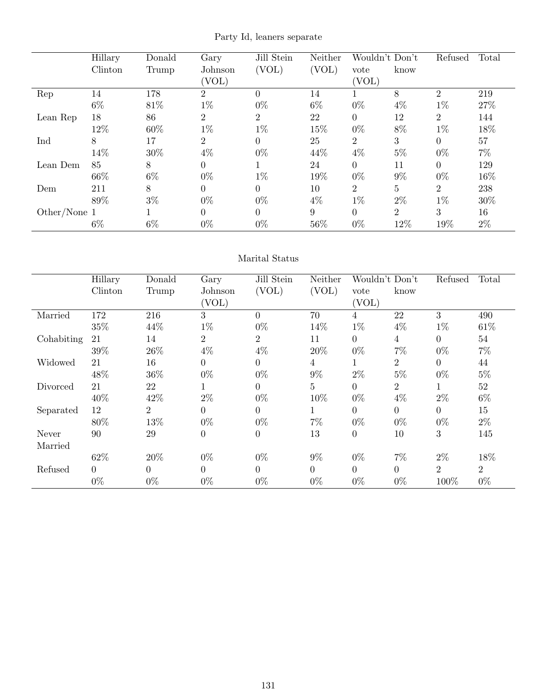Party Id, leaners separate

|              | Hillary | Donald | Gary           | Jill Stein     | Neither | Wouldn't Don't |                | Refused        | Total |
|--------------|---------|--------|----------------|----------------|---------|----------------|----------------|----------------|-------|
|              | Clinton | Trump  | Johnson        | (VOL)          | (VOL)   | vote           | know           |                |       |
|              |         |        | (VOL)          |                |         | (VOL)          |                |                |       |
| Rep          | 14      | 178    | $\overline{2}$ | $\Omega$       | 14      |                | 8              | $\overline{2}$ | 219   |
|              | $6\%$   | 81\%   | $1\%$          | $0\%$          | $6\%$   | $0\%$          | $4\%$          | $1\%$          | 27%   |
| Lean Rep     | 18      | 86     | 2              | $\overline{2}$ | 22      | $\overline{0}$ | 12             | $\overline{2}$ | 144   |
|              | 12%     | 60%    | $1\%$          | $1\%$          | 15%     | $0\%$          | 8%             | $1\%$          | 18%   |
| Ind          | 8       | 17     | $\overline{2}$ | $\Omega$       | 25      | $\overline{2}$ | 3              | $\Omega$       | 57    |
|              | 14%     | $30\%$ | $4\%$          | $0\%$          | 44%     | $4\%$          | $5\%$          | $0\%$          | $7\%$ |
| Lean Dem     | 85      | 8      | $\overline{0}$ |                | 24      | $\overline{0}$ | 11             | $\Omega$       | 129   |
|              | 66%     | $6\%$  | $0\%$          | $1\%$          | 19%     | $0\%$          | $9\%$          | $0\%$          | 16%   |
| Dem          | 211     | 8      | $\overline{0}$ | $\theta$       | 10      | $\overline{2}$ | $\overline{5}$ | $\overline{2}$ | 238   |
|              | 89%     | $3\%$  | $0\%$          | $0\%$          | $4\%$   | $1\%$          | $2\%$          | $1\%$          | 30%   |
| Other/None 1 |         |        | $\theta$       | $\Omega$       | 9       | $\overline{0}$ | 2              | 3              | 16    |
|              | $6\%$   | $6\%$  | $0\%$          | $0\%$          | 56%     | $0\%$          | 12%            | 19%            | $2\%$ |

#### Marital Status

|            | Hillary  | Donald         | Gary             | Jill Stein     | Neither        | Wouldn't Don't |                | Refused        | Total          |
|------------|----------|----------------|------------------|----------------|----------------|----------------|----------------|----------------|----------------|
|            | Clinton  | Trump          | Johnson          | (VOL)          | (VOL)          | vote           | know           |                |                |
|            |          |                | (VOL)            |                |                | (VOL)          |                |                |                |
| Married    | 172      | 216            | 3                | $\Omega$       | 70             | $\overline{4}$ | 22             | 3              | 490            |
|            | 35%      | 44\%           | $1\%$            | $0\%$          | 14%            | $1\%$          | $4\%$          | $1\%$          | 61\%           |
| Cohabiting | 21       | 14             | $\overline{2}$   | $\overline{2}$ | 11             | $\theta$       | $\overline{4}$ | $\Omega$       | 54             |
|            | 39%      | 26%            | $4\%$            | $4\%$          | 20%            | $0\%$          | $7\%$          | $0\%$          | $7\%$          |
| Widowed    | 21       | 16             | $\theta$         | $\Omega$       | $\overline{4}$ | $\mathbf 1$    | $\overline{2}$ | $\Omega$       | 44             |
|            | 48%      | 36%            | $0\%$            | $0\%$          | $9\%$          | $2\%$          | $5\%$          | $0\%$          | $5\%$          |
| Divorced   | 21       | 22             | $\mathbf{1}$     | $\Omega$       | $\overline{5}$ | $\Omega$       | $\overline{2}$ | $\mathbf 1$    | $52\,$         |
|            | 40%      | 42\%           | $2\%$            | $0\%$          | 10%            | $0\%$          | $4\%$          | $2\%$          | $6\%$          |
| Separated  | 12       | $\overline{2}$ | $\overline{0}$   | 0              | 1              | $\overline{0}$ | $\theta$       | $\Omega$       | 15             |
|            | 80%      | 13%            | $0\%$            | $0\%$          | $7\%$          | $0\%$          | $0\%$          | $0\%$          | $2\%$          |
| Never      | 90       | 29             | $\boldsymbol{0}$ | $\overline{0}$ | 13             | $\overline{0}$ | 10             | 3              | 145            |
| Married    |          |                |                  |                |                |                |                |                |                |
|            | 62%      | 20%            | $0\%$            | $0\%$          | $9\%$          | $0\%$          | $7\%$          | $2\%$          | 18%            |
| Refused    | $\Omega$ | $\Omega$       | $\theta$         | $\Omega$       | $\Omega$       | $\theta$       | $\overline{0}$ | $\overline{2}$ | $\overline{2}$ |
|            | $0\%$    | $0\%$          | $0\%$            | $0\%$          | $0\%$          | $0\%$          | $0\%$          | 100%           | $0\%$          |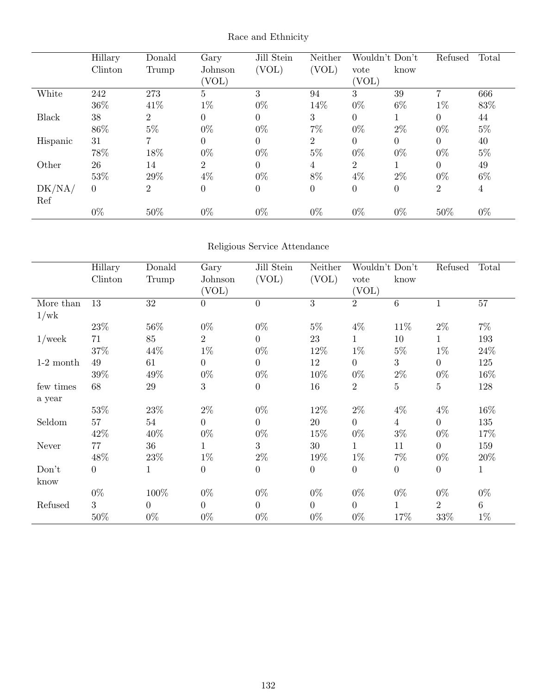|          | Hillary        | Donald         | Gary           | Jill Stein     | Neither        |                  | Wouldn't Don't | Refused | Total          |
|----------|----------------|----------------|----------------|----------------|----------------|------------------|----------------|---------|----------------|
|          | Clinton        | Trump          | Johnson        | (VOL)          | (VOL)          | vote             | know           |         |                |
|          |                |                | (VOL)          |                |                | (VOL)            |                |         |                |
| White    | 242            | 273            | 5              | 3              | 94             | 3                | 39             | 7       | 666            |
|          | 36\%           | 41\%           | $1\%$          | $0\%$          | 14%            | $0\%$            | $6\%$          | $1\%$   | 83%            |
| Black    | 38             | $\overline{2}$ | 0              | $\Omega$       | 3              | $\theta$         |                | 0       | 44             |
|          | 86%            | $5\%$          | $0\%$          | $0\%$          | $7\%$          | $0\%$            | $2\%$          | $0\%$   | $5\%$          |
| Hispanic | 31             | 7              | $\overline{0}$ | $\Omega$       | $\overline{2}$ | $\theta$         | $\overline{0}$ | 0       | 40             |
|          | 78%            | 18%            | $0\%$          | $0\%$          | $5\%$          | $0\%$            | $0\%$          | $0\%$   | $5\%$          |
| Other    | 26             | 14             | 2              | $\overline{0}$ | 4              | $\overline{2}$   |                | 0       | 49             |
|          | 53%            | 29%            | $4\%$          | $0\%$          | 8%             | $4\%$            | $2\%$          | $0\%$   | $6\%$          |
| DK/NA/   | $\overline{0}$ | $\overline{2}$ | $\overline{0}$ | 0              | $\theta$       | $\boldsymbol{0}$ | $\overline{0}$ | 2       | $\overline{4}$ |
| Ref      |                |                |                |                |                |                  |                |         |                |
|          | $0\%$          | 50%            | $0\%$          | $0\%$          | $0\%$          | $0\%$            | $0\%$          | 50%     | $0\%$          |

## Race and Ethnicity

## Religious Service Attendance

|             | Hillary          | Donald         | Gary             | Jill Stein     | Neither          |                | Wouldn't Don't   | Refused          | Total        |
|-------------|------------------|----------------|------------------|----------------|------------------|----------------|------------------|------------------|--------------|
|             | Clinton          | Trump          | Johnson          | (VOL)          | (VOL)            | vote           | know             |                  |              |
|             |                  |                | (VOL)            |                |                  | (VOL)          |                  |                  |              |
| More than   | 13               | 32             | $\boldsymbol{0}$ | $\overline{0}$ | $\overline{3}$   | $\overline{2}$ | $\,6\,$          | $\mathbf{1}$     | 57           |
| 1/wk        |                  |                |                  |                |                  |                |                  |                  |              |
|             | 23\%             | 56%            | $0\%$            | $0\%$          | $5\%$            | $4\%$          | 11\%             | $2\%$            | $7\%$        |
| $1$ /week   | 71               | 85             | $\overline{2}$   | $\theta$       | 23               | 1              | 10               | $\mathbf 1$      | 193          |
|             | $37\%$           | 44\%           | $1\%$            | $0\%$          | 12\%             | $1\%$          | $5\%$            | $1\%$            | $24\%$       |
| $1-2$ month | 49               | 61             | $\overline{0}$   | $\Omega$       | 12               | $\overline{0}$ | 3                | $\overline{0}$   | 125          |
|             | 39%              | 49%            | $0\%$            | $0\%$          | 10%              | $0\%$          | $2\%$            | $0\%$            | 16\%         |
| few times   | 68               | 29             | 3                | $\Omega$       | 16               | $\overline{2}$ | $\overline{5}$   | 5                | 128          |
| a year      |                  |                |                  |                |                  |                |                  |                  |              |
|             | 53%              | 23\%           | $2\%$            | $0\%$          | 12%              | $2\%$          | $4\%$            | $4\%$            | 16\%         |
| Seldom      | 57               | 54             | $\overline{0}$   | $\overline{0}$ | 20               | $\overline{0}$ | $\overline{4}$   | $\overline{0}$   | 135          |
|             | 42\%             | 40\%           | $0\%$            | $0\%$          | 15%              | $0\%$          | $3\%$            | $0\%$            | 17%          |
| Never       | 77               | 36             | 1                | 3              | 30               | 1              | 11               | $\overline{0}$   | 159          |
|             | 48\%             | $23\%$         | $1\%$            | $2\%$          | 19%              | $1\%$          | $7\%$            | $0\%$            | 20%          |
| Don't       | $\boldsymbol{0}$ | 1              | $\boldsymbol{0}$ | $\overline{0}$ | $\boldsymbol{0}$ | $\overline{0}$ | $\boldsymbol{0}$ | $\boldsymbol{0}$ | $\mathbf{1}$ |
| know        |                  |                |                  |                |                  |                |                  |                  |              |
|             | $0\%$            | 100%           | $0\%$            | $0\%$          | $0\%$            | $0\%$          | $0\%$            | $0\%$            | $0\%$        |
| Refused     | 3                | $\overline{0}$ | $\overline{0}$   | $\overline{0}$ | $\overline{0}$   | $\overline{0}$ | 1                | $\overline{2}$   | 6            |
|             | $50\%$           | $0\%$          | $0\%$            | $0\%$          | $0\%$            | $0\%$          | 17%              | 33\%             | $1\%$        |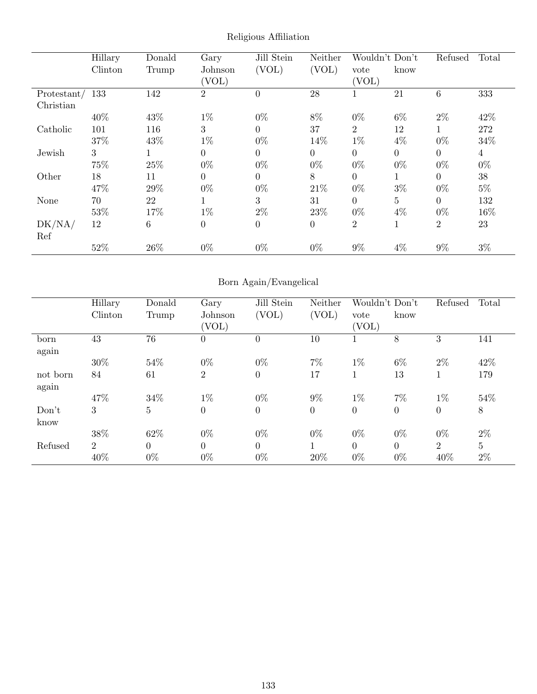|             | Hillary | Donald          | Gary             | Jill Stein | Neither        | Wouldn't Don't |                  | Refused        | Total          |
|-------------|---------|-----------------|------------------|------------|----------------|----------------|------------------|----------------|----------------|
|             | Clinton | Trump           | Johnson          | (VOL)      | (VOL)          | vote           | know             |                |                |
|             |         |                 | (VOL)            |            |                | (VOL)          |                  |                |                |
| Protestant/ | 133     | 142             | $\overline{2}$   | $\theta$   | 28             |                | 21               | 6              | 333            |
| Christian   |         |                 |                  |            |                |                |                  |                |                |
|             | 40%     | 43%             | $1\%$            | $0\%$      | 8%             | $0\%$          | $6\%$            | $2\%$          | 42%            |
| Catholic    | 101     | 116             | 3                | $\Omega$   | 37             | $\overline{2}$ | 12               |                | 272            |
|             | 37%     | 43%             | $1\%$            | $0\%$      | 14%            | $1\%$          | $4\%$            | $0\%$          | $34\%$         |
| Jewish      | 3       |                 | $\boldsymbol{0}$ | $\Omega$   | $\Omega$       | $\overline{0}$ | $\boldsymbol{0}$ | $\overline{0}$ | $\overline{4}$ |
|             | 75%     | 25%             | $0\%$            | $0\%$      | $0\%$          | $0\%$          | $0\%$            | $0\%$          | $0\%$          |
| Other       | 18      | 11              | $\theta$         | $\Omega$   | 8              | $\overline{0}$ | 1                | $\Omega$       | 38             |
|             | 47%     | 29%             | $0\%$            | $0\%$      | 21\%           | $0\%$          | $3\%$            | $0\%$          | $5\%$          |
| None        | 70      | 22              |                  | 3          | 31             | $\Omega$       | 5                | $\Omega$       | 132            |
|             | 53%     | 17%             | $1\%$            | $2\%$      | 23\%           | $0\%$          | $4\%$            | $0\%$          | 16%            |
| DK/NA/      | 12      | $6\phantom{.}6$ | $\boldsymbol{0}$ | $\theta$   | $\overline{0}$ | $\overline{2}$ | 1                | 2              | 23             |
| Ref         |         |                 |                  |            |                |                |                  |                |                |
|             | 52%     | 26%             | $0\%$            | $0\%$      | $0\%$          | $9\%$          | $4\%$            | $9\%$          | $3\%$          |

Religious Affiliation

## Born Again/Evangelical

|          | Hillary        | Donald         | Gary           | Jill Stein     | Neither        |                | Wouldn't Don't |                | Total |
|----------|----------------|----------------|----------------|----------------|----------------|----------------|----------------|----------------|-------|
|          | Clinton        | Trump          | Johnson        | (VOL)          | (VOL)          | vote           | know           |                |       |
|          |                |                | (VOL)          |                |                | (VOL)          |                |                |       |
| born     | 43             | 76             | $\overline{0}$ | 0              | 10             |                | 8              | 3              | 141   |
| again    |                |                |                |                |                |                |                |                |       |
|          | 30%            | 54%            | $0\%$          | $0\%$          | $7\%$          | $1\%$          | $6\%$          | $2\%$          | 42\%  |
| not born | 84             | 61             | $\overline{2}$ | $\Omega$       | 17             | 1              | 13             |                | 179   |
| again    |                |                |                |                |                |                |                |                |       |
|          | 47%            | 34%            | $1\%$          | $0\%$          | $9\%$          | $1\%$          | 7%             | $1\%$          | 54\%  |
| Don't    | 3              | $\overline{5}$ | $\overline{0}$ | $\overline{0}$ | $\overline{0}$ | $\overline{0}$ | $\overline{0}$ | $\theta$       | 8     |
| know     |                |                |                |                |                |                |                |                |       |
|          | 38%            | 62%            | $0\%$          | $0\%$          | $0\%$          | $0\%$          | $0\%$          | $0\%$          | $2\%$ |
| Refused  | $\overline{2}$ | $\Omega$       | $\overline{0}$ | $\theta$       | 1              | $\theta$       | $\overline{0}$ | $\overline{2}$ | 5     |
|          | 40%            | $0\%$          | $0\%$          | $0\%$          | 20%            | $0\%$          | $0\%$          | 40%            | $2\%$ |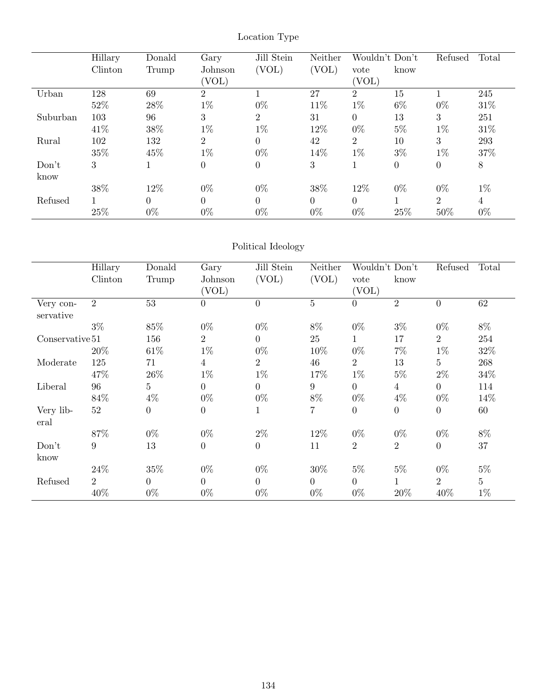|          | Hillary | Donald | Gary           | Jill Stein     | Neither        | Wouldn't Don't |                | Refused  | Total |
|----------|---------|--------|----------------|----------------|----------------|----------------|----------------|----------|-------|
|          | Clinton | Trump  | Johnson        | (VOL)          | (VOL)          | vote           | know           |          |       |
|          |         |        | (VOL)          |                |                | (VOL)          |                |          |       |
| Urban    | 128     | 69     | $\overline{2}$ |                | 27             | 2              | 15             |          | 245   |
|          | 52%     | 28%    | $1\%$          | $0\%$          | 11%            | $1\%$          | $6\%$          | $0\%$    | 31\%  |
| Suburban | 103     | 96     | 3              | 2              | 31             | $\overline{0}$ | 13             | 3        | 251   |
|          | 41\%    | 38%    | $1\%$          | $1\%$          | 12%            | $0\%$          | $5\%$          | $1\%$    | 31\%  |
| Rural    | 102     | 132    | $\overline{2}$ | $\Omega$       | 42             | $\overline{2}$ | 10             | 3        | 293   |
|          | 35%     | 45%    | $1\%$          | $0\%$          | 14%            | $1\%$          | $3\%$          | $1\%$    | 37%   |
| Don't    | 3       |        | $\overline{0}$ | $\overline{0}$ | 3              | 1              | $\overline{0}$ | $\theta$ | $8\,$ |
| know     |         |        |                |                |                |                |                |          |       |
|          | 38%     | 12%    | $0\%$          | $0\%$          | 38%            | 12%            | $0\%$          | $0\%$    | $1\%$ |
| Refused  |         | 0      | $\Omega$       | $\Omega$       | $\overline{0}$ | $\overline{0}$ |                | 2        | 4     |
|          | 25%     | $0\%$  | $0\%$          | $0\%$          | $0\%$          | $0\%$          | 25%            | 50%      | $0\%$ |

## Location Type

## Political Ideology

|                   | Hillary        | Donald           | Jill Stein<br>Gary |                | Neither<br>Wouldn't Don't |                |                  | Refused         | Total          |
|-------------------|----------------|------------------|--------------------|----------------|---------------------------|----------------|------------------|-----------------|----------------|
|                   | Clinton        | Trump            | Johnson            | (VOL)          | (VOL)                     | vote           | know             |                 |                |
|                   |                |                  | (VOL)              |                |                           | (VOL)          |                  |                 |                |
| Very con-         | $\overline{2}$ | 53               | $\overline{0}$     | $\theta$       | 5                         | $\overline{0}$ | $\overline{2}$   | $\overline{0}$  | 62             |
| servative         |                |                  |                    |                |                           |                |                  |                 |                |
|                   | $3\%$          | 85%              | $0\%$              | $0\%$          | 8%                        | $0\%$          | $3\%$            | $0\%$           | $8\%$          |
| Conservative 51   |                | 156              | $\overline{2}$     | $\Omega$       | 25                        | $\mathbf{1}$   | 17               | $\overline{2}$  | 254            |
|                   | 20%            | 61\%             | $1\%$              | $0\%$          | 10%                       | $0\%$          | $7\%$            | $1\%$           | 32\%           |
| Moderate          | 125            | 71               | $\overline{4}$     | $\overline{2}$ | 46                        | $\overline{2}$ | 13               | $5\overline{)}$ | 268            |
|                   | 47\%           | $26\%$           | $1\%$              | $1\%$          | 17%                       | $1\%$          | $5\%$            | $2\%$           | $34\%$         |
| Liberal           | 96             | 5                | $\boldsymbol{0}$   | $\overline{0}$ | 9                         | $\overline{0}$ | $\overline{4}$   | $\overline{0}$  | 114            |
|                   | 84%            | $4\%$            | $0\%$              | $0\%$          | $8\%$                     | $0\%$          | $4\%$            | $0\%$           | 14%            |
| Very lib-<br>eral | 52             | $\boldsymbol{0}$ | $\boldsymbol{0}$   |                | 7                         | $\overline{0}$ | $\boldsymbol{0}$ | $\theta$        | 60             |
|                   | 87%            | $0\%$            | $0\%$              | $2\%$          | 12%                       | $0\%$          | $0\%$            | $0\%$           | $8\%$          |
| Don't             | 9              | 13               | $\boldsymbol{0}$   | $\theta$       | 11                        | $\overline{2}$ | $\overline{2}$   | $\theta$        | 37             |
| know              |                |                  |                    |                |                           |                |                  |                 |                |
|                   | 24\%           | 35%              | $0\%$              | $0\%$          | 30%                       | $5\%$          | $5\%$            | $0\%$           | $5\%$          |
| Refused           | $\overline{2}$ | $\overline{0}$   | $\overline{0}$     | $\Omega$       | $\theta$                  | $\overline{0}$ | $\mathbf 1$      | 2               | 5 <sup>5</sup> |
|                   | 40%            | $0\%$            | $0\%$              | $0\%$          | $0\%$                     | $0\%$          | 20%              | 40\%            | $1\%$          |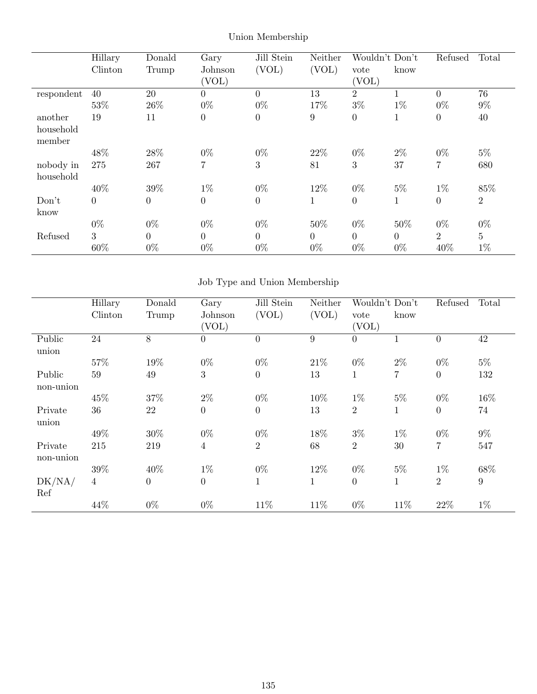|            | Hillary  | Donald         | Gary             | Jill Stein     | Neither        | Wouldn't Don't |                | Refused        | Total          |
|------------|----------|----------------|------------------|----------------|----------------|----------------|----------------|----------------|----------------|
|            | Clinton  | Trump          | Johnson          | (VOL)          | (VOL)          | vote           | know           |                |                |
|            |          |                | (VOL)            |                |                | (VOL)          |                |                |                |
| respondent | 40       | 20             | $\overline{0}$   | $\theta$       | 13             | $\overline{2}$ | 1              | $\theta$       | 76             |
|            | 53%      | 26\%           | $0\%$            | $0\%$          | 17%            | $3\%$          | $1\%$          | $0\%$          | $9\%$          |
| another    | 19       | 11             | $\boldsymbol{0}$ | $\overline{0}$ | 9              | $\overline{0}$ | 1              | $\theta$       | 40             |
| household  |          |                |                  |                |                |                |                |                |                |
| member     |          |                |                  |                |                |                |                |                |                |
|            | 48%      | 28\%           | $0\%$            | $0\%$          | 22\%           | $0\%$          | $2\%$          | $0\%$          | $5\%$          |
| nobody in  | 275      | 267            | $\overline{7}$   | 3              | 81             | 3              | 37             | $\overline{7}$ | 680            |
| household  |          |                |                  |                |                |                |                |                |                |
|            | 40%      | 39%            | $1\%$            | $0\%$          | 12%            | $0\%$          | $5\%$          | $1\%$          | 85%            |
| Don't      | $\theta$ | $\overline{0}$ | $\overline{0}$   | $\overline{0}$ | 1              | $\overline{0}$ | 1              | $\theta$       | $\overline{2}$ |
| know       |          |                |                  |                |                |                |                |                |                |
|            | $0\%$    | $0\%$          | $0\%$            | $0\%$          | 50%            | $0\%$          | 50%            | $0\%$          | $0\%$          |
| Refused    | 3        | $\overline{0}$ | $\overline{0}$   | $\theta$       | $\overline{0}$ | $\overline{0}$ | $\overline{0}$ | $\overline{2}$ | $\overline{5}$ |
|            | 60%      | $0\%$          | $0\%$            | $0\%$          | $0\%$          | $0\%$          | $0\%$          | 40%            | $1\%$          |

Union Membership

# Job Type and Union Membership

|           | Hillary        | Donald         | Gary             | Jill Stein<br>Neither<br>Wouldn't Don't |             |                | Refused        | Total            |        |
|-----------|----------------|----------------|------------------|-----------------------------------------|-------------|----------------|----------------|------------------|--------|
|           | Clinton        | Trump          | Johnson          | (VOL)                                   | (VOL)       | vote           | know           |                  |        |
|           |                |                | (VOL)            |                                         |             | (VOL)          |                |                  |        |
| Public    | 24             | 8              | $\overline{0}$   | $\Omega$                                | 9           | $\overline{0}$ |                | $\overline{0}$   | 42     |
| union     |                |                |                  |                                         |             |                |                |                  |        |
|           | $57\%$         | 19%            | $0\%$            | $0\%$                                   | 21\%        | $0\%$          | $2\%$          | $0\%$            | $5\%$  |
| Public    | 59             | 49             | 3                | $\theta$                                | 13          | $\mathbf{1}$   | $\overline{7}$ | $\boldsymbol{0}$ | 132    |
| non-union |                |                |                  |                                         |             |                |                |                  |        |
|           | 45%            | 37%            | $2\%$            | $0\%$                                   | 10%         | $1\%$          | $5\%$          | $0\%$            | 16%    |
| Private   | 36             | 22             | $\boldsymbol{0}$ | $\theta$                                | 13          | $\overline{2}$ | $\mathbf{1}$   | $\boldsymbol{0}$ | 74     |
| union     |                |                |                  |                                         |             |                |                |                  |        |
|           | 49%            | 30%            | $0\%$            | $0\%$                                   | 18%         | $3\%$          | $1\%$          | $0\%$            | $9\%$  |
| Private   | 215            | 219            | $\overline{4}$   | $\overline{2}$                          | 68          | $\overline{2}$ | 30             | $\overline{7}$   | 547    |
| non-union |                |                |                  |                                         |             |                |                |                  |        |
|           | 39%            | 40%            | $1\%$            | $0\%$                                   | 12%         | $0\%$          | $5\%$          | $1\%$            | $68\%$ |
| DK/NA/    | $\overline{4}$ | $\overline{0}$ | $\boldsymbol{0}$ | $\mathbf{1}$                            | $\mathbf 1$ | $\overline{0}$ | $\mathbf{1}$   | $\overline{2}$   | 9      |
| Ref       |                |                |                  |                                         |             |                |                |                  |        |
|           | 44%            | $0\%$          | $0\%$            | 11\%                                    | 11\%        | $0\%$          | 11\%           | 22%              | $1\%$  |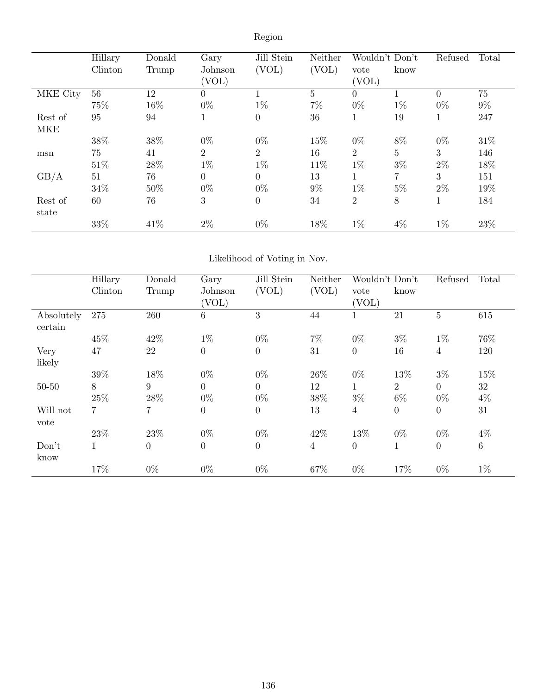| v<br>ſ |
|--------|
|        |
|        |

|            | Hillary | Donald | Gary           | Jill Stein     | Neither        | Wouldn't Don't |                | Refused  | Total |
|------------|---------|--------|----------------|----------------|----------------|----------------|----------------|----------|-------|
|            | Clinton | Trump  | Johnson        | (VOL)          | (VOL)          | vote           | know           |          |       |
|            |         |        | (VOL)          |                |                | (VOL)          |                |          |       |
| MKE City   | 56      | 12     | $\overline{0}$ |                | $\overline{5}$ | $\theta$       |                | $\Omega$ | 75    |
|            | 75%     | 16%    | $0\%$          | $1\%$          | $7\%$          | $0\%$          | $1\%$          | $0\%$    | $9\%$ |
| Rest of    | 95      | 94     | T              | $\overline{0}$ | 36             |                | 19             |          | 247   |
| <b>MKE</b> |         |        |                |                |                |                |                |          |       |
|            | 38\%    | 38%    | $0\%$          | $0\%$          | 15%            | $0\%$          | 8%             | $0\%$    | 31\%  |
| msn        | 75      | 41     | $\overline{2}$ | $\overline{2}$ | 16             | $\overline{2}$ | $\overline{5}$ | 3        | 146   |
|            | 51\%    | 28\%   | $1\%$          | $1\%$          | 11%            | $1\%$          | $3\%$          | $2\%$    | 18%   |
| GB/A       | 51      | 76     | $\theta$       | $\theta$       | 13             |                | 7              | 3        | 151   |
|            | 34%     | 50%    | $0\%$          | $0\%$          | $9\%$          | $1\%$          | $5\%$          | $2\%$    | 19%   |
| Rest of    | 60      | 76     | 3              | $\theta$       | 34             | $\overline{2}$ | 8              | 1        | 184   |
| state      |         |        |                |                |                |                |                |          |       |
|            | 33%     | 41\%   | $2\%$          | $0\%$          | 18%            | $1\%$          | $4\%$          | $1\%$    | 23\%  |

# Likelihood of Voting in Nov.

|            | Hillary      | Donald         | Gary             | Jill Stein     | Neither        | Wouldn't Don't |                | Refused        | Total           |
|------------|--------------|----------------|------------------|----------------|----------------|----------------|----------------|----------------|-----------------|
|            | Clinton      | Trump          | Johnson          | (VOL)          | (VOL)          | vote           | know           |                |                 |
|            |              |                | (VOL)            |                |                | (VOL)          |                |                |                 |
| Absolutely | 275          | 260            | $\,6\,$          | 3              | 44             |                | 21             | $\overline{5}$ | 615             |
| certain    |              |                |                  |                |                |                |                |                |                 |
|            | 45%          | 42\%           | $1\%$            | $0\%$          | $7\%$          | $0\%$          | $3\%$          | $1\%$          | 76%             |
| Very       | 47           | 22             | $\boldsymbol{0}$ | $\theta$       | 31             | $\theta$       | 16             | 4              | 120             |
| likely     |              |                |                  |                |                |                |                |                |                 |
|            | 39%          | 18%            | $0\%$            | $0\%$          | 26\%           | $0\%$          | 13%            | $3\%$          | 15%             |
| $50 - 50$  | 8            | 9              | $\overline{0}$   | $\Omega$       | 12             |                | $\overline{2}$ | $\Omega$       | 32              |
|            | 25%          | 28\%           | $0\%$            | $0\%$          | 38%            | $3\%$          | $6\%$          | $0\%$          | $4\%$           |
| Will not   | 7            | 7              | $\overline{0}$   | $\Omega$       | 13             | $\overline{4}$ | $\theta$       | $\Omega$       | 31              |
| vote       |              |                |                  |                |                |                |                |                |                 |
|            | 23%          | 23%            | $0\%$            | $0\%$          | 42%            | 13%            | $0\%$          | $0\%$          | $4\%$           |
| Don't      | $\mathbf{1}$ | $\overline{0}$ | $\boldsymbol{0}$ | $\overline{0}$ | $\overline{4}$ | $\overline{0}$ | 1              | $\overline{0}$ | $6\phantom{.}6$ |
| know       |              |                |                  |                |                |                |                |                |                 |
|            | 17%          | $0\%$          | $0\%$            | $0\%$          | 67%            | $0\%$          | 17%            | $0\%$          | $1\%$           |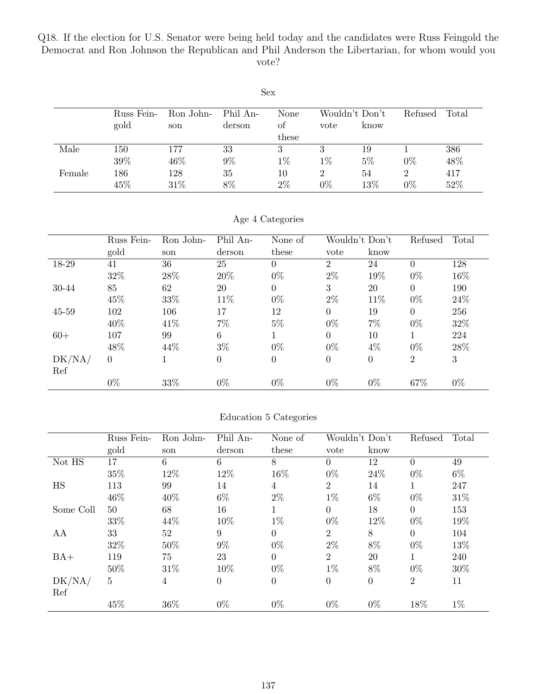Q18. If the election for U.S. Senator were being held today and the candidates were Russ Feingold the Democrat and Ron Johnson the Republican and Phil Anderson the Libertarian, for whom would you vote?

|        | Sex        |           |          |       |                |       |                |       |  |  |  |
|--------|------------|-----------|----------|-------|----------------|-------|----------------|-------|--|--|--|
|        | Russ Fein- | Ron John- | Phil An- | None  | Wouldn't Don't |       | Refused        | Total |  |  |  |
|        | gold       | son       | derson   | of    | vote           | know  |                |       |  |  |  |
|        |            |           |          | these |                |       |                |       |  |  |  |
| Male   | 150        | 177       | 33       | 3     | 3              | 19    |                | 386   |  |  |  |
|        | 39%        | $46\%$    | 9%       | $1\%$ | $1\%$          | $5\%$ | $0\%$          | 48%   |  |  |  |
| Female | 186        | 128       | 35       | 10    | 2              | 54    | $\overline{2}$ | 417   |  |  |  |
|        | 45\%       | 31\%      | 8%       | $2\%$ | $0\%$          | 13%   | $0\%$          | 52%   |  |  |  |

Age 4 Categories

|        | Russ Fein-     | Ron John- | Phil An- | None of          | Wouldn't Don't |                | Refused        | Total |
|--------|----------------|-----------|----------|------------------|----------------|----------------|----------------|-------|
|        | gold           | son       | derson   | these            | vote           | know           |                |       |
| 18-29  | 41             | 36        | 25       | $\overline{0}$   | $\overline{2}$ | 24             | $\overline{0}$ | 128   |
|        | 32%            | $28\%$    | 20%      | $0\%$            | $2\%$          | 19%            | $0\%$          | 16%   |
| 30-44  | 85             | 62        | 20       | $\boldsymbol{0}$ | 3              | 20             | $\Omega$       | 190   |
|        | 45%            | 33%       | 11%      | $0\%$            | $2\%$          | 11%            | $0\%$          | 24\%  |
| 45-59  | 102            | 106       | 17       | 12               | $\Omega$       | 19             | $\overline{0}$ | 256   |
|        | 40%            | 41\%      | 7%       | $5\%$            | $0\%$          | $7\%$          | $0\%$          | 32%   |
| $60+$  | 107            | 99        | 6        | 1                | $\Omega$       | 10             |                | 224   |
|        | 48%            | 44%       | $3\%$    | $0\%$            | $0\%$          | $4\%$          | $0\%$          | 28\%  |
| DK/NA/ | $\overline{0}$ |           | $\Omega$ | $\overline{0}$   | $\theta$       | $\overline{0}$ | $\overline{2}$ | 3     |
| Ref    |                |           |          |                  |                |                |                |       |
|        | $0\%$          | 33%       | $0\%$    | $0\%$            | $0\%$          | $0\%$          | 67%            | $0\%$ |

|  | Education 5 Categories |
|--|------------------------|
|  |                        |

|           | Russ Fein-     | Ron John- | Phil An- | None of          | Wouldn't Don't |                | Refused        | Total |
|-----------|----------------|-----------|----------|------------------|----------------|----------------|----------------|-------|
|           | gold           | son       | derson   | these            | vote           | know           |                |       |
| Not HS    | 17             | 6         | 6        | 8                | $\theta$       | 12             | $\theta$       | 49    |
|           | 35%            | 12%       | 12%      | 16%              | $0\%$          | 24\%           | $0\%$          | $6\%$ |
| HS        | 113            | 99        | 14       | 4                | $\overline{2}$ | 14             |                | 247   |
|           | 46\%           | 40\%      | $6\%$    | $2\%$            | $1\%$          | $6\%$          | $0\%$          | 31\%  |
| Some Coll | 50             | 68        | 16       |                  | $\overline{0}$ | 18             | $\overline{0}$ | 153   |
|           | 33%            | 44\%      | 10%      | $1\%$            | $0\%$          | 12%            | $0\%$          | 19%   |
| AA        | 33             | 52        | 9        | $\overline{0}$   | $\overline{2}$ | 8              | $\Omega$       | 104   |
|           | 32%            | 50%       | 9%       | $0\%$            | $2\%$          | 8%             | $0\%$          | 13%   |
| $BA+$     | 119            | 75        | 23       | $\overline{0}$   | $\overline{2}$ | 20             |                | 240   |
|           | 50%            | 31\%      | 10%      | $0\%$            | $1\%$          | 8%             | $0\%$          | 30%   |
| DK/NA/    | $\overline{5}$ | 4         | $\Omega$ | $\boldsymbol{0}$ | $\overline{0}$ | $\overline{0}$ | $\overline{2}$ | 11    |
| Ref       |                |           |          |                  |                |                |                |       |
|           | 45%            | 36\%      | $0\%$    | $0\%$            | $0\%$          | $0\%$          | 18%            | $1\%$ |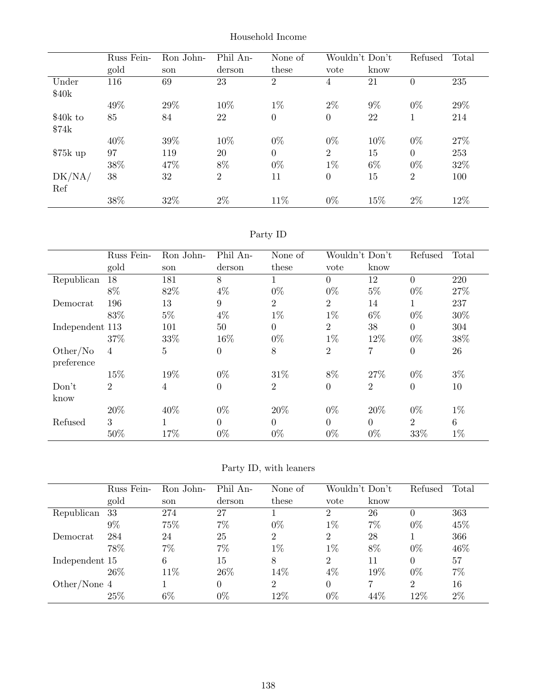|           | Russ Fein- | Ron John- | Phil An-       | None of          | Wouldn't Don't |       | Refused        | Total |
|-----------|------------|-----------|----------------|------------------|----------------|-------|----------------|-------|
|           | gold       | son       | derson         | these            | vote           | know  |                |       |
| Under     | 116        | 69        | 23             | 2                | 4              | 21    | $\overline{0}$ | 235   |
| \$40k     |            |           |                |                  |                |       |                |       |
|           | 49%        | 29\%      | 10%            | $1\%$            | $2\%$          | $9\%$ | $0\%$          | 29%   |
| \$40k to  | 85         | 84        | 22             | $\boldsymbol{0}$ | $\theta$       | 22    | 1              | 214   |
| \$74k     |            |           |                |                  |                |       |                |       |
|           | 40%        | 39%       | 10%            | $0\%$            | $0\%$          | 10%   | $0\%$          | 27%   |
| $$75k$ up | 97         | 119       | 20             | $\overline{0}$   | $\overline{2}$ | 15    | $\theta$       | 253   |
|           | 38%        | 47%       | 8%             | $0\%$            | $1\%$          | $6\%$ | $0\%$          | 32%   |
| DK/NA/    | 38         | 32        | $\overline{2}$ | 11               | $\theta$       | 15    | $\overline{2}$ | 100   |
| Ref       |            |           |                |                  |                |       |                |       |
|           | 38%        | 32%       | $2\%$          | 11\%             | $0\%$          | 15%   | $2\%$          | 12%   |

# Party ID

|                        | Russ Fein-     | Ron John- | Phil An-       | None of        |                | Wouldn't Don't | Refused          | Total |
|------------------------|----------------|-----------|----------------|----------------|----------------|----------------|------------------|-------|
|                        | gold           | son       | derson         | these          | vote           | know           |                  |       |
| Republican             | 18             | 181       | 8              | 1              | $\Omega$       | 12             | $\Omega$         | 220   |
|                        | 8%             | 82%       | $4\%$          | $0\%$          | $0\%$          | $5\%$          | $0\%$            | 27%   |
| Democrat               | 196            | 13        | 9              | $\overline{2}$ | $\overline{2}$ | 14             | 1                | 237   |
|                        | 83%            | $5\%$     | $4\%$          | $1\%$          | $1\%$          | $6\%$          | $0\%$            | 30%   |
| Independent 113        |                | 101       | 50             | $\overline{0}$ | $\overline{2}$ | 38             | 0                | 304   |
|                        | 37%            | 33%       | 16%            | $0\%$          | $1\%$          | 12%            | $0\%$            | 38%   |
| Other/No<br>preference | $\overline{4}$ | 5         | $\overline{0}$ | 8              | $\overline{2}$ | 7              | $\overline{0}$   | 26    |
|                        | 15%            | 19%       | $0\%$          | 31\%           | 8%             | 27\%           | $0\%$            | $3\%$ |
| Don't<br>know          | $\overline{2}$ | 4         | $\overline{0}$ | $\overline{2}$ | $\overline{0}$ | $\overline{2}$ | $\boldsymbol{0}$ | 10    |
|                        | 20%            | 40%       | $0\%$          | 20%            | $0\%$          | 20%            | $0\%$            | $1\%$ |
| Refused                | 3              |           | $\Omega$       | $\Omega$       | $\Omega$       | $\Omega$       | $\overline{2}$   | 6     |
|                        | 50%            | 17%       | $0\%$          | $0\%$          | $0\%$          | $0\%$          | 33%              | $1\%$ |

|                | Russ Fein- | Ron John- | Phil An- | None of        | Wouldn't Don't |      | Refused        | Total |
|----------------|------------|-----------|----------|----------------|----------------|------|----------------|-------|
|                | gold       | son       | derson   | these          | vote           | know |                |       |
| Republican     | 33         | 274       | 27       |                | 2              | 26   | $\theta$       | 363   |
|                | $9\%$      | 75%       | 7%       | $0\%$          | $1\%$          | 7%   | $0\%$          | 45%   |
| Democrat       | 284        | 24        | 25       | 2              | 2              | 28   |                | 366   |
|                | 78%        | $7\%$     | 7%       | $1\%$          | $1\%$          | 8%   | $0\%$          | 46%   |
| Independent 15 |            | 6         | 15       | 8              | 2              | 11   | $\Omega$       | 57    |
|                | 26\%       | 11%       | $26\%$   | 14\%           | 4%             | 19%  | $0\%$          | $7\%$ |
| Other/None 4   |            |           |          | $\overline{2}$ | 0              |      | $\overline{2}$ | 16    |
|                | 25\%       | 6%        | $0\%$    | 12%            | $0\%$          | 44\% | 12%            | $2\%$ |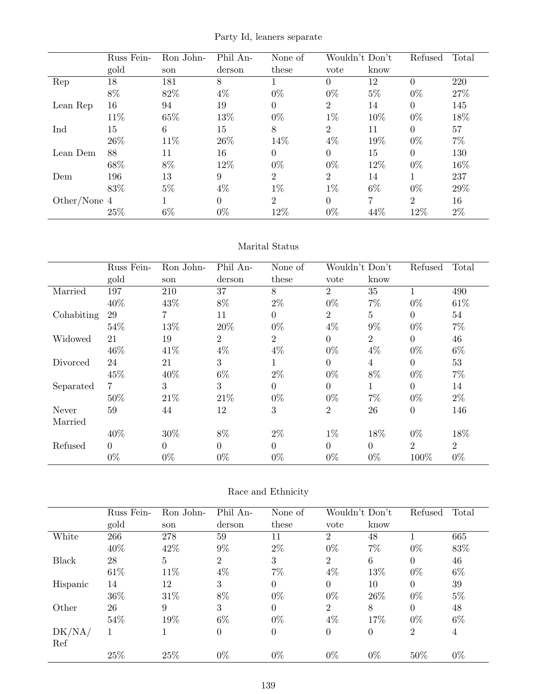Party Id, leaners separate

|              | Russ Fein- | Ron John- | Phil An- | None of        | Wouldn't Don't |       | Refused        | Total |
|--------------|------------|-----------|----------|----------------|----------------|-------|----------------|-------|
|              | gold       | son       | derson   | these          | vote           | know  |                |       |
| Rep          | 18         | 181       | 8        |                | $\theta$       | 12    | 0              | 220   |
|              | 8%         | 82\%      | $4\%$    | $0\%$          | $0\%$          | $5\%$ | $0\%$          | 27%   |
| Lean Rep     | 16         | 94        | 19       | 0              | 2              | 14    | $\Omega$       | 145   |
|              | 11%        | 65%       | 13%      | $0\%$          | $1\%$          | 10%   | $0\%$          | 18%   |
| Ind          | 15         | 6         | 15       | 8              | 2              | 11    | $\Omega$       | 57    |
|              | 26\%       | 11\%      | 26\%     | 14%            | $4\%$          | 19%   | $0\%$          | $7\%$ |
| Lean Dem     | 88         | 11        | 16       | 0              | $\theta$       | 15    | $\Omega$       | 130   |
|              | 68%        | 8%        | 12%      | $0\%$          | $0\%$          | 12%   | $0\%$          | 16%   |
| Dem          | 196        | 13        | 9        | $\overline{2}$ | 2              | 14    |                | 237   |
|              | 83%        | $5\%$     | $4\%$    | $1\%$          | $1\%$          | $6\%$ | $0\%$          | 29%   |
| Other/None 4 |            |           | $\Omega$ | $\overline{2}$ | $\theta$       | ⇁     | $\overline{2}$ | 16    |
|              | 25%        | $6\%$     | $0\%$    | 12%            | $0\%$          | 44%   | 12%            | $2\%$ |

#### Marital Status

|            | Russ Fein- | Ron John-      | Phil An-       | None of        | Wouldn't Don't |                | Refused        | Total          |
|------------|------------|----------------|----------------|----------------|----------------|----------------|----------------|----------------|
|            | gold       | son            | derson         | these          | vote           | know           |                |                |
| Married    | 197        | 210            | 37             | 8              | 2              | 35             |                | 490            |
|            | 40%        | 43\%           | 8%             | $2\%$          | $0\%$          | $7\%$          | $0\%$          | 61\%           |
| Cohabiting | 29         | $\overline{7}$ | 11             | $\Omega$       | $\overline{2}$ | $\overline{5}$ | $\Omega$       | 54             |
|            | 54%        | 13%            | 20%            | $0\%$          | $4\%$          | $9\%$          | $0\%$          | $7\%$          |
| Widowed    | 21         | 19             | $\overline{2}$ | $\overline{2}$ | $\Omega$       | 2              | $\Omega$       | 46             |
|            | 46%        | 41\%           | $4\%$          | 4%             | $0\%$          | $4\%$          | $0\%$          | $6\%$          |
| Divorced   | 24         | 21             | 3              |                | $\Omega$       | 4              | $\overline{0}$ | 53             |
|            | 45%        | 40\%           | $6\%$          | $2\%$          | $0\%$          | $8\%$          | $0\%$          | $7\%$          |
| Separated  | 7          | 3              | 3              | $\Omega$       | $\Omega$       | 1              | $\Omega$       | 14             |
|            | 50%        | 21\%           | 21\%           | $0\%$          | $0\%$          | $7\%$          | $0\%$          | $2\%$          |
| Never      | 59         | 44             | 12             | 3              | 2              | 26             | $\overline{0}$ | 146            |
| Married    |            |                |                |                |                |                |                |                |
|            | 40%        | 30%            | 8%             | $2\%$          | $1\%$          | 18%            | $0\%$          | 18%            |
| Refused    | $\Omega$   | $\Omega$       | $\Omega$       | $\Omega$       | $\Omega$       | $\Omega$       | $\overline{2}$ | $\overline{2}$ |
|            | $0\%$      | $0\%$          | $0\%$          | $0\%$          | $0\%$          | $0\%$          | 100%           | $0\%$          |

#### Race and Ethnicity

|          | Russ Fein- | Ron John- | Phil An- | None of          | Wouldn't Don't |                | Refused        | Total |
|----------|------------|-----------|----------|------------------|----------------|----------------|----------------|-------|
|          | gold       | son       | derson   | these            | vote           | know           |                |       |
| White    | 266        | 278       | 59       | 11               | 2              | 48             |                | 665   |
|          | 40%        | 42\%      | $9\%$    | $2\%$            | $0\%$          | 7%             | $0\%$          | 83%   |
| Black    | 28         | 5         | 2        | 3                | 2              | 6              | $\Omega$       | 46    |
|          | 61\%       | 11%       | $4\%$    | 7%               | 4%             | 13%            | $0\%$          | $6\%$ |
| Hispanic | 14         | 12        | 3        | $\overline{0}$   | $\Omega$       | 10             | $\Omega$       | 39    |
|          | 36\%       | 31\%      | 8%       | $0\%$            | $0\%$          | 26\%           | $0\%$          | $5\%$ |
| Other    | 26         | 9         | 3        | $\overline{0}$   | 2              | 8              | $\overline{0}$ | 48    |
|          | 54%        | 19%       | $6\%$    | $0\%$            | 4%             | 17%            | $0\%$          | $6\%$ |
| DK/NA/   | 1          |           | $\Omega$ | $\boldsymbol{0}$ | $\overline{0}$ | $\overline{0}$ | $\overline{2}$ | 4     |
| Ref      |            |           |          |                  |                |                |                |       |
|          | 25%        | 25%       | $0\%$    | $0\%$            | $0\%$          | $0\%$          | 50%            | $0\%$ |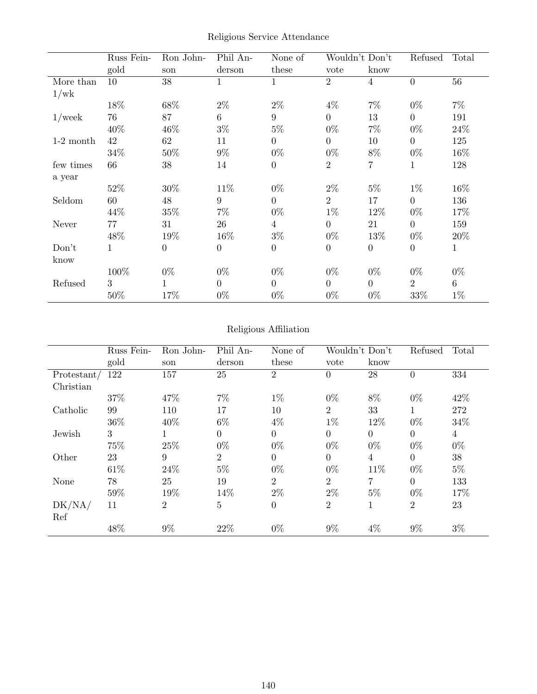|  |  | Religious Service Attendance |
|--|--|------------------------------|
|--|--|------------------------------|

|             | Russ Fein- | Ron John-        | Phil An-         | None of          |                  | Wouldn't Don't | Refused        | Total |
|-------------|------------|------------------|------------------|------------------|------------------|----------------|----------------|-------|
|             | gold       | son              | derson           | these            | vote             | know           |                |       |
| More than   | 10         | 38               | 1                | 1                | $\overline{2}$   | $\overline{4}$ | $\overline{0}$ | 56    |
| 1/wk        |            |                  |                  |                  |                  |                |                |       |
|             | 18%        | 68\%             | $2\%$            | $2\%$            | $4\%$            | $7\%$          | $0\%$          | $7\%$ |
| $1$ /week   | 76         | 87               | 6                | 9                | $\overline{0}$   | 13             | $\overline{0}$ | 191   |
|             | 40%        | 46\%             | $3\%$            | $5\%$            | $0\%$            | $7\%$          | $0\%$          | 24%   |
| $1-2$ month | 42         | 62               | 11               | $\boldsymbol{0}$ | $\theta$         | 10             | $\overline{0}$ | 125   |
|             | 34\%       | 50%              | $9\%$            | $0\%$            | $0\%$            | 8%             | $0\%$          | 16%   |
| few times   | 66         | 38               | 14               | $\theta$         | $\overline{2}$   | 7              | $\mathbf 1$    | 128   |
| a year      |            |                  |                  |                  |                  |                |                |       |
|             | 52\%       | 30%              | $11\%$           | $0\%$            | $2\%$            | $5\%$          | $1\%$          | 16%   |
| Seldom      | 60         | $48\,$           | 9                | $\overline{0}$   | $\overline{2}$   | 17             | $\overline{0}$ | 136   |
|             | 44\%       | $35\%$           | 7%               | $0\%$            | $1\%$            | 12%            | $0\%$          | 17%   |
| Never       | 77         | 31               | 26               | $\overline{4}$   | $\overline{0}$   | 21             | $\overline{0}$ | 159   |
|             | 48\%       | 19%              | 16%              | $3\%$            | $0\%$            | 13%            | $0\%$          | 20%   |
| Don't       |            | $\boldsymbol{0}$ | $\boldsymbol{0}$ | $\theta$         | $\boldsymbol{0}$ | $\theta$       | $\overline{0}$ | 1     |
| know        |            |                  |                  |                  |                  |                |                |       |
|             | 100%       | $0\%$            | $0\%$            | $0\%$            | $0\%$            | $0\%$          | $0\%$          | $0\%$ |
| Refused     | 3          | 1                | $\overline{0}$   | $\theta$         | $\theta$         | $\overline{0}$ | $\overline{2}$ | 6     |
|             | 50%        | 17%              | $0\%$            | $0\%$            | $0\%$            | $0\%$          | 33\%           | $1\%$ |

# Religious Affiliation

|               | Russ Fein- | Ron John-      | Phil An-       | None of        |                | Wouldn't Don't | Refused        | Total |
|---------------|------------|----------------|----------------|----------------|----------------|----------------|----------------|-------|
|               | gold       | son            | derson         | these          | vote           | know           |                |       |
| Protestant/   | 122        | 157            | 25             | $\overline{2}$ | $\theta$       | 28             | $\theta$       | 334   |
| Christian     |            |                |                |                |                |                |                |       |
|               | 37%        | 47%            | $7\%$          | $1\%$          | $0\%$          | 8%             | $0\%$          | 42%   |
| Catholic      | 99         | 110            | 17             | 10             | $\overline{2}$ | 33             | $\mathbf{1}$   | 272   |
|               | 36%        | 40\%           | $6\%$          | $4\%$          | $1\%$          | 12%            | $0\%$          | 34%   |
| Jewish        | 3          | 1              | $\Omega$       | $\overline{0}$ | $\overline{0}$ | $\Omega$       | $\overline{0}$ | 4     |
|               | 75%        | 25%            | $0\%$          | $0\%$          | $0\%$          | $0\%$          | $0\%$          | $0\%$ |
| Other         | 23         | 9              | $\overline{2}$ | $\Omega$       | $\theta$       | 4              | $\Omega$       | 38    |
|               | 61\%       | 24\%           | $5\%$          | $0\%$          | $0\%$          | 11%            | $0\%$          | $5\%$ |
| None          | 78         | 25             | 19             | $\overline{2}$ | $\overline{2}$ | $\overline{7}$ | $\Omega$       | 133   |
|               | 59%        | 19%            | 14%            | $2\%$          | $2\%$          | $5\%$          | $0\%$          | 17%   |
| DK/NA/<br>Ref | 11         | $\overline{2}$ | 5              | $\overline{0}$ | $\overline{2}$ | 1              | $\overline{2}$ | 23    |
|               | 48%        | $9\%$          | 22%            | $0\%$          | $9\%$          | $4\%$          | $9\%$          | $3\%$ |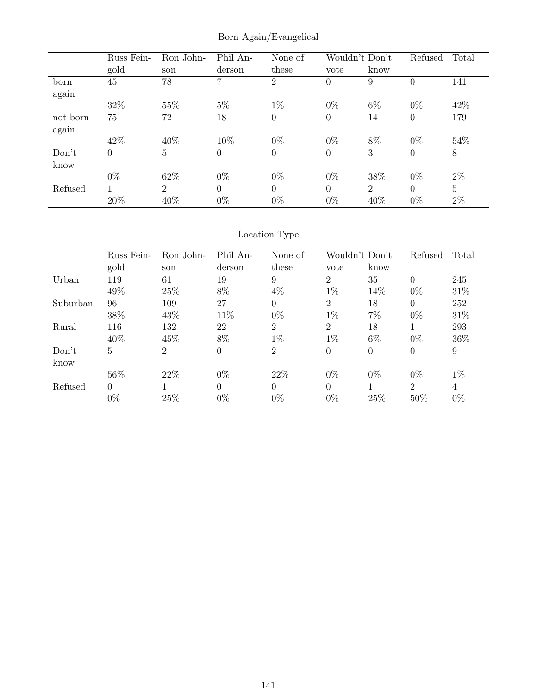Born Again/Evangelical

|          | Russ Fein-     | Ron John-      | Phil An-       | None of        | Wouldn't Don't |                | Refused  | Total          |
|----------|----------------|----------------|----------------|----------------|----------------|----------------|----------|----------------|
|          | gold           | son            | derson         | these          | vote           | know           |          |                |
| born     | 45             | 78             | 7              | $\overline{2}$ | $\overline{0}$ | 9              | 0        | 141            |
| again    |                |                |                |                |                |                |          |                |
|          | 32%            | 55%            | $5\%$          | $1\%$          | $0\%$          | $6\%$          | $0\%$    | 42%            |
| not born | 75             | 72             | 18             | $\overline{0}$ | $\overline{0}$ | 14             | $\theta$ | 179            |
| again    |                |                |                |                |                |                |          |                |
|          | 42%            | 40%            | 10%            | $0\%$          | $0\%$          | 8%             | $0\%$    | 54%            |
| Don't    | $\overline{0}$ | 5              | $\overline{0}$ | $\overline{0}$ | $\overline{0}$ | 3              | 0        | 8              |
| know     |                |                |                |                |                |                |          |                |
|          | $0\%$          | 62%            | $0\%$          | $0\%$          | $0\%$          | 38%            | $0\%$    | $2\%$          |
| Refused  | 1              | $\overline{2}$ | $\theta$       | $\theta$       | $\Omega$       | $\overline{2}$ | $\theta$ | $\overline{5}$ |
|          | 20%            | 40%            | $0\%$          | $0\%$          | $0\%$          | 40%            | $0\%$    | $2\%$          |

# Location Type

|          | Russ Fein-     | Ron John-      | Phil An-       | None of        | Wouldn't Don't |                  | Refused        | Total |
|----------|----------------|----------------|----------------|----------------|----------------|------------------|----------------|-------|
|          | gold           | son            | derson         | these          | vote           | know             |                |       |
| Urban    | 119            | 61             | 19             | 9              | $\overline{2}$ | 35               | $\Omega$       | 245   |
|          | 49%            | 25%            | 8%             | $4\%$          | $1\%$          | 14%              | $0\%$          | 31\%  |
| Suburban | 96             | 109            | 27             | $\Omega$       | $\overline{2}$ | 18               | $\Omega$       | 252   |
|          | 38%            | 43\%           | 11\%           | $0\%$          | $1\%$          | 7%               | $0\%$          | 31\%  |
| Rural    | 116            | 132            | 22             | $\overline{2}$ | 2              | 18               |                | 293   |
|          | 40%            | 45\%           | 8%             | $1\%$          | $1\%$          | $6\%$            | $0\%$          | 36%   |
| Don't    | $\overline{5}$ | $\overline{2}$ | $\overline{0}$ | $\overline{2}$ | $\overline{0}$ | $\boldsymbol{0}$ | $\theta$       | 9     |
| know     |                |                |                |                |                |                  |                |       |
|          | 56%            | 22\%           | $0\%$          | 22\%           | $0\%$          | $0\%$            | $0\%$          | $1\%$ |
| Refused  | $\Omega$       |                | $\Omega$       | $\Omega$       | $\Omega$       |                  | $\overline{2}$ | 4     |
|          | $0\%$          | 25%            | $0\%$          | $0\%$          | $0\%$          | 25%              | 50%            | $0\%$ |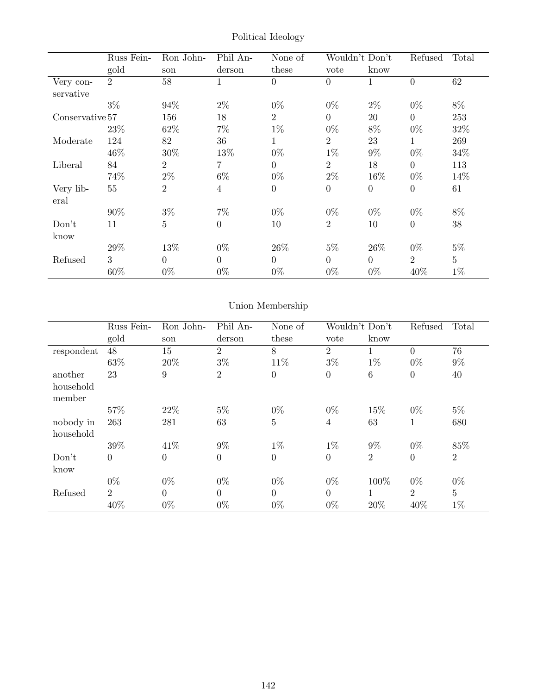|                 | Russ Fein-     | Ron John-      | Phil An-       | None of          | Wouldn't Don't |                  | Refused          | Total           |
|-----------------|----------------|----------------|----------------|------------------|----------------|------------------|------------------|-----------------|
|                 | gold           | son            | derson         | these            | vote           | know             |                  |                 |
| Very con-       | $\overline{2}$ | 58             | 1              | $\overline{0}$   | $\Omega$       | 1                | $\overline{0}$   | 62              |
| servative       |                |                |                |                  |                |                  |                  |                 |
|                 | $3\%$          | 94%            | $2\%$          | $0\%$            | $0\%$          | $2\%$            | $0\%$            | 8%              |
| Conservative 57 |                | 156            | 18             | $\overline{2}$   | $\overline{0}$ | 20               | $\overline{0}$   | 253             |
|                 | 23\%           | 62\%           | 7%             | $1\%$            | $0\%$          | 8%               | $0\%$            | 32%             |
| Moderate        | 124            | 82             | 36             | 1                | $\overline{2}$ | 23               | 1                | 269             |
|                 | 46\%           | 30\%           | 13%            | $0\%$            | $1\%$          | $9\%$            | $0\%$            | 34%             |
| Liberal         | 84             | $\overline{2}$ | $\overline{7}$ | $\overline{0}$   | $\overline{2}$ | 18               | $\overline{0}$   | 113             |
|                 | 74%            | $2\%$          | $6\%$          | $0\%$            | $2\%$          | 16%              | $0\%$            | 14%             |
| Very lib-       | 55             | $\overline{2}$ | 4              | $\boldsymbol{0}$ | $\theta$       | $\boldsymbol{0}$ | $\boldsymbol{0}$ | 61              |
| eral            |                |                |                |                  |                |                  |                  |                 |
|                 | 90%            | $3\%$          | $7\%$          | $0\%$            | $0\%$          | $0\%$            | $0\%$            | $8\%$           |
| Don't           | 11             | 5              | $\Omega$       | 10               | $\overline{2}$ | 10               | $\theta$         | 38              |
| know            |                |                |                |                  |                |                  |                  |                 |
|                 | 29%            | 13%            | $0\%$          | 26\%             | $5\%$          | 26\%             | $0\%$            | $5\%$           |
| Refused         | 3              | $\Omega$       | $\Omega$       | $\Omega$         | $\overline{0}$ | $\Omega$         | 2                | $5\overline{)}$ |
|                 | 60\%           | $0\%$          | $0\%$          | $0\%$            | $0\%$          | $0\%$            | 40%              | $1\%$           |

Political Ideology

# Union Membership

|                        | Russ Fein-     | Ron John-      | Phil An-       | None of          |                | Wouldn't Don't  | Refused        | Total          |
|------------------------|----------------|----------------|----------------|------------------|----------------|-----------------|----------------|----------------|
|                        | gold           | son            | derson         | these            | vote           | know            |                |                |
| respondent             | 48             | 15             | $\overline{2}$ | 8                | 2              |                 | $\theta$       | 76             |
|                        | 63%            | 20%            | $3\%$          | 11%              | $3\%$          | $1\%$           | $0\%$          | $9\%$          |
| another                | 23             | 9              | $\overline{2}$ | $\boldsymbol{0}$ | $\overline{0}$ | $6\phantom{.}6$ | $\overline{0}$ | 40             |
| household<br>member    |                |                |                |                  |                |                 |                |                |
|                        | 57%            | 22\%           | $5\%$          | $0\%$            | $0\%$          | 15%             | $0\%$          | $5\%$          |
| nobody in<br>household | 263            | 281            | 63             | $\overline{5}$   | $\overline{4}$ | 63              | 1              | 680            |
|                        | 39%            | 41\%           | $9\%$          | $1\%$            | $1\%$          | $9\%$           | $0\%$          | 85%            |
| Don't<br>know          | $\overline{0}$ | $\overline{0}$ | $\theta$       | $\overline{0}$   | $\overline{0}$ | $\overline{2}$  | $\overline{0}$ | $\overline{2}$ |
|                        | $0\%$          | $0\%$          | $0\%$          | $0\%$            | $0\%$          | 100%            | $0\%$          | $0\%$          |
| Refused                | $\overline{2}$ | $\overline{0}$ | $\theta$       | $\overline{0}$   | $\overline{0}$ | 1               | $\overline{2}$ | $\overline{5}$ |
|                        | 40%            | $0\%$          | $0\%$          | $0\%$            | $0\%$          | 20%             | 40%            | $1\%$          |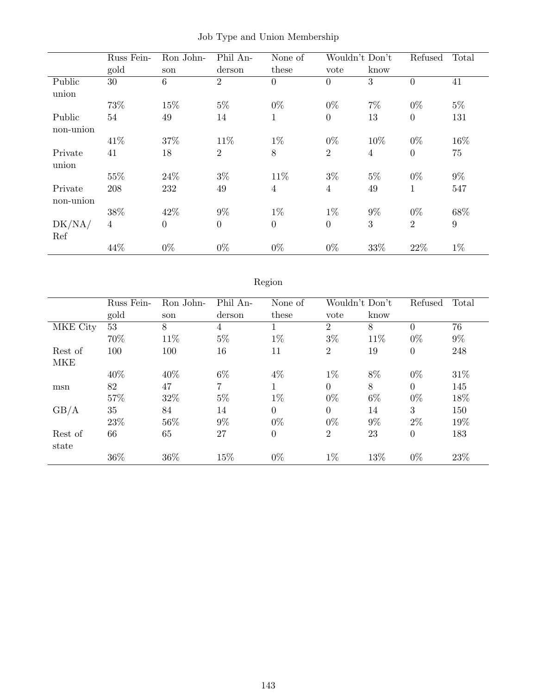|                        | Russ Fein-     | Ron John- | Phil An-       | None of        |                  | Wouldn't Don't | Refused        | Total |
|------------------------|----------------|-----------|----------------|----------------|------------------|----------------|----------------|-------|
|                        | gold           | son       | derson         | these          | vote             | know           |                |       |
| Public<br>union        | 30             | 6         | $\overline{2}$ | $\overline{0}$ | $\overline{0}$   | 3              | $\overline{0}$ | 41    |
|                        | 73%            | 15%       | $5\%$          | $0\%$          | $0\%$            | $7\%$          | $0\%$          | $5\%$ |
| Public<br>non-union    | 54             | 49        | 14             | $\mathbf{1}$   | $\boldsymbol{0}$ | 13             | $\overline{0}$ | 131   |
|                        | 41\%           | 37%       | 11\%           | $1\%$          | $0\%$            | 10%            | $0\%$          | 16%   |
| Private<br>union       | 41             | 18        | $\overline{2}$ | 8              | $\overline{2}$   | $\overline{4}$ | $\overline{0}$ | 75    |
|                        | 55%            | 24%       | $3\%$          | 11%            | $3\%$            | $5\%$          | $0\%$          | $9\%$ |
| Private<br>$non-union$ | 208            | 232       | 49             | $\overline{4}$ | $\overline{4}$   | 49             | 1              | 547   |
|                        | 38%            | 42\%      | $9\%$          | $1\%$          | $1\%$            | $9\%$          | $0\%$          | 68%   |
| DK/NA/<br>Ref          | $\overline{4}$ | $\theta$  | $\overline{0}$ | $\overline{0}$ | $\overline{0}$   | 3              | $\overline{2}$ | 9     |
|                        | 44%            | $0\%$     | $0\%$          | $0\%$          | $0\%$            | 33%            | 22%            | $1\%$ |

Job Type and Union Membership

# Region

|            | Russ Fein- | Ron John- | Phil An-       | None of          | Wouldn't Don't |       | Refused        | Total |
|------------|------------|-----------|----------------|------------------|----------------|-------|----------------|-------|
|            | gold       | son       | derson         | these            | vote           | know  |                |       |
| MKE City   | 53         | 8         | 4              |                  | 2              | 8     | $\theta$       | 76    |
|            | 70%        | 11\%      | $5\%$          | $1\%$            | $3\%$          | 11%   | $0\%$          | $9\%$ |
| Rest of    | 100        | 100       | 16             | 11               | $\overline{2}$ | 19    | $\overline{0}$ | 248   |
| <b>MKE</b> |            |           |                |                  |                |       |                |       |
|            | 40\%       | 40\%      | $6\%$          | $4\%$            | $1\%$          | 8%    | $0\%$          | 31\%  |
| msn        | 82         | 47        | $\overline{7}$ | $\mathbf{1}$     | $\Omega$       | 8     | $\overline{0}$ | 145   |
|            | 57%        | 32%       | $5\%$          | $1\%$            | $0\%$          | $6\%$ | $0\%$          | 18%   |
| GB/A       | 35         | 84        | 14             | $\overline{0}$   | $\Omega$       | 14    | 3              | 150   |
|            | 23\%       | 56\%      | $9\%$          | $0\%$            | $0\%$          | $9\%$ | $2\%$          | 19%   |
| Rest of    | 66         | 65        | 27             | $\boldsymbol{0}$ | $\overline{2}$ | 23    | $\overline{0}$ | 183   |
| state      |            |           |                |                  |                |       |                |       |
|            | 36%        | 36%       | 15%            | $0\%$            | $1\%$          | 13%   | $0\%$          | 23\%  |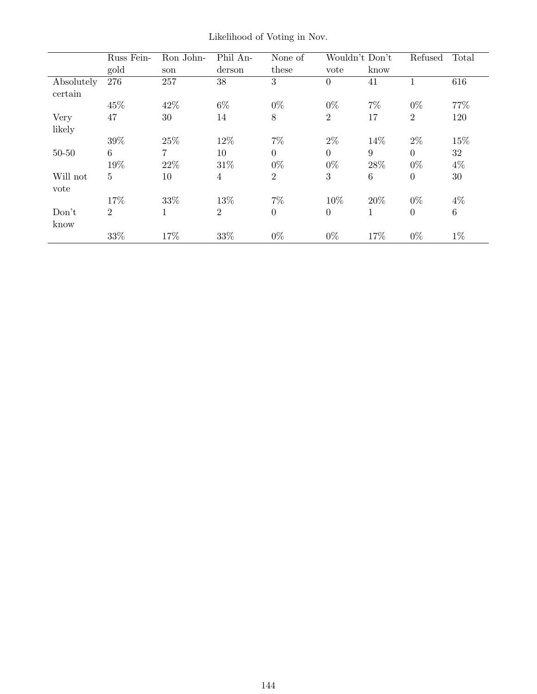|            | Russ Fein-      | Ron John- | Phil An-       | None of        | Wouldn't Don't |       | Refused        | Total           |
|------------|-----------------|-----------|----------------|----------------|----------------|-------|----------------|-----------------|
|            | gold            | son       | derson         | these          | vote           | know  |                |                 |
| Absolutely | 276             | 257       | 38             | 3              | $\Omega$       | 41    | 1              | 616             |
| certain    |                 |           |                |                |                |       |                |                 |
|            | 45%             | 42\%      | $6\%$          | $0\%$          | $0\%$          | $7\%$ | $0\%$          | 77%             |
| Very       | 47              | 30        | 14             | $8\,$          | $\overline{2}$ | 17    | $\overline{2}$ | 120             |
| likely     |                 |           |                |                |                |       |                |                 |
|            | 39%             | 25%       | 12%            | $7\%$          | $2\%$          | 14%   | $2\%$          | $15\%$          |
| $50 - 50$  | $6\phantom{.}6$ | 7         | 10             | $\overline{0}$ | $\overline{0}$ | 9     | $\overline{0}$ | 32              |
|            | 19%             | 22\%      | 31\%           | $0\%$          | $0\%$          | 28%   | $0\%$          | $4\%$           |
| Will not   | 5               | 10        | 4              | $\overline{2}$ | 3              | 6     | $\overline{0}$ | 30              |
| vote       |                 |           |                |                |                |       |                |                 |
|            | 17%             | 33%       | 13%            | $7\%$          | 10%            | 20%   | $0\%$          | 4%              |
| Don't      | $\overline{2}$  | 1         | $\overline{2}$ | $\overline{0}$ | $\overline{0}$ | 1     | $\theta$       | $6\phantom{.}6$ |
| know       |                 |           |                |                |                |       |                |                 |
|            | 33%             | 17%       | 33%            | $0\%$          | $0\%$          | 17%   | $0\%$          | $1\%$           |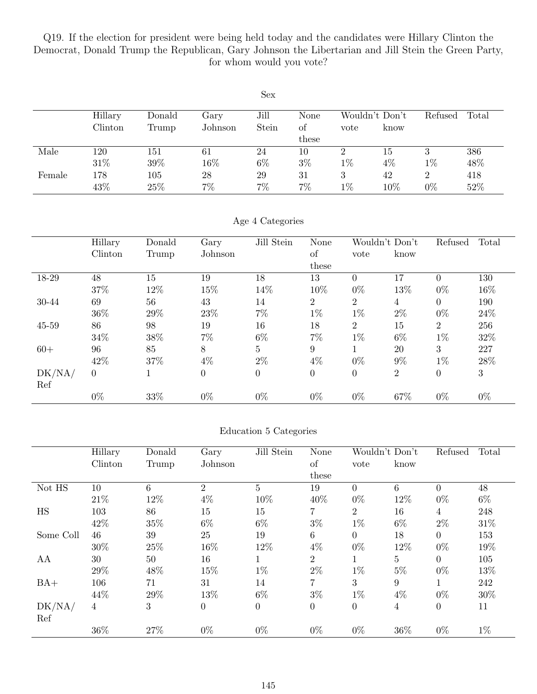Q19. If the election for president were being held today and the candidates were Hillary Clinton the Democrat, Donald Trump the Republican, Gary Johnson the Libertarian and Jill Stein the Green Party, for whom would you vote?

| <b>Sex</b> |         |         |         |       |       |       |                |         |       |  |  |
|------------|---------|---------|---------|-------|-------|-------|----------------|---------|-------|--|--|
|            | Hillary | Donald  | Gary    | Jill  | None  |       | Wouldn't Don't | Refused | Total |  |  |
|            | Clinton | Trump   | Johnson | Stein | οf    | vote  | know           |         |       |  |  |
|            |         |         |         |       | these |       |                |         |       |  |  |
| Male       | 120     | 151     | 61      | 24    | 10    | 2     | 15             | 3       | 386   |  |  |
|            | 31\%    | 39%     | 16\%    | $6\%$ | $3\%$ | $1\%$ | $4\%$          | $1\%$   | 48%   |  |  |
| Female     | 178     | $105\,$ | 28      | 29    | 31    | 3     | 42             | 2       | 418   |  |  |
|            | 43%     | 25%     | $7\%$   | 7%    | $7\%$ | $1\%$ | 10%            | $0\%$   | 52%   |  |  |

#### Age 4 Categories

|           | Hillary        | Donald | Gary             | Jill Stein     | <b>None</b>    | Wouldn't Don't |                | Refused        | Total |
|-----------|----------------|--------|------------------|----------------|----------------|----------------|----------------|----------------|-------|
|           | Clinton        | Trump  | Johnson          |                | <sub>of</sub>  | vote           | know           |                |       |
|           |                |        |                  |                | these          |                |                |                |       |
| 18-29     | 48             | 15     | 19               | 18             | 13             | $\Omega$       | 17             | $\Omega$       | 130   |
|           | 37%            | 12%    | 15%              | 14%            | 10%            | $0\%$          | 13%            | $0\%$          | 16%   |
| 30-44     | 69             | 56     | 43               | 14             | $\overline{2}$ | $\overline{2}$ | 4              | $\overline{0}$ | 190   |
|           | 36%            | 29%    | 23\%             | $7\%$          | $1\%$          | $1\%$          | $2\%$          | $0\%$          | 24\%  |
| $45 - 59$ | 86             | 98     | 19               | 16             | 18             | $\overline{2}$ | 15             | $\overline{2}$ | 256   |
|           | 34%            | 38%    | $7\%$            | $6\%$          | $7\%$          | $1\%$          | $6\%$          | $1\%$          | 32%   |
| $60+$     | 96             | 85     | 8                | $\overline{5}$ | 9              | 1              | 20             | 3              | 227   |
|           | 42%            | 37%    | $4\%$            | $2\%$          | $4\%$          | $0\%$          | $9\%$          | $1\%$          | 28%   |
| DK/NA/    | $\overline{0}$ |        | $\boldsymbol{0}$ | $\overline{0}$ | $\theta$       | $\overline{0}$ | $\overline{2}$ | $\overline{0}$ | 3     |
| Ref       |                |        |                  |                |                |                |                |                |       |
|           | $0\%$          | 33%    | $0\%$            | $0\%$          | $0\%$          | $0\%$          | 67%            | $0\%$          | $0\%$ |

#### Education 5 Categories

|           | Hillary | Donald | Gary             | Jill Stein      | None           | Wouldn't Don't |                  | Refused        | Total |
|-----------|---------|--------|------------------|-----------------|----------------|----------------|------------------|----------------|-------|
|           | Clinton | Trump  | Johnson          |                 | <sub>of</sub>  | vote           | know             |                |       |
|           |         |        |                  |                 | these          |                |                  |                |       |
| Not HS    | 10      | 6      | $\overline{2}$   | $5\overline{)}$ | 19             | $\theta$       | 6                | $\overline{0}$ | 48    |
|           | 21\%    | 12%    | $4\%$            | 10%             | 40%            | $0\%$          | 12%              | $0\%$          | $6\%$ |
| HS        | 103     | 86     | 15               | 15              | $\overline{7}$ | $\overline{2}$ | 16               | $\overline{4}$ | 248   |
|           | 42%     | 35%    | $6\%$            | $6\%$           | $3\%$          | $1\%$          | $6\%$            | $2\%$          | 31\%  |
| Some Coll | 46      | 39     | 25               | 19              | 6              | $\overline{0}$ | 18               | $\overline{0}$ | 153   |
|           | 30%     | 25%    | 16%              | 12%             | $4\%$          | $0\%$          | 12%              | $0\%$          | 19%   |
| AA        | 30      | 50     | 16               | 1               | $\overline{2}$ | $\mathbf{1}$   | $\overline{5}$   | $\theta$       | 105   |
|           | 29%     | 48%    | 15%              | $1\%$           | $2\%$          | $1\%$          | $5\%$            | $0\%$          | 13%   |
| $BA+$     | 106     | 71     | 31               | 14              | $\overline{7}$ | 3              | $\boldsymbol{9}$ |                | 242   |
|           | 44%     | 29%    | 13%              | $6\%$           | $3\%$          | $1\%$          | $4\%$            | $0\%$          | 30%   |
| DK/NA/    | 4       | 3      | $\boldsymbol{0}$ | $\theta$        | $\overline{0}$ | $\overline{0}$ | 4                | $\overline{0}$ | 11    |
| Ref       |         |        |                  |                 |                |                |                  |                |       |
|           | 36%     | 27%    | $0\%$            | $0\%$           | $0\%$          | $0\%$          | 36\%             | $0\%$          | $1\%$ |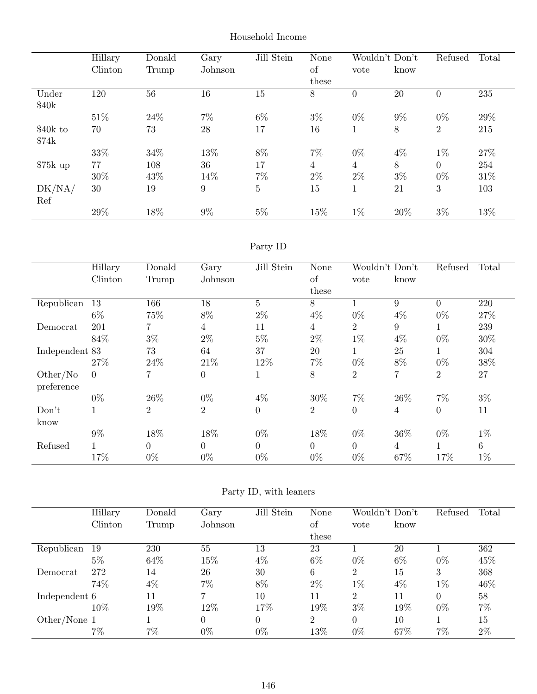|           | Hillary | Donald | Gary    | Jill Stein     | None           |                | Wouldn't Don't | Refused        | Total |
|-----------|---------|--------|---------|----------------|----------------|----------------|----------------|----------------|-------|
|           | Clinton | Trump  | Johnson |                | of             | vote           | know           |                |       |
|           |         |        |         |                | these          |                |                |                |       |
| Under     | 120     | 56     | 16      | 15             | 8              | $\overline{0}$ | 20             | $\Omega$       | 235   |
| \$40k     |         |        |         |                |                |                |                |                |       |
|           | 51\%    | 24\%   | $7\%$   | $6\%$          | $3\%$          | $0\%$          | $9\%$          | $0\%$          | 29%   |
| $$40k$ to | 70      | 73     | 28      | 17             | 16             |                | 8              | $\overline{2}$ | 215   |
| \$74k     |         |        |         |                |                |                |                |                |       |
|           | 33%     | 34%    | 13%     | 8%             | $7\%$          | $0\%$          | $4\%$          | $1\%$          | 27%   |
| $$75k$ up | 77      | 108    | 36      | 17             | $\overline{4}$ | 4              | 8              | $\theta$       | 254   |
|           | 30%     | 43%    | 14%     | $7\%$          | $2\%$          | $2\%$          | $3\%$          | $0\%$          | 31%   |
| DK/NA/    | 30      | 19     | 9       | $\overline{5}$ | 15             | T.             | 21             | 3              | 103   |
| Ref       |         |        |         |                |                |                |                |                |       |
|           | 29%     | 18%    | $9\%$   | $5\%$          | 15%            | $1\%$          | 20%            | $3\%$          | 13%   |

### Household Income

## Party ID

|                | Hillary        | Donald         | Gary             | Jill Stein     | None           | Wouldn't Don't |                  | Refused        | Total           |
|----------------|----------------|----------------|------------------|----------------|----------------|----------------|------------------|----------------|-----------------|
|                | Clinton        | Trump          | Johnson          |                | of             | vote           | know             |                |                 |
|                |                |                |                  |                | these          |                |                  |                |                 |
| Republican     | 13             | 166            | 18               | 5              | 8              | 1              | 9                | $\Omega$       | 220             |
|                | $6\%$          | 75%            | $8\%$            | $2\%$          | $4\%$          | $0\%$          | $4\%$            | $0\%$          | 27\%            |
| Democrat       | 201            | 7              | $\overline{4}$   | 11             | 4              | $\overline{2}$ | $\boldsymbol{9}$ |                | 239             |
|                | 84\%           | $3\%$          | $2\%$            | $5\%$          | $2\%$          | $1\%$          | $4\%$            | $0\%$          | 30%             |
| Independent 83 |                | 73             | 64               | 37             | 20             | 1              | 25               |                | 304             |
|                | 27\%           | 24\%           | 21\%             | 12%            | $7\%$          | $0\%$          | 8%               | $0\%$          | $38\%$          |
| Other/No       | $\overline{0}$ | 7              | $\boldsymbol{0}$ |                | 8              | $\overline{2}$ | 7                | $\overline{2}$ | 27              |
| preference     |                |                |                  |                |                |                |                  |                |                 |
|                | $0\%$          | 26\%           | $0\%$            | $4\%$          | 30%            | 7%             | 26\%             | $7\%$          | $3\%$           |
| Don't          |                | $\overline{2}$ | $\overline{2}$   | $\overline{0}$ | $\overline{2}$ | $\overline{0}$ | $\overline{4}$   | $\overline{0}$ | 11              |
| know           |                |                |                  |                |                |                |                  |                |                 |
|                | $9\%$          | 18%            | 18%              | $0\%$          | 18%            | $0\%$          | 36%              | $0\%$          | $1\%$           |
| Refused        | 1              | $\theta$       | $\theta$         | $\theta$       | $\theta$       | $\Omega$       | $\overline{4}$   |                | $6\phantom{.}6$ |
|                | 17%            | $0\%$          | $0\%$            | $0\%$          | $0\%$          | $0\%$          | 67%              | 17%            | $1\%$           |

## Party ID, with leaners

|               | Hillary | Donald | Gary           | Jill Stein | None           | Wouldn't Don't |       | Refused  | Total |
|---------------|---------|--------|----------------|------------|----------------|----------------|-------|----------|-------|
|               | Clinton | Trump  | Johnson        |            | of             | vote           | know  |          |       |
|               |         |        |                |            | these          |                |       |          |       |
| Republican    | -19     | 230    | 55             | 13         | 23             |                | 20    |          | 362   |
|               | $5\%$   | 64\%   | 15%            | $4\%$      | $6\%$          | $0\%$          | $6\%$ | $0\%$    | 45%   |
| Democrat      | 272     | 14     | 26             | 30         | 6              | $\overline{2}$ | 15    | 3        | 368   |
|               | 74%     | $4\%$  | 7%             | 8%         | $2\%$          | $1\%$          | $4\%$ | $1\%$    | 46%   |
| Independent 6 |         | 11     | ⇁              | 10         | 11             | $\overline{2}$ | 11    | $\Omega$ | 58    |
|               | 10%     | 19%    | 12%            | 17%        | 19%            | $3\%$          | 19%   | $0\%$    | 7%    |
| Other/None 1  |         |        | $\overline{0}$ |            | $\overline{2}$ | $\Omega$       | 10    |          | 15    |
|               | $7\%$   | 7%     | $0\%$          | $0\%$      | 13%            | $0\%$          | 67%   | $7\%$    | $2\%$ |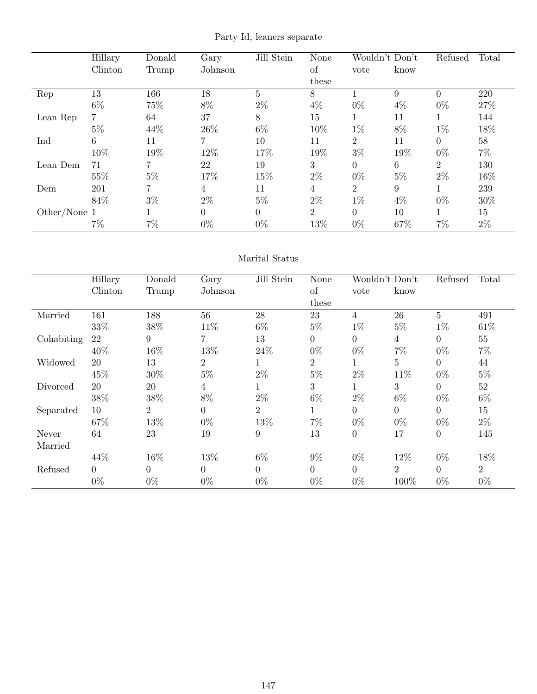Party Id, leaners separate

|              | Hillary | Donald         | Gary     | Jill Stein      | <b>None</b>    | Wouldn't Don't |                  | Refused        | Total |
|--------------|---------|----------------|----------|-----------------|----------------|----------------|------------------|----------------|-------|
|              | Clinton | Trump          | Johnson  |                 | of             | vote           | know             |                |       |
|              |         |                |          |                 | these          |                |                  |                |       |
| Rep          | 13      | 166            | 18       | $5\overline{)}$ | 8              |                | 9                | $\Omega$       | 220   |
|              | $6\%$   | 75%            | $8\%$    | $2\%$           | $4\%$          | $0\%$          | $4\%$            | $0\%$          | 27%   |
| Lean Rep     | 7       | 64             | 37       | 8               | 15             |                | 11               |                | 144   |
|              | $5\%$   | 44%            | 26\%     | $6\%$           | 10%            | $1\%$          | 8%               | $1\%$          | 18%   |
| Ind          | 6       | 11             | 7        | 10              | 11             | $\overline{2}$ | 11               | $\theta$       | 58    |
|              | 10%     | 19%            | 12%      | 17%             | 19%            | $3\%$          | 19%              | $0\%$          | $7\%$ |
| Lean Dem     | 71      |                | 22       | 19              | 3              | $\overline{0}$ | 6                | $\overline{2}$ | 130   |
|              | 55%     | $5\%$          | 17%      | 15%             | $2\%$          | $0\%$          | $5\%$            | $2\%$          | 16%   |
| Dem          | 201     | $\overline{7}$ | 4        | 11              | 4              | $\overline{2}$ | $\boldsymbol{9}$ |                | 239   |
|              | 84\%    | $3\%$          | $2\%$    | $5\%$           | $2\%$          | $1\%$          | $4\%$            | $0\%$          | 30%   |
| Other/None 1 |         |                | $\theta$ | $\Omega$        | $\overline{2}$ | $\overline{0}$ | 10               |                | 15    |
|              | $7\%$   | $7\%$          | $0\%$    | $0\%$           | 13%            | $0\%$          | 67%              | $7\%$          | $2\%$ |

### Marital Status

|            | Hillary  | Donald   | Gary             | Jill Stein     | None           | Wouldn't Don't   |          | Refused         | Total          |
|------------|----------|----------|------------------|----------------|----------------|------------------|----------|-----------------|----------------|
|            | Clinton  | Trump    | Johnson          |                | of             | vote             | know     |                 |                |
|            |          |          |                  |                | these          |                  |          |                 |                |
| Married    | 161      | 188      | 56               | 28             | 23             | $\overline{4}$   | 26       | $5\overline{)}$ | 491            |
|            | 33%      | $38\%$   | 11%              | $6\%$          | $5\%$          | $1\%$            | $5\%$    | $1\%$           | 61\%           |
| Cohabiting | 22       | 9        | 7                | 13             | $\theta$       | $\theta$         | 4        | $\Omega$        | 55             |
|            | 40%      | 16%      | 13%              | 24\%           | $0\%$          | $0\%$            | $7\%$    | $0\%$           | $7\%$          |
| Widowed    | 20       | 13       | $\overline{2}$   |                | $\overline{2}$ | $\mathbf 1$      | 5        | $\Omega$        | 44             |
|            | 45%      | 30%      | $5\%$            | $2\%$          | $5\%$          | $2\%$            | 11%      | $0\%$           | $5\%$          |
| Divorced   | 20       | 20       | $\overline{4}$   |                | 3              | $\mathbf 1$      | 3        | $\Omega$        | $52\,$         |
|            | 38%      | $38\%$   | 8%               | $2\%$          | $6\%$          | $2\%$            | $6\%$    | $0\%$           | $6\%$          |
| Separated  | 10       | 2        | $\boldsymbol{0}$ | $\overline{2}$ | $\mathbf 1$    | $\theta$         | $\theta$ | $\Omega$        | 15             |
|            | 67%      | 13%      | $0\%$            | 13%            | $7\%$          | $0\%$            | $0\%$    | $0\%$           | $2\%$          |
| Never      | 64       | 23       | 19               | 9              | 13             | $\boldsymbol{0}$ | 17       | $\overline{0}$  | 145            |
| Married    |          |          |                  |                |                |                  |          |                 |                |
|            | 44%      | 16%      | 13%              | $6\%$          | $9\%$          | $0\%$            | 12\%     | $0\%$           | 18%            |
| Refused    | $\Omega$ | $\theta$ | $\theta$         | $\Omega$       | $\theta$       | $\overline{0}$   | 2        | $\Omega$        | $\overline{2}$ |
|            | $0\%$    | $0\%$    | $0\%$            | $0\%$          | $0\%$          | $0\%$            | 100%     | $0\%$           | $0\%$          |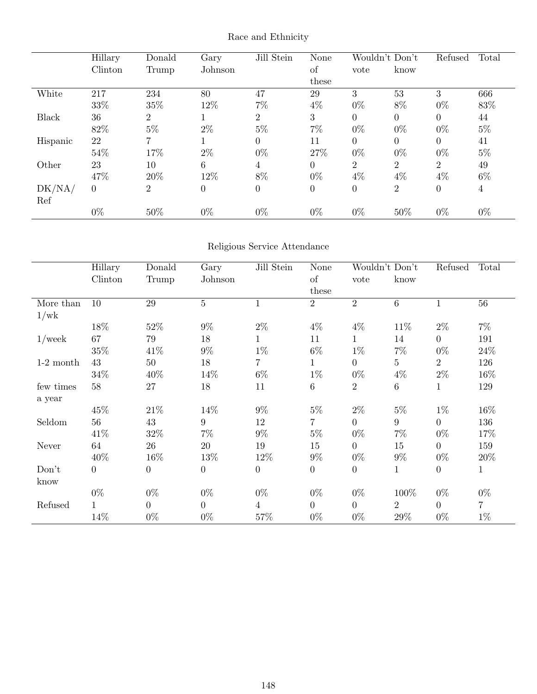|              | Hillary  | Donald         | Gary             | Jill Stein     | <b>None</b> |                | Wouldn't Don't | Refused        | Total |
|--------------|----------|----------------|------------------|----------------|-------------|----------------|----------------|----------------|-------|
|              | Clinton  | Trump          | Johnson          |                | of          | vote           | know           |                |       |
|              |          |                |                  |                | these       |                |                |                |       |
| White        | 217      | 234            | 80               | 47             | 29          | 3              | 53             | 3              | 666   |
|              | 33%      | 35%            | 12%              | $7\%$          | $4\%$       | $0\%$          | 8%             | $0\%$          | 83%   |
| <b>Black</b> | 36       | $\overline{2}$ |                  | $\overline{2}$ | 3           | $\Omega$       | $\theta$       | $\Omega$       | 44    |
|              | 82%      | $5\%$          | $2\%$            | $5\%$          | $7\%$       | $0\%$          | $0\%$          | $0\%$          | $5\%$ |
| Hispanic     | 22       | 7              |                  | $\Omega$       | 11          | $\overline{0}$ | $\overline{0}$ | $\Omega$       | 41    |
|              | 54%      | 17%            | $2\%$            | $0\%$          | 27%         | $0\%$          | $0\%$          | $0\%$          | $5\%$ |
| Other        | 23       | 10             | 6                | 4              | 0           | $\overline{2}$ | $\overline{2}$ | $\overline{2}$ | 49    |
|              | 47%      | 20%            | 12%              | 8%             | $0\%$       | $4\%$          | $4\%$          | $4\%$          | $6\%$ |
| DK/NA/       | $\Omega$ | $\overline{2}$ | $\boldsymbol{0}$ | $\Omega$       | $\theta$    | $\theta$       | $\overline{2}$ | $\Omega$       | 4     |
| Ref          |          |                |                  |                |             |                |                |                |       |
|              | $0\%$    | 50%            | $0\%$            | $0\%$          | $0\%$       | $0\%$          | 50%            | $0\%$          | $0\%$ |

## Race and Ethnicity

## Religious Service Attendance

|             | Hillary          | Donald           | Gary             | Jill Stein     | None             |                  | Wouldn't Don't  | Refused        | Total          |
|-------------|------------------|------------------|------------------|----------------|------------------|------------------|-----------------|----------------|----------------|
|             | Clinton          | Trump            | Johnson          |                | of               | vote             | know            |                |                |
|             |                  |                  |                  |                | these            |                  |                 |                |                |
| More than   | 10               | $\,29$           | $\overline{5}$   | $\mathbf{1}$   | $\overline{2}$   | $\overline{2}$   | $\,6\,$         | $\mathbf{1}$   | 56             |
| 1/wk        |                  |                  |                  |                |                  |                  |                 |                |                |
|             | 18%              | 52\%             | $9\%$            | $2\%$          | $4\%$            | $4\%$            | 11\%            | $2\%$          | $7\%$          |
| $1$ /week   | 67               | 79               | 18               | $\mathbf{1}$   | $11\,$           | $\mathbf 1$      | 14              | $\overline{0}$ | 191            |
|             | 35%              | 41\%             | $9\%$            | $1\%$          | $6\%$            | $1\%$            | $7\%$           | $0\%$          | 24\%           |
| $1-2$ month | 43               | 50               | 18               | $\overline{7}$ | $\mathbf{1}$     | $\overline{0}$   | $\overline{5}$  | $\overline{2}$ | 126            |
|             | 34\%             | 40\%             | 14\%             | $6\%$          | $1\%$            | $0\%$            | $4\%$           | $2\%$          | 16\%           |
| few times   | 58               | $27\,$           | 18               | 11             | $\,6\,$          | $\overline{2}$   | $\,6\,$         | 1              | 129            |
| a year      |                  |                  |                  |                |                  |                  |                 |                |                |
|             | 45%              | 21\%             | 14%              | $9\%$          | $5\%$            | $2\%$            | $5\%$           | $1\%$          | 16%            |
| Seldom      | 56               | 43               | 9                | 12             | 7                | $\overline{0}$   | $9\phantom{.0}$ | $\overline{0}$ | 136            |
|             | 41\%             | $32\%$           | $7\%$            | $9\%$          | $5\%$            | $0\%$            | $7\%$           | $0\%$          | 17%            |
| Never       | 64               | 26               | 20               | 19             | 15               | $\overline{0}$   | 15              | $\overline{0}$ | 159            |
|             | 40\%             | 16\%             | 13\%             | 12\%           | $9\%$            | $0\%$            | $9\%$           | $0\%$          | 20\%           |
| Don't       | $\boldsymbol{0}$ | $\boldsymbol{0}$ | $\boldsymbol{0}$ | $\overline{0}$ | $\boldsymbol{0}$ | $\boldsymbol{0}$ | $\mathbf{1}$    | $\overline{0}$ | $\mathbf{1}$   |
| know        |                  |                  |                  |                |                  |                  |                 |                |                |
|             | $0\%$            | $0\%$            | $0\%$            | $0\%$          | $0\%$            | $0\%$            | 100%            | $0\%$          | $0\%$          |
| Refused     | $\mathbf{1}$     | $\overline{0}$   | $\overline{0}$   | $\overline{4}$ | $\overline{0}$   | $\overline{0}$   | $\overline{2}$  | $\overline{0}$ | $\overline{7}$ |
|             | 14%              | $0\%$            | $0\%$            | 57%            | $0\%$            | $0\%$            | 29%             | $0\%$          | $1\%$          |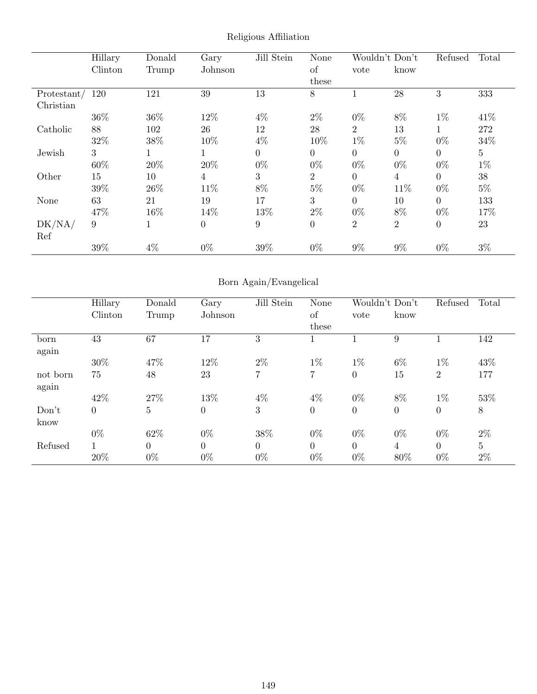|             | Hillary | Donald | Gary             | Jill Stein | None           | Wouldn't Don't |                | Refused        | Total          |
|-------------|---------|--------|------------------|------------|----------------|----------------|----------------|----------------|----------------|
|             | Clinton | Trump  | Johnson          |            | <sub>of</sub>  | vote           | know           |                |                |
|             |         |        |                  |            | these          |                |                |                |                |
| Protestant/ | 120     | 121    | 39               | 13         | 8              |                | 28             | 3              | 333            |
| Christian   |         |        |                  |            |                |                |                |                |                |
|             | 36%     | 36%    | 12%              | $4\%$      | $2\%$          | $0\%$          | 8%             | $1\%$          | 41\%           |
| Catholic    | 88      | 102    | 26               | 12         | 28             | $\overline{2}$ | 13             |                | 272            |
|             | 32%     | $38\%$ | 10%              | $4\%$      | 10%            | $1\%$          | $5\%$          | $0\%$          | 34%            |
| Jewish      | 3       |        |                  | $\Omega$   | $\Omega$       | $\overline{0}$ | $\overline{0}$ | $\overline{0}$ | 5 <sup>5</sup> |
|             | 60%     | 20%    | 20%              | $0\%$      | $0\%$          | $0\%$          | $0\%$          | $0\%$          | $1\%$          |
| Other       | 15      | 10     | $\overline{4}$   | 3          | $\overline{2}$ | $\overline{0}$ | $\overline{4}$ | $\overline{0}$ | 38             |
|             | 39%     | 26\%   | 11\%             | 8%         | $5\%$          | $0\%$          | 11\%           | $0\%$          | $5\%$          |
| None        | 63      | 21     | 19               | 17         | 3              | $\Omega$       | 10             | $\theta$       | 133            |
|             | 47%     | 16%    | 14%              | 13%        | $2\%$          | $0\%$          | $8\%$          | $0\%$          | 17%            |
| DK/NA/      | 9       |        | $\boldsymbol{0}$ | 9          | $\overline{0}$ | $\overline{2}$ | $\overline{2}$ | $\theta$       | 23             |
| Ref         |         |        |                  |            |                |                |                |                |                |
|             | 39%     | $4\%$  | $0\%$            | 39%        | $0\%$          | $9\%$          | $9\%$          | $0\%$          | $3\%$          |

Religious Affiliation

## Born Again/Evangelical

|          | Hillary        | Donald         | Gary             | Jill Stein | None     |                | Wouldn't Don't   | Refused        | Total          |
|----------|----------------|----------------|------------------|------------|----------|----------------|------------------|----------------|----------------|
|          | Clinton        | Trump          | Johnson          |            | of       | vote           | know             |                |                |
|          |                |                |                  |            | these    |                |                  |                |                |
| born     | 43             | 67             | 17               | 3          |          |                | 9                |                | 142            |
| again    |                |                |                  |            |          |                |                  |                |                |
|          | 30%            | 47%            | 12%              | $2\%$      | $1\%$    | $1\%$          | $6\%$            | $1\%$          | 43%            |
| not born | 75             | 48             | 23               | 7          | 7        | $\overline{0}$ | 15               | $\overline{2}$ | 177            |
| again    |                |                |                  |            |          |                |                  |                |                |
|          | 42%            | 27%            | 13%              | $4\%$      | $4\%$    | $0\%$          | 8%               | $1\%$          | 53%            |
| Don't    | $\overline{0}$ | $\overline{5}$ | $\boldsymbol{0}$ | 3          | $\theta$ | $\overline{0}$ | $\boldsymbol{0}$ | $\theta$       | $8\,$          |
| know     |                |                |                  |            |          |                |                  |                |                |
|          | $0\%$          | 62%            | $0\%$            | 38%        | $0\%$    | $0\%$          | $0\%$            | $0\%$          | $2\%$          |
| Refused  | $\mathbf{1}$   | $\overline{0}$ | $\overline{0}$   | $\Omega$   | $\theta$ | $\theta$       | $\overline{4}$   | $\overline{0}$ | $\overline{5}$ |
|          | 20%            | $0\%$          | $0\%$            | $0\%$      | $0\%$    | $0\%$          | 80%              | $0\%$          | $2\%$          |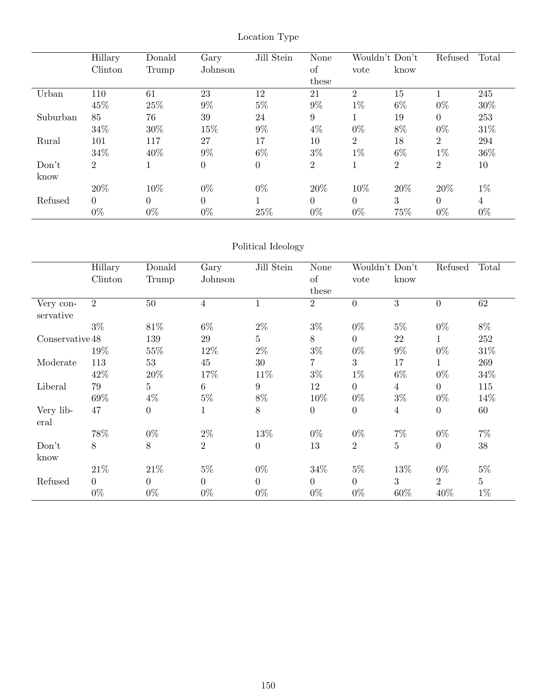|          | Hillary        | Donald   | Gary             | Jill Stein     | None           |                | Wouldn't Don't | Refused        | Total |
|----------|----------------|----------|------------------|----------------|----------------|----------------|----------------|----------------|-------|
|          | Clinton        | Trump    | Johnson          |                | of             | vote           | know           |                |       |
|          |                |          |                  |                | these          |                |                |                |       |
| Urban    | 110            | 61       | 23               | 12             | 21             | $\overline{2}$ | 15             |                | 245   |
|          | 45%            | 25%      | $9\%$            | $5\%$          | 9%             | $1\%$          | $6\%$          | $0\%$          | 30%   |
| Suburban | 85             | 76       | 39               | 24             | 9              |                | 19             | $\theta$       | 253   |
|          | 34%            | 30%      | 15%              | $9\%$          | $4\%$          | $0\%$          | 8%             | $0\%$          | 31\%  |
| Rural    | 101            | 117      | 27               | 17             | 10             | $\overline{2}$ | 18             | $\overline{2}$ | 294   |
|          | 34%            | 40%      | $9\%$            | $6\%$          | $3\%$          | $1\%$          | $6\%$          | $1\%$          | 36%   |
| Don't    | $\overline{2}$ |          | $\boldsymbol{0}$ | $\overline{0}$ | $\overline{2}$ |                | $\overline{2}$ | 2              | 10    |
| know     |                |          |                  |                |                |                |                |                |       |
|          | 20%            | 10%      | $0\%$            | $0\%$          | 20%            | 10%            | 20%            | 20%            | $1\%$ |
| Refused  | $\Omega$       | $\Omega$ | $\theta$         |                | $\Omega$       | $\Omega$       | 3              | $\Omega$       | 4     |
|          | $0\%$          | $0\%$    | $0\%$            | 25%            | $0\%$          | $0\%$          | 75%            | $0\%$          | $0\%$ |

## Location Type

## Political Ideology

|                 | Hillary        | Donald           | Gary           | Jill Stein      | None           |                | Wouldn't Don't | Refused        | Total          |
|-----------------|----------------|------------------|----------------|-----------------|----------------|----------------|----------------|----------------|----------------|
|                 | Clinton        | Trump            | Johnson        |                 | of             | vote           | know           |                |                |
|                 |                |                  |                |                 | these          |                |                |                |                |
| Very con-       | 2              | 50               | $\overline{4}$ |                 | $\overline{2}$ | $\overline{0}$ | 3              | $\theta$       | 62             |
| servative       |                |                  |                |                 |                |                |                |                |                |
|                 | $3\%$          | 81\%             | $6\%$          | $2\%$           | $3\%$          | $0\%$          | $5\%$          | $0\%$          | $8\%$          |
| Conservative 48 |                | 139              | 29             | $5\overline{)}$ | 8              | $\overline{0}$ | 22             | $\mathbf{1}$   | $252\,$        |
|                 | 19%            | 55%              | 12%            | $2\%$           | $3\%$          | $0\%$          | $9\%$          | $0\%$          | 31\%           |
| Moderate        | 113            | 53               | 45             | 30              | 7              | 3              | 17             | $\mathbf{1}$   | 269            |
|                 | 42\%           | $20\%$           | 17%            | 11\%            | $3\%$          | $1\%$          | $6\%$          | $0\%$          | $34\%$         |
| Liberal         | 79             | 5                | $6\,$          | 9               | 12             | $\theta$       | $\overline{4}$ | $\overline{0}$ | 115            |
|                 | 69%            | $4\%$            | $5\%$          | $8\%$           | 10%            | $0\%$          | $3\%$          | $0\%$          | 14%            |
| Very lib-       | 47             | $\boldsymbol{0}$ | $\mathbf{1}$   | 8               | $\overline{0}$ | $\overline{0}$ | $\overline{4}$ | $\overline{0}$ | 60             |
| eral            |                |                  |                |                 |                |                |                |                |                |
|                 | 78%            | $0\%$            | $2\%$          | 13%             | $0\%$          | $0\%$          | $7\%$          | $0\%$          | $7\%$          |
| Don't           | 8              | 8                | $\overline{2}$ | $\theta$        | 13             | $\overline{2}$ | $\overline{5}$ | $\overline{0}$ | 38             |
| know            |                |                  |                |                 |                |                |                |                |                |
|                 | 21\%           | 21\%             | $5\%$          | $0\%$           | 34\%           | $5\%$          | 13\%           | $0\%$          | $5\%$          |
| Refused         | $\overline{0}$ | $\overline{0}$   | $\overline{0}$ | $\Omega$        | $\theta$       | $\overline{0}$ | 3              | 2              | $\overline{5}$ |
|                 | $0\%$          | $0\%$            | $0\%$          | $0\%$           | $0\%$          | $0\%$          | 60%            | 40%            | $1\%$          |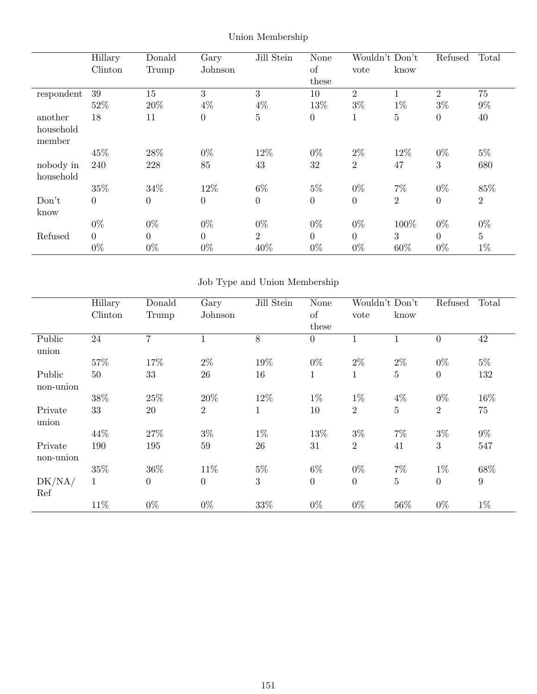|            | Hillary        | Donald         | Gary             | Jill Stein     | <b>None</b>      | Wouldn't Don't   |                | Refused          | Total          |
|------------|----------------|----------------|------------------|----------------|------------------|------------------|----------------|------------------|----------------|
|            | Clinton        | Trump          | Johnson          |                | of               | vote             | know           |                  |                |
|            |                |                |                  |                | these            |                  |                |                  |                |
| respondent | 39             | 15             | 3                | 3              | 10               | 2                |                | 2                | 75             |
|            | 52%            | 20%            | $4\%$            | $4\%$          | 13%              | $3\%$            | $1\%$          | $3\%$            | $9\%$          |
| another    | 18             | 11             | $\boldsymbol{0}$ | $\overline{5}$ | $\boldsymbol{0}$ | 1                | $\mathbf 5$    | $\boldsymbol{0}$ | 40             |
| household  |                |                |                  |                |                  |                  |                |                  |                |
| member     |                |                |                  |                |                  |                  |                |                  |                |
|            | 45\%           | 28\%           | $0\%$            | 12%            | $0\%$            | $2\%$            | 12\%           | $0\%$            | $5\%$          |
| nobody in  | 240            | 228            | 85               | 43             | 32               | $\overline{2}$   | 47             | 3                | 680            |
| household  |                |                |                  |                |                  |                  |                |                  |                |
|            | 35%            | 34%            | 12%              | $6\%$          | $5\%$            | $0\%$            | $7\%$          | $0\%$            | 85%            |
| Don't      | $\theta$       | $\overline{0}$ | $\boldsymbol{0}$ | $\overline{0}$ | $\overline{0}$   | $\boldsymbol{0}$ | $\overline{2}$ | $\boldsymbol{0}$ | $\overline{2}$ |
| know       |                |                |                  |                |                  |                  |                |                  |                |
|            | $0\%$          | $0\%$          | $0\%$            | $0\%$          | $0\%$            | $0\%$            | 100\%          | $0\%$            | $0\%$          |
| Refused    | $\overline{0}$ | $\theta$       | $\overline{0}$   | $\overline{2}$ | $\overline{0}$   | $\overline{0}$   | 3              | $\overline{0}$   | 5              |
|            | $0\%$          | $0\%$          | $0\%$            | 40%            | $0\%$            | $0\%$            | 60%            | $0\%$            | $1\%$          |

Union Membership

# Job Type and Union Membership

|           | Hillary      | Donald         | Gary             | Jill Stein   | <b>None</b>    | Wouldn't Don't |                | Refused          | Total  |
|-----------|--------------|----------------|------------------|--------------|----------------|----------------|----------------|------------------|--------|
|           | Clinton      | Trump          | Johnson          |              | of             | vote           | know           |                  |        |
|           |              |                |                  |              | these          |                |                |                  |        |
| Public    | 24           | 7              |                  | 8            | $\overline{0}$ |                |                | $\overline{0}$   | 42     |
| union     |              |                |                  |              |                |                |                |                  |        |
|           | $57\%$       | 17%            | $2\%$            | 19%          | $0\%$          | $2\%$          | $2\%$          | $0\%$            | $5\%$  |
| Public    | 50           | 33             | 26               | 16           | $\mathbf{1}$   | 1              | $\overline{5}$ | $\boldsymbol{0}$ | 132    |
| non-union |              |                |                  |              |                |                |                |                  |        |
|           | 38\%         | 25%            | 20%              | 12%          | $1\%$          | $1\%$          | $4\%$          | $0\%$            | 16%    |
| Private   | 33           | 20             | $\overline{2}$   | $\mathbf{1}$ | 10             | $\overline{2}$ | $\overline{5}$ | $\overline{2}$   | 75     |
| union     |              |                |                  |              |                |                |                |                  |        |
|           | 44\%         | 27%            | $3\%$            | $1\%$        | 13%            | $3\%$          | $7\%$          | $3\%$            | $9\%$  |
| Private   | 190          | 195            | 59               | 26           | 31             | $\overline{2}$ | 41             | 3                | 547    |
| non-union |              |                |                  |              |                |                |                |                  |        |
|           | 35%          | $36\%$         | 11%              | $5\%$        | $6\%$          | $0\%$          | $7\%$          | $1\%$            | $68\%$ |
| DK/NA/    | $\mathbf{1}$ | $\overline{0}$ | $\boldsymbol{0}$ | 3            | $\overline{0}$ | $\theta$       | $\overline{5}$ | $\overline{0}$   | 9      |
| Ref       |              |                |                  |              |                |                |                |                  |        |
|           | 11%          | $0\%$          | $0\%$            | 33%          | $0\%$          | $0\%$          | 56\%           | $0\%$            | $1\%$  |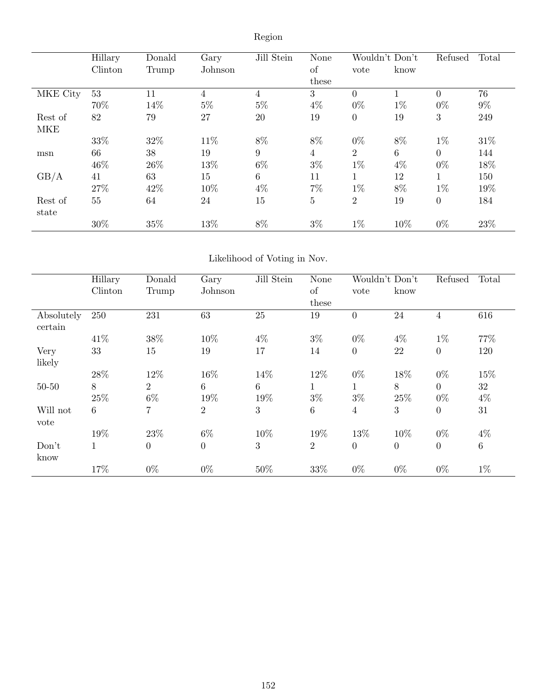|                  | Hillary<br>Clinton | Donald<br>Trump | Gary<br>Johnson | Jill Stein      | None<br>of     | Wouldn't Don't<br>vote | know  | Refused          | Total |
|------------------|--------------------|-----------------|-----------------|-----------------|----------------|------------------------|-------|------------------|-------|
|                  |                    |                 |                 |                 | these          |                        |       |                  |       |
| MKE City         | 53                 | 11              | $\overline{4}$  | 4               | 3              | $\overline{0}$         |       | $\overline{0}$   | 76    |
|                  | 70%                | 14%             | $5\%$           | $5\%$           | $4\%$          | $0\%$                  | $1\%$ | $0\%$            | $9\%$ |
| Rest of          | 82                 | 79              | 27              | 20              | 19             | $\boldsymbol{0}$       | 19    | 3                | 249   |
| <b>MKE</b>       |                    |                 |                 |                 |                |                        |       |                  |       |
|                  | 33%                | 32%             | 11\%            | 8%              | $8\%$          | $0\%$                  | 8%    | $1\%$            | 31\%  |
| msn              | 66                 | 38              | 19              | 9               | $\overline{4}$ | $\overline{2}$         | 6     | $\overline{0}$   | 144   |
|                  | 46%                | 26\%            | 13%             | $6\%$           | $3\%$          | $1\%$                  | $4\%$ | $0\%$            | 18%   |
| GB/A             | 41                 | 63              | 15              | $6\phantom{.}6$ | 11             | $\mathbf{1}$           | 12    | 1                | 150   |
|                  | 27%                | 42%             | 10%             | 4%              | $7\%$          | $1\%$                  | 8%    | $1\%$            | 19%   |
| Rest of<br>state | 55                 | 64              | 24              | 15              | $\overline{5}$ | $\overline{2}$         | 19    | $\boldsymbol{0}$ | 184   |
|                  | 30%                | 35%             | 13%             | 8%              | $3\%$          | $1\%$                  | 10%   | $0\%$            | 23%   |

Region

## Likelihood of Voting in Nov.

|                       | Hillary      | Donald         | Gary             | Jill Stein | <b>None</b>     | Wouldn't Don't |                | Refused        | Total   |
|-----------------------|--------------|----------------|------------------|------------|-----------------|----------------|----------------|----------------|---------|
|                       | Clinton      | Trump          | Johnson          |            | of              | vote           | know           |                |         |
|                       |              |                |                  |            | these           |                |                |                |         |
| Absolutely<br>certain | 250          | 231            | 63               | 25         | 19              | $\overline{0}$ | 24             | 4              | 616     |
|                       | 41\%         | 38%            | 10%              | $4\%$      | $3\%$           | $0\%$          | $4\%$          | $1\%$          | 77%     |
| Very                  | 33           | 15             | 19               | 17         | 14              | $\overline{0}$ | 22             | $\theta$       | 120     |
| likely                |              |                |                  |            |                 |                |                |                |         |
|                       | 28%          | 12%            | 16%              | 14%        | 12%             | $0\%$          | 18%            | $0\%$          | 15%     |
| $50 - 50$             | 8            | $\overline{2}$ | 6                | 6          | 1               | $\mathbf 1$    | $8\,$          | $\overline{0}$ | 32      |
|                       | 25%          | $6\%$          | 19%              | 19%        | $3\%$           | $3\%$          | $25\%$         | $0\%$          | $4\%$   |
| Will not              | 6            | 7              | $\overline{2}$   | 3          | $6\phantom{.}6$ | $\overline{4}$ | 3              | $\overline{0}$ | 31      |
| vote                  |              |                |                  |            |                 |                |                |                |         |
|                       | 19%          | 23%            | $6\%$            | 10%        | 19%             | 13%            | 10%            | $0\%$          | $4\%$   |
| Don't                 | $\mathbf{1}$ | $\overline{0}$ | $\boldsymbol{0}$ | 3          | $\overline{2}$  | $\overline{0}$ | $\overline{0}$ | $\overline{0}$ | $\,6\,$ |
| know                  |              |                |                  |            |                 |                |                |                |         |
|                       | 17%          | $0\%$          | $0\%$            | 50%        | 33%             | $0\%$          | $0\%$          | $0\%$          | $1\%$   |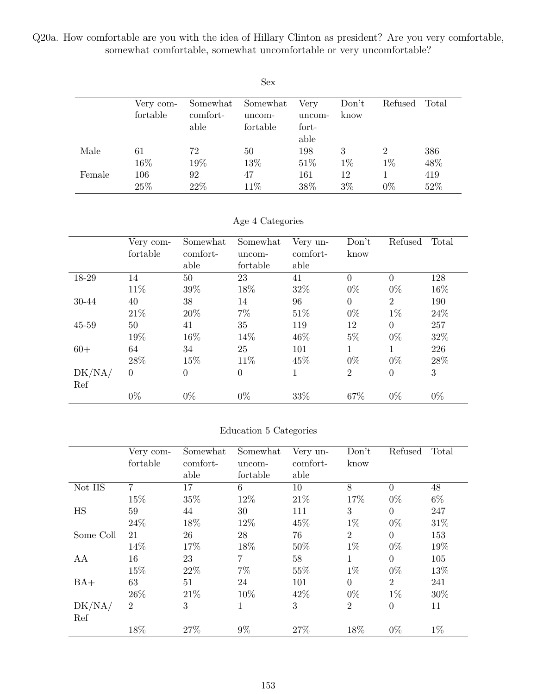Q20a. How comfortable are you with the idea of Hillary Clinton as president? Are you very comfortable, somewhat comfortable, somewhat uncomfortable or very uncomfortable?

|        |                       |                              | <b>Sex</b>                     |                                 |               |                         |            |
|--------|-----------------------|------------------------------|--------------------------------|---------------------------------|---------------|-------------------------|------------|
|        | Very com-<br>fortable | Somewhat<br>comfort-<br>able | Somewhat<br>uncom-<br>fortable | Very<br>uncom-<br>fort-<br>able | Don't<br>know | Refused                 | Total      |
| Male   | 61<br>16%             | 72<br>19%                    | 50<br>13%                      | 198<br>51\%                     | 3<br>$1\%$    | $\overline{2}$<br>$1\%$ | 386<br>48% |
| Female | 106<br>25%            | 92<br>22\%                   | 47<br>$11\%$                   | 161<br>38%                      | 12<br>$3\%$   | $0\%$                   | 419<br>52% |

Age 4 Categories

|        | Very com-<br>fortable | Somewhat<br>comfort-<br>able | Somewhat<br>uncom-<br>fortable | Very un-<br>comfort-<br>able | Don't<br>know  | Refused        | Total |
|--------|-----------------------|------------------------------|--------------------------------|------------------------------|----------------|----------------|-------|
| 18-29  | 14                    | 50                           | 23                             | 41                           | $\theta$       | $\theta$       | 128   |
|        | 11%                   | 39%                          | 18%                            | 32%                          | $0\%$          | $0\%$          | 16%   |
| 30-44  | 40                    | 38                           | 14                             | 96                           | $\overline{0}$ | $\overline{2}$ | 190   |
|        | 21\%                  | 20%                          | $7\%$                          | 51\%                         | $0\%$          | $1\%$          | 24%   |
| 45-59  | 50                    | 41                           | 35                             | 119                          | 12             | $\Omega$       | 257   |
|        | 19%                   | 16%                          | 14%                            | 46\%                         | $5\%$          | $0\%$          | 32%   |
| $60+$  | 64                    | 34                           | 25                             | 101                          | 1              | 1              | 226   |
|        | 28\%                  | 15%                          | 11\%                           | 45%                          | $0\%$          | $0\%$          | 28%   |
| DK/NA/ | $\theta$              | $\theta$                     | $\overline{0}$                 | 1                            | $\overline{2}$ | $\overline{0}$ | 3     |
| Ref    |                       |                              |                                |                              |                |                |       |
|        | $0\%$                 | $0\%$                        | $0\%$                          | 33%                          | 67%            | $0\%$          | $0\%$ |

#### Education 5 Categories

|           | Very com-<br>fortable | Somewhat<br>comfort- | Somewhat<br>uncom- | Very un-<br>comfort- | Don't<br>know  | Refused        | Total |
|-----------|-----------------------|----------------------|--------------------|----------------------|----------------|----------------|-------|
|           |                       | able                 | fortable           | able                 |                |                |       |
| Not HS    | $\overline{7}$        | 17                   | 6                  | 10                   | 8              | $\Omega$       | 48    |
|           | 15%                   | 35%                  | 12%                | 21\%                 | 17%            | $0\%$          | $6\%$ |
| <b>HS</b> | 59                    | 44                   | 30                 | 111                  | 3              | $\theta$       | 247   |
|           | 24\%                  | 18%                  | 12%                | 45%                  | $1\%$          | $0\%$          | 31\%  |
| Some Coll | 21                    | 26                   | 28                 | 76                   | $\overline{2}$ | $\overline{0}$ | 153   |
|           | 14%                   | 17%                  | 18%                | 50%                  | $1\%$          | $0\%$          | 19%   |
| AA        | 16                    | 23                   | 7                  | 58                   | $\mathbf{1}$   | $\theta$       | 105   |
|           | 15%                   | 22%                  | $7\%$              | 55%                  | $1\%$          | $0\%$          | 13%   |
| $BA+$     | 63                    | 51                   | 24                 | 101                  | $\Omega$       | $\overline{2}$ | 241   |
|           | 26\%                  | 21\%                 | 10%                | 42\%                 | $0\%$          | $1\%$          | 30%   |
| DK/NA/    | $\overline{2}$        | 3                    | 1                  | 3                    | $\overline{2}$ | $\theta$       | 11    |
| Ref       |                       |                      |                    |                      |                |                |       |
|           | 18%                   | 27%                  | $9\%$              | 27%                  | 18%            | $0\%$          | $1\%$ |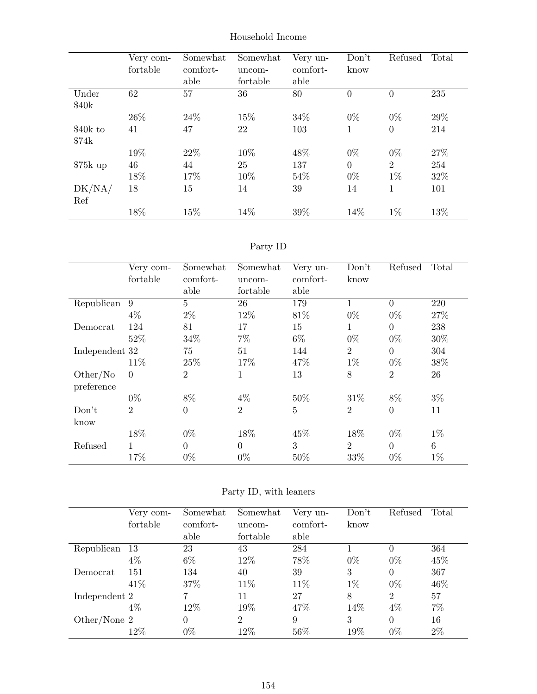|                    | Very com-<br>fortable | Somewhat<br>comfort-<br>able | Somewhat<br>uncom-<br>fortable | Very un-<br>comfort-<br>able | Don't<br>know  | Refused          | Total |
|--------------------|-----------------------|------------------------------|--------------------------------|------------------------------|----------------|------------------|-------|
| Under<br>\$40k     | 62                    | 57                           | 36                             | 80                           | $\theta$       | $\overline{0}$   | 235   |
|                    | 26\%                  | 24\%                         | 15%                            | 34%                          | $0\%$          | $0\%$            | 29%   |
| $$40k$ to<br>\$74k | 41                    | 47                           | 22                             | 103                          | 1              | $\boldsymbol{0}$ | 214   |
|                    | 19%                   | 22\%                         | 10%                            | 48%                          | $0\%$          | $0\%$            | 27%   |
| $$75k$ up          | 46                    | 44                           | 25                             | 137                          | $\overline{0}$ | $\overline{2}$   | 254   |
|                    | 18%                   | 17%                          | 10%                            | 54%                          | $0\%$          | $1\%$            | 32%   |
| DK/NA/<br>Ref      | 18                    | 15                           | 14                             | 39                           | 14             | 1                | 101   |
|                    | 18%                   | 15%                          | 14%                            | 39%                          | 14%            | $1\%$            | 13%   |

### Household Income

## Party ID

|                | Very com-      | Somewhat       | Somewhat       | Very un-       | Don't          | Refused        | Total |
|----------------|----------------|----------------|----------------|----------------|----------------|----------------|-------|
|                | fortable       | comfort-       | uncom-         | comfort-       | know           |                |       |
|                |                | able           | fortable       | able           |                |                |       |
| Republican     | 9              | $\overline{5}$ | 26             | 179            | 1              | $\theta$       | 220   |
|                | $4\%$          | $2\%$          | 12%            | 81%            | $0\%$          | $0\%$          | 27%   |
| Democrat       | 124            | 81             | 17             | 15             | 1              | $\theta$       | 238   |
|                | 52%            | 34%            | 7%             | $6\%$          | $0\%$          | $0\%$          | 30%   |
| Independent 32 |                | 75             | 51             | 144            | $\overline{2}$ | $\overline{0}$ | 304   |
|                | 11\%           | 25%            | 17%            | 47%            | $1\%$          | $0\%$          | 38%   |
| Other/No       | $\Omega$       | $\overline{2}$ | 1              | 13             | 8              | $\overline{2}$ | 26    |
| preference     |                |                |                |                |                |                |       |
|                | $0\%$          | 8%             | $4\%$          | 50%            | 31\%           | 8%             | $3\%$ |
| Don't          | $\overline{2}$ | $\overline{0}$ | $\overline{2}$ | $\overline{5}$ | $\overline{2}$ | $\overline{0}$ | 11    |
| know           |                |                |                |                |                |                |       |
|                | 18%            | $0\%$          | 18%            | 45%            | 18%            | $0\%$          | $1\%$ |
| Refused        | 1              | $\Omega$       | $\Omega$       | 3              | $\overline{2}$ | $\Omega$       | 6     |
|                | 17%            | $0\%$          | $0\%$          | 50%            | 33%            | $0\%$          | $1\%$ |

|                | Very com- | Somewhat | Somewhat       | Very un- | Don't | Refused        | Total |
|----------------|-----------|----------|----------------|----------|-------|----------------|-------|
|                | fortable  | comfort- | uncom-         | comfort- | know  |                |       |
|                |           | able     | fortable       | able     |       |                |       |
| Republican     | -13       | 23       | 43             | 284      |       | 0              | 364   |
|                | $4\%$     | $6\%$    | 12%            | 78%      | $0\%$ | $0\%$          | 45%   |
| Democrat       | 151       | 134      | 40             | 39       | 3     | $\theta$       | 367   |
|                | 41\%      | 37%      | 11\%           | 11\%     | $1\%$ | $0\%$          | 46%   |
| Independent 2  |           |          | 11             | 27       | 8     | $\overline{2}$ | 57    |
|                | $4\%$     | 12%      | 19%            | 47%      | 14%   | $4\%$          | $7\%$ |
| Other/None $2$ |           | $\Omega$ | $\overline{2}$ | 9        | 3     | $\overline{0}$ | 16    |
|                | $12\%$    | $0\%$    | 12%            | 56%      | 19%   | $0\%$          | $2\%$ |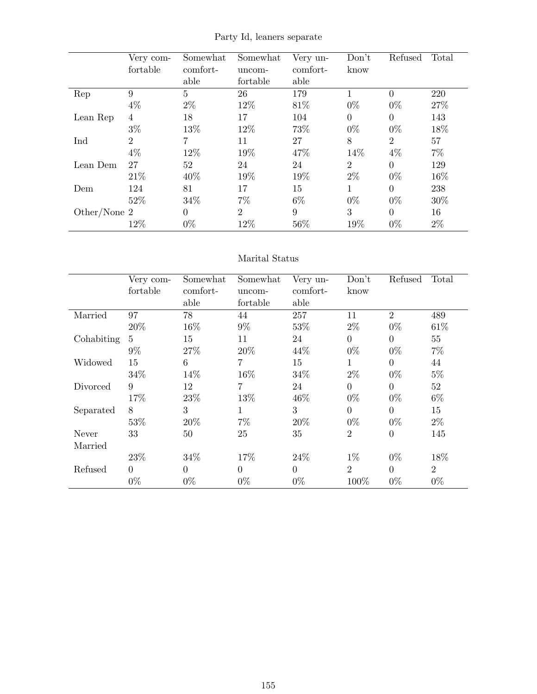|              | Very com-<br>fortable | Somewhat<br>comfort-<br>able | Somewhat<br>uncom-<br>fortable | Very un-<br>comfort-<br>able | Don't<br>know  | Refused        | Total |
|--------------|-----------------------|------------------------------|--------------------------------|------------------------------|----------------|----------------|-------|
| Rep          | 9                     | 5                            | 26                             | 179                          | 1              | $\theta$       | 220   |
|              | $4\%$                 | $2\%$                        | 12%                            | 81\%                         | $0\%$          | $0\%$          | 27%   |
| Lean Rep     | 4                     | 18                           | 17                             | 104                          | $\Omega$       | $\Omega$       | 143   |
|              | $3\%$                 | 13%                          | 12%                            | 73%                          | $0\%$          | $0\%$          | 18%   |
| Ind          | 2                     | $\overline{7}$               | 11                             | 27                           | 8              | $\overline{2}$ | 57    |
|              | $4\%$                 | 12%                          | 19%                            | 47%                          | 14%            | $4\%$          | $7\%$ |
| Lean Dem     | 27                    | 52                           | 24                             | 24                           | $\overline{2}$ | $\Omega$       | 129   |
|              | 21\%                  | 40%                          | 19%                            | 19%                          | $2\%$          | $0\%$          | 16%   |
| Dem          | 124                   | 81                           | 17                             | 15                           | 1              | $\Omega$       | 238   |
|              | 52%                   | 34%                          | $7\%$                          | $6\%$                        | $0\%$          | $0\%$          | 30%   |
| Other/None 2 |                       | $\theta$                     | $\overline{2}$                 | 9                            | 3              | $\theta$       | 16    |
|              | 12%                   | $0\%$                        | 12%                            | 56%                          | 19%            | $0\%$          | $2\%$ |

Party Id, leaners separate

#### Marital Status

|            | Very com-      | Somewhat       | Somewhat       | Very un-       | Don't          | Refused        | Total          |
|------------|----------------|----------------|----------------|----------------|----------------|----------------|----------------|
|            | fortable       | comfort-       | uncom-         | comfort-       | know           |                |                |
|            |                | able           | fortable       | able           |                |                |                |
| Married    | 97             | 78             | 44             | 257            | 11             | $\overline{2}$ | 489            |
|            | 20%            | 16%            | $9\%$          | 53%            | $2\%$          | $0\%$          | 61\%           |
| Cohabiting | $\overline{5}$ | 15             | 11             | 24             | $\Omega$       | $\Omega$       | 55             |
|            | $9\%$          | 27%            | 20%            | 44\%           | $0\%$          | $0\%$          | $7\%$          |
| Widowed    | 15             | 6              | 7              | 15             | 1              | $\Omega$       | 44             |
|            | 34\%           | 14%            | 16%            | 34%            | $2\%$          | $0\%$          | $5\%$          |
| Divorced   | 9              | 12             | $\overline{7}$ | 24             | $\Omega$       | $\overline{0}$ | 52             |
|            | 17%            | 23\%           | 13%            | 46%            | $0\%$          | $0\%$          | $6\%$          |
| Separated  | 8              | 3              | $\mathbf{1}$   | 3              | $\overline{0}$ | $\overline{0}$ | 15             |
|            | 53%            | 20%            | $7\%$          | 20%            | $0\%$          | $0\%$          | $2\%$          |
| Never      | 33             | 50             | 25             | 35             | $\overline{2}$ | $\overline{0}$ | 145            |
| Married    |                |                |                |                |                |                |                |
|            | 23\%           | 34\%           | 17%            | 24\%           | $1\%$          | $0\%$          | 18%            |
| Refused    | $\overline{0}$ | $\overline{0}$ | $\overline{0}$ | $\overline{0}$ | $\overline{2}$ | $\overline{0}$ | $\overline{2}$ |
|            | $0\%$          | $0\%$          | $0\%$          | $0\%$          | 100%           | $0\%$          | $0\%$          |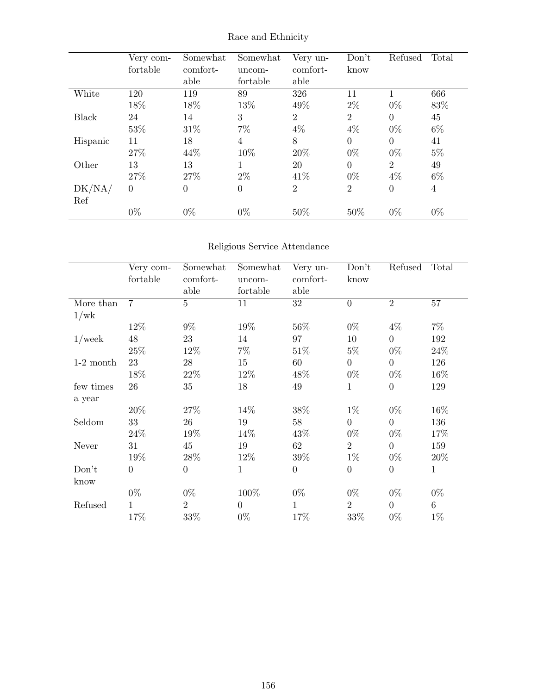|              | Very com-<br>fortable | Somewhat<br>comfort-<br>able | Somewhat<br>uncom-<br>fortable | Very un-<br>comfort-<br>able | Don't<br>know  | Refused        | Total          |
|--------------|-----------------------|------------------------------|--------------------------------|------------------------------|----------------|----------------|----------------|
| White        | 120                   | 119                          | 89                             | 326                          | 11             |                | 666            |
|              | 18%                   | 18%                          | 13%                            | 49%                          | $2\%$          | $0\%$          | 83%            |
| <b>Black</b> | 24                    | 14                           | 3                              | 2                            | $\overline{2}$ | $\Omega$       | 45             |
|              | 53%                   | 31\%                         | 7%                             | $4\%$                        | $4\%$          | $0\%$          | $6\%$          |
| Hispanic     | 11                    | 18                           | 4                              | 8                            | $\theta$       | $\Omega$       | 41             |
|              | 27%                   | 44\%                         | 10%                            | 20%                          | $0\%$          | $0\%$          | $5\%$          |
| Other        | 13                    | 13                           | 1                              | 20                           | $\overline{0}$ | $\overline{2}$ | 49             |
|              | 27\%                  | 27%                          | $2\%$                          | 41\%                         | $0\%$          | $4\%$          | $6\%$          |
| DK/NA/       | $\theta$              | $\overline{0}$               | $\boldsymbol{0}$               | $\overline{2}$               | $\overline{2}$ | $\overline{0}$ | $\overline{4}$ |
| Ref          |                       |                              |                                |                              |                |                |                |
|              | $0\%$                 | $0\%$                        | $0\%$                          | 50%                          | 50%            | $0\%$          | $0\%$          |

## Race and Ethnicity

## Religious Service Attendance

|             | Very com-      | Somewhat       | Somewhat     | Very un-         | Don't            | Refused          | Total          |
|-------------|----------------|----------------|--------------|------------------|------------------|------------------|----------------|
|             | fortable       | comfort-       | uncom-       | comfort-         | know             |                  |                |
|             |                | able           | fortable     | able             |                  |                  |                |
| More than   | $\overline{7}$ | $\overline{5}$ | 11           | 32               | $\overline{0}$   | $\overline{2}$   | 57             |
| 1/wk        |                |                |              |                  |                  |                  |                |
|             | 12%            | $9\%$          | 19%          | 56%              | $0\%$            | $4\%$            | $7\%$          |
| $1$ /week   | 48             | 23             | 14           | 97               | 10               | $\overline{0}$   | 192            |
|             | 25%            | 12\%           | $7\%$        | 51\%             | $5\%$            | $0\%$            | 24%            |
| $1-2$ month | 23             | $\sqrt{28}$    | 15           | 60               | $\overline{0}$   | $\overline{0}$   | 126            |
|             | 18%            | $22\%$         | 12\%         | 48%              | $0\%$            | $0\%$            | 16\%           |
| few times   | 26             | 35             | $18\,$       | 49               | $\mathbf{1}$     | $\overline{0}$   | 129            |
| a year      |                |                |              |                  |                  |                  |                |
|             | 20%            | 27\%           | 14%          | 38%              | $1\%$            | $0\%$            | 16%            |
| Seldom      | 33             | 26             | 19           | 58               | $\overline{0}$   | $\overline{0}$   | 136            |
|             | 24\%           | 19%            | 14%          | 43\%             | $0\%$            | $0\%$            | 17%            |
| Never       | 31             | 45             | 19           | 62               | $\overline{2}$   | $\overline{0}$   | 159            |
|             | 19%            | $28\%$         | 12%          | 39%              | $1\%$            | $0\%$            | 20%            |
| Don't       | $\overline{0}$ | $\overline{0}$ | $\mathbf{1}$ | $\boldsymbol{0}$ | $\boldsymbol{0}$ | $\boldsymbol{0}$ | $\mathbf{1}$   |
| know        |                |                |              |                  |                  |                  |                |
|             | $0\%$          | $0\%$          | 100%         | $0\%$            | $0\%$            | $0\%$            | $0\%$          |
| Refused     | $\mathbf 1$    | $\overline{2}$ | $\theta$     | $\mathbf 1$      | $\overline{2}$   | $\boldsymbol{0}$ | $6\phantom{.}$ |
|             | 17%            | 33%            | $0\%$        | 17%              | 33%              | $0\%$            | $1\%$          |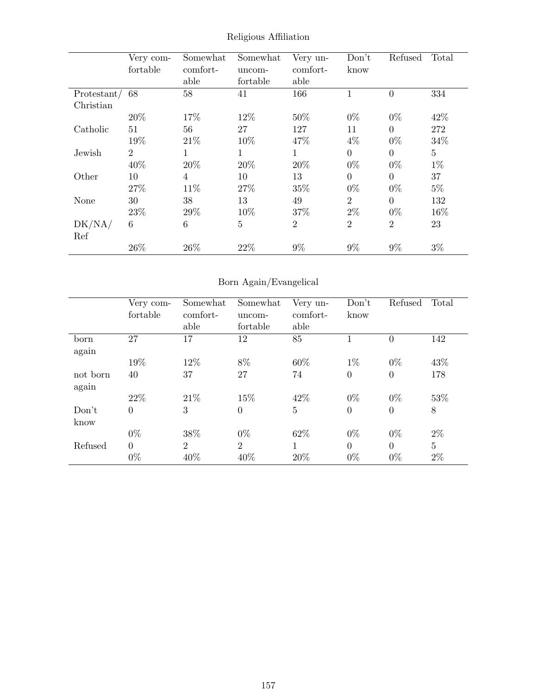|             | Very com-      | Somewhat       | Somewhat       | Very un-       | Don't            | Refused        | Total   |
|-------------|----------------|----------------|----------------|----------------|------------------|----------------|---------|
|             | fortable       | comfort-       | uncom-         | comfort-       | know             |                |         |
|             |                | able           | fortable       | able           |                  |                |         |
| Protestant/ | 68             | 58             | 41             | 166            | 1                | $\Omega$       | 334     |
| Christian   |                |                |                |                |                  |                |         |
|             | 20%            | 17%            | 12%            | 50%            | $0\%$            | $0\%$          | 42%     |
| Catholic    | 51             | 56             | 27             | 127            | 11               | $\overline{0}$ | 272     |
|             | 19%            | 21\%           | 10%            | 47%            | $4\%$            | $0\%$          | 34%     |
| Jewish      | $\overline{2}$ | 1              | $\mathbf 1$    | 1              | $\boldsymbol{0}$ | $\theta$       | $\bf 5$ |
|             | 40%            | 20%            | 20%            | 20%            | $0\%$            | $0\%$          | $1\%$   |
| Other       | 10             | $\overline{4}$ | 10             | 13             | $\overline{0}$   | $\Omega$       | 37      |
|             | 27%            | 11\%           | 27\%           | 35%            | $0\%$            | $0\%$          | $5\%$   |
| None        | 30             | 38             | 13             | 49             | $\overline{2}$   | $\Omega$       | 132     |
|             | 23%            | 29%            | 10%            | 37%            | $2\%$            | $0\%$          | 16%     |
| DK/NA/      | 6              | 6              | $\overline{5}$ | $\overline{2}$ | $\overline{2}$   | $\overline{2}$ | 23      |
| Ref         |                |                |                |                |                  |                |         |
|             | 26\%           | 26%            | 22%            | $9\%$          | $9\%$            | $9\%$          | $3\%$   |

Religious Affiliation

# Born Again/Evangelical

|          | Very com-      | Somewhat       | Somewhat       | Very un-       | Don't          | Refused  | Total          |
|----------|----------------|----------------|----------------|----------------|----------------|----------|----------------|
|          | fortable       | comfort-       | uncom-         | comfort-       | know           |          |                |
|          |                | able           | fortable       | able           |                |          |                |
| born     | 27             | 17             | 12             | 85             |                | $\theta$ | 142            |
| again    |                |                |                |                |                |          |                |
|          | 19%            | 12%            | 8%             | 60%            | $1\%$          | $0\%$    | 43%            |
| not born | 40             | 37             | 27             | 74             | $\overline{0}$ | $\theta$ | 178            |
| again    |                |                |                |                |                |          |                |
|          | 22\%           | 21\%           | 15%            | 42\%           | $0\%$          | $0\%$    | 53%            |
| Don't    | $\overline{0}$ | 3              | $\overline{0}$ | $\overline{5}$ | $\overline{0}$ | $\theta$ | 8              |
| know     |                |                |                |                |                |          |                |
|          | $0\%$          | 38%            | $0\%$          | 62%            | $0\%$          | $0\%$    | $2\%$          |
| Refused  | $\overline{0}$ | $\overline{2}$ | $\overline{2}$ | 1              | $\overline{0}$ | $\theta$ | $\overline{5}$ |
|          | $0\%$          | 40%            | 40%            | 20%            | $0\%$          | $0\%$    | $2\%$          |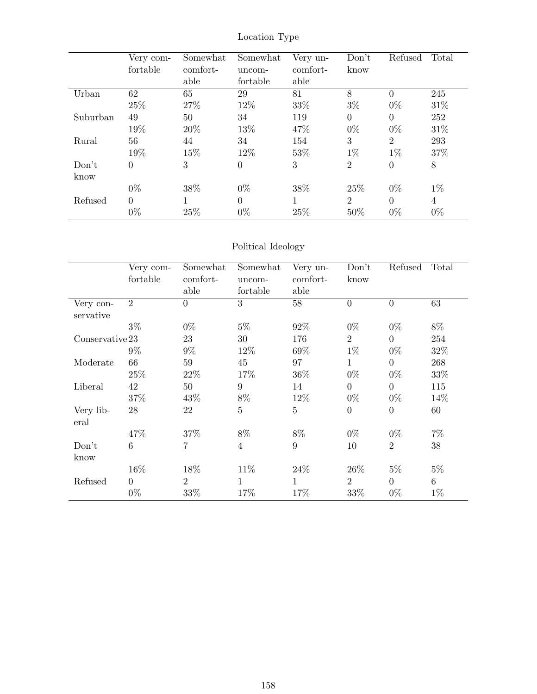|          | Very com-<br>fortable | Somewhat<br>comfort- | Somewhat<br>uncom- | Very un-<br>comfort- | Don't<br>know  | Refused        | Total          |
|----------|-----------------------|----------------------|--------------------|----------------------|----------------|----------------|----------------|
|          |                       | able                 | fortable           | able                 |                |                |                |
| Urban    | 62                    | 65                   | 29                 | 81                   | 8              | $\Omega$       | 245            |
|          | 25\%                  | 27%                  | 12%                | 33%                  | $3\%$          | $0\%$          | 31%            |
| Suburban | 49                    | 50                   | 34                 | 119                  | $\overline{0}$ | $\theta$       | 252            |
|          | 19%                   | 20%                  | 13%                | 47%                  | $0\%$          | $0\%$          | 31\%           |
| Rural    | 56                    | 44                   | 34                 | 154                  | 3              | $\overline{2}$ | 293            |
|          | 19%                   | 15%                  | 12%                | 53%                  | $1\%$          | $1\%$          | 37%            |
| Don't    | $\theta$              | 3                    | $\theta$           | 3                    | $\overline{2}$ | $\theta$       | 8              |
| know     |                       |                      |                    |                      |                |                |                |
|          | $0\%$                 | 38%                  | $0\%$              | 38%                  | 25%            | $0\%$          | $1\%$          |
| Refused  | $\Omega$              |                      | $\theta$           | 1                    | $\overline{2}$ | $\Omega$       | $\overline{4}$ |
|          | $0\%$                 | 25%                  | $0\%$              | 25%                  | 50%            | $0\%$          | $0\%$          |

## Location Type

## Political Ideology

|                        | Very com-<br>fortable | Somewhat<br>comfort-<br>able | Somewhat<br>uncom-<br>fortable | Very un-<br>comfort-<br>able | Don't<br>know    | Refused          | Total |
|------------------------|-----------------------|------------------------------|--------------------------------|------------------------------|------------------|------------------|-------|
| Very con-<br>servative | $\overline{2}$        | $\overline{0}$               | 3                              | 58                           | $\overline{0}$   | $\boldsymbol{0}$ | 63    |
|                        | $3\%$                 | $0\%$                        | $5\%$                          | 92%                          | $0\%$            | $0\%$            | 8%    |
| Conserveative 23       |                       | 23                           | 30                             | 176                          | $\overline{2}$   | $\overline{0}$   | 254   |
|                        | $9\%$                 | $9\%$                        | 12%                            | 69%                          | $1\%$            | $0\%$            | 32%   |
| Moderate               | 66                    | 59                           | 45                             | 97                           | $\mathbf{1}$     | $\boldsymbol{0}$ | 268   |
|                        | 25%                   | 22\%                         | 17\%                           | 36\%                         | $0\%$            | $0\%$            | 33%   |
| Liberal                | 42                    | 50                           | 9                              | 14                           | $\boldsymbol{0}$ | $\boldsymbol{0}$ | 115   |
|                        | 37%                   | 43\%                         | $8\%$                          | 12%                          | $0\%$            | $0\%$            | 14%   |
| Very lib-<br>eral      | 28                    | 22                           | $\overline{5}$                 | $\overline{5}$               | $\boldsymbol{0}$ | $\boldsymbol{0}$ | 60    |
|                        | 47%                   | 37%                          | $8\%$                          | 8%                           | $0\%$            | $0\%$            | $7\%$ |
| Don't<br>know          | $6\phantom{.}6$       | $\overline{7}$               | $\overline{4}$                 | $\boldsymbol{9}$             | 10               | $\overline{2}$   | 38    |
|                        | 16\%                  | 18%                          | 11\%                           | 24\%                         | 26\%             | $5\%$            | $5\%$ |
| Refused                | $\overline{0}$        | 2                            | $\mathbf{1}$                   | $\mathbf{1}$                 | $\overline{2}$   | $\overline{0}$   | $6\,$ |
|                        | $0\%$                 | 33%                          | 17%                            | 17%                          | 33%              | $0\%$            | $1\%$ |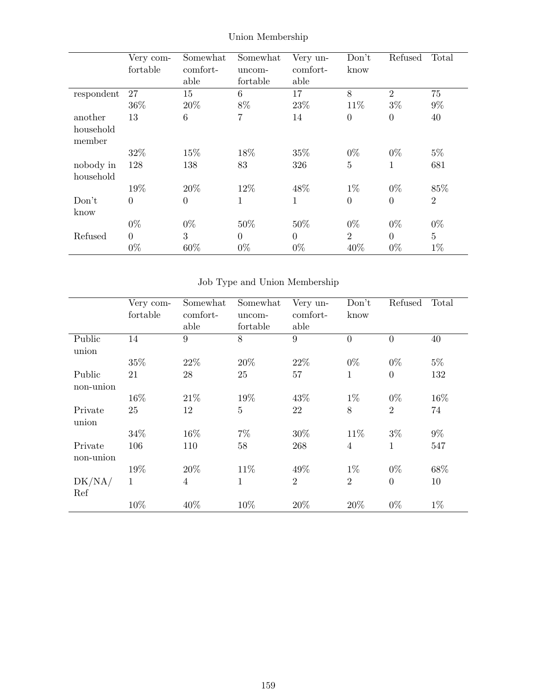|            | Very com-      | Somewhat       | Somewhat     | Very un-       | Don't          | Refused          | Total          |
|------------|----------------|----------------|--------------|----------------|----------------|------------------|----------------|
|            | fortable       | comfort-       | uncom-       | comfort-       | know           |                  |                |
|            |                | able           | fortable     | able           |                |                  |                |
| respondent | 27             | 15             | 6            | 17             | 8              | $\overline{2}$   | 75             |
|            | 36%            | 20%            | 8%           | 23%            | 11%            | $3\%$            | $9\%$          |
| another    | 13             | 6              | 7            | 14             | $\overline{0}$ | $\overline{0}$   | 40             |
| household  |                |                |              |                |                |                  |                |
| member     |                |                |              |                |                |                  |                |
|            | 32%            | 15%            | 18%          | 35%            | $0\%$          | $0\%$            | $5\%$          |
| nobody in  | 128            | 138            | 83           | 326            | $\overline{5}$ | 1                | 681            |
| household  |                |                |              |                |                |                  |                |
|            | 19%            | 20%            | 12%          | 48%            | $1\%$          | $0\%$            | 85%            |
| Don't      | $\overline{0}$ | $\overline{0}$ | $\mathbf{1}$ | 1              | $\overline{0}$ | $\boldsymbol{0}$ | $\overline{2}$ |
| know       |                |                |              |                |                |                  |                |
|            | $0\%$          | $0\%$          | 50%          | 50%            | $0\%$          | $0\%$            | $0\%$          |
| Refused    | $\theta$       | 3              | $\theta$     | $\overline{0}$ | $\overline{2}$ | $\overline{0}$   | $\overline{5}$ |
|            | $0\%$          | 60%            | $0\%$        | $0\%$          | 40%            | $0\%$            | $1\%$          |

## Union Membership

# Job Type and Union Membership

|                      | Very com-<br>fortable | Somewhat<br>comfort-<br>able | Somewhat<br>uncom-<br>fortable | Very un-<br>comfort-<br>able | Don't<br>know  | Refused        | Total |
|----------------------|-----------------------|------------------------------|--------------------------------|------------------------------|----------------|----------------|-------|
| Public<br>union      | 14                    | 9                            | 8                              | 9                            | $\overline{0}$ | $\overline{0}$ | 40    |
|                      | 35%                   | 22\%                         | 20%                            | 22%                          | $0\%$          | $0\%$          | $5\%$ |
| Public<br>non-union  | 21                    | 28                           | 25                             | 57                           | 1              | $\overline{0}$ | 132   |
|                      | 16%                   | 21\%                         | 19%                            | 43%                          | $1\%$          | $0\%$          | 16%   |
| Private<br>union     | 25                    | 12                           | $\bf 5$                        | 22                           | 8              | $\overline{2}$ | 74    |
|                      | 34%                   | 16\%                         | $7\%$                          | 30\%                         | 11\%           | $3\%$          | $9\%$ |
| Private<br>non-union | 106                   | 110                          | 58                             | 268                          | $\overline{4}$ | 1              | 547   |
|                      | 19%                   | 20%                          | 11\%                           | 49%                          | $1\%$          | $0\%$          | 68%   |
| DK/NA/<br>Ref        | $\mathbf{1}$          | $\overline{4}$               | 1                              | $\overline{2}$               | $\overline{2}$ | $\overline{0}$ | 10    |
|                      | 10%                   | 40%                          | 10%                            | 20%                          | 20%            | $0\%$          | $1\%$ |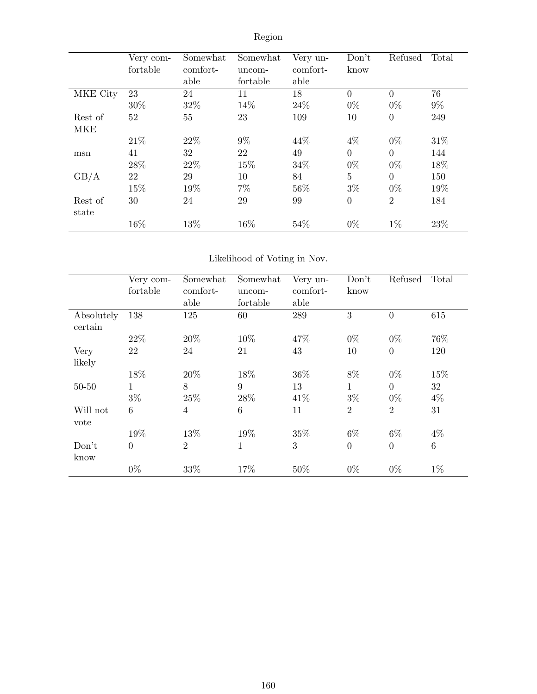|                  | Very com-<br>fortable | Somewhat<br>comfort-<br>able | Somewhat<br>uncom-<br>fortable | Very un-<br>comfort-<br>able | Don't<br>know   | Refused          | Total |
|------------------|-----------------------|------------------------------|--------------------------------|------------------------------|-----------------|------------------|-------|
| MKE City         | 23                    | 24                           | 11                             | 18                           | $\theta$        | $\theta$         | 76    |
|                  | 30\%                  | 32%                          | 14%                            | 24\%                         | $0\%$           | $0\%$            | $9\%$ |
| Rest of          | 52                    | 55                           | 23                             | 109                          | 10              | $\boldsymbol{0}$ | 249   |
| MKE              |                       |                              |                                |                              |                 |                  |       |
|                  | 21\%                  | 22\%                         | $9\%$                          | 44\%                         | $4\%$           | $0\%$            | 31\%  |
| msn              | 41                    | 32                           | 22                             | 49                           | $\overline{0}$  | $\overline{0}$   | 144   |
|                  | 28\%                  | 22\%                         | 15%                            | 34\%                         | $0\%$           | $0\%$            | 18%   |
| GB/A             | 22                    | 29                           | 10                             | 84                           | $5\phantom{.0}$ | $\overline{0}$   | 150   |
|                  | 15%                   | 19%                          | $7\%$                          | 56%                          | $3\%$           | $0\%$            | 19%   |
| Rest of<br>state | 30                    | 24                           | 29                             | 99                           | $\overline{0}$  | $\overline{2}$   | 184   |
|                  | 16%                   | 13%                          | 16%                            | 54%                          | $0\%$           | $1\%$            | 23\%  |

# Region

## Likelihood of Voting in Nov.

|                       | Very com-<br>fortable | Somewhat<br>comfort-<br>able | Somewhat<br>uncom-<br>fortable | Very un-<br>comfort-<br>able | Don't<br>know  | Refused           | Total           |
|-----------------------|-----------------------|------------------------------|--------------------------------|------------------------------|----------------|-------------------|-----------------|
| Absolutely<br>certain | 138                   | 125                          | 60                             | 289                          | 3              | $\theta$          | 615             |
|                       | 22%                   | 20%                          | 10%                            | 47%                          | $0\%$          | $0\%$             | 76%             |
| Very<br>likely        | 22                    | 24                           | 21                             | 43                           | 10             | $\theta$          | 120             |
|                       | 18%                   | 20%                          | 18%                            | 36%                          | 8%             | $0\%$             | 15%             |
| $50 - 50$             | 1<br>$3\%$            | 8<br>25%                     | 9<br>28\%                      | 13<br>41\%                   | 1<br>$3\%$     | $\Omega$<br>$0\%$ | 32<br>$4\%$     |
| Will not<br>vote      | 6                     | $\overline{4}$               | 6                              | 11                           | $\overline{2}$ | $\overline{2}$    | 31              |
|                       | 19%                   | 13%                          | 19%                            | 35%                          | $6\%$          | $6\%$             | $4\%$           |
| Don't<br>know         | $\overline{0}$        | $\overline{2}$               | 1                              | 3                            | $\overline{0}$ | $\Omega$          | $6\phantom{.}6$ |
|                       | $0\%$                 | 33%                          | 17%                            | 50%                          | $0\%$          | $0\%$             | $1\%$           |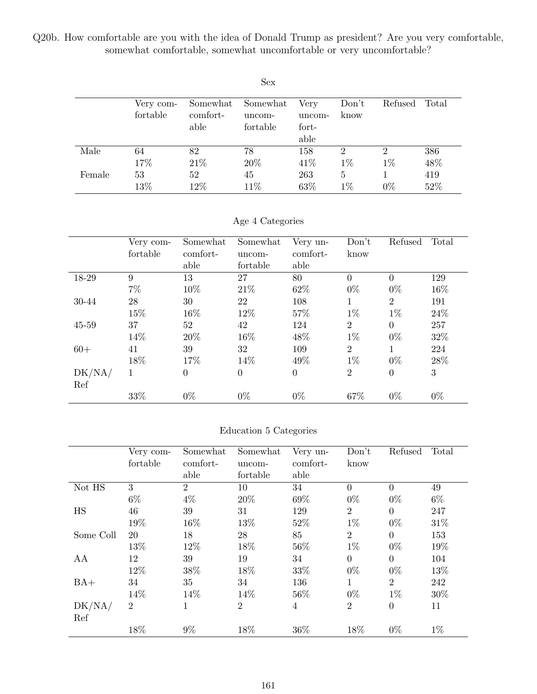Q20b. How comfortable are you with the idea of Donald Trump as president? Are you very comfortable, somewhat comfortable, somewhat uncomfortable or very uncomfortable?

|        |                       |                              | <b>Sex</b>                     |                                 |                         |                         |            |
|--------|-----------------------|------------------------------|--------------------------------|---------------------------------|-------------------------|-------------------------|------------|
|        | Very com-<br>fortable | Somewhat<br>comfort-<br>able | Somewhat<br>uncom-<br>fortable | Very<br>uncom-<br>fort-<br>able | Don't<br>know           | Refused                 | Total      |
| Male   | 64<br>17%             | 82<br>21\%                   | 78<br>$20\%$                   | 158<br>41\%                     | $\overline{2}$<br>$1\%$ | $\overline{2}$<br>$1\%$ | 386<br>48% |
| Female | 53<br>13%             | 52<br>12%                    | 45<br>$11\%$                   | 263<br>63%                      | 5<br>$1\%$              | $0\%$                   | 419<br>52% |

Age 4 Categories

|           | Very com-<br>fortable | Somewhat<br>comfort-<br>able | Somewhat<br>uncom-<br>fortable | Very un-<br>comfort-<br>able | Don't<br>know  | Refused        | Total  |
|-----------|-----------------------|------------------------------|--------------------------------|------------------------------|----------------|----------------|--------|
| 18-29     | 9                     | 13                           | 27                             | 80                           | $\overline{0}$ | $\theta$       | 129    |
|           | $7\%$                 | 10%                          | 21\%                           | 62%                          | $0\%$          | $0\%$          | 16%    |
| 30-44     | 28                    | 30                           | 22                             | 108                          | 1              | 2              | 191    |
|           | 15%                   | 16%                          | 12\%                           | 57%                          | $1\%$          | $1\%$          | 24%    |
| $45 - 59$ | 37                    | 52                           | 42                             | 124                          | $\overline{2}$ | $\Omega$       | 257    |
|           | 14%                   | 20%                          | 16%                            | 48%                          | $1\%$          | $0\%$          | $32\%$ |
| $60+$     | 41                    | 39                           | 32                             | 109                          | $\overline{2}$ | 1              | 224    |
|           | 18%                   | 17%                          | 14%                            | 49%                          | $1\%$          | $0\%$          | 28\%   |
| DK/NA/    | 1                     | $\overline{0}$               | $\overline{0}$                 | $\boldsymbol{0}$             | $\overline{2}$ | $\overline{0}$ | 3      |
| Ref       |                       |                              |                                |                              |                |                |        |
|           | 33%                   | $0\%$                        | $0\%$                          | $0\%$                        | 67%            | $0\%$          | $0\%$  |

#### Education 5 Categories

|           | Very com- | Somewhat       | Somewhat       | Very un-       | Don't          | Refused        | Total |
|-----------|-----------|----------------|----------------|----------------|----------------|----------------|-------|
|           | fortable  | comfort-       | uncom-         | comfort-       | know           |                |       |
|           |           | able           | fortable       | able           |                |                |       |
| Not HS    | 3         | $\overline{2}$ | 10             | 34             | $\theta$       | $\theta$       | 49    |
|           | $6\%$     | $4\%$          | 20%            | 69%            | $0\%$          | $0\%$          | $6\%$ |
| HS        | 46        | 39             | 31             | 129            | $\overline{2}$ | $\theta$       | 247   |
|           | 19%       | 16%            | 13%            | 52%            | $1\%$          | $0\%$          | 31\%  |
| Some Coll | 20        | 18             | 28             | 85             | $\overline{2}$ | $\overline{0}$ | 153   |
|           | 13%       | 12%            | 18%            | 56%            | $1\%$          | $0\%$          | 19%   |
| AA        | 12        | 39             | 19             | 34             | $\theta$       | $\overline{0}$ | 104   |
|           | 12%       | 38%            | 18%            | 33%            | $0\%$          | $0\%$          | 13%   |
| $BA+$     | 34        | 35             | 34             | 136            | $\mathbf{1}$   | $\overline{2}$ | 242   |
|           | 14%       | 14%            | 14%            | 56%            | $0\%$          | $1\%$          | 30%   |
| DK/NA/    | 2         | 1              | $\overline{2}$ | $\overline{4}$ | $\overline{2}$ | $\overline{0}$ | 11    |
| Ref       |           |                |                |                |                |                |       |
|           | 18%       | $9\%$          | 18%            | 36%            | 18%            | $0\%$          | $1\%$ |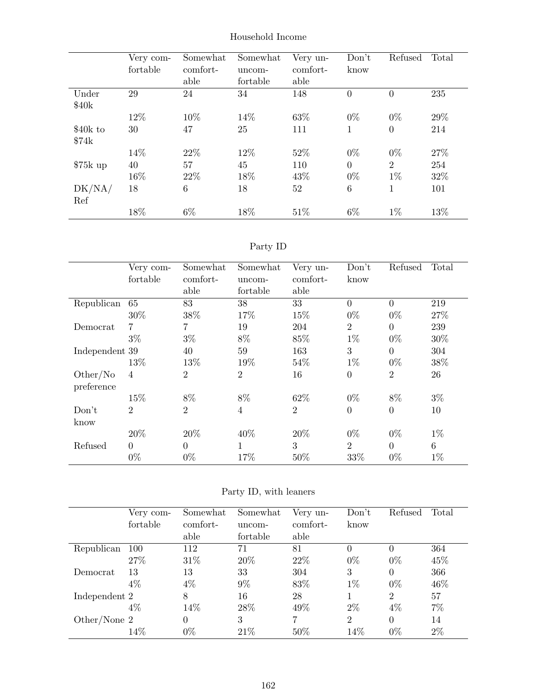|           | Very com- | Somewhat | Somewhat | Very un- | Don't          | Refused          | Total |
|-----------|-----------|----------|----------|----------|----------------|------------------|-------|
|           | fortable  | comfort- | uncom-   | comfort- | know           |                  |       |
|           |           | able     | fortable | able     |                |                  |       |
| Under     | 29        | 24       | 34       | 148      | $\overline{0}$ | $\overline{0}$   | 235   |
| \$40k     |           |          |          |          |                |                  |       |
|           | 12%       | 10%      | 14\%     | 63%      | $0\%$          | $0\%$            | 29%   |
| $$40k$ to | 30        | 47       | 25       | 111      | 1              | $\boldsymbol{0}$ | 214   |
| \$74k     |           |          |          |          |                |                  |       |
|           | 14%       | 22\%     | 12%      | 52%      | $0\%$          | $0\%$            | 27%   |
| $$75k$ up | 40        | 57       | 45       | 110      | $\overline{0}$ | $\overline{2}$   | 254   |
|           | 16%       | 22\%     | 18%      | 43\%     | $0\%$          | $1\%$            | 32%   |
| DK/NA/    | 18        | 6        | 18       | 52       | 6              | 1                | 101   |
| Ref       |           |          |          |          |                |                  |       |
|           | 18%       | $6\%$    | 18%      | 51\%     | $6\%$          | $1\%$            | 13%   |

### Household Income

## Party ID

|                | Very com-      | Somewhat       | Somewhat       | Very un-       | Don't            | Refused        | Total |
|----------------|----------------|----------------|----------------|----------------|------------------|----------------|-------|
|                | fortable       | comfort-       | uncom-         | comfort-       | know             |                |       |
|                |                | able           | fortable       | able           |                  |                |       |
| Republican     | 65             | 83             | 38             | 33             | $\overline{0}$   | $\overline{0}$ | 219   |
|                | $30\%$         | 38%            | 17%            | 15%            | $0\%$            | $0\%$          | 27%   |
| Democrat       | 7              | 7              | 19             | 204            | $\overline{2}$   | $\theta$       | 239   |
|                | $3\%$          | $3\%$          | 8%             | 85%            | $1\%$            | $0\%$          | 30%   |
| Independent 39 |                | 40             | 59             | 163            | 3                | $\overline{0}$ | 304   |
|                | 13%            | 13%            | 19%            | 54%            | $1\%$            | $0\%$          | 38%   |
| Other/No       | $\overline{4}$ | $\overline{2}$ | $\overline{2}$ | 16             | $\boldsymbol{0}$ | $\overline{2}$ | 26    |
| preference     |                |                |                |                |                  |                |       |
|                | 15%            | 8%             | 8%             | 62\%           | $0\%$            | 8%             | $3\%$ |
| Don't          | $\overline{2}$ | $\overline{2}$ | $\overline{4}$ | $\overline{2}$ | $\theta$         | $\overline{0}$ | 10    |
| know           |                |                |                |                |                  |                |       |
|                | 20%            | 20%            | 40%            | 20%            | $0\%$            | $0\%$          | $1\%$ |
| Refused        | $\Omega$       | $\Omega$       | 1              | 3              | $\overline{2}$   | $\Omega$       | 6     |
|                | $0\%$          | $0\%$          | 17%            | 50%            | 33%              | $0\%$          | $1\%$ |

|                | Very com-<br>fortable | Somewhat<br>comfort-<br>able | Somewhat<br>uncom-<br>fortable | Very un-<br>comfort-<br>able | Don't<br>know  | Refused  | Total |
|----------------|-----------------------|------------------------------|--------------------------------|------------------------------|----------------|----------|-------|
| Republican     | 100                   | 112                          | 71                             | 81                           | 0              | 0        | 364   |
|                | 27\%                  | 31\%                         | 20%                            | 22%                          | $0\%$          | $0\%$    | 45%   |
| Democrat       | 13                    | 13                           | 33                             | 304                          | 3              | 0        | 366   |
|                | $4\%$                 | $4\%$                        | $9\%$                          | 83%                          | $1\%$          | $0\%$    | 46%   |
| Independent 2  |                       | 8                            | 16                             | 28                           |                | 2        | 57    |
|                | $4\%$                 | 14%                          | 28\%                           | 49%                          | $2\%$          | 4%       | $7\%$ |
| Other/None $2$ |                       | $\Omega$                     | 3                              | 7                            | $\overline{2}$ | $\theta$ | 14    |
|                | 14\%                  | $0\%$                        | 21\%                           | 50%                          | 14%            | $0\%$    | 2%    |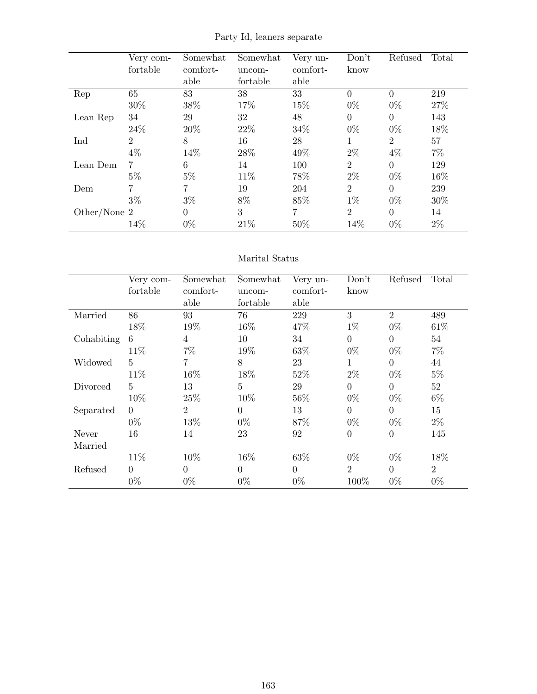|              | Very com-<br>fortable | Somewhat<br>comfort-<br>able | Somewhat<br>uncom-<br>fortable | Very un-<br>comfort-<br>able | Don't<br>know  | Refused        | Total |
|--------------|-----------------------|------------------------------|--------------------------------|------------------------------|----------------|----------------|-------|
| Rep          | 65                    | 83                           | 38                             | 33                           | $\theta$       | $\theta$       | 219   |
|              | 30%                   | 38%                          | 17%                            | 15%                          | $0\%$          | $0\%$          | 27%   |
| Lean Rep     | 34                    | 29                           | 32                             | 48                           | $\Omega$       | $\theta$       | 143   |
|              | 24\%                  | 20%                          | 22%                            | 34%                          | $0\%$          | $0\%$          | 18%   |
| Ind          | $\overline{2}$        | 8                            | 16                             | 28                           | 1              | $\overline{2}$ | 57    |
|              | $4\%$                 | 14%                          | 28%                            | 49%                          | $2\%$          | $4\%$          | $7\%$ |
| Lean Dem     | $\overline{7}$        | 6                            | 14                             | 100                          | $\overline{2}$ | $\theta$       | 129   |
|              | $5\%$                 | $5\%$                        | 11\%                           | 78%                          | $2\%$          | $0\%$          | 16%   |
| Dem          | $\overline{7}$        | $\overline{7}$               | 19                             | 204                          | $\overline{2}$ | $\theta$       | 239   |
|              | $3\%$                 | $3\%$                        | 8%                             | 85%                          | $1\%$          | $0\%$          | 30%   |
| Other/None 2 |                       | $\overline{0}$               | 3                              | 7                            | $\overline{2}$ | $\theta$       | 14    |
|              | 14%                   | $0\%$                        | 21%                            | 50%                          | 14%            | $0\%$          | $2\%$ |

Party Id, leaners separate

### Marital Status

|            | Very com- | Somewhat       | Somewhat       | Very un-       | Don't          | Refused        | Total          |
|------------|-----------|----------------|----------------|----------------|----------------|----------------|----------------|
|            | fortable  | comfort-       | uncom-         | comfort-       | know           |                |                |
|            |           | able           | fortable       | able           |                |                |                |
| Married    | 86        | 93             | 76             | 229            | 3              | $\overline{2}$ | 489            |
|            | 18%       | 19%            | 16%            | 47%            | $1\%$          | $0\%$          | 61\%           |
| Cohabiting | 6         | 4              | 10             | 34             | $\overline{0}$ | $\theta$       | 54             |
|            | 11\%      | $7\%$          | 19%            | 63%            | $0\%$          | $0\%$          | $7\%$          |
| Widowed    | 5         | 7              | 8              | 23             | 1              | $\theta$       | 44             |
|            | 11%       | 16%            | 18%            | 52%            | $2\%$          | $0\%$          | $5\%$          |
| Divorced   | 5         | 13             | $\overline{5}$ | 29             | $\overline{0}$ | $\overline{0}$ | 52             |
|            | 10%       | 25%            | 10%            | 56%            | $0\%$          | $0\%$          | $6\%$          |
| Separated  | $\Omega$  | $\overline{2}$ | $\Omega$       | 13             | $\overline{0}$ | $\theta$       | 15             |
|            | $0\%$     | 13%            | $0\%$          | 87%            | $0\%$          | $0\%$          | $2\%$          |
| Never      | 16        | 14             | 23             | 92             | $\overline{0}$ | $\overline{0}$ | 145            |
| Married    |           |                |                |                |                |                |                |
|            | 11\%      | 10%            | 16%            | 63%            | $0\%$          | $0\%$          | 18%            |
| Refused    | $\Omega$  | $\Omega$       | $\Omega$       | $\overline{0}$ | $\overline{2}$ | $\theta$       | $\overline{2}$ |
|            | $0\%$     | $0\%$          | $0\%$          | $0\%$          | 100%           | $0\%$          | $0\%$          |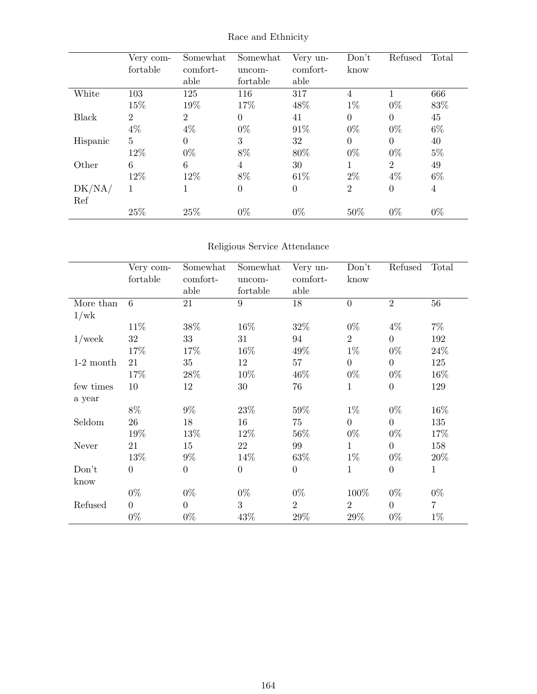|              | Very com-<br>fortable | Somewhat<br>comfort-<br>able | Somewhat<br>uncom-<br>fortable | Very un-<br>comfort-<br>able | Don't<br>know  | Refused        | Total          |
|--------------|-----------------------|------------------------------|--------------------------------|------------------------------|----------------|----------------|----------------|
| White        | 103                   | 125                          | 116                            | 317                          | 4              |                | 666            |
|              | 15%                   | 19%                          | 17%                            | 48%                          | $1\%$          | $0\%$          | 83%            |
| <b>Black</b> | $\overline{2}$        | $\overline{2}$               | $\overline{0}$                 | 41                           | $\Omega$       | $\Omega$       | 45             |
|              | $4\%$                 | $4\%$                        | $0\%$                          | 91%                          | $0\%$          | $0\%$          | $6\%$          |
| Hispanic     | 5                     | $\Omega$                     | 3                              | 32                           | $\Omega$       | $\theta$       | 40             |
|              | 12%                   | $0\%$                        | 8%                             | 80%                          | $0\%$          | $0\%$          | $5\%$          |
| Other        | 6                     | 6                            | 4                              | 30                           |                | $\overline{2}$ | 49             |
|              | 12%                   | 12%                          | 8%                             | 61\%                         | $2\%$          | $4\%$          | $6\%$          |
| DK/NA/       | 1                     |                              | $\boldsymbol{0}$               | $\theta$                     | $\overline{2}$ | $\overline{0}$ | $\overline{4}$ |
| Ref          |                       |                              |                                |                              |                |                |                |
|              | 25%                   | 25%                          | $0\%$                          | $0\%$                        | 50%            | $0\%$          | $0\%$          |

## Race and Ethnicity

## Religious Service Attendance

|             | Very com-<br>fortable | Somewhat<br>comfort-<br>able | Somewhat<br>uncom-<br>fortable | Very un-<br>comfort-<br>able | Don't<br>know    | Refused          | Total        |
|-------------|-----------------------|------------------------------|--------------------------------|------------------------------|------------------|------------------|--------------|
| More than   | 6                     | $21\,$                       | 9                              | 18                           | $\overline{0}$   | $\overline{2}$   | 56           |
| 1/wk        |                       |                              |                                |                              |                  |                  |              |
|             | 11%                   | 38%                          | 16%                            | 32%                          | $0\%$            | $4\%$            | $7\%$        |
| $1$ /week   | 32                    | 33                           | 31                             | 94                           | $\overline{2}$   | $\overline{0}$   | 192          |
|             | 17%                   | 17%                          | 16%                            | 49%                          | $1\%$            | $0\%$            | 24\%         |
| $1-2$ month | 21                    | $35\,$                       | 12                             | 57                           | $\boldsymbol{0}$ | $\overline{0}$   | 125          |
|             | 17%                   | 28\%                         | 10%                            | 46%                          | $0\%$            | $0\%$            | 16%          |
| few times   | 10                    | 12                           | 30                             | 76                           | $\mathbf{1}$     | $\boldsymbol{0}$ | 129          |
| a year      |                       |                              |                                |                              |                  |                  |              |
|             | 8%                    | $9\%$                        | 23%                            | 59%                          | $1\%$            | $0\%$            | 16%          |
| Seldom      | 26                    | 18                           | 16                             | 75                           | $\overline{0}$   | $\boldsymbol{0}$ | 135          |
|             | 19%                   | 13%                          | 12%                            | 56%                          | $0\%$            | $0\%$            | 17%          |
| Never       | 21                    | 15                           | 22                             | 99                           | 1                | $\overline{0}$   | 158          |
|             | 13%                   | $9\%$                        | 14%                            | 63%                          | $1\%$            | $0\%$            | 20%          |
| Don't       | $\overline{0}$        | $\overline{0}$               | $\boldsymbol{0}$               | $\boldsymbol{0}$             | $\mathbf{1}$     | $\boldsymbol{0}$ | $\mathbf{1}$ |
| know        |                       |                              |                                |                              |                  |                  |              |
|             | $0\%$                 | $0\%$                        | $0\%$                          | $0\%$                        | 100%             | $0\%$            | $0\%$        |
| Refused     | $\overline{0}$        | $\overline{0}$               | 3                              | $\overline{2}$               | $\overline{2}$   | $\overline{0}$   | $\sqrt{7}$   |
|             | $0\%$                 | $0\%$                        | 43%                            | 29%                          | 29%              | $0\%$            | $1\%$        |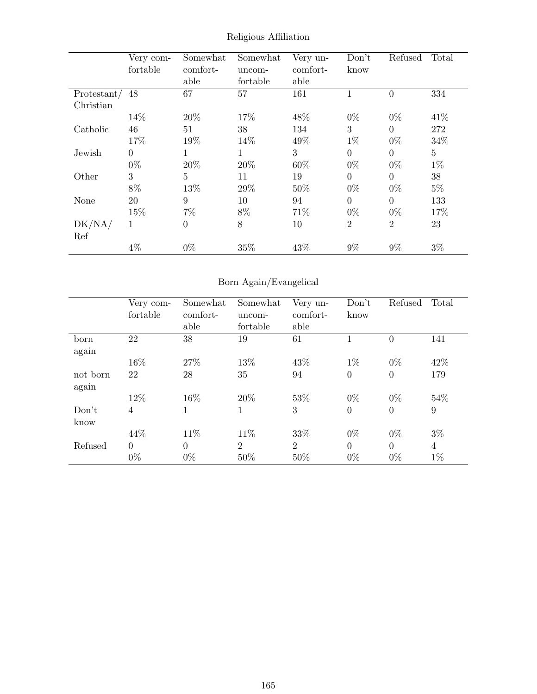|             | Very com-      | Somewhat       | Somewhat    | Very un- | Don't            | Refused        | Total   |
|-------------|----------------|----------------|-------------|----------|------------------|----------------|---------|
|             | fortable       | comfort-       | uncom-      | comfort- | know             |                |         |
|             |                | able           | fortable    | able     |                  |                |         |
| Protestant/ | 48             | 67             | 57          | 161      | 1                | $\theta$       | 334     |
| Christian   |                |                |             |          |                  |                |         |
|             | 14\%           | 20%            | 17%         | 48\%     | $0\%$            | $0\%$          | 41\%    |
| Catholic    | 46             | 51             | 38          | 134      | 3                | $\theta$       | 272     |
|             | 17%            | 19%            | 14%         | 49%      | $1\%$            | $0\%$          | 34%     |
| Jewish      | $\overline{0}$ | $\mathbf 1$    | $\mathbf 1$ | 3        | $\boldsymbol{0}$ | $\theta$       | $\bf 5$ |
|             | $0\%$          | 20%            | 20%         | 60%      | $0\%$            | $0\%$          | $1\%$   |
| Other       | 3              | $\overline{5}$ | 11          | 19       | $\theta$         | $\Omega$       | 38      |
|             | 8%             | 13%            | 29%         | 50%      | $0\%$            | $0\%$          | $5\%$   |
| None        | 20             | 9              | 10          | 94       | $\overline{0}$   | $\theta$       | 133     |
|             | 15%            | $7\%$          | 8%          | 71%      | $0\%$            | $0\%$          | 17%     |
| DK/NA/      | 1              | $\theta$       | 8           | 10       | $\overline{2}$   | $\overline{2}$ | 23      |
| Ref         |                |                |             |          |                  |                |         |
|             | $4\%$          | $0\%$          | 35%         | 43%      | $9\%$            | $9\%$          | $3\%$   |

Religious Affiliation

# Born Again/Evangelical

|          | Very com-      | Somewhat | Somewhat       | Very un-       | Don't          | Refused        | Total            |
|----------|----------------|----------|----------------|----------------|----------------|----------------|------------------|
|          | fortable       | comfort- | uncom-         | comfort-       | know           |                |                  |
|          |                | able     | fortable       | able           |                |                |                  |
| born     | 22             | 38       | 19             | 61             |                | $\theta$       | 141              |
| again    |                |          |                |                |                |                |                  |
|          | 16%            | 27%      | 13%            | 43\%           | $1\%$          | $0\%$          | 42\%             |
| not born | 22             | 28       | 35             | 94             | $\theta$       | $\overline{0}$ | 179              |
| again    |                |          |                |                |                |                |                  |
|          | 12%            | 16%      | 20%            | 53%            | $0\%$          | $0\%$          | 54%              |
| Don't    | $\overline{4}$ | 1        | 1              | 3              | $\overline{0}$ | $\overline{0}$ | $\boldsymbol{9}$ |
| know     |                |          |                |                |                |                |                  |
|          | 44%            | 11\%     | 11%            | 33%            | $0\%$          | $0\%$          | $3\%$            |
| Refused  | $\Omega$       | $\Omega$ | $\overline{2}$ | $\overline{2}$ | $\theta$       | $\theta$       | 4                |
|          | $0\%$          | $0\%$    | 50%            | 50%            | $0\%$          | $0\%$          | $1\%$            |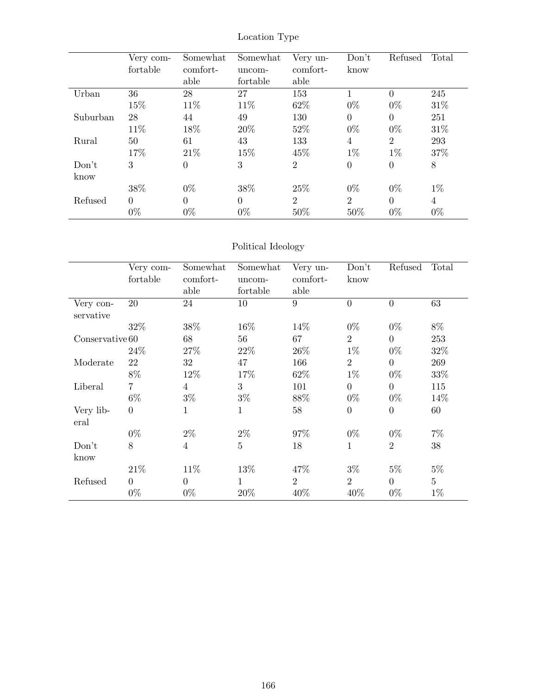|          | Very com-<br>fortable | Somewhat<br>comfort-<br>able | Somewhat<br>uncom-<br>fortable | Very un-<br>comfort-<br>able | Don't<br>know  | Refused        | Total          |
|----------|-----------------------|------------------------------|--------------------------------|------------------------------|----------------|----------------|----------------|
| Urban    | 36                    | 28                           | 27                             | 153                          |                | $\Omega$       | 245            |
|          | 15%                   | 11\%                         | 11\%                           | 62\%                         | $0\%$          | $0\%$          | 31\%           |
| Suburban | 28                    | 44                           | 49                             | 130                          | $\theta$       | $\overline{0}$ | 251            |
|          | 11\%                  | 18%                          | 20%                            | 52%                          | $0\%$          | $0\%$          | 31\%           |
| Rural    | 50                    | 61                           | 43                             | 133                          | $\overline{4}$ | $\overline{2}$ | 293            |
|          | 17%                   | 21\%                         | 15%                            | 45\%                         | $1\%$          | $1\%$          | 37%            |
| Don't    | 3                     | $\Omega$                     | 3                              | $\overline{2}$               | $\overline{0}$ | $\overline{0}$ | 8              |
| know     |                       |                              |                                |                              |                |                |                |
|          | 38%                   | $0\%$                        | 38%                            | 25%                          | $0\%$          | $0\%$          | $1\%$          |
| Refused  | $\Omega$              | $\Omega$                     | $\overline{0}$                 | $\overline{2}$               | $\overline{2}$ | $\Omega$       | $\overline{4}$ |
|          | $0\%$                 | $0\%$                        | $0\%$                          | 50%                          | 50%            | $0\%$          | $0\%$          |

## Location Type

## Political Ideology

|                        | Very com-<br>fortable | Somewhat<br>comfort- | Somewhat<br>uncom- | Very un-<br>comfort- | Don't<br>know    | Refused          | Total          |
|------------------------|-----------------------|----------------------|--------------------|----------------------|------------------|------------------|----------------|
|                        |                       | able                 | fortable           | able                 |                  |                  |                |
| Very con-<br>servative | 20                    | 24                   | 10                 | 9                    | $\overline{0}$   | $\boldsymbol{0}$ | 63             |
|                        | 32%                   | 38\%                 | 16%                | 14%                  | $0\%$            | $0\%$            | 8%             |
| Conserve the 60        |                       | 68                   | 56                 | 67                   | $\overline{2}$   | $\overline{0}$   | 253            |
|                        | 24\%                  | 27%                  | 22\%               | 26\%                 | $1\%$            | $0\%$            | 32%            |
| Moderate               | 22                    | 32                   | 47                 | 166                  | $\overline{2}$   | $\overline{0}$   | 269            |
|                        | 8%                    | 12%                  | 17%                | 62%                  | $1\%$            | $0\%$            | 33%            |
| Liberal                | $\overline{7}$        | 4                    | 3                  | 101                  | $\boldsymbol{0}$ | $\boldsymbol{0}$ | 115            |
|                        | $6\%$                 | $3\%$                | $3\%$              | 88%                  | $0\%$            | $0\%$            | 14%            |
| Very lib-<br>eral      | $\overline{0}$        | 1                    | $\mathbf{1}$       | 58                   | $\overline{0}$   | $\boldsymbol{0}$ | 60             |
|                        | $0\%$                 | $2\%$                | $2\%$              | 97%                  | $0\%$            | $0\%$            | $7\%$          |
| Don't<br>know          | 8                     | $\overline{4}$       | $\overline{5}$     | 18                   | $\mathbf 1$      | $\overline{2}$   | 38             |
|                        | 21\%                  | 11\%                 | 13%                | 47%                  | $3\%$            | $5\%$            | $5\%$          |
| Refused                | $\overline{0}$        | $\overline{0}$       | $\mathbf{1}$       | $\overline{2}$       | $\overline{2}$   | $\overline{0}$   | $\overline{5}$ |
|                        | $0\%$                 | $0\%$                | 20%                | 40%                  | 40%              | $0\%$            | $1\%$          |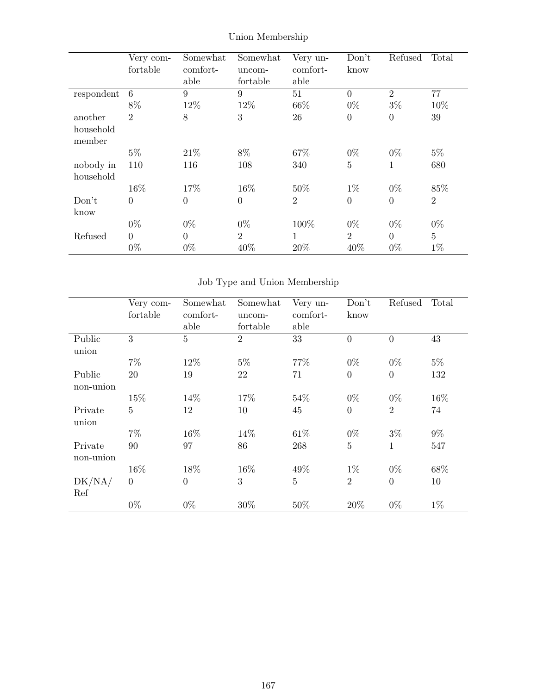|            | Very com-      | Somewhat | Somewhat       | Very un-         | Don't          | Refused        | Total          |
|------------|----------------|----------|----------------|------------------|----------------|----------------|----------------|
|            | fortable       | comfort- | uncom-         | comfort-         | know           |                |                |
|            |                | able     | fortable       | able             |                |                |                |
| respondent | 6              | 9        | 9              | 51               | $\overline{0}$ | $\overline{2}$ | 77             |
|            | 8%             | 12%      | 12%            | 66%              | $0\%$          | $3\%$          | 10%            |
| another    | $\overline{2}$ | 8        | 3              | 26               | $\overline{0}$ | $\overline{0}$ | 39             |
| household  |                |          |                |                  |                |                |                |
| member     |                |          |                |                  |                |                |                |
|            | $5\%$          | 21\%     | 8%             | 67%              | $0\%$          | $0\%$          | $5\%$          |
| nobody in  | 110            | 116      | 108            | 340              | $\overline{5}$ | $\mathbf{1}$   | 680            |
| household  |                |          |                |                  |                |                |                |
|            | 16%            | 17%      | 16%            | 50%              | $1\%$          | $0\%$          | 85%            |
| Don't      | $\theta$       | $\theta$ | $\overline{0}$ | $\boldsymbol{2}$ | $\overline{0}$ | $\overline{0}$ | $\overline{2}$ |
| know       |                |          |                |                  |                |                |                |
|            | $0\%$          | $0\%$    | $0\%$          | 100%             | $0\%$          | $0\%$          | $0\%$          |
| Refused    | $\theta$       | $\theta$ | $\overline{2}$ | 1                | 2              | $\overline{0}$ | $\overline{5}$ |
|            | $0\%$          | $0\%$    | 40%            | 20%              | 40%            | $0\%$          | $1\%$          |

## Union Membership

# Job Type and Union Membership

|                      | Very com-<br>fortable | Somewhat<br>comfort-<br>able | Somewhat<br>uncom-<br>fortable | Very un-<br>comfort-<br>able | Don't<br>know    | Refused        | Total |
|----------------------|-----------------------|------------------------------|--------------------------------|------------------------------|------------------|----------------|-------|
| Public<br>union      | 3                     | $\overline{5}$               | $\overline{2}$                 | 33                           | $\overline{0}$   | $\overline{0}$ | 43    |
|                      | $7\%$                 | 12%                          | $5\%$                          | 77%                          | $0\%$            | $0\%$          | $5\%$ |
| Public<br>non-union  | 20                    | 19                           | 22                             | 71                           | $\boldsymbol{0}$ | $\overline{0}$ | 132   |
|                      | 15%                   | 14%                          | 17%                            | 54%                          | $0\%$            | $0\%$          | 16%   |
| Private<br>union     | $\overline{5}$        | 12                           | 10                             | 45                           | $\boldsymbol{0}$ | $\overline{2}$ | 74    |
|                      | $7\%$                 | 16%                          | 14%                            | 61\%                         | $0\%$            | $3\%$          | $9\%$ |
| Private<br>non-union | 90                    | 97                           | 86                             | 268                          | $\overline{5}$   | $\mathbf{1}$   | 547   |
|                      | 16%                   | 18%                          | 16%                            | 49%                          | $1\%$            | $0\%$          | 68%   |
| DK/NA/<br>Ref        | $\overline{0}$        | $\theta$                     | 3                              | $\overline{5}$               | $\overline{2}$   | $\overline{0}$ | 10    |
|                      | $0\%$                 | $0\%$                        | 30%                            | 50%                          | 20%              | $0\%$          | $1\%$ |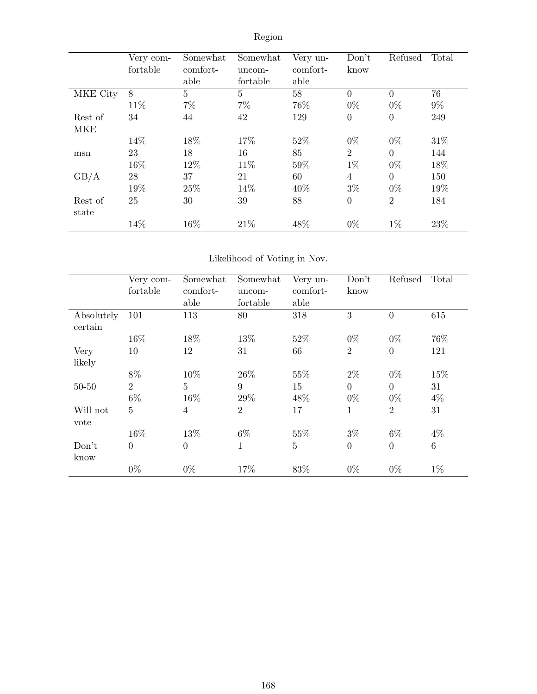|                  | Very com-<br>fortable | Somewhat<br>comfort-<br>able | Somewhat<br>uncom-<br>fortable | Very un-<br>comfort-<br>able | Don't<br>know  | Refused        | Total |
|------------------|-----------------------|------------------------------|--------------------------------|------------------------------|----------------|----------------|-------|
| MKE City         | 8                     | 5                            | $\overline{5}$                 | 58                           | $\overline{0}$ | $\overline{0}$ | 76    |
|                  | 11\%                  | 7%                           | $7\%$                          | 76%                          | $0\%$          | $0\%$          | $9\%$ |
| Rest of          | 34                    | 44                           | 42                             | 129                          | $\overline{0}$ | $\overline{0}$ | 249   |
| <b>MKE</b>       |                       |                              |                                |                              |                |                |       |
|                  | 14%                   | 18%                          | 17%                            | 52%                          | $0\%$          | $0\%$          | 31\%  |
| msn              | 23                    | 18                           | 16                             | 85                           | $\overline{2}$ | $\overline{0}$ | 144   |
|                  | 16%                   | 12%                          | 11\%                           | 59%                          | $1\%$          | $0\%$          | 18%   |
| GB/A             | 28                    | 37                           | 21                             | 60                           | $\overline{4}$ | $\overline{0}$ | 150   |
|                  | 19%                   | 25%                          | 14%                            | 40%                          | $3\%$          | $0\%$          | 19%   |
| Rest of<br>state | 25                    | 30                           | 39                             | 88                           | $\overline{0}$ | $\overline{2}$ | 184   |
|                  | 14%                   | 16%                          | 21\%                           | 48%                          | $0\%$          | $1\%$          | 23\%  |

# Region

## Likelihood of Voting in Nov.

|                       | Very com-<br>fortable | Somewhat<br>comfort-<br>able | Somewhat<br>uncom-<br>fortable | Very un-<br>comfort-<br>able | Don't<br>know  | Refused        | Total           |
|-----------------------|-----------------------|------------------------------|--------------------------------|------------------------------|----------------|----------------|-----------------|
| Absolutely<br>certain | 101                   | 113                          | 80                             | 318                          | 3              | $\theta$       | 615             |
|                       | 16%                   | 18%                          | 13%                            | 52%                          | $0\%$          | $0\%$          | 76%             |
| Very                  | 10                    | 12                           | 31                             | 66                           | $\overline{2}$ | $\theta$       | 121             |
| likely                |                       |                              |                                |                              |                |                |                 |
|                       | $8\%$                 | 10%                          | 26\%                           | 55%                          | $2\%$          | $0\%$          | 15%             |
| $50 - 50$             | $\overline{2}$        | $\overline{5}$               | 9                              | 15                           | $\overline{0}$ | $\overline{0}$ | 31              |
|                       | $6\%$                 | 16%                          | 29%                            | 48%                          | $0\%$          | $0\%$          | $4\%$           |
| Will not<br>vote      | $\overline{5}$        | $\overline{4}$               | $\overline{2}$                 | 17                           | $\mathbf{1}$   | $\overline{2}$ | 31              |
|                       | 16%                   | 13%                          | $6\%$                          | 55%                          | $3\%$          | $6\%$          | $4\%$           |
| Don't<br>know         | $\overline{0}$        | $\theta$                     | $\mathbf{1}$                   | $\overline{5}$               | $\overline{0}$ | $\Omega$       | $6\phantom{.}6$ |
|                       | $0\%$                 | $0\%$                        | 17%                            | 83%                          | $0\%$          | $0\%$          | $1\%$           |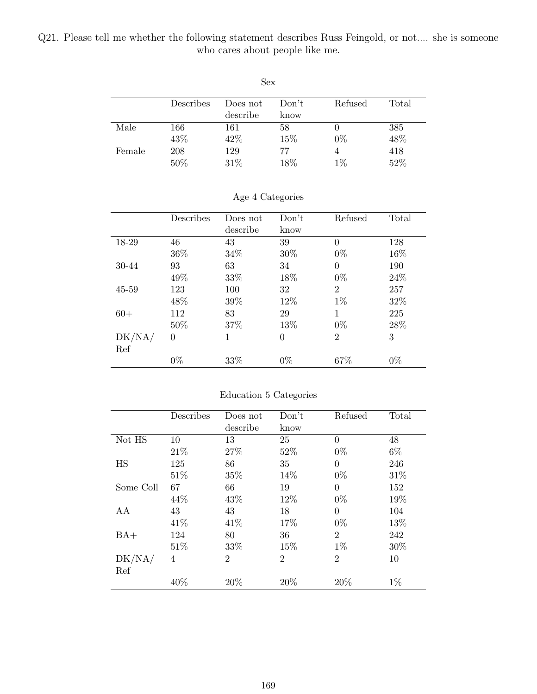Q21. Please tell me whether the following statement describes Russ Feingold, or not.... she is someone who cares about people like me.

| Sex    |           |          |       |                |       |  |  |  |
|--------|-----------|----------|-------|----------------|-------|--|--|--|
|        | Describes | Does not | Don't | Refused        | Total |  |  |  |
|        |           | describe | know  |                |       |  |  |  |
| Male   | 166       | 161      | 58    |                | 385   |  |  |  |
|        | 43%       | 42\%     | 15%   | $0\%$          | 48%   |  |  |  |
| Female | 208       | 129      | 77    | $\overline{4}$ | 418   |  |  |  |
|        | 50%       | 31%      | 18%   | $1\%$          | 52%   |  |  |  |

|           | Describes | Does not | Don't    | Refused        | Total |
|-----------|-----------|----------|----------|----------------|-------|
|           |           | describe | know     |                |       |
| 18-29     | 46        | 43       | 39       | $\theta$       | 128   |
|           | 36%       | 34%      | 30%      | $0\%$          | 16%   |
| 30-44     | 93        | 63       | 34       | $\Omega$       | 190   |
|           | 49%       | 33%      | 18%      | $0\%$          | 24\%  |
| $45 - 59$ | 123       | 100      | 32       | $\overline{2}$ | 257   |
|           | 48%       | 39%      | 12%      | $1\%$          | 32%   |
| $60+$     | 112       | 83       | 29       | 1              | 225   |
|           | $50\%$    | 37%      | 13%      | $0\%$          | 28\%  |
| DK/NA/    | $\theta$  | 1        | $\theta$ | $\overline{2}$ | 3     |
| Ref       |           |          |          |                |       |
|           | $0\%$     | 33%      | $0\%$    | 67%            | $0\%$ |

### Age 4 Categories

### Education 5 Categories

|           | Describes | Does not       | Don't          | Refused        | Total |
|-----------|-----------|----------------|----------------|----------------|-------|
|           |           | describe       | know           |                |       |
| Not HS    | 10        | 13             | 25             | $\Omega$       | 48    |
|           | 21\%      | 27%            | 52%            | $0\%$          | $6\%$ |
| HS        | 125       | 86             | 35             | $\Omega$       | 246   |
|           | 51%       | 35%            | 14%            | $0\%$          | 31%   |
| Some Coll | 67        | 66             | 19             | $\Omega$       | 152   |
|           | 44%       | 43%            | 12%            | $0\%$          | 19%   |
| AA        | 43        | 43             | 18             | $\Omega$       | 104   |
|           | 41\%      | 41\%           | 17%            | $0\%$          | 13%   |
| $BA+$     | 124       | 80             | 36             | $\overline{2}$ | 242   |
|           | 51\%      | 33%            | 15%            | $1\%$          | 30%   |
| DK/NA/    | 4         | $\overline{2}$ | $\overline{2}$ | $\overline{2}$ | 10    |
| Ref       |           |                |                |                |       |
|           | 40%       | 20%            | 20%            | 20%            | $1\%$ |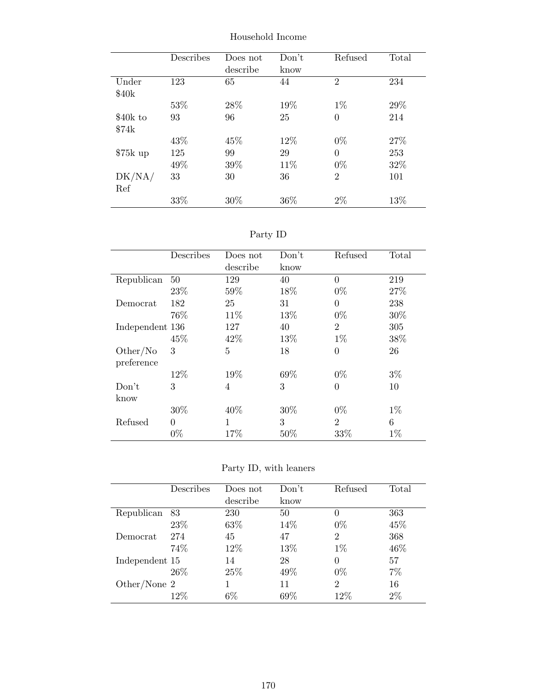|                   | Describes | Does not<br>describe | Don't<br>know | Refused        | Total |
|-------------------|-----------|----------------------|---------------|----------------|-------|
| Under             | 123       | 65                   | 44            | $\overline{2}$ | 234   |
| \$40 <sub>k</sub> |           |                      |               |                |       |
|                   | 53%       | 28%                  | 19%           | $1\%$          | 29\%  |
| \$40k to          | 93        | 96                   | 25            | $\theta$       | 214   |
| \$74k             |           |                      |               |                |       |
|                   | 43%       | 45%                  | 12\%          | $0\%$          | 27%   |
| $$75k$ up         | 125       | 99                   | 29            | $\Omega$       | 253   |
|                   | 49%       | 39%                  | 11\%          | $0\%$          | 32%   |
| DK/NA/            | 33        | 30                   | 36            | $\overline{2}$ | 101   |
| Ref               |           |                      |               |                |       |
|                   | 33%       | 30%                  | 36%           | $2\%$          | 13\%  |

Household Income

Party ID

|                 | Describes | Does not       | Don't | Refused        | Total  |
|-----------------|-----------|----------------|-------|----------------|--------|
|                 |           | describe       | know  |                |        |
| Republican      | 50        | 129            | 40    | $\theta$       | 219    |
|                 | 23\%      | 59%            | 18%   | $0\%$          | 27%    |
| Democrat        | 182       | 25             | 31    | $\theta$       | 238    |
|                 | 76%       | 11\%           | 13%   | $0\%$          | $30\%$ |
| Independent 136 |           | 127            | 40    | $\overline{2}$ | 305    |
|                 | 45%       | 42\%           | 13%   | $1\%$          | 38%    |
| Other/No        | 3         | 5              | 18    | $\overline{0}$ | 26     |
| preference      |           |                |       |                |        |
|                 | 12%       | 19%            | 69%   | $0\%$          | $3\%$  |
| Don't           | 3         | $\overline{4}$ | 3     | $\theta$       | 10     |
| know            |           |                |       |                |        |
|                 | 30%       | 40%            | 30%   | $0\%$          | $1\%$  |
| Refused         | $\theta$  | 1              | 3     | $\overline{2}$ | 6      |
|                 | $0\%$     | 17%            | 50%   | 33%            | $1\%$  |

Party ID, with leaners

|                | Describes | Does not | Don't | Refused        | Total |
|----------------|-----------|----------|-------|----------------|-------|
|                |           | describe | know  |                |       |
| Republican     | 83        | 230      | 50    | 0              | 363   |
|                | 23\%      | 63\%     | 14\%  | $0\%$          | 45\%  |
| Democrat       | 274       | 45       | 47    | $\overline{2}$ | 368   |
|                | 74%       | 12%      | 13%   | $1\%$          | 46\%  |
| Independent 15 |           | 14       | 28    | 0              | 57    |
|                | 26\%      | 25\%     | 49%   | $0\%$          | 7%    |
| Other/None $2$ |           |          | 11    | $\overline{2}$ | 16    |
|                | 12\%      | $6\%$    | 69%   | $12\%$         | $2\%$ |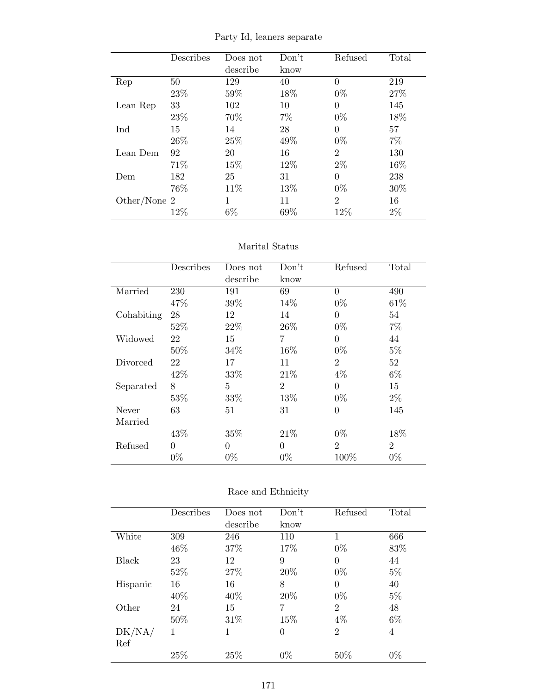|  |  |  | Party Id, leaners separate |
|--|--|--|----------------------------|
|--|--|--|----------------------------|

|              | Describes | Does not | Don't | Refused        | Total |
|--------------|-----------|----------|-------|----------------|-------|
|              |           | describe | know  |                |       |
| Rep          | 50        | 129      | 40    | $\theta$       | 219   |
|              | 23%       | 59%      | 18%   | $0\%$          | 27%   |
| Lean Rep     | 33        | 102      | 10    | $\theta$       | 145   |
|              | 23\%      | 70\%     | $7\%$ | $0\%$          | 18%   |
| Ind          | 15        | 14       | 28    | $\Omega$       | 57    |
|              | 26\%      | 25%      | 49%   | $0\%$          | 7%    |
| Lean Dem     | 92        | 20       | 16    | $\overline{2}$ | 130   |
|              | 71\%      | 15%      | 12%   | $2\%$          | 16%   |
| Dem          | 182       | 25       | 31    | 0              | 238   |
|              | 76%       | 11%      | 13%   | $0\%$          | 30%   |
| Other/None 2 |           |          | 11    | $\overline{2}$ | 16    |
|              | 12%       | $6\%$    | 69%   | 12\%           | $2\%$ |

### Marital Status

|            | Describes | Does not | Don't          | Refused        | Total          |
|------------|-----------|----------|----------------|----------------|----------------|
|            |           | describe | know           |                |                |
| Married    | 230       | 191      | 69             | $\overline{0}$ | 490            |
|            | 47%       | 39%      | 14%            | $0\%$          | 61\%           |
| Cohabiting | 28        | 12       | 14             | $\theta$       | 54             |
|            | 52%       | 22\%     | 26\%           | $0\%$          | $7\%$          |
| Widowed    | 22        | 15       | 7              | $\Omega$       | 44             |
|            | 50%       | 34\%     | 16%            | $0\%$          | $5\%$          |
| Divorced   | 22        | 17       | 11             | $\overline{2}$ | 52             |
|            | 42\%      | 33%      | 21\%           | $4\%$          | $6\%$          |
| Separated  | 8         | 5        | $\overline{2}$ | $\theta$       | 15             |
|            | 53%       | 33%      | 13%            | $0\%$          | $2\%$          |
| Never      | 63        | 51       | 31             | $\theta$       | 145            |
| Married    |           |          |                |                |                |
|            | 43%       | 35%      | 21\%           | $0\%$          | 18%            |
| Refused    | 0         | $\Omega$ | $\theta$       | $\overline{2}$ | $\overline{2}$ |
|            | $0\%$     | $0\%$    | $0\%$          | 100\%          | $0\%$          |

| Race and Ethnicity |  |
|--------------------|--|
|--------------------|--|

|          | Describes | Does not | Don't          | Refused        | Total |
|----------|-----------|----------|----------------|----------------|-------|
|          |           | describe | know           |                |       |
| White    | 309       | 246      | 110            | 1              | 666   |
|          | 46\%      | 37%      | 17%            | $0\%$          | 83%   |
| Black    | 23        | 12       | 9              | $\overline{0}$ | 44    |
|          | 52%       | 27%      | 20%            | $0\%$          | $5\%$ |
| Hispanic | 16        | 16       | 8              | $\theta$       | 40    |
|          | 40%       | 40\%     | 20%            | $0\%$          | $5\%$ |
| Other    | 24        | 15       | 7              | $\overline{2}$ | 48    |
|          | 50%       | 31%      | 15%            | $4\%$          | $6\%$ |
| DK/NA/   | 1         | 1        | $\overline{0}$ | $\overline{2}$ | 4     |
| Ref      |           |          |                |                |       |
|          | 25%       | 25%      | $0\%$          | 50%            | $0\%$ |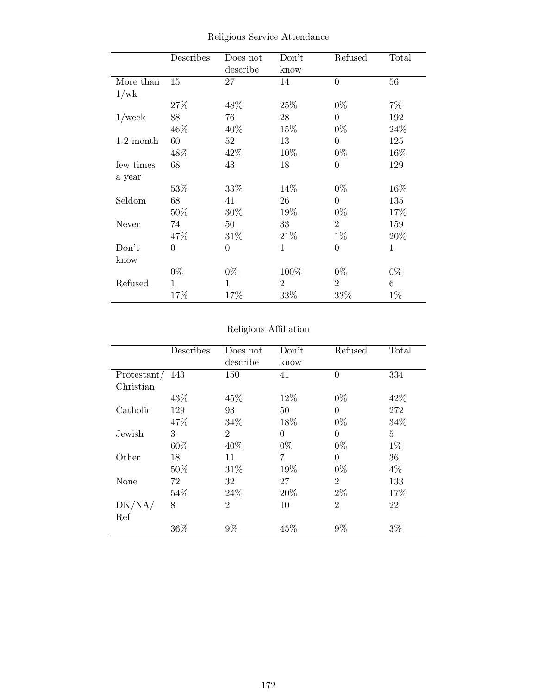|             | Describes      | Does not<br>describe | Don't<br>know  | Refused        | Total       |
|-------------|----------------|----------------------|----------------|----------------|-------------|
| More than   | 15             | 27                   | 14             | $\overline{0}$ | 56          |
| 1/wk        |                |                      |                |                |             |
|             | 27%            | 48%                  | 25%            | $0\%$          | $7\%$       |
| $1$ /week   | 88             | 76                   | 28             | $\overline{0}$ | 192         |
|             | 46\%           | 40\%                 | 15%            | $0\%$          | 24\%        |
| $1-2$ month | 60             | 52                   | 13             | $\overline{0}$ | 125         |
|             | 48\%           | 42\%                 | 10\%           | $0\%$          | $16\%$      |
| few times   | 68             | 43                   | 18             | $\overline{0}$ | 129         |
| a year      |                |                      |                |                |             |
|             | 53%            | 33%                  | 14%            | $0\%$          | 16%         |
| Seldom      | 68             | 41                   | 26             | $\Omega$       | 135         |
|             | $50\%$         | $30\%$               | 19%            | $0\%$          | 17%         |
| Never       | 74             | $50\,$               | 33             | $\overline{2}$ | 159         |
|             | 47\%           | $31\%$               | 21\%           | $1\%$          | 20%         |
| Don't       | $\overline{0}$ | $\overline{0}$       | $\mathbf 1$    | $\overline{0}$ | $\mathbf 1$ |
| know        |                |                      |                |                |             |
|             | $0\%$          | $0\%$                | 100%           | $0\%$          | $0\%$       |
| Refused     | 1              | 1                    | $\overline{2}$ | $\overline{2}$ | 6           |
|             | 17%            | 17%                  | 33%            | 33\%           | $1\%$       |

Religious Service Attendance

# Religious Affiliation

|             | Describes | Does not       | Don't          | Refused        | Total          |
|-------------|-----------|----------------|----------------|----------------|----------------|
|             |           | describe       | know           |                |                |
| Protestant/ | 143       | 150            | 41             | $\theta$       | 334            |
| Christian   |           |                |                |                |                |
|             | 43%       | 45%            | 12%            | $0\%$          | 42%            |
| Catholic    | 129       | 93             | 50             | 0              | 272            |
|             | 47%       | 34\%           | 18%            | $0\%$          | 34%            |
| Jewish      | 3         | $\overline{2}$ | $\overline{0}$ | $\theta$       | $\overline{5}$ |
|             | 60%       | 40%            | $0\%$          | $0\%$          | $1\%$          |
| Other       | 18        | 11             | 7              | $\theta$       | 36             |
|             | 50%       | 31\%           | 19%            | $0\%$          | $4\%$          |
| None        | 72        | 32             | 27             | $\overline{2}$ | 133            |
|             | 54%       | 24\%           | 20%            | $2\%$          | 17%            |
| DK/NA/      | 8         | $\overline{2}$ | 10             | $\overline{2}$ | 22             |
| Ref         |           |                |                |                |                |
|             | 36%       | 9%             | 45%            | 9%             | $3\%$          |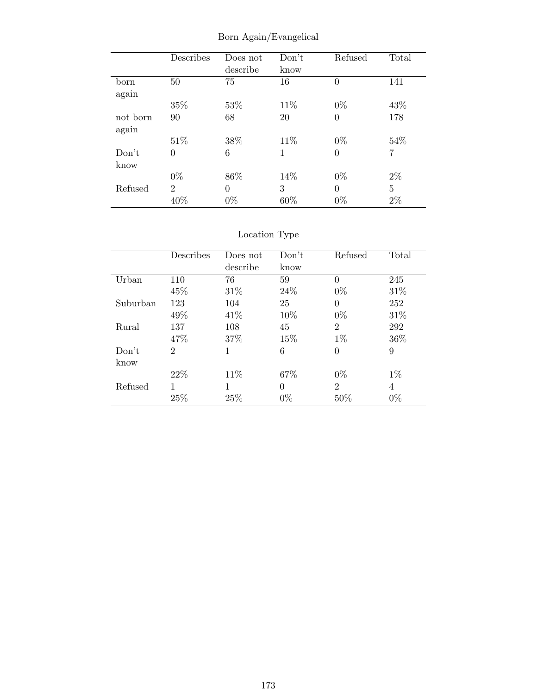|          | Describes      | Does not<br>describe | Don't<br>know | Refused        | Total          |
|----------|----------------|----------------------|---------------|----------------|----------------|
|          |                |                      |               |                |                |
| born     | 50             | 75                   | 16            | $\theta$       | 141            |
| again    |                |                      |               |                |                |
|          | 35%            | 53%                  | 11\%          | $0\%$          | 43%            |
| not born | 90             | 68                   | 20            | $\overline{0}$ | 178            |
| again    |                |                      |               |                |                |
|          | 51\%           | 38%                  | 11%           | $0\%$          | 54%            |
| Don't    | 0              | 6                    | 1             | $\overline{0}$ | $\overline{7}$ |
| know     |                |                      |               |                |                |
|          | $0\%$          | 86%                  | 14%           | $0\%$          | $2\%$          |
| Refused  | $\overline{2}$ | $\Omega$             | 3             | $\theta$       | 5              |
|          | 40%            | $0\%$                | 60%           | $0\%$          | $2\%$          |

Born Again/Evangelical

# Location Type

|          | Describes      | Does not | Don't | Refused        | Total |
|----------|----------------|----------|-------|----------------|-------|
|          |                | describe | know  |                |       |
| Urban    | 110            | 76       | 59    | $\theta$       | 245   |
|          | 45%            | 31\%     | 24\%  | $0\%$          | 31\%  |
| Suburban | 123            | 104      | 25    | 0              | 252   |
|          | 49%            | 41\%     | 10%   | $0\%$          | 31\%  |
| Rural    | 137            | 108      | 45    | $\overline{2}$ | 292   |
|          | 47\%           | 37\%     | 15%   | $1\%$          | 36%   |
| Don't    | $\overline{2}$ | 1        | 6     | 0              | 9     |
| know     |                |          |       |                |       |
|          | 22\%           | 11\%     | 67%   | $0\%$          | $1\%$ |
| Refused  | 1              | 1        | 0     | $\mathfrak{D}$ | 4     |
|          | 25%            | 25%      | $0\%$ | 50%            | $0\%$ |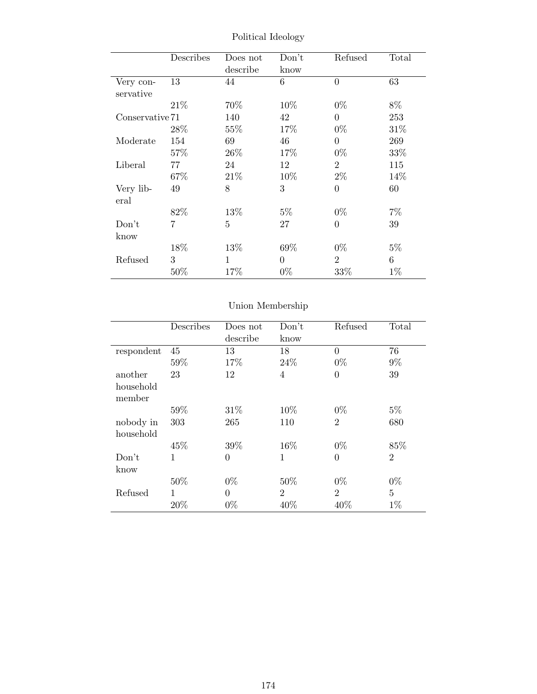|                 | Describes      | Does not | Don't    | Refused        | Total |
|-----------------|----------------|----------|----------|----------------|-------|
|                 |                | describe | know     |                |       |
| Very con-       | 13             | 44       | 6        | $\overline{0}$ | 63    |
| servative       |                |          |          |                |       |
|                 | 21\%           | 70\%     | 10\%     | $0\%$          | 8%    |
| Conservative 71 |                | 140      | 42       | $\overline{0}$ | 253   |
|                 | 28\%           | 55\%     | 17%      | $0\%$          | 31\%  |
| Moderate        | 154            | 69       | 46       | $\Omega$       | 269   |
|                 | 57\%           | 26\%     | 17\%     | $0\%$          | 33%   |
| Liberal         | 77             | 24       | 12       | $\overline{2}$ | 115   |
|                 | 67%            | 21\%     | 10%      | $2\%$          | 14%   |
| Very lib-       | 49             | 8        | 3        | $\overline{0}$ | 60    |
| eral            |                |          |          |                |       |
|                 | 82%            | 13%      | $5\%$    | $0\%$          | $7\%$ |
| Don't           | $\overline{7}$ | 5        | 27       | $\overline{0}$ | 39    |
| know            |                |          |          |                |       |
|                 | 18%            | 13\%     | 69%      | $0\%$          | $5\%$ |
| Refused         | 3              | 1        | $\Omega$ | $\overline{2}$ | 6     |
|                 | 50%            | 17%      | $0\%$    | 33\%           | $1\%$ |

Political Ideology

# Union Membership

|            | Describes | Does not       | Don't          | Refused        | Total          |
|------------|-----------|----------------|----------------|----------------|----------------|
|            |           | describe       | know           |                |                |
| respondent | 45        | 13             | 18             | $\Omega$       | 76             |
|            | 59%       | 17%            | 24%            | $0\%$          | $9\%$          |
| another    | 23        | 12             | $\overline{4}$ | $\overline{0}$ | 39             |
| household  |           |                |                |                |                |
| member     |           |                |                |                |                |
|            | 59%       | 31\%           | 10\%           | $0\%$          | $5\%$          |
| nobody in  | 303       | 265            | 110            | $\overline{2}$ | 680            |
| household  |           |                |                |                |                |
|            | 45\%      | 39%            | 16\%           | $0\%$          | 85%            |
| Don't      | 1         | $\overline{0}$ | 1              | $\overline{0}$ | $\overline{2}$ |
| know       |           |                |                |                |                |
|            | 50%       | $0\%$          | 50\%           | $0\%$          | $0\%$          |
| Refused    | 1         | $\theta$       | $\overline{2}$ | $\overline{2}$ | $\overline{5}$ |
|            | 20%       | $0\%$          | 40%            | 40%            | $1\%$          |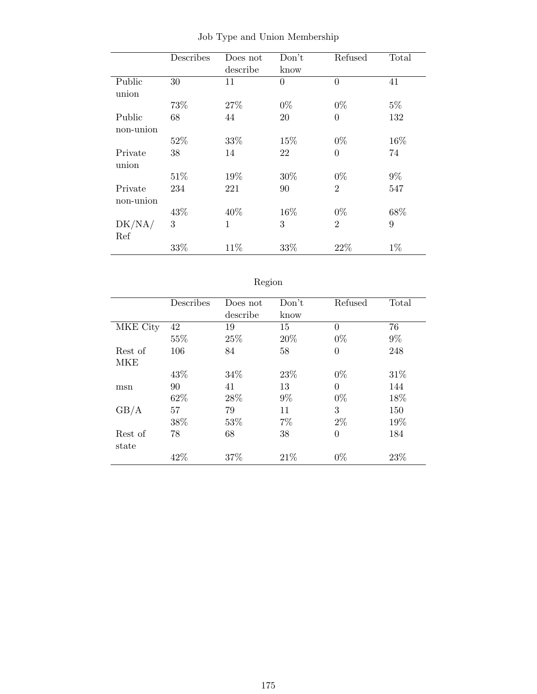|           | Describes | Does not     | Don't          | Refused        | Total |
|-----------|-----------|--------------|----------------|----------------|-------|
|           |           | describe     | know           |                |       |
| Public    | 30        | 11           | $\overline{0}$ | $\theta$       | 41    |
| union     |           |              |                |                |       |
|           | 73%       | 27\%         | $0\%$          | $0\%$          | $5\%$ |
| Public    | 68        | 44           | 20             | $\theta$       | 132   |
| non-union |           |              |                |                |       |
|           | 52%       | 33%          | 15%            | $0\%$          | 16%   |
| Private   | 38        | 14           | 22             | $\overline{0}$ | 74    |
| union     |           |              |                |                |       |
|           | 51\%      | 19%          | 30%            | $0\%$          | $9\%$ |
| Private   | 234       | 221          | 90             | $\overline{2}$ | 547   |
| non-union |           |              |                |                |       |
|           | 43%       | 40%          | 16%            | $0\%$          | 68%   |
| DK/NA/    | 3         | $\mathbf{1}$ | 3              | $\overline{2}$ | 9     |
| Ref       |           |              |                |                |       |
|           | 33%       | 11%          | 33%            | 22%            | $1\%$ |

Job Type and Union Membership

| 691OF |
|-------|
|       |

|          | Describes | Does not | Don't | Refused        | Total |
|----------|-----------|----------|-------|----------------|-------|
|          |           | describe | know  |                |       |
| MKE City | 42        | 19       | 15    | $\Omega$       | 76    |
|          | 55%       | 25%      | 20%   | $0\%$          | $9\%$ |
| Rest of  | 106       | 84       | 58    | $\theta$       | 248   |
| MKE      |           |          |       |                |       |
|          | 43%       | 34%      | 23\%  | $0\%$          | 31\%  |
| msn      | 90        | 41       | 13    | $\theta$       | 144   |
|          | 62%       | 28%      | $9\%$ | $0\%$          | 18%   |
| GB/A     | 57        | 79       | 11    | 3              | 150   |
|          | 38%       | 53\%     | 7%    | $2\%$          | 19%   |
| Rest of  | 78        | 68       | 38    | $\overline{0}$ | 184   |
| state    |           |          |       |                |       |
|          | 42%       | 37\%     | 21\%  | $0\%$          | 23%   |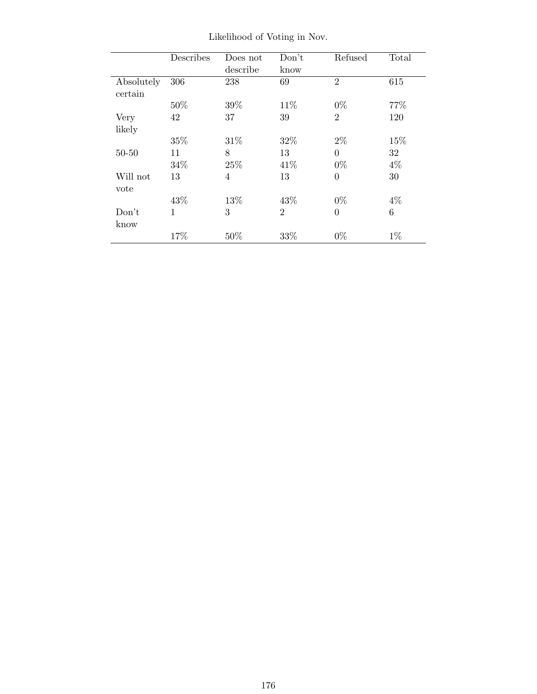|            | Describes    | Does not | Don't          | Refused        | Total |
|------------|--------------|----------|----------------|----------------|-------|
|            |              | describe | know           |                |       |
| Absolutely | 306          | 238      | 69             | $\overline{2}$ | 615   |
| certain    |              |          |                |                |       |
|            | $50\%$       | 39%      | 11\%           | $0\%$          | 77%   |
| Very       | 42           | 37       | 39             | $\overline{2}$ | 120   |
| likely     |              |          |                |                |       |
|            | 35%          | 31\%     | 32%            | $2\%$          | 15%   |
| $50 - 50$  | 11           | 8        | 13             | $\theta$       | 32    |
|            | 34%          | 25%      | 41\%           | $0\%$          | $4\%$ |
| Will not   | 13           | 4        | 13             | $\theta$       | 30    |
| vote       |              |          |                |                |       |
|            | 43%          | 13%      | 43%            | $0\%$          | $4\%$ |
| Don't      | $\mathbf{1}$ | 3        | $\mathfrak{D}$ | $\Omega$       | 6     |
| know       |              |          |                |                |       |
|            | 17%          | 50%      | 33\%           | $0\%$          | $1\%$ |

Likelihood of Voting in Nov.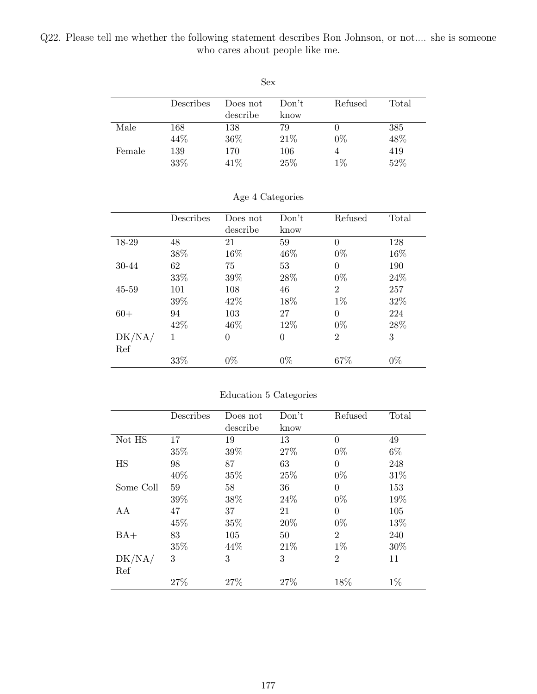Q22. Please tell me whether the following statement describes Ron Johnson, or not.... she is someone who cares about people like me.

| Sex    |           |          |       |          |       |  |
|--------|-----------|----------|-------|----------|-------|--|
|        | Describes | Does not | Don't | Refused  | Total |  |
|        |           | describe | know  |          |       |  |
| Male   | 168       | 138      | 79    | $\theta$ | 385   |  |
|        | 44%       | 36%      | 21%   | $0\%$    | 48%   |  |
| Female | 139       | 170      | 106   | 4        | 419   |  |
|        | 33%       | 41\%     | 25%   | $1\%$    | 52%   |  |

|        | Describes | Does not | Don't    | Refused        | Total |
|--------|-----------|----------|----------|----------------|-------|
|        |           | describe | know     |                |       |
| 18-29  | 48        | 21       | 59       | 0              | 128   |
|        | 38\%      | 16%      | 46\%     | $0\%$          | 16%   |
| 30-44  | 62        | 75       | 53       | $\Omega$       | 190   |
|        | 33%       | 39%      | 28\%     | $0\%$          | 24\%  |
| 45-59  | 101       | 108      | 46       | $\overline{2}$ | 257   |
|        | 39%       | 42\%     | 18%      | $1\%$          | 32%   |
| $60+$  | 94        | 103      | 27       | $\theta$       | 224   |
|        | 42\%      | 46\%     | 12%      | $0\%$          | 28\%  |
| DK/NA/ | 1         | $\theta$ | $\theta$ | $\overline{2}$ | 3     |
| Ref    |           |          |          |                |       |
|        | 33%       | $0\%$    | $0\%$    | 67\%           | $0\%$ |

### Education 5 Categories

|           | Describes | Does not | Don't | Refused        | Total |
|-----------|-----------|----------|-------|----------------|-------|
|           |           | describe | know  |                |       |
| Not HS    | 17        | 19       | 13    | $\Omega$       | 49    |
|           | 35%       | 39%      | 27%   | $0\%$          | $6\%$ |
| HS        | 98        | 87       | 63    | $\theta$       | 248   |
|           | 40%       | 35%      | 25%   | $0\%$          | 31%   |
| Some Coll | 59        | 58       | 36    | $\Omega$       | 153   |
|           | 39%       | 38%      | 24%   | $0\%$          | 19%   |
| AA        | 47        | 37       | 21    | $\theta$       | 105   |
|           | 45%       | 35%      | 20%   | $0\%$          | 13%   |
| $BA+$     | 83        | 105      | 50    | $\overline{2}$ | 240   |
|           | 35%       | 44\%     | 21\%  | $1\%$          | 30%   |
| DK/NA/    | 3         | 3        | 3     | $\overline{2}$ | 11    |
| Ref       |           |          |       |                |       |
|           | 27%       | 27%      | 27\%  | 18%            | $1\%$ |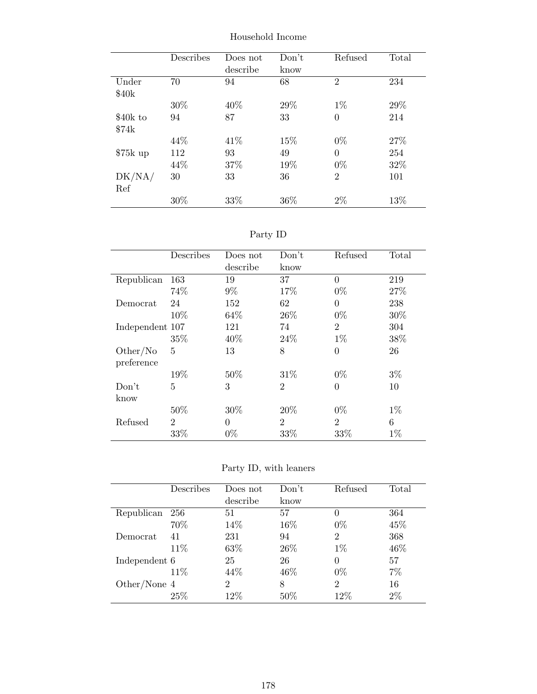|           | Describes | Does not<br>describe | Don't<br>know | Refused        | Total |
|-----------|-----------|----------------------|---------------|----------------|-------|
| Under     | 70        | 94                   | 68            | $\overline{2}$ | 234   |
| \$40k     |           |                      |               |                |       |
|           | 30%       | 40%                  | 29%           | $1\%$          | 29\%  |
| \$40k to  | 94        | 87                   | 33            | $\theta$       | 214   |
| \$74k     |           |                      |               |                |       |
|           | 44\%      | 41\%                 | 15%           | $0\%$          | 27%   |
| $$75k$ up | 112       | 93                   | 49            | $\Omega$       | 254   |
|           | 44\%      | 37%                  | 19%           | $0\%$          | 32%   |
| DK/NA/    | 30        | 33                   | 36            | $\overline{2}$ | 101   |
| Ref       |           |                      |               |                |       |
|           | 30\%      | 33\%                 | 36\%          | $2\%$          | 13\%  |

Household Income

Party ID

|                 | Describes      | Does not<br>describe | Don't<br>know  | Refused        | Total |
|-----------------|----------------|----------------------|----------------|----------------|-------|
| Republican      | 163            | 19                   | 37             | $\Omega$       | 219   |
|                 | 74%            | $9\%$                | 17%            | $0\%$          | 27%   |
| Democrat        | 24             | 152                  | 62             | $\overline{0}$ | 238   |
|                 | 10%            | 64\%                 | 26\%           | $0\%$          | 30%   |
| Independent 107 |                | 121                  | 74             | $\overline{2}$ | 304   |
|                 | 35%            | 40%                  | 24\%           | $1\%$          | 38%   |
| Other/No        | 5              | 13                   | 8              | $\overline{0}$ | 26    |
| preference      |                |                      |                |                |       |
|                 | 19%            | 50%                  | 31\%           | $0\%$          | $3\%$ |
| Don't           | 5              | 3                    | $\overline{2}$ | $\theta$       | 10    |
| know            |                |                      |                |                |       |
|                 | 50%            | 30%                  | 20%            | $0\%$          | $1\%$ |
| Refused         | $\overline{2}$ | $\theta$             | $\overline{2}$ | $\overline{2}$ | 6     |
|                 | 33%            | $0\%$                | 33%            | 33%            | $1\%$ |

Party ID, with leaners

|                | Describes | Does not | Don't | Refused        | Total |
|----------------|-----------|----------|-------|----------------|-------|
|                |           | describe | know  |                |       |
| Republican     | 256       | 51       | 57    | 0              | 364   |
|                | 70%       | 14%      | 16%   | $0\%$          | 45%   |
| Democrat       | 41        | 231      | 94    | $\overline{2}$ | 368   |
|                | 11\%      | 63%      | 26\%  | $1\%$          | 46\%  |
| Independent 6  |           | 25       | 26    | 0              | 57    |
|                | 11%       | 44\%     | 46\%  | $0\%$          | 7%    |
| Other/None $4$ |           | 2        | 8     | $\overline{2}$ | 16    |
|                | 25%       | 12%      | 50%   | $12\%$         | 2%    |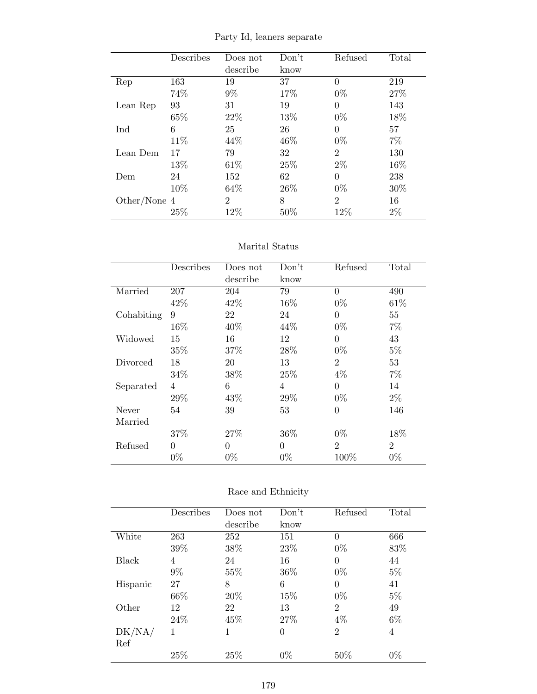|  |  |  |  | Party Id, leaners separate |
|--|--|--|--|----------------------------|
|--|--|--|--|----------------------------|

|              | Describes | Does not       | Don't | Refused        | Total |
|--------------|-----------|----------------|-------|----------------|-------|
|              |           | describe       | know  |                |       |
| Rep          | 163       | 19             | 37    | $\theta$       | 219   |
|              | 74%       | $9\%$          | 17%   | $0\%$          | 27%   |
| Lean Rep     | 93        | 31             | 19    | $\theta$       | 143   |
|              | 65%       | 22\%           | 13%   | $0\%$          | 18%   |
| Ind          | 6         | 25             | 26    | $\Omega$       | 57    |
|              | 11\%      | 44\%           | 46\%  | $0\%$          | 7%    |
| Lean Dem     | 17        | 79             | 32    | $\overline{2}$ | 130   |
|              | 13%       | 61\%           | 25\%  | $2\%$          | 16%   |
| Dem          | 24        | 152            | 62    | $\theta$       | 238   |
|              | 10%       | 64\%           | 26\%  | $0\%$          | 30%   |
| Other/None 4 |           | $\overline{2}$ | 8     | $\mathfrak{D}$ | 16    |
|              | 25%       | 12%            | 50%   | 12%            | $2\%$ |

### Marital Status

|            | Describes      | Does not | Don't          | Refused        | Total          |
|------------|----------------|----------|----------------|----------------|----------------|
|            |                | describe | know           |                |                |
| Married    | 207            | 204      | 79             | $\overline{0}$ | 490            |
|            | 42\%           | 42\%     | 16%            | $0\%$          | 61\%           |
| Cohabiting | 9              | 22       | 24             | $\theta$       | 55             |
|            | 16%            | 40%      | 44\%           | $0\%$          | $7\%$          |
| Widowed    | 15             | 16       | 12             | $\theta$       | 43             |
|            | 35%            | 37\%     | 28\%           | $0\%$          | $5\%$          |
| Divorced   | 18             | 20       | 13             | $\overline{2}$ | 53             |
|            | 34\%           | 38%      | 25\%           | $4\%$          | $7\%$          |
| Separated  | $\overline{4}$ | 6        | $\overline{4}$ | $\theta$       | 14             |
|            | 29%            | 43\%     | 29%            | $0\%$          | $2\%$          |
| Never      | 54             | 39       | 53             | $\theta$       | 146            |
| Married    |                |          |                |                |                |
|            | 37%            | 27\%     | 36\%           | $0\%$          | 18%            |
| Refused    | $\Omega$       | $\Omega$ | $\theta$       | $\overline{2}$ | $\overline{2}$ |
|            | $0\%$          | $0\%$    | $0\%$          | 100%           | $0\%$          |

|          | Describes | Does not | Don't          | Refused        | Total |
|----------|-----------|----------|----------------|----------------|-------|
|          |           | describe | know           |                |       |
| White    | 263       | 252      | 151            | $\theta$       | 666   |
|          | 39%       | 38%      | 23\%           | $0\%$          | 83%   |
| Black    | 4         | 24       | 16             | $\theta$       | 44    |
|          | $9\%$     | 55%      | 36\%           | $0\%$          | $5\%$ |
| Hispanic | 27        | 8        | 6              | $\Omega$       | 41    |
|          | 66%       | 20%      | 15%            | $0\%$          | $5\%$ |
| Other    | 12        | 22       | 13             | $\overline{2}$ | 49    |
|          | 24\%      | 45%      | 27%            | $4\%$          | $6\%$ |
| DK/NA/   | 1         | 1        | $\overline{0}$ | $\overline{2}$ | 4     |
| Ref      |           |          |                |                |       |
|          | 25%       | 25\%     | $0\%$          | $50\%$         | $0\%$ |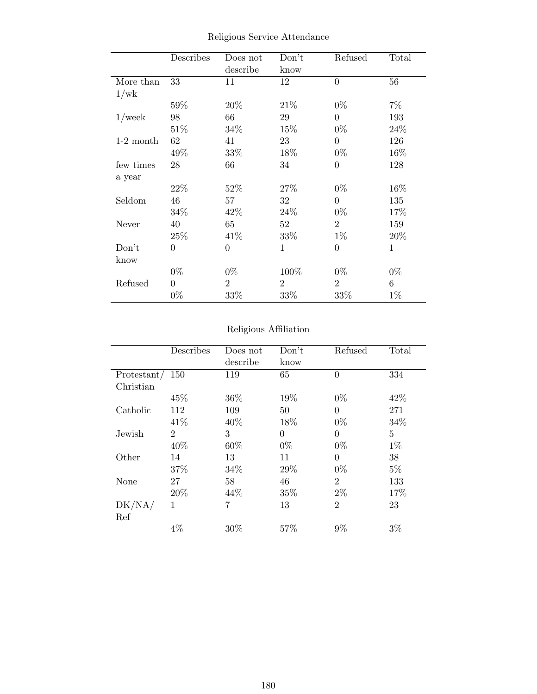|             | Describes      | Does not       | Don't          | Refused        | Total       |
|-------------|----------------|----------------|----------------|----------------|-------------|
|             |                | describe       | know           |                |             |
| More than   | 33             | 11             | 12             | $\overline{0}$ | 56          |
| 1/wk        |                |                |                |                |             |
|             | 59%            | 20%            | 21\%           | $0\%$          | $7\%$       |
| $1$ /week   | 98             | 66             | 29             | $\overline{0}$ | 193         |
|             | 51%            | $34\%$         | 15\%           | $0\%$          | 24\%        |
| $1-2$ month | 62             | 41             | 23             | $\overline{0}$ | 126         |
|             | 49\%           | $33\%$         | 18\%           | $0\%$          | $16\%$      |
| few times   | 28             | 66             | 34             | $\overline{0}$ | 128         |
| a year      |                |                |                |                |             |
|             | 22\%           | 52%            | 27\%           | $0\%$          | 16%         |
| Seldom      | 46             | 57             | 32             | $\Omega$       | 135         |
|             | 34\%           | 42\%           | 24\%           | $0\%$          | 17%         |
| Never       | 40             | 65             | 52             | $\overline{2}$ | 159         |
|             | 25%            | 41\%           | 33\%           | $1\%$          | 20%         |
| Don't       | $\overline{0}$ | $\overline{0}$ | $\mathbf 1$    | $\overline{0}$ | $\mathbf 1$ |
| know        |                |                |                |                |             |
|             | $0\%$          | $0\%$          | 100%           | $0\%$          | $0\%$       |
| Refused     | $\overline{0}$ | $\overline{2}$ | $\overline{2}$ | $\overline{2}$ | 6           |
|             | $0\%$          | $33\%$         | 33%            | 33\%           | $1\%$       |

Religious Service Attendance

# Religious Affiliation

|             | Describes      | Does not | Don't          | Refused        | Total          |
|-------------|----------------|----------|----------------|----------------|----------------|
|             |                | describe | know           |                |                |
| Protestant/ | 150            | 119      | 65             | $\theta$       | 334            |
| Christian   |                |          |                |                |                |
|             | 45%            | 36%      | 19%            | $0\%$          | 42%            |
| Catholic    | 112            | 109      | 50             | $\Omega$       | 271            |
|             | 41\%           | 40%      | 18%            | $0\%$          | 34%            |
| Jewish      | $\overline{2}$ | 3        | $\overline{0}$ | $\theta$       | $\overline{5}$ |
|             | 40\%           | 60%      | $0\%$          | $0\%$          | $1\%$          |
| Other       | 14             | 13       | 11             | 0              | 38             |
|             | 37%            | 34%      | 29%            | $0\%$          | $5\%$          |
| None        | 27             | 58       | 46             | $\overline{2}$ | 133            |
|             | 20%            | 44\%     | 35%            | $2\%$          | 17%            |
| DK/NA/      | 1              | 7        | 13             | $\overline{2}$ | 23             |
| Ref         |                |          |                |                |                |
|             | $4\%$          | 30%      | 57%            | 9%             | $3\%$          |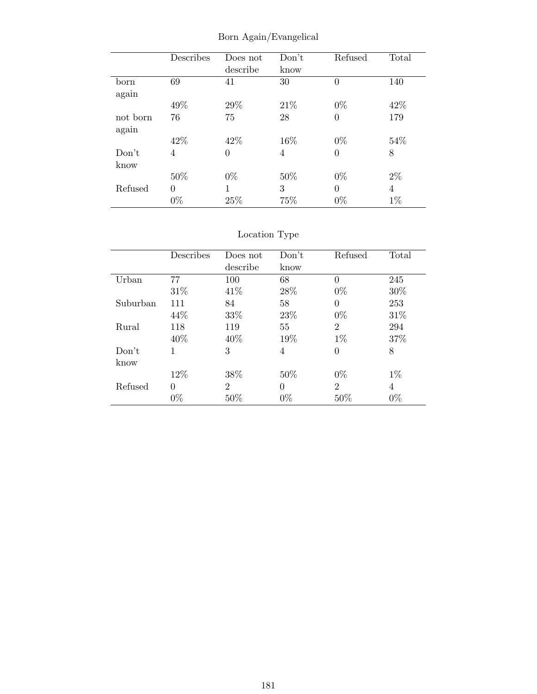|                   | Describes         | Does not<br>describe | Don't<br>know | Refused           | Total      |
|-------------------|-------------------|----------------------|---------------|-------------------|------------|
| born              | 69                | 41                   | 30            | $\theta$          | 140        |
| again             | 49%               | 29%                  | 21%           | $0\%$             | 42\%       |
| not born<br>again | 76                | 75                   | 28            | $\overline{0}$    | 179        |
|                   | 42\%              | 42\%                 | 16\%          | $0\%$             | 54\%       |
| Don't             | 4                 | $\overline{0}$       | 4             | $\overline{0}$    | 8          |
| know              |                   |                      |               |                   |            |
|                   | 50%               | $0\%$                | 50%           | $0\%$             | $2\%$      |
| Refused           | $\theta$<br>$0\%$ | 1<br>25%             | 3<br>75%      | $\theta$<br>$0\%$ | 4<br>$1\%$ |

Born Again/Evangelical

|          | Describes | Does not       | Don't    | Refused        | Total |
|----------|-----------|----------------|----------|----------------|-------|
|          |           | describe       | know     |                |       |
| Urban    | 77        | 100            | 68       | $\theta$       | 245   |
|          | 31\%      | 41\%           | 28\%     | $0\%$          | 30%   |
| Suburban | 111       | 84             | 58       | $\overline{0}$ | 253   |
|          | 44\%      | 33%            | 23\%     | $0\%$          | 31\%  |
| Rural    | 118       | 119            | 55       | $\overline{2}$ | 294   |
|          | 40\%      | 40%            | 19%      | $1\%$          | 37%   |
| Don't    | 1         | 3              | 4        | $\theta$       | 8     |
| know     |           |                |          |                |       |
|          | 12%       | 38%            | 50%      | $0\%$          | $1\%$ |
| Refused  | $\theta$  | $\overline{2}$ | $\theta$ | $\overline{2}$ | 4     |
|          | $0\%$     | 50%            | $0\%$    | 50%            | $0\%$ |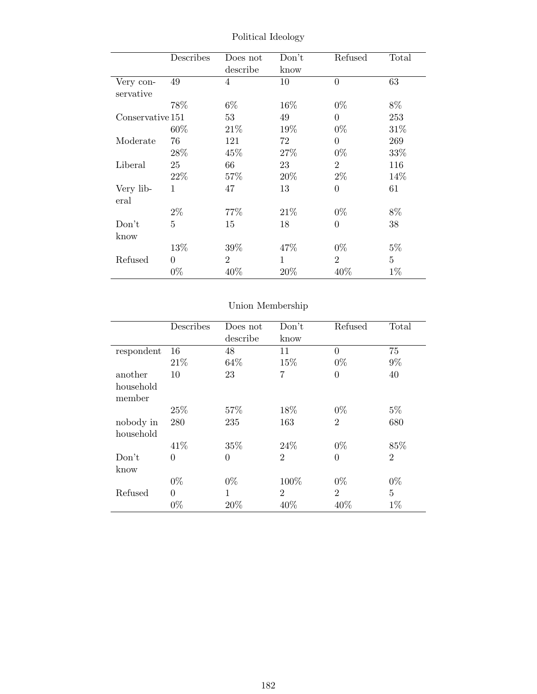|                  | Describes | Does not       | Don't        | Refused        | Total          |
|------------------|-----------|----------------|--------------|----------------|----------------|
|                  |           | describe       | know         |                |                |
| Very con-        | 49        | 4              | 10           | $\overline{0}$ | 63             |
| servative        |           |                |              |                |                |
|                  | 78%       | $6\%$          | 16%          | $0\%$          | 8%             |
| Conservative 151 |           | 53             | 49           | $\overline{0}$ | 253            |
|                  | $60\%$    | 21\%           | 19%          | $0\%$          | 31\%           |
| Moderate         | 76        | 121            | 72           | $\theta$       | 269            |
|                  | 28\%      | 45%            | 27%          | $0\%$          | 33%            |
| Liberal          | 25        | 66             | 23           | $\overline{2}$ | 116            |
|                  | 22\%      | 57\%           | 20%          | $2\%$          | 14%            |
| Very lib-        | 1         | 47             | 13           | $\overline{0}$ | 61             |
| eral             |           |                |              |                |                |
|                  | $2\%$     | 77\%           | 21\%         | $0\%$          | $8\%$          |
| Don't            | 5         | 15             | 18           | $\theta$       | 38             |
| know             |           |                |              |                |                |
|                  | 13\%      | 39\%           | 47\%         | $0\%$          | $5\%$          |
| Refused          | $\theta$  | $\overline{2}$ | $\mathbf{1}$ | $\overline{2}$ | $\overline{5}$ |
|                  | $0\%$     | 40\%           | 20%          | 40\%           | $1\%$          |

Political Ideology

|                        | Describes      | Does not<br>describe | Don't<br>know  | Refused        | Total          |
|------------------------|----------------|----------------------|----------------|----------------|----------------|
| respondent             | 16             | 48                   | 11             | $\theta$       | 75             |
|                        | 21\%           | 64%                  | 15%            | $0\%$          | $9\%$          |
| another                | 10             | 23                   | 7              | $\overline{0}$ | 40             |
| household<br>member    |                |                      |                |                |                |
|                        | 25%            | 57%                  | 18%            | $0\%$          | $5\%$          |
| nobody in<br>household | 280            | 235                  | 163            | $\overline{2}$ | 680            |
|                        | 41\%           | 35%                  | 24\%           | $0\%$          | 85%            |
| Don't                  | $\overline{0}$ | $\overline{0}$       | $\overline{2}$ | $\overline{0}$ | $\overline{2}$ |
| know                   |                |                      |                |                |                |
|                        | $0\%$          | $0\%$                | 100%           | $0\%$          | $0\%$          |
| Refused                | $\theta$       | 1                    | $\overline{2}$ | $\overline{2}$ | $\overline{5}$ |
|                        | $0\%$          | 20%                  | 40%            | 40%            | $1\%$          |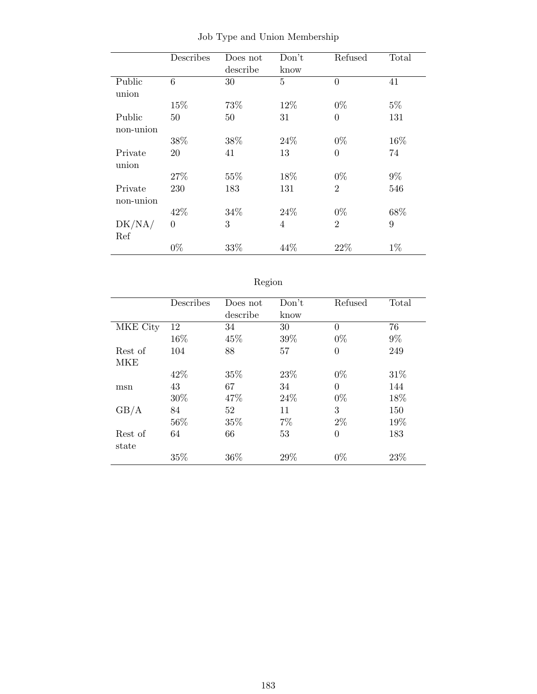|           | Describes      | Does not | Don't          | Refused        | Total |
|-----------|----------------|----------|----------------|----------------|-------|
|           |                | describe | know           |                |       |
| Public    | 6              | 30       | $\overline{5}$ | $\theta$       | 41    |
| union     |                |          |                |                |       |
|           | 15%            | 73%      | 12%            | $0\%$          | $5\%$ |
| Public    | 50             | 50       | 31             | $\overline{0}$ | 131   |
| non-union |                |          |                |                |       |
|           | 38%            | 38%      | 24\%           | $0\%$          | 16%   |
| Private   | 20             | 41       | 13             | $\overline{0}$ | 74    |
| union     |                |          |                |                |       |
|           | 27\%           | 55%      | 18%            | $0\%$          | $9\%$ |
| Private   | 230            | 183      | 131            | $\overline{2}$ | 546   |
| non-union |                |          |                |                |       |
|           | 42\%           | 34%      | 24\%           | $0\%$          | 68%   |
| DK/NA/    | $\overline{0}$ | 3        | $\overline{4}$ | $\overline{2}$ | 9     |
| Ref       |                |          |                |                |       |
|           | $0\%$          | 33%      | 44%            | 22%            | $1\%$ |

Job Type and Union Membership

| 691OF |
|-------|
|       |

|          | Describes | Does not | Don't | Refused        | Total |
|----------|-----------|----------|-------|----------------|-------|
|          |           | describe | know  |                |       |
| MKE City | 12        | 34       | 30    | $\theta$       | 76    |
|          | 16%       | 45%      | 39%   | $0\%$          | $9\%$ |
| Rest of  | 104       | 88       | 57    | $\overline{0}$ | 249   |
| MKE      |           |          |       |                |       |
|          | 42\%      | 35%      | 23\%  | $0\%$          | 31\%  |
| msn      | 43        | 67       | 34    | $\theta$       | 144   |
|          | 30%       | 47%      | 24\%  | $0\%$          | 18%   |
| GB/A     | 84        | 52       | 11    | 3              | 150   |
|          | 56%       | 35%      | 7%    | $2\%$          | 19%   |
| Rest of  | 64        | 66       | 53    | $\overline{0}$ | 183   |
| state    |           |          |       |                |       |
|          | 35%       | 36%      | 29%   | $0\%$          | 23%   |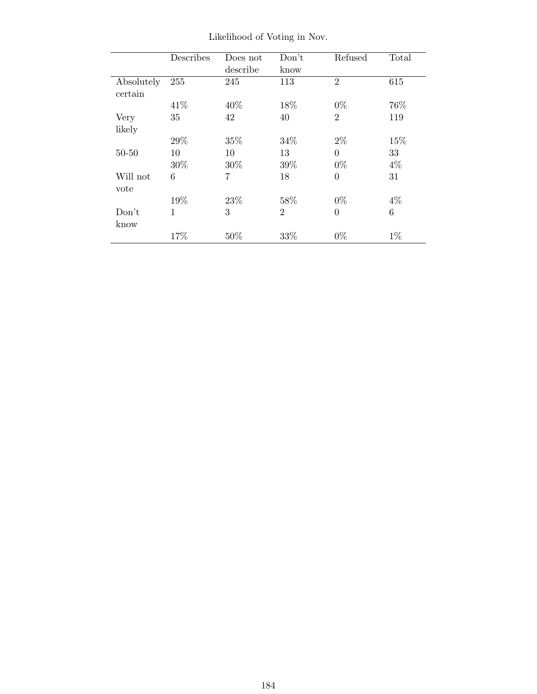|            | Describes    | Does not | Don't          | Refused        | Total |
|------------|--------------|----------|----------------|----------------|-------|
|            |              | describe | know           |                |       |
| Absolutely | 255          | 245      | 113            | $\overline{2}$ | 615   |
| certain    |              |          |                |                |       |
|            | 41\%         | 40\%     | 18%            | $0\%$          | 76%   |
| Very       | 35           | 42       | 40             | $\overline{2}$ | 119   |
| likely     |              |          |                |                |       |
|            | 29%          | 35%      | 34%            | $2\%$          | 15%   |
| $50 - 50$  | 10           | 10       | 13             | $\theta$       | 33    |
|            | $30\%$       | 30%      | 39%            | $0\%$          | $4\%$ |
| Will not   | 6            | 7        | 18             | $\theta$       | 31    |
| vote       |              |          |                |                |       |
|            | 19%          | 23%      | 58%            | $0\%$          | $4\%$ |
| Don't      | $\mathbf{1}$ | 3        | $\mathfrak{D}$ | $\Omega$       | 6     |
| know       |              |          |                |                |       |
|            | 17%          | 50%      | 33\%           | $0\%$          | $1\%$ |

Likelihood of Voting in Nov.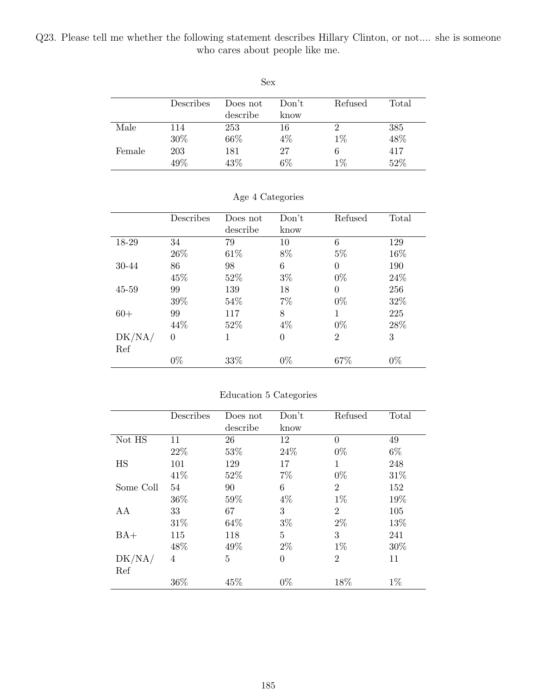Q23. Please tell me whether the following statement describes Hillary Clinton, or not.... she is someone who cares about people like me.

| Sex    |           |          |       |         |       |  |  |
|--------|-----------|----------|-------|---------|-------|--|--|
|        | Describes | Does not | Don't | Refused | Total |  |  |
|        |           | describe | know  |         |       |  |  |
| Male   | 114       | 253      | 16    | 2       | 385   |  |  |
|        | 30%       | 66%      | $4\%$ | $1\%$   | 48%   |  |  |
| Female | 203       | 181      | 27    | 6       | 417   |  |  |
|        | 49%       | 43%      | 6%    | $1\%$   | 52%   |  |  |

|           | Describes | Does not | Don't          | Refused        | Total |
|-----------|-----------|----------|----------------|----------------|-------|
|           |           | describe | know           |                |       |
| 18-29     | 34        | 79       | 10             | 6              | 129   |
|           | 26\%      | 61\%     | 8%             | $5\%$          | 16%   |
| 30-44     | 86        | 98       | 6              | $\overline{0}$ | 190   |
|           | 45\%      | 52%      | $3\%$          | $0\%$          | 24\%  |
| $45 - 59$ | 99        | 139      | 18             | $\theta$       | 256   |
|           | 39%       | 54\%     | $7\%$          | $0\%$          | 32%   |
| $60+$     | 99        | 117      | 8              | 1              | 225   |
|           | 44%       | 52\%     | $4\%$          | $0\%$          | 28%   |
| DK/NA/    | $\Omega$  | 1        | $\overline{0}$ | $\overline{2}$ | 3     |
| Ref       |           |          |                |                |       |
|           | $0\%$     | 33%      | $0\%$          | 67%            | $0\%$ |

### Age 4 Categories

### Education 5 Categories

|           | Describes | Does not | Don't          | Refused        | Total |
|-----------|-----------|----------|----------------|----------------|-------|
|           |           | describe | know           |                |       |
| Not HS    | 11        | 26       | 12             | $\Omega$       | 49    |
|           | 22\%      | 53%      | 24\%           | $0\%$          | $6\%$ |
| HS        | 101       | 129      | 17             | 1              | 248   |
|           | 41\%      | 52%      | $7\%$          | $0\%$          | 31%   |
| Some Coll | 54        | 90       | 6              | $\overline{2}$ | 152   |
|           | 36\%      | 59%      | $4\%$          | $1\%$          | 19%   |
| AA        | 33        | 67       | 3              | $\overline{2}$ | 105   |
|           | 31\%      | 64\%     | $3\%$          | $2\%$          | 13%   |
| $BA+$     | 115       | 118      | 5              | 3              | 241   |
|           | 48%       | 49%      | $2\%$          | $1\%$          | 30%   |
| DK/NA/    | 4         | 5        | $\overline{0}$ | $\overline{2}$ | 11    |
| Ref       |           |          |                |                |       |
|           | 36%       | 45%      | $0\%$          | 18%            | $1\%$ |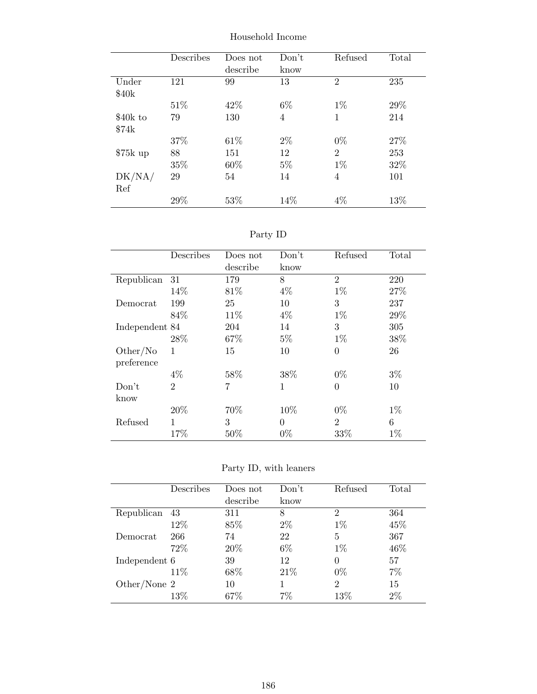|           | Describes | Does not<br>describe | Don't<br>know | Refused        | Total |
|-----------|-----------|----------------------|---------------|----------------|-------|
| Under     | 121       | 99                   | 13            | $\overline{2}$ | 235   |
| \$40k     |           |                      |               |                |       |
|           | 51\%      | 42\%                 | $6\%$         | $1\%$          | 29\%  |
| \$40k to  | 79        | 130                  | 4             | 1              | 214   |
| \$74k     |           |                      |               |                |       |
|           | 37%       | 61\%                 | $2\%$         | $0\%$          | 27%   |
| $$75k$ up | 88        | 151                  | 12            | $\overline{2}$ | 253   |
|           | 35%       | 60%                  | $5\%$         | $1\%$          | 32%   |
| DK/NA/    | 29        | 54                   | 14            | 4              | 101   |
| Ref       |           |                      |               |                |       |
|           | 29%       | 53\%                 | 14\%          | $4\%$          | 13\%  |

Household Income

Party ID

|                | Describes      | Does not<br>describe | Don't<br>know | Refused        | Total |
|----------------|----------------|----------------------|---------------|----------------|-------|
| Republican     | 31             | 179                  | 8             | $\mathfrak{D}$ | 220   |
|                | 14%            | 81\%                 | $4\%$         | $1\%$          | 27%   |
| Democrat       | 199            | 25                   | 10            | 3              | 237   |
|                | 84\%           | 11\%                 | $4\%$         | $1\%$          | 29%   |
| Independent 84 |                | 204                  | 14            | 3              | 305   |
|                | 28%            | 67%                  | $5\%$         | $1\%$          | 38%   |
| Other/No       | 1              | 15                   | 10            | $\overline{0}$ | 26    |
| preference     |                |                      |               |                |       |
|                | $4\%$          | 58%                  | 38%           | $0\%$          | $3\%$ |
| Don't          | $\overline{2}$ | 7                    | $\mathbf{1}$  | $\theta$       | 10    |
| know           |                |                      |               |                |       |
|                | 20%            | 70%                  | 10%           | $0\%$          | $1\%$ |
| Refused        | 1              | 3                    | $\theta$      | $\mathfrak{D}$ | 6     |
|                | 17%            | 50%                  | $0\%$         | 33%            | $1\%$ |

Party ID, with leaners

|               | Describes | Does not<br>describe | Don't<br>know | Refused        | Total |
|---------------|-----------|----------------------|---------------|----------------|-------|
| Republican    | 43        | 311                  | 8             | $\mathfrak{D}$ | 364   |
|               | 12\%      | 85\%                 | $2\%$         | $1\%$          | 45%   |
| Democrat      | 266       | 74                   | 22            | 5              | 367   |
|               | 72%       | 20%                  | $6\%$         | $1\%$          | 46%   |
| Independent 6 |           | 39                   | 12            | 0              | 57    |
|               | 11\%      | 68%                  | 21\%          | $0\%$          | 7%    |
| Other/None 2  |           | 10                   |               | $\overline{2}$ | 15    |
|               | $13\%$    | 67\%                 | $7\%$         | $13\%$         | 2%    |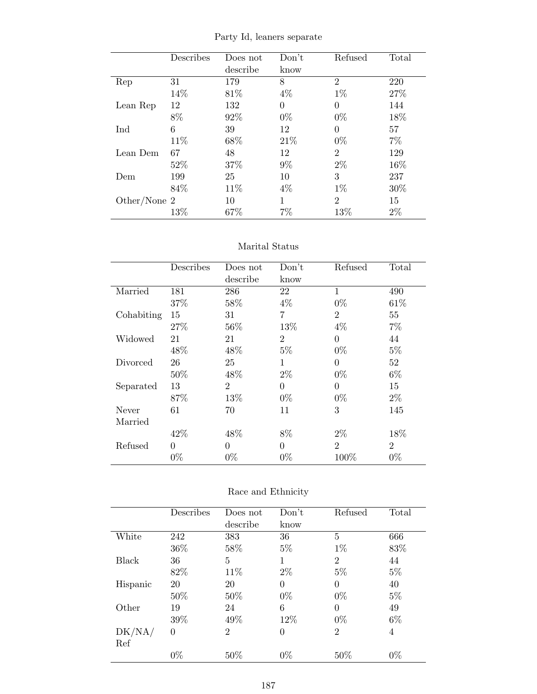|  |  | Party Id, leaners separate |
|--|--|----------------------------|
|--|--|----------------------------|

|              | Describes | Does not | Don't    | Refused        | Total |
|--------------|-----------|----------|----------|----------------|-------|
|              |           | describe | know     |                |       |
| Rep          | 31        | 179      | 8        | $\overline{2}$ | 220   |
|              | 14%       | 81\%     | $4\%$    | $1\%$          | 27%   |
| Lean Rep     | 12        | 132      | $\theta$ | $\theta$       | 144   |
|              | 8%        | 92%      | $0\%$    | $0\%$          | 18%   |
| Ind          | 6         | 39       | 12       | $\theta$       | 57    |
|              | 11\%      | 68%      | 21\%     | $0\%$          | $7\%$ |
| Lean Dem     | 67        | 48       | 12       | $\overline{2}$ | 129   |
|              | 52%       | 37%      | $9\%$    | $2\%$          | 16%   |
| Dem          | 199       | 25       | 10       | 3              | 237   |
|              | 84\%      | 11\%     | $4\%$    | $1\%$          | 30\%  |
| Other/None 2 |           | 10       | 1        | $\overline{2}$ | 15    |
|              | 13%       | 67\%     | 7%       | 13%            | $2\%$ |

### Marital Status

|            | Describes | Does not       | Don't          | Refused        | Total          |
|------------|-----------|----------------|----------------|----------------|----------------|
|            |           | describe       | know           |                |                |
| Married    | 181       | 286            | 22             | $\mathbf{1}$   | 490            |
|            | 37%       | 58%            | $4\%$          | $0\%$          | 61\%           |
| Cohabiting | 15        | 31             | 7              | $\overline{2}$ | 55             |
|            | 27%       | 56%            | 13%            | $4\%$          | $7\%$          |
| Widowed    | 21        | 21             | $\overline{2}$ | $\theta$       | 44             |
|            | 48%       | 48%            | $5\%$          | $0\%$          | $5\%$          |
| Divorced   | 26        | 25             | 1              | $\theta$       | 52             |
|            | 50%       | 48\%           | $2\%$          | $0\%$          | $6\%$          |
| Separated  | 13        | $\overline{2}$ | $\theta$       | $\theta$       | 15             |
|            | 87\%      | 13%            | $0\%$          | $0\%$          | $2\%$          |
| Never      | 61        | 70             | 11             | 3              | 145            |
| Married    |           |                |                |                |                |
|            | 42%       | 48\%           | 8%             | $2\%$          | 18%            |
| Refused    | $\theta$  | $\theta$       | $\theta$       | $\overline{2}$ | $\overline{2}$ |
|            | $0\%$     | $0\%$          | $0\%$          | 100%           | $0\%$          |

| Race and Ethnicity |  |
|--------------------|--|
|--------------------|--|

|          | Describes | Does not       | Don't          | Refused        | Total |
|----------|-----------|----------------|----------------|----------------|-------|
|          |           | describe       | know           |                |       |
| White    | 242       | 383            | 36             | 5              | 666   |
|          | 36%       | 58%            | $5\%$          | $1\%$          | 83%   |
| Black    | 36        | 5              | 1              | $\overline{2}$ | 44    |
|          | 82%       | 11\%           | $2\%$          | $5\%$          | $5\%$ |
| Hispanic | 20        | 20             | $\theta$       | 0              | 40    |
|          | 50%       | 50%            | $0\%$          | $0\%$          | $5\%$ |
| Other    | 19        | 24             | 6              | $\theta$       | 49    |
|          | 39%       | 49%            | 12%            | $0\%$          | $6\%$ |
| DK/NA/   | $\theta$  | $\overline{2}$ | $\overline{0}$ | $\overline{2}$ | 4     |
| Ref      |           |                |                |                |       |
|          | $0\%$     | 50%            | $0\%$          | 50%            | $0\%$ |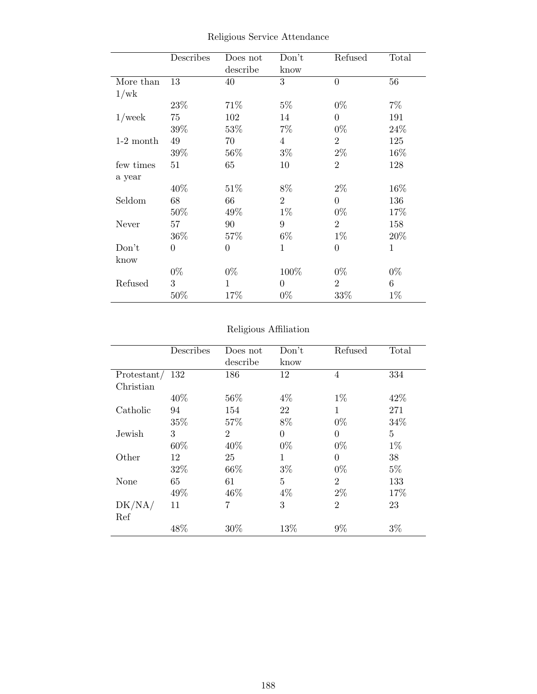|             | Describes        | Does not       | Don't          | Refused        | Total        |
|-------------|------------------|----------------|----------------|----------------|--------------|
|             |                  | describe       | know           |                |              |
| More than   | 13               | 40             | 3              | $\overline{0}$ | 56           |
| 1/wk        |                  |                |                |                |              |
|             | 23\%             | 71%            | $5\%$          | $0\%$          | $7\%$        |
| $1$ /week   | 75               | 102            | 14             | $\theta$       | 191          |
|             | 39%              | 53\%           | $7\%$          | $0\%$          | 24%          |
| $1-2$ month | 49               | 70             | $\overline{4}$ | $\overline{2}$ | 125          |
|             | 39%              | 56%            | $3\%$          | $2\%$          | 16%          |
| few times   | 51               | 65             | 10             | $\overline{2}$ | 128          |
| a year      |                  |                |                |                |              |
|             | 40%              | 51%            | $8\%$          | $2\%$          | 16%          |
| Seldom      | 68               | 66             | $\overline{2}$ | $\Omega$       | 136          |
|             | 50%              | 49%            | $1\%$          | $0\%$          | 17%          |
| Never       | 57               | 90             | 9              | $\overline{2}$ | 158          |
|             | $36\%$           | 57%            | $6\%$          | $1\%$          | 20%          |
| Don't       | $\boldsymbol{0}$ | $\overline{0}$ | $\mathbf{1}$   | $\overline{0}$ | $\mathbf{1}$ |
| know        |                  |                |                |                |              |
|             | $0\%$            | $0\%$          | 100%           | $0\%$          | $0\%$        |
| Refused     | 3                | 1              | $\overline{0}$ | $\overline{2}$ | 6            |
|             | 50%              | 17%            | $0\%$          | 33%            | $1\%$        |

Religious Service Attendance

# Religious Affiliation

|             | Describes | Does not       | Don't          | Refused        | Total |
|-------------|-----------|----------------|----------------|----------------|-------|
|             |           | describe       | know           |                |       |
| Protestant/ | 132       | 186            | 12             | 4              | 334   |
| Christian   |           |                |                |                |       |
|             | 40\%      | 56%            | $4\%$          | $1\%$          | 42%   |
| Catholic    | 94        | 154            | 22             | 1              | 271   |
|             | 35%       | 57%            | 8%             | $0\%$          | 34%   |
| Jewish      | 3         | $\overline{2}$ | $\overline{0}$ | $\theta$       | 5     |
|             | 60%       | 40%            | $0\%$          | $0\%$          | $1\%$ |
| Other       | 12        | 25             | 1              | $\theta$       | 38    |
|             | 32%       | 66%            | $3\%$          | $0\%$          | $5\%$ |
| None        | 65        | 61             | $\overline{5}$ | $\overline{2}$ | 133   |
|             | 49%       | 46%            | $4\%$          | $2\%$          | 17%   |
| DK/NA/      | 11        | 7              | 3              | $\overline{2}$ | 23    |
| Ref         |           |                |                |                |       |
|             | 48%       | 30%            | 13%            | $9\%$          | $3\%$ |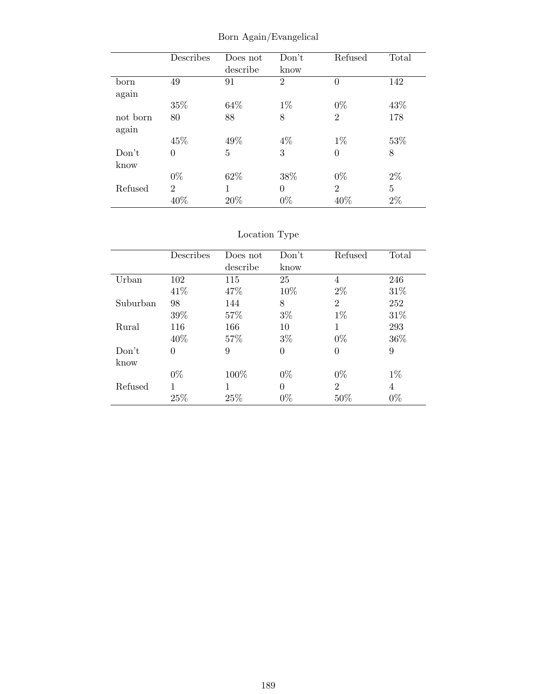|          | Describes      | Does not | Don't          | Refused        | Total          |
|----------|----------------|----------|----------------|----------------|----------------|
|          |                | describe | know           |                |                |
| born     | 49             | 91       | $\overline{2}$ | $\theta$       | 142            |
| again    |                |          |                |                |                |
|          | 35%            | 64%      | $1\%$          | $0\%$          | 43%            |
| not born | 80             | 88       | 8              | $\overline{2}$ | 178            |
| again    |                |          |                |                |                |
|          | 45%            | 49%      | $4\%$          | $1\%$          | 53%            |
| Don't    | $\overline{0}$ | 5        | 3              | $\overline{0}$ | 8              |
| know     |                |          |                |                |                |
|          | $0\%$          | 62%      | 38%            | $0\%$          | $2\%$          |
| Refused  | $\overline{2}$ |          | $\overline{0}$ | $\overline{2}$ | $\overline{5}$ |
|          | 40%            | 20%      | $0\%$          | 40%            | $2\%$          |

Born Again/Evangelical

|          | Describes | Does not | Don't | Refused        | Total |
|----------|-----------|----------|-------|----------------|-------|
|          |           | describe | know  |                |       |
| Urban    | 102       | 115      | 25    | 4              | 246   |
|          | 41\%      | 47\%     | 10%   | $2\%$          | 31\%  |
| Suburban | 98        | 144      | 8     | $\overline{2}$ | 252   |
|          | 39%       | 57\%     | $3\%$ | $1\%$          | 31%   |
| Rural    | 116       | 166      | 10    | 1              | 293   |
|          | 40\%      | 57\%     | $3\%$ | $0\%$          | 36%   |
| Don't    | $\theta$  | 9        | 0     | 0              | 9     |
| know     |           |          |       |                |       |
|          | $0\%$     | 100%     | $0\%$ | $0\%$          | $1\%$ |
| Refused  | 1         | 1        | 0     | $\overline{2}$ | 4     |
|          | 25%       | 25%      | $0\%$ | 50%            | $0\%$ |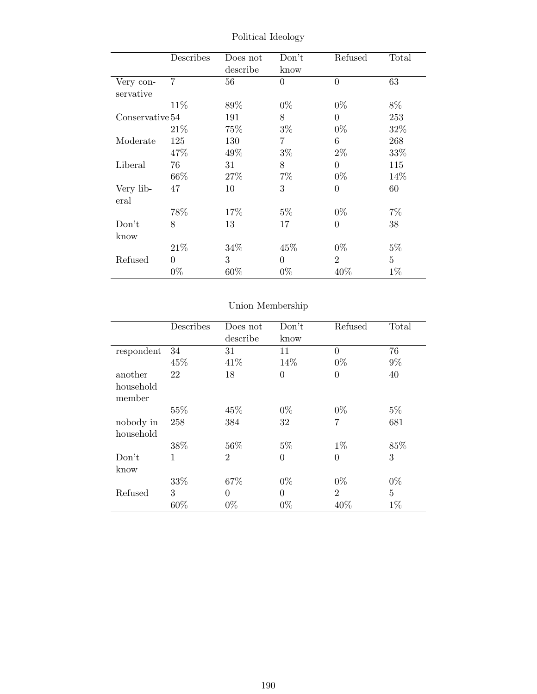|                 | Describes      | Does not | Don't    | Refused        | Total          |
|-----------------|----------------|----------|----------|----------------|----------------|
|                 |                | describe | know     |                |                |
| Very con-       | $\overline{7}$ | 56       | $\theta$ | $\theta$       | 63             |
| servative       |                |          |          |                |                |
|                 | 11%            | 89%      | $0\%$    | $0\%$          | $8\%$          |
| Conservative 54 |                | 191      | 8        | $\overline{0}$ | 253            |
|                 | 21\%           | 75\%     | $3\%$    | $0\%$          | 32%            |
| Moderate        | 125            | 130      | 7        | 6              | 268            |
|                 | 47%            | 49%      | $3\%$    | $2\%$          | 33%            |
| Liberal         | 76             | 31       | 8        | $\overline{0}$ | 115            |
|                 | 66\%           | 27\%     | $7\%$    | $0\%$          | 14\%           |
| Very lib-       | 47             | 10       | 3        | $\overline{0}$ | 60             |
| eral            |                |          |          |                |                |
|                 | 78%            | 17%      | $5\%$    | $0\%$          | 7%             |
| Don't           | 8              | 13       | 17       | $\theta$       | 38             |
| know            |                |          |          |                |                |
|                 | 21\%           | 34%      | 45\%     | $0\%$          | $5\%$          |
| Refused         | $\Omega$       | 3        | $\theta$ | $\overline{2}$ | $\overline{5}$ |
|                 | $0\%$          | 60%      | $0\%$    | 40\%           | $1\%$          |

Political Ideology

|            | Describes | Does not       | Don't          | Refused        | Total          |
|------------|-----------|----------------|----------------|----------------|----------------|
|            |           | describe       | know           |                |                |
| respondent | 34        | 31             | 11             | $\theta$       | 76             |
|            | 45%       | 41\%           | 14%            | $0\%$          | $9\%$          |
| another    | 22        | 18             | $\overline{0}$ | $\overline{0}$ | 40             |
| household  |           |                |                |                |                |
| member     |           |                |                |                |                |
|            | 55%       | 45\%           | $0\%$          | $0\%$          | $5\%$          |
| nobody in  | 258       | 384            | 32             | 7              | 681            |
| household  |           |                |                |                |                |
|            | 38%       | 56%            | $5\%$          | $1\%$          | 85%            |
| Don't      | 1         | $\overline{2}$ | $\overline{0}$ | $\overline{0}$ | 3              |
| know       |           |                |                |                |                |
|            | 33%       | 67%            | $0\%$          | $0\%$          | $0\%$          |
| Refused    | 3         | $\theta$       | $\theta$       | $\overline{2}$ | $\overline{5}$ |
|            | 60%       | $0\%$          | $0\%$          | 40%            | $1\%$          |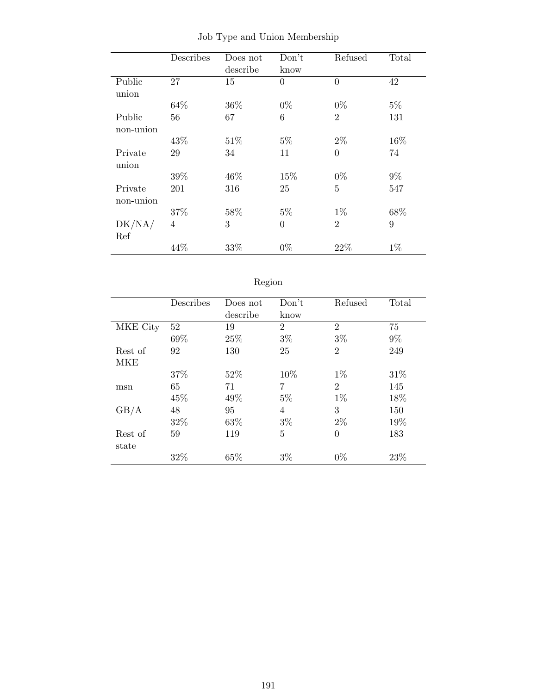|           | Describes | Does not | Don't          | Refused        | Total |
|-----------|-----------|----------|----------------|----------------|-------|
|           |           | describe | know           |                |       |
| Public    | 27        | 15       | $\overline{0}$ | $\overline{0}$ | 42    |
| union     |           |          |                |                |       |
|           | 64%       | 36%      | $0\%$          | $0\%$          | $5\%$ |
| Public    | 56        | 67       | 6              | $\overline{2}$ | 131   |
| non-union |           |          |                |                |       |
|           | 43%       | 51\%     | $5\%$          | $2\%$          | 16%   |
| Private   | 29        | 34       | 11             | $\overline{0}$ | 74    |
| union     |           |          |                |                |       |
|           | 39%       | 46\%     | 15%            | $0\%$          | $9\%$ |
| Private   | 201       | 316      | 25             | $\overline{5}$ | 547   |
| non-union |           |          |                |                |       |
|           | 37%       | 58%      | $5\%$          | $1\%$          | 68%   |
| DK/NA/    | 4         | 3        | $\overline{0}$ | $\overline{2}$ | 9     |
| Ref       |           |          |                |                |       |
|           | 44%       | 33%      | $0\%$          | 22%            | $1\%$ |

Job Type and Union Membership

| 691OF |
|-------|
|       |

|          | Describes | Does not | Don't          | Refused        | Total |
|----------|-----------|----------|----------------|----------------|-------|
|          |           | describe | know           |                |       |
| MKE City | 52        | 19       | $\overline{2}$ | $\mathfrak{D}$ | 75    |
|          | 69%       | 25%      | $3\%$          | $3\%$          | $9\%$ |
| Rest of  | 92        | 130      | 25             | $\overline{2}$ | 249   |
| MKE      |           |          |                |                |       |
|          | 37%       | 52%      | 10%            | $1\%$          | 31\%  |
| msn      | 65        | 71       | 7              | $\overline{2}$ | 145   |
|          | 45%       | 49%      | $5\%$          | $1\%$          | 18%   |
| GB/A     | 48        | 95       | 4              | 3              | 150   |
|          | 32%       | 63%      | $3\%$          | $2\%$          | 19%   |
| Rest of  | 59        | 119      | 5              | $\theta$       | 183   |
| state    |           |          |                |                |       |
|          | 32%       | 65%      | $3\%$          | $0\%$          | 23%   |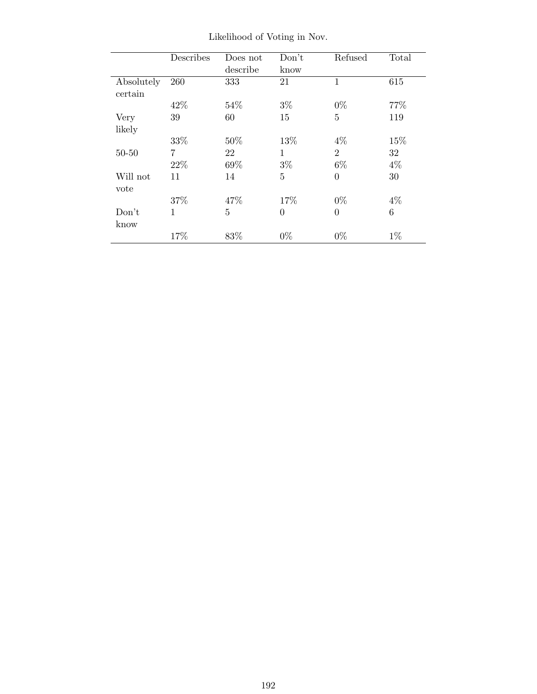|            | Describes    | Does not | Don't          | Refused        | Total |
|------------|--------------|----------|----------------|----------------|-------|
|            |              | describe | know           |                |       |
| Absolutely | 260          | 333      | 21             | $\mathbf{1}$   | 615   |
| certain    |              |          |                |                |       |
|            | 42%          | 54%      | $3\%$          | $0\%$          | 77%   |
| Very       | 39           | 60       | 15             | $\overline{5}$ | 119   |
| likely     |              |          |                |                |       |
|            | 33%          | 50%      | 13%            | $4\%$          | 15%   |
| $50 - 50$  | 7            | 22       | $\mathbf{1}$   | $\overline{2}$ | 32    |
|            | 22%          | 69%      | $3\%$          | $6\%$          | $4\%$ |
| Will not   | 11           | 14       | $\overline{5}$ | $\theta$       | 30    |
| vote       |              |          |                |                |       |
|            | 37%          | 47%      | 17%            | $0\%$          | $4\%$ |
| Don't      | $\mathbf{1}$ | 5        | $\overline{0}$ | $\Omega$       | 6     |
| know       |              |          |                |                |       |
|            | 17%          | 83%      | $0\%$          | $0\%$          | $1\%$ |

Likelihood of Voting in Nov.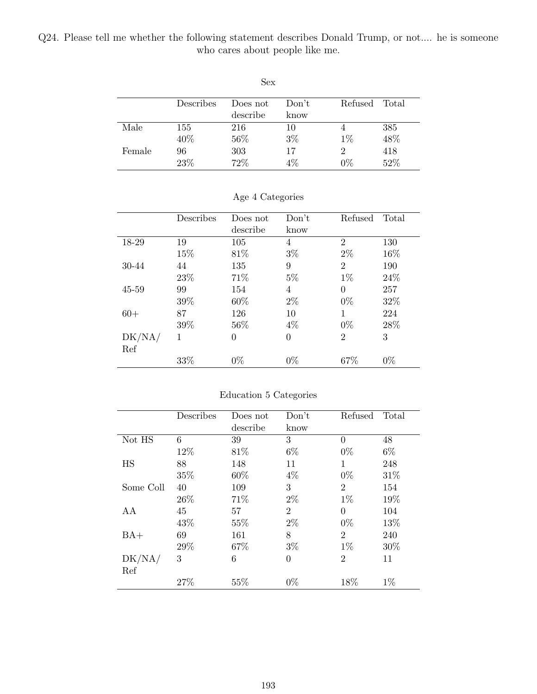Q24. Please tell me whether the following statement describes Donald Trump, or not.... he is someone who cares about people like me.

|        |           | Sex      |       |         |       |
|--------|-----------|----------|-------|---------|-------|
|        | Describes | Does not | Don't | Refused | Total |
|        |           | describe | know  |         |       |
| Male   | 155       | 216      | 10    | 4       | 385   |
|        | 40%       | 56%      | $3\%$ | $1\%$   | 48%   |
| Female | 96        | 303      | 17    | 2       | 418   |
|        | 23%       | 72%      | $4\%$ | $0\%$   | 52%   |

|           | Describes | Does not | Don't          | Refused        | Total |
|-----------|-----------|----------|----------------|----------------|-------|
|           |           | describe | know           |                |       |
| 18-29     | 19        | 105      | $\overline{4}$ | $\overline{2}$ | 130   |
|           | 15%       | 81\%     | $3\%$          | $2\%$          | 16%   |
| 30-44     | 44        | 135      | 9              | $\overline{2}$ | 190   |
|           | 23\%      | 71%      | $5\%$          | $1\%$          | 24%   |
| $45 - 59$ | 99        | 154      | 4              | $\theta$       | 257   |
|           | 39%       | 60%      | $2\%$          | $0\%$          | 32%   |
| $60+$     | 87        | 126      | 10             | 1              | 224   |
|           | 39%       | 56%      | $4\%$          | $0\%$          | 28%   |
| DK/NA/    | 1         | $\theta$ | $\overline{0}$ | $\overline{2}$ | 3     |
| Ref       |           |          |                |                |       |
|           | 33%       | $0\%$    | $0\%$          | 67%            | $0\%$ |

### Age 4 Categories

### Education 5 Categories

|           | Describes | Does not | Don't          | Refused        | Total |
|-----------|-----------|----------|----------------|----------------|-------|
|           |           | describe | know           |                |       |
| Not HS    | 6         | 39       | 3              | $\Omega$       | 48    |
|           | 12%       | 81\%     | $6\%$          | $0\%$          | $6\%$ |
| HS        | 88        | 148      | 11             | 1              | 248   |
|           | 35%       | 60%      | $4\%$          | $0\%$          | 31%   |
| Some Coll | 40        | 109      | 3              | $\overline{2}$ | 154   |
|           | 26\%      | 71%      | $2\%$          | $1\%$          | 19%   |
| AA        | 45        | 57       | $\overline{2}$ | $\theta$       | 104   |
|           | 43%       | 55%      | $2\%$          | $0\%$          | 13%   |
| $BA+$     | 69        | 161      | 8              | $\overline{2}$ | 240   |
|           | 29%       | 67%      | $3\%$          | $1\%$          | 30%   |
| DK/NA/    | 3         | 6        | $\overline{0}$ | $\overline{2}$ | 11    |
| Ref       |           |          |                |                |       |
|           | 27%       | 55%      | $0\%$          | 18%            | $1\%$ |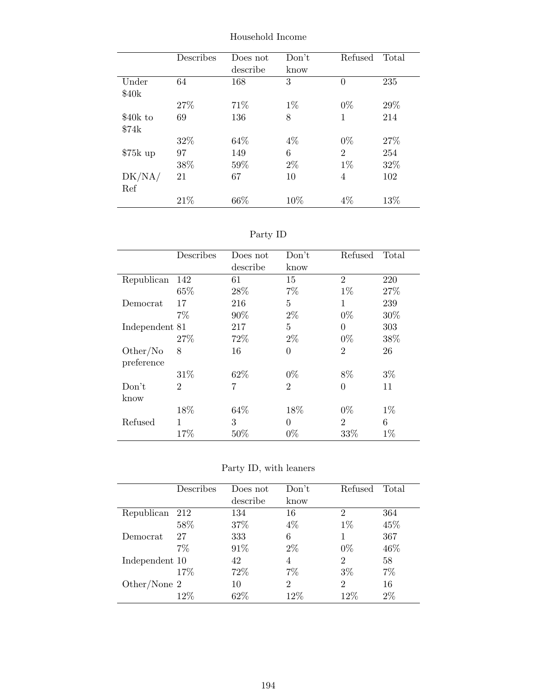|           | Describes | Does not<br>describe | Don't<br>know | Refused        | Total |
|-----------|-----------|----------------------|---------------|----------------|-------|
| Under     | 64        | 168                  | 3             | $\theta$       | 235   |
| \$40k     |           |                      |               |                |       |
|           | 27%       | 71\%                 | $1\%$         | $0\%$          | 29%   |
| \$40k to  | 69        | 136                  | 8             | 1              | 214   |
| \$74k     |           |                      |               |                |       |
|           | 32%       | 64\%                 | $4\%$         | $0\%$          | 27%   |
| $$75k$ up | 97        | 149                  | 6             | $\overline{2}$ | 254   |
|           | 38%       | 59%                  | $2\%$         | $1\%$          | 32%   |
| DK/NA/    | 21        | 67                   | 10            | 4              | 102   |
| Ref       |           |                      |               |                |       |
|           | 21\%      | 66\%                 | 10%           | $4\%$          | 13%   |

Household Income

Party ID

| Describes      | Does not | Don't          | Refused        | Total |
|----------------|----------|----------------|----------------|-------|
|                | describe | know           |                |       |
| 142            | 61       | 15             | $\overline{2}$ | 220   |
| 65%            | 28\%     | 7%             | $1\%$          | 27%   |
| 17             | 216      | 5              | 1              | 239   |
| $7\%$          | 90%      | $2\%$          | $0\%$          | 30%   |
| Independent 81 | 217      | 5              | $\Omega$       | 303   |
| 27%            | 72%      | $2\%$          | $0\%$          | 38%   |
| 8              | 16       | $\theta$       | $\overline{2}$ | 26    |
|                |          |                |                |       |
| 31\%           | 62\%     | $0\%$          | 8%             | $3\%$ |
| $\overline{2}$ | 7        | $\overline{2}$ | $\Omega$       | 11    |
|                |          |                |                |       |
| 18%            | 64\%     | 18%            | $0\%$          | $1\%$ |
| 1              | 3        | $\Omega$       | $\overline{2}$ | 6     |
| 17%            | 50%      | $0\%$          | 33%            | $1\%$ |
|                |          |                |                |       |

Party ID, with leaners

|                | Describes | Does not | Don't          | Refused        | Total |
|----------------|-----------|----------|----------------|----------------|-------|
|                |           | describe | know           |                |       |
| Republican     | 212       | 134      | 16             | $\overline{2}$ | 364   |
|                | 58%       | 37%      | $4\%$          | $1\%$          | 45%   |
| Democrat       | 27        | 333      | 6              |                | 367   |
|                | 7%        | 91\%     | $2\%$          | $0\%$          | 46%   |
| Independent 10 |           | 42       | 4              | 2              | 58    |
|                | 17%       | 72\%     | 7%             | $3\%$          | $7\%$ |
| Other/None 2   |           | 10       | $\overline{2}$ | $\overline{2}$ | 16    |
|                | 12\%      | 62\%     | $12\%$         | 12%            | $2\%$ |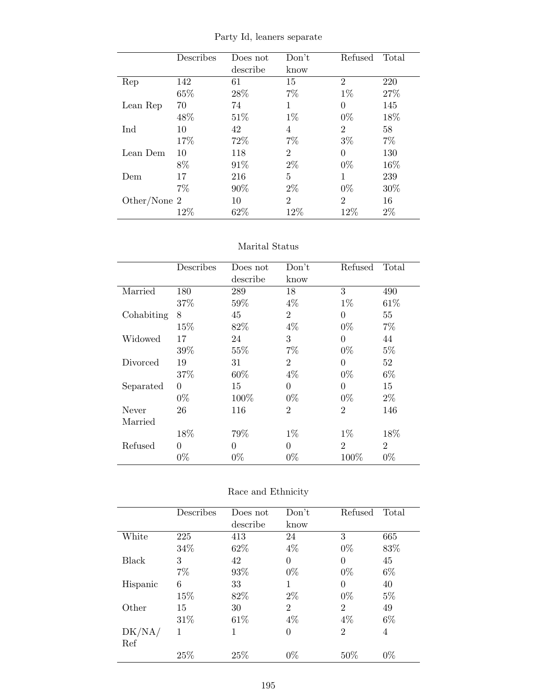|                | Describes | Does not<br>describe | Don't<br>know  | Refused        | Total  |
|----------------|-----------|----------------------|----------------|----------------|--------|
| Rep            | 142       | 61                   | 15             | $\overline{2}$ | 220    |
|                | 65%       | 28\%                 | 7%             | $1\%$          | 27%    |
| Lean Rep       | 70        | 74                   | 1              | $\theta$       | 145    |
|                | 48\%      | 51\%                 | $1\%$          | $0\%$          | 18%    |
| Ind            | 10        | 42                   | 4              | $\overline{2}$ | 58     |
|                | 17%       | 72\%                 | $7\%$          | $3\%$          | $7\%$  |
| Lean Dem       | 10        | 118                  | $\overline{2}$ | 0              | 130    |
|                | 8%        | 91\%                 | $2\%$          | $0\%$          | 16\%   |
| Dem            | 17        | 216                  | 5              | 1              | 239    |
|                | 7%        | 90%                  | $2\%$          | $0\%$          | $30\%$ |
| Other/None $2$ |           | 10                   | $\overline{2}$ | $\overline{2}$ | 16     |
|                | 12%       | 62%                  | 12%            | 12%            | $2\%$  |

Party Id, leaners separate

### Marital Status

|            | Describes | Does not | Don't          | Refused        | Total          |
|------------|-----------|----------|----------------|----------------|----------------|
|            |           | describe | know           |                |                |
| Married    | 180       | 289      | 18             | 3              | 490            |
|            | 37%       | 59%      | $4\%$          | $1\%$          | 61\%           |
| Cohabiting | 8         | 45       | $\overline{2}$ | $\theta$       | 55             |
|            | 15%       | 82%      | $4\%$          | $0\%$          | 7%             |
| Widowed    | 17        | 24       | 3              | $\theta$       | 44             |
|            | 39%       | 55%      | $7\%$          | $0\%$          | $5\%$          |
| Divorced   | 19        | 31       | $\overline{2}$ | $\theta$       | 52             |
|            | 37%       | 60%      | $4\%$          | $0\%$          | 6%             |
| Separated  | $\theta$  | 15       | $\Omega$       | $\theta$       | 15             |
|            | $0\%$     | 100\%    | $0\%$          | $0\%$          | $2\%$          |
| Never      | 26        | 116      | $\overline{2}$ | $\overline{2}$ | 146            |
| Married    |           |          |                |                |                |
|            | 18%       | 79%      | $1\%$          | $1\%$          | 18\%           |
| Refused    | $\theta$  | $\Omega$ | $\Omega$       | $\overline{2}$ | $\overline{2}$ |
|            | $0\%$     | $0\%$    | $0\%$          | $100\%$        | $0\%$          |

| Race and Ethnicity |  |  |
|--------------------|--|--|
|--------------------|--|--|

|          | Describes | Does not | Don't          | Refused        | Total |
|----------|-----------|----------|----------------|----------------|-------|
|          |           | describe | know           |                |       |
| White    | 225       | 413      | 24             | 3              | 665   |
|          | 34%       | 62\%     | $4\%$          | $0\%$          | 83%   |
| Black    | 3         | 42       | 0              | 0              | 45    |
|          | $7\%$     | 93%      | $0\%$          | $0\%$          | $6\%$ |
| Hispanic | 6         | 33       | 1              | 0              | 40    |
|          | 15%       | 82\%     | $2\%$          | $0\%$          | $5\%$ |
| Other    | 15        | 30       | $\overline{2}$ | $\overline{2}$ | 49    |
|          | 31\%      | 61\%     | $4\%$          | $4\%$          | $6\%$ |
| DK/NA/   | 1         | 1        | 0              | $\overline{2}$ | 4     |
| Ref      |           |          |                |                |       |
|          | 25%       | 25%      | $0\%$          | $50\%$         | $0\%$ |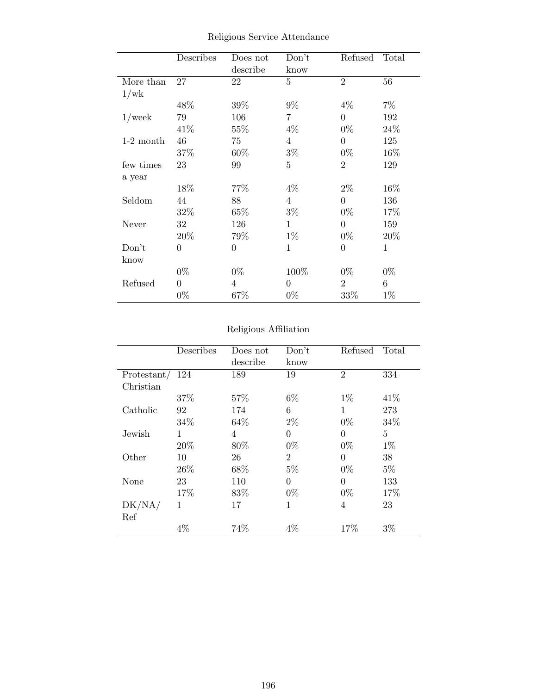|             | Describes      | Does not       | Don't          | Refused        | Total        |
|-------------|----------------|----------------|----------------|----------------|--------------|
|             |                | describe       | know           |                |              |
| More than   | 27             | 22             | $\overline{5}$ | $\overline{2}$ | 56           |
| 1/wk        |                |                |                |                |              |
|             | 48%            | 39%            | $9\%$          | $4\%$          | $7\%$        |
| $1$ /week   | 79             | 106            | 7              | $\theta$       | 192          |
|             | 41\%           | 55%            | $4\%$          | $0\%$          | 24%          |
| $1-2$ month | 46             | 75             | $\overline{4}$ | $\overline{0}$ | 125          |
|             | 37\%           | 60\%           | $3\%$          | $0\%$          | 16%          |
| few times   | 23             | 99             | $\overline{5}$ | $\overline{2}$ | 129          |
| a year      |                |                |                |                |              |
|             | 18%            | 77%            | $4\%$          | $2\%$          | 16%          |
| Seldom      | 44             | 88             | $\overline{4}$ | $\overline{0}$ | 136          |
|             | 32%            | $65\%$         | $3\%$          | $0\%$          | 17%          |
| Never       | 32             | 126            | $\mathbf{1}$   | $\overline{0}$ | 159          |
|             | 20%            | 79%            | $1\%$          | $0\%$          | 20%          |
| Don't       | $\overline{0}$ | 0              | $\mathbf 1$    | $\overline{0}$ | $\mathbf{1}$ |
| know        |                |                |                |                |              |
|             | $0\%$          | $0\%$          | 100%           | $0\%$          | $0\%$        |
| Refused     | $\overline{0}$ | $\overline{4}$ | $\overline{0}$ | $\overline{2}$ | 6            |
|             | $0\%$          | 67%            | $0\%$          | 33%            | $1\%$        |

Religious Service Attendance

## Religious Affiliation

|             | Describes | Does not | Don't          | Refused        | Total |
|-------------|-----------|----------|----------------|----------------|-------|
|             |           | describe | know           |                |       |
| Protestant/ | 124       | 189      | 19             | $\overline{2}$ | 334   |
| Christian   |           |          |                |                |       |
|             | 37%       | 57\%     | $6\%$          | $1\%$          | 41\%  |
| Catholic    | 92        | 174      | 6              | 1              | 273   |
|             | 34%       | 64\%     | $2\%$          | $0\%$          | 34%   |
| Jewish      | 1         | 4        | $\overline{0}$ | $\theta$       | 5     |
|             | 20%       | 80%      | $0\%$          | $0\%$          | $1\%$ |
| Other       | 10        | 26       | $\overline{2}$ | 0              | 38    |
|             | 26\%      | 68%      | $5\%$          | $0\%$          | $5\%$ |
| None        | 23        | 110      | $\overline{0}$ | $\theta$       | 133   |
|             | 17%       | 83\%     | $0\%$          | $0\%$          | 17%   |
| DK/NA/      | 1         | 17       | 1              | 4              | 23    |
| Ref         |           |          |                |                |       |
|             | $4\%$     | 74%      | 4%             | 17%            | $3\%$ |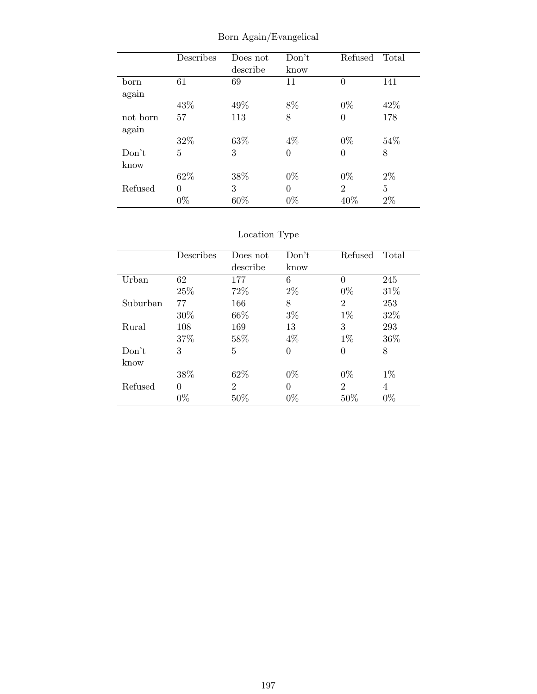|          | Describes | Does not<br>describe | Don't<br>know  | Refused        | Total |
|----------|-----------|----------------------|----------------|----------------|-------|
| born     | 61        | 69                   | 11             | 0              | 141   |
| again    |           |                      |                |                |       |
|          | 43\%      | 49%                  | 8%             | $0\%$          | 42%   |
| not born | 57        | 113                  | 8              | $\theta$       | 178   |
| again    |           |                      |                |                |       |
|          | 32%       | 63%                  | $4\%$          | $0\%$          | 54\%  |
| Don't    | 5         | 3                    | $\overline{0}$ | $\Omega$       | 8     |
| know     |           |                      |                |                |       |
|          | 62%       | 38%                  | $0\%$          | $0\%$          | $2\%$ |
| Refused  | $\Omega$  | 3                    | $\theta$       | $\overline{2}$ | 5     |
|          | $0\%$     | 60%                  | $0\%$          | 40%            | $2\%$ |

Born Again/Evangelical

|          | Describes | Does not | Don't    | Refused        | Total |
|----------|-----------|----------|----------|----------------|-------|
|          |           | describe | know     |                |       |
| Urban    | 62        | 177      | 6        | 0              | 245   |
|          | 25\%      | 72%      | $2\%$    | $0\%$          | 31\%  |
| Suburban | 77        | 166      | 8        | 2              | 253   |
|          | $30\%$    | 66\%     | $3\%$    | $1\%$          | 32%   |
| Rural    | 108       | 169      | 13       | 3              | 293   |
|          | 37\%      | 58%      | $4\%$    | $1\%$          | 36\%  |
| Don't    | 3         | 5        | 0        | 0              | 8     |
| know     |           |          |          |                |       |
|          | 38%       | 62%      | $0\%$    | $0\%$          | $1\%$ |
| Refused  | 0         | 2        | $\Omega$ | $\overline{2}$ | 4     |
|          | $0\%$     | 50%      | $0\%$    | 50%            | $0\%$ |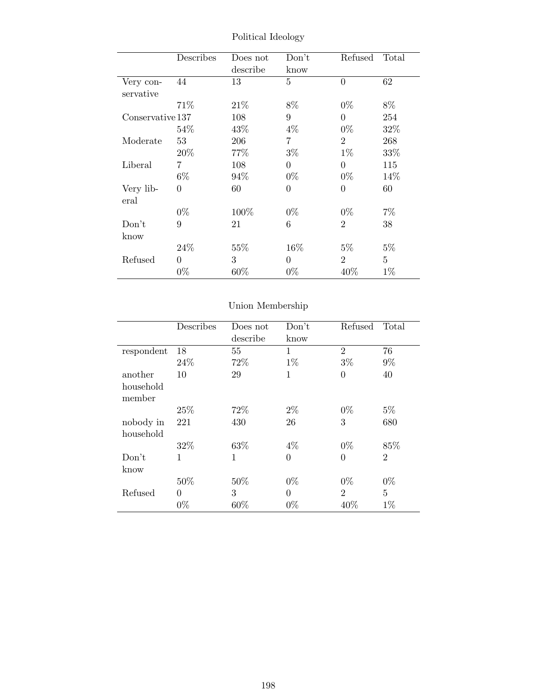|                  | Describes | Does not<br>describe | Don't<br>know  | Refused        | Total          |
|------------------|-----------|----------------------|----------------|----------------|----------------|
| Very con-        | 44        | 13                   | 5              | $\theta$       | 62             |
| servative        |           |                      |                |                |                |
|                  | 71%       | 21\%                 | 8%             | $0\%$          | 8%             |
| Conservative 137 |           | 108                  | 9              | $\theta$       | 254            |
|                  | 54%       | 43\%                 | $4\%$          | $0\%$          | 32%            |
| Moderate         | 53        | 206                  | 7              | $\overline{2}$ | 268            |
|                  | 20%       | 77%                  | $3\%$          | $1\%$          | 33%            |
| Liberal          | 7         | 108                  | $\Omega$       | $\theta$       | 115            |
|                  | $6\%$     | 94%                  | $0\%$          | $0\%$          | 14\%           |
| Very lib-        | $\Omega$  | 60                   | $\overline{0}$ | $\theta$       | 60             |
| eral             |           |                      |                |                |                |
|                  | $0\%$     | 100\%                | $0\%$          | $0\%$          | $7\%$          |
| Don't            | 9         | 21                   | 6              | $\overline{2}$ | 38             |
| know             |           |                      |                |                |                |
|                  | 24\%      | 55%                  | 16%            | $5\%$          | $5\%$          |
| Refused          | $\Omega$  | 3                    | $\Omega$       | $\overline{2}$ | $\overline{5}$ |
|                  | $0\%$     | $60\%$               | $0\%$          | 40\%           | $1\%$          |

Political Ideology

|                        | Describes | Does not<br>describe | Don't<br>know | Refused        | Total          |
|------------------------|-----------|----------------------|---------------|----------------|----------------|
| respondent             | 18        | 55                   | 1             | $\overline{2}$ | 76             |
|                        | 24\%      | 72\%                 | $1\%$         | $3\%$          | $9\%$          |
| another                | 10        | 29                   | 1             | $\overline{0}$ | 40             |
| household<br>member    |           |                      |               |                |                |
|                        | 25%       | 72%                  | $2\%$         | $0\%$          | $5\%$          |
| nobody in<br>household | 221       | 430                  | 26            | 3              | 680            |
|                        | 32%       | 63%                  | $4\%$         | $0\%$          | 85%            |
| Don't<br>know          | 1         | $\mathbf{1}$         | $\theta$      | $\overline{0}$ | $\overline{2}$ |
|                        | 50%       | 50%                  | $0\%$         | $0\%$          | $0\%$          |
| Refused                | $\theta$  | 3                    | $\theta$      | $\overline{2}$ | 5              |
|                        | $0\%$     | 60%                  | $0\%$         | 40%            | $1\%$          |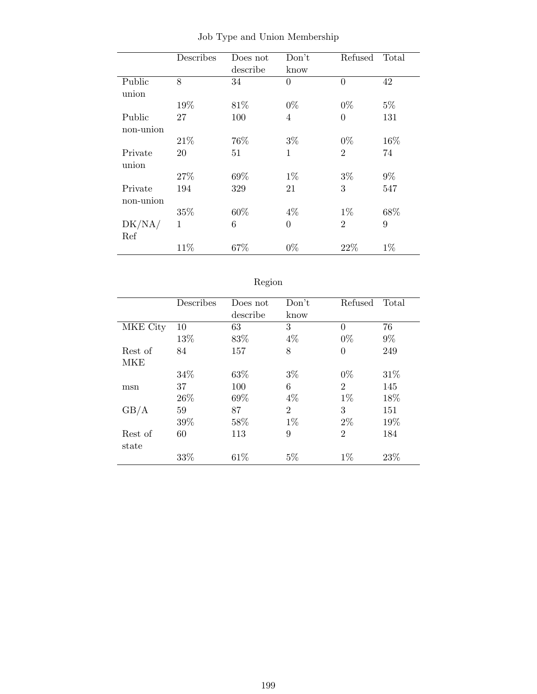|           | Describes | Does not | Don't          | Refused        | Total |
|-----------|-----------|----------|----------------|----------------|-------|
|           |           | describe | know           |                |       |
| Public    | 8         | 34       | $\theta$       | $\overline{0}$ | 42    |
| union     |           |          |                |                |       |
|           | 19%       | 81\%     | $0\%$          | $0\%$          | $5\%$ |
| Public    | 27        | 100      | $\overline{4}$ | 0              | 131   |
| non-union |           |          |                |                |       |
|           | 21\%      | 76%      | $3\%$          | $0\%$          | 16%   |
| Private   | 20        | 51       | 1              | $\overline{2}$ | 74    |
| union     |           |          |                |                |       |
|           | 27%       | 69%      | $1\%$          | $3\%$          | $9\%$ |
| Private   | 194       | 329      | 21             | 3              | 547   |
| non-union |           |          |                |                |       |
|           | 35%       | 60%      | $4\%$          | $1\%$          | 68%   |
| DK/NA/    | 1         | 6        | $\overline{0}$ | $\overline{2}$ | 9     |
| Ref       |           |          |                |                |       |
|           | 11%       | 67%      | $0\%$          | 22%            | $1\%$ |

Job Type and Union Membership

| - J -<br>ı |
|------------|
|            |

|          | Describes | Does not | Don't          | Refused        | Total |
|----------|-----------|----------|----------------|----------------|-------|
|          |           | describe | know           |                |       |
| MKE City | 10        | 63       | 3              | $\theta$       | 76    |
|          | 13%       | 83%      | $4\%$          | $0\%$          | $9\%$ |
| Rest of  | 84        | 157      | 8              | $\theta$       | 249   |
| MKE      |           |          |                |                |       |
|          | 34%       | 63\%     | $3\%$          | $0\%$          | 31\%  |
| msn      | 37        | 100      | 6              | $\overline{2}$ | 145   |
|          | 26\%      | 69%      | $4\%$          | $1\%$          | 18%   |
| GB/A     | 59        | 87       | $\overline{2}$ | 3              | 151   |
|          | 39%       | 58%      | $1\%$          | $2\%$          | 19%   |
| Rest of  | 60        | 113      | 9              | $\overline{2}$ | 184   |
| state    |           |          |                |                |       |
|          | 33%       | 61\%     | $5\%$          | $1\%$          | 23%   |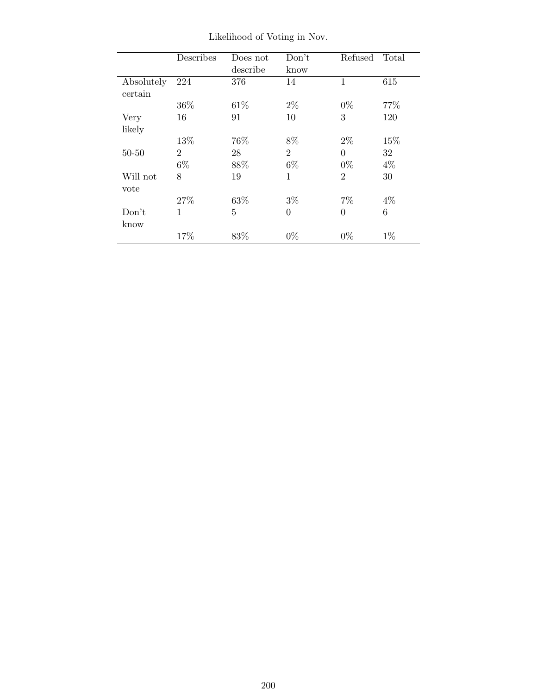|                       | Describes      | Does not<br>describe | Don't<br>know  | Refused        | Total |
|-----------------------|----------------|----------------------|----------------|----------------|-------|
| Absolutely<br>certain | 224            | 376                  | 14             | 1              | 615   |
|                       | 36\%           | 61\%                 | $2\%$          | $0\%$          | 77%   |
| Very                  | 16             | 91                   | 10             | 3              | 120   |
| likely                |                |                      |                |                |       |
|                       | 13%            | 76%                  | 8%             | $2\%$          | 15%   |
| $50 - 50$             | $\overline{2}$ | 28                   | $\overline{2}$ | $\theta$       | 32    |
|                       | $6\%$          | 88%                  | $6\%$          | $0\%$          | $4\%$ |
| Will not              | 8              | 19                   | 1              | $\overline{2}$ | 30    |
| vote                  |                |                      |                |                |       |
|                       | 27%            | 63%                  | $3\%$          | $7\%$          | $4\%$ |
| Don't                 | 1              | 5                    | $\overline{0}$ | $\theta$       | 6     |
| know                  |                |                      |                |                |       |
|                       | 17%            | 83%                  | $0\%$          | $0\%$          | $1\%$ |

Likelihood of Voting in Nov.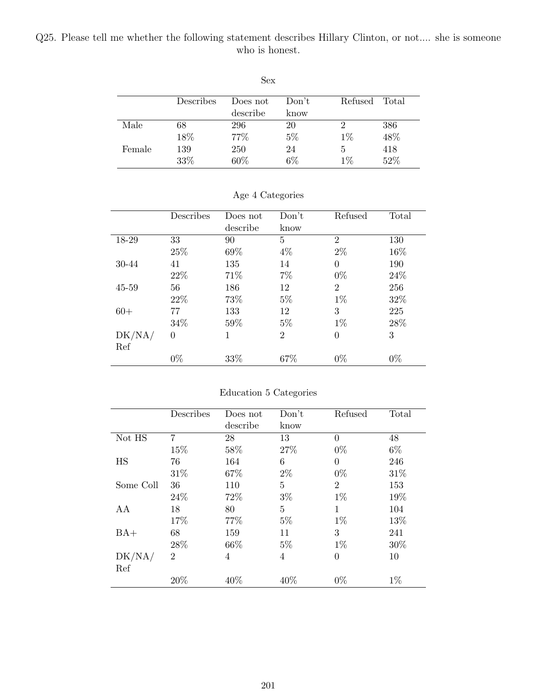### Q25. Please tell me whether the following statement describes Hillary Clinton, or not.... she is someone who is honest.

|        | Describes | Does not | Don't | Refused | Total |
|--------|-----------|----------|-------|---------|-------|
|        |           | describe | know  |         |       |
| Male   | 68        | 296      | 20    |         | 386   |
|        | 18%       | 77%      | $5\%$ | $1\%$   | 48%   |
| Female | 139       | 250      | 24    | 5       | 418   |
|        | 33%       | 60%      | $6\%$ | $1\%$   | 52%   |

Sex

|  | Age 4 Categories |  |
|--|------------------|--|
|  |                  |  |

|        | Describes | Does not | Don't          | Refused        | Total |
|--------|-----------|----------|----------------|----------------|-------|
|        |           | describe | know           |                |       |
| 18-29  | 33        | 90       | 5              | $\overline{2}$ | 130   |
|        | 25%       | 69%      | $4\%$          | $2\%$          | 16%   |
| 30-44  | 41        | 135      | 14             | $\theta$       | 190   |
|        | 22\%      | 71\%     | $7\%$          | $0\%$          | 24\%  |
| 45-59  | 56        | 186      | 12             | $\overline{2}$ | 256   |
|        | 22\%      | 73%      | $5\%$          | $1\%$          | 32%   |
| $60+$  | 77        | 133      | 12             | 3              | 225   |
|        | 34%       | 59%      | $5\%$          | $1\%$          | 28\%  |
| DK/NA/ | $\theta$  | 1        | $\overline{2}$ | $\overline{0}$ | 3     |
| Ref    |           |          |                |                |       |
|        | $0\%$     | 33%      | 67\%           | $0\%$          | $0\%$ |

## Education 5 Categories

|           | Describes      | Does not | Don't | Refused        | Total |
|-----------|----------------|----------|-------|----------------|-------|
|           |                | describe | know  |                |       |
| Not HS    | 7              | 28       | 13    | $\Omega$       | 48    |
|           | 15%            | 58%      | 27\%  | $0\%$          | $6\%$ |
| HS        | 76             | 164      | 6     | $\theta$       | 246   |
|           | 31%            | 67%      | $2\%$ | $0\%$          | 31\%  |
| Some Coll | 36             | 110      | 5     | $\overline{2}$ | 153   |
|           | 24%            | 72%      | $3\%$ | $1\%$          | 19%   |
| AA        | 18             | 80       | 5     | 1              | 104   |
|           | 17%            | 77%      | $5\%$ | $1\%$          | 13%   |
| $BA+$     | 68             | 159      | 11    | 3              | 241   |
|           | 28%            | 66\%     | $5\%$ | $1\%$          | 30%   |
| DK/NA/    | $\overline{2}$ | 4        | 4     | $\overline{0}$ | 10    |
| Ref       |                |          |       |                |       |
|           | 20%            | 40%      | 40\%  | $0\%$          | $1\%$ |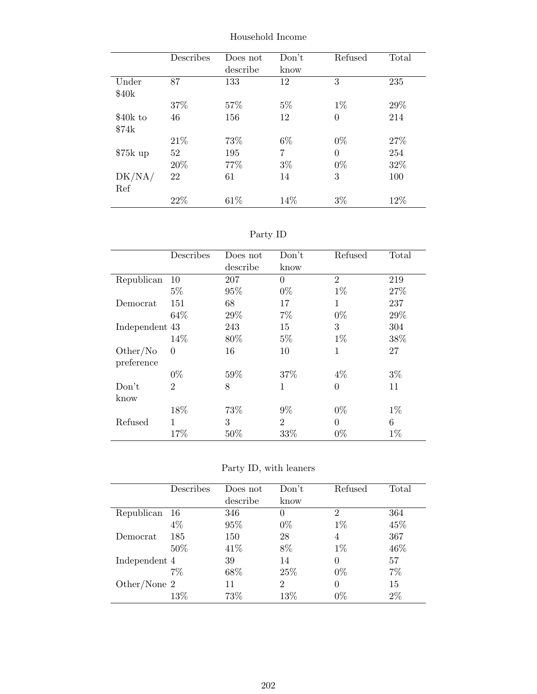|           | Describes | Does not<br>describe | Don't<br>know | Refused  | Total |
|-----------|-----------|----------------------|---------------|----------|-------|
| Under     | 87        | 133                  | 12            | 3        | 235   |
| \$40k     |           |                      |               |          |       |
|           | 37%       | 57%                  | $5\%$         | $1\%$    | 29\%  |
| \$40k to  | 46        | 156                  | 12            | $\theta$ | 214   |
| \$74k     |           |                      |               |          |       |
|           | 21\%      | 73%                  | $6\%$         | $0\%$    | 27%   |
| $$75k$ up | 52        | 195                  | 7             | $\Omega$ | 254   |
|           | 20%       | 77\%                 | $3\%$         | $0\%$    | 32%   |
| DK/NA/    | 22        | 61                   | 14            | 3        | 100   |
| Ref       |           |                      |               |          |       |
|           | 22%       | 61\%                 | 14\%          | $3\%$    | 12\%  |

Household Income

Party ID

|                | Describes      | Does not<br>describe | Don't<br>know  | Refused        | Total |
|----------------|----------------|----------------------|----------------|----------------|-------|
| Republican     | 10             | 207                  | $\theta$       | $\overline{2}$ | 219   |
|                | $5\%$          | 95%                  | $0\%$          | $1\%$          | 27%   |
| Democrat       | 151            | 68                   | 17             | 1              | 237   |
|                | 64\%           | 29%                  | 7%             | $0\%$          | 29%   |
| Independent 43 |                | 243                  | 15             | 3              | 304   |
|                | 14%            | 80%                  | $5\%$          | $1\%$          | 38%   |
| Other/No       | $\theta$       | 16                   | 10             | $\mathbf{1}$   | 27    |
| preference     |                |                      |                |                |       |
|                | $0\%$          | 59%                  | 37%            | $4\%$          | $3\%$ |
| Don't          | $\overline{2}$ | 8                    | $\mathbf{1}$   | $\theta$       | 11    |
| know           |                |                      |                |                |       |
|                | 18%            | 73%                  | $9\%$          | $0\%$          | $1\%$ |
| Refused        | 1              | 3                    | $\overline{2}$ | $\theta$       | 6     |
|                | 17%            | 50%                  | 33%            | $0\%$          | $1\%$ |

Party ID, with leaners

|                  | Describes | Does not | Don't          | Refused        | Total |
|------------------|-----------|----------|----------------|----------------|-------|
|                  |           | describe | know           |                |       |
| Republican       | -16       | 346      | $\theta$       | $\overline{2}$ | 364   |
|                  | $4\%$     | 95%      | $0\%$          | $1\%$          | 45%   |
| Democrat         | 185       | 150      | 28             | 4              | 367   |
|                  | 50%       | 41\%     | 8%             | $1\%$          | 46\%  |
| Independent 4    |           | 39       | 14             | 0              | 57    |
|                  | $7\%$     | 68%      | 25\%           | $0\%$          | 7%    |
| Other/None $2\,$ |           | 11       | $\overline{2}$ | 0              | 15    |
|                  | $13\%$    | 73%      | 13\%           | $0\%$          | $2\%$ |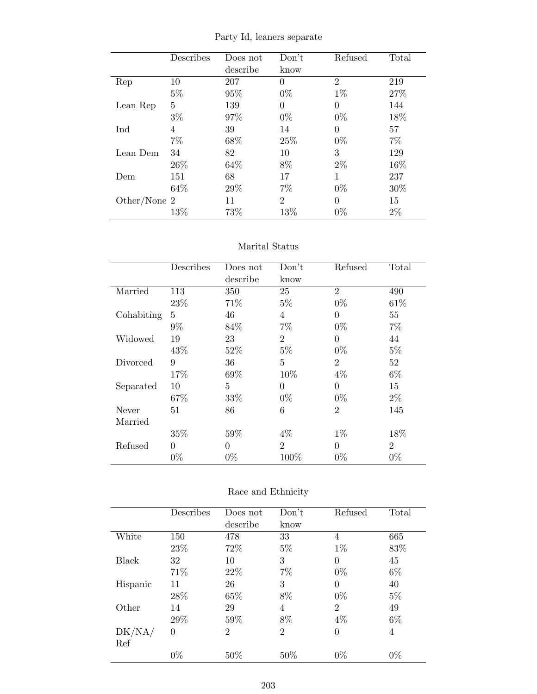|  |  |  |  | Party Id, leaners separate |
|--|--|--|--|----------------------------|
|--|--|--|--|----------------------------|

|              | Describes | Does not | Don't          | Refused        | Total |
|--------------|-----------|----------|----------------|----------------|-------|
|              |           | describe | know           |                |       |
| Rep          | 10        | 207      | 0              | $\overline{2}$ | 219   |
|              | $5\%$     | 95%      | $0\%$          | $1\%$          | 27%   |
| Lean Rep     | 5         | 139      | 0              | 0              | 144   |
|              | $3\%$     | 97%      | $0\%$          | $0\%$          | 18%   |
| Ind          | 4         | 39       | 14             | $\theta$       | 57    |
|              | $7\%$     | 68\%     | 25\%           | $0\%$          | $7\%$ |
| Lean Dem     | 34        | 82       | 10             | 3              | 129   |
|              | 26\%      | 64\%     | 8%             | $2\%$          | 16%   |
| Dem          | 151       | 68       | 17             | 1              | 237   |
|              | 64\%      | 29%      | 7%             | $0\%$          | 30%   |
| Other/None 2 |           | 11       | $\overline{2}$ | $\Omega$       | 15    |
|              | 13%       | 73%      | 13%            | $0\%$          | $2\%$ |

### Marital Status

|            | Describes | Does not       | Don't          | Refused        | Total          |
|------------|-----------|----------------|----------------|----------------|----------------|
|            |           | describe       | know           |                |                |
| Married    | 113       | 350            | 25             | $\overline{2}$ | 490            |
|            | 23%       | 71\%           | $5\%$          | $0\%$          | 61\%           |
| Cohabiting | 5         | 46             | 4              | $\overline{0}$ | 55             |
|            | $9\%$     | 84\%           | 7%             | $0\%$          | $7\%$          |
| Widowed    | 19        | 23             | $\overline{2}$ | $\theta$       | 44             |
|            | 43%       | 52%            | $5\%$          | $0\%$          | $5\%$          |
| Divorced   | 9         | 36             | 5              | $\overline{2}$ | 52             |
|            | 17%       | 69%            | 10%            | $4\%$          | $6\%$          |
| Separated  | 10        | $\overline{5}$ | $\overline{0}$ | $\overline{0}$ | 15             |
|            | 67%       | 33%            | $0\%$          | $0\%$          | $2\%$          |
| Never      | 51        | 86             | 6              | $\overline{2}$ | 145            |
| Married    |           |                |                |                |                |
|            | 35%       | 59%            | $4\%$          | $1\%$          | 18%            |
| Refused    | $\theta$  | $\theta$       | $\overline{2}$ | $\theta$       | $\overline{2}$ |
|            | $0\%$     | $0\%$          | 100%           | $0\%$          | $0\%$          |

|          | Describes | Does not       | Don't          | Refused        | Total |
|----------|-----------|----------------|----------------|----------------|-------|
|          |           | describe       | know           |                |       |
| White    | 150       | 478            | 33             | 4              | 665   |
|          | 23\%      | 72%            | $5\%$          | $1\%$          | 83%   |
| Black    | 32        | 10             | 3              | $\theta$       | 45    |
|          | 71%       | 22\%           | 7%             | $0\%$          | $6\%$ |
| Hispanic | 11        | 26             | 3              | $\Omega$       | 40    |
|          | 28\%      | 65%            | 8%             | $0\%$          | $5\%$ |
| Other    | 14        | 29             | 4              | $\overline{2}$ | 49    |
|          | 29%       | 59%            | 8%             | $4\%$          | $6\%$ |
| DK/NA/   | $\theta$  | $\overline{2}$ | $\overline{2}$ | $\theta$       | 4     |
| Ref      |           |                |                |                |       |
|          | $0\%$     | 50%            | 50%            | $0\%$          | $0\%$ |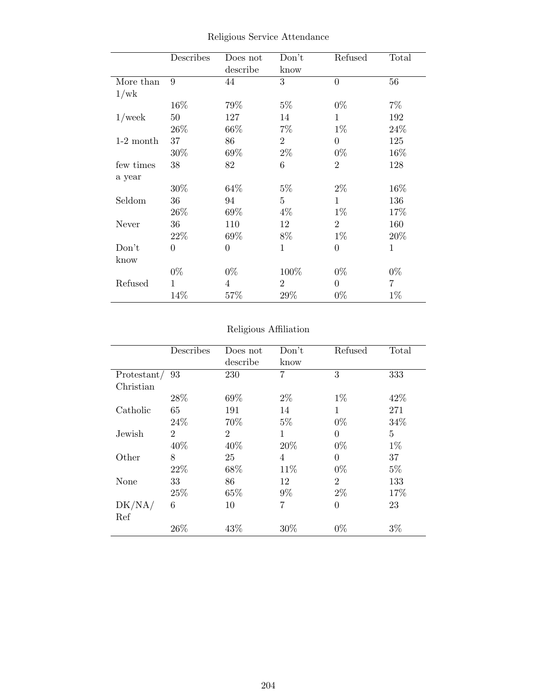|             | Describes        | Does not       | Don't          | Refused        | Total        |
|-------------|------------------|----------------|----------------|----------------|--------------|
|             |                  | describe       | know           |                |              |
| More than   | 9                | 44             | 3              | $\overline{0}$ | 56           |
| 1/wk        |                  |                |                |                |              |
|             | 16%              | 79%            | $5\%$          | $0\%$          | $7\%$        |
| $1$ /week   | $50\,$           | 127            | 14             | $\mathbf{1}$   | 192          |
|             | 26\%             | $66\%$         | $7\%$          | $1\%$          | 24%          |
| $1-2$ month | 37               | 86             | $\overline{2}$ | $\overline{0}$ | 125          |
|             | 30%              | 69%            | $2\%$          | $0\%$          | 16%          |
| few times   | 38               | 82             | 6              | $\overline{2}$ | 128          |
| a year      |                  |                |                |                |              |
|             | 30%              | 64\%           | $5\%$          | $2\%$          | 16%          |
| Seldom      | 36               | 94             | $\overline{5}$ | 1              | 136          |
|             | 26\%             | 69%            | $4\%$          | $1\%$          | 17%          |
| Never       | 36               | 110            | 12             | $\overline{2}$ | 160          |
|             | 22\%             | 69%            | 8%             | $1\%$          | 20%          |
| Don't       | $\boldsymbol{0}$ | $\overline{0}$ | $\mathbf{1}$   | $\overline{0}$ | $\mathbf{1}$ |
| know        |                  |                |                |                |              |
|             | $0\%$            | $0\%$          | 100%           | $0\%$          | $0\%$        |
| Refused     | 1                | $\overline{4}$ | $\overline{2}$ | $\overline{0}$ | 7            |
|             | 14%              | 57%            | 29%            | $0\%$          | $1\%$        |

Religious Service Attendance

# Religious Affiliation

|             | Describes      | Does not       | Don't | Refused        | Total          |
|-------------|----------------|----------------|-------|----------------|----------------|
|             |                | describe       | know  |                |                |
| Protestant/ | 93             | 230            | 7     | 3              | 333            |
| Christian   |                |                |       |                |                |
|             | 28\%           | 69%            | $2\%$ | $1\%$          | 42%            |
| Catholic    | 65             | 191            | 14    | 1              | 271            |
|             | 24\%           | 70\%           | $5\%$ | $0\%$          | 34%            |
| Jewish      | $\overline{2}$ | $\overline{2}$ | 1     | $\theta$       | $\overline{5}$ |
|             | 40%            | 40%            | 20%   | $0\%$          | $1\%$          |
| Other       | 8              | 25             | 4     | 0              | 37             |
|             | 22\%           | 68%            | 11%   | $0\%$          | $5\%$          |
| None        | 33             | 86             | 12    | $\overline{2}$ | 133            |
|             | 25\%           | 65%            | 9%    | $2\%$          | 17%            |
| DK/NA/      | 6              | 10             | 7     | $\theta$       | 23             |
| Ref         |                |                |       |                |                |
|             | 26%            | 43%            | 30%   | $0\%$          | $3\%$          |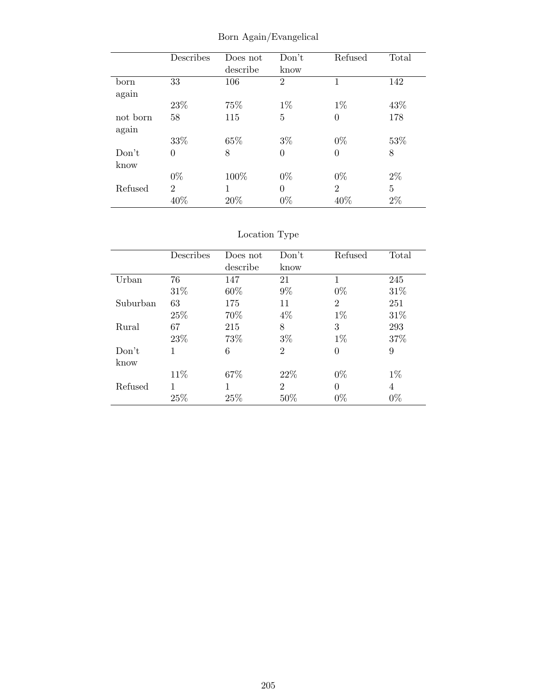|          | Describes      | Does not | Don't          | Refused        | Total |
|----------|----------------|----------|----------------|----------------|-------|
|          |                | describe | know           |                |       |
| born     | 33             | 106      | $\overline{2}$ | 1              | 142   |
| again    |                |          |                |                |       |
|          | 23\%           | 75%      | $1\%$          | $1\%$          | 43%   |
| not born | 58             | 115      | $\overline{5}$ | $\overline{0}$ | 178   |
| again    |                |          |                |                |       |
|          | 33%            | 65%      | $3\%$          | $0\%$          | 53%   |
| Don't    | 0              | 8        | $\overline{0}$ | 0              | 8     |
| know     |                |          |                |                |       |
|          | $0\%$          | 100%     | $0\%$          | $0\%$          | $2\%$ |
| Refused  | $\overline{2}$ | 1        | $\theta$       | $\overline{2}$ | 5     |
|          | 40%            | 20%      | $0\%$          | 40%            | $2\%$ |

Born Again/Evangelical

|          | Describes | Does not | Don't          | Refused        | Total |
|----------|-----------|----------|----------------|----------------|-------|
|          |           | describe | know           |                |       |
| Urban    | 76        | 147      | 21             | 1              | 245   |
|          | 31\%      | 60\%     | $9\%$          | $0\%$          | 31%   |
| Suburban | 63        | 175      | 11             | $\overline{2}$ | 251   |
|          | 25%       | 70\%     | $4\%$          | $1\%$          | 31\%  |
| Rural    | 67        | 215      | 8              | 3              | 293   |
|          | 23\%      | 73%      | $3\%$          | $1\%$          | 37%   |
| Don't    | 1         | 6        | $\overline{2}$ | 0              | 9     |
| know     |           |          |                |                |       |
|          | 11\%      | 67%      | 22\%           | $0\%$          | $1\%$ |
| Refused  | 1         |          | $\overline{2}$ | $\Omega$       | 4     |
|          | 25%       | 25%      | 50%            | $0\%$          | $0\%$ |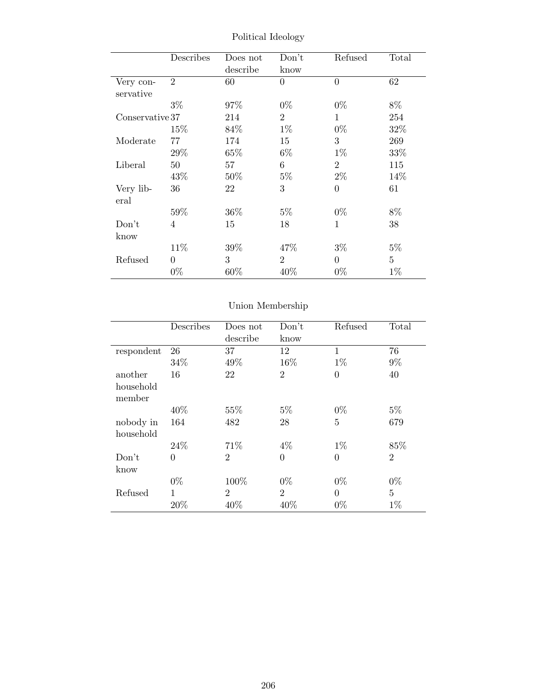|                 | Describes      | Does not | Don't          | Refused        | Total          |
|-----------------|----------------|----------|----------------|----------------|----------------|
|                 |                | describe | know           |                |                |
| Very con-       | $\overline{2}$ | 60       | $\theta$       | $\overline{0}$ | 62             |
| servative       |                |          |                |                |                |
|                 | $3\%$          | 97%      | $0\%$          | $0\%$          | 8%             |
| Conservative 37 |                | 214      | $\overline{2}$ | 1              | 254            |
|                 | 15%            | 84%      | $1\%$          | $0\%$          | 32%            |
| Moderate        | 77             | 174      | 15             | 3              | 269            |
|                 | 29%            | 65\%     | $6\%$          | $1\%$          | 33%            |
| Liberal         | 50             | 57       | 6              | $\overline{2}$ | 115            |
|                 | 43%            | 50%      | $5\%$          | $2\%$          | 14%            |
| Very lib-       | 36             | 22       | 3              | $\overline{0}$ | 61             |
| eral            |                |          |                |                |                |
|                 | 59%            | 36%      | $5\%$          | $0\%$          | $8\%$          |
| Don't           | $\overline{4}$ | 15       | 18             | $\mathbf{1}$   | 38             |
| know            |                |          |                |                |                |
|                 | 11\%           | $39\%$   | 47\%           | $3\%$          | $5\%$          |
| Refused         | $\Omega$       | 3        | $\overline{2}$ | $\Omega$       | $\overline{5}$ |
|                 | $0\%$          | $60\%$   | 40%            | $0\%$          | $1\%$          |

Political Ideology

|                     | Describes      | Does not<br>describe | Don't<br>know  | Refused        | Total          |
|---------------------|----------------|----------------------|----------------|----------------|----------------|
|                     |                |                      |                |                |                |
| respondent          | 26             | 37                   | 12             | $\mathbf{1}$   | 76             |
|                     | 34%            | 49%                  | 16%            | $1\%$          | $9\%$          |
| another             | 16             | 22                   | $\overline{2}$ | $\overline{0}$ | 40             |
| household<br>member |                |                      |                |                |                |
|                     | 40%            | 55%                  | $5\%$          | $0\%$          | $5\%$          |
| nobody in           | 164            | 482                  | 28             | $\overline{5}$ | 679            |
| household           |                |                      |                |                |                |
|                     | 24\%           | 71%                  | $4\%$          | $1\%$          | 85%            |
| Don't               | $\overline{0}$ | $\overline{2}$       | $\overline{0}$ | $\overline{0}$ | $\overline{2}$ |
| know                |                |                      |                |                |                |
|                     | $0\%$          | 100%                 | $0\%$          | $0\%$          | $0\%$          |
| Refused             | 1              | $\overline{2}$       | $\overline{2}$ | $\theta$       | $\overline{5}$ |
|                     | 20%            | 40%                  | 40%            | $0\%$          | $1\%$          |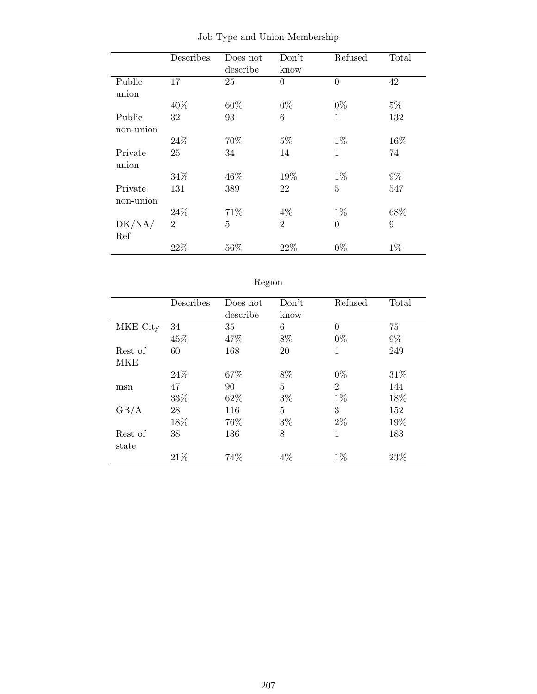|           | Describes      | Does not | Don't          | Refused        | Total |
|-----------|----------------|----------|----------------|----------------|-------|
|           |                | describe | know           |                |       |
| Public    | 17             | 25       | $\overline{0}$ | $\theta$       | 42    |
| union     |                |          |                |                |       |
|           | 40%            | 60%      | $0\%$          | $0\%$          | $5\%$ |
| Public    | 32             | 93       | 6              | 1              | 132   |
| non-union |                |          |                |                |       |
|           | 24\%           | 70%      | $5\%$          | $1\%$          | 16%   |
| Private   | 25             | 34       | 14             | 1              | 74    |
| union     |                |          |                |                |       |
|           | 34%            | 46%      | 19%            | $1\%$          | $9\%$ |
| Private   | 131            | 389      | 22             | 5              | 547   |
| non-union |                |          |                |                |       |
|           | 24\%           | 71%      | $4\%$          | $1\%$          | 68%   |
| DK/NA/    | $\overline{2}$ | 5        | $\overline{2}$ | $\overline{0}$ | 9     |
| Ref       |                |          |                |                |       |
|           | 22%            | 56%      | 22%            | $0\%$          | $1\%$ |

Job Type and Union Membership

| t | O.<br>к<br>п |
|---|--------------|

|          | Describes | Does not | Don't | Refused        | Total |
|----------|-----------|----------|-------|----------------|-------|
|          |           | describe | know  |                |       |
| MKE City | 34        | 35       | 6     | 0              | 75    |
|          | 45%       | 47%      | 8%    | $0\%$          | $9\%$ |
| Rest of  | 60        | 168      | 20    | 1              | 249   |
| MKE      |           |          |       |                |       |
|          | 24\%      | 67%      | 8%    | $0\%$          | 31\%  |
| msn      | 47        | 90       | 5     | $\overline{2}$ | 144   |
|          | 33\%      | 62%      | $3\%$ | $1\%$          | 18%   |
| GB/A     | 28        | 116      | 5     | 3              | 152   |
|          | 18%       | 76%      | $3\%$ | $2\%$          | 19%   |
| Rest of  | 38        | 136      | 8     | 1              | 183   |
| state    |           |          |       |                |       |
|          | 21\%      | 74%      | $4\%$ | $1\%$          | 23%   |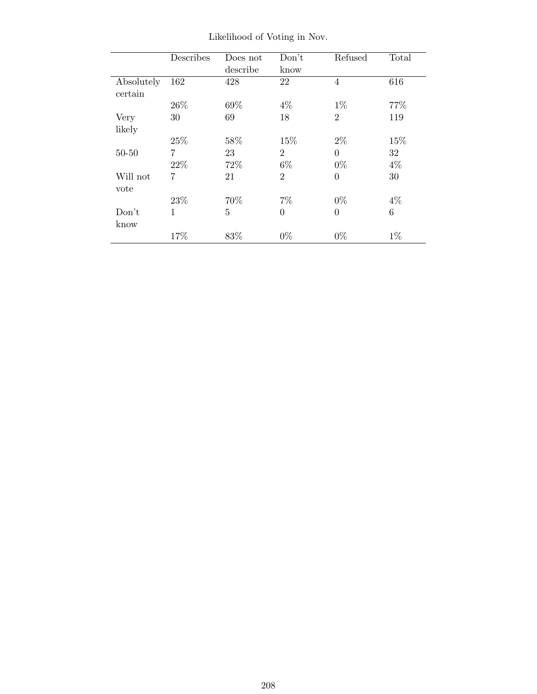|            | Describes      | Does not | Don't          | Refused        | Total |
|------------|----------------|----------|----------------|----------------|-------|
|            |                | describe | know           |                |       |
| Absolutely | 162            | 428      | 22             | 4              | 616   |
| certain    |                |          |                |                |       |
|            | 26\%           | 69%      | $4\%$          | $1\%$          | 77%   |
| Very       | 30             | 69       | 18             | $\overline{2}$ | 119   |
| likely     |                |          |                |                |       |
|            | 25%            | 58%      | 15%            | $2\%$          | 15%   |
| $50 - 50$  | $\overline{7}$ | 23       | $\overline{2}$ | $\theta$       | 32    |
|            | 22%            | 72%      | $6\%$          | $0\%$          | $4\%$ |
| Will not   | 7              | 21       | $\overline{2}$ | $\theta$       | 30    |
| vote       |                |          |                |                |       |
|            | 23\%           | 70%      | $7\%$          | $0\%$          | $4\%$ |
| Don't      | $\mathbf{1}$   | 5        | $\overline{0}$ | $\Omega$       | 6     |
| know       |                |          |                |                |       |
|            | 17%            | 83\%     | $0\%$          | $0\%$          | $1\%$ |

Likelihood of Voting in Nov.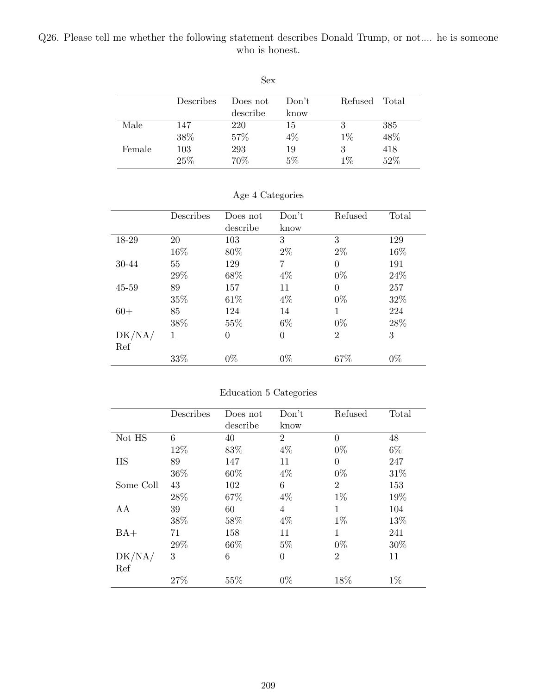### Q26. Please tell me whether the following statement describes Donald Trump, or not.... he is someone who is honest.

|        | Describes | Does not | Don't | Refused | Total |
|--------|-----------|----------|-------|---------|-------|
|        |           | describe | know  |         |       |
| Male   | 147       | 220      | 15    | 3       | 385   |
|        | 38%       | 57%      | 4%    | $1\%$   | 48%   |
| Female | 103       | 293      | 19    | 3       | 418   |
|        | 25%       | 70%      | $5\%$ | $1\%$   | 52%   |

Sex

|        | Describes | Does not | Don't    | Refused        | Total |
|--------|-----------|----------|----------|----------------|-------|
|        |           | describe | know     |                |       |
| 18-29  | 20        | 103      | 3        | 3              | 129   |
|        | 16%       | 80%      | $2\%$    | $2\%$          | 16%   |
| 30-44  | 55        | 129      | 7        | $\Omega$       | 191   |
|        | 29%       | 68%      | $4\%$    | $0\%$          | 24\%  |
| 45-59  | 89        | 157      | 11       | $\Omega$       | 257   |
|        | 35%       | 61\%     | $4\%$    | $0\%$          | 32%   |
| $60+$  | 85        | 124      | 14       | 1              | 224   |
|        | 38%       | 55\%     | $6\%$    | $0\%$          | 28%   |
| DK/NA/ | 1         | $\Omega$ | $\theta$ | $\overline{2}$ | 3     |
| Ref    |           |          |          |                |       |
|        | 33%       | $0\%$    | $0\%$    | 67%            | $0\%$ |

### Age 4 Categories

## Education 5 Categories

|           | Describes | Does not | Don't          | Refused        | Total |
|-----------|-----------|----------|----------------|----------------|-------|
|           |           | describe | know           |                |       |
| Not HS    | 6         | 40       | $\overline{2}$ | $\Omega$       | 48    |
|           | 12%       | 83%      | $4\%$          | $0\%$          | $6\%$ |
| HS        | 89        | 147      | 11             | $\theta$       | 247   |
|           | 36%       | 60%      | $4\%$          | $0\%$          | 31%   |
| Some Coll | 43        | 102      | 6              | $\overline{2}$ | 153   |
|           | 28%       | 67%      | $4\%$          | $1\%$          | 19%   |
| AA        | 39        | 60       | 4              | 1              | 104   |
|           | 38%       | 58%      | $4\%$          | $1\%$          | 13%   |
| $BA+$     | 71        | 158      | 11             | 1              | 241   |
|           | 29%       | 66\%     | $5\%$          | $0\%$          | 30%   |
| DK/NA/    | 3         | 6        | $\overline{0}$ | $\overline{2}$ | 11    |
| Ref       |           |          |                |                |       |
|           | 27%       | 55%      | $0\%$          | 18%            | $1\%$ |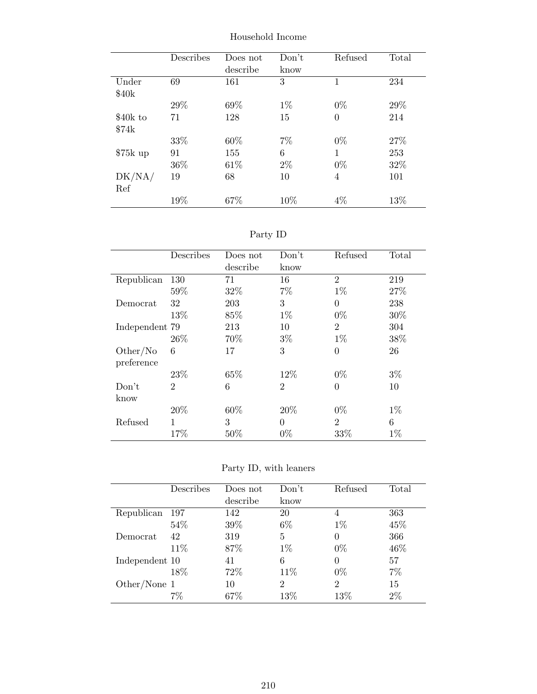|                   | Describes | Does not | Don't | Refused      | Total |
|-------------------|-----------|----------|-------|--------------|-------|
|                   |           | describe | know  |              |       |
| Under             | 69        | 161      | 3     | $\mathbf{1}$ | 234   |
| \$40 <sub>k</sub> |           |          |       |              |       |
|                   | 29%       | 69%      | $1\%$ | $0\%$        | 29\%  |
| \$40k to          | 71        | 128      | 15    | $\theta$     | 214   |
| \$74k             |           |          |       |              |       |
|                   | 33%       | 60%      | $7\%$ | $0\%$        | 27%   |
| $$75k$ up         | 91        | 155      | 6     | 1            | 253   |
|                   | 36\%      | 61\%     | $2\%$ | $0\%$        | 32%   |
| DK/NA/            | 19        | 68       | 10    | 4            | 101   |
| Ref               |           |          |       |              |       |
|                   | 19%       | 67%      | 10\%  | $4\%$        | 13\%  |

Household Income

Party ID

|                | Describes      | Does not | Don't          | Refused        | Total |
|----------------|----------------|----------|----------------|----------------|-------|
|                |                | describe | know           |                |       |
| Republican     | 130            | 71       | 16             | $\overline{2}$ | 219   |
|                | 59%            | 32%      | 7%             | $1\%$          | 27%   |
| Democrat       | 32             | 203      | 3              | $\theta$       | 238   |
|                | 13%            | 85%      | $1\%$          | $0\%$          | 30%   |
| Independent 79 |                | 213      | 10             | $\overline{2}$ | 304   |
|                | 26\%           | 70%      | $3\%$          | $1\%$          | 38%   |
| Other/No       | 6              | 17       | 3              | $\overline{0}$ | 26    |
| preference     |                |          |                |                |       |
|                | 23\%           | 65%      | 12\%           | $0\%$          | $3\%$ |
| Don't          | $\overline{2}$ | 6        | $\overline{2}$ | $\theta$       | 10    |
| know           |                |          |                |                |       |
|                | 20%            | 60%      | 20%            | $0\%$          | $1\%$ |
| Refused        | 1              | 3        | $\theta$       | $\mathfrak{D}$ | 6     |
|                | 17%            | 50%      | $0\%$          | 33%            | $1\%$ |

Party ID, with leaners

|                | Describes | Does not | Don't          | Refused        | Total |
|----------------|-----------|----------|----------------|----------------|-------|
|                |           | describe | know           |                |       |
| Republican     | 197       | 142      | 20             | 4              | 363   |
|                | 54%       | 39\%     | $6\%$          | $1\%$          | 45%   |
| Democrat       | 42        | 319      | 5              | 0              | 366   |
|                | 11%       | 87%      | $1\%$          | $0\%$          | 46%   |
| Independent 10 |           | 41       | 6              | 0              | 57    |
|                | 18%       | 72%      | 11\%           | $0\%$          | 7%    |
| Other/None 1   |           | 10       | $\overline{2}$ | $\overline{2}$ | 15    |
|                | $7\%$     | 67\%     | 13\%           | $13\%$         | 2%    |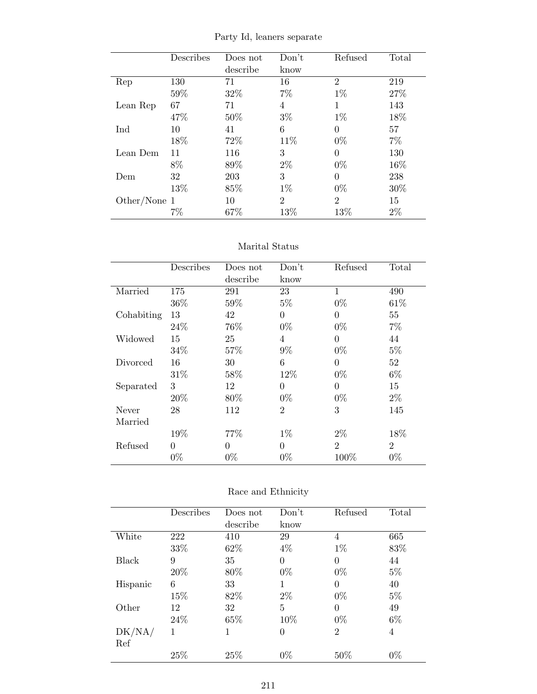|  |  |  | Party Id, leaners separate |
|--|--|--|----------------------------|
|--|--|--|----------------------------|

|              | Describes | Does not | Don't          | Refused        | Total |
|--------------|-----------|----------|----------------|----------------|-------|
|              |           | describe | know           |                |       |
| Rep          | 130       | 71       | 16             | $\overline{2}$ | 219   |
|              | 59%       | 32%      | 7%             | $1\%$          | 27%   |
| Lean Rep     | 67        | 71       | 4              | 1              | 143   |
|              | 47%       | 50%      | $3\%$          | $1\%$          | 18%   |
| Ind          | 10        | 41       | 6              | $\theta$       | 57    |
|              | 18%       | 72\%     | 11\%           | $0\%$          | $7\%$ |
| Lean Dem     | 11        | 116      | 3              | $\theta$       | 130   |
|              | 8%        | 89%      | $2\%$          | $0\%$          | 16%   |
| Dem          | 32        | 203      | 3              | 0              | 238   |
|              | 13%       | 85%      | $1\%$          | $0\%$          | 30%   |
| Other/None 1 |           | 10       | $\overline{2}$ | $\mathfrak{D}$ | 15    |
|              | 7%        | 67\%     | 13%            | 13%            | $2\%$ |

### Marital Status

|            | Describes | Does not | Don't          | Refused        | Total          |
|------------|-----------|----------|----------------|----------------|----------------|
|            |           | describe | know           |                |                |
| Married    | 175       | 291      | 23             | $\mathbf{1}$   | 490            |
|            | 36%       | 59%      | $5\%$          | $0\%$          | 61\%           |
| Cohabiting | 13        | 42       | $\theta$       | $\theta$       | 55             |
|            | 24\%      | 76%      | $0\%$          | $0\%$          | $7\%$          |
| Widowed    | 15        | 25       | 4              | $\theta$       | 44             |
|            | 34%       | 57%      | $9\%$          | $0\%$          | $5\%$          |
| Divorced   | 16        | 30       | 6              | 0              | 52             |
|            | 31\%      | 58%      | 12%            | $0\%$          | $6\%$          |
| Separated  | 3         | 12       | $\theta$       | $\theta$       | 15             |
|            | 20%       | 80\%     | $0\%$          | $0\%$          | $2\%$          |
| Never      | 28        | 112      | $\overline{2}$ | 3              | 145            |
| Married    |           |          |                |                |                |
|            | 19%       | 77%      | $1\%$          | $2\%$          | 18%            |
| Refused    | $\theta$  | $\theta$ | $\theta$       | $\overline{2}$ | $\overline{2}$ |
|            | $0\%$     | $0\%$    | $0\%$          | 100%           | $0\%$          |

| Race and Ethnicity |
|--------------------|
|                    |

|          | Describes | Does not | Don't          | Refused        | Total |
|----------|-----------|----------|----------------|----------------|-------|
|          |           | describe | know           |                |       |
| White    | 222       | 410      | 29             | 4              | 665   |
|          | 33%       | 62%      | $4\%$          | $1\%$          | 83%   |
| Black    | 9         | 35       | $\theta$       | $\theta$       | 44    |
|          | 20%       | 80%      | $0\%$          | $0\%$          | $5\%$ |
| Hispanic | 6         | 33       | 1              | 0              | 40    |
|          | 15%       | 82\%     | $2\%$          | $0\%$          | $5\%$ |
| Other    | 12        | 32       | 5              | $\theta$       | 49    |
|          | 24\%      | 65%      | 10%            | $0\%$          | $6\%$ |
| DK/NA/   | 1         | 1        | $\overline{0}$ | $\overline{2}$ | 4     |
| Ref      |           |          |                |                |       |
|          | 25%       | 25%      | $0\%$          | $50\%$         | $0\%$ |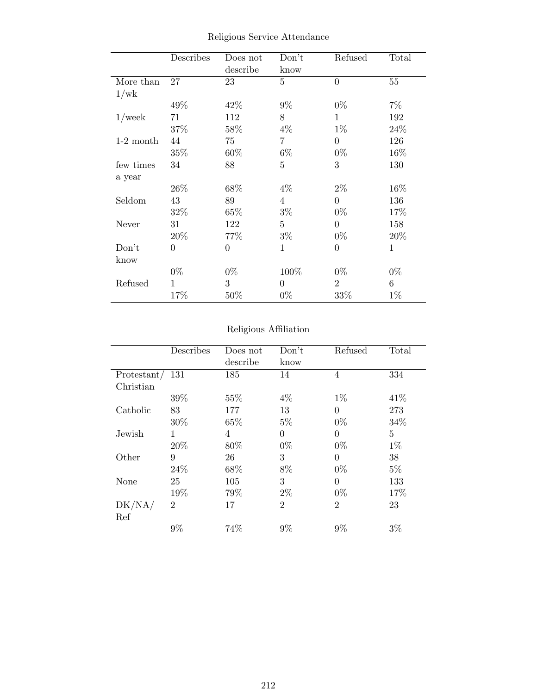|             | Describes        | Does not       | Don't          | Refused        | Total       |
|-------------|------------------|----------------|----------------|----------------|-------------|
|             |                  | describe       | know           |                |             |
| More than   | 27               | 23             | 5              | $\overline{0}$ | 55          |
| 1/wk        |                  |                |                |                |             |
|             | 49%              | 42%            | $9\%$          | $0\%$          | $7\%$       |
| $1$ /week   | 71               | 112            | 8              | $\mathbf{1}$   | 192         |
|             | 37%              | 58%            | $4\%$          | $1\%$          | 24\%        |
| $1-2$ month | 44               | 75             | $\overline{7}$ | $\overline{0}$ | 126         |
|             | 35%              | 60%            | $6\%$          | $0\%$          | 16%         |
| few times   | 34               | 88             | 5              | 3              | 130         |
| a year      |                  |                |                |                |             |
|             | $26\%$           | 68\%           | $4\%$          | $2\%$          | 16%         |
| Seldom      | 43               | 89             | $\overline{4}$ | $\Omega$       | 136         |
|             | 32%              | 65%            | $3\%$          | $0\%$          | 17%         |
| Never       | 31               | 122            | $\overline{5}$ | $\overline{0}$ | 158         |
|             | 20%              | 77%            | $3\%$          | $0\%$          | 20%         |
| Don't       | $\boldsymbol{0}$ | $\overline{0}$ | $\mathbf 1$    | $\overline{0}$ | $\mathbf 1$ |
| know        |                  |                |                |                |             |
|             | $0\%$            | $0\%$          | 100%           | $0\%$          | $0\%$       |
| Refused     | 1                | 3              | $\overline{0}$ | $\overline{2}$ | 6           |
|             | 17%              | 50%            | $0\%$          | 33\%           | $1\%$       |

Religious Service Attendance

# Religious Affiliation

|             | Describes      | Does not | Don't          | Refused        | Total          |
|-------------|----------------|----------|----------------|----------------|----------------|
|             |                | describe | know           |                |                |
| Protestant/ | 131            | 185      | 14             | 4              | 334            |
| Christian   |                |          |                |                |                |
|             | 39%            | 55%      | $4\%$          | $1\%$          | 41\%           |
| Catholic    | 83             | 177      | 13             | $\Omega$       | 273            |
|             | 30%            | 65%      | $5\%$          | $0\%$          | 34%            |
| Jewish      | 1              | 4        | $\overline{0}$ | $\theta$       | $\overline{5}$ |
|             | 20%            | 80%      | $0\%$          | $0\%$          | $1\%$          |
| Other       | 9              | 26       | 3              | 0              | 38             |
|             | 24\%           | 68%      | 8%             | $0\%$          | $5\%$          |
| None        | 25             | 105      | 3              | $\theta$       | 133            |
|             | 19%            | 79%      | $2\%$          | $0\%$          | 17%            |
| DK/NA/      | $\overline{2}$ | 17       | $\overline{2}$ | $\overline{2}$ | 23             |
| Ref         |                |          |                |                |                |
|             | $9\%$          | 74%      | 9%             | $9\%$          | $3\%$          |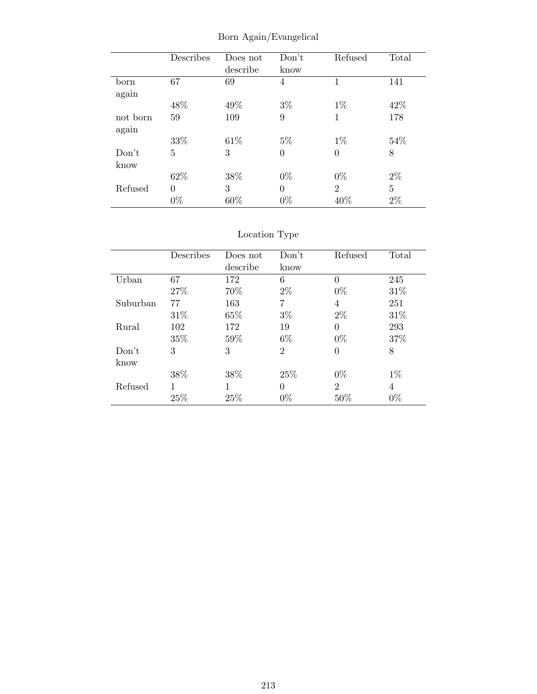|          | Describes | Does not | Don't    | Refused        | Total          |
|----------|-----------|----------|----------|----------------|----------------|
|          |           | describe | know     |                |                |
| born     | 67        | 69       | 4        | 1              | 141            |
| again    |           |          |          |                |                |
|          | 48%       | 49%      | $3\%$    | $1\%$          | 42\%           |
| not born | 59        | 109      | 9        | 1              | 178            |
| again    |           |          |          |                |                |
|          | 33%       | 61\%     | $5\%$    | $1\%$          | 54%            |
| Don't    | 5         | 3        | $\theta$ | 0              | 8              |
| know     |           |          |          |                |                |
|          | 62%       | 38%      | $0\%$    | $0\%$          | $2\%$          |
| Refused  | 0         | 3        | $\theta$ | $\overline{2}$ | $\overline{5}$ |
|          | $0\%$     | 60%      | $0\%$    | 40%            | $2\%$          |

Born Again/Evangelical

|          | Describes | Does not | Don't          | Refused        | Total |
|----------|-----------|----------|----------------|----------------|-------|
|          |           | describe | know           |                |       |
| Urban    | 67        | 172      | 6              | $\theta$       | 245   |
|          | 27\%      | 70%      | $2\%$          | $0\%$          | 31\%  |
| Suburban | 77        | 163      | 7              | 4              | 251   |
|          | $31\%$    | 65\%     | $3\%$          | $2\%$          | 31\%  |
| Rural    | 102       | 172      | 19             | $\Omega$       | 293   |
|          | 35%       | 59%      | $6\%$          | $0\%$          | 37%   |
| Don't    | 3         | 3        | $\overline{2}$ | $\theta$       | 8     |
| know     |           |          |                |                |       |
|          | 38%       | 38%      | 25\%           | $0\%$          | $1\%$ |
| Refused  | 1         | 1        | 0              | $\overline{2}$ | 4     |
|          | 25%       | 25%      | $0\%$          | $50\%$         | $0\%$ |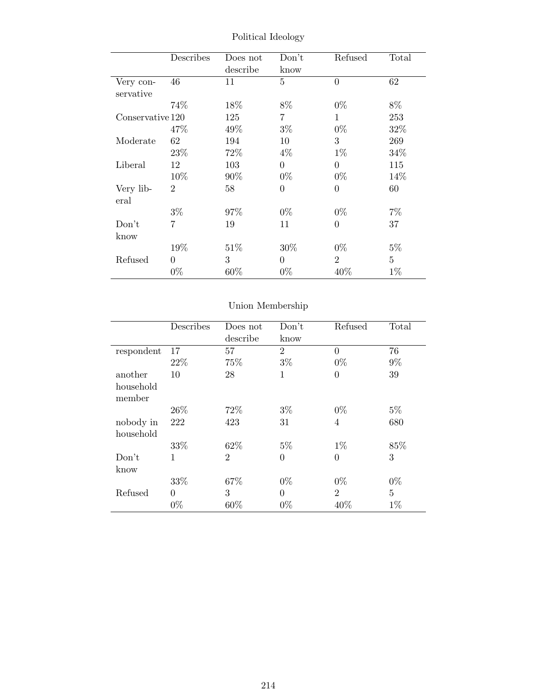|                  | Describes      | Does not | Don't            | Refused        | Total          |
|------------------|----------------|----------|------------------|----------------|----------------|
|                  |                | describe | know             |                |                |
| Very con-        | 46             | 11       | 5                | $\overline{0}$ | 62             |
| servative        |                |          |                  |                |                |
|                  | 74%            | 18%      | 8%               | $0\%$          | $8\%$          |
| Conservative 120 |                | 125      | 7                | $\mathbf{1}$   | 253            |
|                  | 47\%           | 49\%     | $3\%$            | $0\%$          | 32%            |
| Moderate         | 62             | 194      | 10               | 3              | 269            |
|                  | 23\%           | 72%      | $4\%$            | $1\%$          | 34%            |
| Liberal          | 12             | 103      | $\overline{0}$   | $\overline{0}$ | 115            |
|                  | 10%            | 90%      | $0\%$            | $0\%$          | 14\%           |
| Very lib-        | $\overline{2}$ | 58       | $\boldsymbol{0}$ | $\overline{0}$ | 60             |
| eral             |                |          |                  |                |                |
|                  | $3\%$          | 97%      | $0\%$            | $0\%$          | 7%             |
| Don't            | $\overline{7}$ | 19       | 11               | $\theta$       | 37             |
| know             |                |          |                  |                |                |
|                  | 19%            | 51\%     | $30\%$           | $0\%$          | $5\%$          |
| Refused          | $\Omega$       | 3        | $\theta$         | $\overline{2}$ | $\overline{5}$ |
|                  | $0\%$          | $60\%$   | $0\%$            | 40\%           | $1\%$          |

Political Ideology

|                        | Describes | Does not<br>describe | Don't<br>know  | Refused        | Total          |
|------------------------|-----------|----------------------|----------------|----------------|----------------|
| respondent             | 17        | 57                   | $\overline{2}$ | $\theta$       | 76             |
|                        | 22%       | 75%                  | $3\%$          | $0\%$          | $9\%$          |
| another                | 10        | 28                   | 1              | $\overline{0}$ | 39             |
| household<br>member    |           |                      |                |                |                |
|                        | 26\%      | 72%                  | $3\%$          | $0\%$          | $5\%$          |
| nobody in<br>household | 222       | 423                  | 31             | $\overline{4}$ | 680            |
|                        | 33%       | 62\%                 | $5\%$          | $1\%$          | 85%            |
| Don't<br>know          | 1         | $\overline{2}$       | $\overline{0}$ | $\overline{0}$ | 3              |
|                        | 33%       | 67%                  | $0\%$          | $0\%$          | $0\%$          |
| Refused                | $\Omega$  | 3                    | $\theta$       | $\overline{2}$ | $\overline{5}$ |
|                        | $0\%$     | 60%                  | $0\%$          | 40%            | $1\%$          |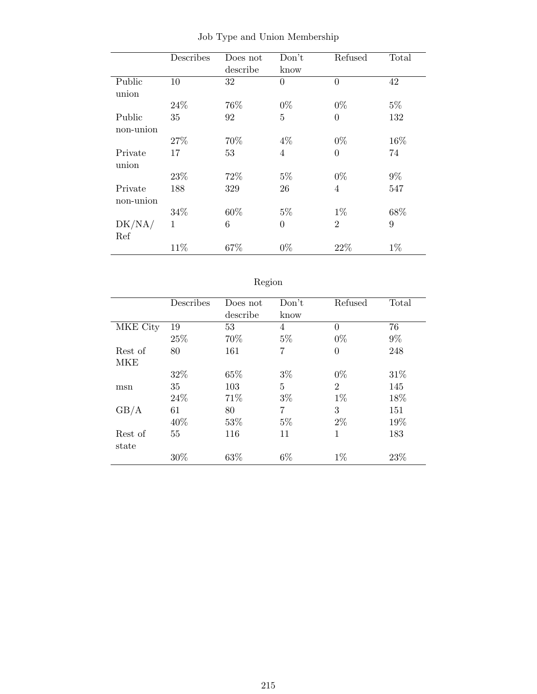|           | Describes | Does not | Don't          | Refused        | Total |
|-----------|-----------|----------|----------------|----------------|-------|
|           |           | describe | know           |                |       |
| Public    | 10        | 32       | $\overline{0}$ | $\overline{0}$ | 42    |
| union     |           |          |                |                |       |
|           | 24\%      | 76%      | $0\%$          | $0\%$          | $5\%$ |
| Public    | 35        | 92       | $\overline{5}$ | $\theta$       | 132   |
| non-union |           |          |                |                |       |
|           | 27%       | 70%      | $4\%$          | $0\%$          | 16%   |
| Private   | 17        | 53       | $\overline{4}$ | $\overline{0}$ | 74    |
| union     |           |          |                |                |       |
|           | 23\%      | 72%      | $5\%$          | $0\%$          | $9\%$ |
| Private   | 188       | 329      | 26             | 4              | 547   |
| non-union |           |          |                |                |       |
|           | 34%       | 60%      | $5\%$          | $1\%$          | 68%   |
| DK/NA/    | 1         | 6        | $\overline{0}$ | $\overline{2}$ | 9     |
| Ref       |           |          |                |                |       |
|           | 11%       | 67%      | $0\%$          | 22%            | $1\%$ |

Job Type and Union Membership

| t | O.<br>к<br>п |
|---|--------------|

|          | Describes | Does not | Don't | Refused        | Total |
|----------|-----------|----------|-------|----------------|-------|
|          |           | describe | know  |                |       |
| MKE City | 19        | 53       | 4     | 0              | 76    |
|          | 25%       | 70%      | $5\%$ | $0\%$          | $9\%$ |
| Rest of  | 80        | 161      | 7     | $\theta$       | 248   |
| MKE      |           |          |       |                |       |
|          | 32%       | 65%      | $3\%$ | $0\%$          | 31\%  |
| msn      | 35        | 103      | 5     | $\overline{2}$ | 145   |
|          | 24%       | 71\%     | $3\%$ | $1\%$          | 18%   |
| GB/A     | 61        | 80       | 7     | 3              | 151   |
|          | 40\%      | 53\%     | $5\%$ | $2\%$          | 19%   |
| Rest of  | 55        | 116      | 11    | 1              | 183   |
| state    |           |          |       |                |       |
|          | 30%       | 63%      | $6\%$ | $1\%$          | 23%   |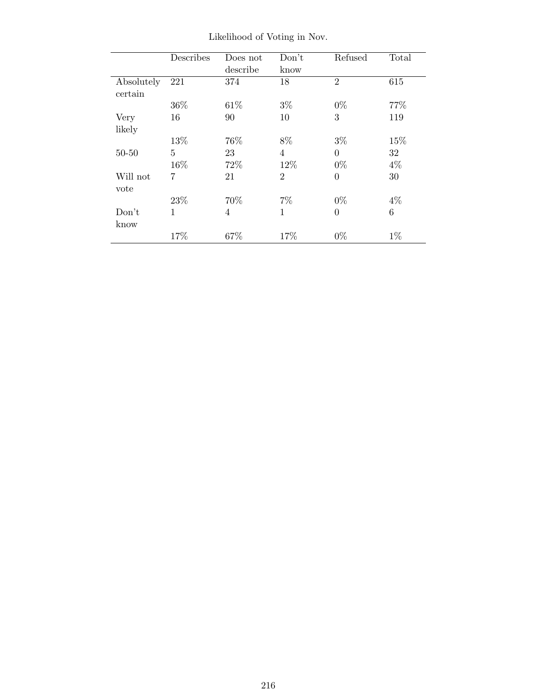|            | Describes    | Does not       | Don't          | Refused        | Total |
|------------|--------------|----------------|----------------|----------------|-------|
|            |              | describe       | know           |                |       |
| Absolutely | 221          | 374            | 18             | $\overline{2}$ | 615   |
| certain    |              |                |                |                |       |
|            | 36%          | 61\%           | $3\%$          | $0\%$          | 77%   |
| Very       | 16           | 90             | 10             | 3              | 119   |
| likely     |              |                |                |                |       |
|            | 13%          | 76%            | 8%             | $3\%$          | 15%   |
| $50 - 50$  | 5            | 23             | $\overline{4}$ | $\theta$       | 32    |
|            | 16%          | 72%            | 12%            | $0\%$          | $4\%$ |
| Will not   | 7            | 21             | $\overline{2}$ | $\theta$       | 30    |
| vote       |              |                |                |                |       |
|            | 23\%         | 70%            | $7\%$          | $0\%$          | $4\%$ |
| Don't      | $\mathbf{1}$ | $\overline{4}$ | 1              | $\Omega$       | 6     |
| know       |              |                |                |                |       |
|            | 17%          | 67\%           | 17\%           | $0\%$          | $1\%$ |

Likelihood of Voting in Nov.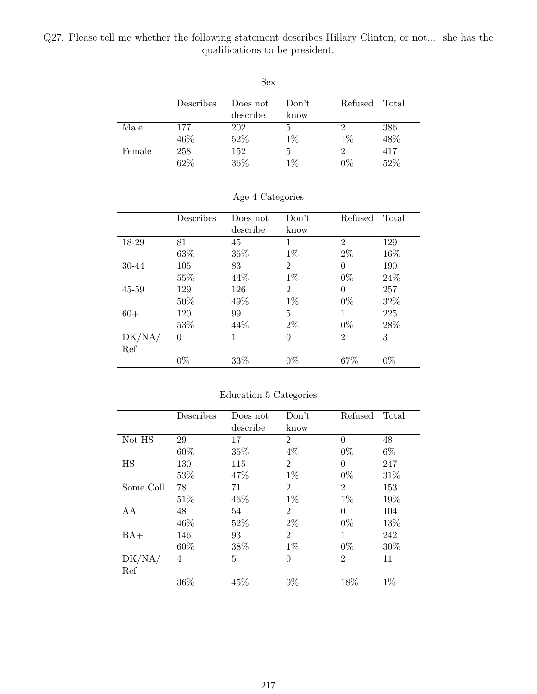Q27. Please tell me whether the following statement describes Hillary Clinton, or not.... she has the qualifications to be president.

|        |            | Sex.                 |               |            |            |
|--------|------------|----------------------|---------------|------------|------------|
|        | Describes  | Does not<br>describe | Don't<br>know | Refused    | Total      |
| Male   | 177        | 202                  | 5             | 2          | 386        |
| Female | 46%<br>258 | 52%<br>152           | $1\%$<br>5    | $1\%$<br>2 | 48%<br>417 |
|        | 62%        | 36%                  | $1\%$         | $0\%$      | 52%        |

|           | Describes | Does not | Don't          | Refused        | Total |
|-----------|-----------|----------|----------------|----------------|-------|
|           |           | describe | know           |                |       |
| 18-29     | 81        | 45       | 1              | $\overline{2}$ | 129   |
|           | 63%       | 35%      | $1\%$          | $2\%$          | 16%   |
| 30-44     | 105       | 83       | $\overline{2}$ | $\theta$       | 190   |
|           | 55%       | 44\%     | $1\%$          | $0\%$          | 24%   |
| $45 - 59$ | 129       | 126      | $\overline{2}$ | $\Omega$       | 257   |
|           | 50\%      | 49%      | $1\%$          | $0\%$          | 32%   |
| $60+$     | 120       | 99       | 5              | 1              | 225   |
|           | 53\%      | 44\%     | $2\%$          | $0\%$          | 28%   |
| DK/NA/    | $\theta$  | 1        | $\theta$       | $\overline{2}$ | 3     |
| Ref       |           |          |                |                |       |
|           | $0\%$     | 33%      | $0\%$          | 67\%           | $0\%$ |

#### Age 4 Categories

#### Education 5 Categories

|           | Describes | Does not | Don't          | Refused        | Total |
|-----------|-----------|----------|----------------|----------------|-------|
|           |           | describe | know           |                |       |
| Not HS    | 29        | 17       | $\overline{2}$ | $\Omega$       | 48    |
|           | 60%       | 35%      | $4\%$          | $0\%$          | $6\%$ |
| HS        | 130       | 115      | $\overline{2}$ | $\Omega$       | 247   |
|           | 53%       | 47%      | $1\%$          | $0\%$          | 31%   |
| Some Coll | 78        | 71       | $\overline{2}$ | $\overline{2}$ | 153   |
|           | 51\%      | 46\%     | $1\%$          | $1\%$          | 19%   |
| AA        | 48        | 54       | $\overline{2}$ | $\Omega$       | 104   |
|           | 46\%      | 52%      | $2\%$          | $0\%$          | 13%   |
| $BA+$     | 146       | 93       | $\overline{2}$ | 1              | 242   |
|           | 60%       | 38%      | $1\%$          | $0\%$          | 30%   |
| DK/NA/    | 4         | 5        | $\overline{0}$ | $\overline{2}$ | 11    |
| Ref       |           |          |                |                |       |
|           | 36%       | 45%      | $0\%$          | 18%            | $1\%$ |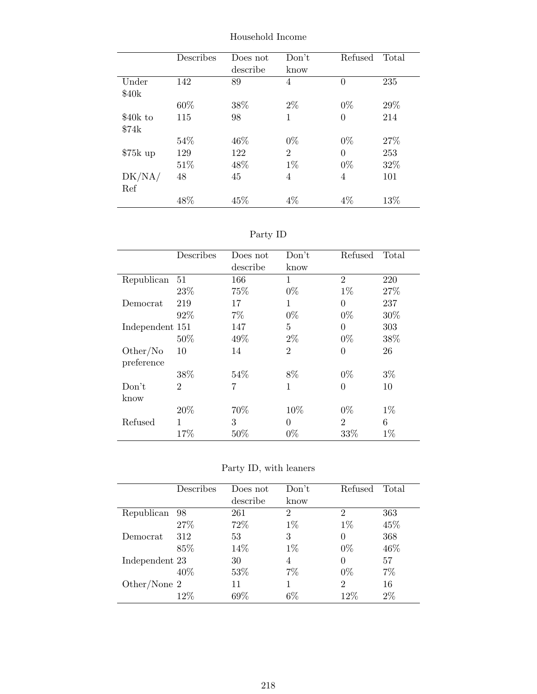|           | Describes | Does not<br>describe | Don't<br>know  | Refused  | Total |
|-----------|-----------|----------------------|----------------|----------|-------|
| Under     | 142       | 89                   | 4              | $\theta$ | 235   |
| \$40k     |           |                      |                |          |       |
|           | 60%       | 38%                  | $2\%$          | $0\%$    | 29%   |
| \$40k to  | 115       | 98                   | 1              | $\theta$ | 214   |
| \$74k     |           |                      |                |          |       |
|           | 54%       | 46\%                 | $0\%$          | $0\%$    | 27\%  |
| $$75k$ up | 129       | 122                  | $\overline{2}$ | 0        | 253   |
|           | 51%       | 48%                  | $1\%$          | $0\%$    | 32%   |
| DK/NA/    | 48        | 45                   | 4              | 4        | 101   |
| Ref       |           |                      |                |          |       |
|           | 48\%      | 45%                  | $4\%$          | $4\%$    | 13%   |

Household Income

Party ID

|                 | Describes      | Does not | Don't          | Refused        | Total |
|-----------------|----------------|----------|----------------|----------------|-------|
|                 |                | describe | know           |                |       |
| Republican      | 51             | 166      | 1              | $\overline{2}$ | 220   |
|                 | 23\%           | 75%      | $0\%$          | $1\%$          | 27%   |
| Democrat        | 219            | 17       | $\mathbf{1}$   | $\Omega$       | 237   |
|                 | 92%            | $7\%$    | $0\%$          | $0\%$          | 30%   |
| Independent 151 |                | 147      | 5              | $\Omega$       | 303   |
|                 | 50%            | 49%      | $2\%$          | $0\%$          | 38%   |
| Other/No        | 10             | 14       | $\overline{2}$ | $\Omega$       | 26    |
| preference      |                |          |                |                |       |
|                 | 38%            | 54\%     | 8\%            | $0\%$          | $3\%$ |
| Don't           | $\overline{2}$ | 7        | $\mathbf{1}$   | $\theta$       | 10    |
| know            |                |          |                |                |       |
|                 | $20\%$         | 70%      | 10%            | $0\%$          | $1\%$ |
| Refused         | 1              | 3        | $\Omega$       | $\overline{2}$ | 6     |
|                 | 17%            | 50%      | $0\%$          | 33%            | $1\%$ |

Party ID, with leaners

|                | Describes | Does not | Don't          | Refused        | Total |
|----------------|-----------|----------|----------------|----------------|-------|
|                |           | describe | know           |                |       |
| Republican     | 98        | 261      | $\overline{2}$ | $\overline{2}$ | 363   |
|                | 27%       | 72%      | $1\%$          | $1\%$          | 45\%  |
| Democrat       | 312       | 53       | 3              | 0              | 368   |
|                | 85%       | 14%      | $1\%$          | $0\%$          | 46\%  |
| Independent 23 |           | 30       | 4              | 0              | 57    |
|                | 40\%      | 53%      | 7%             | $0\%$          | $7\%$ |
| Other/None $2$ |           | 11       |                | $\overline{2}$ | 16    |
|                | 12\%      | 69%      | $6\%$          | $12\%$         | $2\%$ |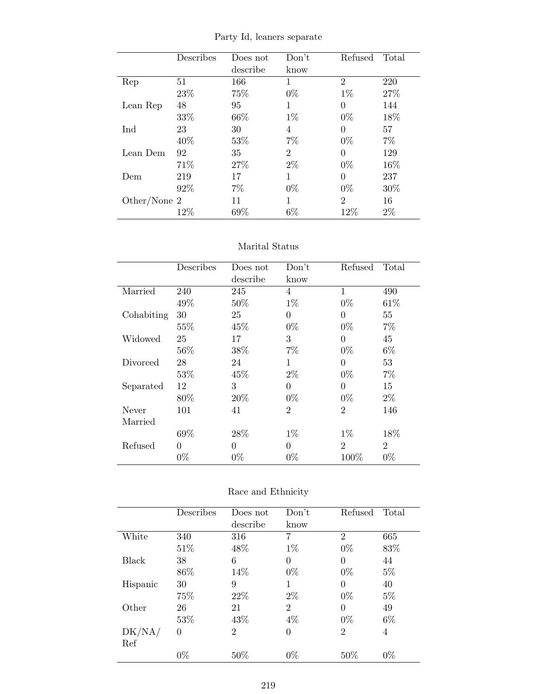|                | Describes | Does not | Don't          | Refused        | Total  |
|----------------|-----------|----------|----------------|----------------|--------|
|                |           | describe | know           |                |        |
| Rep            | 51        | 166      | 1              | $\overline{2}$ | 220    |
|                | 23\%      | 75%      | $0\%$          | $1\%$          | 27%    |
| Lean Rep       | 48        | 95       | 1              | $\Omega$       | 144    |
|                | 33%       | 66%      | $1\%$          | $0\%$          | 18%    |
| Ind            | 23        | 30       | 4              | $\theta$       | 57     |
|                | 40%       | 53%      | 7%             | $0\%$          | $7\%$  |
| Lean Dem       | 92        | 35       | $\overline{2}$ | 0              | 129    |
|                | 71%       | 27%      | $2\%$          | $0\%$          | 16%    |
| Dem            | 219       | 17       | 1              | 0              | 237    |
|                | 92%       | 7%       | $0\%$          | $0\%$          | $30\%$ |
| Other/None $2$ |           | 11       | 1              | $\overline{2}$ | 16     |
|                | 12%       | 69%      | $6\%$          | 12%            | $2\%$  |

Party Id, leaners separate

#### Marital Status

|            | Describes | Does not | Don't          | Refused        | Total          |
|------------|-----------|----------|----------------|----------------|----------------|
|            |           | describe | know           |                |                |
| Married    | 240       | 245      | $\overline{4}$ | $\mathbf{1}$   | 490            |
|            | 49%       | 50%      | $1\%$          | $0\%$          | 61\%           |
| Cohabiting | 30        | 25       | $\Omega$       | 0              | 55             |
|            | 55%       | 45\%     | $0\%$          | $0\%$          | 7%             |
| Widowed    | 25        | 17       | 3              | $\theta$       | 45             |
|            | 56\%      | 38%      | $7\%$          | $0\%$          | $6\%$          |
| Divorced   | 28        | 24       | 1              | $\theta$       | 53             |
|            | 53%       | 45%      | $2\%$          | $0\%$          | 7%             |
| Separated  | 12        | 3        | $\Omega$       | 0              | 15             |
|            | 80%       | 20%      | $0\%$          | $0\%$          | $2\%$          |
| Never      | 101       | 41       | $\overline{2}$ | $\overline{2}$ | 146            |
| Married    |           |          |                |                |                |
|            | 69%       | 28\%     | $1\%$          | $1\%$          | 18\%           |
| Refused    | $\theta$  | $\Omega$ | $\Omega$       | $\overline{2}$ | $\overline{2}$ |
|            | $0\%$     | $0\%$    | $0\%$          | 100%           | $0\%$          |

| Race and Ethnicity |  |  |
|--------------------|--|--|
|--------------------|--|--|

|              | Describes | Does not       | Don't          | Refused        | Total |
|--------------|-----------|----------------|----------------|----------------|-------|
|              |           | describe       | know           |                |       |
| White        | 340       | 316            | 7              | $\overline{2}$ | 665   |
|              | 51\%      | 48%            | $1\%$          | $0\%$          | 83%   |
| <b>Black</b> | 38        | 6              | $\overline{0}$ | $\theta$       | 44    |
|              | 86%       | 14%            | $0\%$          | $0\%$          | $5\%$ |
| Hispanic     | 30        | 9              | 1              | 0              | 40    |
|              | 75%       | 22\%           | $2\%$          | $0\%$          | $5\%$ |
| Other        | 26        | 21             | $\overline{2}$ | $\theta$       | 49    |
|              | 53%       | 43%            | $4\%$          | $0\%$          | $6\%$ |
| DK/NA/       | 0         | $\overline{2}$ | 0              | $\overline{2}$ | 4     |
| Ref          |           |                |                |                |       |
|              | $0\%$     | 50%            | $0\%$          | 50%            | $0\%$ |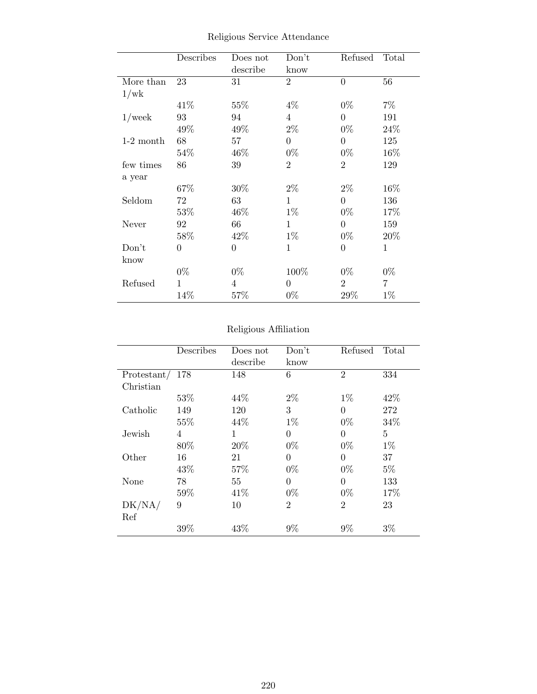|             | Describes      | Does not<br>describe | Don't<br>know  | Refused        | Total |
|-------------|----------------|----------------------|----------------|----------------|-------|
| More than   | 23             | 31                   | $\overline{2}$ | $\overline{0}$ | 56    |
| 1/wk        |                |                      |                |                |       |
|             | 41\%           | 55%                  | $4\%$          | $0\%$          | $7\%$ |
| $1$ /week   | 93             | 94                   | $\overline{4}$ | $\theta$       | 191   |
|             | 49%            | 49%                  | $2\%$          | $0\%$          | 24%   |
| $1-2$ month | 68             | 57                   | $\theta$       | $\overline{0}$ | 125   |
|             | 54\%           | 46\%                 | $0\%$          | $0\%$          | 16%   |
| few times   | 86             | 39                   | $\overline{2}$ | $\overline{2}$ | 129   |
| a year      |                |                      |                |                |       |
|             | 67%            | 30\%                 | $2\%$          | $2\%$          | 16%   |
| Seldom      | 72             | 63                   | 1              | $\overline{0}$ | 136   |
|             | 53%            | 46\%                 | $1\%$          | $0\%$          | 17%   |
| Never       | 92             | 66                   | 1              | $\overline{0}$ | 159   |
|             | 58%            | 42\%                 | $1\%$          | $0\%$          | 20%   |
| Don't       | $\overline{0}$ | $\overline{0}$       | 1              | $\overline{0}$ | 1     |
| know        |                |                      |                |                |       |
|             | $0\%$          | $0\%$                | 100%           | $0\%$          | $0\%$ |
| Refused     | 1              | 4                    | $\theta$       | $\overline{2}$ | 7     |
|             | 14%            | 57%                  | $0\%$          | 29%            | $1\%$ |

Religious Service Attendance

## Religious Affiliation

|             | Describes | Does not | Don't          | Refused        | Total |
|-------------|-----------|----------|----------------|----------------|-------|
|             |           | describe | know           |                |       |
| Protestant/ | 178       | 148      | 6              | $\overline{2}$ | 334   |
| Christian   |           |          |                |                |       |
|             | 53\%      | 44\%     | $2\%$          | $1\%$          | 42\%  |
| Catholic    | 149       | 120      | 3              | $\Omega$       | 272   |
|             | 55%       | 44\%     | $1\%$          | $0\%$          | 34%   |
| Jewish      | 4         | 1        | 0              | $\Omega$       | 5     |
|             | 80%       | 20%      | $0\%$          | $0\%$          | $1\%$ |
| Other       | 16        | 21       | $\theta$       | $\theta$       | 37    |
|             | 43\%      | 57%      | $0\%$          | $0\%$          | $5\%$ |
| None        | 78        | 55       | 0              | $\Omega$       | 133   |
|             | 59%       | 41\%     | $0\%$          | $0\%$          | 17%   |
| DK/NA/      | 9         | 10       | $\overline{2}$ | $\overline{2}$ | 23    |
| Ref         |           |          |                |                |       |
|             | 39%       | 43%      | 9%             | 9%             | $3\%$ |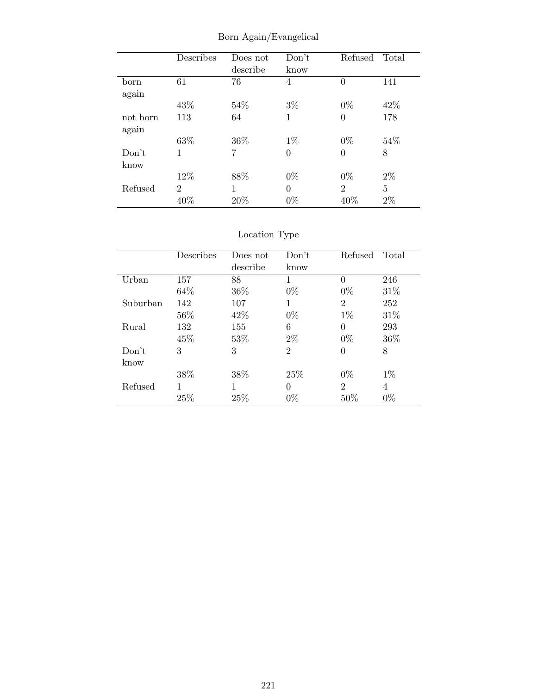|          | Describes      | Does not<br>describe | Don't<br>know  | Refused        | Total |
|----------|----------------|----------------------|----------------|----------------|-------|
| born     | 61             | 76                   | 4              | $\Omega$       | 141   |
| again    |                |                      |                |                |       |
|          | 43%            | 54%                  | $3\%$          | $0\%$          | 42\%  |
| not born | 113            | 64                   | 1              | $\Omega$       | 178   |
| again    |                |                      |                |                |       |
|          | 63%            | 36\%                 | $1\%$          | $0\%$          | 54%   |
| Don't    | 1              | 7                    | $\overline{0}$ | $\theta$       | 8     |
| know     |                |                      |                |                |       |
|          | 12%            | 88%                  | $0\%$          | $0\%$          | $2\%$ |
| Refused  | $\overline{2}$ | 1                    | $\overline{0}$ | $\overline{2}$ | 5     |
|          | 40%            | 20%                  | $0\%$          | 40%            | $2\%$ |

Born Again/Evangelical

## Location Type

|          | Describes | Does not | Don't    | Refused        | Total |
|----------|-----------|----------|----------|----------------|-------|
|          |           | describe | know     |                |       |
| Urban    | 157       | 88       | 1        | $\Omega$       | 246   |
|          | 64%       | 36\%     | $0\%$    | $0\%$          | 31\%  |
| Suburban | 142       | 107      | 1        | $\overline{2}$ | 252   |
|          | 56%       | 42\%     | $0\%$    | $1\%$          | 31\%  |
| Rural    | 132       | 155      | 6        | $\theta$       | 293   |
|          | 45\%      | 53%      | $2\%$    | $0\%$          | 36\%  |
| Don't    | 3         | 3        | 2        | $\overline{0}$ | 8     |
| know     |           |          |          |                |       |
|          | 38%       | 38%      | 25%      | $0\%$          | $1\%$ |
| Refused  |           | 1        | $\Omega$ | $\overline{2}$ | 4     |
|          | 25%       | 25%      | $0\%$    | 50%            | $0\%$ |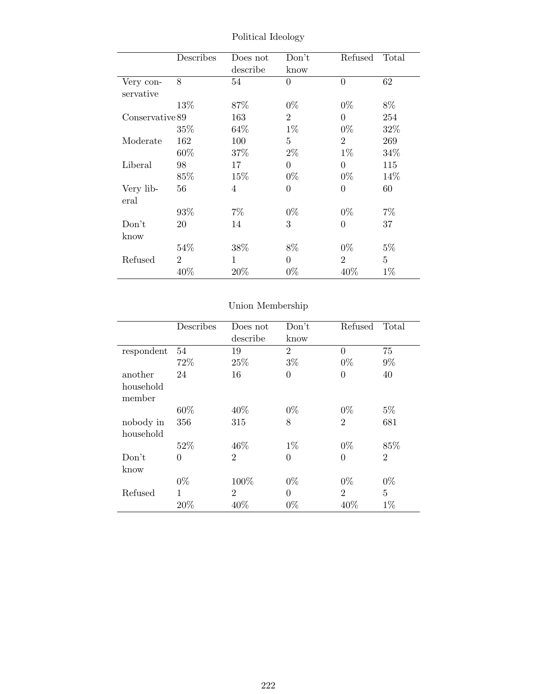|                 | Describes      | Does not<br>describe | Don't<br>know  | Refused        | Total |
|-----------------|----------------|----------------------|----------------|----------------|-------|
| Very con-       | 8              | 54                   | $\theta$       | $\theta$       | 62    |
| servative       |                |                      |                |                |       |
|                 | 13%            | 87%                  | $0\%$          | $0\%$          | 8%    |
| Conservative 89 |                | 163                  | $\overline{2}$ | $\overline{0}$ | 254   |
|                 | 35%            | 64\%                 | $1\%$          | $0\%$          | 32%   |
| Moderate        | 162            | 100                  | 5              | $\overline{2}$ | 269   |
|                 | $60\%$         | 37\%                 | $2\%$          | $1\%$          | 34%   |
| Liberal         | 98             | 17                   | $\theta$       | $\overline{0}$ | 115   |
|                 | $85\%$         | 15\%                 | $0\%$          | $0\%$          | 14\%  |
| Very lib-       | 56             | $\overline{4}$       | 0              | $\overline{0}$ | 60    |
| eral            |                |                      |                |                |       |
|                 | $93\%$         | 7%                   | $0\%$          | $0\%$          | $7\%$ |
| Don't           | 20             | 14                   | 3              | $\overline{0}$ | 37    |
| know            |                |                      |                |                |       |
|                 | 54%            | 38%                  | 8%             | $0\%$          | $5\%$ |
| Refused         | $\overline{2}$ | 1                    | $\theta$       | $\overline{2}$ | 5     |
|                 | 40%            | 20%                  | $0\%$          | 40\%           | $1\%$ |

Political Ideology

# Union Membership

|                     | Describes | Does not       | Don't          | Refused        | Total          |
|---------------------|-----------|----------------|----------------|----------------|----------------|
|                     |           | describe       | know           |                |                |
| respondent          | 54        | 19             | $\overline{2}$ | $\theta$       | 75             |
|                     | 72%       | 25%            | $3\%$          | $0\%$          | $9\%$          |
| another             | 24        | 16             | $\theta$       | $\theta$       | 40             |
| household<br>member |           |                |                |                |                |
|                     | 60%       | 40\%           | $0\%$          | $0\%$          | $5\%$          |
| nobody in           | 356       | 315            | 8              | $\overline{2}$ | 681            |
| household           |           |                |                |                |                |
|                     | 52%       | 46\%           | $1\%$          | $0\%$          | 85%            |
| Don't               | $\theta$  | $\overline{2}$ | $\theta$       | $\overline{0}$ | $\overline{2}$ |
| know                |           |                |                |                |                |
|                     | $0\%$     | 100%           | $0\%$          | $0\%$          | $0\%$          |
| Refused             | 1         | $\overline{2}$ | $\Omega$       | $\overline{2}$ | 5              |
|                     | 20%       | 40%            | $0\%$          | 40%            | $1\%$          |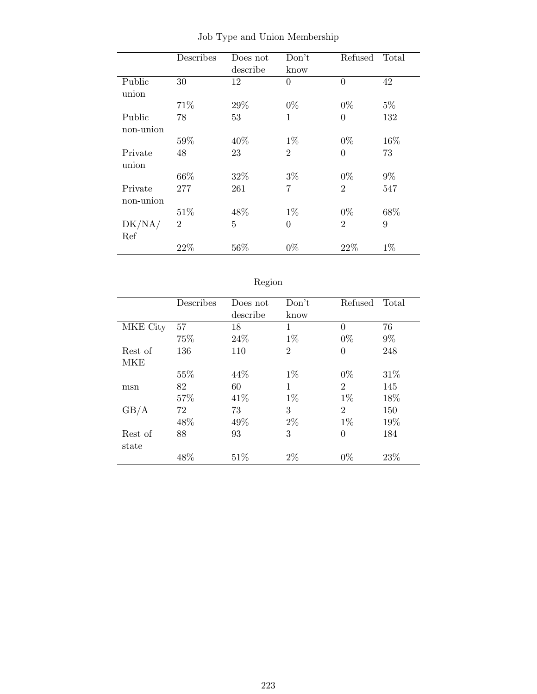|           | Describes      | Does not       | Don't          | Refused        | Total |
|-----------|----------------|----------------|----------------|----------------|-------|
|           |                | describe       | know           |                |       |
| Public    | 30             | 12             | $\overline{0}$ | $\overline{0}$ | 42    |
| union     |                |                |                |                |       |
|           | 71%            | 29%            | $0\%$          | $0\%$          | $5\%$ |
| Public    | 78             | 53             | 1              | $\theta$       | 132   |
| non-union |                |                |                |                |       |
|           | 59%            | 40%            | $1\%$          | $0\%$          | 16%   |
| Private   | 48             | 23             | $\overline{2}$ | $\overline{0}$ | 73    |
| union     |                |                |                |                |       |
|           | 66%            | 32%            | $3\%$          | $0\%$          | $9\%$ |
| Private   | 277            | 261            | 7              | $\overline{2}$ | 547   |
| non-union |                |                |                |                |       |
|           | 51\%           | 48%            | $1\%$          | $0\%$          | 68%   |
| DK/NA/    | $\overline{2}$ | $\overline{5}$ | $\theta$       | $\overline{2}$ | 9     |
| Ref       |                |                |                |                |       |
|           | 22%            | 56%            | $0\%$          | 22%            | $1\%$ |
|           |                |                |                |                |       |

Job Type and Union Membership

| -0<br>ю |
|---------|
|         |

|          | Describes | Does not | Don't          | Refused        | Total |
|----------|-----------|----------|----------------|----------------|-------|
|          |           | describe | know           |                |       |
| MKE City | 57        | 18       | $\mathbf{1}$   | $\theta$       | 76    |
|          | 75%       | 24\%     | $1\%$          | $0\%$          | $9\%$ |
| Rest of  | 136       | 110      | $\overline{2}$ | $\theta$       | 248   |
| MKE      |           |          |                |                |       |
|          | 55\%      | 44\%     | $1\%$          | $0\%$          | 31\%  |
| msn      | 82        | 60       | $\mathbf{1}$   | $\overline{2}$ | 145   |
|          | 57%       | 41\%     | $1\%$          | $1\%$          | 18%   |
| GB/A     | 72        | 73       | 3              | $\overline{2}$ | 150   |
|          | 48\%      | 49%      | $2\%$          | $1\%$          | 19%   |
| Rest of  | 88        | 93       | 3              | $\theta$       | 184   |
| state    |           |          |                |                |       |
|          | 48\%      | 51\%     | $2\%$          | $0\%$          | 23%   |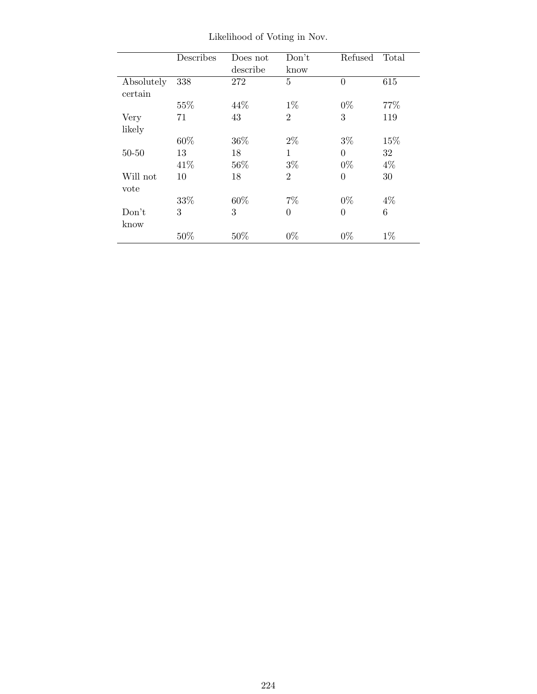|                       | Describes | Does not<br>describe | Don't<br>know  | Refused        | Total |
|-----------------------|-----------|----------------------|----------------|----------------|-------|
| Absolutely<br>certain | 338       | 272                  | 5              | $\overline{0}$ | 615   |
|                       | 55%       | 44\%                 | $1\%$          | $0\%$          | 77%   |
| Very                  | 71        | 43                   | $\overline{2}$ | 3              | 119   |
| likely                |           |                      |                |                |       |
|                       | 60%       | 36\%                 | $2\%$          | $3\%$          | 15%   |
| $50 - 50$             | 13        | 18                   | 1              | $\theta$       | 32    |
|                       | 41\%      | 56%                  | $3\%$          | $0\%$          | $4\%$ |
| Will not              | 10        | 18                   | $\overline{2}$ | $\overline{0}$ | 30    |
| vote                  |           |                      |                |                |       |
|                       | 33%       | 60%                  | $7\%$          | $0\%$          | $4\%$ |
| Don't                 | 3         | 3                    | $\theta$       | $\theta$       | 6     |
| know                  |           |                      |                |                |       |
|                       | 50%       | 50%                  | $0\%$          | $0\%$          | $1\%$ |

Likelihood of Voting in Nov.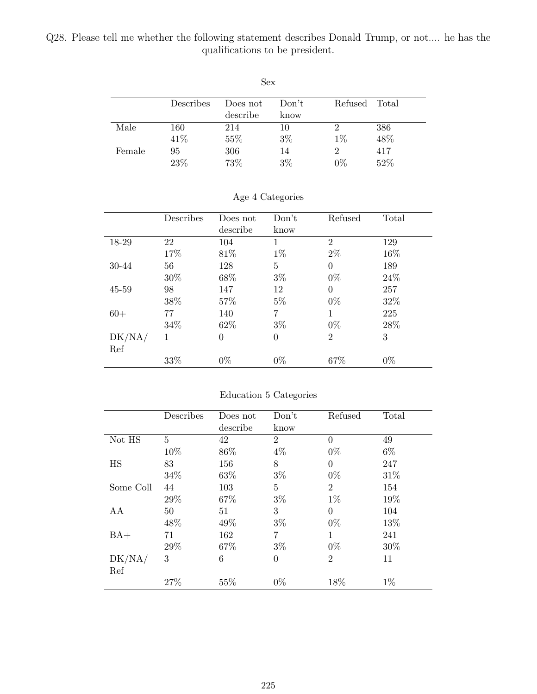Q28. Please tell me whether the following statement describes Donald Trump, or not.... he has the qualifications to be president.

| Sex    |           |          |       |         |       |  |
|--------|-----------|----------|-------|---------|-------|--|
|        | Describes | Does not | Don't | Refused | Total |  |
|        |           | describe | know  |         |       |  |
| Male   | 160       | 214      | 10    | 2       | 386   |  |
|        | 41\%      | 55%      | $3\%$ | $1\%$   | 48%   |  |
| Female | 95        | 306      | 14    | 2       | 417   |  |
|        | 23%       | 73%      | $3\%$ | $0\%$   | 52%   |  |

|  | Age 4 Categories |  |
|--|------------------|--|
|  |                  |  |
|  |                  |  |

|        | Describes | Does not | Don't    | Refused        | Total |
|--------|-----------|----------|----------|----------------|-------|
|        |           | describe | know     |                |       |
| 18-29  | 22        | 104      | 1        | $\overline{2}$ | 129   |
|        | 17%       | 81%      | $1\%$    | $2\%$          | 16\%  |
| 30-44  | 56        | 128      | 5        | $\Omega$       | 189   |
|        | 30%       | 68%      | $3\%$    | $0\%$          | 24\%  |
| 45-59  | 98        | 147      | 12       | $\overline{0}$ | 257   |
|        | 38%       | 57%      | $5\%$    | $0\%$          | 32%   |
| $60+$  | 77        | 140      | 7        | 1              | 225   |
|        | 34\%      | 62%      | $3\%$    | $0\%$          | 28\%  |
| DK/NA/ | 1         | $\theta$ | $\theta$ | $\overline{2}$ | 3     |
| Ref    |           |          |          |                |       |
|        | $33\%$    | $0\%$    | $0\%$    | 67%            | $0\%$ |

Education 5 Categories

|           | Describes | Does not | Don't          | Refused        | Total |
|-----------|-----------|----------|----------------|----------------|-------|
|           |           | describe | know           |                |       |
| Not HS    | 5         | 42       | $\overline{2}$ | $\Omega$       | 49    |
|           | 10%       | 86%      | $4\%$          | $0\%$          | $6\%$ |
| <b>HS</b> | 83        | 156      | 8              | $\Omega$       | 247   |
|           | 34\%      | 63%      | $3\%$          | $0\%$          | 31%   |
| Some Coll | 44        | 103      | 5              | $\overline{2}$ | 154   |
|           | 29%       | 67%      | $3\%$          | $1\%$          | 19%   |
| AA        | 50        | 51       | 3              | $\theta$       | 104   |
|           | 48%       | 49%      | $3\%$          | $0\%$          | 13%   |
| $BA+$     | 71        | 162      | 7              | 1              | 241   |
|           | 29%       | 67%      | $3\%$          | $0\%$          | 30%   |
| DK/NA/    | 3         | 6        | $\overline{0}$ | $\overline{2}$ | 11    |
| Ref       |           |          |                |                |       |
|           | 27%       | 55%      | $0\%$          | 18%            | $1\%$ |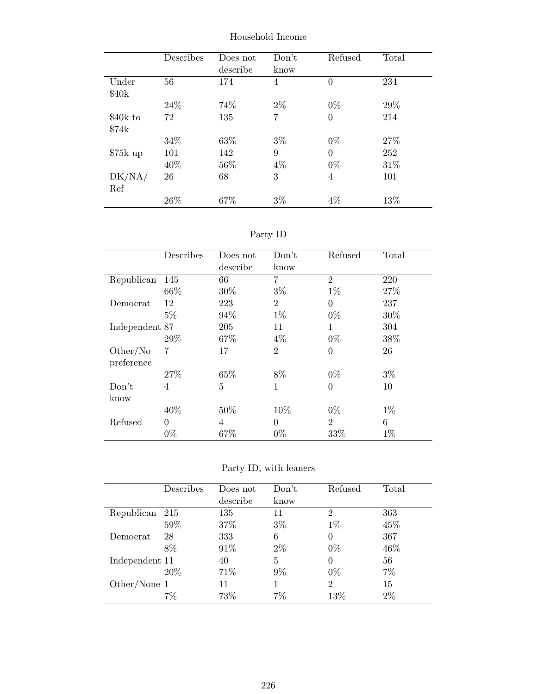|           | Describes | Does not<br>describe | Don't<br>know | Refused        | Total |
|-----------|-----------|----------------------|---------------|----------------|-------|
| Under     | 56        | 174                  | 4             | $\overline{0}$ | 234   |
| \$40k     |           |                      |               |                |       |
|           | 24\%      | 74%                  | $2\%$         | $0\%$          | 29%   |
| \$40k to  | 72        | 135                  | 7             | $\overline{0}$ | 214   |
| \$74k     |           |                      |               |                |       |
|           | 34\%      | 63%                  | $3\%$         | $0\%$          | 27%   |
| $$75k$ up | 101       | 142                  | 9             | $\theta$       | 252   |
|           | 40\%      | 56%                  | $4\%$         | $0\%$          | 31\%  |
| DK/NA/    | 26        | 68                   | 3             | 4              | 101   |
| Ref       |           |                      |               |                |       |
|           | 26\%      | 67%                  | $3\%$         | $4\%$          | 13%   |

Household Income

| 'artv | ⟩ |
|-------|---|
|       |   |

|                | Describes      | Does not | Don't          | Refused        | Total |
|----------------|----------------|----------|----------------|----------------|-------|
|                |                | describe | know           |                |       |
| Republican     | 145            | 66       | 7              | $\overline{2}$ | 220   |
|                | 66\%           | 30%      | $3\%$          | $1\%$          | 27%   |
| Democrat       | 12             | 223      | $\overline{2}$ | $\overline{0}$ | 237   |
|                | $5\%$          | 94%      | $1\%$          | $0\%$          | 30%   |
| Independent 87 |                | 205      | 11             | 1              | 304   |
|                | 29%            | 67%      | $4\%$          | $0\%$          | 38%   |
| Other/No       | 7              | 17       | $\overline{2}$ | $\theta$       | 26    |
| preference     |                |          |                |                |       |
|                | 27\%           | 65%      | 8%             | $0\%$          | $3\%$ |
| Don't          | $\overline{4}$ | 5        | 1              | $\theta$       | 10    |
| know           |                |          |                |                |       |
|                | 40%            | 50\%     | 10%            | $0\%$          | $1\%$ |
| Refused        | $\theta$       | 4        | $\theta$       | $\overline{2}$ | 6     |
|                | $0\%$          | 67%      | $0\%$          | 33%            | $1\%$ |

Party ID, with leaners

|                | Describes | Does not | Don't | Refused        | Total |
|----------------|-----------|----------|-------|----------------|-------|
|                |           | describe | know  |                |       |
| Republican     | -215      | 135      | 11    | $\overline{2}$ | 363   |
|                | 59%       | 37%      | $3\%$ | $1\%$          | 45%   |
| Democrat       | 28        | 333      | 6     | 0              | 367   |
|                | 8%        | 91\%     | $2\%$ | $0\%$          | 46\%  |
| Independent 11 |           | 40       | 5     | 0              | 56    |
|                | 20\%      | 71%      | $9\%$ | $0\%$          | $7\%$ |
| Other/None 1   |           | 11       |       | $\overline{2}$ | 15    |
|                | $7\%$     | 73%      | 7%    | 13%            | $2\%$ |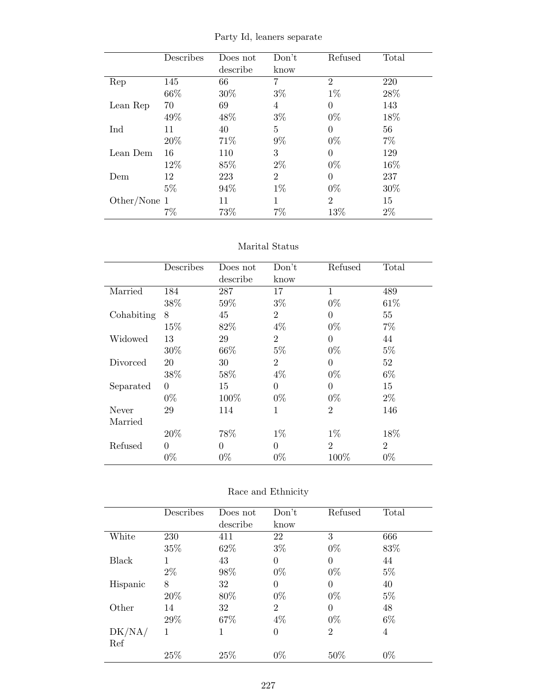|  |  |  | Party Id, leaners separate |
|--|--|--|----------------------------|
|--|--|--|----------------------------|

|              | Describes | Does not | Don't | Refused        | Total |
|--------------|-----------|----------|-------|----------------|-------|
|              |           | describe | know  |                |       |
| Rep          | 145       | 66       | 7     | $\overline{2}$ | 220   |
|              | 66\%      | 30%      | $3\%$ | $1\%$          | 28%   |
| Lean Rep     | 70        | 69       | 4     | $\theta$       | 143   |
|              | 49%       | 48%      | $3\%$ | $0\%$          | 18%   |
| Ind          | 11        | 40       | 5     | $\Omega$       | 56    |
|              | 20%       | 71%      | $9\%$ | $0\%$          | $7\%$ |
| Lean Dem     | 16        | 110      | 3     | $\theta$       | 129   |
|              | 12%       | 85\%     | $2\%$ | $0\%$          | 16\%  |
| Dem          | 12        | 223      | 2     | $\Omega$       | 237   |
|              | $5\%$     | 94\%     | $1\%$ | $0\%$          | 30\%  |
| Other/None 1 |           | 11       | 1     | $\mathfrak{D}$ | 15    |
|              | 7%        | 73%      | 7%    | 13%            | $2\%$ |

|            | Describes | Does not | Don't          | Refused        | Total          |
|------------|-----------|----------|----------------|----------------|----------------|
|            |           | describe | know           |                |                |
| Married    | 184       | 287      | 17             | 1              | 489            |
|            | 38%       | 59%      | $3\%$          | $0\%$          | 61\%           |
| Cohabiting | 8         | 45       | $\overline{2}$ | $\theta$       | 55             |
|            | 15%       | 82%      | $4\%$          | $0\%$          | $7\%$          |
| Widowed    | 13        | 29       | $\overline{2}$ | $\Omega$       | 44             |
|            | 30%       | 66\%     | $5\%$          | $0\%$          | $5\%$          |
| Divorced   | 20        | 30       | $\overline{2}$ | $\Omega$       | 52             |
|            | 38%       | 58%      | $4\%$          | $0\%$          | $6\%$          |
| Separated  | $\theta$  | 15       | $\theta$       | $\theta$       | 15             |
|            | $0\%$     | 100%     | $0\%$          | $0\%$          | $2\%$          |
| Never      | 29        | 114      | 1              | $\overline{2}$ | 146            |
| Married    |           |          |                |                |                |
|            | 20%       | 78%      | $1\%$          | $1\%$          | 18%            |
| Refused    | 0         | $\theta$ | $\Omega$       | $\overline{2}$ | $\overline{2}$ |
|            | $0\%$     | $0\%$    | $0\%$          | 100%           | $0\%$          |

|          | Describes | Does not | Don't          | Refused        | Total |
|----------|-----------|----------|----------------|----------------|-------|
|          |           | describe | know           |                |       |
| White    | 230       | 411      | 22             | 3              | 666   |
|          | 35%       | 62\%     | $3\%$          | $0\%$          | 83%   |
| Black    | 1         | 43       | $\theta$       | 0              | 44    |
|          | $2\%$     | 98%      | $0\%$          | $0\%$          | $5\%$ |
| Hispanic | 8         | 32       | $\Omega$       | 0              | 40    |
|          | 20%       | 80%      | $0\%$          | $0\%$          | $5\%$ |
| Other    | 14        | 32       | $\overline{2}$ | $\theta$       | 48    |
|          | 29%       | 67%      | $4\%$          | $0\%$          | $6\%$ |
| DK/NA/   | 1         | 1        | $\Omega$       | $\overline{2}$ | 4     |
| Ref      |           |          |                |                |       |
|          | 25%       | 25%      | $0\%$          | 50%            | $0\%$ |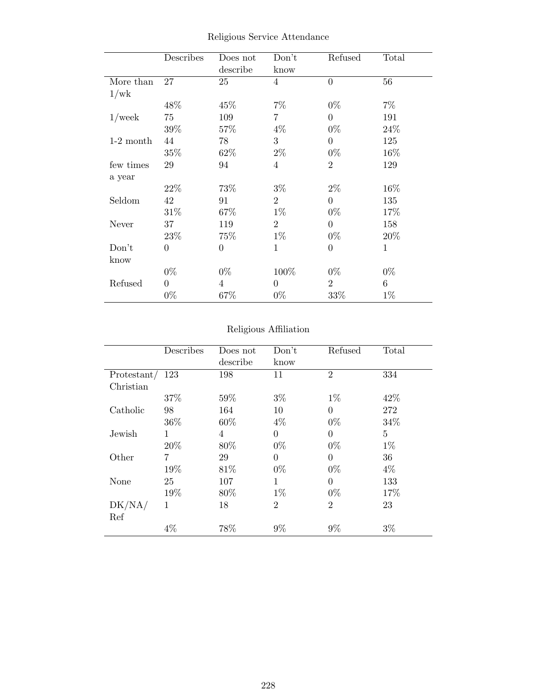|             | Describes        | Does not<br>describe | Don't<br>know  | Refused        | Total        |
|-------------|------------------|----------------------|----------------|----------------|--------------|
| More than   | 27               | 25                   | $\overline{4}$ | $\overline{0}$ | 56           |
| 1/wk        |                  |                      |                |                |              |
|             | 48\%             | 45%                  | $7\%$          | $0\%$          | $7\%$        |
| $1$ /week   | 75               | 109                  | 7              | $\overline{0}$ | 191          |
|             | 39%              | 57\%                 | $4\%$          | $0\%$          | 24\%         |
| $1-2$ month | 44               | 78                   | 3              | $\theta$       | 125          |
|             | 35\%             | 62\%                 | $2\%$          | $0\%$          | 16\%         |
| few times   | 29               | 94                   | $\overline{4}$ | $\overline{2}$ | 129          |
| a year      |                  |                      |                |                |              |
|             | 22\%             | 73%                  | $3\%$          | $2\%$          | 16\%         |
| Seldom      | 42               | 91                   | $\overline{2}$ | $\theta$       | 135          |
|             | $31\%$           | 67%                  | $1\%$          | $0\%$          | 17%          |
| Never       | 37               | 119                  | $\overline{2}$ | $\theta$       | 158          |
|             | 23\%             | 75\%                 | $1\%$          | $0\%$          | 20\%         |
| Don't       | $\boldsymbol{0}$ | $\boldsymbol{0}$     | $\mathbf{1}$   | $\overline{0}$ | $\mathbf{1}$ |
| know        |                  |                      |                |                |              |
|             | $0\%$            | $0\%$                | 100%           | $0\%$          | $0\%$        |
| Refused     | $\overline{0}$   | $\overline{4}$       | $\overline{0}$ | $\overline{2}$ | 6            |
|             | $0\%$            | 67%                  | $0\%$          | 33%            | $1\%$        |

Religious Service Attendance

## Religious Affiliation

|             | Describes      | Does not | Don't          | Refused        | Total          |
|-------------|----------------|----------|----------------|----------------|----------------|
|             |                | describe | know           |                |                |
| Protestant/ | 123            | 198      | 11             | $\overline{2}$ | 334            |
| Christian   |                |          |                |                |                |
|             | 37%            | 59%      | $3\%$          | $1\%$          | 42%            |
| Catholic    | 98             | 164      | 10             | $\Omega$       | 272            |
|             | 36\%           | 60%      | $4\%$          | $0\%$          | 34%            |
| Jewish      | 1              | 4        | $\theta$       | $\theta$       | $\overline{5}$ |
|             | 20%            | 80%      | $0\%$          | $0\%$          | $1\%$          |
| Other       | $\overline{7}$ | 29       | $\theta$       | 0              | 36             |
|             | 19%            | 81\%     | $0\%$          | $0\%$          | $4\%$          |
| None        | 25             | 107      | 1              | $\theta$       | 133            |
|             | 19%            | 80%      | $1\%$          | $0\%$          | 17%            |
| DK/NA/      | 1              | 18       | $\overline{2}$ | $\overline{2}$ | 23             |
| Ref         |                |          |                |                |                |
|             | $4\%$          | 78%      | $9\%$          | 9%             | $3\%$          |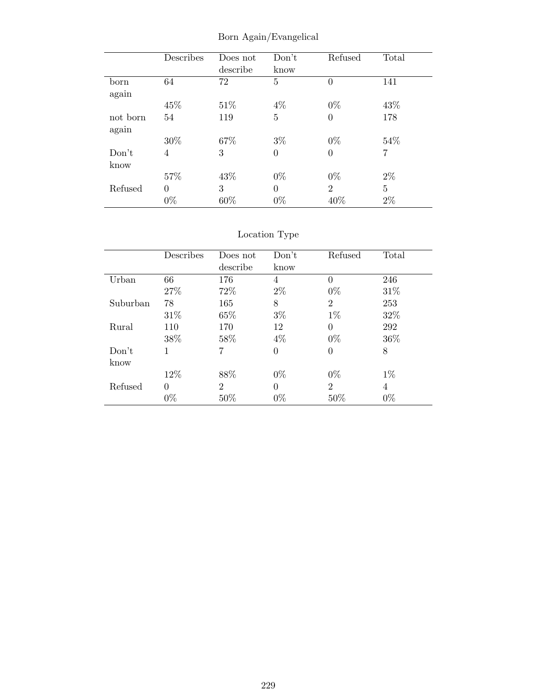|          | Describes | Does not | Don't          | Refused        | Total          |
|----------|-----------|----------|----------------|----------------|----------------|
|          |           | describe | know           |                |                |
| born     | 64        | 72       | $\overline{5}$ | $\theta$       | 141            |
| again    |           |          |                |                |                |
|          | 45%       | 51%      | $4\%$          | $0\%$          | 43%            |
| not born | 54        | 119      | 5              | $\overline{0}$ | 178            |
| again    |           |          |                |                |                |
|          | 30%       | 67%      | $3\%$          | $0\%$          | 54%            |
| Don't    | 4         | 3        | $\theta$       | $\overline{0}$ | 7              |
| know     |           |          |                |                |                |
|          | 57%       | 43%      | $0\%$          | $0\%$          | $2\%$          |
| Refused  | $\theta$  | 3        | $\Omega$       | $\overline{2}$ | $\overline{5}$ |
|          | $0\%$     | 60%      | $0\%$          | 40%            | $2\%$          |

Born Again/Evangelical

# Location Type

|          | Describes | Does not       | Don't    | Refused        | Total |
|----------|-----------|----------------|----------|----------------|-------|
|          |           | describe       | know     |                |       |
| Urban    | 66        | 176            | 4        | $\theta$       | 246   |
|          | 27\%      | 72\%           | $2\%$    | $0\%$          | 31%   |
| Suburban | 78        | 165            | 8        | $\overline{2}$ | 253   |
|          | 31\%      | 65%            | $3\%$    | $1\%$          | 32%   |
| Rural    | 110       | 170            | 12       | $\Omega$       | 292   |
|          | 38%       | 58%            | $4\%$    | $0\%$          | 36\%  |
| Don't    | 1         |                | $\Omega$ | $\theta$       | 8     |
| know     |           |                |          |                |       |
|          | 12%       | 88\%           | $0\%$    | $0\%$          | $1\%$ |
| Refused  | $\Omega$  | $\overline{2}$ | $\Omega$ | $\overline{2}$ | 4     |
|          | $0\%$     | 50%            | $0\%$    | 50%            | $0\%$ |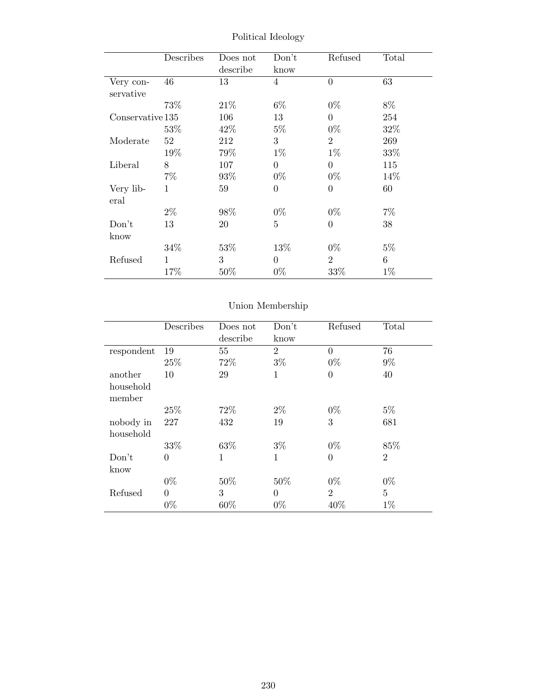|                  | Describes    | Does not | Don't          | Refused          | Total |
|------------------|--------------|----------|----------------|------------------|-------|
|                  |              | describe | know           |                  |       |
| Very con-        | 46           | 13       | $\overline{4}$ | $\theta$         | 63    |
| servative        |              |          |                |                  |       |
|                  | 73%          | 21\%     | $6\%$          | $0\%$            | 8%    |
| Conservative 135 |              | 106      | 13             | $\overline{0}$   | 254   |
|                  | 53%          | 42\%     | $5\%$          | $0\%$            | 32%   |
| Moderate         | 52           | 212      | 3              | $\overline{2}$   | 269   |
|                  | 19%          | 79%      | $1\%$          | $1\%$            | 33%   |
| Liberal          | 8            | 107      | $\theta$       | $\overline{0}$   | 115   |
|                  | $7\%$        | 93\%     | $0\%$          | $0\%$            | 14\%  |
| Very lib-        | 1            | 59       | $\overline{0}$ | $\boldsymbol{0}$ | 60    |
| eral             |              |          |                |                  |       |
|                  | $2\%$        | 98%      | $0\%$          | $0\%$            | $7\%$ |
| Don't            | 13           | 20       | $\overline{5}$ | $\overline{0}$   | 38    |
| know             |              |          |                |                  |       |
|                  | 34\%         | 53\%     | 13\%           | $0\%$            | $5\%$ |
| Refused          | $\mathbf{1}$ | 3        | $\Omega$       | $\overline{2}$   | 6     |
|                  | 17%          | $50\%$   | $0\%$          | 33%              | $1\%$ |

Political Ideology

# Union Membership

|                     | Describes | Does not<br>describe | Don't<br>know  | Refused        | Total          |
|---------------------|-----------|----------------------|----------------|----------------|----------------|
| respondent          | 19        | 55                   | $\overline{2}$ | $\Omega$       | 76             |
|                     | 25%       | 72%                  | $3\%$          | $0\%$          | $9\%$          |
| another             | 10        | 29                   | $\mathbf{1}$   | $\overline{0}$ | 40             |
| household<br>member |           |                      |                |                |                |
|                     | 25\%      | 72%                  | $2\%$          | $0\%$          | $5\%$          |
| nobody in           | 227       | 432                  | 19             | 3              | 681            |
| household           |           |                      |                |                |                |
|                     | 33%       | 63%                  | $3\%$          | $0\%$          | 85%            |
| Don't               | $\Omega$  | $\mathbf{1}$         | $\mathbf{1}$   | 0              | $\overline{2}$ |
| know                |           |                      |                |                |                |
|                     | $0\%$     | 50%                  | 50%            | $0\%$          | $0\%$          |
| Refused             | $\Omega$  | 3                    | $\Omega$       | $\overline{2}$ | $\overline{5}$ |
|                     | $0\%$     | 60%                  | $0\%$          | 40%            | $1\%$          |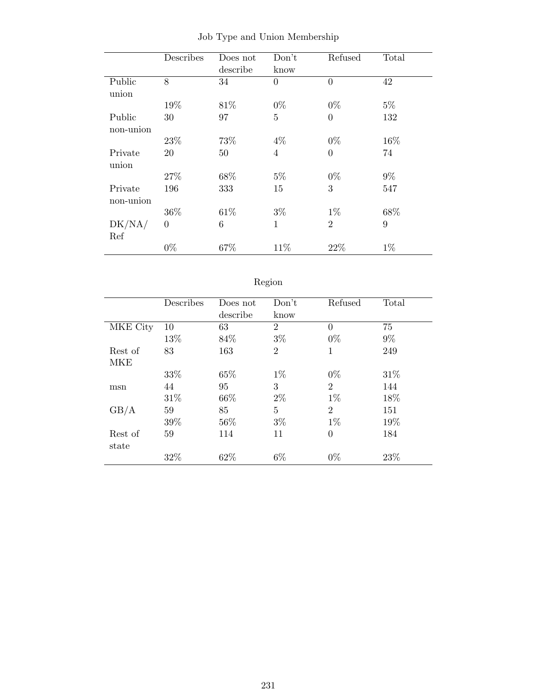|              | Describes      | Does not | Don't          | Refused        | Total            |
|--------------|----------------|----------|----------------|----------------|------------------|
|              |                | describe | know           |                |                  |
| Public       | 8              | 34       | $\overline{0}$ | $\overline{0}$ | 42               |
| union        |                |          |                |                |                  |
|              | 19%            | 81\%     | $0\%$          | $0\%$          | $5\%$            |
| Public       | 30             | 97       | 5              | $\overline{0}$ | 132              |
| non-union    |                |          |                |                |                  |
|              | 23\%           | 73%      | $4\%$          | $0\%$          | 16%              |
| Private      | 20             | 50       | $\overline{4}$ | $\overline{0}$ | 74               |
| union        |                |          |                |                |                  |
|              | 27\%           | 68%      | $5\%$          | $0\%$          | $9\%$            |
| Private      | 196            | 333      | 15             | 3              | 547              |
| non-union    |                |          |                |                |                  |
|              | 36%            | 61\%     | $3\%$          | $1\%$          | 68%              |
| $\rm DK/NA/$ | $\overline{0}$ | 6        | $\mathbf{1}$   | $\overline{2}$ | $\boldsymbol{9}$ |
| Ref          |                |          |                |                |                  |
|              | $0\%$          | 67%      | 11%            | 22%            | $1\%$            |

Job Type and Union Membership

|--|--|

|          | Describes | Does not | Don't          | Refused        | Total |
|----------|-----------|----------|----------------|----------------|-------|
|          |           | describe | know           |                |       |
| MKE City | 10        | 63       | $\overline{2}$ | 0              | 75    |
|          | 13%       | 84%      | $3\%$          | $0\%$          | $9\%$ |
| Rest of  | 83        | 163      | $\overline{2}$ | 1              | 249   |
| MKE      |           |          |                |                |       |
|          | 33%       | 65%      | $1\%$          | $0\%$          | 31\%  |
| msn      | 44        | 95       | 3              | $\overline{2}$ | 144   |
|          | 31\%      | 66\%     | $2\%$          | $1\%$          | 18%   |
| GB/A     | 59        | 85       | 5              | $\overline{2}$ | 151   |
|          | 39%       | 56%      | $3\%$          | $1\%$          | 19%   |
| Rest of  | 59        | 114      | 11             | $\overline{0}$ | 184   |
| state    |           |          |                |                |       |
|          | 32%       | 62%      | $6\%$          | $0\%$          | 23%   |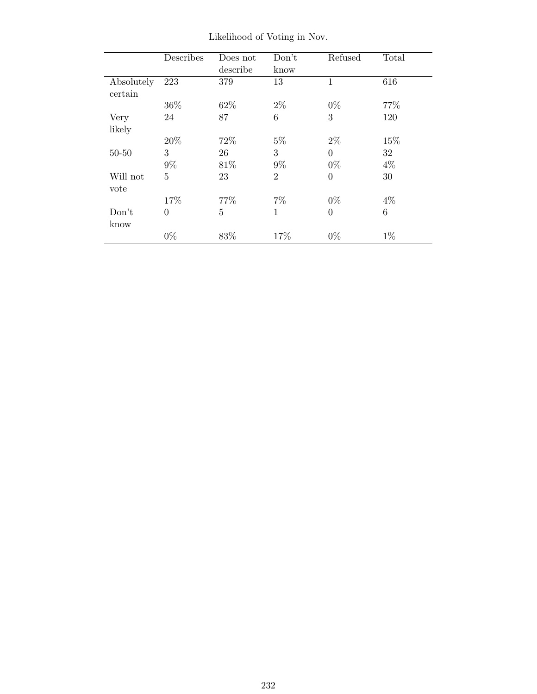|                       | Describes      | Does not<br>describe | Don't<br>know  | Refused        | Total |
|-----------------------|----------------|----------------------|----------------|----------------|-------|
| Absolutely<br>certain | 223            | 379                  | 13             | 1              | 616   |
|                       | 36\%           | 62%                  | $2\%$          | $0\%$          | 77%   |
| Very                  | 24             | 87                   | 6              | 3              | 120   |
| likely                |                |                      |                |                |       |
|                       | 20%            | 72%                  | $5\%$          | $2\%$          | 15%   |
| $50 - 50$             | 3              | 26                   | 3              | $\overline{0}$ | 32    |
|                       | $9\%$          | 81\%                 | $9\%$          | $0\%$          | $4\%$ |
| Will not              | $\overline{5}$ | 23                   | $\overline{2}$ | $\overline{0}$ | 30    |
| vote                  |                |                      |                |                |       |
|                       | 17%            | 77\%                 | $7\%$          | $0\%$          | $4\%$ |
| Don't                 | $\overline{0}$ | $\overline{5}$       | 1              | $\overline{0}$ | 6     |
| know                  |                |                      |                |                |       |
|                       | $0\%$          | 83%                  | 17%            | $0\%$          | $1\%$ |

Likelihood of Voting in Nov.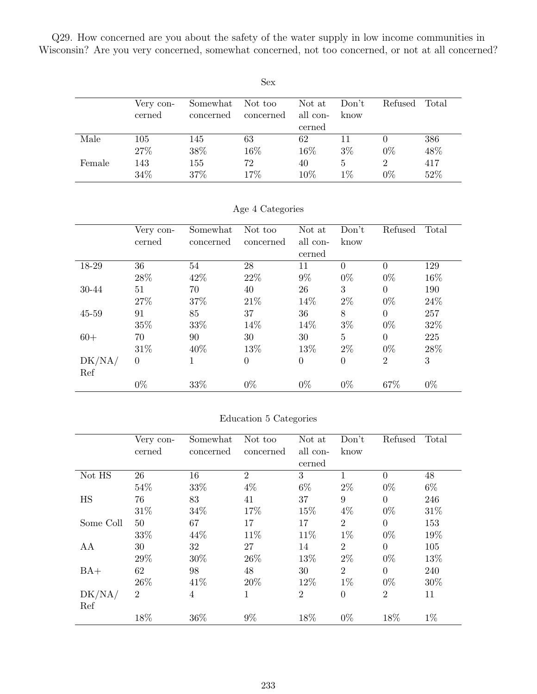Q29. How concerned are you about the safety of the water supply in low income communities in Wisconsin? Are you very concerned, somewhat concerned, not too concerned, or not at all concerned?

| <b>Sex</b> |           |           |           |          |       |                |       |  |  |  |
|------------|-----------|-----------|-----------|----------|-------|----------------|-------|--|--|--|
|            | Very con- | Somewhat  | Not too   | Not at   | Don't | Refused        | Total |  |  |  |
|            | cerned    | concerned | concerned | all con- | know  |                |       |  |  |  |
|            |           |           |           | cerned   |       |                |       |  |  |  |
| Male       | 105       | 145       | 63        | 62       | 11    |                | 386   |  |  |  |
|            | 27%       | 38%       | 16\%      | 16\%     | $3\%$ | $0\%$          | 48%   |  |  |  |
| Female     | 143       | 155       | 72        | 40       | 5     | $\overline{2}$ | 417   |  |  |  |
|            | 34%       | 37%       | 17%       | 10%      | $1\%$ | $0\%$          | 52%   |  |  |  |

|  | Age 4 Categories |  |
|--|------------------|--|
|  |                  |  |

|        | Very con- | Somewhat  | Not too   | Not at   | Don't          | Refused        | Total |
|--------|-----------|-----------|-----------|----------|----------------|----------------|-------|
|        | cerned    | concerned | concerned | all con- | know           |                |       |
|        |           |           |           | cerned   |                |                |       |
| 18-29  | 36        | 54        | 28        | 11       | $\Omega$       | $\theta$       | 129   |
|        | 28%       | 42\%      | 22\%      | $9\%$    | $0\%$          | $0\%$          | 16%   |
| 30-44  | 51        | 70        | 40        | 26       | 3              | $\overline{0}$ | 190   |
|        | 27%       | 37%       | 21\%      | 14%      | $2\%$          | $0\%$          | 24\%  |
| 45-59  | 91        | 85        | 37        | 36       | 8              | $\overline{0}$ | 257   |
|        | 35%       | 33%       | 14%       | 14%      | $3\%$          | $0\%$          | 32%   |
| $60+$  | 70        | 90        | 30        | 30       | $\overline{5}$ | $\theta$       | 225   |
|        | 31\%      | 40\%      | 13%       | 13%      | $2\%$          | $0\%$          | 28\%  |
| DK/NA/ | $\theta$  |           | $\theta$  | $\theta$ | $\theta$       | $\overline{2}$ | 3     |
| Ref    |           |           |           |          |                |                |       |
|        | $0\%$     | 33%       | $0\%$     | $0\%$    | $0\%$          | 67%            | $0\%$ |

#### Education 5 Categories

|           | Very con-      | Somewhat  | Not too        | Not at         | Don't          | Refused        | Total |
|-----------|----------------|-----------|----------------|----------------|----------------|----------------|-------|
|           | cerned         | concerned | concerned      | all con-       | know           |                |       |
|           |                |           |                | cerned         |                |                |       |
| Not HS    | 26             | 16        | $\overline{2}$ | 3              | 1              | $\Omega$       | 48    |
|           | 54%            | 33%       | $4\%$          | $6\%$          | $2\%$          | $0\%$          | $6\%$ |
| <b>HS</b> | 76             | 83        | 41             | 37             | 9              | $\theta$       | 246   |
|           | 31\%           | 34\%      | 17%            | 15%            | $4\%$          | $0\%$          | 31\%  |
| Some Coll | 50             | 67        | 17             | 17             | $\overline{2}$ | $\theta$       | 153   |
|           | 33%            | 44\%      | 11\%           | 11\%           | $1\%$          | $0\%$          | 19%   |
| AA        | 30             | 32        | 27             | 14             | $\overline{2}$ | $\Omega$       | 105   |
|           | 29%            | 30%       | 26\%           | 13%            | $2\%$          | $0\%$          | 13%   |
| $BA+$     | 62             | 98        | 48             | 30             | $\overline{2}$ | $\theta$       | 240   |
|           | 26\%           | 41\%      | 20%            | 12\%           | $1\%$          | $0\%$          | 30%   |
| DK/NA/    | $\overline{2}$ | 4         | 1              | $\overline{2}$ | $\overline{0}$ | $\overline{2}$ | 11    |
| Ref       |                |           |                |                |                |                |       |
|           | 18%            | 36%       | $9\%$          | 18%            | $0\%$          | 18%            | $1\%$ |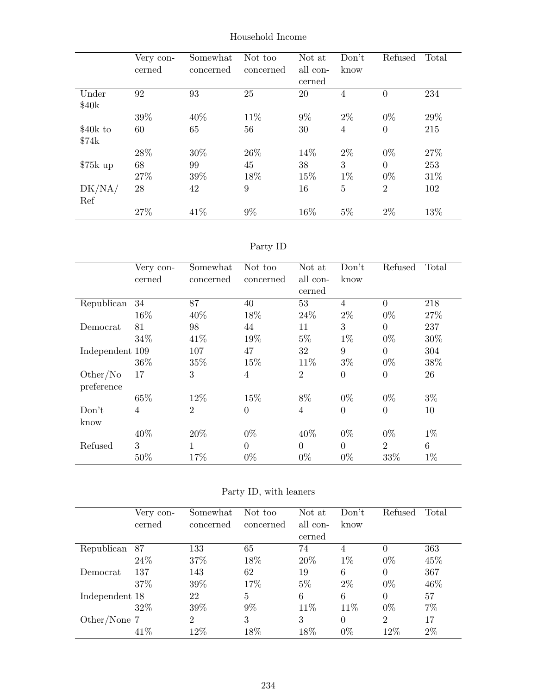|                   | Very con-<br>cerned | Somewhat<br>concerned | Not too<br>concerned | Not at<br>all con-<br>cerned | Don't<br>know  | Refused        | Total |
|-------------------|---------------------|-----------------------|----------------------|------------------------------|----------------|----------------|-------|
| Under             | 92                  | 93                    | 25                   | 20                           | $\overline{4}$ | $\overline{0}$ | 234   |
| \$40 <sub>k</sub> |                     |                       |                      |                              |                |                |       |
|                   | 39%                 | 40\%                  | 11\%                 | $9\%$                        | $2\%$          | $0\%$          | 29%   |
| \$40k to          | 60                  | 65                    | 56                   | 30                           | $\overline{4}$ | $\theta$       | 215   |
| \$74k             |                     |                       |                      |                              |                |                |       |
|                   | 28\%                | 30%                   | 26\%                 | 14%                          | $2\%$          | $0\%$          | 27%   |
| $$75k$ up         | 68                  | 99                    | 45                   | 38                           | 3              | $\overline{0}$ | 253   |
|                   | 27\%                | 39%                   | 18%                  | 15%                          | $1\%$          | $0\%$          | 31\%  |
| DK/NA/            | 28                  | 42                    | 9                    | 16                           | 5              | $\overline{2}$ | 102   |
| Ref               |                     |                       |                      |                              |                |                |       |
|                   | 27%                 | 41\%                  | $9\%$                | 16%                          | $5\%$          | $2\%$          | 13%   |

Household Income

| ъrт |  |
|-----|--|
|     |  |

|                 | Very con- | Somewhat       | Not too        | Not at         | Don't          | Refused        | Total |
|-----------------|-----------|----------------|----------------|----------------|----------------|----------------|-------|
|                 | cerned    | concerned      | concerned      | all con-       | know           |                |       |
|                 |           |                |                | cerned         |                |                |       |
| Republican      | 34        | 87             | 40             | 53             | $\overline{4}$ | $\Omega$       | 218   |
|                 | 16%       | 40%            | 18%            | 24%            | $2\%$          | $0\%$          | 27%   |
| Democrat        | 81        | 98             | 44             | 11             | 3              | $\Omega$       | 237   |
|                 | 34\%      | 41\%           | 19%            | $5\%$          | $1\%$          | $0\%$          | 30%   |
| Independent 109 |           | 107            | 47             | 32             | 9              | $\overline{0}$ | 304   |
|                 | 36\%      | 35%            | 15%            | 11\%           | $3\%$          | $0\%$          | 38%   |
| Other/No        | 17        | 3              | $\overline{4}$ | $\overline{2}$ | $\theta$       | $\overline{0}$ | 26    |
| preference      |           |                |                |                |                |                |       |
|                 | 65%       | 12%            | 15%            | 8%             | $0\%$          | $0\%$          | $3\%$ |
| Don't           | 4         | $\overline{2}$ | $\overline{0}$ | $\overline{4}$ | $\theta$       | $\theta$       | 10    |
| know            |           |                |                |                |                |                |       |
|                 | 40%       | 20%            | $0\%$          | 40%            | $0\%$          | $0\%$          | $1\%$ |
| Refused         | 3         | 1              | $\Omega$       | $\Omega$       | $\Omega$       | $\overline{2}$ | 6     |
|                 | 50%       | 17%            | $0\%$          | $0\%$          | $0\%$          | 33%            | $1\%$ |

|  |  |  |  | Party ID, with leaners |
|--|--|--|--|------------------------|
|--|--|--|--|------------------------|

|                | Very con-<br>cerned | Somewhat<br>concerned | Not too<br>concerned | Not at<br>all con-<br>cerned | Don't<br>know | Refused        | Total |
|----------------|---------------------|-----------------------|----------------------|------------------------------|---------------|----------------|-------|
| Republican     | 87                  | 133                   | 65                   | 74                           | 4             | $\Omega$       | 363   |
|                | 24\%                | 37%                   | 18%                  | 20%                          | $1\%$         | $0\%$          | 45%   |
| Democrat       | 137                 | 143                   | 62                   | 19                           | 6             | $\Omega$       | 367   |
|                | 37%                 | 39%                   | 17%                  | $5\%$                        | $2\%$         | $0\%$          | 46%   |
| Independent 18 |                     | 22                    | 5                    | 6                            | 6             | 0              | 57    |
|                | 32\%                | 39%                   | 9%                   | 11\%                         | 11%           | $0\%$          | $7\%$ |
| Other/None 7   |                     | $\overline{2}$        | 3                    | 3                            | $\Omega$      | $\overline{2}$ | 17    |
|                | 41\%                | 12%                   | 18%                  | 18%                          | $0\%$         | 12%            | $2\%$ |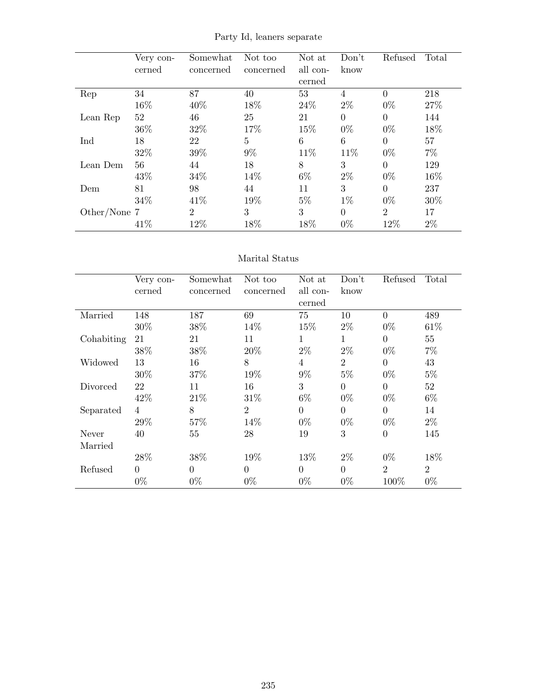|              | Very con- | Somewhat       | Not too   | Not at   | Don't    | Refused        | Total |
|--------------|-----------|----------------|-----------|----------|----------|----------------|-------|
|              | cerned    | concerned      | concerned | all con- | know     |                |       |
|              |           |                |           | cerned   |          |                |       |
| Rep          | 34        | 87             | 40        | 53       | 4        | $\theta$       | 218   |
|              | 16%       | 40%            | 18%       | 24\%     | $2\%$    | $0\%$          | 27%   |
| Lean Rep     | 52        | 46             | 25        | 21       | $\Omega$ | $\Omega$       | 144   |
|              | 36%       | 32\%           | 17%       | 15%      | $0\%$    | $0\%$          | 18%   |
| Ind          | 18        | 22             | 5         | 6        | 6        | $\Omega$       | 57    |
|              | 32%       | 39%            | $9\%$     | 11\%     | 11\%     | $0\%$          | $7\%$ |
| Lean Dem     | 56        | 44             | 18        | 8        | 3        | $\Omega$       | 129   |
|              | 43%       | 34%            | 14\%      | $6\%$    | $2\%$    | $0\%$          | 16%   |
| Dem          | 81        | 98             | 44        | 11       | 3        | $\Omega$       | 237   |
|              | 34\%      | 41\%           | 19%       | $5\%$    | $1\%$    | $0\%$          | 30%   |
| Other/None 7 |           | $\overline{2}$ | 3         | 3        | $\theta$ | $\overline{2}$ | 17    |
|              | 41\%      | 12%            | 18%       | 18%      | $0\%$    | 12%            | $2\%$ |

Party Id, leaners separate

#### Marital Status

|            | Very con-      | Somewhat       | Not too        | Not at         | Don't          | Refused        | Total          |
|------------|----------------|----------------|----------------|----------------|----------------|----------------|----------------|
|            | cerned         | concerned      | concerned      | all con-       | know           |                |                |
|            |                |                |                | cerned         |                |                |                |
| Married    | 148            | 187            | 69             | 75             | 10             | $\Omega$       | 489            |
|            | 30%            | 38%            | 14%            | 15%            | $2\%$          | $0\%$          | 61\%           |
| Cohabiting | 21             | 21             | 11             | 1              | 1              | $\Omega$       | 55             |
|            | $38\%$         | 38\%           | 20%            | $2\%$          | $2\%$          | $0\%$          | $7\%$          |
| Widowed    | 13             | 16             | 8              | $\overline{4}$ | $\overline{2}$ | $\Omega$       | 43             |
|            | 30%            | 37%            | 19%            | $9\%$          | $5\%$          | $0\%$          | $5\%$          |
| Divorced   | 22             | 11             | 16             | 3              | $\theta$       | $\theta$       | 52             |
|            | 42%            | 21\%           | 31\%           | $6\%$          | $0\%$          | $0\%$          | $6\%$          |
| Separated  | $\overline{4}$ | 8              | $\overline{2}$ | $\theta$       | $\theta$       | $\theta$       | 14             |
|            | 29%            | 57%            | 14%            | $0\%$          | $0\%$          | $0\%$          | $2\%$          |
| Never      | 40             | 55             | 28             | 19             | 3              | $\overline{0}$ | 145            |
| Married    |                |                |                |                |                |                |                |
|            | 28\%           | 38%            | 19%            | 13%            | $2\%$          | $0\%$          | 18%            |
| Refused    | $\Omega$       | $\overline{0}$ | $\theta$       | $\theta$       | $\theta$       | $\overline{2}$ | $\overline{2}$ |
|            | $0\%$          | $0\%$          | $0\%$          | $0\%$          | $0\%$          | 100%           | $0\%$          |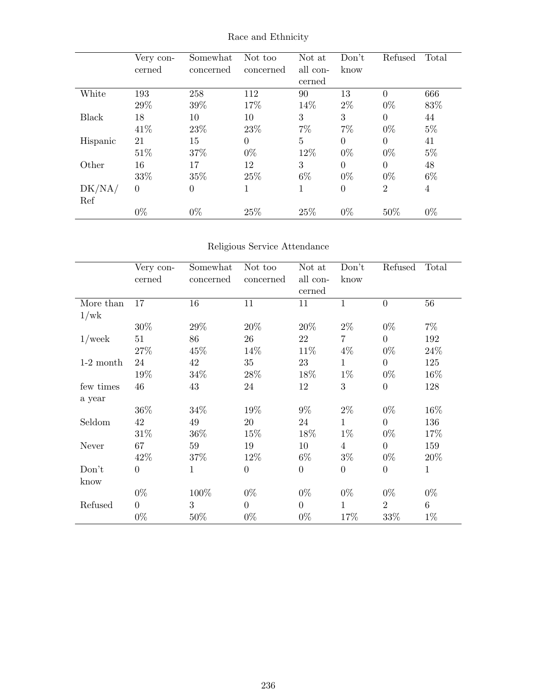|          | Very con-<br>cerned | Somewhat<br>concerned | Not too<br>concerned | Not at<br>all con-<br>cerned | Don't<br>know  | Refused        | Total          |
|----------|---------------------|-----------------------|----------------------|------------------------------|----------------|----------------|----------------|
| White    | 193                 | 258                   | 112                  | 90                           | 13             | $\Omega$       | 666            |
|          | 29%                 | 39%                   | 17%                  | 14%                          | $2\%$          | $0\%$          | 83%            |
| Black    | 18                  | 10                    | 10                   | 3                            | 3              | $\theta$       | 44             |
|          | 41\%                | 23%                   | 23\%                 | $7\%$                        | $7\%$          | $0\%$          | $5\%$          |
| Hispanic | 21                  | 15                    | $\Omega$             | $\overline{5}$               | $\theta$       | $\Omega$       | 41             |
|          | 51\%                | 37%                   | $0\%$                | 12\%                         | $0\%$          | $0\%$          | $5\%$          |
| Other    | 16                  | 17                    | 12                   | 3                            | $\Omega$       | $\Omega$       | 48             |
|          | 33%                 | 35%                   | 25\%                 | $6\%$                        | $0\%$          | $0\%$          | $6\%$          |
| DK/NA/   | $\Omega$            | $\boldsymbol{0}$      | 1                    | 1                            | $\overline{0}$ | $\overline{2}$ | $\overline{4}$ |
| Ref      |                     |                       |                      |                              |                |                |                |
|          | $0\%$               | $0\%$                 | 25%                  | 25%                          | $0\%$          | 50%            | $0\%$          |

Race and Ethnicity

## Religious Service Attendance

|             | Very con-        | Somewhat     | Not too          | Not at           | Don't            | Refused          | Total        |
|-------------|------------------|--------------|------------------|------------------|------------------|------------------|--------------|
|             | cerned           | concerned    | concerned        | all con-         | know             |                  |              |
|             |                  |              |                  | cerned           |                  |                  |              |
| More than   | 17               | 16           | 11               | 11               | $\mathbf{1}$     | $\overline{0}$   | 56           |
| 1/wk        |                  |              |                  |                  |                  |                  |              |
|             | 30%              | 29%          | 20%              | $20\%$           | $2\%$            | $0\%$            | $7\%$        |
| $1$ /week   | 51               | 86           | 26               | 22               | 7                | $\overline{0}$   | 192          |
|             | 27\%             | 45\%         | 14%              | $11\%$           | $4\%$            | $0\%$            | 24\%         |
| $1-2$ month | 24               | 42           | 35               | 23               | $\mathbf{1}$     | $\overline{0}$   | 125          |
|             | 19%              | 34\%         | 28\%             | 18%              | $1\%$            | $0\%$            | 16%          |
| few times   | 46               | 43           | 24               | 12               | 3                | $\boldsymbol{0}$ | 128          |
| a year      |                  |              |                  |                  |                  |                  |              |
|             | 36\%             | 34%          | 19%              | $9\%$            | $2\%$            | $0\%$            | 16%          |
| Seldom      | 42               | 49           | 20               | 24               | $\mathbf{1}$     | $\overline{0}$   | 136          |
|             | 31\%             | 36\%         | 15%              | 18%              | $1\%$            | $0\%$            | 17%          |
| Never       | 67               | 59           | 19               | 10               | 4                | $\theta$         | 159          |
|             | 42\%             | 37%          | 12%              | $6\%$            | $3\%$            | $0\%$            | 20%          |
| Don't       | $\boldsymbol{0}$ | $\mathbf{1}$ | $\boldsymbol{0}$ | $\boldsymbol{0}$ | $\boldsymbol{0}$ | $\boldsymbol{0}$ | $\mathbf{1}$ |
| know        |                  |              |                  |                  |                  |                  |              |
|             | $0\%$            | 100%         | $0\%$            | $0\%$            | $0\%$            | $0\%$            | $0\%$        |
| Refused     | $\overline{0}$   | 3            | $\overline{0}$   | $\boldsymbol{0}$ | 1                | $\overline{2}$   | $6\,$        |
|             | $0\%$            | 50\%         | $0\%$            | $0\%$            | 17%              | 33%              | $1\%$        |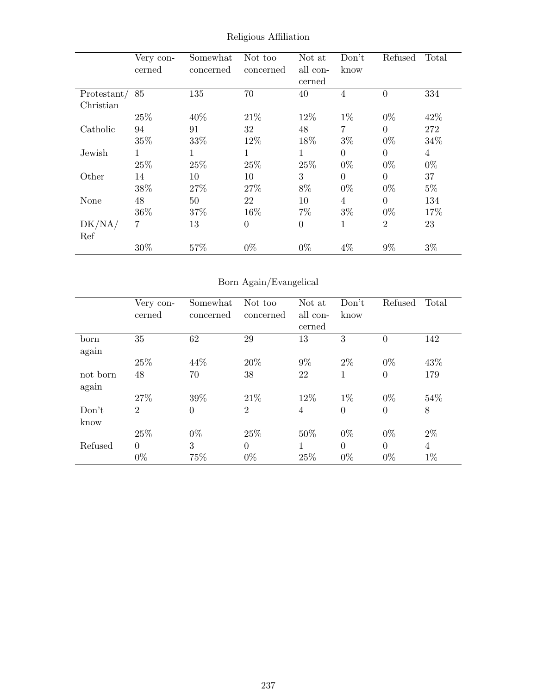|             | Very con- | Somewhat  | Not too        | Not at   | Don't          | Refused        | Total          |
|-------------|-----------|-----------|----------------|----------|----------------|----------------|----------------|
|             | cerned    | concerned | concerned      | all con- | know           |                |                |
|             |           |           |                | cerned   |                |                |                |
| Protestant/ | 85        | 135       | 70             | 40       | 4              | $\overline{0}$ | 334            |
| Christian   |           |           |                |          |                |                |                |
|             | 25\%      | 40\%      | 21\%           | 12\%     | $1\%$          | $0\%$          | 42%            |
| Catholic    | 94        | 91        | 32             | 48       | $\overline{7}$ | $\Omega$       | 272            |
|             | 35%       | 33%       | 12%            | 18%      | $3\%$          | $0\%$          | 34%            |
| Jewish      | 1         |           | 1              | 1        | $\Omega$       | $\theta$       | $\overline{4}$ |
|             | 25%       | 25%       | 25%            | 25%      | $0\%$          | $0\%$          | $0\%$          |
| Other       | 14        | 10        | 10             | 3        | $\Omega$       | $\theta$       | 37             |
|             | 38%       | 27\%      | 27%            | 8%       | $0\%$          | $0\%$          | $5\%$          |
| None        | 48        | 50        | 22             | 10       | 4              | $\Omega$       | 134            |
|             | 36\%      | 37%       | 16%            | $7\%$    | $3\%$          | $0\%$          | 17%            |
| DK/NA/      | 7         | 13        | $\overline{0}$ | $\theta$ | 1              | $\overline{2}$ | 23             |
| Ref         |           |           |                |          |                |                |                |
|             | 30%       | 57%       | $0\%$          | $0\%$    | 4%             | $9\%$          | $3\%$          |

Religious Affiliation

# Born Again/Evangelical

|          | Very con-      | Somewhat         | Not too        | Not at   | Don't    | Refused        | Total          |
|----------|----------------|------------------|----------------|----------|----------|----------------|----------------|
|          | cerned         | concerned        | concerned      | all con- | know     |                |                |
|          |                |                  |                | cerned   |          |                |                |
| born     | 35             | 62               | 29             | 13       | 3        | $\theta$       | 142            |
| again    |                |                  |                |          |          |                |                |
|          | 25\%           | 44%              | 20%            | $9\%$    | $2\%$    | $0\%$          | 43\%           |
| not born | 48             | 70               | 38             | 22       | 1        | $\overline{0}$ | 179            |
| again    |                |                  |                |          |          |                |                |
|          | 27%            | 39%              | 21\%           | 12%      | $1\%$    | $0\%$          | 54%            |
| Don't    | $\overline{2}$ | $\boldsymbol{0}$ | $\overline{2}$ | 4        | $\Omega$ | $\overline{0}$ | 8              |
| know     |                |                  |                |          |          |                |                |
|          | 25\%           | $0\%$            | 25\%           | 50%      | $0\%$    | $0\%$          | $2\%$          |
| Refused  | $\overline{0}$ | 3                | $\Omega$       | 1        | $\Omega$ | $\Omega$       | $\overline{4}$ |
|          | $0\%$          | 75%              | $0\%$          | 25%      | $0\%$    | $0\%$          | $1\%$          |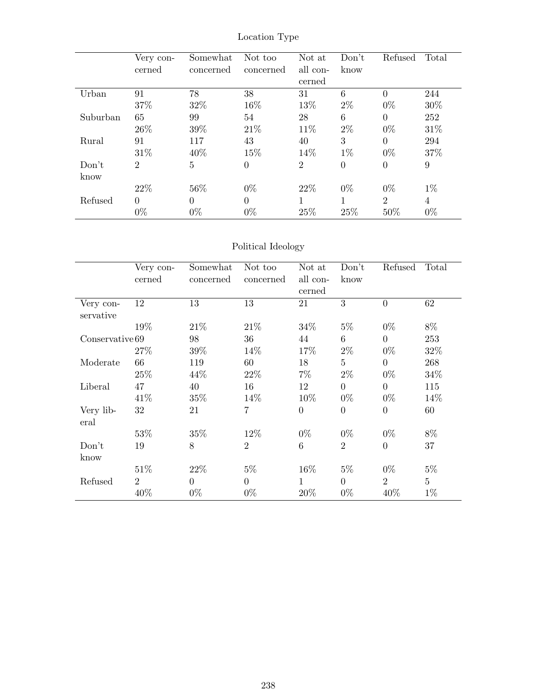|          | Very con-<br>cerned | Somewhat<br>concerned | Not too<br>concerned | Not at<br>all con- | Don't<br>know | Refused        | Total  |
|----------|---------------------|-----------------------|----------------------|--------------------|---------------|----------------|--------|
|          |                     |                       |                      | cerned             |               |                |        |
| Urban    | 91                  | 78                    | 38                   | 31                 | 6             | $\theta$       | 244    |
|          | 37%                 | 32%                   | 16%                  | 13%                | $2\%$         | $0\%$          | $30\%$ |
| Suburban | 65                  | 99                    | 54                   | 28                 | 6             | $\theta$       | 252    |
|          | 26\%                | 39%                   | 21\%                 | 11\%               | $2\%$         | $0\%$          | 31%    |
| Rural    | 91                  | 117                   | 43                   | 40                 | 3             | $\theta$       | 294    |
|          | 31\%                | 40%                   | 15%                  | 14\%               | $1\%$         | $0\%$          | 37%    |
| Don't    | 2                   | $\overline{5}$        | $\theta$             | $\overline{2}$     | $\theta$      | $\overline{0}$ | 9      |
| know     |                     |                       |                      |                    |               |                |        |
|          | 22\%                | 56%                   | $0\%$                | 22\%               | $0\%$         | $0\%$          | $1\%$  |
| Refused  | $\theta$            | $\Omega$              | $\Omega$             |                    |               | $\overline{2}$ | 4      |
|          | $0\%$               | $0\%$                 | $0\%$                | 25%                | 25%           | 50%            | $0\%$  |

Location Type

## Political Ideology

|                 | Very con-      | Somewhat       | Not too        | Not at         | Don't           | Refused        | Total          |
|-----------------|----------------|----------------|----------------|----------------|-----------------|----------------|----------------|
|                 | cerned         | concerned      | concerned      | all con-       | know            |                |                |
|                 |                |                |                | cerned         |                 |                |                |
| Very con-       | 12             | 13             | 13             | 21             | 3               | $\overline{0}$ | 62             |
| servative       |                |                |                |                |                 |                |                |
|                 | 19%            | 21\%           | 21\%           | 34\%           | $5\%$           | $0\%$          | 8%             |
| Conservative 69 |                | 98             | 36             | 44             | 6               | $\overline{0}$ | 253            |
|                 | 27%            | 39%            | 14\%           | 17%            | $2\%$           | $0\%$          | 32%            |
| Moderate        | 66             | 119            | 60             | 18             | $5\overline{)}$ | $\overline{0}$ | 268            |
|                 | 25\%           | 44\%           | $22\%$         | $7\%$          | $2\%$           | $0\%$          | 34\%           |
| Liberal         | 47             | 40             | 16             | 12             | $\overline{0}$  | $\overline{0}$ | 115            |
|                 | 41\%           | 35%            | 14%            | 10\%           | $0\%$           | $0\%$          | 14\%           |
| Very lib-       | 32             | 21             | 7              | $\overline{0}$ | $\overline{0}$  | $\overline{0}$ | 60             |
| eral            |                |                |                |                |                 |                |                |
|                 | 53%            | 35%            | 12%            | $0\%$          | $0\%$           | $0\%$          | $8\%$          |
| Don't           | 19             | 8              | $\overline{2}$ | 6              | $\overline{2}$  | $\overline{0}$ | 37             |
| know            |                |                |                |                |                 |                |                |
|                 | 51\%           | 22\%           | $5\%$          | $16\%$         | $5\%$           | $0\%$          | $5\%$          |
| Refused         | $\overline{2}$ | $\overline{0}$ | $\theta$       | $\mathbf{1}$   | $\overline{0}$  | $\overline{2}$ | $\overline{5}$ |
|                 | 40%            | $0\%$          | $0\%$          | 20%            | $0\%$           | 40%            | $1\%$          |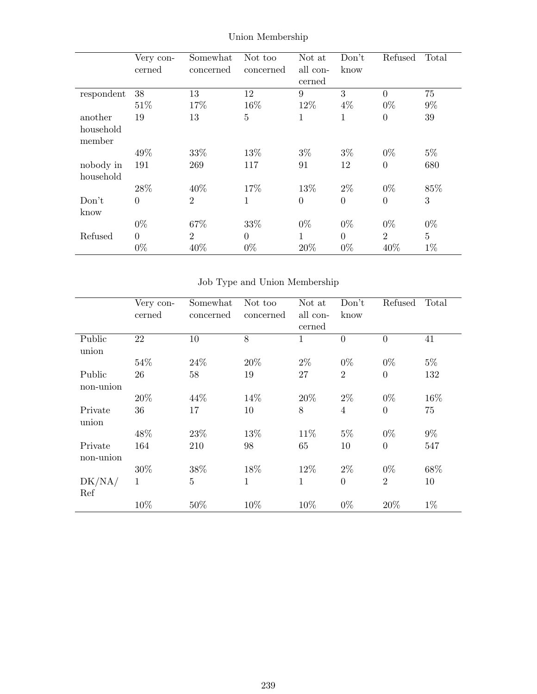|            | Very con-      | Somewhat       | Not too   | Not at       | Don't          | Refused        | Total          |
|------------|----------------|----------------|-----------|--------------|----------------|----------------|----------------|
|            | cerned         | concerned      | concerned | all con-     | know           |                |                |
|            |                |                |           | cerned       |                |                |                |
| respondent | 38             | 13             | 12        | 9            | 3              | $\Omega$       | 75             |
|            | 51\%           | 17%            | 16%       | 12%          | $4\%$          | $0\%$          | $9\%$          |
| another    | 19             | 13             | 5         | 1            | $\mathbf{1}$   | $\overline{0}$ | 39             |
| household  |                |                |           |              |                |                |                |
| member     |                |                |           |              |                |                |                |
|            | 49%            | 33\%           | 13%       | $3\%$        | $3\%$          | $0\%$          | $5\%$          |
| nobody in  | 191            | 269            | 117       | 91           | 12             | $\theta$       | 680            |
| household  |                |                |           |              |                |                |                |
|            | 28\%           | 40%            | 17%       | 13\%         | $2\%$          | $0\%$          | 85%            |
| Don't      | $\overline{0}$ | $\overline{2}$ | 1         | $\theta$     | $\theta$       | $\theta$       | 3              |
| know       |                |                |           |              |                |                |                |
|            | $0\%$          | 67%            | 33%       | $0\%$        | $0\%$          | $0\%$          | $0\%$          |
| Refused    | $\overline{0}$ | $\overline{2}$ | $\Omega$  | $\mathbf{1}$ | $\overline{0}$ | $\overline{2}$ | $\overline{5}$ |
|            | $0\%$          | 40%            | $0\%$     | 20%          | $0\%$          | 40%            | $1\%$          |

Union Membership

# Job Type and Union Membership

|           | Very con- | Somewhat       | Not too      | Not at       | Don't          | Refused        | Total |
|-----------|-----------|----------------|--------------|--------------|----------------|----------------|-------|
|           | cerned    | concerned      | concerned    | all con-     | know           |                |       |
|           |           |                |              | cerned       |                |                |       |
| Public    | 22        | 10             | 8            | 1            | $\overline{0}$ | $\theta$       | 41    |
| union     |           |                |              |              |                |                |       |
|           | 54%       | 24\%           | 20%          | $2\%$        | $0\%$          | $0\%$          | $5\%$ |
| Public    | 26        | 58             | 19           | 27           | $\overline{2}$ | $\overline{0}$ | 132   |
| non-union |           |                |              |              |                |                |       |
|           | 20%       | 44%            | 14%          | 20%          | $2\%$          | $0\%$          | 16%   |
| Private   | 36        | 17             | 10           | 8            | $\overline{4}$ | $\overline{0}$ | 75    |
| union     |           |                |              |              |                |                |       |
|           | 48%       | 23\%           | 13%          | 11\%         | $5\%$          | $0\%$          | $9\%$ |
| Private   | 164       | 210            | 98           | 65           | 10             | $\theta$       | 547   |
| non-union |           |                |              |              |                |                |       |
|           | 30%       | 38%            | 18%          | 12%          | $2\%$          | $0\%$          | 68%   |
| DK/NA/    | 1         | $\overline{5}$ | $\mathbf{1}$ | $\mathbf{1}$ | $\Omega$       | $\overline{2}$ | 10    |
| Ref       |           |                |              |              |                |                |       |
|           | 10%       | 50%            | 10%          | 10%          | $0\%$          | 20%            | $1\%$ |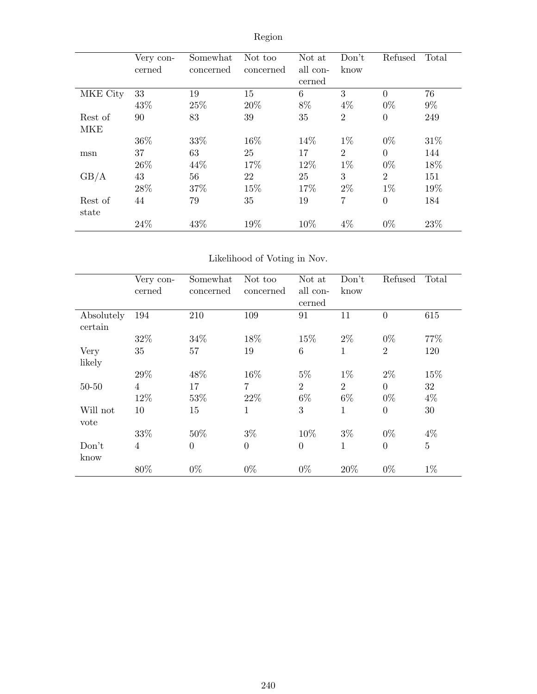|            | Very con-<br>cerned | Somewhat<br>concerned | Not too<br>concerned | Not at<br>all con-<br>cerned | Don't<br>know  | Refused        | Total |
|------------|---------------------|-----------------------|----------------------|------------------------------|----------------|----------------|-------|
| MKE City   | 33                  | 19                    | 15                   | 6                            | 3              | $\theta$       | 76    |
|            | 43%                 | 25%                   | 20%                  | 8%                           | $4\%$          | $0\%$          | $9\%$ |
| Rest of    | 90                  | 83                    | 39                   | 35                           | $\overline{2}$ | $\overline{0}$ | 249   |
| <b>MKE</b> |                     |                       |                      |                              |                |                |       |
|            | 36\%                | 33%                   | 16%                  | 14%                          | $1\%$          | $0\%$          | 31\%  |
| msn        | 37                  | 63                    | 25                   | 17                           | $\overline{2}$ | $\theta$       | 144   |
|            | 26\%                | 44\%                  | 17%                  | 12%                          | $1\%$          | $0\%$          | 18%   |
| GB/A       | 43                  | 56                    | 22                   | 25                           | 3              | $\overline{2}$ | 151   |
|            | 28%                 | 37%                   | 15%                  | 17%                          | $2\%$          | $1\%$          | 19%   |
| Rest of    | 44                  | 79                    | 35                   | 19                           | 7              | $\overline{0}$ | 184   |
| state      |                     |                       |                      |                              |                |                |       |
|            | 24\%                | 43%                   | 19%                  | 10\%                         | $4\%$          | $0\%$          | 23%   |

# Region

## Likelihood of Voting in Nov.

|            | Very con-      | Somewhat         | Not too        | Not at         | Don't          | Refused        | Total   |
|------------|----------------|------------------|----------------|----------------|----------------|----------------|---------|
|            | cerned         | concerned        | concerned      | all con-       | know           |                |         |
|            |                |                  |                | cerned         |                |                |         |
| Absolutely | 194            | 210              | 109            | 91             | 11             | $\overline{0}$ | 615     |
| certain    |                |                  |                |                |                |                |         |
|            | 32%            | 34\%             | 18%            | 15%            | $2\%$          | $0\%$          | 77%     |
| Very       | 35             | 57               | 19             | 6              | $\mathbf{1}$   | $\overline{2}$ | 120     |
| likely     |                |                  |                |                |                |                |         |
|            | 29%            | 48%              | 16\%           | $5\%$          | $1\%$          | $2\%$          | 15%     |
| $50 - 50$  | $\overline{4}$ | 17               | 7              | $\overline{2}$ | $\overline{2}$ | $\Omega$       | 32      |
|            | 12%            | 53%              | 22\%           | $6\%$          | $6\%$          | $0\%$          | $4\%$   |
| Will not   | 10             | 15               | 1              | 3              | $\mathbf{1}$   | $\overline{0}$ | 30      |
| vote       |                |                  |                |                |                |                |         |
|            | 33%            | 50%              | $3\%$          | 10%            | $3\%$          | $0\%$          | $4\%$   |
| Don't      | $\overline{4}$ | $\boldsymbol{0}$ | $\overline{0}$ | $\overline{0}$ | $\mathbf{1}$   | $\overline{0}$ | $\bf 5$ |
| know       |                |                  |                |                |                |                |         |
|            | 80%            | $0\%$            | $0\%$          | $0\%$          | 20%            | $0\%$          | $1\%$   |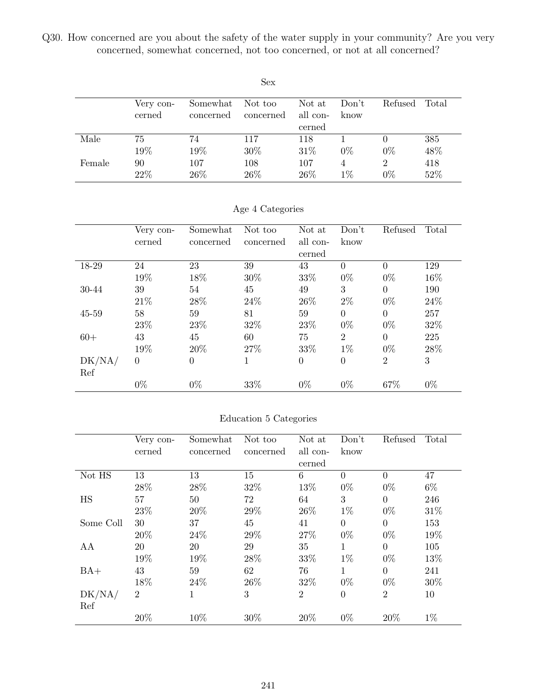Q30. How concerned are you about the safety of the water supply in your community? Are you very concerned, somewhat concerned, not too concerned, or not at all concerned?

|        |           |           | <b>Sex</b> |          |       |                |       |
|--------|-----------|-----------|------------|----------|-------|----------------|-------|
|        | Very con- | Somewhat  | Not too    | Not at   | Don't | Refused        | Total |
|        | cerned    | concerned | concerned  | all con- | know  |                |       |
|        |           |           |            | cerned   |       |                |       |
| Male   | 75        | 74        | 117        | 118      |       | $\theta$       | 385   |
|        | 19%       | 19%       | 30%        | 31\%     | $0\%$ | $0\%$          | 48%   |
| Female | 90        | 107       | 108        | 107      | 4     | $\overline{2}$ | 418   |
|        | 22%       | 26\%      | 26\%       | 26\%     | $1\%$ | $0\%$          | 52%   |

|  | Age 4 Categories |  |
|--|------------------|--|
|  |                  |  |

|           | Very con-<br>cerned | Somewhat<br>concerned | Not too<br>concerned | Not at<br>all con-<br>cerned | Don't<br>know  | Refused        | Total |
|-----------|---------------------|-----------------------|----------------------|------------------------------|----------------|----------------|-------|
| 18-29     | 24                  | 23                    | 39                   | 43                           | $\theta$       | $\overline{0}$ | 129   |
|           | 19%                 | 18%                   | $30\%$               | 33%                          | $0\%$          | $0\%$          | 16%   |
| 30-44     | 39                  | 54                    | 45                   | 49                           | 3              | $\Omega$       | 190   |
|           | 21\%                | 28%                   | 24\%                 | 26%                          | $2\%$          | $0\%$          | 24\%  |
| $45 - 59$ | 58                  | 59                    | 81                   | 59                           | $\Omega$       | $\Omega$       | 257   |
|           | 23%                 | 23%                   | 32%                  | 23%                          | $0\%$          | $0\%$          | 32%   |
| $60+$     | 43                  | 45                    | 60                   | 75                           | $\overline{2}$ | $\theta$       | 225   |
|           | 19%                 | 20%                   | 27%                  | 33%                          | $1\%$          | $0\%$          | 28%   |
| DK/NA/    | $\theta$            | $\theta$              | 1                    | $\theta$                     | $\overline{0}$ | $\overline{2}$ | 3     |
| Ref       |                     |                       |                      |                              |                |                |       |
|           | $0\%$               | $0\%$                 | 33%                  | $0\%$                        | $0\%$          | 67%            | $0\%$ |

#### Education 5 Categories

|           | Very con-      | Somewhat  | Not too   | Not at         | Don't          | Refused        | Total |
|-----------|----------------|-----------|-----------|----------------|----------------|----------------|-------|
|           | cerned         | concerned | concerned | all con-       | know           |                |       |
|           |                |           |           | cerned         |                |                |       |
| Not HS    | 13             | 13        | 15        | 6              | $\Omega$       | $\Omega$       | 47    |
|           | 28%            | 28%       | 32%       | 13%            | $0\%$          | $0\%$          | $6\%$ |
| HS        | 57             | 50        | 72        | 64             | 3              | $\overline{0}$ | 246   |
|           | 23%            | 20%       | 29%       | 26\%           | $1\%$          | $0\%$          | 31\%  |
| Some Coll | 30             | 37        | 45        | 41             | $\overline{0}$ | $\theta$       | 153   |
|           | 20%            | 24\%      | 29%       | 27%            | $0\%$          | $0\%$          | 19%   |
| AA        | 20             | 20        | 29        | 35             | $\mathbf{1}$   | $\Omega$       | 105   |
|           | 19%            | 19%       | $28\%$    | 33%            | $1\%$          | $0\%$          | 13%   |
| $BA+$     | 43             | 59        | 62        | 76             | $\mathbf{1}$   | $\Omega$       | 241   |
|           | 18%            | 24\%      | 26\%      | 32%            | $0\%$          | $0\%$          | 30%   |
| DK/NA/    | $\overline{2}$ | 1         | 3         | $\overline{2}$ | $\overline{0}$ | $\overline{2}$ | 10    |
| Ref       |                |           |           |                |                |                |       |
|           | 20%            | 10%       | 30%       | 20%            | $0\%$          | 20%            | $1\%$ |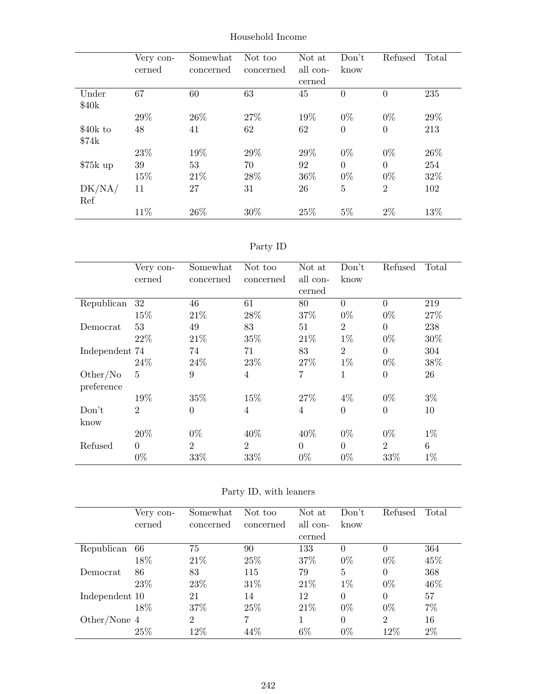|           | Very con- | Somewhat  | Not too   | Not at   | Don't          | Refused        | Total |
|-----------|-----------|-----------|-----------|----------|----------------|----------------|-------|
|           | cerned    | concerned | concerned | all con- | know           |                |       |
|           |           |           |           | cerned   |                |                |       |
| Under     | 67        | 60        | 63        | 45       | $\theta$       | $\overline{0}$ | 235   |
| \$40k     |           |           |           |          |                |                |       |
|           | 29%       | 26\%      | 27\%      | 19%      | $0\%$          | $0\%$          | 29%   |
| \$40k to  | 48        | 41        | 62        | 62       | $\overline{0}$ | $\theta$       | 213   |
| \$74k     |           |           |           |          |                |                |       |
|           | 23%       | 19%       | 29%       | 29%      | $0\%$          | $0\%$          | 26\%  |
| $$75k$ up | 39        | 53        | 70        | 92       | $\overline{0}$ | $\theta$       | 254   |
|           | 15%       | 21\%      | 28\%      | 36\%     | $0\%$          | $0\%$          | 32%   |
| DK/NA/    | 11        | 27        | 31        | 26       | $\overline{5}$ | $\overline{2}$ | 102   |
| Ref       |           |           |           |          |                |                |       |
|           | 11%       | 26\%      | 30%       | 25\%     | $5\%$          | $2\%$          | 13%   |

Household Income

| ъrт |  |
|-----|--|
|     |  |

|                | Very con-      | Somewhat       | Not too        | Not at   | Don't          | Refused        | Total |
|----------------|----------------|----------------|----------------|----------|----------------|----------------|-------|
|                | cerned         | concerned      | concerned      | all con- | know           |                |       |
|                |                |                |                | cerned   |                |                |       |
| Republican     | 32             | 46             | 61             | 80       | $\Omega$       | $\Omega$       | 219   |
|                | 15%            | 21\%           | 28\%           | 37%      | $0\%$          | $0\%$          | 27%   |
| Democrat       | 53             | 49             | 83             | 51       | $\overline{2}$ | $\Omega$       | 238   |
|                | 22\%           | 21\%           | 35\%           | 21\%     | $1\%$          | $0\%$          | 30%   |
| Independent 74 |                | 74             | 71             | 83       | $\overline{2}$ | $\overline{0}$ | 304   |
|                | 24\%           | 24\%           | 23\%           | 27\%     | $1\%$          | $0\%$          | 38%   |
| Other/No       | 5              | 9              | $\overline{4}$ | 7        | 1              | $\overline{0}$ | 26    |
| preference     |                |                |                |          |                |                |       |
|                | 19%            | 35%            | 15%            | 27%      | $4\%$          | $0\%$          | $3\%$ |
| Don't          | $\overline{2}$ | $\overline{0}$ | 4              | 4        | $\theta$       | $\theta$       | 10    |
| know           |                |                |                |          |                |                |       |
|                | 20%            | $0\%$          | 40\%           | 40%      | $0\%$          | $0\%$          | $1\%$ |
| Refused        | $\Omega$       | $\overline{2}$ | $\overline{2}$ | $\Omega$ | $\Omega$       | $\overline{2}$ | 6     |
|                | $0\%$          | 33%            | 33%            | $0\%$    | $0\%$          | 33%            | $1\%$ |

|                | Very con- | Somewhat       | Not too   | Not at   | Don't    | Refused        | Total |
|----------------|-----------|----------------|-----------|----------|----------|----------------|-------|
|                | cerned    | concerned      | concerned | all con- | know     |                |       |
|                |           |                |           | cerned   |          |                |       |
| Republican     | 66        | 75             | 90        | 133      |          | 0              | 364   |
|                | 18%       | 21\%           | 25\%      | 37%      | $0\%$    | $0\%$          | 45%   |
| Democrat       | 86        | 83             | 115       | 79       | 5        | $\Omega$       | 368   |
|                | 23\%      | 23\%           | $31\%$    | 21\%     | $1\%$    | $0\%$          | 46%   |
| Independent 10 |           | 21             | 14        | 12       | $\Omega$ | 0              | 57    |
|                | 18%       | 37%            | 25\%      | 21\%     | $0\%$    | $0\%$          | 7%    |
| Other/None 4   |           | $\overline{2}$ | 7         |          | $\Omega$ | $\overline{2}$ | 16    |
|                | 25\%      | 12%            | 44%       | $6\%$    | $0\%$    | 12%            | $2\%$ |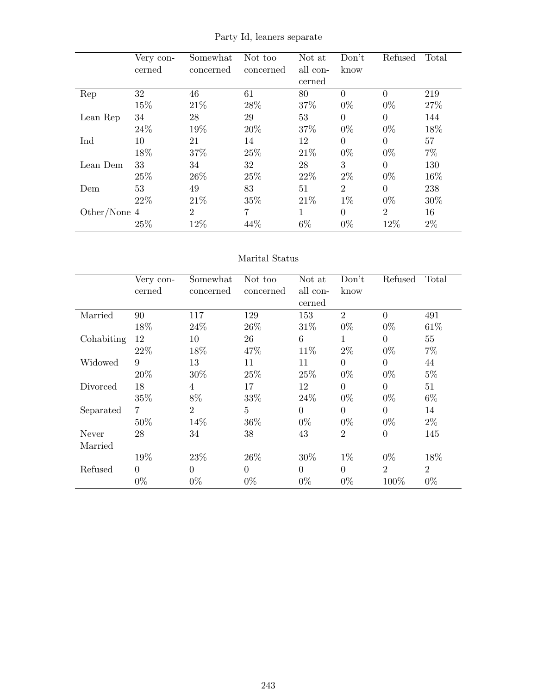|              | Very con- | Somewhat       | Not too   | Not at   | Don't          | Refused        | Total |
|--------------|-----------|----------------|-----------|----------|----------------|----------------|-------|
|              | cerned    | concerned      | concerned | all con- | know           |                |       |
|              |           |                |           | cerned   |                |                |       |
| Rep          | 32        | 46             | 61        | 80       | $\Omega$       | $\Omega$       | 219   |
|              | 15%       | 21\%           | 28\%      | 37%      | $0\%$          | $0\%$          | 27%   |
| Lean Rep     | 34        | 28             | 29        | 53       | $\Omega$       | $\Omega$       | 144   |
|              | 24\%      | 19%            | 20%       | 37%      | $0\%$          | $0\%$          | 18%   |
| Ind          | 10        | 21             | 14        | 12       | $\Omega$       | $\Omega$       | 57    |
|              | 18%       | 37%            | 25%       | 21\%     | $0\%$          | $0\%$          | $7\%$ |
| Lean Dem     | 33        | 34             | 32        | 28       | 3              | $\Omega$       | 130   |
|              | 25%       | 26\%           | 25%       | 22\%     | $2\%$          | $0\%$          | 16%   |
| Dem          | 53        | 49             | 83        | 51       | $\overline{2}$ | $\theta$       | 238   |
|              | 22\%      | 21\%           | 35%       | 21\%     | $1\%$          | $0\%$          | 30%   |
| Other/None 4 |           | $\overline{2}$ | 7         |          | $\Omega$       | $\overline{2}$ | 16    |
|              | 25%       | 12%            | 44%       | 6%       | $0\%$          | 12%            | 2%    |

Party Id, leaners separate

#### Marital Status

|            | Very con- | Somewhat       | Not too   | Not at   | Don't          | Refused        | Total          |
|------------|-----------|----------------|-----------|----------|----------------|----------------|----------------|
|            | cerned    | concerned      | concerned | all con- | know           |                |                |
|            |           |                |           | cerned   |                |                |                |
| Married    | 90        | 117            | 129       | 153      | $\overline{2}$ | $\overline{0}$ | 491            |
|            | 18%       | 24\%           | 26\%      | 31\%     | $0\%$          | $0\%$          | 61\%           |
| Cohabiting | 12        | 10             | 26        | 6        | 1              | $\theta$       | 55             |
|            | 22%       | 18%            | 47\%      | 11\%     | $2\%$          | $0\%$          | $7\%$          |
| Widowed    | 9         | 13             | 11        | 11       | $\theta$       | $\theta$       | 44             |
|            | 20%       | 30%            | 25%       | 25%      | $0\%$          | $0\%$          | $5\%$          |
| Divorced   | 18        | 4              | 17        | 12       | $\overline{0}$ | $\theta$       | 51             |
|            | 35%       | 8%             | 33%       | 24\%     | $0\%$          | $0\%$          | $6\%$          |
| Separated  | 7         | $\overline{2}$ | 5         | $\Omega$ | $\theta$       | $\Omega$       | 14             |
|            | 50%       | 14%            | 36%       | $0\%$    | $0\%$          | $0\%$          | $2\%$          |
| Never      | 28        | 34             | 38        | 43       | $\overline{2}$ | $\overline{0}$ | 145            |
| Married    |           |                |           |          |                |                |                |
|            | 19%       | 23\%           | 26\%      | 30%      | $1\%$          | $0\%$          | 18%            |
| Refused    | $\Omega$  | $\overline{0}$ | $\Omega$  | $\Omega$ | $\theta$       | $\overline{2}$ | $\overline{2}$ |
|            | $0\%$     | $0\%$          | $0\%$     | $0\%$    | $0\%$          | 100%           | $0\%$          |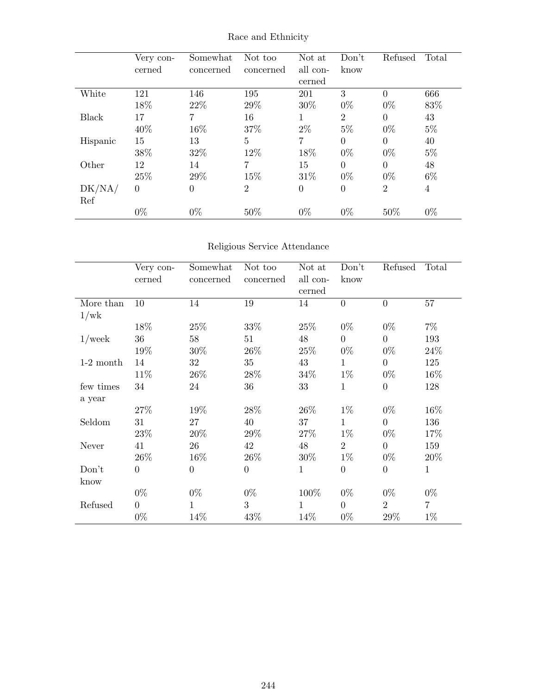|          | Very con-<br>cerned | Somewhat<br>concerned | Not too<br>concerned | Not at<br>all con-<br>cerned | Don't<br>know  | Refused        | Total |
|----------|---------------------|-----------------------|----------------------|------------------------------|----------------|----------------|-------|
| White    | 121                 | 146                   | 195                  | 201                          | 3              | $\overline{0}$ | 666   |
|          | 18%                 | 22\%                  | 29%                  | 30\%                         | $0\%$          | $0\%$          | 83%   |
| Black    | 17                  | 7                     | 16                   | 1                            | $\overline{2}$ | $\overline{0}$ | 43    |
|          | 40%                 | 16%                   | 37%                  | $2\%$                        | $5\%$          | $0\%$          | $5\%$ |
| Hispanic | 15                  | 13                    | 5                    | 7                            | $\Omega$       | $\theta$       | 40    |
|          | 38%                 | 32%                   | 12%                  | 18%                          | $0\%$          | $0\%$          | $5\%$ |
| Other    | 12                  | 14                    | 7                    | 15                           | $\Omega$       | $\Omega$       | 48    |
|          | 25%                 | 29%                   | 15%                  | 31\%                         | $0\%$          | $0\%$          | $6\%$ |
| DK/NA/   | $\overline{0}$      | $\boldsymbol{0}$      | $\overline{2}$       | $\overline{0}$               | $\theta$       | $\overline{2}$ | 4     |
| Ref      |                     |                       |                      |                              |                |                |       |
|          | $0\%$               | $0\%$                 | 50%                  | $0\%$                        | $0\%$          | 50%            | $0\%$ |

Race and Ethnicity

## Religious Service Attendance

|             | Very con-        | Somewhat         | Not too          | Not at       | Don't          | Refused          | Total        |
|-------------|------------------|------------------|------------------|--------------|----------------|------------------|--------------|
|             | cerned           | concerned        | concerned        | all con-     | know           |                  |              |
|             |                  |                  |                  | cerned       |                |                  |              |
| More than   | 10               | 14               | 19               | 14           | $\overline{0}$ | $\overline{0}$   | 57           |
| 1/wk        |                  |                  |                  |              |                |                  |              |
|             | 18%              | 25\%             | 33%              | 25\%         | $0\%$          | $0\%$            | $7\%$        |
| $1$ /week   | 36               | 58               | 51               | 48           | $\overline{0}$ | $\overline{0}$   | 193          |
|             | 19%              | 30\%             | $26\%$           | 25\%         | $0\%$          | $0\%$            | 24\%         |
| $1-2$ month | 14               | 32               | 35               | 43           | 1              | $\overline{0}$   | 125          |
|             | 11\%             | 26\%             | 28\%             | 34\%         | $1\%$          | $0\%$            | 16%          |
| few times   | 34               | 24               | 36               | 33           | $\mathbf{1}$   | $\overline{0}$   | 128          |
| a year      |                  |                  |                  |              |                |                  |              |
|             | 27%              | 19%              | 28%              | 26\%         | $1\%$          | $0\%$            | 16%          |
| Seldom      | 31               | 27               | 40               | 37           | $\mathbf{1}$   | $\overline{0}$   | 136          |
|             | 23\%             | $20\%$           | 29\%             | 27\%         | $1\%$          | $0\%$            | 17%          |
| Never       | 41               | 26               | 42               | 48           | $\overline{2}$ | $\overline{0}$   | 159          |
|             | 26\%             | 16\%             | 26\%             | 30%          | $1\%$          | $0\%$            | 20%          |
| Don't       | $\boldsymbol{0}$ | $\boldsymbol{0}$ | $\boldsymbol{0}$ | 1            | $\overline{0}$ | $\boldsymbol{0}$ | $\mathbf{1}$ |
| know        |                  |                  |                  |              |                |                  |              |
|             | $0\%$            | $0\%$            | $0\%$            | 100\%        | $0\%$          | $0\%$            | $0\%$        |
| Refused     | $\overline{0}$   | $\mathbf{1}$     | 3                | $\mathbf{1}$ | $\overline{0}$ | $\overline{2}$   | 7            |
|             | $0\%$            | 14%              | 43%              | 14%          | $0\%$          | 29%              | $1\%$        |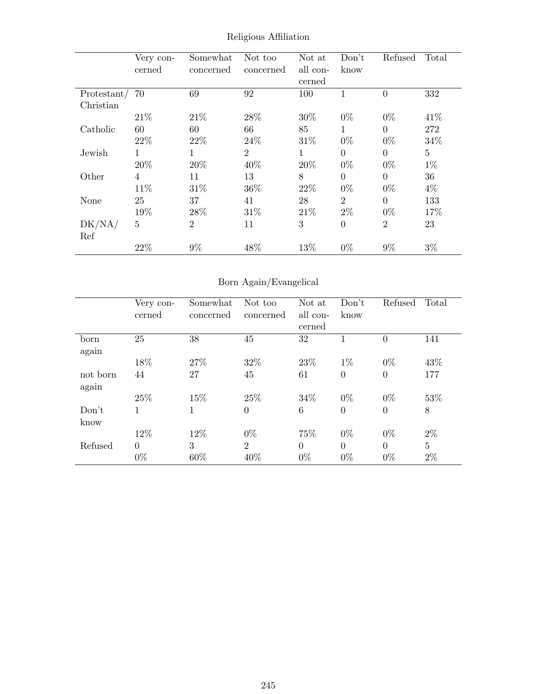|             | Very con-      | Somewhat       | Not too        | Not at   | Don't          | Refused        | Total          |
|-------------|----------------|----------------|----------------|----------|----------------|----------------|----------------|
|             | cerned         | concerned      | concerned      | all con- | know           |                |                |
|             |                |                |                | cerned   |                |                |                |
| Protestant/ | 70             | 69             | 92             | 100      | 1              | $\overline{0}$ | 332            |
| Christian   |                |                |                |          |                |                |                |
|             | 21\%           | 21\%           | 28\%           | 30%      | $0\%$          | $0\%$          | 41\%           |
| Catholic    | 60             | 60             | 66             | 85       | 1              | $\Omega$       | 272            |
|             | 22%            | 22%            | 24\%           | 31\%     | $0\%$          | $0\%$          | 34%            |
| Jewish      | 1              |                | $\overline{2}$ | 1        | $\Omega$       | $\theta$       | $\overline{5}$ |
|             | 20%            | 20%            | 40%            | 20%      | $0\%$          | $0\%$          | $1\%$          |
| Other       | $\overline{4}$ | 11             | 13             | 8        | $\Omega$       | $\theta$       | 36             |
|             | 11\%           | 31\%           | 36%            | 22\%     | $0\%$          | $0\%$          | $4\%$          |
| None        | 25             | 37             | 41             | 28       | $\overline{2}$ | $\Omega$       | 133            |
|             | 19%            | 28%            | 31\%           | 21\%     | $2\%$          | $0\%$          | 17%            |
| DK/NA/      | $\overline{5}$ | $\overline{2}$ | 11             | 3        | $\overline{0}$ | $\overline{2}$ | 23             |
| Ref         |                |                |                |          |                |                |                |
|             | 22%            | 9%             | 48%            | 13%      | $0\%$          | $9\%$          | $3\%$          |

Religious Affiliation

# Born Again/Evangelical

|          | Very con-      | Somewhat  | Not too        | Not at   | Don't          | Refused        | Total          |
|----------|----------------|-----------|----------------|----------|----------------|----------------|----------------|
|          | cerned         | concerned | concerned      | all con- | know           |                |                |
|          |                |           |                | cerned   |                |                |                |
| born     | 25             | 38        | 45             | 32       |                | $\overline{0}$ | 141            |
| again    |                |           |                |          |                |                |                |
|          | 18%            | 27%       | 32%            | 23\%     | $1\%$          | $0\%$          | 43\%           |
| not born | 44             | 27        | 45             | 61       | $\theta$       | $\overline{0}$ | 177            |
| again    |                |           |                |          |                |                |                |
|          | 25\%           | 15%       | 25\%           | 34\%     | $0\%$          | $0\%$          | 53%            |
| Don't    |                | 1         | $\overline{0}$ | 6        | $\overline{0}$ | $\overline{0}$ | 8              |
| know     |                |           |                |          |                |                |                |
|          | 12%            | 12%       | $0\%$          | 75%      | $0\%$          | $0\%$          | $2\%$          |
| Refused  | $\overline{0}$ | 3         | $\overline{2}$ | $\Omega$ | $\Omega$       | $\overline{0}$ | $\overline{5}$ |
|          | $0\%$          | 60%       | 40%            | $0\%$    | $0\%$          | $0\%$          | $2\%$          |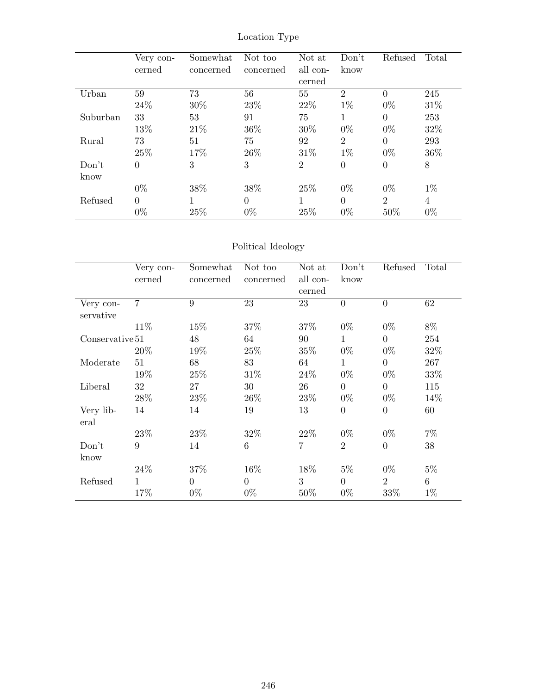|          | Very con-<br>cerned | Somewhat<br>concerned | Not too<br>concerned | Not at<br>all con- | Don't<br>know  | Refused        | Total |
|----------|---------------------|-----------------------|----------------------|--------------------|----------------|----------------|-------|
|          |                     |                       |                      | cerned             |                |                |       |
| Urban    | 59                  | 73                    | 56                   | 55                 | $\overline{2}$ | $\theta$       | 245   |
|          | 24\%                | 30%                   | 23%                  | 22\%               | $1\%$          | $0\%$          | 31\%  |
| Suburban | 33                  | 53                    | 91                   | 75                 | 1              | $\theta$       | 253   |
|          | 13%                 | 21\%                  | 36\%                 | 30%                | $0\%$          | $0\%$          | 32\%  |
| Rural    | 73                  | 51                    | 75                   | 92                 | $\overline{2}$ | $\theta$       | 293   |
|          | 25%                 | 17%                   | 26\%                 | 31\%               | $1\%$          | $0\%$          | 36\%  |
| Don't    | $\overline{0}$      | 3                     | 3                    | $\overline{2}$     | $\overline{0}$ | $\overline{0}$ | 8     |
| know     |                     |                       |                      |                    |                |                |       |
|          | $0\%$               | 38%                   | 38%                  | 25\%               | $0\%$          | $0\%$          | $1\%$ |
| Refused  | $\theta$            | 1                     | $\theta$             |                    | $\theta$       | $\overline{2}$ | 4     |
|          | $0\%$               | 25%                   | $0\%$                | 25%                | $0\%$          | 50%            | $0\%$ |

Location Type

## Political Ideology

|                 | Very con-      | Somewhat       | Not too   | Not at         | Don't          | Refused        | Total |
|-----------------|----------------|----------------|-----------|----------------|----------------|----------------|-------|
|                 | cerned         | concerned      | concerned | all con-       | know           |                |       |
|                 |                |                |           | cerned         |                |                |       |
| Very con-       | $\overline{7}$ | 9              | 23        | 23             | $\theta$       | $\overline{0}$ | 62    |
| servative       |                |                |           |                |                |                |       |
|                 | 11\%           | 15%            | 37%       | 37\%           | $0\%$          | $0\%$          | 8%    |
| Conservative 51 |                | 48             | 64        | 90             | $\mathbf{1}$   | $\overline{0}$ | 254   |
|                 | 20%            | 19%            | 25%       | 35%            | $0\%$          | $0\%$          | 32%   |
| Moderate        | 51             | 68             | 83        | 64             | $\mathbf{1}$   | $\overline{0}$ | 267   |
|                 | 19%            | 25\%           | 31\%      | 24\%           | $0\%$          | $0\%$          | 33%   |
| Liberal         | 32             | 27             | 30        | 26             | $\theta$       | $\overline{0}$ | 115   |
|                 | 28\%           | 23%            | 26\%      | 23\%           | $0\%$          | $0\%$          | 14\%  |
| Very lib-       | 14             | 14             | 19        | 13             | $\overline{0}$ | $\overline{0}$ | 60    |
| eral            |                |                |           |                |                |                |       |
|                 | 23%            | 23\%           | 32%       | 22\%           | $0\%$          | $0\%$          | $7\%$ |
| Don't           | 9              | 14             | 6         | $\overline{7}$ | $\overline{2}$ | $\overline{0}$ | 38    |
| know            |                |                |           |                |                |                |       |
|                 | 24%            | 37%            | 16\%      | 18%            | $5\%$          | $0\%$          | $5\%$ |
| Refused         | 1              | $\overline{0}$ | $\theta$  | 3              | $\overline{0}$ | $\overline{2}$ | 6     |
|                 | 17%            | $0\%$          | $0\%$     | 50%            | $0\%$          | 33%            | $1\%$ |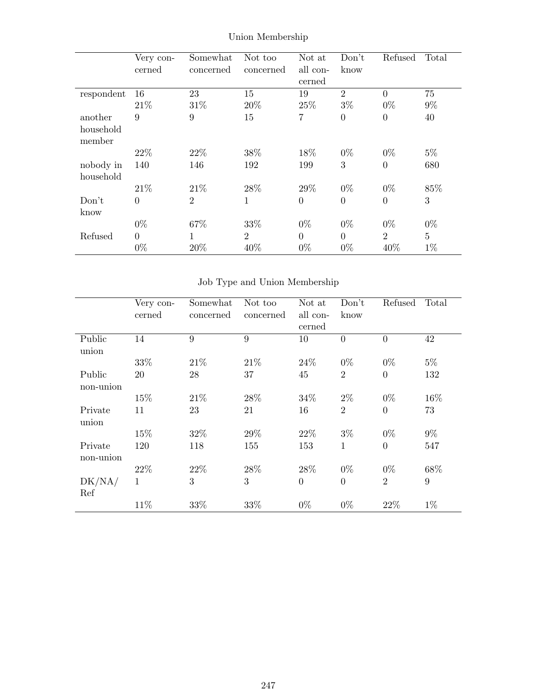|            | Very con-      | Somewhat       | Not too        | Not at   | Don't          | Refused        | Total          |
|------------|----------------|----------------|----------------|----------|----------------|----------------|----------------|
|            | cerned         | concerned      | concerned      | all con- | know           |                |                |
|            |                |                |                | cerned   |                |                |                |
| respondent | 16             | 23             | 15             | 19       | $\overline{2}$ | $\overline{0}$ | 75             |
|            | 21\%           | 31%            | 20%            | 25%      | $3\%$          | $0\%$          | $9\%$          |
| another    | 9              | 9              | 15             | 7        | $\theta$       | $\overline{0}$ | 40             |
| household  |                |                |                |          |                |                |                |
| member     |                |                |                |          |                |                |                |
|            | 22\%           | 22\%           | 38\%           | 18%      | $0\%$          | $0\%$          | $5\%$          |
| nobody in  | 140            | 146            | 192            | 199      | 3              | $\theta$       | 680            |
| household  |                |                |                |          |                |                |                |
|            | 21\%           | 21\%           | 28\%           | 29%      | $0\%$          | $0\%$          | 85%            |
| Don't      | $\overline{0}$ | $\overline{2}$ | 1              | $\theta$ | $\theta$       | $\theta$       | 3              |
| know       |                |                |                |          |                |                |                |
|            | $0\%$          | 67%            | 33%            | $0\%$    | $0\%$          | $0\%$          | $0\%$          |
| Refused    | $\overline{0}$ | 1              | $\overline{2}$ | $\theta$ | $\overline{0}$ | $\overline{2}$ | $\overline{5}$ |
|            | $0\%$          | 20%            | 40%            | $0\%$    | $0\%$          | 40%            | $1\%$          |

Union Membership

# Job Type and Union Membership

|           | Very con- | Somewhat  | Not too   | Not at   | Don't          | Refused        | Total |
|-----------|-----------|-----------|-----------|----------|----------------|----------------|-------|
|           | cerned    | concerned | concerned | all con- | know           |                |       |
|           |           |           |           | cerned   |                |                |       |
| Public    | 14        | 9         | 9         | 10       | $\overline{0}$ | $\theta$       | 42    |
| union     |           |           |           |          |                |                |       |
|           | 33%       | 21\%      | 21\%      | 24\%     | $0\%$          | $0\%$          | $5\%$ |
| Public    | 20        | 28        | 37        | 45       | $\overline{2}$ | $\overline{0}$ | 132   |
| non-union |           |           |           |          |                |                |       |
|           | 15%       | 21\%      | 28\%      | 34%      | $2\%$          | $0\%$          | 16%   |
| Private   | 11        | 23        | 21        | 16       | $\overline{2}$ | $\overline{0}$ | 73    |
| union     |           |           |           |          |                |                |       |
|           | 15%       | 32%       | 29%       | 22\%     | $3\%$          | $0\%$          | $9\%$ |
| Private   | 120       | 118       | 155       | 153      | 1              | $\theta$       | 547   |
| non-union |           |           |           |          |                |                |       |
|           | 22%       | 22%       | 28\%      | 28\%     | $0\%$          | $0\%$          | 68%   |
| DK/NA/    | 1         | 3         | 3         | $\theta$ | $\overline{0}$ | $\overline{2}$ | 9     |
| Ref       |           |           |           |          |                |                |       |
|           | 11%       | 33%       | 33%       | $0\%$    | $0\%$          | 22%            | $1\%$ |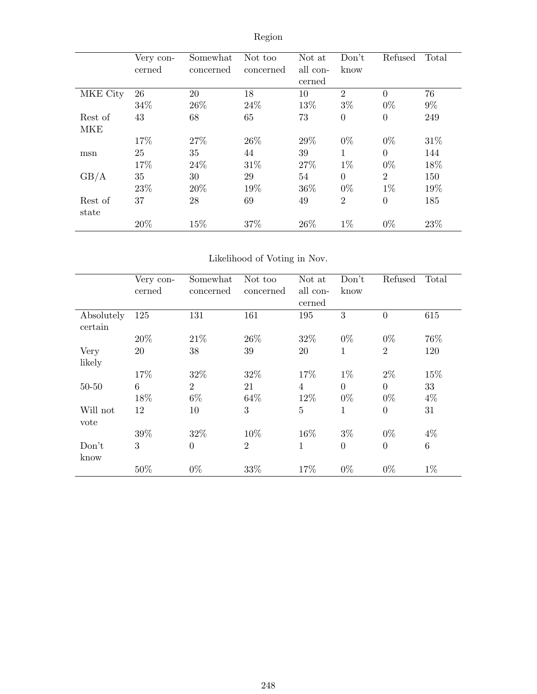|            | Very con-<br>cerned | Somewhat<br>concerned | Not too<br>concerned | Not at<br>all con-<br>cerned | Don't<br>know  | Refused        | Total |
|------------|---------------------|-----------------------|----------------------|------------------------------|----------------|----------------|-------|
| MKE City   | 26                  | 20                    | 18                   | 10                           | $\overline{2}$ | $\theta$       | 76    |
|            | 34\%                | 26\%                  | 24\%                 | 13%                          | $3\%$          | $0\%$          | $9\%$ |
| Rest of    | 43                  | 68                    | 65                   | 73                           | $\overline{0}$ | $\overline{0}$ | 249   |
| <b>MKE</b> |                     | 27%                   | 26\%                 |                              |                |                |       |
|            | 17%                 |                       |                      | 29%                          | $0\%$          | $0\%$          | 31\%  |
| msn        | 25                  | 35                    | 44                   | 39                           | 1              | $\theta$       | 144   |
|            | 17%                 | 24\%                  | 31\%                 | 27%                          | $1\%$          | $0\%$          | 18%   |
| GB/A       | 35                  | 30                    | 29                   | 54                           | $\theta$       | $\overline{2}$ | 150   |
|            | 23\%                | 20%                   | 19%                  | 36\%                         | $0\%$          | $1\%$          | 19%   |
| Rest of    | 37                  | 28                    | 69                   | 49                           | $\overline{2}$ | $\overline{0}$ | 185   |
| state      |                     |                       |                      |                              |                |                |       |
|            | 20%                 | 15%                   | 37%                  | 26\%                         | $1\%$          | $0\%$          | 23%   |

# Region

## Likelihood of Voting in Nov.

|                       | Very con- | Somewhat         | Not too        | Not at         | Don't          | Refused        | Total   |
|-----------------------|-----------|------------------|----------------|----------------|----------------|----------------|---------|
|                       | cerned    | concerned        | concerned      | all con-       | know           |                |         |
|                       |           |                  |                | cerned         |                |                |         |
| Absolutely<br>certain | 125       | 131              | 161            | 195            | 3              | $\theta$       | 615     |
|                       | 20%       | 21\%             | 26\%           | 32\%           | $0\%$          | $0\%$          | 76%     |
| Very                  | 20        | 38               | 39             | 20             | 1              | $\overline{2}$ | 120     |
| likely                |           |                  |                |                |                |                |         |
|                       | 17%       | 32%              | 32%            | 17%            | $1\%$          | $2\%$          | 15%     |
| $50 - 50$             | 6         | $\overline{2}$   | 21             | $\overline{4}$ | $\Omega$       | $\overline{0}$ | 33      |
|                       | 18%       | $6\%$            | 64\%           | 12%            | $0\%$          | $0\%$          | $4\%$   |
| Will not              | 12        | 10               | 3              | 5              | $\mathbf{1}$   | $\theta$       | 31      |
| vote                  |           |                  |                |                |                |                |         |
|                       | 39%       | 32\%             | 10%            | 16%            | $3\%$          | $0\%$          | $4\%$   |
| Don't                 | 3         | $\boldsymbol{0}$ | $\overline{2}$ | 1              | $\overline{0}$ | $\theta$       | $\,6\,$ |
| know                  |           |                  |                |                |                |                |         |
|                       | 50%       | $0\%$            | 33%            | 17%            | $0\%$          | $0\%$          | $1\%$   |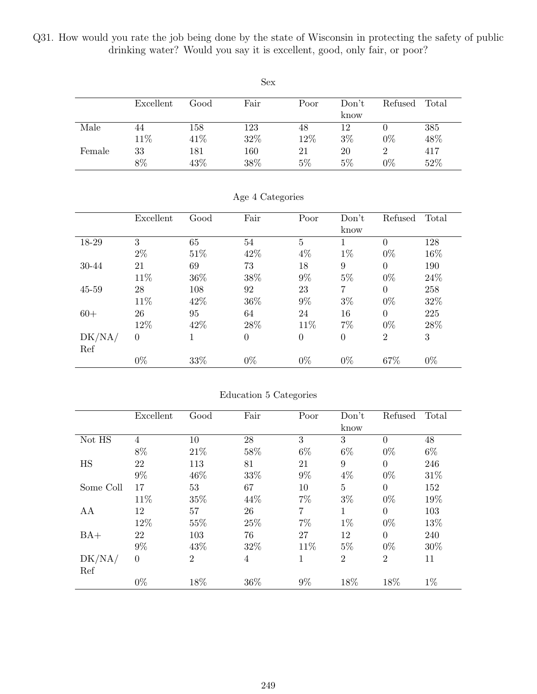Q31. How would you rate the job being done by the state of Wisconsin in protecting the safety of public drinking water? Would you say it is excellent, good, only fair, or poor?

|        |           |      | Sex  |       |       |         |       |
|--------|-----------|------|------|-------|-------|---------|-------|
|        | Excellent | Good | Fair | Poor  | Don't | Refused | Total |
|        |           |      |      |       | know  |         |       |
| Male   | 44        | 158  | 123  | 48    | 12    |         | 385   |
|        | 11\%      | 41\% | 32%  | 12%   | $3\%$ | $0\%$   | 48%   |
| Female | 33        | 181  | 160  | 21    | 20    | 2       | 417   |
|        | 8%        | 43%  | 38%  | $5\%$ | $5\%$ | $0\%$   | 52%   |

|        | Excellent      | Good | Fair           | Poor           | Don't<br>know    | Refused        | Total  |
|--------|----------------|------|----------------|----------------|------------------|----------------|--------|
| 18-29  | 3              | 65   | 54             | $\overline{5}$ |                  | $\overline{0}$ | 128    |
|        | $2\%$          | 51%  | 42\%           | $4\%$          | $1\%$            | $0\%$          | 16%    |
| 30-44  | 21             | 69   | 73             | 18             | 9                | $\Omega$       | 190    |
|        | 11%            | 36\% | 38%            | $9\%$          | $5\%$            | $0\%$          | 24\%   |
| 45-59  | 28             | 108  | 92             | 23             | 7                | $\theta$       | 258    |
|        | 11\%           | 42\% | 36\%           | $9\%$          | $3\%$            | $0\%$          | 32\%   |
| $60+$  | 26             | 95   | 64             | 24             | 16               | $\Omega$       | 225    |
|        | 12%            | 42%  | 28\%           | 11%            | 7%               | $0\%$          | $28\%$ |
| DK/NA/ | $\overline{0}$ |      | $\overline{0}$ | $\overline{0}$ | $\boldsymbol{0}$ | $\overline{2}$ | 3      |
| Ref    |                |      |                |                |                  |                |        |
|        | $0\%$          | 33%  | $0\%$          | $0\%$          | $0\%$            | 67%            | $0\%$  |

Age 4 Categories

|           | Excellent      | Good           | Fair | Poor           | Don't          | Refused        | Total |
|-----------|----------------|----------------|------|----------------|----------------|----------------|-------|
|           |                |                |      |                | know           |                |       |
| Not HS    | $\overline{4}$ | 10             | 28   | 3              | 3              | $\overline{0}$ | 48    |
|           | 8%             | 21\%           | 58%  | $6\%$          | $6\%$          | $0\%$          | $6\%$ |
| HS        | 22             | 113            | 81   | 21             | 9              | $\Omega$       | 246   |
|           | 9%             | 46%            | 33%  | $9\%$          | $4\%$          | $0\%$          | 31%   |
| Some Coll | 17             | 53             | 67   | 10             | 5              | $\Omega$       | 152   |
|           | 11%            | 35%            | 44%  | $7\%$          | $3\%$          | $0\%$          | 19%   |
| AA        | 12             | 57             | 26   | $\overline{7}$ | $\mathbf{1}$   | $\Omega$       | 103   |
|           | 12%            | 55%            | 25%  | $7\%$          | $1\%$          | $0\%$          | 13%   |
| $BA+$     | 22             | 103            | 76   | 27             | 12             | $\theta$       | 240   |
|           | 9%             | 43%            | 32%  | 11\%           | 5%             | $0\%$          | 30%   |
| DK/NA/    | $\theta$       | $\overline{2}$ | 4    | 1              | $\overline{2}$ | $\overline{2}$ | 11    |
| Ref       |                |                |      |                |                |                |       |
|           | $0\%$          | 18%            | 36\% | $9\%$          | 18%            | 18%            | $1\%$ |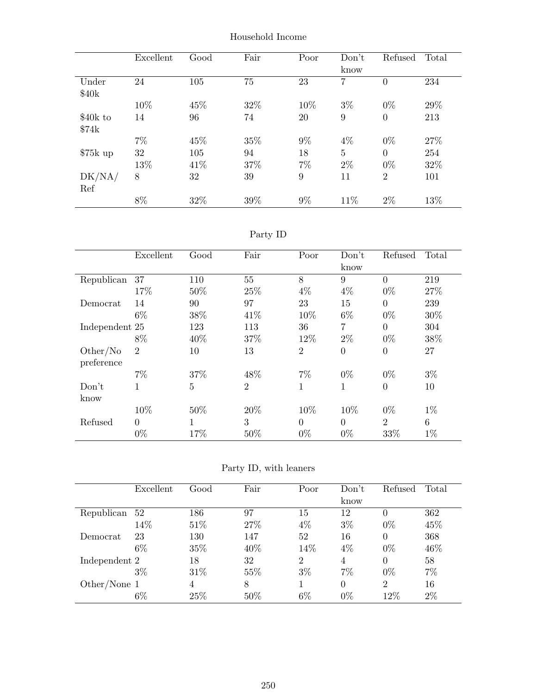|           | Excellent | Good | Fair | Poor  | Don't          | Refused        | Total |
|-----------|-----------|------|------|-------|----------------|----------------|-------|
|           |           |      |      |       | know           |                |       |
| Under     | 24        | 105  | 75   | 23    | 7              | 0              | 234   |
| \$40k     |           |      |      |       |                |                |       |
|           | 10%       | 45%  | 32%  | 10%   | $3\%$          | $0\%$          | 29%   |
| \$40k to  | 14        | 96   | 74   | 20    | 9              | 0              | 213   |
| \$74k     |           |      |      |       |                |                |       |
|           | $7\%$     | 45%  | 35%  | $9\%$ | $4\%$          | $0\%$          | 27%   |
| $$75k$ up | 32        | 105  | 94   | 18    | $\overline{5}$ | $\overline{0}$ | 254   |
|           | 13%       | 41\% | 37%  | $7\%$ | $2\%$          | $0\%$          | 32%   |
| DK/NA/    | 8         | 32   | 39   | 9     | 11             | $\overline{2}$ | 101   |
| Ref       |           |      |      |       |                |                |       |
|           | 8%        | 32%  | 39%  | $9\%$ | 11\%           | $2\%$          | 13%   |

Household Income

Party ID

|                        | Excellent      | Good | Fair           | Poor           | Don't<br>know | Refused        | Total |
|------------------------|----------------|------|----------------|----------------|---------------|----------------|-------|
| Republican             | 37             | 110  | 55             | 8              | 9             | $\theta$       | 219   |
|                        | 17%            | 50%  | 25%            | $4\%$          | $4\%$         | $0\%$          | 27%   |
| Democrat               | 14             | 90   | 97             | 23             | 15            | $\overline{0}$ | 239   |
|                        | $6\%$          | 38%  | 41\%           | 10%            | $6\%$         | $0\%$          | 30%   |
| Independent 25         |                | 123  | 113            | 36             | 7             | $\theta$       | 304   |
|                        | 8%             | 40\% | 37%            | 12%            | $2\%$         | $0\%$          | 38%   |
| Other/No<br>preference | $\overline{2}$ | 10   | 13             | $\overline{2}$ | $\theta$      | $\overline{0}$ | 27    |
|                        | $7\%$          | 37%  | 48%            | $7\%$          | $0\%$         | $0\%$          | $3\%$ |
| Don't<br>know          | 1              | 5    | $\overline{2}$ | 1              | 1             | $\overline{0}$ | 10    |
|                        | 10%            | 50%  | 20%            | 10%            | 10%           | $0\%$          | $1\%$ |
| Refused                | $\overline{0}$ |      | 3              | $\Omega$       | $\theta$      | $\overline{2}$ | 6     |
|                        | $0\%$          | 17%  | 50%            | $0\%$          | $0\%$         | 33%            | $1\%$ |

Party ID, with leaners

|                | Excellent | Good | Fair   | Poor           | Don't          | Refused        | Total |
|----------------|-----------|------|--------|----------------|----------------|----------------|-------|
|                |           |      |        |                | know           |                |       |
| Republican     | 52        | 186  | 97     | 15             | 12             | 0              | 362   |
|                | 14%       | 51\% | 27\%   | $4\%$          | $3\%$          | $0\%$          | 45%   |
| Democrat       | 23        | 130  | 147    | 52             | 16             | $\theta$       | 368   |
|                | $6\%$     | 35%  | 40\%   | 14\%           | 4%             | $0\%$          | 46%   |
| Independent 2  |           | 18   | 32     | $\overline{2}$ | $\overline{4}$ | $\theta$       | 58    |
|                | $3\%$     | 31\% | 55%    | $3\%$          | 7%             | $0\%$          | $7\%$ |
| Other/None $1$ |           | 4    | 8      |                | $\Omega$       | $\overline{2}$ | 16    |
|                | 6%        | 25%  | $50\%$ | $6\%$          | $0\%$          | 12%            | $2\%$ |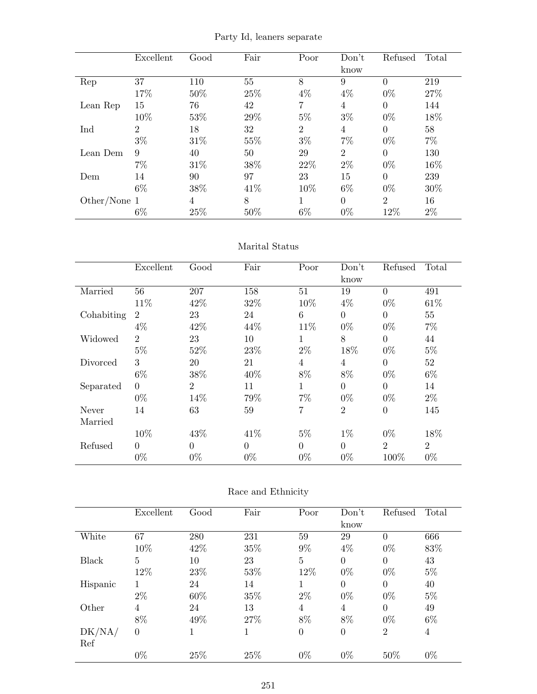Party Id, leaners separate

|              | Excellent      | Good | Fair | Poor  | Don't.<br>know | Refused        | Total |
|--------------|----------------|------|------|-------|----------------|----------------|-------|
| Rep          | 37             | 110  | 55   | 8     | 9              | $\theta$       | 219   |
|              | 17%            | 50%  | 25%  | $4\%$ | $4\%$          | $0\%$          | 27%   |
| Lean Rep     | 15             | 76   | 42   | 7     | 4              | $\theta$       | 144   |
|              | 10%            | 53%  | 29%  | $5\%$ | $3\%$          | $0\%$          | 18%   |
| Ind          | $\overline{2}$ | 18   | 32   | 2     | 4              | $\Omega$       | 58    |
|              | $3\%$          | 31\% | 55%  | $3\%$ | $7\%$          | $0\%$          | $7\%$ |
| Lean Dem     | 9              | 40   | 50   | 29    | $\overline{2}$ | $\Omega$       | 130   |
|              | 7%             | 31\% | 38\% | 22\%  | $2\%$          | $0\%$          | 16%   |
| Dem          | 14             | 90   | 97   | 23    | 15             | $\Omega$       | 239   |
|              | $6\%$          | 38%  | 41\% | 10%   | $6\%$          | $0\%$          | 30%   |
| Other/None 1 |                | 4    | 8    | 1     | $\Omega$       | $\overline{2}$ | 16    |
|              | $6\%$          | 25%  | 50%  | $6\%$ | $0\%$          | 12%            | $2\%$ |

#### Marital Status

|            | Excellent      | Good           | Fair     | Poor         | Don't          | Refused        | Total          |
|------------|----------------|----------------|----------|--------------|----------------|----------------|----------------|
|            |                |                |          |              | know           |                |                |
| Married    | 56             | 207            | 158      | 51           | 19             | $\theta$       | 491            |
|            | 11%            | 42\%           | 32%      | 10%          | $4\%$          | $0\%$          | 61\%           |
| Cohabiting | $\overline{2}$ | 23             | 24       | 6            | $\overline{0}$ | $\theta$       | 55             |
|            | $4\%$          | 42\%           | 44%      | 11\%         | $0\%$          | $0\%$          | $7\%$          |
| Widowed    | $\overline{2}$ | 23             | 10       | 1            | 8              | $\Omega$       | 44             |
|            | $5\%$          | 52%            | 23\%     | $2\%$        | 18%            | $0\%$          | $5\%$          |
| Divorced   | 3              | 20             | 21       | 4            | $\overline{4}$ | $\Omega$       | 52             |
|            | $6\%$          | 38\%           | 40%      | 8%           | 8%             | $0\%$          | $6\%$          |
| Separated  | $\Omega$       | $\overline{2}$ | 11       | $\mathbf{1}$ | $\Omega$       | $\theta$       | 14             |
|            | $0\%$          | 14%            | 79%      | $7\%$        | $0\%$          | $0\%$          | $2\%$          |
| Never      | 14             | 63             | 59       | 7            | $\overline{2}$ | $\theta$       | 145            |
| Married    |                |                |          |              |                |                |                |
|            | 10%            | 43%            | 41\%     | $5\%$        | $1\%$          | $0\%$          | 18%            |
| Refused    | $\Omega$       | $\overline{0}$ | $\Omega$ | $\theta$     | $\Omega$       | $\overline{2}$ | $\overline{2}$ |
|            | $0\%$          | $0\%$          | $0\%$    | $0\%$        | $0\%$          | 100%           | $0\%$          |

## Race and Ethnicity

|              | Excellent      | Good | Fair | Poor           | Don't          | Refused        | Total |
|--------------|----------------|------|------|----------------|----------------|----------------|-------|
|              |                |      |      |                | know           |                |       |
| White        | 67             | 280  | 231  | 59             | 29             | $\overline{0}$ | 666   |
|              | 10%            | 42\% | 35%  | $9\%$          | 4%             | $0\%$          | 83%   |
| <b>Black</b> | 5              | 10   | 23   | $\overline{5}$ | $\theta$       | $\overline{0}$ | 43    |
|              | 12%            | 23%  | 53%  | 12%            | $0\%$          | $0\%$          | $5\%$ |
| Hispanic     |                | 24   | 14   | 1              | $\Omega$       | $\overline{0}$ | 40    |
|              | $2\%$          | 60%  | 35%  | $2\%$          | $0\%$          | $0\%$          | $5\%$ |
| Other        | 4              | 24   | 13   | 4              | 4              | $\overline{0}$ | 49    |
|              | 8%             | 49%  | 27\% | 8%             | 8%             | $0\%$          | $6\%$ |
| DK/NA/       | $\overline{0}$ | 1    | 1    | $\overline{0}$ | $\overline{0}$ | $\overline{2}$ | 4     |
| Ref          |                |      |      |                |                |                |       |
|              | $0\%$          | 25%  | 25%  | $0\%$          | $0\%$          | 50%            | $0\%$ |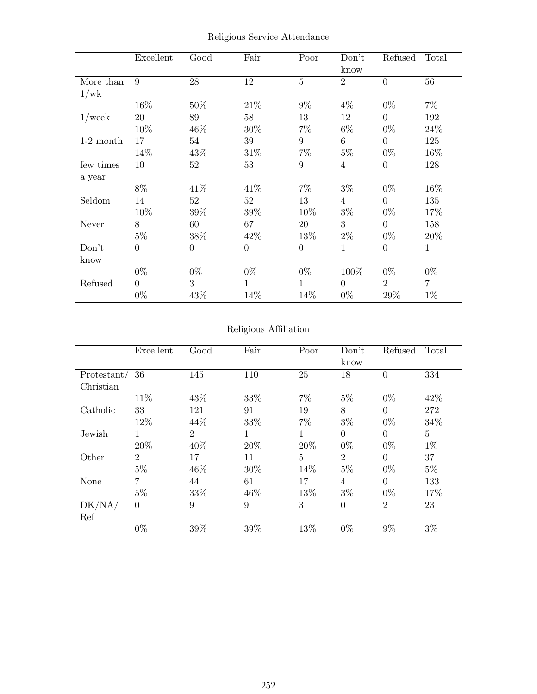|             | Excellent        | Good             | Fair           | Poor           | Don't<br>know  | Refused          | Total        |
|-------------|------------------|------------------|----------------|----------------|----------------|------------------|--------------|
| More than   | 9                | 28               | $12\,$         | $\overline{5}$ | $\overline{2}$ | $\theta$         | 56           |
| 1/wk        |                  |                  |                |                |                |                  |              |
|             | 16%              | 50%              | 21\%           | $9\%$          | $4\%$          | $0\%$            | $7\%$        |
| $1$ /week   | 20               | 89               | 58             | 13             | 12             | $\theta$         | 192          |
|             | 10%              | 46%              | 30%            | $7\%$          | $6\%$          | $0\%$            | 24\%         |
| $1-2$ month | 17               | 54               | 39             | 9              | 6              | $\theta$         | 125          |
|             | 14%              | 43\%             | $31\%$         | $7\%$          | $5\%$          | $0\%$            | 16\%         |
| few times   | 10               | 52               | 53             | 9              | $\overline{4}$ | $\boldsymbol{0}$ | 128          |
| a year      |                  |                  |                |                |                |                  |              |
|             | 8%               | 41\%             | 41\%           | $7\%$          | $3\%$          | $0\%$            | 16%          |
| Seldom      | 14               | 52               | 52             | 13             | $\overline{4}$ | $\theta$         | 135          |
|             | 10%              | 39%              | 39%            | 10%            | $3\%$          | $0\%$            | 17%          |
| Never       | 8                | 60               | 67             | 20             | 3              | $\theta$         | 158          |
|             | $5\%$            | $38\%$           | 42\%           | 13%            | $2\%$          | $0\%$            | 20%          |
| Don't       | $\boldsymbol{0}$ | $\boldsymbol{0}$ | $\overline{0}$ | $\overline{0}$ | $\mathbf{1}$   | $\boldsymbol{0}$ | $\mathbf{1}$ |
| know        |                  |                  |                |                |                |                  |              |
|             | $0\%$            | $0\%$            | $0\%$          | $0\%$          | 100%           | $0\%$            | $0\%$        |
| Refused     | $\overline{0}$   | 3                | 1              | 1              | $\Omega$       | $\overline{2}$   | 7            |
|             | $0\%$            | 43%              | 14%            | 14%            | $0\%$          | 29%              | $1\%$        |

Religious Service Attendance

## Religious Affiliation

|             | Excellent      | Good           | Fair | Poor        | Don't<br>know  | Refused        | Total          |
|-------------|----------------|----------------|------|-------------|----------------|----------------|----------------|
| Protestant/ | 36             | 145            | 110  | 25          | 18             | 0              | 334            |
| Christian   |                |                |      |             |                |                |                |
|             | 11%            | 43%            | 33%  | $7\%$       | $5\%$          | $0\%$          | 42\%           |
| Catholic    | 33             | 121            | 91   | 19          | 8              | $\theta$       | 272            |
|             | 12%            | 44\%           | 33%  | $7\%$       | $3\%$          | $0\%$          | 34%            |
| Jewish      | 1              | $\overline{2}$ | 1    | $\mathbf 1$ | $\overline{0}$ | $\overline{0}$ | $\overline{5}$ |
|             | 20%            | 40%            | 20%  | 20%         | $0\%$          | $0\%$          | $1\%$          |
| Other       | $\overline{2}$ | 17             | 11   | 5           | $\overline{2}$ | $\theta$       | 37             |
|             | $5\%$          | 46%            | 30%  | 14%         | $5\%$          | $0\%$          | $5\%$          |
| None        | $\overline{7}$ | 44             | 61   | 17          | 4              | $\theta$       | 133            |
|             | $5\%$          | 33%            | 46\% | 13%         | $3\%$          | $0\%$          | 17%            |
| DK/NA/      | $\overline{0}$ | 9              | 9    | 3           | $\overline{0}$ | $\overline{2}$ | 23             |
| Ref         |                |                |      |             |                |                |                |
|             | $0\%$          | 39%            | 39%  | 13%         | $0\%$          | $9\%$          | $3\%$          |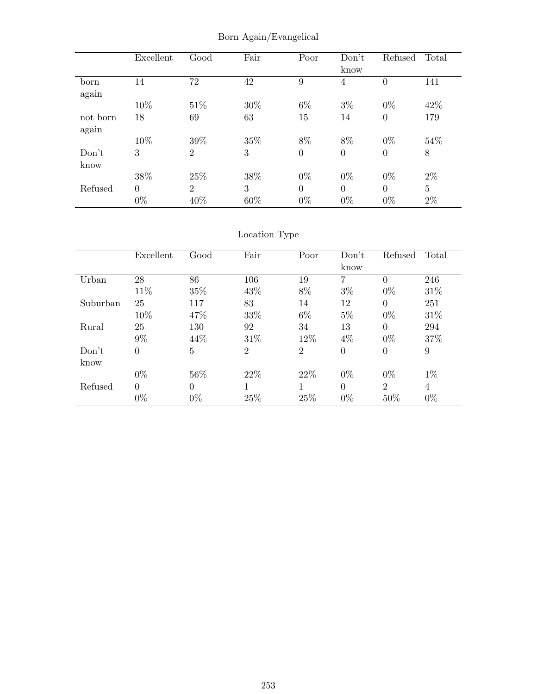|          | Excellent      | Good           | Fair | Poor           | Don't          | Refused          | Total          |
|----------|----------------|----------------|------|----------------|----------------|------------------|----------------|
|          |                |                |      |                | know           |                  |                |
| born     | 14             | 72             | 42   | 9              | 4              | $\boldsymbol{0}$ | 141            |
| again    |                |                |      |                |                |                  |                |
|          | 10%            | 51\%           | 30%  | $6\%$          | $3\%$          | $0\%$            | 42\%           |
| not born | 18             | 69             | 63   | 15             | 14             | $\boldsymbol{0}$ | 179            |
| again    |                |                |      |                |                |                  |                |
|          | 10%            | 39%            | 35%  | 8%             | 8%             | $0\%$            | 54%            |
| Don't    | 3              | $\overline{2}$ | 3    | $\overline{0}$ | $\overline{0}$ | $\boldsymbol{0}$ | 8              |
| know     |                |                |      |                |                |                  |                |
|          | 38%            | 25%            | 38%  | $0\%$          | $0\%$          | $0\%$            | $2\%$          |
| Refused  | $\overline{0}$ | $\overline{2}$ | 3    | $\overline{0}$ | $\Omega$       | $\Omega$         | $\overline{5}$ |
|          | $0\%$          | 40%            | 60%  | $0\%$          | $0\%$          | $0\%$            | $2\%$          |

Born Again/Evangelical

# Location Type

|          | Excellent        | Good     | Fair           | Poor           | Don't          | Refused          | Total          |
|----------|------------------|----------|----------------|----------------|----------------|------------------|----------------|
|          |                  |          |                |                | know           |                  |                |
| Urban    | 28               | 86       | 106            | 19             | $\overline{7}$ | $\theta$         | 246            |
|          | 11\%             | 35%      | 43\%           | 8%             | $3\%$          | $0\%$            | 31\%           |
| Suburban | 25               | 117      | 83             | 14             | 12             | $\overline{0}$   | 251            |
|          | 10%              | 47\%     | 33%            | $6\%$          | $5\%$          | $0\%$            | 31\%           |
| Rural    | 25               | 130      | 92             | 34             | 13             | $\Omega$         | 294            |
|          | $9\%$            | 44\%     | 31\%           | 12%            | $4\%$          | $0\%$            | 37%            |
| Don't    | $\boldsymbol{0}$ | 5        | $\overline{2}$ | $\overline{2}$ | $\overline{0}$ | $\boldsymbol{0}$ | 9              |
| know     |                  |          |                |                |                |                  |                |
|          | $0\%$            | 56\%     | 22\%           | 22%            | $0\%$          | $0\%$            | $1\%$          |
| Refused  | $\theta$         | $\theta$ |                |                | $\theta$       | $\overline{2}$   | $\overline{4}$ |
|          | $0\%$            | $0\%$    | 25%            | 25%            | $0\%$          | 50%              | $0\%$          |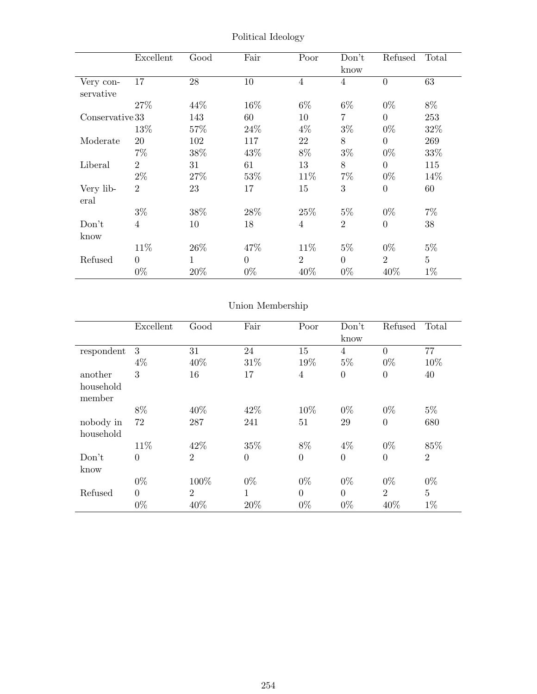|                 | Excellent               | Good         | Fair           | Poor           | Don't<br>know  | Refused                   | Total          |
|-----------------|-------------------------|--------------|----------------|----------------|----------------|---------------------------|----------------|
| Very con-       | 17                      | 28           | 10             | $\overline{4}$ | $\overline{4}$ | $\overline{0}$            | 63             |
| servative       | 27\%                    | 44%          | $16\%$         | $6\%$          | $6\%$          | $0\%$                     | 8%             |
| Conservative 33 |                         | 143          | 60             | 10             | 7              | $\overline{0}$            | 253            |
| Moderate        | 13%<br>20               | 57%<br>102   | 24\%<br>117    | $4\%$<br>22    | $3\%$<br>8     | $0\%$<br>$\overline{0}$   | 32%<br>269     |
|                 | $7\%$                   | 38\%         | 43\%           | 8%             | $3\%$          | $0\%$                     | 33%            |
| Liberal         | $\overline{2}$          | 31           | 61             | 13             | 8              | $\Omega$                  | 115            |
| Very lib-       | $2\%$<br>$\overline{2}$ | 27%<br>23    | 53%<br>17      | 11\%<br>15     | $7\%$<br>3     | $0\%$<br>$\boldsymbol{0}$ | 14%<br>60      |
| eral            |                         |              |                |                |                |                           |                |
|                 | $3\%$                   | 38%          | 28\%           | 25%            | $5\%$          | $0\%$                     | $7\%$          |
| Don't<br>know   | 4                       | 10           | 18             | $\overline{4}$ | $\overline{2}$ | $\overline{0}$            | $38\,$         |
|                 | 11\%                    | 26\%         | 47%            | 11\%           | $5\%$          | $0\%$                     | $5\%$          |
| Refused         | $\overline{0}$          | $\mathbf{1}$ | $\overline{0}$ | $\overline{2}$ | $\Omega$       | $\overline{2}$            | $\overline{5}$ |
|                 | $0\%$                   | 20%          | $0\%$          | 40\%           | $0\%$          | 40\%                      | $1\%$          |

Political Ideology

# Union Membership

|                        | Excellent        | Good           | Fair           | Poor           | Don't<br>know    | Refused        | Total          |
|------------------------|------------------|----------------|----------------|----------------|------------------|----------------|----------------|
| respondent             | 3                | 31             | 24             | 15             | $\overline{4}$   | $\overline{0}$ | 77             |
|                        | $4\%$            | 40\%           | 31%            | 19%            | $5\%$            | $0\%$          | 10%            |
| another                | 3                | 16             | 17             | $\overline{4}$ | $\boldsymbol{0}$ | $\overline{0}$ | 40             |
| household<br>member    |                  |                |                |                |                  |                |                |
|                        | 8%               | 40\%           | 42\%           | 10%            | $0\%$            | $0\%$          | $5\%$          |
| nobody in<br>household | 72               | 287            | 241            | 51             | 29               | $\overline{0}$ | 680            |
|                        | 11%              | 42\%           | 35%            | 8%             | $4\%$            | $0\%$          | 85%            |
| Don't<br>know          | $\overline{0}$   | $\overline{2}$ | $\overline{0}$ | $\overline{0}$ | $\overline{0}$   | $\overline{0}$ | $\overline{2}$ |
|                        | $0\%$            | 100%           | $0\%$          | $0\%$          | $0\%$            | $0\%$          | $0\%$          |
| Refused                | $\boldsymbol{0}$ | $\overline{2}$ | 1              | $\overline{0}$ | $\theta$         | $\overline{2}$ | $\overline{5}$ |
|                        | $0\%$            | 40%            | 20%            | $0\%$          | $0\%$            | 40%            | $1\%$          |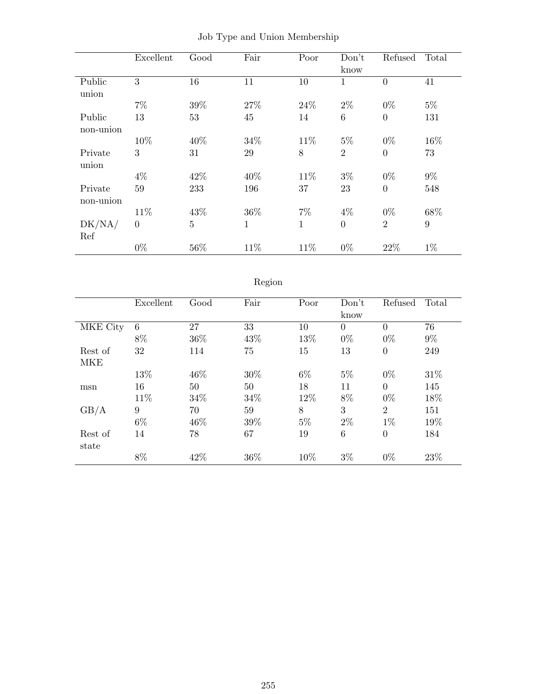|           | Excellent | Good           | Fair         | Poor         | Don't          | Refused          | Total |
|-----------|-----------|----------------|--------------|--------------|----------------|------------------|-------|
|           |           |                |              |              | know           |                  |       |
| Public    | 3         | 16             | 11           | 10           | 1              | $\overline{0}$   | 41    |
| union     |           |                |              |              |                |                  |       |
|           | $7\%$     | 39%            | 27%          | 24\%         | $2\%$          | $0\%$            | $5\%$ |
| Public    | 13        | 53             | 45           | 14           | 6              | $\theta$         | 131   |
| non-union |           |                |              |              |                |                  |       |
|           | 10%       | 40%            | 34\%         | 11%          | $5\%$          | $0\%$            | 16%   |
| Private   | 3         | 31             | 29           | 8            | $\overline{2}$ | $\boldsymbol{0}$ | 73    |
| union     |           |                |              |              |                |                  |       |
|           | $4\%$     | 42\%           | 40\%         | 11\%         | $3\%$          | $0\%$            | $9\%$ |
| Private   | 59        | 233            | 196          | 37           | 23             | $\overline{0}$   | 548   |
| non-union |           |                |              |              |                |                  |       |
|           | 11\%      | 43%            | 36\%         | $7\%$        | $4\%$          | $0\%$            | 68%   |
| DK/NA/    | $\theta$  | $\overline{5}$ | $\mathbf{1}$ | $\mathbf{1}$ | $\overline{0}$ | $\overline{2}$   | 9     |
| Ref       |           |                |              |              |                |                  |       |
|           | $0\%$     | 56%            | 11\%         | 11\%         | $0\%$          | 22%              | $1\%$ |

|  |  |  |  |  | Job Type and Union Membership |
|--|--|--|--|--|-------------------------------|
|--|--|--|--|--|-------------------------------|

# Region

|          | Excellent | Good | Fair | Poor  | Don't    | Refused        | Total |
|----------|-----------|------|------|-------|----------|----------------|-------|
|          |           |      |      |       | know     |                |       |
| MKE City | 6         | 27   | 33   | 10    | $\theta$ | $\Omega$       | 76    |
|          | 8%        | 36\% | 43\% | 13%   | $0\%$    | $0\%$          | $9\%$ |
| Rest of  | 32        | 114  | 75   | 15    | 13       | $\theta$       | 249   |
| MKE      |           |      |      |       |          |                |       |
|          | 13%       | 46%  | 30%  | $6\%$ | $5\%$    | $0\%$          | 31%   |
| msn      | 16        | 50   | 50   | 18    | 11       | $\Omega$       | 145   |
|          | 11\%      | 34%  | 34\% | 12%   | 8%       | $0\%$          | 18%   |
| GB/A     | 9         | 70   | 59   | 8     | 3        | $\overline{2}$ | 151   |
|          | $6\%$     | 46%  | 39%  | $5\%$ | $2\%$    | $1\%$          | 19%   |
| Rest of  | 14        | 78   | 67   | 19    | 6        | $\theta$       | 184   |
| state    |           |      |      |       |          |                |       |
|          | 8%        | 42%  | 36\% | 10%   | $3\%$    | $0\%$          | 23%   |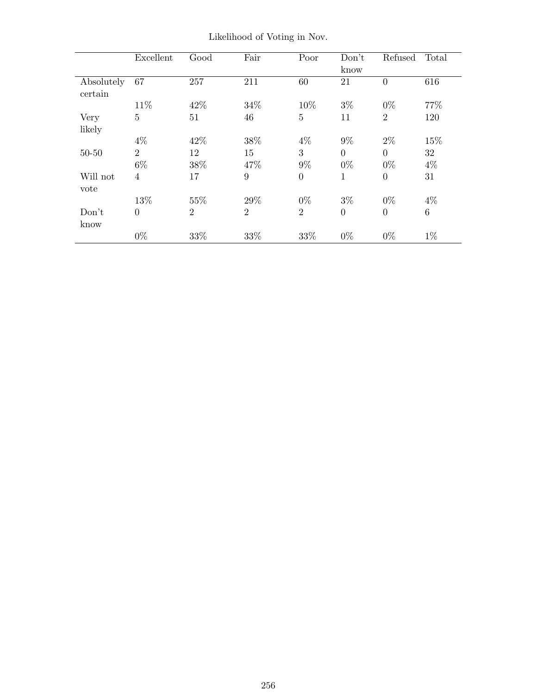|            | Excellent      | Good           | Fair           | Poor           | Don't          | Refused        | Total   |
|------------|----------------|----------------|----------------|----------------|----------------|----------------|---------|
|            |                |                |                |                | know           |                |         |
| Absolutely | 67             | 257            | 211            | 60             | 21             | $\overline{0}$ | 616     |
| certain    |                |                |                |                |                |                |         |
|            | 11\%           | 42%            | 34\%           | 10%            | $3\%$          | $0\%$          | 77%     |
| Very       | $\overline{5}$ | 51             | 46             | 5              | 11             | $\overline{2}$ | 120     |
| likely     |                |                |                |                |                |                |         |
|            | $4\%$          | 42\%           | 38%            | $4\%$          | $9\%$          | $2\%$          | 15%     |
| $50 - 50$  | $\overline{2}$ | 12             | 15             | 3              | $\overline{0}$ | $\theta$       | 32      |
|            | $6\%$          | 38\%           | 47%            | $9\%$          | $0\%$          | $0\%$          | $4\%$   |
| Will not   | $\overline{4}$ | 17             | 9              | $\overline{0}$ | $\mathbf{1}$   | $\overline{0}$ | 31      |
| vote       |                |                |                |                |                |                |         |
|            | 13%            | 55%            | 29%            | $0\%$          | $3\%$          | $0\%$          | $4\%$   |
| Don't      | $\overline{0}$ | $\overline{2}$ | $\overline{2}$ | $\overline{2}$ | $\overline{0}$ | $\overline{0}$ | $\,6\,$ |
| know       |                |                |                |                |                |                |         |
|            | $0\%$          | 33%            | 33%            | 33%            | $0\%$          | $0\%$          | $1\%$   |

Likelihood of Voting in Nov.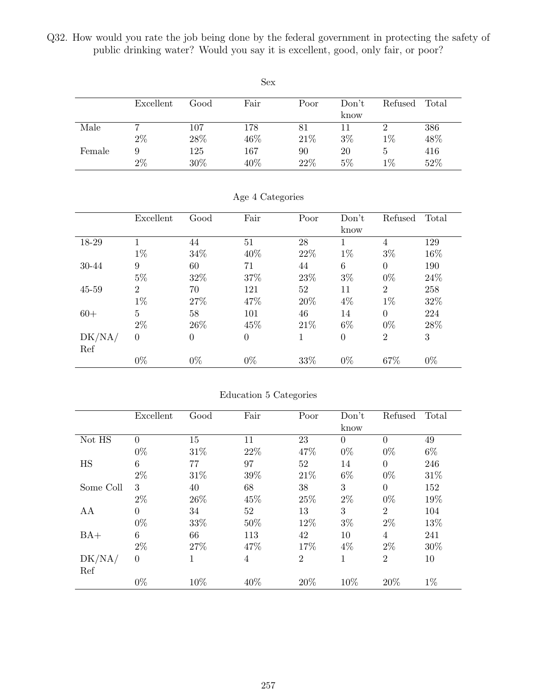Q32. How would you rate the job being done by the federal government in protecting the safety of public drinking water? Would you say it is excellent, good, only fair, or poor?

|        |           |      | <b>Sex</b> |      |       |         |       |
|--------|-----------|------|------------|------|-------|---------|-------|
|        | Excellent | Good | Fair       | Poor | Don't | Refused | Total |
|        |           |      |            |      | know  |         |       |
| Male   |           | 107  | 178        | 81   | 11    | 2       | 386   |
|        | $2\%$     | 28%  | 46%        | 21\% | $3\%$ | $1\%$   | 48%   |
| Female | 9         | 125  | 167        | 90   | 20    | 5       | 416   |
|        | $2\%$     | 30%  | 40%        | 22%  | 5%    | $1\%$   | 52%   |

|           | Excellent      | Good     | Fair           | Poor | Don't          | Refused        | Total |
|-----------|----------------|----------|----------------|------|----------------|----------------|-------|
|           |                |          |                |      | know           |                |       |
| 18-29     |                | 44       | 51             | 28   |                | 4              | 129   |
|           | $1\%$          | 34%      | 40\%           | 22\% | $1\%$          | $3\%$          | 16\%  |
| 30-44     | 9              | 60       | 71             | 44   | 6              | $\overline{0}$ | 190   |
|           | $5\%$          | 32%      | 37%            | 23%  | $3\%$          | $0\%$          | 24\%  |
| $45 - 59$ | $\overline{2}$ | 70       | 121            | 52   | 11             | $\overline{2}$ | 258   |
|           | $1\%$          | 27%      | 47%            | 20%  | $4\%$          | $1\%$          | 32%   |
| $60+$     | 5              | 58       | 101            | 46   | 14             | $\overline{0}$ | 224   |
|           | $2\%$          | 26\%     | 45\%           | 21\% | $6\%$          | $0\%$          | 28\%  |
| DK/NA/    | $\overline{0}$ | $\theta$ | $\overline{0}$ |      | $\overline{0}$ | $\overline{2}$ | 3     |
| Ref       |                |          |                |      |                |                |       |
|           | $0\%$          | $0\%$    | $0\%$          | 33%  | $0\%$          | 67%            | $0\%$ |

Age 4 Categories

| Education 5 Categories |  |  |
|------------------------|--|--|
|                        |  |  |
|                        |  |  |

|           | Excellent | Good | Fair | Poor           | Don't    | Refused        | Total |
|-----------|-----------|------|------|----------------|----------|----------------|-------|
|           |           |      |      |                | know     |                |       |
| Not HS    | $\theta$  | 15   | 11   | 23             | $\Omega$ | $\theta$       | 49    |
|           | $0\%$     | 31%  | 22%  | 47%            | $0\%$    | $0\%$          | $6\%$ |
| HS        | 6         | 77   | 97   | 52             | 14       | $\theta$       | 246   |
|           | $2\%$     | 31%  | 39%  | 21\%           | 6%       | $0\%$          | 31%   |
| Some Coll | 3         | 40   | 68   | 38             | 3        | $\Omega$       | 152   |
|           | $2\%$     | 26\% | 45%  | 25%            | $2\%$    | $0\%$          | 19%   |
| AA        | $\Omega$  | 34   | 52   | 13             | 3        | $\overline{2}$ | 104   |
|           | $0\%$     | 33%  | 50%  | 12%            | $3\%$    | $2\%$          | 13%   |
| $BA+$     | 6         | 66   | 113  | 42             | 10       | $\overline{4}$ | 241   |
|           | $2\%$     | 27%  | 47\% | 17%            | 4%       | $2\%$          | 30%   |
| DK/NA/    | $\theta$  | 1    | 4    | $\overline{2}$ | 1        | $\overline{2}$ | 10    |
| Ref       |           |      |      |                |          |                |       |
|           | $0\%$     | 10%  | 40%  | 20%            | 10%      | 20%            | $1\%$ |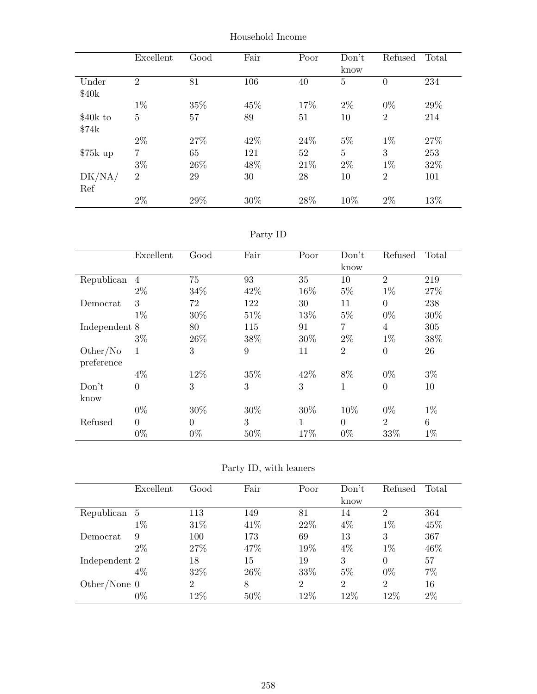|           | Excellent      | Good | Fair | Poor | Don't          | Refused        | Total |
|-----------|----------------|------|------|------|----------------|----------------|-------|
|           |                |      |      |      | know           |                |       |
| Under     | $\overline{2}$ | 81   | 106  | 40   | 5              | 0              | 234   |
| \$40k     |                |      |      |      |                |                |       |
|           | $1\%$          | 35%  | 45%  | 17%  | $2\%$          | $0\%$          | 29%   |
| \$40k to  | $\overline{5}$ | 57   | 89   | 51   | 10             | $\overline{2}$ | 214   |
| \$74k     |                |      |      |      |                |                |       |
|           | $2\%$          | 27%  | 42\% | 24\% | $5\%$          | $1\%$          | 27%   |
| $$75k$ up | 7              | 65   | 121  | 52   | $\overline{5}$ | 3              | 253   |
|           | $3\%$          | 26\% | 48%  | 21\% | $2\%$          | $1\%$          | 32%   |
| DK/NA/    | $\overline{2}$ | 29   | 30   | 28   | 10             | $\overline{2}$ | 101   |
| Ref       |                |      |      |      |                |                |       |
|           | $2\%$          | 29%  | 30%  | 28%  | 10%            | $2\%$          | 13%   |

Household Income

Party ID

|               | Excellent      | Good     | Fair   | Poor | Don't<br>know  | Refused        | Total |
|---------------|----------------|----------|--------|------|----------------|----------------|-------|
|               |                |          |        |      |                |                |       |
| Republican    | $\overline{4}$ | 75       | 93     | 35   | 10             | $\overline{2}$ | 219   |
|               | $2\%$          | 34\%     | 42\%   | 16%  | $5\%$          | $1\%$          | 27%   |
| Democrat      | 3              | 72       | 122    | 30   | 11             | $\overline{0}$ | 238   |
|               | $1\%$          | 30%      | 51\%   | 13%  | $5\%$          | $0\%$          | 30%   |
| Independent 8 |                | 80       | 115    | 91   | $\overline{7}$ | 4              | 305   |
|               | $3\%$          | 26\%     | 38%    | 30%  | $2\%$          | $1\%$          | 38%   |
| Other/No      | 1              | 3        | 9      | 11   | $\overline{2}$ | $\overline{0}$ | 26    |
| preference    |                |          |        |      |                |                |       |
|               | $4\%$          | 12%      | 35%    | 42\% | 8%             | $0\%$          | $3\%$ |
| Don't         | $\overline{0}$ | 3        | 3      | 3    | 1              | $\overline{0}$ | 10    |
| know          |                |          |        |      |                |                |       |
|               | $0\%$          | 30%      | $30\%$ | 30%  | 10%            | $0\%$          | $1\%$ |
| Refused       | $\overline{0}$ | $\Omega$ | 3      |      | $\Omega$       | $\overline{2}$ | 6     |
|               | $0\%$          | $0\%$    | 50%    | 17%  | $0\%$          | 33%            | $1\%$ |

Party ID, with leaners

|                | Excellent | Good           | Fair   | Poor           | Don't          | Refused        | Total |
|----------------|-----------|----------------|--------|----------------|----------------|----------------|-------|
|                |           |                |        |                | know           |                |       |
| Republican 5   |           | 113            | 149    | 81             | 14             | $\overline{2}$ | 364   |
|                | $1\%$     | 31\%           | 41\%   | 22\%           | $4\%$          | $1\%$          | 45%   |
| Democrat       | 9         | 100            | 173    | 69             | 13             | 3              | 367   |
|                | $2\%$     | 27\%           | 47\%   | 19%            | 4%             | $1\%$          | 46%   |
| Independent 2  |           | 18             | 15     | 19             | 3              | $\Omega$       | 57    |
|                | $4\%$     | 32%            | 26\%   | 33%            | $5\%$          | $0\%$          | $7\%$ |
| Other/None $0$ |           | $\overline{2}$ | 8      | $\overline{2}$ | $\overline{2}$ | $\overline{2}$ | 16    |
|                | $0\%$     | 12%            | $50\%$ | 12%            | 12\%           | 12%            | $2\%$ |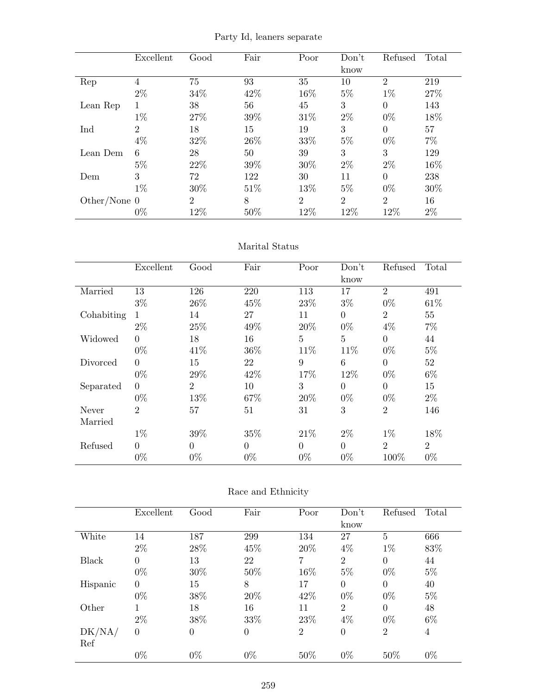Party Id, leaners separate

|                | Excellent      | Good           | Fair | Poor           | Don't          | Refused        | Total |
|----------------|----------------|----------------|------|----------------|----------------|----------------|-------|
|                |                |                |      |                | know           |                |       |
| Rep            | $\overline{4}$ | 75             | 93   | 35             | 10             | $\overline{2}$ | 219   |
|                | $2\%$          | 34%            | 42\% | 16%            | $5\%$          | $1\%$          | 27%   |
| Lean Rep       |                | 38             | 56   | 45             | 3              | $\Omega$       | 143   |
|                | $1\%$          | 27%            | 39%  | 31\%           | $2\%$          | $0\%$          | 18%   |
| Ind            | $\overline{2}$ | 18             | 15   | 19             | 3              | $\theta$       | 57    |
|                | $4\%$          | 32%            | 26\% | 33%            | $5\%$          | $0\%$          | $7\%$ |
| Lean Dem       | 6              | 28             | 50   | 39             | 3              | 3              | 129   |
|                | $5\%$          | 22\%           | 39%  | 30%            | $2\%$          | $2\%$          | 16%   |
| Dem            | 3              | 72             | 122  | 30             | 11             | $\Omega$       | 238   |
|                | $1\%$          | 30%            | 51\% | 13%            | $5\%$          | $0\%$          | 30%   |
| Other/None $0$ |                | $\overline{2}$ | 8    | $\overline{2}$ | $\overline{2}$ | $\overline{2}$ | 16    |
|                | $0\%$          | 12%            | 50%  | 12%            | 12%            | 12%            | $2\%$ |

#### Marital Status

|            | Excellent      | Good           | Fair     | Poor     | Don't    | Refused        | Total          |
|------------|----------------|----------------|----------|----------|----------|----------------|----------------|
|            |                |                |          |          | know     |                |                |
| Married    | 13             | 126            | 220      | 113      | 17       | $\overline{2}$ | 491            |
|            | $3\%$          | 26\%           | 45%      | 23%      | $3\%$    | $0\%$          | 61\%           |
| Cohabiting | 1              | 14             | 27       | 11       | $\Omega$ | $\overline{2}$ | 55             |
|            | $2\%$          | 25%            | 49%      | 20%      | $0\%$    | $4\%$          | $7\%$          |
| Widowed    | $\Omega$       | 18             | 16       | 5        | 5        | $\Omega$       | 44             |
|            | $0\%$          | 41\%           | 36\%     | 11%      | 11%      | $0\%$          | $5\%$          |
| Divorced   | $\Omega$       | 15             | 22       | 9        | 6        | $\Omega$       | 52             |
|            | $0\%$          | 29%            | 42\%     | 17%      | 12%      | $0\%$          | $6\%$          |
| Separated  | $\Omega$       | $\overline{2}$ | 10       | 3        | $\Omega$ | $\Omega$       | 15             |
|            | $0\%$          | 13%            | 67\%     | 20%      | $0\%$    | $0\%$          | $2\%$          |
| Never      | $\overline{2}$ | 57             | 51       | 31       | 3        | $\overline{2}$ | 146            |
| Married    |                |                |          |          |          |                |                |
|            | $1\%$          | 39%            | 35%      | 21\%     | $2\%$    | $1\%$          | 18%            |
| Refused    | $\theta$       | $\Omega$       | $\Omega$ | $\theta$ | $\Omega$ | $\overline{2}$ | $\overline{2}$ |
|            | $0\%$          | $0\%$          | $0\%$    | $0\%$    | $0\%$    | 100\%          | $0\%$          |

## Race and Ethnicity

|              | Excellent      | Good             | Fair           | Poor           | Don't          | Refused        | Total |
|--------------|----------------|------------------|----------------|----------------|----------------|----------------|-------|
|              |                |                  |                |                | know           |                |       |
| White        | 14             | 187              | 299            | 134            | 27             | $\overline{5}$ | 666   |
|              | $2\%$          | 28\%             | 45%            | 20%            | $4\%$          | $1\%$          | 83%   |
| <b>Black</b> | $\overline{0}$ | 13               | 22             | 7              | $\overline{2}$ | $\overline{0}$ | 44    |
|              | $0\%$          | 30%              | 50%            | 16%            | $5\%$          | $0\%$          | $5\%$ |
| Hispanic     | $\overline{0}$ | 15               | 8              | 17             | $\Omega$       | $\Omega$       | 40    |
|              | $0\%$          | 38%              | 20%            | 42%            | $0\%$          | $0\%$          | $5\%$ |
| Other        |                | 18               | 16             | 11             | $\overline{2}$ | $\theta$       | 48    |
|              | $2\%$          | 38%              | 33%            | 23%            | $4\%$          | $0\%$          | $6\%$ |
| DK/NA/       | $\overline{0}$ | $\boldsymbol{0}$ | $\overline{0}$ | $\overline{2}$ | $\overline{0}$ | $\overline{2}$ | 4     |
| Ref          |                |                  |                |                |                |                |       |
|              | $0\%$          | $0\%$            | $0\%$          | 50%            | $0\%$          | 50%            | $0\%$ |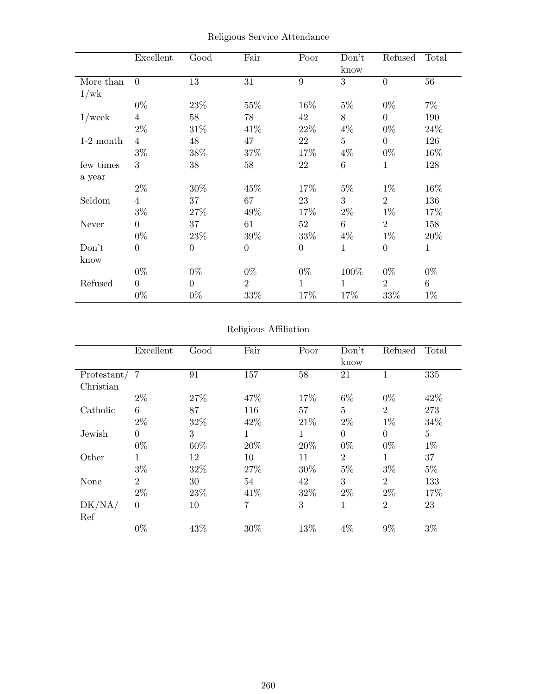|             | Excellent        | Good             | Fair           | Poor           | Don't<br>know  | Refused          | Total        |
|-------------|------------------|------------------|----------------|----------------|----------------|------------------|--------------|
| More than   | $\overline{0}$   | 13               | 31             | 9              | 3              | $\theta$         | 56           |
| 1/wk        |                  |                  |                |                |                |                  |              |
|             | $0\%$            | 23%              | 55%            | 16%            | $5\%$          | $0\%$            | $7\%$        |
| $1$ /week   | 4                | $58\,$           | 78             | 42             | 8              | $\theta$         | 190          |
|             | $2\%$            | 31\%             | 41\%           | 22\%           | $4\%$          | $0\%$            | 24\%         |
| $1-2$ month | $\overline{4}$   | 48               | 47             | 22             | $\overline{5}$ | $\theta$         | 126          |
|             | $3\%$            | 38\%             | 37%            | 17\%           | $4\%$          | $0\%$            | 16\%         |
| few times   | 3                | 38               | 58             | 22             | $\,6\,$        | $\mathbf{1}$     | 128          |
| a year      |                  |                  |                |                |                |                  |              |
|             | $2\%$            | 30%              | 45%            | 17%            | $5\%$          | $1\%$            | 16%          |
| Seldom      | $\overline{4}$   | 37               | 67             | 23             | 3              | $\overline{2}$   | 136          |
|             | $3\%$            | 27\%             | 49%            | 17\%           | $2\%$          | $1\%$            | 17%          |
| Never       | $\overline{0}$   | 37               | 61             | 52             | 6              | $\overline{2}$   | 158          |
|             | $0\%$            | $23\%$           | 39%            | 33%            | $4\%$          | $1\%$            | 20%          |
| Don't       | $\boldsymbol{0}$ | $\boldsymbol{0}$ | $\overline{0}$ | $\overline{0}$ | $\mathbf{1}$   | $\boldsymbol{0}$ | $\mathbf{1}$ |
| know        |                  |                  |                |                |                |                  |              |
|             | $0\%$            | $0\%$            | $0\%$          | $0\%$          | 100%           | $0\%$            | $0\%$        |
| Refused     | $\theta$         | $\overline{0}$   | $\overline{2}$ | 1              | 1              | $\overline{2}$   | $6\,$        |
|             | $0\%$            | $0\%$            | $33\%$         | 17%            | 17%            | 33\%             | $1\%$        |

Religious Service Attendance

## Religious Affiliation

|             | Excellent      | Good | Fair | Poor        | Don't<br>know  | Refused        | Total          |
|-------------|----------------|------|------|-------------|----------------|----------------|----------------|
| Protestant/ | $\overline{7}$ | 91   | 157  | 58          | 21             |                | 335            |
| Christian   |                |      |      |             |                |                |                |
|             | $2\%$          | 27%  | 47%  | 17%         | $6\%$          | $0\%$          | 42\%           |
| Catholic    | 6              | 87   | 116  | 57          | $\overline{5}$ | $\overline{2}$ | 273            |
|             | $2\%$          | 32%  | 42\% | 21\%        | $2\%$          | $1\%$          | 34%            |
| Jewish      | $\theta$       | 3    | 1    | $\mathbf 1$ | $\overline{0}$ | $\theta$       | $\overline{5}$ |
|             | $0\%$          | 60%  | 20%  | 20%         | $0\%$          | $0\%$          | $1\%$          |
| Other       | 1              | 12   | 10   | 11          | $\overline{2}$ | 1              | 37             |
|             | $3\%$          | 32%  | 27%  | 30%         | $5\%$          | $3\%$          | $5\%$          |
| None        | $\overline{2}$ | 30   | 54   | 42          | 3              | $\overline{2}$ | 133            |
|             | $2\%$          | 23%  | 41\% | 32%         | $2\%$          | $2\%$          | 17%            |
| DK/NA/      | $\overline{0}$ | 10   | 7    | 3           | 1              | $\overline{2}$ | 23             |
| Ref         |                |      |      |             |                |                |                |
|             | $0\%$          | 43%  | 30%  | 13%         | 4%             | 9%             | $3\%$          |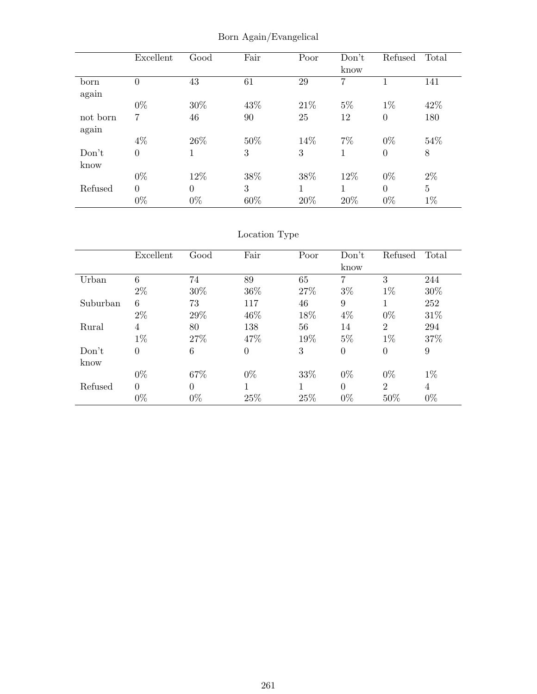|          | Excellent      | Good     | Fair | Poor | Don't<br>know | Refused          | Total          |
|----------|----------------|----------|------|------|---------------|------------------|----------------|
| born     | $\overline{0}$ | 43       | 61   | 29   | 7             | 1                | 141            |
| again    |                |          |      |      |               |                  |                |
|          | $0\%$          | 30%      | 43%  | 21\% | $5\%$         | $1\%$            | 42%            |
| not born | 7              | 46       | 90   | 25   | 12            | $\boldsymbol{0}$ | 180            |
| again    |                |          |      |      |               |                  |                |
|          | $4\%$          | 26\%     | 50%  | 14%  | $7\%$         | $0\%$            | 54%            |
| Don't    | $\overline{0}$ | 1        | 3    | 3    |               | $\boldsymbol{0}$ | 8              |
| know     |                |          |      |      |               |                  |                |
|          | $0\%$          | 12%      | 38%  | 38%  | 12%           | $0\%$            | $2\%$          |
| Refused  | $\overline{0}$ | $\theta$ | 3    | 1    |               | $\Omega$         | $\overline{5}$ |
|          | $0\%$          | $0\%$    | 60%  | 20%  | 20%           | $0\%$            | $1\%$          |

Born Again/Evangelical

```
Location Type
```

|          | Excellent      | Good           | Fair           | Poor | Don't    | Refused        | Total |
|----------|----------------|----------------|----------------|------|----------|----------------|-------|
|          |                |                |                |      | know     |                |       |
| Urban    | 6              | 74             | 89             | 65   | 7        | 3              | 244   |
|          | $2\%$          | 30%            | 36%            | 27\% | $3\%$    | $1\%$          | 30%   |
| Suburban | 6              | 73             | 117            | 46   | 9        |                | 252   |
|          | $2\%$          | 29%            | 46\%           | 18%  | $4\%$    | $0\%$          | 31\%  |
| Rural    | $\overline{4}$ | 80             | 138            | 56   | 14       | $\overline{2}$ | 294   |
|          | $1\%$          | 27%            | 47\%           | 19%  | $5\%$    | $1\%$          | 37%   |
| Don't    | $\Omega$       | 6              | $\overline{0}$ | 3    | $\theta$ | $\theta$       | 9     |
| know     |                |                |                |      |          |                |       |
|          | $0\%$          | 67%            | $0\%$          | 33%  | $0\%$    | $0\%$          | $1\%$ |
| Refused  | $\Omega$       | $\overline{0}$ |                | 1    | $\Omega$ | $\overline{2}$ | 4     |
|          | $0\%$          | $0\%$          | 25%            | 25%  | $0\%$    | 50%            | $0\%$ |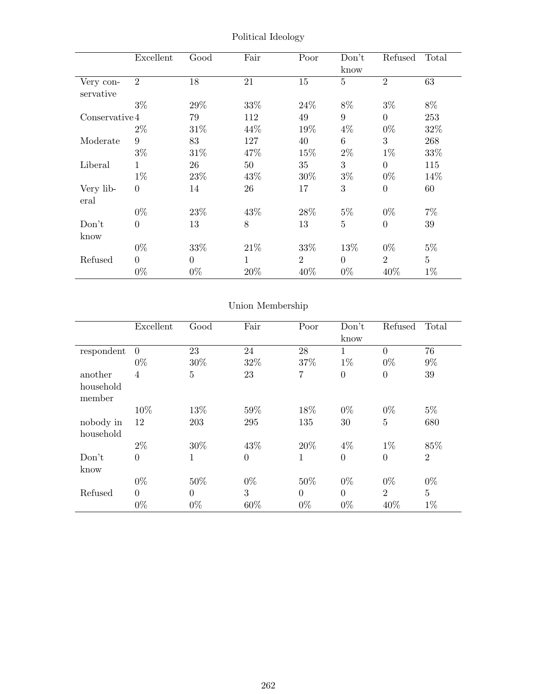|                        | Excellent        | Good     | Fair | Poor           | Don't<br>know   | Refused          | Total          |
|------------------------|------------------|----------|------|----------------|-----------------|------------------|----------------|
| Very con-<br>servative | $\overline{2}$   | 18       | 21   | 15             | $\overline{5}$  | $\overline{2}$   | 63             |
|                        | $3\%$            | 29%      | 33%  | 24\%           | 8%              | $3\%$            | $8\%$          |
| Conserve 4             |                  | 79       | 112  | 49             | 9               | $\overline{0}$   | 253            |
|                        | $2\%$            | 31%      | 44%  | 19%            | $4\%$           | $0\%$            | $32\%$         |
| Moderate               | 9                | 83       | 127  | 40             | $6\phantom{.}6$ | 3                | 268            |
|                        | $3\%$            | 31\%     | 47\% | 15%            | $2\%$           | $1\%$            | 33%            |
| Liberal                | 1                | 26       | 50   | 35             | 3               | $\Omega$         | 115            |
|                        | $1\%$            | 23%      | 43\% | 30%            | $3\%$           | $0\%$            | 14%            |
| Very lib-<br>eral      | $\theta$         | 14       | 26   | 17             | 3               | $\boldsymbol{0}$ | 60             |
|                        | $0\%$            | 23%      | 43\% | 28\%           | $5\%$           | $0\%$            | $7\%$          |
| Don't                  | $\boldsymbol{0}$ | 13       | 8    | 13             | $\overline{5}$  | $\boldsymbol{0}$ | 39             |
| know                   |                  |          |      |                |                 |                  |                |
|                        | $0\%$            | 33%      | 21\% | 33\%           | 13\%            | $0\%$            | $5\%$          |
| Refused                | $\Omega$         | $\Omega$ | 1    | $\overline{2}$ | $\Omega$        | $\overline{2}$   | $\overline{5}$ |
|                        | $0\%$            | $0\%$    | 20%  | 40\%           | $0\%$           | 40\%             | $1\%$          |

Political Ideology

# Union Membership

|                     | Excellent      | Good           | Fair           | Poor           | Don't          | Refused        | Total          |
|---------------------|----------------|----------------|----------------|----------------|----------------|----------------|----------------|
|                     |                |                |                |                | know           |                |                |
| respondent          | $\overline{0}$ | 23             | 24             | 28             | 1              | $\Omega$       | 76             |
|                     | $0\%$          | 30%            | 32%            | 37%            | $1\%$          | $0\%$          | $9\%$          |
| another             | 4              | $\overline{5}$ | 23             | $\overline{7}$ | $\theta$       | $\theta$       | 39             |
| household<br>member |                |                |                |                |                |                |                |
|                     | 10%            | 13%            | 59%            | 18%            | $0\%$          | $0\%$          | $5\%$          |
| nobody in           | 12             | 203            | 295            | 135            | 30             | 5              | 680            |
| household           |                |                |                |                |                |                |                |
|                     | $2\%$          | 30%            | 43%            | 20%            | $4\%$          | $1\%$          | 85%            |
| Don't               | $\overline{0}$ | 1              | $\overline{0}$ | 1              | $\overline{0}$ | $\overline{0}$ | $\overline{2}$ |
| know                |                |                |                |                |                |                |                |
|                     | $0\%$          | 50%            | $0\%$          | 50%            | $0\%$          | $0\%$          | $0\%$          |
| Refused             | $\overline{0}$ | $\Omega$       | 3              | $\overline{0}$ | $\Omega$       | $\overline{2}$ | $\overline{5}$ |
|                     | $0\%$          | $0\%$          | 60%            | $0\%$          | $0\%$          | 40%            | $1\%$          |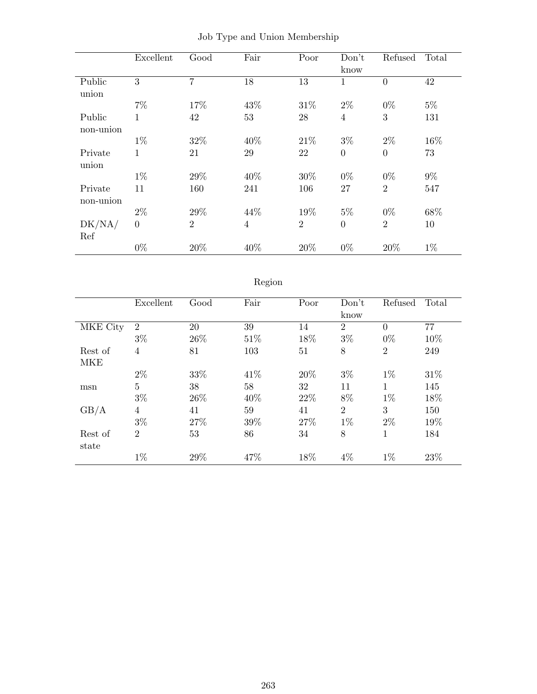|           | Excellent      | Good           | Fair           | Poor           | Don't          | Refused        | Total |
|-----------|----------------|----------------|----------------|----------------|----------------|----------------|-------|
|           |                |                |                |                | know           |                |       |
| Public    | 3              | $\overline{7}$ | 18             | 13             | 1              | $\overline{0}$ | 42    |
| union     |                |                |                |                |                |                |       |
|           | $7\%$          | 17%            | 43%            | 31\%           | $2\%$          | $0\%$          | $5\%$ |
| Public    | 1              | 42             | 53             | 28             | 4              | 3              | 131   |
| non-union |                |                |                |                |                |                |       |
|           | $1\%$          | 32%            | 40\%           | 21\%           | $3\%$          | $2\%$          | 16%   |
| Private   | 1              | 21             | 29             | 22             | $\overline{0}$ | $\overline{0}$ | 73    |
| union     |                |                |                |                |                |                |       |
|           | $1\%$          | 29%            | 40\%           | 30%            | $0\%$          | $0\%$          | $9\%$ |
| Private   | 11             | 160            | 241            | 106            | 27             | $\overline{2}$ | 547   |
| non-union |                |                |                |                |                |                |       |
|           | $2\%$          | 29%            | 44%            | 19%            | $5\%$          | $0\%$          | 68%   |
| DK/NA/    | $\overline{0}$ | $\overline{2}$ | $\overline{4}$ | $\overline{2}$ | $\overline{0}$ | $\overline{2}$ | 10    |
| Ref       |                |                |                |                |                |                |       |
|           | $0\%$          | 20%            | 40%            | 20%            | $0\%$          | 20%            | $1\%$ |

|  |  |  |  |  | Job Type and Union Membership |
|--|--|--|--|--|-------------------------------|
|--|--|--|--|--|-------------------------------|

# Region

|          | Excellent      | Good | Fair | Poor | Don't          | Refused        | Total |
|----------|----------------|------|------|------|----------------|----------------|-------|
|          |                |      |      |      | know           |                |       |
| MKE City | $\overline{2}$ | 20   | 39   | 14   | $\overline{2}$ | $\theta$       | 77    |
|          | $3\%$          | 26\% | 51%  | 18%  | $3\%$          | $0\%$          | 10%   |
| Rest of  | $\overline{4}$ | 81   | 103  | 51   | 8              | $\overline{2}$ | 249   |
| MKE      |                |      |      |      |                |                |       |
|          | $2\%$          | 33%  | 41\% | 20%  | $3\%$          | $1\%$          | 31\%  |
| msn      | $\overline{5}$ | 38   | 58   | 32   | 11             | 1              | 145   |
|          | $3\%$          | 26\% | 40\% | 22\% | 8%             | $1\%$          | 18%   |
| GB/A     | $\overline{4}$ | 41   | 59   | 41   | $\overline{2}$ | 3              | 150   |
|          | $3\%$          | 27%  | 39%  | 27%  | $1\%$          | $2\%$          | 19%   |
| Rest of  | $\overline{2}$ | 53   | 86   | 34   | 8              | 1              | 184   |
| state    |                |      |      |      |                |                |       |
|          | $1\%$          | 29%  | 47%  | 18%  | 4%             | $1\%$          | 23%   |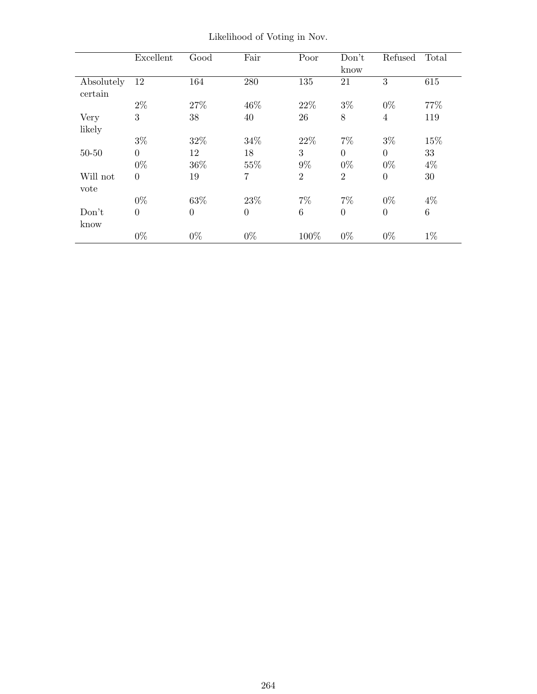|            | Excellent      | Good     | Fair     | Poor           | Don't          | Refused        | Total   |
|------------|----------------|----------|----------|----------------|----------------|----------------|---------|
|            |                |          |          |                | know           |                |         |
| Absolutely | 12             | 164      | 280      | 135            | 21             | 3              | 615     |
| certain    |                |          |          |                |                |                |         |
|            | $2\%$          | 27%      | 46\%     | 22\%           | $3\%$          | $0\%$          | 77%     |
| Very       | 3              | 38       | 40       | 26             | 8              | $\overline{4}$ | 119     |
| likely     |                |          |          |                |                |                |         |
|            | $3\%$          | 32%      | 34%      | 22\%           | $7\%$          | $3\%$          | 15%     |
| $50 - 50$  | $\overline{0}$ | 12       | 18       | 3              | $\overline{0}$ | $\overline{0}$ | 33      |
|            | $0\%$          | 36\%     | 55%      | $9\%$          | $0\%$          | $0\%$          | $4\%$   |
| Will not   | $\overline{0}$ | 19       | 7        | $\overline{2}$ | $\overline{2}$ | $\theta$       | 30      |
| vote       |                |          |          |                |                |                |         |
|            | $0\%$          | 63%      | 23\%     | $7\%$          | $7\%$          | $0\%$          | $4\%$   |
| Don't      | $\overline{0}$ | $\theta$ | $\theta$ | 6              | $\overline{0}$ | $\theta$       | $\,6\,$ |
| know       |                |          |          |                |                |                |         |
|            | $0\%$          | $0\%$    | $0\%$    | 100%           | $0\%$          | $0\%$          | $1\%$   |

Likelihood of Voting in Nov.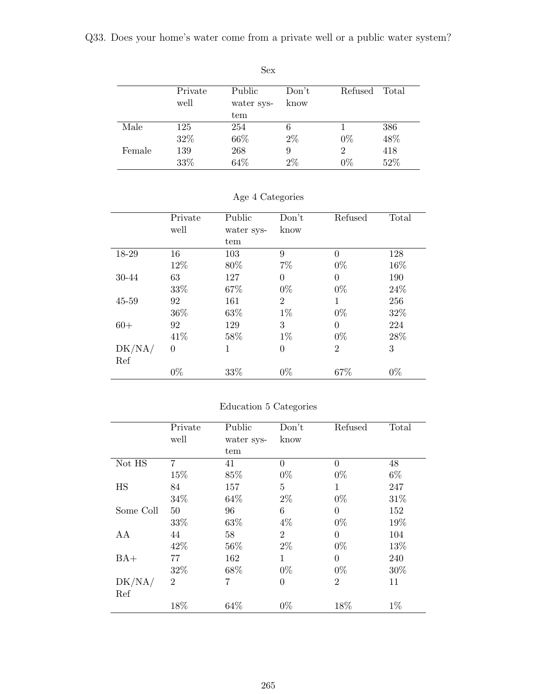Q33. Does your home's water come from a private well or a public water system?

|        | Private<br>well | Public<br>water sys- | Don't<br>know | Refused    | Total      |
|--------|-----------------|----------------------|---------------|------------|------------|
| Male   | 125             | tem<br>254           | 6             |            | 386        |
|        | 32%             | 66\%                 | $2\%$         | $0\%$      | 48%        |
| Female | 139<br>33%      | 268<br>64%           | 9<br>$2\%$    | 2<br>$0\%$ | 418<br>52% |

Sex

|  | Age 4 Categories |  |
|--|------------------|--|
|  |                  |  |

|        | Private  | Public     | Don't          | Refused        | Total  |
|--------|----------|------------|----------------|----------------|--------|
|        | well     | water sys- | know           |                |        |
|        |          | tem        |                |                |        |
| 18-29  | 16       | 103        | 9              | $\theta$       | 128    |
|        | 12%      | 80%        | $7\%$          | $0\%$          | 16%    |
| 30-44  | 63       | 127        | $\overline{0}$ | $\theta$       | 190    |
|        | 33\%     | 67%        | $0\%$          | $0\%$          | 24\%   |
| 45-59  | 92       | 161        | $\overline{2}$ | 1              | 256    |
|        | 36%      | 63%        | $1\%$          | $0\%$          | $32\%$ |
| $60+$  | 92       | 129        | 3              | $\theta$       | 224    |
|        | 41\%     | 58%        | $1\%$          | $0\%$          | 28%    |
| DK/NA/ | $\theta$ | 1          | $\overline{0}$ | $\overline{2}$ | 3      |
| Ref    |          |            |                |                |        |
|        | $0\%$    | 33\%       | $0\%$          | 67%            | $0\%$  |

## Education 5 Categories

|           | Private        | Public     | Don't          | Refused        | Total |
|-----------|----------------|------------|----------------|----------------|-------|
|           | well           | water sys- | know           |                |       |
|           |                | tem        |                |                |       |
| Not HS    | $\overline{7}$ | 41         | $\theta$       | $\Omega$       | 48    |
|           | 15%            | 85%        | $0\%$          | $0\%$          | $6\%$ |
| HS        | 84             | 157        | 5              | 1              | 247   |
|           | 34%            | 64%        | $2\%$          | $0\%$          | 31%   |
| Some Coll | 50             | 96         | 6              | $\theta$       | 152   |
|           | 33%            | 63%        | $4\%$          | $0\%$          | 19%   |
| AA        | 44             | 58         | $\overline{2}$ | $\theta$       | 104   |
|           | 42%            | 56%        | $2\%$          | $0\%$          | 13%   |
| $BA+$     | 77             | 162        | 1              | $\Omega$       | 240   |
|           | 32%            | 68%        | $0\%$          | $0\%$          | 30%   |
| DK/NA/    | $\overline{2}$ | 7          | $\overline{0}$ | $\overline{2}$ | 11    |
| Ref       |                |            |                |                |       |
|           | 18%            | 64%        | $0\%$          | 18%            | $1\%$ |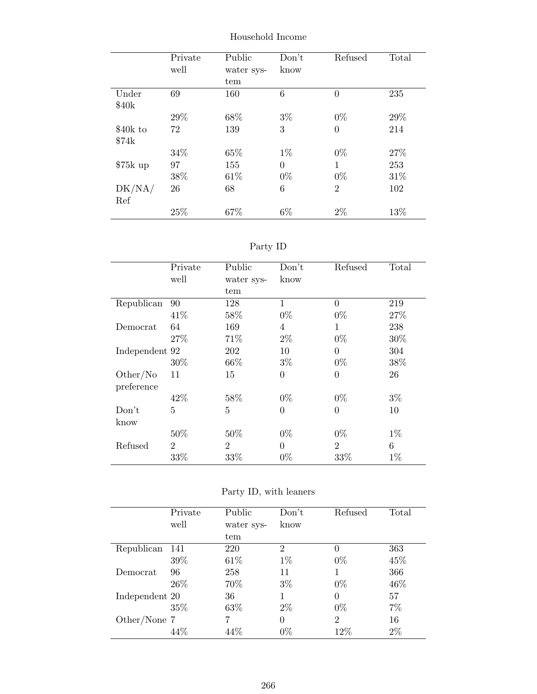|                   | Private | Public     | Don't          | Refused        | Total |
|-------------------|---------|------------|----------------|----------------|-------|
|                   | well    | water sys- | know           |                |       |
|                   |         | tem        |                |                |       |
| Under             | 69      | 160        | 6              | $\overline{0}$ | 235   |
| \$40 <sub>k</sub> |         |            |                |                |       |
|                   | 29%     | 68\%       | $3\%$          | $0\%$          | 29%   |
| \$40k to          | 72      | 139        | 3              | $\overline{0}$ | 214   |
| \$74k             |         |            |                |                |       |
|                   | 34\%    | 65%        | $1\%$          | $0\%$          | 27%   |
| $$75k$ up         | 97      | 155        | $\overline{0}$ | 1              | 253   |
|                   | 38%     | 61\%       | $0\%$          | $0\%$          | 31\%  |
| DK/NA/            | 26      | 68         | 6              | $\overline{2}$ | 102   |
| Ref               |         |            |                |                |       |
|                   | 25%     | 67%        | $6\%$          | 2%             | 13%   |

Household Income

| ъrт |  |
|-----|--|
|     |  |

|                | Private        | Public         | Don't          | Refused        | Total |
|----------------|----------------|----------------|----------------|----------------|-------|
|                | well           | water sys-     | know           |                |       |
|                |                | tem            |                |                |       |
| Republican     | 90             | 128            | 1              | 0              | 219   |
|                | 41\%           | 58%            | $0\%$          | $0\%$          | 27%   |
| Democrat       | 64             | 169            | $\overline{4}$ | 1              | 238   |
|                | 27%            | 71%            | $2\%$          | $0\%$          | 30%   |
| Independent 92 |                | 202            | 10             | 0              | 304   |
|                | 30%            | 66\%           | $3\%$          | $0\%$          | 38%   |
| Other/No       | 11             | 15             | $\overline{0}$ | $\overline{0}$ | 26    |
| preference     |                |                |                |                |       |
|                | 42%            | 58%            | $0\%$          | $0\%$          | $3\%$ |
| Don't          | 5              | 5              | $\overline{0}$ | $\overline{0}$ | 10    |
| know           |                |                |                |                |       |
|                | 50%            | 50%            | $0\%$          | $0\%$          | $1\%$ |
| Refused        | $\overline{2}$ | $\overline{2}$ | $\theta$       | $\overline{2}$ | 6     |
|                | 33%            | 33%            | $0\%$          | 33%            | $1\%$ |

|  |  |  |  | Party ID, with leaners |
|--|--|--|--|------------------------|
|--|--|--|--|------------------------|

|                | Private<br>well | Public<br>water sys- | Don't<br>know  | Refused        | Total |
|----------------|-----------------|----------------------|----------------|----------------|-------|
|                |                 | tem                  |                |                |       |
| Republican     | 141             | 220                  | $\overline{2}$ | 0              | 363   |
|                | 39%             | 61\%                 | $1\%$          | $0\%$          | 45%   |
| Democrat       | 96              | 258                  | 11             |                | 366   |
|                | 26\%            | 70%                  | $3\%$          | $0\%$          | 46\%  |
| Independent 20 |                 | 36                   |                | $\Omega$       | 57    |
|                | $35\%$          | 63%                  | $2\%$          | $0\%$          | 7%    |
| Other/None 7   |                 |                      | 0              | $\overline{2}$ | 16    |
|                |                 | 44%                  | $0\%$          | $12\%$         | 2%    |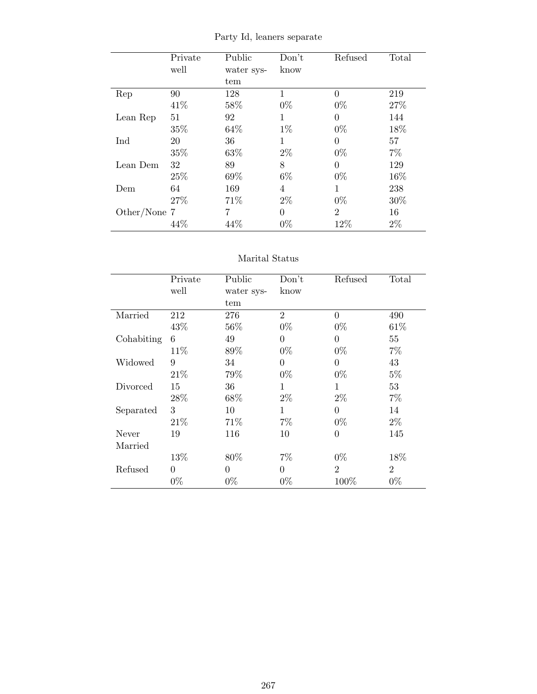|              | Private | Public     | Don't | Refused        | Total |
|--------------|---------|------------|-------|----------------|-------|
|              | well    | water sys- | know  |                |       |
|              |         | tem        |       |                |       |
| Rep          | 90      | 128        | 1     | $\Omega$       | 219   |
|              | 41\%    | 58%        | $0\%$ | $0\%$          | 27%   |
| Lean Rep     | 51      | 92         | 1     | $\Omega$       | 144   |
|              | 35%     | 64%        | $1\%$ | $0\%$          | 18%   |
| Ind          | 20      | 36         | 1     | $\Omega$       | 57    |
|              | 35%     | 63%        | $2\%$ | $0\%$          | $7\%$ |
| Lean Dem     | 32      | 89         | 8     | $\theta$       | 129   |
|              | 25%     | 69%        | $6\%$ | $0\%$          | 16%   |
| Dem          | 64      | 169        | 4     | 1              | 238   |
|              | 27%     | 71\%       | $2\%$ | $0\%$          | 30%   |
| Other/None 7 |         | 7          | 0     | $\overline{2}$ | 16    |
|              | 44%     | 44\%       | $0\%$ | 12%            | $2\%$ |

Party Id, leaners separate

#### Marital Status

|            | Private  | Public     | Don't          | Refused        | Total          |
|------------|----------|------------|----------------|----------------|----------------|
|            | well     | water sys- | know           |                |                |
|            |          | tem        |                |                |                |
| Married    | 212      | 276        | $\overline{2}$ | $\overline{0}$ | 490            |
|            | 43%      | 56%        | $0\%$          | $0\%$          | 61\%           |
| Cohabiting | 6        | 49         | $\overline{0}$ | $\theta$       | 55             |
|            | 11\%     | 89%        | $0\%$          | $0\%$          | $7\%$          |
| Widowed    | 9        | 34         | $\overline{0}$ | $\theta$       | 43             |
|            | 21\%     | 79%        | $0\%$          | $0\%$          | $5\%$          |
| Divorced   | 15       | 36         | 1              | 1              | 53             |
|            | 28%      | 68%        | $2\%$          | $2\%$          | $7\%$          |
| Separated  | 3        | 10         | 1              | $\theta$       | 14             |
|            | 21\%     | 71\%       | $7\%$          | $0\%$          | $2\%$          |
| Never      | 19       | 116        | 10             | $\theta$       | 145            |
| Married    |          |            |                |                |                |
|            | 13%      | 80%        | $7\%$          | $0\%$          | 18%            |
| Refused    | $\theta$ | 0          | $\theta$       | $\overline{2}$ | $\overline{2}$ |
|            | $0\%$    | $0\%$      | $0\%$          | 100\%          | $0\%$          |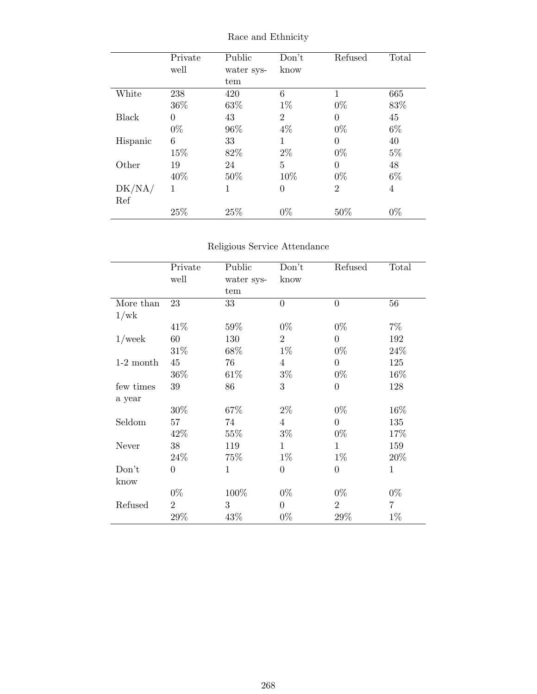|          | Private  | Public     | Don't          | Refused        | Total |
|----------|----------|------------|----------------|----------------|-------|
|          | well     | water sys- | know           |                |       |
|          |          | tem        |                |                |       |
| White    | 238      | 420        | 6              | $\mathbf 1$    | 665   |
|          | 36%      | 63%        | $1\%$          | $0\%$          | 83%   |
| Black    | $\Omega$ | 43         | $\overline{2}$ | $\Omega$       | 45    |
|          | $0\%$    | 96%        | $4\%$          | $0\%$          | $6\%$ |
| Hispanic | 6        | 33         | 1              | 0              | 40    |
|          | 15%      | 82%        | $2\%$          | $0\%$          | $5\%$ |
| Other    | 19       | 24         | $\overline{5}$ | $\theta$       | 48    |
|          | 40%      | 50%        | 10%            | $0\%$          | $6\%$ |
| DK/NA/   | 1        | 1          | $\overline{0}$ | $\overline{2}$ | 4     |
| Ref      |          |            |                |                |       |
|          | 25%      | 25%        | $0\%$          | 50%            | $0\%$ |

Race and Ethnicity

## Religious Service Attendance

|             | Private          | Public     | Don't            | Refused        | Total          |
|-------------|------------------|------------|------------------|----------------|----------------|
|             | well             | water sys- | know             |                |                |
|             |                  | tem        |                  |                |                |
| More than   | 23               | 33         | $\overline{0}$   | $\overline{0}$ | 56             |
| 1/wk        |                  |            |                  |                |                |
|             | 41\%             | $59\%$     | $0\%$            | $0\%$          | $7\%$          |
| $1$ /week   | 60               | 130        | $\overline{2}$   | $\overline{0}$ | 192            |
|             | 31\%             | 68%        | $1\%$            | $0\%$          | 24\%           |
| $1-2$ month | 45               | 76         | $\overline{4}$   | $\overline{0}$ | 125            |
|             | 36\%             | 61\%       | $3\%$            | $0\%$          | 16%            |
| few times   | 39               | 86         | 3                | $\overline{0}$ | 128            |
| a year      |                  |            |                  |                |                |
|             | 30%              | 67%        | $2\%$            | $0\%$          | 16%            |
| Seldom      | 57               | 74         | $\overline{4}$   | $\theta$       | 135            |
|             | 42\%             | $55\%$     | $3\%$            | $0\%$          | 17%            |
| Never       | 38               | 119        | $\mathbf{1}$     | $\mathbf{1}$   | 159            |
|             | 24\%             | 75%        | $1\%$            | $1\%$          | 20%            |
| Don't       | $\boldsymbol{0}$ | 1          | $\boldsymbol{0}$ | $\overline{0}$ | $\mathbf{1}$   |
| know        |                  |            |                  |                |                |
|             | $0\%$            | 100%       | $0\%$            | $0\%$          | $0\%$          |
| Refused     | $\overline{2}$   | 3          | $\overline{0}$   | $\overline{2}$ | $\overline{7}$ |
|             | $29\%$           | 43\%       | $0\%$            | 29\%           | $1\%$          |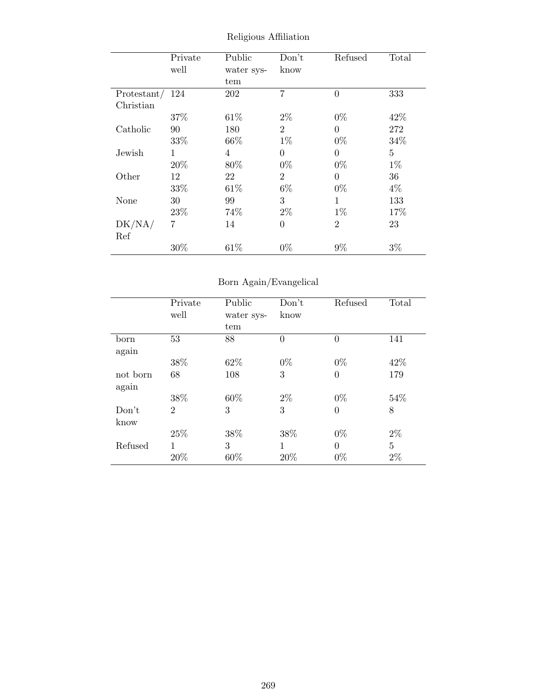|             | Private | Public     | Don't          | Refused        | Total |
|-------------|---------|------------|----------------|----------------|-------|
|             | well    | water sys- | know           |                |       |
|             |         | tem        |                |                |       |
| Protestant/ | 124     | 202        | $\overline{7}$ | $\overline{0}$ | 333   |
| Christian   |         |            |                |                |       |
|             | 37%     | 61\%       | $2\%$          | $0\%$          | 42\%  |
| Catholic    | 90      | 180        | $\overline{2}$ | $\theta$       | 272   |
|             | 33%     | 66\%       | $1\%$          | $0\%$          | 34%   |
| Jewish      | 1       | 4          | $\overline{0}$ | $\Omega$       | 5     |
|             | 20%     | 80\%       | $0\%$          | $0\%$          | $1\%$ |
| Other       | 12      | 22         | $\overline{2}$ | $\overline{0}$ | 36    |
|             | 33%     | 61\%       | $6\%$          | $0\%$          | 4%    |
| None        | 30      | 99         | 3              | 1              | 133   |
|             | 23%     | 74%        | $2\%$          | $1\%$          | 17%   |
| DK/NA/      | 7       | 14         | $\overline{0}$ | $\overline{2}$ | 23    |
| Ref         |         |            |                |                |       |
|             | 30%     | 61\%       | $0\%$          | $9\%$          | $3\%$ |

Religious Affiliation

## Born Again/Evangelical

|                   | Private<br>well | Public<br>water sys- | Don't<br>know  | Refused  | Total |
|-------------------|-----------------|----------------------|----------------|----------|-------|
|                   |                 | tem                  |                |          |       |
| born<br>again     | 53              | 88                   | $\overline{0}$ | $\theta$ | 141   |
|                   | 38\%            | 62%                  | $0\%$          | $0\%$    | 42\%  |
| not born<br>again | 68              | 108                  | 3              | $\theta$ | 179   |
|                   | 38%             | 60%                  | $2\%$          | $0\%$    | 54%   |
| Don't<br>know     | $\overline{2}$  | 3                    | 3              | $\theta$ | 8     |
|                   | 25%             | 38%                  | 38%            | $0\%$    | $2\%$ |
| Refused           | 1               | 3                    | 1              | $\theta$ | 5     |
|                   | 20%             | 60%                  | 20%            | $0\%$    | $2\%$ |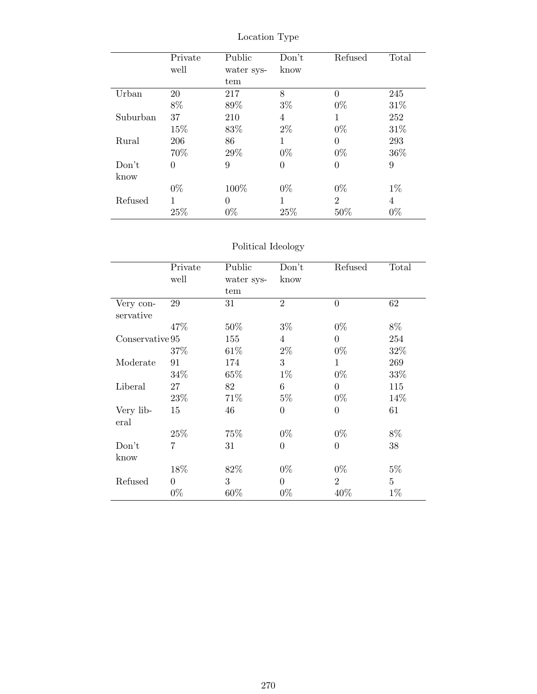|          | Private  | Public     | Don't          | Refused        | Total |
|----------|----------|------------|----------------|----------------|-------|
|          | well     | water sys- | know           |                |       |
|          |          | tem        |                |                |       |
| Urban    | 20       | 217        | 8              | 0              | 245   |
|          | $8\%$    | 89%        | $3\%$          | $0\%$          | 31\%  |
| Suburban | 37       | 210        | 4              | 1              | 252   |
|          | 15%      | 83%        | $2\%$          | $0\%$          | 31\%  |
| Rural    | 206      | 86         | 1              | 0              | 293   |
|          | 70%      | 29%        | $0\%$          | $0\%$          | 36%   |
| Don't    | $\theta$ | 9          | $\overline{0}$ | 0              | 9     |
| know     |          |            |                |                |       |
|          | $0\%$    | 100%       | $0\%$          | $0\%$          | $1\%$ |
| Refused  | 1        | $\Omega$   | 1              | $\overline{2}$ | 4     |
|          | 25%      | $0\%$      | 25%            | 50%            | $0\%$ |

Location Type

## Political Ideology

|                 | Private<br>well | Public<br>water sys- | Don't<br>know    | Refused        | Total          |
|-----------------|-----------------|----------------------|------------------|----------------|----------------|
|                 |                 | tem                  |                  |                |                |
| Very con-       | 29              | 31                   | $\overline{2}$   | $\overline{0}$ | 62             |
| servative       |                 |                      |                  |                |                |
|                 | 47%             | $50\%$               | $3\%$            | $0\%$          | 8%             |
| Conservative 95 |                 | 155                  | $\overline{4}$   | $\theta$       | 254            |
|                 | 37%             | $61\%$               | $2\%$            | $0\%$          | $32\%$         |
| Moderate        | 91              | 174                  | 3                | $\mathbf{1}$   | 269            |
|                 | 34\%            | $65\%$               | $1\%$            | $0\%$          | 33%            |
| Liberal         | 27              | 82                   | $\boldsymbol{6}$ | $\overline{0}$ | 115            |
|                 | 23\%            | 71\%                 | $5\%$            | $0\%$          | 14\%           |
| Very lib-       | 15              | 46                   | $\overline{0}$   | $\theta$       | 61             |
| eral            |                 |                      |                  |                |                |
|                 | 25%             | 75%                  | $0\%$            | $0\%$          | $8\%$          |
| Don't           | 7               | 31                   | $\overline{0}$   | $\overline{0}$ | 38             |
| know            |                 |                      |                  |                |                |
|                 | 18%             | 82%                  | $0\%$            | $0\%$          | $5\%$          |
| Refused         | $\theta$        | 3                    | $\overline{0}$   | $\overline{2}$ | $\overline{5}$ |
|                 | $0\%$           | 60%                  | $0\%$            | 40%            | $1\%$          |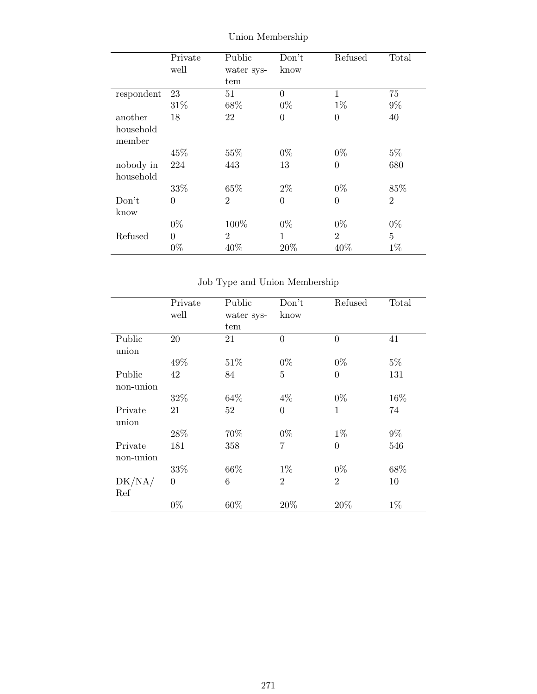|            | Private  | Public         | Don't          | Refused        | Total          |
|------------|----------|----------------|----------------|----------------|----------------|
|            | well     | water sys-     | know           |                |                |
|            |          | tem            |                |                |                |
| respondent | 23       | 51             | $\theta$       | $\mathbf{1}$   | 75             |
|            | 31%      | 68%            | $0\%$          | $1\%$          | $9\%$          |
| another    | 18       | 22             | $\overline{0}$ | $\theta$       | 40             |
| household  |          |                |                |                |                |
| member     |          |                |                |                |                |
|            | 45%      | 55%            | $0\%$          | $0\%$          | $5\%$          |
| nobody in  | 224      | 443            | 13             | $\overline{0}$ | 680            |
| household  |          |                |                |                |                |
|            | 33%      | 65%            | $2\%$          | $0\%$          | 85%            |
| Don't      | 0        | $\overline{2}$ | $\overline{0}$ | $\theta$       | $\overline{2}$ |
| know       |          |                |                |                |                |
|            | $0\%$    | 100%           | $0\%$          | $0\%$          | $0\%$          |
| Refused    | $\Omega$ | $\overline{2}$ | 1              | $\overline{2}$ | $\overline{5}$ |
|            | $0\%$    | 40%            | 20%            | 40%            | $1\%$          |

Union Membership

Job Type and Union Membership

|              | Private        | Public     | Don't            | Refused        | Total |
|--------------|----------------|------------|------------------|----------------|-------|
|              | well           | water sys- | know             |                |       |
|              |                | tem        |                  |                |       |
| Public       | $20\,$         | 21         | $\overline{0}$   | $\overline{0}$ | 41    |
| union        |                |            |                  |                |       |
|              | 49%            | 51\%       | $0\%$            | $0\%$          | $5\%$ |
| Public       | 42             | 84         | $\overline{5}$   | $\overline{0}$ | 131   |
| non-union    |                |            |                  |                |       |
|              | 32%            | 64\%       | $4\%$            | $0\%$          | 16%   |
| Private      | 21             | 52         | $\boldsymbol{0}$ | $\mathbf{1}$   | 74    |
| union        |                |            |                  |                |       |
|              | 28%            | 70%        | $0\%$            | $1\%$          | $9\%$ |
| Private      | 181            | 358        | $\overline{7}$   | $\overline{0}$ | 546   |
| non-union    |                |            |                  |                |       |
|              | 33%            | 66%        | $1\%$            | $0\%$          | 68%   |
| $\rm DK/NA/$ | $\overline{0}$ | 6          | $\overline{2}$   | $\overline{2}$ | 10    |
| Ref          |                |            |                  |                |       |
|              | $0\%$          | 60%        | 20%              | 20%            | $1\%$ |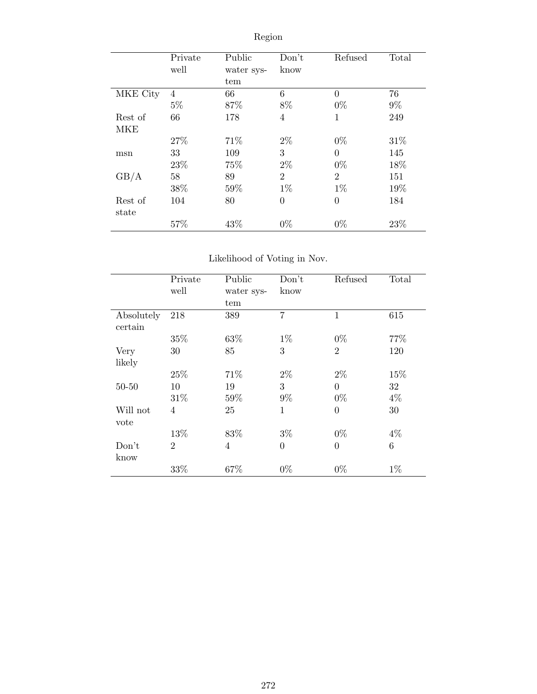|          | Private<br>well | Public<br>water sys- | Don't<br>know  | Refused        | Total |
|----------|-----------------|----------------------|----------------|----------------|-------|
|          |                 | tem                  |                |                |       |
| MKE City | 4               | 66                   | 6              | $\Omega$       | 76    |
|          | $5\%$           | 87%                  | 8%             | $0\%$          | $9\%$ |
| Rest of  | 66              | 178                  | $\overline{4}$ | 1              | 249   |
| MKE      |                 |                      |                |                |       |
|          | 27%             | 71%                  | $2\%$          | $0\%$          | 31\%  |
| msn      | 33              | 109                  | 3              | $\theta$       | 145   |
|          | $23\%$          | 75%                  | $2\%$          | $0\%$          | 18%   |
| GB/A     | 58              | 89                   | $\overline{2}$ | $\overline{2}$ | 151   |
|          | 38%             | 59%                  | $1\%$          | $1\%$          | 19%   |
| Rest of  | 104             | 80                   | $\overline{0}$ | $\overline{0}$ | 184   |
| state    |                 |                      |                |                |       |
|          | 57%             | 43%                  | $0\%$          | $0\%$          | 23%   |

# Region

## Likelihood of Voting in Nov.

|                       | Private        | Public         | Don't            | Refused        | Total           |
|-----------------------|----------------|----------------|------------------|----------------|-----------------|
|                       | well           | water sys-     | know             |                |                 |
|                       |                | tem            |                  |                |                 |
| Absolutely<br>certain | 218            | 389            | 7                | $\mathbf 1$    | 615             |
|                       | 35%            | 63%            | $1\%$            | $0\%$          | 77%             |
| Very                  | 30             | 85             | 3                | $\overline{2}$ | 120             |
| likely                |                |                |                  |                |                 |
|                       | 25%            | 71\%           | $2\%$            | $2\%$          | 15%             |
| $50 - 50$             | 10             | 19             | 3                | $\overline{0}$ | 32              |
|                       | 31%            | 59%            | $9\%$            | $0\%$          | $4\%$           |
| Will not              | 4              | 25             | $\mathbf{1}$     | $\overline{0}$ | 30              |
| vote                  |                |                |                  |                |                 |
|                       | 13%            | 83%            | $3\%$            | $0\%$          | $4\%$           |
| Don't                 | $\overline{2}$ | $\overline{4}$ | $\boldsymbol{0}$ | $\overline{0}$ | $6\phantom{.}6$ |
| know                  |                |                |                  |                |                 |
|                       | 33%            | 67%            | $0\%$            | $0\%$          | $1\%$           |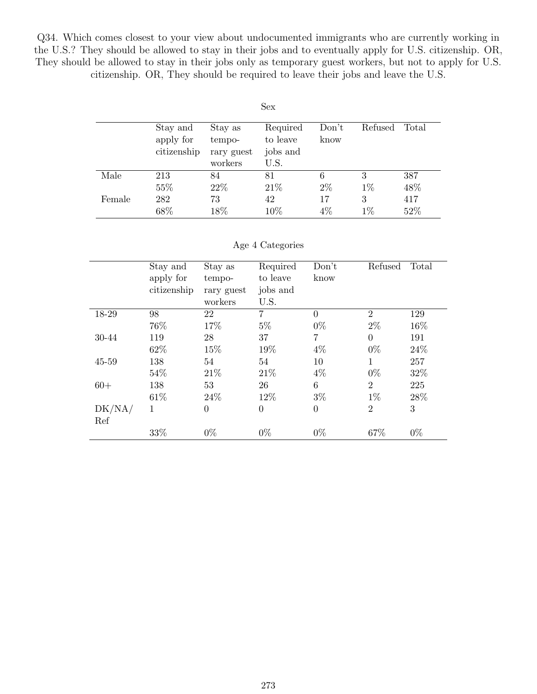Q34. Which comes closest to your view about undocumented immigrants who are currently working in the U.S.? They should be allowed to stay in their jobs and to eventually apply for U.S. citizenship. OR, They should be allowed to stay in their jobs only as temporary guest workers, but not to apply for U.S. citizenship. OR, They should be required to leave their jobs and leave the U.S.

|        |             |            | Sex      |       |         |       |
|--------|-------------|------------|----------|-------|---------|-------|
|        | Stay and    | Stay as    | Required | Don't | Refused | Total |
|        | apply for   | tempo-     | to leave | know  |         |       |
|        | citizenship | rary guest | jobs and |       |         |       |
|        |             | workers    | U.S.     |       |         |       |
| Male   | 213         | 84         | 81       | 6     | 3       | 387   |
|        | 55%         | 22\%       | 21\%     | $2\%$ | $1\%$   | 48%   |
| Female | 282         | 73         | 42       | 17    | 3       | 417   |
|        | 68%         | 18%        | 10%      | $4\%$ | $1\%$   | 52%   |

#### Age 4 Categories

|           | Stay and    | Stay as        | Required       | Don't          | Refused        | Total |
|-----------|-------------|----------------|----------------|----------------|----------------|-------|
|           | apply for   | tempo-         | to leave       | know           |                |       |
|           | citizenship | rary guest     | jobs and       |                |                |       |
|           |             | workers        | U.S.           |                |                |       |
| 18-29     | 98          | 22             | $\overline{7}$ | $\Omega$       | $\overline{2}$ | 129   |
|           | 76%         | 17%            | $5\%$          | $0\%$          | $2\%$          | 16%   |
| 30-44     | 119         | 28             | 37             | 7              | $\theta$       | 191   |
|           | 62\%        | 15%            | 19%            | $4\%$          | $0\%$          | 24\%  |
| $45 - 59$ | 138         | 54             | 54             | 10             | 1              | 257   |
|           | 54\%        | 21\%           | 21\%           | $4\%$          | $0\%$          | 32%   |
| $60+$     | 138         | 53             | 26             | 6              | $\overline{2}$ | 225   |
|           | 61\%        | 24\%           | 12%            | $3\%$          | $1\%$          | 28\%  |
| DK/NA/    | 1           | $\overline{0}$ | $\theta$       | $\overline{0}$ | $\overline{2}$ | 3     |
| Ref       |             |                |                |                |                |       |
|           | 33%         | $0\%$          | $0\%$          | $0\%$          | 67%            | $0\%$ |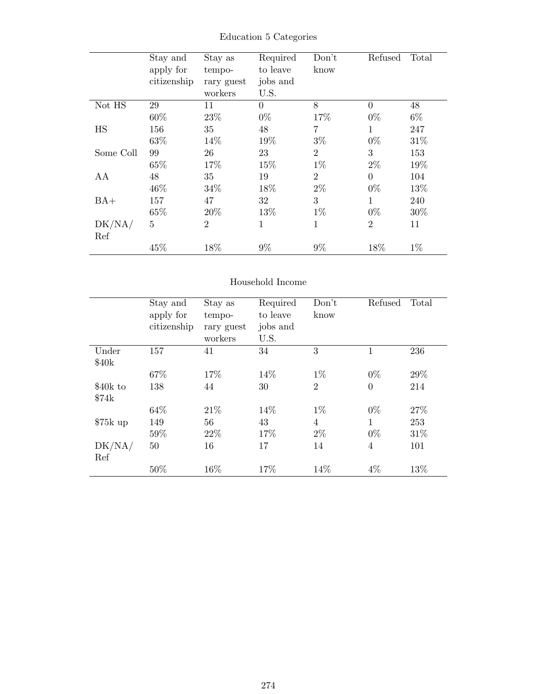|           | Stay and    | Stay as        | Required | Don't          | Refused        | Total |
|-----------|-------------|----------------|----------|----------------|----------------|-------|
|           | apply for   | tempo-         | to leave | know           |                |       |
|           | citizenship | rary guest     | jobs and |                |                |       |
|           |             | workers        | U.S.     |                |                |       |
| Not HS    | 29          | 11             | $\Omega$ | 8              | $\overline{0}$ | 48    |
|           | 60%         | 23%            | $0\%$    | 17%            | $0\%$          | $6\%$ |
| HS        | 156         | 35             | 48       | 7              | $\mathbf{1}$   | 247   |
|           | 63%         | 14%            | 19%      | $3\%$          | $0\%$          | 31\%  |
| Some Coll | 99          | 26             | 23       | $\overline{2}$ | 3              | 153   |
|           | 65%         | 17%            | 15%      | $1\%$          | $2\%$          | 19%   |
| AA        | 48          | 35             | 19       | $\overline{2}$ | $\theta$       | 104   |
|           | 46\%        | 34\%           | 18%      | $2\%$          | $0\%$          | 13%   |
| $BA+$     | 157         | 47             | 32       | 3              | 1              | 240   |
|           | 65%         | 20%            | 13%      | $1\%$          | $0\%$          | 30\%  |
| DK/NA/    | 5           | $\overline{2}$ | 1        | 1              | $\overline{2}$ | 11    |
| Ref       |             |                |          |                |                |       |
|           | 45%         | 18%            | $9\%$    | $9\%$          | 18%            | $1\%$ |

Education 5 Categories

## Household Income

|           | Stay and    | Stay as    | Required | Don't          | Refused        | Total |
|-----------|-------------|------------|----------|----------------|----------------|-------|
|           | apply for   | tempo-     | to leave | know           |                |       |
|           | citizenship | rary guest | jobs and |                |                |       |
|           |             | workers    | U.S.     |                |                |       |
| Under     | 157         | 41         | 34       | 3              | 1              | 236   |
| \$40k     |             |            |          |                |                |       |
|           | 67%         | 17%        | 14%      | $1\%$          | $0\%$          | 29%   |
| \$40k to  | 138         | 44         | 30       | $\overline{2}$ | $\overline{0}$ | 214   |
| \$74k     |             |            |          |                |                |       |
|           | 64%         | 21\%       | 14%      | $1\%$          | $0\%$          | 27%   |
| $$75k$ up | 149         | 56         | 43       | $\overline{4}$ | 1              | 253   |
|           | 59%         | 22\%       | 17%      | $2\%$          | $0\%$          | 31\%  |
| DK/NA/    | 50          | 16         | 17       | 14             | $\overline{4}$ | 101   |
| Ref       |             |            |          |                |                |       |
|           | 50%         | 16%        | 17%      | 14%            | $4\%$          | 13%   |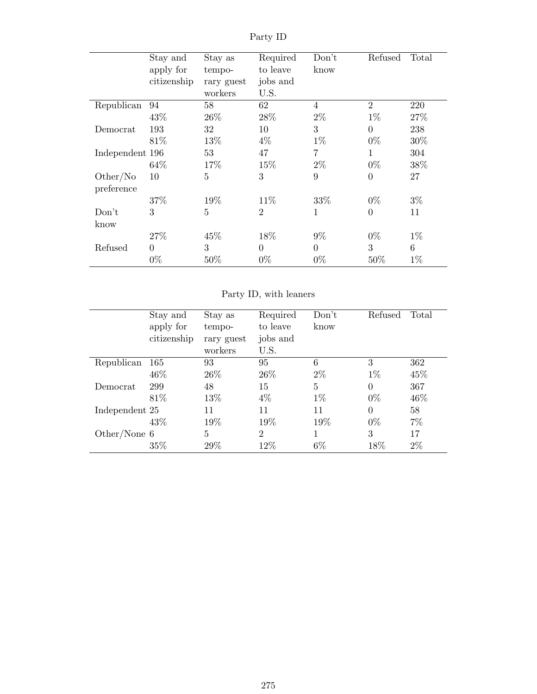|                 | Stay and       | Stay as    | Required       | Don't          | Refused        | Total |
|-----------------|----------------|------------|----------------|----------------|----------------|-------|
|                 | apply for      | tempo-     | to leave       | know           |                |       |
|                 | citizenship    | rary guest | jobs and       |                |                |       |
|                 |                | workers    | U.S.           |                |                |       |
| Republican      | 94             | 58         | 62             | $\overline{4}$ | $\overline{2}$ | 220   |
|                 | 43\%           | 26\%       | 28\%           | $2\%$          | $1\%$          | 27%   |
| Democrat        | 193            | 32         | 10             | 3              | $\overline{0}$ | 238   |
|                 | 81\%           | 13%        | $4\%$          | $1\%$          | $0\%$          | 30%   |
| Independent 196 |                | 53         | 47             | 7              | 1              | 304   |
|                 | 64\%           | 17%        | 15%            | $2\%$          | $0\%$          | 38%   |
| Other/No        | 10             | 5          | 3              | 9              | $\overline{0}$ | 27    |
| preference      |                |            |                |                |                |       |
|                 | 37\%           | 19%        | 11\%           | 33%            | $0\%$          | $3\%$ |
| Don't           | 3              | 5          | $\overline{2}$ | 1              | $\overline{0}$ | 11    |
| know            |                |            |                |                |                |       |
|                 | 27\%           | 45%        | 18%            | $9\%$          | $0\%$          | $1\%$ |
| Refused         | $\overline{0}$ | 3          | $\overline{0}$ | $\theta$       | 3              | 6     |
|                 | $0\%$          | 50%        | $0\%$          | $0\%$          | 50%            | $1\%$ |

Party ID

Party ID, with leaners

|                | Stay and    | Stay as    | Required       | Don't | Refused  | Total |
|----------------|-------------|------------|----------------|-------|----------|-------|
|                | apply for   | tempo-     | to leave       | know  |          |       |
|                | citizenship | rary guest | jobs and       |       |          |       |
|                |             | workers    | U.S.           |       |          |       |
| Republican     | -165        | 93         | 95             | 6     | 3        | 362   |
|                | 46\%        | 26\%       | 26\%           | $2\%$ | $1\%$    | 45\%  |
| Democrat       | 299         | 48         | 15             | 5     | $\Omega$ | 367   |
|                | 81\%        | 13\%       | $4\%$          | $1\%$ | $0\%$    | 46\%  |
| Independent 25 |             | 11         | 11             | 11    | $\Omega$ | 58    |
|                | 43\%        | 19%        | 19%            | 19%   | $0\%$    | $7\%$ |
| Other/None $6$ |             | 5          | $\overline{2}$ | 1     | 3        | 17    |
|                | 35%         | 29\%       | 12%            | $6\%$ | 18%      | $2\%$ |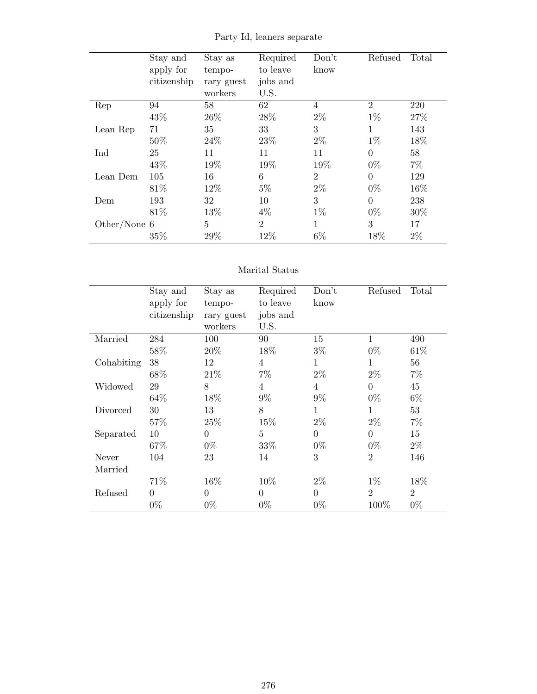|                | Stay and    | Stay as        | Required       | Don't          | Refused        | Total |
|----------------|-------------|----------------|----------------|----------------|----------------|-------|
|                | apply for   | tempo-         | to leave       | know           |                |       |
|                | citizenship | rary guest     | jobs and       |                |                |       |
|                |             | workers        | U.S.           |                |                |       |
| Rep            | 94          | 58             | 62             | $\overline{4}$ | $\overline{2}$ | 220   |
|                | 43\%        | 26\%           | 28\%           | $2\%$          | $1\%$          | 27%   |
| Lean Rep       | 71          | 35             | 33             | 3              | $\mathbf{1}$   | 143   |
|                | 50%         | 24\%           | 23%            | $2\%$          | $1\%$          | 18%   |
| Ind            | 25          | 11             | 11             | 11             | $\theta$       | 58    |
|                | 43%         | 19%            | 19%            | 19%            | $0\%$          | $7\%$ |
| Lean Dem       | 105         | 16             | 6              | $\overline{2}$ | $\overline{0}$ | 129   |
|                | 81\%        | 12%            | $5\%$          | $2\%$          | $0\%$          | 16%   |
| Dem            | 193         | 32             | 10             | 3              | $\overline{0}$ | 238   |
|                | 81\%        | 13%            | $4\%$          | $1\%$          | $0\%$          | 30%   |
| Other/None $6$ |             | $\overline{5}$ | $\overline{2}$ | 1              | 3              | 17    |
|                | 35%         | 29%            | 12%            | $6\%$          | 18%            | $2\%$ |

Party Id, leaners separate

#### Marital Status

|            | Stay and    | Stay as        | Required       | Don't          | Refused        | Total          |
|------------|-------------|----------------|----------------|----------------|----------------|----------------|
|            | apply for   | tempo-         | to leave       | know           |                |                |
|            | citizenship | rary guest     | jobs and       |                |                |                |
|            |             | workers        | U.S.           |                |                |                |
| Married    | 284         | 100            | 90             | 15             | $\mathbf{1}$   | 490            |
|            | 58%         | 20%            | 18%            | $3\%$          | $0\%$          | 61\%           |
| Cohabiting | 38          | 12             | $\overline{4}$ | 1              | 1              | 56             |
|            | 68%         | 21%            | $7\%$          | $2\%$          | $2\%$          | $7\%$          |
| Widowed    | 29          | 8              | $\overline{4}$ | $\overline{4}$ | $\overline{0}$ | 45             |
|            | 64%         | 18%            | $9\%$          | $9\%$          | $0\%$          | $6\%$          |
| Divorced   | 30          | 13             | 8              | 1              | 1              | 53             |
|            | 57%         | 25%            | 15%            | $2\%$          | $2\%$          | $7\%$          |
| Separated  | 10          | $\overline{0}$ | 5              | $\theta$       | $\overline{0}$ | 15             |
|            | 67%         | $0\%$          | 33%            | $0\%$          | $0\%$          | $2\%$          |
| Never      | 104         | 23             | 14             | 3              | $\overline{2}$ | 146            |
| Married    |             |                |                |                |                |                |
|            | 71%         | 16%            | 10\%           | $2\%$          | $1\%$          | 18%            |
| Refused    | $\Omega$    | $\Omega$       | $\theta$       | $\theta$       | $\overline{2}$ | $\overline{2}$ |
|            | $0\%$       | $0\%$          | $0\%$          | $0\%$          | 100%           | $0\%$          |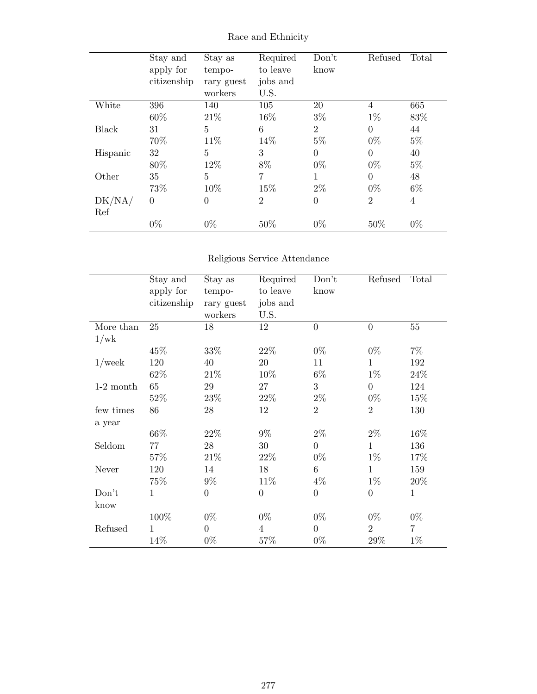|          | Stay and<br>apply for<br>citizenship | Stay as<br>tempo-<br>rary guest<br>workers | Required<br>to leave<br>jobs and<br>U.S. | Don't<br>know  | Refused        | Total          |
|----------|--------------------------------------|--------------------------------------------|------------------------------------------|----------------|----------------|----------------|
| White    | 396                                  | 140                                        | 105                                      | 20             | 4              | 665            |
|          | 60%                                  | 21\%                                       | 16%                                      | $3\%$          | $1\%$          | 83%            |
| Black    | 31                                   | 5                                          | 6                                        | $\overline{2}$ | $\overline{0}$ | 44             |
|          | 70%                                  | 11\%                                       | 14%                                      | $5\%$          | $0\%$          | $5\%$          |
| Hispanic | 32                                   | 5                                          | 3                                        | $\Omega$       | $\overline{0}$ | 40             |
|          | 80%                                  | 12%                                        | 8%                                       | $0\%$          | $0\%$          | $5\%$          |
| Other    | 35                                   | 5                                          | 7                                        | 1              | $\theta$       | 48             |
|          | 73%                                  | 10%                                        | 15%                                      | $2\%$          | $0\%$          | $6\%$          |
| DK/NA/   | $\overline{0}$                       | $\overline{0}$                             | $\overline{2}$                           | $\theta$       | $\overline{2}$ | $\overline{4}$ |
| Ref      |                                      |                                            |                                          |                |                |                |
|          | $0\%$                                | $0\%$                                      | 50%                                      | $0\%$          | 50%            | $0\%$          |

Race and Ethnicity

## Religious Service Attendance

|             | Stay and<br>apply for | Stay as<br>tempo-     | Required<br>to leave | Don't<br>know  | Refused          | Total          |
|-------------|-----------------------|-----------------------|----------------------|----------------|------------------|----------------|
|             | citizenship           | rary guest<br>workers | jobs and<br>U.S.     |                |                  |                |
| More than   | 25                    | 18                    | 12                   | $\overline{0}$ | $\boldsymbol{0}$ | $55\,$         |
| 1/wk        |                       |                       |                      |                |                  |                |
|             | 45%                   | 33%                   | 22%                  | $0\%$          | $0\%$            | $7\%$          |
| $1$ /week   | 120                   | 40                    | 20                   | 11             | 1                | 192            |
|             | 62%                   | 21\%                  | 10\%                 | $6\%$          | $1\%$            | 24%            |
| $1-2$ month | 65                    | 29                    | 27                   | 3              | $\boldsymbol{0}$ | 124            |
|             | 52\%                  | 23\%                  | 22%                  | $2\%$          | $0\%$            | 15\%           |
| few times   | 86                    | 28                    | 12                   | $\overline{2}$ | $\overline{2}$   | 130            |
| a year      |                       |                       |                      |                |                  |                |
|             | 66%                   | 22%                   | $9\%$                | $2\%$          | $2\%$            | 16\%           |
| Seldom      | 77                    | 28                    | 30                   | $\overline{0}$ | $\mathbf{1}$     | 136            |
|             | 57%                   | 21\%                  | 22%                  | $0\%$          | $1\%$            | 17\%           |
| Never       | 120                   | 14                    | 18                   | 6              | $\mathbf{1}$     | 159            |
|             | 75%                   | $9\%$                 | $11\%$               | $4\%$          | $1\%$            | $20\%$         |
| Don't       | $\mathbf{1}$          | $\overline{0}$        | $\boldsymbol{0}$     | $\overline{0}$ | $\boldsymbol{0}$ | $\mathbf{1}$   |
| know        |                       |                       |                      |                |                  |                |
|             | 100%                  | $0\%$                 | $0\%$                | $0\%$          | $0\%$            | $0\%$          |
| Refused     | 1                     | $\theta$              | $\overline{4}$       | $\overline{0}$ | $\overline{2}$   | $\overline{7}$ |
|             | 14%                   | $0\%$                 | 57%                  | $0\%$          | $29\%$           | $1\%$          |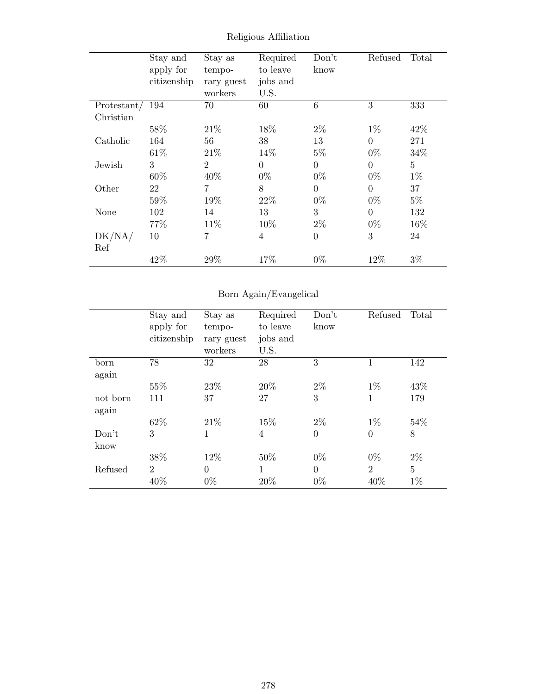|                 | Stay and    | Stay as        | Required       | Don't           | Refused  | Total          |
|-----------------|-------------|----------------|----------------|-----------------|----------|----------------|
|                 | apply for   | tempo-         | to leave       | know            |          |                |
|                 | citizenship | rary guest     | jobs and       |                 |          |                |
|                 |             | workers        | U.S.           |                 |          |                |
| Protestant/ 194 |             | 70             | 60             | $6\phantom{.}6$ | 3        | 333            |
| Christian       |             |                |                |                 |          |                |
|                 | 58%         | 21\%           | 18%            | $2\%$           | $1\%$    | 42\%           |
| Catholic        | 164         | 56             | 38             | 13              | $\Omega$ | 271            |
|                 | 61\%        | 21\%           | 14\%           | $5\%$           | $0\%$    | 34%            |
| Jewish          | 3           | $\overline{2}$ | $\theta$       | $\theta$        | $\Omega$ | $\overline{5}$ |
|                 | 60%         | 40%            | $0\%$          | $0\%$           | $0\%$    | $1\%$          |
| Other           | 22          | 7              | 8              | $\theta$        | $\Omega$ | 37             |
|                 | 59%         | 19%            | 22%            | $0\%$           | $0\%$    | $5\%$          |
| None            | 102         | 14             | 13             | 3               | $\theta$ | 132            |
|                 | 77\%        | 11\%           | 10%            | $2\%$           | $0\%$    | 16%            |
| DK/NA/          | 10          | $\overline{7}$ | $\overline{4}$ | $\overline{0}$  | 3        | 24             |
| Ref             |             |                |                |                 |          |                |
|                 | 42\%        | 29%            | 17%            | $0\%$           | 12%      | $3\%$          |

Religious Affiliation

# Born Again/Evangelical

|                   | Stay and<br>apply for<br>citizenship | Stay as<br>tempo-<br>rary guest<br>workers | Required<br>to leave<br>jobs and<br>U.S. | Don't<br>know     | Refused                | Total      |
|-------------------|--------------------------------------|--------------------------------------------|------------------------------------------|-------------------|------------------------|------------|
| born<br>again     | 78                                   | 32                                         | 28                                       | 3                 |                        | 142        |
|                   | 55%                                  | 23\%                                       | 20%                                      | $2\%$             | $1\%$                  | 43\%       |
| not born<br>again | 111                                  | 37                                         | 27                                       | 3                 | 1                      | 179        |
|                   | 62%                                  | 21\%                                       | 15%                                      | $2\%$             | $1\%$                  | 54\%       |
| Don't<br>know     | 3                                    | 1                                          | 4                                        | $\Omega$          | $\overline{0}$         | 8          |
|                   | 38%                                  | 12\%                                       | 50%                                      | $0\%$             | $0\%$                  | $2\%$      |
| Refused           | $\overline{2}$<br>40%                | $\Omega$<br>$0\%$                          | 1<br>20%                                 | $\Omega$<br>$0\%$ | $\overline{2}$<br>40\% | 5<br>$1\%$ |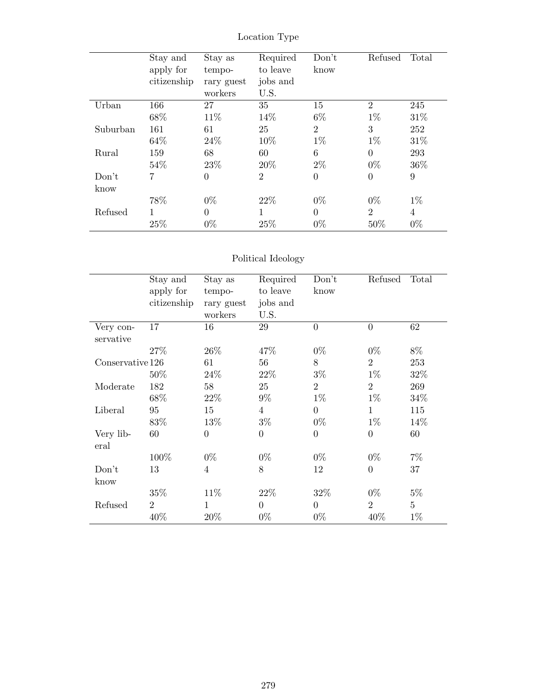|          | Stay and    | Stay as    | Required       | Don't          | Refused        | Total |
|----------|-------------|------------|----------------|----------------|----------------|-------|
|          | apply for   | tempo-     | to leave       | know           |                |       |
|          | citizenship | rary guest | jobs and       |                |                |       |
|          |             | workers    | U.S.           |                |                |       |
| Urban    | 166         | 27         | 35             | 15             | $\overline{2}$ | 245   |
|          | 68\%        | 11\%       | 14%            | 6%             | $1\%$          | 31\%  |
| Suburban | 161         | 61         | 25             | $\overline{2}$ | 3              | 252   |
|          | 64\%        | 24\%       | 10%            | $1\%$          | $1\%$          | 31%   |
| Rural    | 159         | 68         | 60             | 6              | $\theta$       | 293   |
|          | 54\%        | 23\%       | 20%            | $2\%$          | $0\%$          | 36\%  |
| Don't    | 7           | $\theta$   | $\overline{2}$ | $\theta$       | $\overline{0}$ | 9     |
| know     |             |            |                |                |                |       |
|          | 78%         | $0\%$      | 22\%           | $0\%$          | $0\%$          | $1\%$ |
| Refused  | 1           | $\theta$   | 1              | $\Omega$       | $\overline{2}$ | 4     |
|          | 25%         | $0\%$      | 25%            | $0\%$          | 50%            | $0\%$ |

Location Type

## Political Ideology

|                   | Stay and<br>apply for<br>citizenship | Stay as<br>tempo-<br>rary guest | Required<br>to leave<br>jobs and | Don't<br>know  | Refused          | Total          |
|-------------------|--------------------------------------|---------------------------------|----------------------------------|----------------|------------------|----------------|
|                   |                                      | workers                         | U.S.                             |                |                  |                |
| Very con-         | 17                                   | 16                              | 29                               | $\overline{0}$ | $\overline{0}$   | 62             |
| servative         |                                      |                                 |                                  |                |                  |                |
|                   | 27%                                  | 26\%                            | 47%                              | $0\%$          | $0\%$            | 8%             |
| Conservative 126  |                                      | 61                              | 56                               | 8              | $\overline{2}$   | 253            |
|                   | 50%                                  | 24\%                            | 22\%                             | $3\%$          | $1\%$            | 32%            |
| Moderate          | 182                                  | 58                              | 25                               | $\overline{2}$ | $\overline{2}$   | 269            |
|                   | 68%                                  | 22\%                            | $9\%$                            | $1\%$          | $1\%$            | 34%            |
| Liberal           | 95                                   | 15                              | $\overline{4}$                   | $\overline{0}$ | $\mathbf 1$      | 115            |
|                   | 83%                                  | 13%                             | $3\%$                            | $0\%$          | $1\%$            | 14%            |
| Very lib-<br>eral | 60                                   | $\overline{0}$                  | $\theta$                         | $\overline{0}$ | $\overline{0}$   | 60             |
|                   | 100%                                 | $0\%$                           | $0\%$                            | $0\%$          | $0\%$            | $7\%$          |
| Don't             | 13                                   | 4                               | 8                                | 12             | $\boldsymbol{0}$ | 37             |
| know              |                                      |                                 |                                  |                |                  |                |
|                   | 35%                                  | 11\%                            | 22%                              | 32%            | $0\%$            | $5\%$          |
| Refused           | $\overline{2}$                       | $\mathbf{1}$                    | $\overline{0}$                   | $\overline{0}$ | $\overline{2}$   | $\overline{5}$ |
|                   | 40%                                  | 20%                             | $0\%$                            | $0\%$          | 40%              | $1\%$          |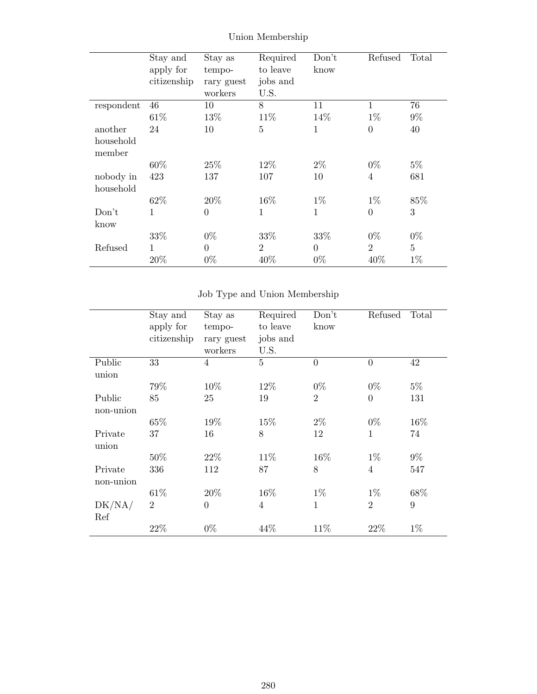|            | Stay and     | Stay as        | Required       | Don't    | Refused          | Total          |
|------------|--------------|----------------|----------------|----------|------------------|----------------|
|            | apply for    | tempo-         | to leave       | know     |                  |                |
|            | citizenship  | rary guest     | jobs and       |          |                  |                |
|            |              | workers        | U.S.           |          |                  |                |
| respondent | 46           | 10             | 8              | 11       | $\mathbf 1$      | 76             |
|            | 61\%         | 13%            | 11%            | 14%      | $1\%$            | $9\%$          |
| another    | 24           | 10             | $\overline{5}$ | 1        | $\boldsymbol{0}$ | 40             |
| household  |              |                |                |          |                  |                |
| member     |              |                |                |          |                  |                |
|            | $60\%$       | 25\%           | 12%            | $2\%$    | $0\%$            | $5\%$          |
| nobody in  | 423          | 137            | 107            | 10       | $\overline{4}$   | 681            |
| household  |              |                |                |          |                  |                |
|            | 62%          | 20%            | 16%            | $1\%$    | $1\%$            | 85%            |
| Don't      | $\mathbf{1}$ | $\overline{0}$ | 1              | 1        | $\overline{0}$   | 3              |
| know       |              |                |                |          |                  |                |
|            | 33%          | $0\%$          | 33%            | 33%      | $0\%$            | $0\%$          |
| Refused    | 1            | $\overline{0}$ | $\overline{2}$ | $\theta$ | $\overline{2}$   | $\overline{5}$ |
|            | 20%          | $0\%$          | 40%            | $0\%$    | 40%              | $1\%$          |

Union Membership

## Job Type and Union Membership

|                      | Stay and       | Stay as               | Required         | Don't          | Refused        | Total |
|----------------------|----------------|-----------------------|------------------|----------------|----------------|-------|
|                      | apply for      | tempo-                | to leave         | know           |                |       |
|                      | citizenship    | rary guest<br>workers | jobs and<br>U.S. |                |                |       |
| Public<br>union      | 33             | $\overline{4}$        | $\overline{5}$   | $\theta$       | $\overline{0}$ | 42    |
|                      | 79%            | 10%                   | 12%              | $0\%$          | $0\%$          | $5\%$ |
| Public<br>non-union  | 85             | 25                    | 19               | $\overline{2}$ | $\overline{0}$ | 131   |
|                      | 65%            | 19%                   | 15%              | $2\%$          | $0\%$          | 16%   |
| Private<br>union     | 37             | 16                    | 8                | 12             | $\mathbf{1}$   | 74    |
|                      | 50%            | 22\%                  | 11\%             | 16%            | $1\%$          | $9\%$ |
| Private<br>non-union | 336            | 112                   | 87               | 8              | $\overline{4}$ | 547   |
|                      | 61\%           | 20%                   | 16%              | $1\%$          | $1\%$          | 68%   |
| DK/NA/<br>Ref        | $\overline{2}$ | $\theta$              | $\overline{4}$   | $\mathbf 1$    | $\overline{2}$ | 9     |
|                      | 22%            | $0\%$                 | 44%              | 11\%           | 22%            | $1\%$ |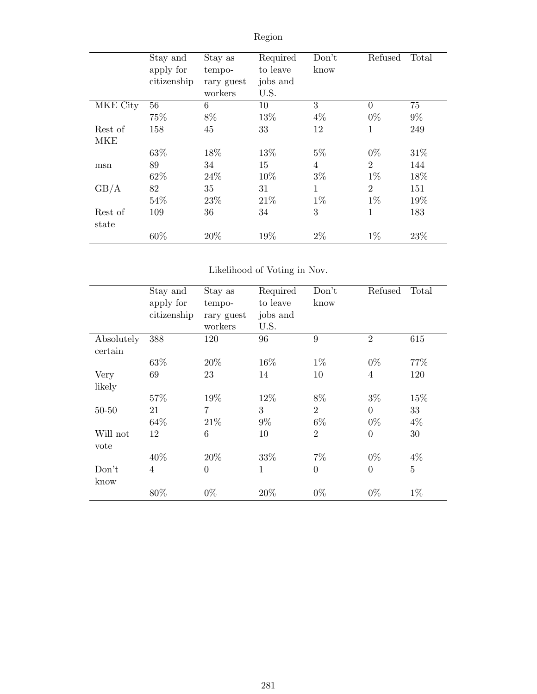|                  | Stay and<br>apply for<br>citizenship | Stay as<br>tempo-<br>rary guest<br>workers | Required<br>to leave<br>jobs and<br>U.S. | Don't<br>know  | Refused        | Total |
|------------------|--------------------------------------|--------------------------------------------|------------------------------------------|----------------|----------------|-------|
| MKE City         | 56                                   | 6                                          | 10                                       | 3              | $\theta$       | 75    |
|                  | 75%                                  | 8%                                         | 13%                                      | $4\%$          | $0\%$          | $9\%$ |
| Rest of          | 158                                  | 45                                         | 33                                       | 12             | $\mathbf{1}$   | 249   |
| MKE              |                                      |                                            |                                          |                |                |       |
|                  | 63%                                  | 18%                                        | 13%                                      | $5\%$          | $0\%$          | 31\%  |
| msn              | 89                                   | 34                                         | 15                                       | $\overline{4}$ | $\overline{2}$ | 144   |
|                  | 62%                                  | 24\%                                       | 10%                                      | $3\%$          | $1\%$          | 18%   |
| GB/A             | 82                                   | 35                                         | 31                                       | 1              | $\overline{2}$ | 151   |
|                  | 54%                                  | 23\%                                       | 21\%                                     | $1\%$          | $1\%$          | 19%   |
| Rest of<br>state | 109                                  | 36                                         | 34                                       | 3              | 1              | 183   |
|                  | 60%                                  | 20%                                        | 19%                                      | $2\%$          | $1\%$          | 23%   |

Region

## Likelihood of Voting in Nov.

|                       | Stay and<br>apply for<br>citizenship | Stay as<br>tempo-<br>rary guest | Required<br>to leave<br>jobs and | Don't<br>know  | Refused        | Total          |
|-----------------------|--------------------------------------|---------------------------------|----------------------------------|----------------|----------------|----------------|
|                       |                                      | workers                         | U.S.                             |                |                |                |
| Absolutely<br>certain | 388                                  | 120                             | 96                               | 9              | $\overline{2}$ | 615            |
|                       | 63%                                  | 20%                             | 16%                              | $1\%$          | $0\%$          | 77%            |
| Very<br>likely        | 69                                   | 23                              | 14                               | 10             | $\overline{4}$ | 120            |
|                       | 57%                                  | 19%                             | 12%                              | 8%             | $3\%$          | 15\%           |
| $50 - 50$             | 21                                   | 7                               | 3                                | $\overline{2}$ | $\overline{0}$ | 33             |
|                       | 64%                                  | 21\%                            | $9\%$                            | $6\%$          | $0\%$          | $4\%$          |
| Will not<br>vote      | 12                                   | 6                               | 10                               | $\overline{2}$ | $\overline{0}$ | 30             |
|                       | 40%                                  | 20%                             | 33%                              | $7\%$          | $0\%$          | $4\%$          |
| Don't<br>know         | $\overline{4}$                       | $\overline{0}$                  | $\mathbf 1$                      | $\overline{0}$ | $\overline{0}$ | $\overline{5}$ |
|                       | 80%                                  | $0\%$                           | 20%                              | $0\%$          | $0\%$          | $1\%$          |

281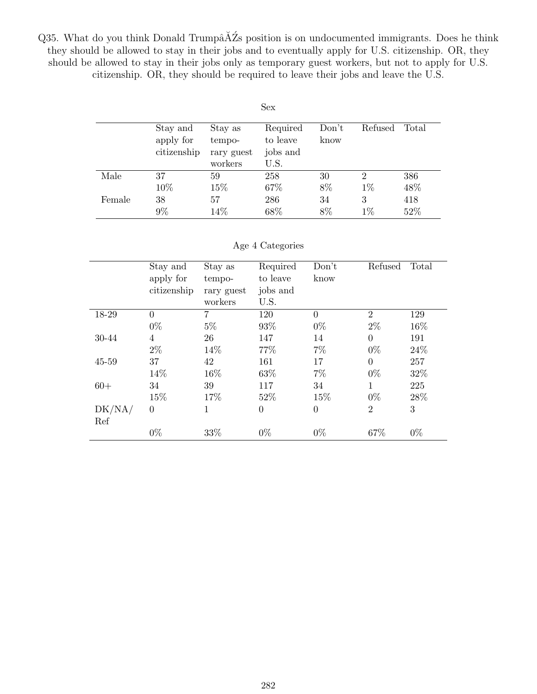Q35. What do you think Donald Trumpâ $\breve{\text{A}}\breve{\text{Z}}$ s position is on undocumented immigrants. Does he think they should be allowed to stay in their jobs and to eventually apply for U.S. citizenship. OR, they should be allowed to stay in their jobs only as temporary guest workers, but not to apply for U.S. citizenship. OR, they should be required to leave their jobs and leave the U.S.

| Sex    |                                      |                                            |                                          |               |                |       |  |  |
|--------|--------------------------------------|--------------------------------------------|------------------------------------------|---------------|----------------|-------|--|--|
|        | Stay and<br>apply for<br>citizenship | Stay as<br>tempo-<br>rary guest<br>workers | Required<br>to leave<br>jobs and<br>U.S. | Don't<br>know | Refused        | Total |  |  |
| Male   | 37                                   | 59                                         | 258                                      | 30            | $\overline{2}$ | 386   |  |  |
|        | 10%                                  | 15%                                        | 67%                                      | 8%            | $1\%$          | 48%   |  |  |
| Female | 38                                   | 57                                         | 286                                      | 34            | 3              | 418   |  |  |
|        | 9%                                   | 14%                                        | 68%                                      | 8%            | $1\%$          | 52%   |  |  |

#### Age 4 Categories

|        | Stay and    | Stay as    | Required | Don't    | Refused        | Total |
|--------|-------------|------------|----------|----------|----------------|-------|
|        | apply for   | tempo-     | to leave | know     |                |       |
|        | citizenship | rary guest | jobs and |          |                |       |
|        |             | workers    | U.S.     |          |                |       |
| 18-29  | $\theta$    | 7          | 120      | $\Omega$ | $\overline{2}$ | 129   |
|        | $0\%$       | $5\%$      | 93%      | $0\%$    | $2\%$          | 16%   |
| 30-44  | 4           | 26         | 147      | 14       | $\Omega$       | 191   |
|        | $2\%$       | 14%        | 77%      | $7\%$    | $0\%$          | 24%   |
| 45-59  | 37          | 42         | 161      | 17       | $\Omega$       | 257   |
|        | 14%         | 16\%       | 63%      | $7\%$    | $0\%$          | 32%   |
| $60+$  | 34          | 39         | 117      | 34       | 1              | 225   |
|        | 15%         | 17%        | 52%      | 15%      | $0\%$          | 28\%  |
| DK/NA/ | $\Omega$    | 1          | $\theta$ | $\theta$ | 2              | 3     |
| Ref    |             |            |          |          |                |       |
|        | $0\%$       | 33%        | $0\%$    | $0\%$    | 67%            | $0\%$ |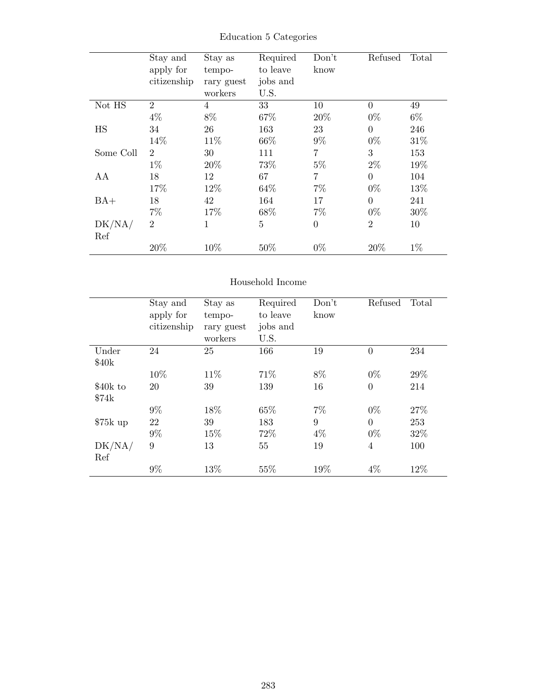|           | Stay and       | Stay as    | Required | Don't          | Refused        | Total |
|-----------|----------------|------------|----------|----------------|----------------|-------|
|           | apply for      | tempo-     | to leave | know           |                |       |
|           | citizenship    | rary guest | jobs and |                |                |       |
|           |                | workers    | U.S.     |                |                |       |
| Not HS    | 2              | 4          | 33       | 10             | $\overline{0}$ | 49    |
|           | $4\%$          | 8%         | 67%      | 20%            | $0\%$          | 6\%   |
| <b>HS</b> | 34             | 26         | 163      | 23             | $\theta$       | 246   |
|           | 14%            | 11%        | 66\%     | $9\%$          | $0\%$          | 31\%  |
| Some Coll | $\overline{2}$ | 30         | 111      | $\overline{7}$ | 3              | 153   |
|           | $1\%$          | 20%        | 73%      | $5\%$          | $2\%$          | 19%   |
| AA        | 18             | 12         | 67       | $\overline{7}$ | $\overline{0}$ | 104   |
|           | 17%            | 12\%       | 64\%     | $7\%$          | $0\%$          | 13%   |
| $BA+$     | 18             | 42         | 164      | 17             | $\theta$       | 241   |
|           | $7\%$          | 17%        | 68%      | $7\%$          | $0\%$          | 30%   |
| DK/NA/    | $\overline{2}$ | 1          | $\bf 5$  | $\theta$       | $\overline{2}$ | 10    |
| Ref       |                |            |          |                |                |       |
|           | 20%            | 10%        | 50%      | $0\%$          | 20%            | $1\%$ |

## Education 5 Categories

## Household Income

|                   | Stay and    | Stay as    | Required | Don't | Refused        | Total |
|-------------------|-------------|------------|----------|-------|----------------|-------|
|                   |             |            |          |       |                |       |
|                   | apply for   | tempo-     | to leave | know  |                |       |
|                   | citizenship | rary guest | jobs and |       |                |       |
|                   |             | workers    | U.S.     |       |                |       |
| Under             | 24          | 25         | 166      | 19    | $\theta$       | 234   |
| \$40 <sub>k</sub> |             |            |          |       |                |       |
|                   | 10%         | 11\%       | 71%      | 8%    | $0\%$          | 29%   |
| \$40k to          | 20          | 39         | 139      | 16    | $\overline{0}$ | 214   |
| \$74k             |             |            |          |       |                |       |
|                   | $9\%$       | 18%        | 65%      | $7\%$ | $0\%$          | 27%   |
| $$75k$ up         | 22          | 39         | 183      | 9     | $\theta$       | 253   |
|                   | $9\%$       | 15%        | 72%      | $4\%$ | $0\%$          | 32%   |
| $\rm DK/NA/$      | 9           | 13         | 55       | 19    | $\overline{4}$ | 100   |
| Ref               |             |            |          |       |                |       |
|                   | $9\%$       | 13%        | 55%      | 19%   | $4\%$          | 12%   |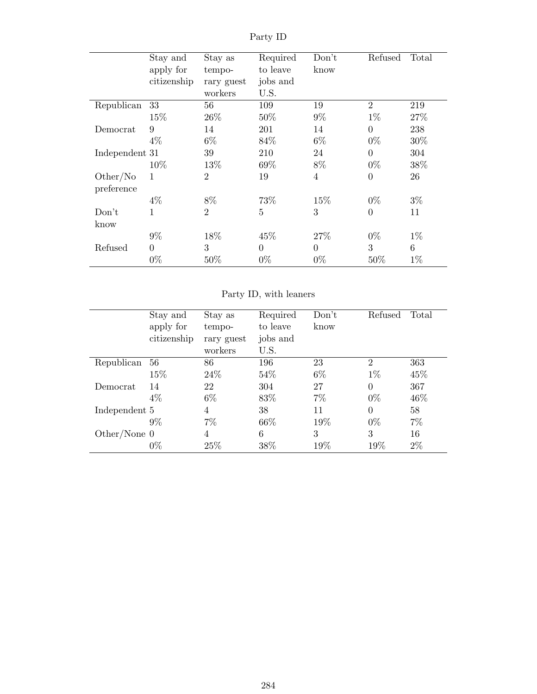|                | Stay and       | Stay as        | Required       | Don't          | Refused          | Total  |
|----------------|----------------|----------------|----------------|----------------|------------------|--------|
|                | apply for      | tempo-         | to leave       | know           |                  |        |
|                | citizenship    | rary guest     | jobs and       |                |                  |        |
|                |                | workers        | U.S.           |                |                  |        |
| Republican     | 33             | 56             | 109            | 19             | $\overline{2}$   | 219    |
|                | 15%            | 26\%           | 50%            | $9\%$          | $1\%$            | 27\%   |
| Democrat       | 9              | 14             | 201            | 14             | $\overline{0}$   | 238    |
|                | $4\%$          | $6\%$          | 84\%           | $6\%$          | $0\%$            | $30\%$ |
| Independent 31 |                | 39             | 210            | 24             | $\overline{0}$   | 304    |
|                | 10\%           | 13%            | 69%            | 8%             | $0\%$            | 38%    |
| Other/No       | $\mathbf{1}$   | $\overline{2}$ | 19             | $\overline{4}$ | $\boldsymbol{0}$ | 26     |
| preference     |                |                |                |                |                  |        |
|                | $4\%$          | 8%             | 73%            | 15\%           | $0\%$            | $3\%$  |
| Don't          | 1              | $\overline{2}$ | 5              | 3              | $\overline{0}$   | 11     |
| know           |                |                |                |                |                  |        |
|                | $9\%$          | 18%            | 45%            | 27%            | $0\%$            | $1\%$  |
| Refused        | $\overline{0}$ | 3              | $\overline{0}$ | $\Omega$       | 3                | 6      |
|                | $0\%$          | 50\%           | $0\%$          | $0\%$          | $50\%$           | $1\%$  |

Party ID

Party ID, with leaners

|                | Stay and    | Stay as    | Required | Don't | Refused        | Total |
|----------------|-------------|------------|----------|-------|----------------|-------|
|                | apply for   | tempo-     | to leave | know  |                |       |
|                | citizenship | rary guest | jobs and |       |                |       |
|                |             | workers    | U.S.     |       |                |       |
| Republican     | 56          | 86         | 196      | 23    | $\overline{2}$ | 363   |
|                | 15%         | 24\%       | 54%      | $6\%$ | $1\%$          | 45\%  |
| Democrat       | 14          | 22         | 304      | 27    | $\overline{0}$ | 367   |
|                | 4%          | 6\%        | 83\%     | 7%    | $0\%$          | 46\%  |
| Independent 5  |             | 4          | 38       | 11    | $\Omega$       | 58    |
|                | $9\%$       | $7\%$      | 66\%     | 19%   | $0\%$          | $7\%$ |
| Other/None $0$ |             | 4          | 6        | 3     | 3              | 16    |
|                | $0\%$       | 25\%       | 38%      | 19%   | 19%            | $2\%$ |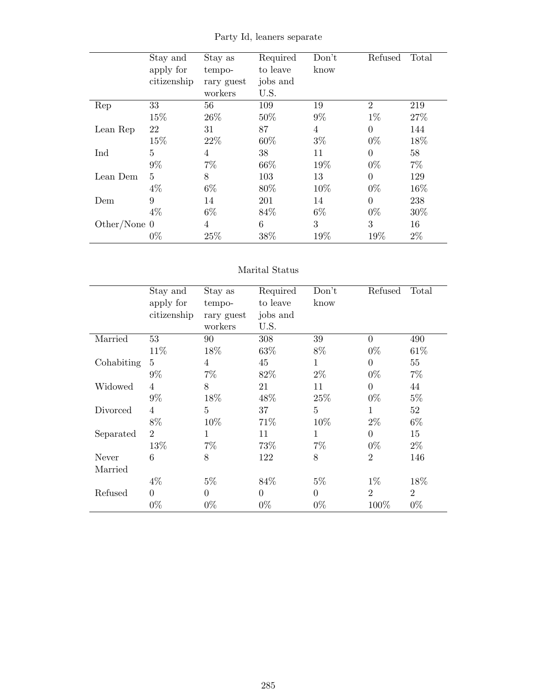|                | Stay and     | Stay as        | Required | Don't | Refused        | Total |
|----------------|--------------|----------------|----------|-------|----------------|-------|
|                | apply for    | tempo-         | to leave | know  |                |       |
|                | citizenship  | rary guest     | jobs and |       |                |       |
|                |              | workers        | U.S.     |       |                |       |
| Rep            | 33           | 56             | 109      | 19    | $\overline{2}$ | 219   |
|                | 15%          | 26\%           | 50%      | $9\%$ | $1\%$          | 27%   |
| Lean Rep       | 22           | 31             | 87       | 4     | $\overline{0}$ | 144   |
|                | 15%          | 22%            | 60%      | $3\%$ | $0\%$          | 18%   |
| Ind            | 5            | $\overline{4}$ | 38       | 11    | $\theta$       | 58    |
|                | $9\%$        | $7\%$          | 66\%     | 19%   | $0\%$          | $7\%$ |
| Lean Dem       | $\mathbf{5}$ | 8              | 103      | 13    | $\theta$       | 129   |
|                | $4\%$        | $6\%$          | 80%      | 10%   | $0\%$          | 16%   |
| Dem            | 9            | 14             | 201      | 14    | $\theta$       | 238   |
|                | $4\%$        | $6\%$          | 84%      | $6\%$ | $0\%$          | 30%   |
| Other/None $0$ |              | $\overline{4}$ | 6        | 3     | 3              | 16    |
|                | $0\%$        | 25%            | 38%      | 19%   | 19%            | $2\%$ |

Party Id, leaners separate

#### Marital Status

|            | Stay and       | Stay as        | Required       | Don't    | Refused        | Total          |
|------------|----------------|----------------|----------------|----------|----------------|----------------|
|            | apply for      | tempo-         | to leave       | know     |                |                |
|            | citizenship    | rary guest     | jobs and       |          |                |                |
|            |                | workers        | U.S.           |          |                |                |
| Married    | 53             | 90             | 308            | 39       | $\theta$       | 490            |
|            | 11\%           | 18%            | 63\%           | 8%       | $0\%$          | 61\%           |
| Cohabiting | 5              | $\overline{4}$ | 45             | 1        | $\overline{0}$ | 55             |
|            | $9\%$          | $7\%$          | 82\%           | $2\%$    | $0\%$          | $7\%$          |
| Widowed    | 4              | 8              | 21             | 11       | $\theta$       | 44             |
|            | $9\%$          | 18%            | 48\%           | 25%      | $0\%$          | $5\%$          |
| Divorced   | $\overline{4}$ | $\overline{5}$ | 37             | 5        | $\mathbf{1}$   | 52             |
|            | 8%             | 10%            | 71%            | 10%      | $2\%$          | $6\%$          |
| Separated  | $\overline{2}$ | $\mathbf{1}$   | 11             | 1        | $\overline{0}$ | 15             |
|            | 13%            | $7\%$          | 73%            | $7\%$    | $0\%$          | $2\%$          |
| Never      | 6              | 8              | 122            | 8        | $\overline{2}$ | 146            |
| Married    |                |                |                |          |                |                |
|            | $4\%$          | $5\%$          | 84\%           | $5\%$    | $1\%$          | 18%            |
| Refused    | $\theta$       | $\theta$       | $\overline{0}$ | $\theta$ | $\overline{2}$ | $\overline{2}$ |
|            | $0\%$          | $0\%$          | $0\%$          | $0\%$    | 100%           | $0\%$          |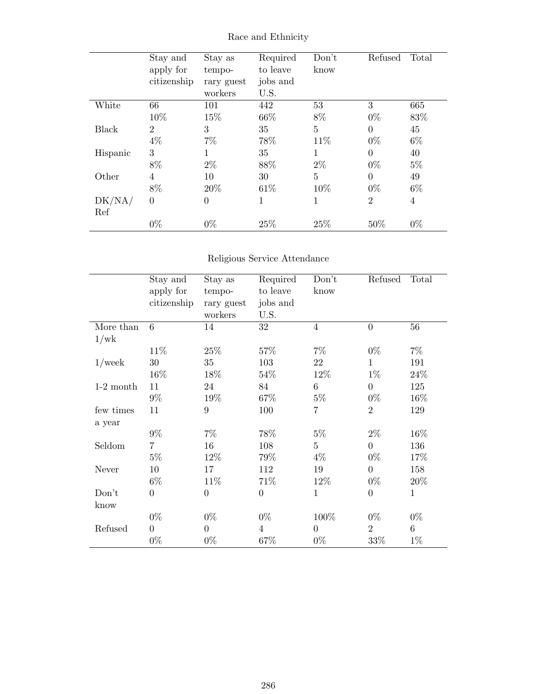|          | Stay and<br>apply for<br>citizenship | Stay as<br>tempo-<br>rary guest<br>workers | Required<br>to leave<br>jobs and<br>U.S. | Don't<br>know | Refused        | Total          |
|----------|--------------------------------------|--------------------------------------------|------------------------------------------|---------------|----------------|----------------|
| White    | 66                                   | 101                                        | 442                                      | 53            | 3              | 665            |
|          | 10%                                  | 15%                                        | 66\%                                     | 8%            | $0\%$          | 83%            |
| Black    | $\overline{2}$                       | 3                                          | 35                                       | 5             | $\theta$       | 45             |
|          | $4\%$                                | $7\%$                                      | 78%                                      | 11\%          | $0\%$          | $6\%$          |
| Hispanic | 3                                    | 1                                          | 35                                       | $\mathbf{1}$  | $\theta$       | 40             |
|          | 8%                                   | $2\%$                                      | 88%                                      | $2\%$         | $0\%$          | $5\%$          |
| Other    | 4                                    | 10                                         | 30                                       | 5             | $\overline{0}$ | 49             |
|          | 8%                                   | 20%                                        | 61\%                                     | 10%           | $0\%$          | $6\%$          |
| DK/NA/   | $\overline{0}$                       | $\boldsymbol{0}$                           | 1                                        | 1             | $\overline{2}$ | $\overline{4}$ |
| Ref      |                                      |                                            |                                          |               |                |                |
|          | $0\%$                                | $0\%$                                      | 25%                                      | 25%           | 50%            | $0\%$          |

Race and Ethnicity

## Religious Service Attendance

|             | Stay and<br>apply for<br>citizenship | Stay as<br>tempo-<br>rary guest<br>workers | Required<br>to leave<br>jobs and<br>U.S. | Don't<br>know  | Refused        | Total        |
|-------------|--------------------------------------|--------------------------------------------|------------------------------------------|----------------|----------------|--------------|
| More than   | 6                                    | 14                                         | 32                                       | $\overline{4}$ | $\overline{0}$ | 56           |
| 1/wk        |                                      |                                            |                                          |                |                |              |
|             | 11%                                  | $25\%$                                     | 57%                                      | $7\%$          | $0\%$          | $7\%$        |
| $1$ /week   | $30\,$                               | 35                                         | 103                                      | 22             | $\mathbf 1$    | 191          |
|             | 16%                                  | 18%                                        | 54%                                      | 12%            | $1\%$          | 24\%         |
| $1-2$ month | 11                                   | 24                                         | 84                                       | 6              | $\overline{0}$ | 125          |
|             | $9\%$                                | 19%                                        | 67%                                      | $5\%$          | $0\%$          | 16%          |
| few times   | 11                                   | $\boldsymbol{9}$                           | 100                                      | $\overline{7}$ | $\overline{2}$ | 129          |
| a year      |                                      |                                            |                                          |                |                |              |
|             | $9\%$                                | $7\%$                                      | 78%                                      | $5\%$          | $2\%$          | 16%          |
| Seldom      | $\overline{7}$                       | 16                                         | 108                                      | 5              | $\overline{0}$ | 136          |
|             | $5\%$                                | 12%                                        | 79%                                      | $4\%$          | $0\%$          | 17\%         |
| Never       | 10                                   | 17                                         | 112                                      | 19             | $\overline{0}$ | 158          |
|             | $6\%$                                | 11%                                        | 71%                                      | $12\%$         | $0\%$          | $20\%$       |
| Don't       | $\overline{0}$                       | $\overline{0}$                             | $\theta$                                 | $\mathbf{1}$   | $\overline{0}$ | $\mathbf{1}$ |
| know        |                                      |                                            |                                          |                |                |              |
|             | $0\%$                                | $0\%$                                      | $0\%$                                    | 100%           | $0\%$          | $0\%$        |
| Refused     | $\overline{0}$                       | $\overline{0}$                             | $\overline{4}$                           | $\overline{0}$ | $\overline{2}$ | 6            |
|             | $0\%$                                | $0\%$                                      | 67%                                      | $0\%$          | $33\%$         | $1\%$        |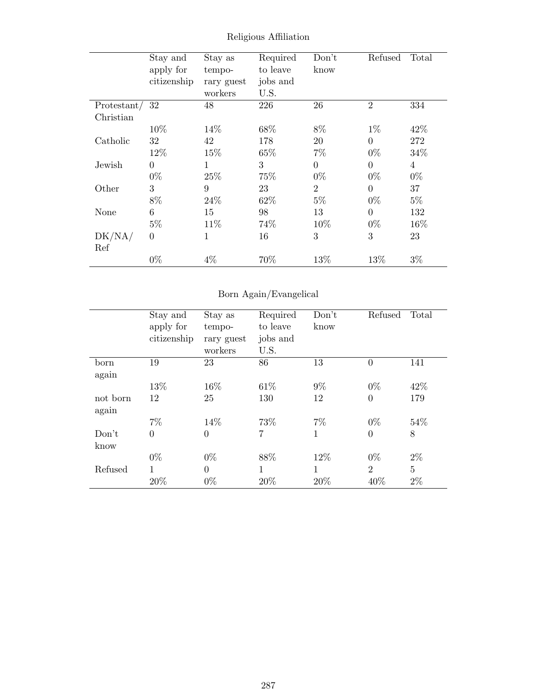|             | Stay and       | Stay as    | Required | Don't          | Refused        | Total          |
|-------------|----------------|------------|----------|----------------|----------------|----------------|
|             | apply for      | tempo-     | to leave | know           |                |                |
|             | citizenship    | rary guest | jobs and |                |                |                |
|             |                | workers    | U.S.     |                |                |                |
| Protestant/ | 32             | 48         | 226      | 26             | $\overline{2}$ | 334            |
| Christian   |                |            |          |                |                |                |
|             | 10\%           | 14\%       | 68%      | 8%             | $1\%$          | 42\%           |
| Catholic    | 32             | 42         | 178      | 20             | $\theta$       | 272            |
|             | 12\%           | 15%        | 65%      | $7\%$          | $0\%$          | 34%            |
| Jewish      | $\overline{0}$ | 1          | 3        | $\theta$       | $\theta$       | $\overline{4}$ |
|             | $0\%$          | 25%        | 75%      | $0\%$          | $0\%$          | $0\%$          |
| Other       | 3              | 9          | 23       | $\overline{2}$ | $\theta$       | 37             |
|             | 8%             | 24\%       | 62%      | $5\%$          | $0\%$          | $5\%$          |
| None        | 6              | 15         | 98       | 13             | $\theta$       | 132            |
|             | $5\%$          | 11\%       | 74%      | 10%            | $0\%$          | 16%            |
| DK/NA/      | $\overline{0}$ | 1          | 16       | 3              | 3              | 23             |
| Ref         |                |            |          |                |                |                |
|             | $0\%$          | $4\%$      | 70%      | 13%            | 13%            | $3\%$          |

Religious Affiliation

## Born Again/Evangelical

|          | Stay and<br>apply for<br>citizenship | Stay as<br>tempo-<br>rary guest<br>workers | Required<br>to leave<br>jobs and<br>U.S. | Don't<br>know | Refused        | Total |
|----------|--------------------------------------|--------------------------------------------|------------------------------------------|---------------|----------------|-------|
| born     | 19                                   | 23                                         | 86                                       | 13            | $\overline{0}$ | 141   |
| again    |                                      |                                            |                                          |               |                |       |
|          | 13%                                  | 16%                                        | 61\%                                     | $9\%$         | $0\%$          | 42\%  |
| not born | 12                                   | 25                                         | 130                                      | 12            | $\overline{0}$ | 179   |
| again    |                                      |                                            |                                          |               |                |       |
|          | $7\%$                                | 14%                                        | 73%                                      | $7\%$         | $0\%$          | 54%   |
| Don't    | $\overline{0}$                       | $\overline{0}$                             | 7                                        | 1             | $\overline{0}$ | 8     |
| know     |                                      |                                            |                                          |               |                |       |
|          | $0\%$                                | $0\%$                                      | 88%                                      | 12%           | $0\%$          | $2\%$ |
| Refused  | 1                                    | $\theta$                                   | 1                                        | 1             | $\overline{2}$ | 5     |
|          | 20%                                  | $0\%$                                      | 20%                                      | 20%           | 40%            | $2\%$ |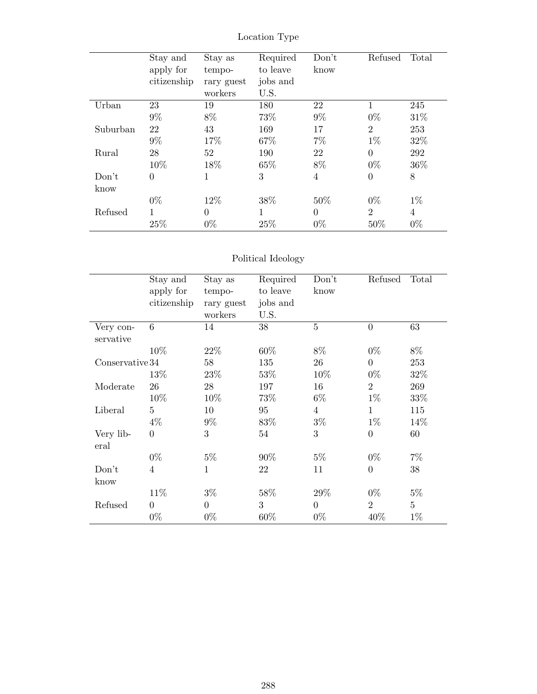|          | Stay and       | Stay as        | Required | Don't    | Refused          | Total |
|----------|----------------|----------------|----------|----------|------------------|-------|
|          | apply for      | tempo-         | to leave | know     |                  |       |
|          | citizenship    | rary guest     | jobs and |          |                  |       |
|          |                | workers        | U.S.     |          |                  |       |
| Urban    | 23             | 19             | 180      | 22       | 1                | 245   |
|          | $9\%$          | 8%             | 73%      | $9\%$    | $0\%$            | 31\%  |
| Suburban | 22             | 43             | 169      | 17       | $\overline{2}$   | 253   |
|          | $9\%$          | 17%            | 67%      | $7\%$    | $1\%$            | 32\%  |
| Rural    | 28             | 52             | 190      | 22       | $\theta$         | 292   |
|          | 10%            | 18%            | 65%      | 8%       | $0\%$            | 36\%  |
| Don't    | $\overline{0}$ | 1              | 3        | 4        | $\boldsymbol{0}$ | 8     |
| know     |                |                |          |          |                  |       |
|          | $0\%$          | 12%            | 38%      | 50%      | $0\%$            | $1\%$ |
| Refused  | 1              | $\overline{0}$ | 1        | $\theta$ | $\overline{2}$   | 4     |
|          | 25%            | $0\%$          | 25%      | $0\%$    | 50\%             | $0\%$ |

Location Type

# Political Ideology

|                        | Stay and<br>apply for<br>citizenship | Stay as<br>tempo-<br>rary guest<br>workers | Required<br>to leave<br>jobs and<br>U.S. | Don't<br>know  | Refused        | Total          |
|------------------------|--------------------------------------|--------------------------------------------|------------------------------------------|----------------|----------------|----------------|
| Very con-<br>servative | 6                                    | 14                                         | 38                                       | $\overline{5}$ | $\overline{0}$ | 63             |
|                        | 10%                                  | 22%                                        | 60%                                      | $8\%$          | $0\%$          | $8\%$          |
| Conservative 34        |                                      | 58                                         | 135                                      | 26             | $\overline{0}$ | 253            |
|                        | 13\%                                 | 23\%                                       | 53%                                      | 10%            | $0\%$          | 32\%           |
| Moderate               | 26                                   | 28                                         | 197                                      | 16             | $\overline{2}$ | 269            |
|                        | 10%                                  | 10%                                        | 73%                                      | $6\%$          | $1\%$          | 33\%           |
| Liberal                | $\overline{5}$                       | 10                                         | 95                                       | $\overline{4}$ | 1              | 115            |
|                        | $4\%$                                | $9\%$                                      | 83%                                      | $3\%$          | $1\%$          | 14%            |
| Very lib-<br>eral      | $\overline{0}$                       | 3                                          | 54                                       | 3              | $\overline{0}$ | 60             |
|                        | $0\%$                                | $5\%$                                      | 90%                                      | $5\%$          | $0\%$          | $7\%$          |
| Don't                  | $\overline{4}$                       | 1                                          | 22                                       | 11             | $\theta$       | 38             |
| know                   |                                      |                                            |                                          |                |                |                |
|                        | 11\%                                 | $3\%$                                      | 58%                                      | 29%            | $0\%$          | $5\%$          |
| Refused                | $\overline{0}$                       | $\theta$                                   | 3                                        | $\overline{0}$ | $\overline{2}$ | $\overline{5}$ |
|                        | $0\%$                                | $0\%$                                      | 60%                                      | $0\%$          | 40%            | $1\%$          |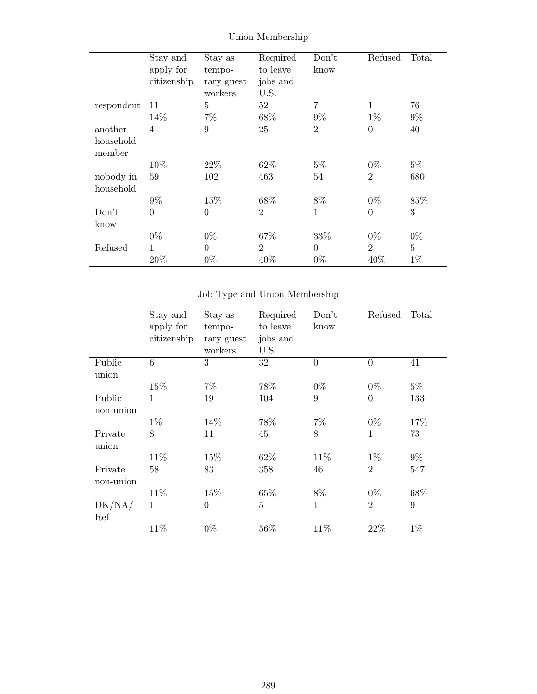|            | Stay and       | Stay as        | Required       | Don't          | Refused        | Total          |
|------------|----------------|----------------|----------------|----------------|----------------|----------------|
|            | apply for      | tempo-         | to leave       | know           |                |                |
|            | citizenship    | rary guest     | jobs and       |                |                |                |
|            |                | workers        | U.S.           |                |                |                |
| respondent | 11             | $\overline{5}$ | 52             | 7              | 1              | 76             |
|            | 14%            | $7\%$          | 68%            | $9\%$          | $1\%$          | $9\%$          |
| another    | $\overline{4}$ | 9              | 25             | $\overline{2}$ | $\overline{0}$ | 40             |
| household  |                |                |                |                |                |                |
| member     |                |                |                |                |                |                |
|            | 10%            | 22\%           | 62%            | $5\%$          | $0\%$          | $5\%$          |
| nobody in  | 59             | 102            | 463            | 54             | $\overline{2}$ | 680            |
| household  |                |                |                |                |                |                |
|            | $9\%$          | 15%            | 68%            | 8%             | $0\%$          | 85%            |
| Don't      | $\overline{0}$ | $\overline{0}$ | $\overline{2}$ | $\mathbf{1}$   | $\overline{0}$ | 3              |
| know       |                |                |                |                |                |                |
|            | $0\%$          | $0\%$          | 67%            | 33%            | $0\%$          | $0\%$          |
| Refused    | 1              | $\overline{0}$ | $\overline{2}$ | $\Omega$       | $\overline{2}$ | $\overline{5}$ |
|            | 20%            | $0\%$          | 40%            | $0\%$          | 40%            | $1\%$          |

Union Membership

## Job Type and Union Membership

|           | Stay and     | Stay as        | Required       | Don't          | Refused        | Total |
|-----------|--------------|----------------|----------------|----------------|----------------|-------|
|           | apply for    | tempo-         | to leave       | know           |                |       |
|           | citizenship  | rary guest     | jobs and       |                |                |       |
|           |              | workers        | U.S.           |                |                |       |
| Public    | 6            | 3              | 32             | $\overline{0}$ | $\overline{0}$ | 41    |
| union     |              |                |                |                |                |       |
|           | 15%          | 7%             | 78%            | $0\%$          | $0\%$          | $5\%$ |
| Public    | 1            | 19             | 104            | 9              | $\overline{0}$ | 133   |
| non-union |              |                |                |                |                |       |
|           | $1\%$        | 14%            | 78%            | $7\%$          | $0\%$          | 17%   |
| Private   | 8            | 11             | 45             | 8              | $\mathbf{1}$   | 73    |
| union     |              |                |                |                |                |       |
|           | 11\%         | 15%            | 62\%           | 11\%           | $1\%$          | $9\%$ |
| Private   | 58           | 83             | 358            | 46             | $\overline{2}$ | 547   |
| non-union |              |                |                |                |                |       |
|           | 11%          | 15%            | 65%            | $8\%$          | $0\%$          | 68\%  |
| DK/NA/    | $\mathbf{1}$ | $\overline{0}$ | $\overline{5}$ | $\mathbf{1}$   | $\overline{2}$ | 9     |
| Ref       |              |                |                |                |                |       |
|           | 11%          | $0\%$          | $56\%$         | 11\%           | 22%            | $1\%$ |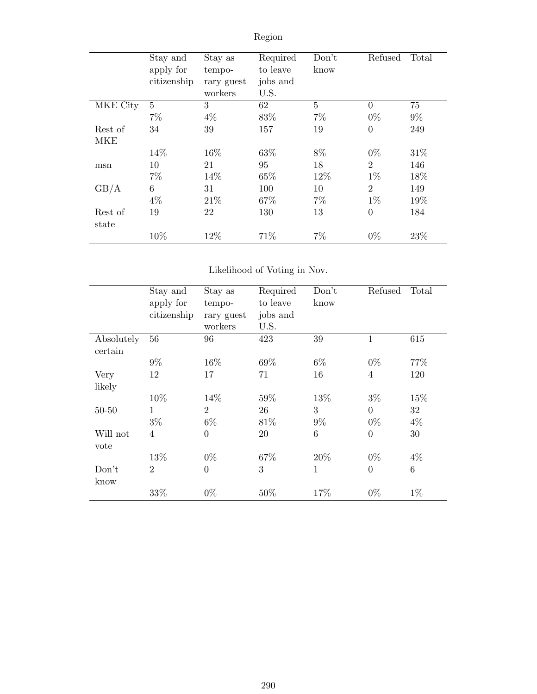|          | Stay and<br>apply for<br>citizenship | Stay as<br>tempo-<br>rary guest<br>workers | Required<br>to leave<br>jobs and<br>U.S. | Don't<br>know | Refused        | Total |
|----------|--------------------------------------|--------------------------------------------|------------------------------------------|---------------|----------------|-------|
| MKE City | 5                                    | 3                                          | 62                                       | 5             | $\overline{0}$ | 75    |
|          | $7\%$                                | $4\%$                                      | 83%                                      | $7\%$         | $0\%$          | $9\%$ |
| Rest of  | 34                                   | 39                                         | 157                                      | 19            | $\overline{0}$ | 249   |
| MKE      |                                      |                                            |                                          |               |                |       |
|          | 14%                                  | 16%                                        | 63%                                      | 8%            | $0\%$          | 31\%  |
| msn      | 10                                   | 21                                         | 95                                       | 18            | $\overline{2}$ | 146   |
|          | $7\%$                                | 14%                                        | 65%                                      | 12%           | $1\%$          | 18%   |
| GB/A     | 6                                    | 31                                         | 100                                      | 10            | $\overline{2}$ | 149   |
|          | $4\%$                                | 21\%                                       | 67%                                      | $7\%$         | $1\%$          | 19%   |
| Rest of  | 19                                   | 22                                         | 130                                      | 13            | $\overline{0}$ | 184   |
| state    | 10%                                  | 12%                                        | 71%                                      | $7\%$         | $0\%$          | 23%   |

## Likelihood of Voting in Nov.

|            | Stay and<br>apply for<br>citizenship | Stay as<br>tempo-<br>rary guest<br>workers | Required<br>to leave<br>jobs and<br>U.S. | Don't<br>know | Refused        | Total |
|------------|--------------------------------------|--------------------------------------------|------------------------------------------|---------------|----------------|-------|
| Absolutely | 56                                   | 96                                         | 423                                      | 39            | $\mathbf{1}$   | 615   |
| certain    |                                      |                                            |                                          |               |                |       |
|            | $9\%$                                | 16%                                        | 69%                                      | $6\%$         | $0\%$          | 77%   |
| Very       | 12                                   | 17                                         | 71                                       | 16            | $\overline{4}$ | 120   |
| likely     |                                      |                                            |                                          |               |                |       |
|            | 10%                                  | 14%                                        | $59\%$                                   | 13%           | $3\%$          | 15%   |
| $50 - 50$  | 1                                    | $\overline{2}$                             | 26                                       | 3             | $\overline{0}$ | 32    |
|            | $3\%$                                | $6\%$                                      | 81%                                      | $9\%$         | $0\%$          | $4\%$ |
| Will not   | $\overline{4}$                       | $\overline{0}$                             | 20                                       | 6             | $\overline{0}$ | 30    |
| vote       |                                      |                                            |                                          |               |                |       |
|            | 13%                                  | $0\%$                                      | 67%                                      | 20%           | $0\%$          | $4\%$ |
| Don't      | $\overline{2}$                       | $\overline{0}$                             | 3                                        | 1             | $\overline{0}$ | 6     |
| know       |                                      |                                            |                                          |               |                |       |
|            | 33%                                  | $0\%$                                      | $50\%$                                   | 17%           | $0\%$          | $1\%$ |

Region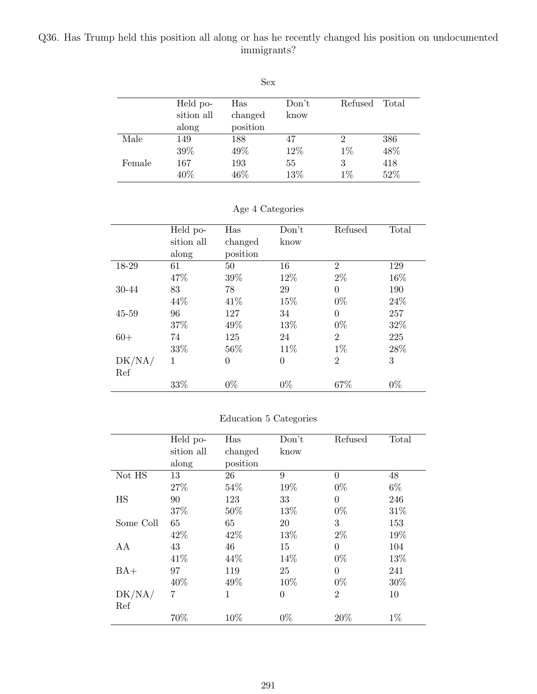## Q36. Has Trump held this position all along or has he recently changed his position on undocumented immigrants?

| Sex    |            |          |       |         |       |  |
|--------|------------|----------|-------|---------|-------|--|
|        | Held po-   | Has      | Don't | Refused | Total |  |
|        | sition all | changed  | know  |         |       |  |
|        | along      | position |       |         |       |  |
| Male   | 149        | 188      | 47    | 2       | 386   |  |
|        | 39%        | 49%      | 12%   | $1\%$   | 48\%  |  |
| Female | 167        | 193      | 55    | 3       | 418   |  |
|        | 40\%       | 46\%     | 13%   | $1\%$   | 52%   |  |

|  |  | Age 4 Categories |
|--|--|------------------|
|--|--|------------------|

|        | Held po-   | Has      | Don't          | Refused        | Total |
|--------|------------|----------|----------------|----------------|-------|
|        | sition all | changed  | know           |                |       |
|        | along      | position |                |                |       |
| 18-29  | 61         | 50       | 16             | $\overline{2}$ | 129   |
|        | 47%        | 39%      | 12\%           | $2\%$          | 16%   |
| 30-44  | 83         | 78       | 29             | $\overline{0}$ | 190   |
|        | 44\%       | 41\%     | 15%            | $0\%$          | 24\%  |
| 45-59  | 96         | 127      | 34             | $\theta$       | 257   |
|        | 37%        | 49\%     | 13%            | $0\%$          | 32\%  |
| $60+$  | 74         | 125      | 24             | $\overline{2}$ | 225   |
|        | 33%        | 56%      | 11\%           | $1\%$          | 28%   |
| DK/NA/ | 1          | 0        | $\overline{0}$ | $\overline{2}$ | 3     |
| Ref    |            |          |                |                |       |
|        | 33%        | $0\%$    | $0\%$          | 67%            | $0\%$ |

### Education 5 Categories

|           | Held po-   | Has      | Don't          | Refused        | Total |
|-----------|------------|----------|----------------|----------------|-------|
|           | sition all | changed  | know           |                |       |
|           | along      | position |                |                |       |
| Not HS    | 13         | 26       | 9              | $\Omega$       | 48    |
|           | 27\%       | 54%      | 19%            | $0\%$          | $6\%$ |
| HS        | 90         | 123      | 33             | $\theta$       | 246   |
|           | 37%        | 50%      | 13%            | $0\%$          | 31\%  |
| Some Coll | 65         | 65       | 20             | 3              | 153   |
|           | 42\%       | 42\%     | 13%            | $2\%$          | 19%   |
| AА        | 43         | 46       | 15             | $\Omega$       | 104   |
|           | 41\%       | 44\%     | 14%            | $0\%$          | 13%   |
| $BA+$     | 97         | 119      | 25             | $\theta$       | 241   |
|           | 40%        | 49%      | 10%            | $0\%$          | 30%   |
| DK/NA/    | 7          | 1        | $\overline{0}$ | $\overline{2}$ | 10    |
| Ref       |            |          |                |                |       |
|           | 70%        | 10%      | $0\%$          | 20%            | $1\%$ |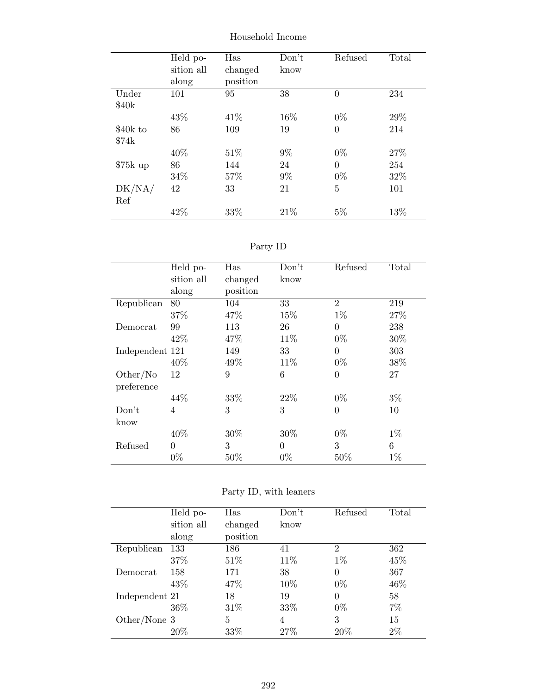|           | Held po-   | Has      | Don't | Refused        | Total |
|-----------|------------|----------|-------|----------------|-------|
|           | sition all | changed  | know  |                |       |
|           | along      | position |       |                |       |
| Under     | 101        | 95       | 38    | $\overline{0}$ | 234   |
| \$40k     |            |          |       |                |       |
|           | 43\%       | 41\%     | 16%   | $0\%$          | 29%   |
| \$40k to  | 86         | 109      | 19    | $\overline{0}$ | 214   |
| \$74k     |            |          |       |                |       |
|           | 40%        | 51\%     | $9\%$ | $0\%$          | 27%   |
| $$75k$ up | 86         | 144      | 24    | $\theta$       | 254   |
|           | 34\%       | 57%      | $9\%$ | $0\%$          | 32%   |
| DK/NA/    | 42         | 33       | 21    | 5              | 101   |
| Ref       |            |          |       |                |       |
|           | 42%        | 33%      | 21%   | $5\%$          | 13%   |

Household Income

| aг<br>L |  |
|---------|--|
|---------|--|

|                 | Held po-       | Has      | Don't    | Refused        | Total |
|-----------------|----------------|----------|----------|----------------|-------|
|                 | sition all     | changed  | know     |                |       |
|                 | along          | position |          |                |       |
| Republican      | 80             | 104      | 33       | $\overline{2}$ | 219   |
|                 | 37%            | 47%      | 15%      | $1\%$          | 27%   |
| Democrat        | 99             | 113      | 26       | $\Omega$       | 238   |
|                 | 42\%           | 47\%     | 11\%     | $0\%$          | 30%   |
| Independent 121 |                | 149      | 33       | $\theta$       | 303   |
|                 | 40\%           | 49%      | 11\%     | $0\%$          | 38%   |
| Other/No        | 12             | 9        | 6        | $\overline{0}$ | 27    |
| preference      |                |          |          |                |       |
|                 | 44\%           | 33%      | 22\%     | $0\%$          | $3\%$ |
| Don't           | $\overline{4}$ | 3        | 3        | $\overline{0}$ | 10    |
| know            |                |          |          |                |       |
|                 | 40%            | 30\%     | 30\%     | $0\%$          | $1\%$ |
| Refused         | $\theta$       | 3        | $\theta$ | 3              | 6     |
|                 | $0\%$          | 50%      | $0\%$    | $50\%$         | $1\%$ |

|  | Party ID, with leaners |
|--|------------------------|
|  |                        |

|                | Held po-   | Has      | Don't | Refused        | Total |
|----------------|------------|----------|-------|----------------|-------|
|                | sition all | changed  | know  |                |       |
|                | along      | position |       |                |       |
| Republican     | 133        | 186      | 41    | $\overline{2}$ | 362   |
|                | 37%        | 51\%     | 11\%  | $1\%$          | 45%   |
| Democrat       | 158        | 171      | 38    | 0              | 367   |
|                | 43\%       | 47\%     | 10%   | $0\%$          | 46\%  |
| Independent 21 |            | 18       | 19    | 0              | 58    |
|                | 36\%       | 31\%     | 33%   | $0\%$          | 7%    |
| Other/None 3   |            | 5        | 4     | 3              | 15    |
|                | 20%        | 33%      | 27%   | 20%            | $2\%$ |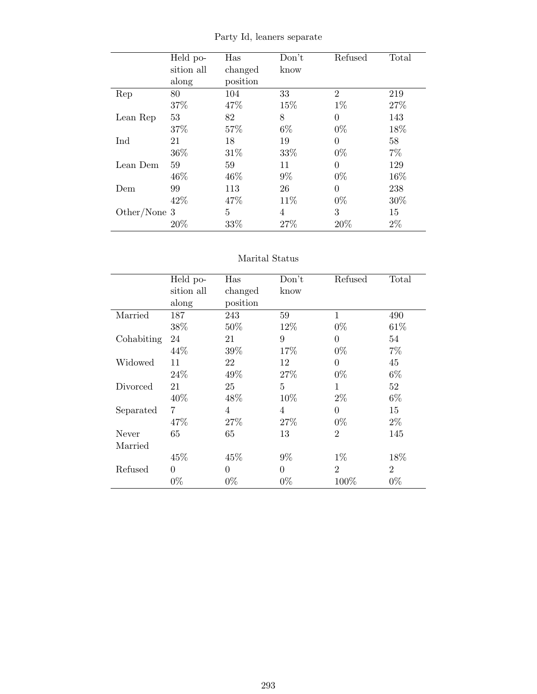|              | Held po-   | Has      | Don't | Refused        | Total |
|--------------|------------|----------|-------|----------------|-------|
|              | sition all | changed  | know  |                |       |
|              | along      | position |       |                |       |
| Rep          | 80         | 104      | 33    | $\overline{2}$ | 219   |
|              | 37%        | 47%      | 15%   | $1\%$          | 27%   |
| Lean Rep     | 53         | 82       | 8     | $\Omega$       | 143   |
|              | 37%        | 57%      | $6\%$ | $0\%$          | 18%   |
| Ind          | 21         | 18       | 19    | $\Omega$       | 58    |
|              | 36%        | 31\%     | 33%   | $0\%$          | $7\%$ |
| Lean Dem     | 59         | 59       | 11    | $\theta$       | 129   |
|              | 46%        | 46%      | $9\%$ | $0\%$          | 16%   |
| Dem          | 99         | 113      | 26    | $\theta$       | 238   |
|              | 42\%       | 47\%     | 11\%  | $0\%$          | 30%   |
| Other/None 3 |            | 5        | 4     | 3              | 15    |
|              | 20%        | 33%      | 27%   | 20%            | $2\%$ |

Party Id, leaners separate

### Marital Status

|            | Held po-   | Has      | Don't          | Refused        | Total          |
|------------|------------|----------|----------------|----------------|----------------|
|            | sition all | changed  | know           |                |                |
|            | along      | position |                |                |                |
| Married    | 187        | 243      | 59             | $\mathbf{1}$   | 490            |
|            | 38%        | 50%      | 12%            | $0\%$          | 61\%           |
| Cohabiting | 24         | 21       | 9              | $\theta$       | 54             |
|            | 44\%       | 39%      | 17%            | $0\%$          | $7\%$          |
| Widowed    | 11         | 22       | 12             | $\Omega$       | 45             |
|            | 24\%       | 49\%     | 27%            | $0\%$          | $6\%$          |
| Divorced   | 21         | 25       | $\overline{5}$ | 1              | 52             |
|            | 40%        | 48%      | 10\%           | $2\%$          | $6\%$          |
| Separated  | 7          | 4        | $\overline{4}$ | $\Omega$       | 15             |
|            | 47%        | 27\%     | 27%            | $0\%$          | $2\%$          |
| Never      | 65         | 65       | 13             | $\overline{2}$ | 145            |
| Married    |            |          |                |                |                |
|            | 45%        | 45%      | $9\%$          | $1\%$          | 18%            |
| Refused    | $\theta$   | $\Omega$ | $\theta$       | $\overline{2}$ | $\overline{2}$ |
|            | $0\%$      | $0\%$    | $0\%$          | 100%           | $0\%$          |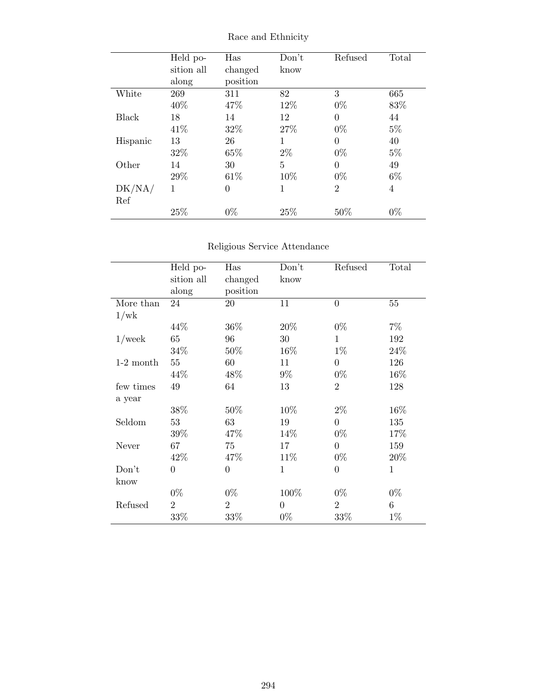|              | Held po-   | Has            | Don't        | Refused        | Total |
|--------------|------------|----------------|--------------|----------------|-------|
|              | sition all | changed        | know         |                |       |
|              | along      | position       |              |                |       |
| White        | 269        | 311            | 82           | 3              | 665   |
|              | 40%        | 47%            | 12%          | $0\%$          | 83%   |
| <b>Black</b> | 18         | 14             | 12           | $\Omega$       | 44    |
|              | 41\%       | 32%            | 27\%         | $0\%$          | $5\%$ |
| Hispanic     | 13         | 26             | 1            | 0              | 40    |
|              | 32%        | 65%            | $2\%$        | $0\%$          | $5\%$ |
| Other        | 14         | 30             | 5            | $\theta$       | 49    |
|              | 29%        | 61\%           | 10%          | $0\%$          | $6\%$ |
| DK/NA/       | 1          | $\overline{0}$ | $\mathbf{1}$ | $\overline{2}$ | 4     |
| Ref          |            |                |              |                |       |
|              | 25%        | $0\%$          | 25%          | 50%            | $0\%$ |

Race and Ethnicity

## Religious Service Attendance

|             | Held po-       | Has            | Don't          | Refused        | Total        |
|-------------|----------------|----------------|----------------|----------------|--------------|
|             | sition all     | changed        | know           |                |              |
|             | along          | position       |                |                |              |
| More than   | 24             | 20             | 11             | $\overline{0}$ | 55           |
| 1/wk        |                |                |                |                |              |
|             | 44%            | 36\%           | 20%            | $0\%$          | 7%           |
| $1$ /week   | 65             | 96             | 30             | $\mathbf{1}$   | 192          |
|             | 34%            | $50\%$         | 16%            | $1\%$          | 24%          |
| $1-2$ month | 55             | 60             | 11             | $\overline{0}$ | 126          |
|             | 44\%           | 48\%           | 9%             | $0\%$          | $16\%$       |
| few times   | 49             | 64             | 13             | $\overline{2}$ | 128          |
| a year      |                |                |                |                |              |
|             | 38%            | $50\%$         | 10%            | $2\%$          | 16%          |
| Seldom      | 53             | 63             | 19             | $\overline{0}$ | 135          |
|             | $39\%$         | 47\%           | 14\%           | $0\%$          | 17%          |
| Never       | 67             | 75             | 17             | $\Omega$       | 159          |
|             | 42%            | 47%            | 11\%           | $0\%$          | 20%          |
| Don't       | $\overline{0}$ | $\overline{0}$ | 1              | $\overline{0}$ | $\mathbf{1}$ |
| know        |                |                |                |                |              |
|             | $0\%$          | $0\%$          | 100%           | $0\%$          | $0\%$        |
| Refused     | $\overline{2}$ | $\overline{2}$ | $\overline{0}$ | $\overline{2}$ | 6            |
|             | 33%            | 33%            | $0\%$          | 33%            | $1\%$        |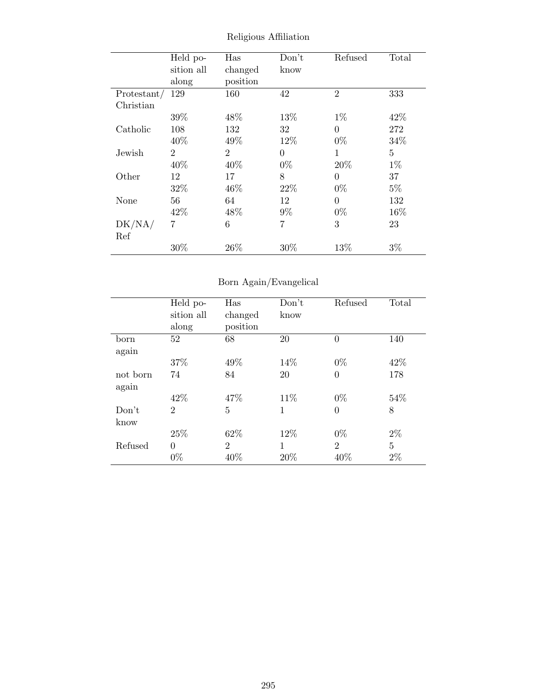|             | Held po-       | Has            | Don't    | Refused        | Total |
|-------------|----------------|----------------|----------|----------------|-------|
|             | sition all     | changed        | know     |                |       |
|             | along          | position       |          |                |       |
| Protestant/ | 129            | 160            | 42       | $\overline{2}$ | 333   |
| Christian   |                |                |          |                |       |
|             | 39%            | 48\%           | 13%      | $1\%$          | 42\%  |
| Catholic    | 108            | 132            | 32       | $\Omega$       | 272   |
|             | 40%            | 49%            | 12%      | $0\%$          | 34%   |
| Jewish      | $\overline{2}$ | $\overline{2}$ | $\theta$ | 1              | 5     |
|             | 40%            | 40%            | $0\%$    | 20\%           | $1\%$ |
| Other       | 12             | 17             | 8        | $\theta$       | 37    |
|             | 32%            | 46\%           | 22\%     | $0\%$          | $5\%$ |
| None        | 56             | 64             | 12       | $\Omega$       | 132   |
|             | 42\%           | 48\%           | $9\%$    | $0\%$          | 16%   |
| DK/NA/      | 7              | 6              | 7        | 3              | 23    |
| Ref         |                |                |          |                |       |
|             | 30%            | 26%            | 30%      | 13\%           | $3\%$ |

Religious Affiliation

## Born Again/Evangelical

|          | Held po-       | Has            | Don't | Refused        | Total |
|----------|----------------|----------------|-------|----------------|-------|
|          | sition all     | changed        | know  |                |       |
|          | along          | position       |       |                |       |
| born     | 52             | 68             | 20    | $\theta$       | 140   |
| again    |                |                |       |                |       |
|          | 37%            | 49%            | 14\%  | $0\%$          | 42%   |
| not born | 74             | 84             | 20    | $\theta$       | 178   |
| again    |                |                |       |                |       |
|          | 42\%           | 47\%           | 11\%  | $0\%$          | 54\%  |
| Don't    | $\overline{2}$ | $\overline{5}$ | 1     | $\theta$       | 8     |
| know     |                |                |       |                |       |
|          | 25%            | 62%            | 12%   | $0\%$          | $2\%$ |
| Refused  | $\theta$       | $\overline{2}$ | 1     | $\overline{2}$ | 5     |
|          | $0\%$          | 40%            | 20%   | 40%            | $2\%$ |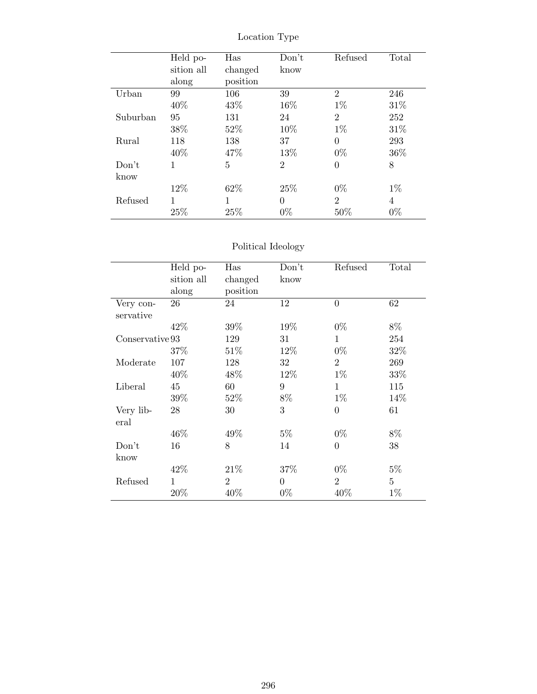|          | Held po-   | Has      | Don't          | Refused        | Total |
|----------|------------|----------|----------------|----------------|-------|
|          | sition all | changed  | know           |                |       |
|          | along      | position |                |                |       |
| Urban    | 99         | 106      | 39             | $\overline{2}$ | 246   |
|          | 40%        | 43\%     | 16\%           | $1\%$          | 31\%  |
| Suburban | 95         | 131      | 24             | $\overline{2}$ | 252   |
|          | 38%        | 52%      | 10%            | $1\%$          | 31\%  |
| Rural    | 118        | 138      | 37             | $\theta$       | 293   |
|          | 40\%       | 47%      | 13%            | $0\%$          | 36%   |
| Don't    | 1          | 5        | $\overline{2}$ | 0              | 8     |
| know     |            |          |                |                |       |
|          | 12%        | 62%      | 25\%           | $0\%$          | $1\%$ |
| Refused  |            | 1        | $\overline{0}$ | $\overline{2}$ | 4     |
|          | 25%        | 25%      | $0\%$          | 50%            | $0\%$ |

Location Type

## Political Ideology

|                 | Held po-   | Has            | Don't          | Refused        | Total          |
|-----------------|------------|----------------|----------------|----------------|----------------|
|                 | sition all | changed        | know           |                |                |
|                 | along      | position       |                |                |                |
| Very con-       | 26         | 24             | 12             | $\overline{0}$ | 62             |
| servative       |            |                |                |                |                |
|                 | 42%        | 39%            | 19%            | $0\%$          | 8%             |
| Conservative 93 |            | 129            | 31             | $\mathbf{1}$   | 254            |
|                 | 37\%       | 51\%           | 12%            | $0\%$          | 32%            |
| Moderate        | 107        | 128            | 32             | $\overline{2}$ | 269            |
|                 | 40\%       | 48\%           | 12\%           | $1\%$          | 33\%           |
| Liberal         | 45         | 60             | 9              | $\mathbf{1}$   | 115            |
|                 | 39%        | 52\%           | 8%             | $1\%$          | 14%            |
| Very lib-       | 28         | 30             | 3              | $\overline{0}$ | 61             |
| eral            |            |                |                |                |                |
|                 | 46\%       | 49%            | $5\%$          | $0\%$          | $8\%$          |
| Don't           | 16         | 8              | 14             | $\overline{0}$ | 38             |
| know            |            |                |                |                |                |
|                 | 42\%       | 21\%           | 37%            | $0\%$          | $5\%$          |
| Refused         | 1          | $\overline{2}$ | $\overline{0}$ | $\overline{2}$ | $\overline{5}$ |
|                 | 20%        | 40%            | $0\%$          | 40%            | $1\%$          |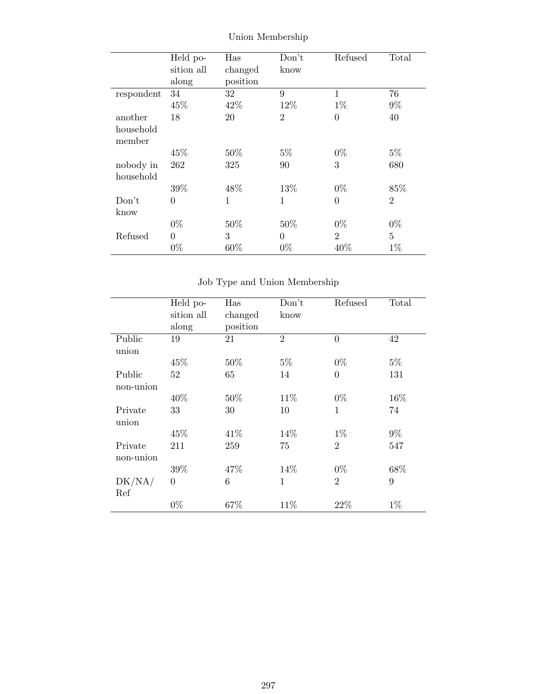|            | Held po-       | Has      | Don't          | Refused        | Total          |
|------------|----------------|----------|----------------|----------------|----------------|
|            | sition all     | changed  | know           |                |                |
|            | along          | position |                |                |                |
| respondent | 34             | 32       | 9              | 1              | 76             |
|            | 45%            | 42\%     | 12%            | $1\%$          | $9\%$          |
| another    | 18             | 20       | $\overline{2}$ | $\theta$       | 40             |
| household  |                |          |                |                |                |
| member     |                |          |                |                |                |
|            | 45%            | 50%      | $5\%$          | $0\%$          | $5\%$          |
| nobody in  | 262            | 325      | 90             | 3              | 680            |
| household  |                |          |                |                |                |
|            | 39%            | 48%      | 13%            | $0\%$          | 85%            |
| Don't      | $\overline{0}$ | 1        | $\mathbf{1}$   | $\overline{0}$ | $\overline{2}$ |
| know       |                |          |                |                |                |
|            | $0\%$          | 50%      | 50%            | $0\%$          | $0\%$          |
| Refused    | $\theta$       | 3        | $\overline{0}$ | $\overline{2}$ | 5              |
|            | $0\%$          | 60%      | $0\%$          | 40%            | $1\%$          |

Union Membership

Job Type and Union Membership

|           | Held po-   | Has      | Don't          | Refused        | Total |
|-----------|------------|----------|----------------|----------------|-------|
|           | sition all | changed  | know           |                |       |
|           | along      | position |                |                |       |
| Public    | 19         | 21       | $\overline{2}$ | $\overline{0}$ | 42    |
| union     |            |          |                |                |       |
|           | 45\%       | 50%      | $5\%$          | $0\%$          | $5\%$ |
| Public    | 52         | 65       | 14             | $\overline{0}$ | 131   |
| non-union |            |          |                |                |       |
|           | 40%        | 50%      | 11\%           | $0\%$          | 16%   |
| Private   | 33         | 30       | 10             | $\mathbf{1}$   | 74    |
| union     |            |          |                |                |       |
|           | 45%        | 41\%     | 14%            | $1\%$          | $9\%$ |
| Private   | 211        | 259      | 75             | $\overline{2}$ | 547   |
| non-union |            |          |                |                |       |
|           | 39%        | 47%      | 14%            | $0\%$          | 68%   |
| DK/NA/    | $\theta$   | 6        | 1              | $\overline{2}$ | 9     |
| Ref       |            |          |                |                |       |
|           | $0\%$      | 67%      | 11%            | 22%            | $1\%$ |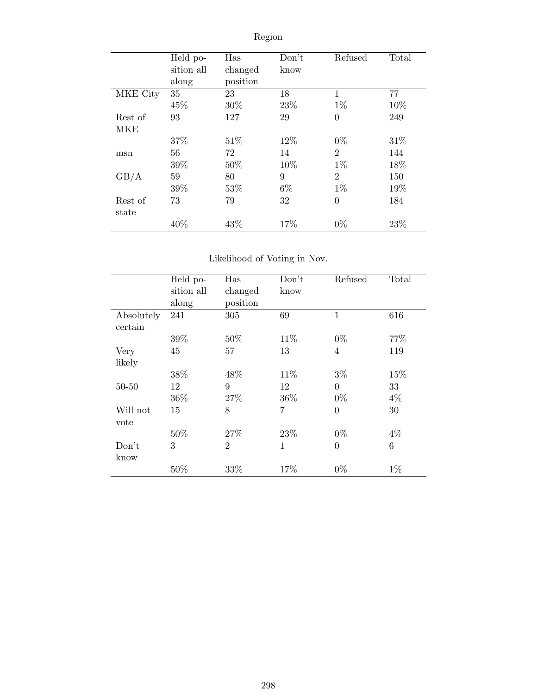|            | Held po-   | Has      | Don't | Refused        | Total |
|------------|------------|----------|-------|----------------|-------|
|            | sition all | changed  | know  |                |       |
|            | along      | position |       |                |       |
| MKE City   | 35         | 23       | 18    | $\mathbf{1}$   | 77    |
|            | 45%        | 30%      | 23%   | $1\%$          | 10%   |
| Rest of    | 93         | 127      | 29    | $\overline{0}$ | 249   |
| <b>MKE</b> |            |          |       |                |       |
|            | 37%        | 51\%     | 12%   | $0\%$          | 31%   |
| msn        | 56         | 72       | 14    | $\overline{2}$ | 144   |
|            | 39%        | $50\%$   | 10%   | $1\%$          | 18%   |
| GB/A       | 59         | 80       | 9     | $\overline{2}$ | 150   |
|            | 39%        | 53%      | $6\%$ | $1\%$          | 19%   |
| Rest of    | 73         | 79       | 32    | $\overline{0}$ | 184   |
| state      |            |          |       |                |       |
|            | 40%        | 43%      | 17%   | $0\%$          | 23%   |

# Region

## Likelihood of Voting in Nov.

|            | Held po-   | Has            | Don't          | Refused        | Total          |
|------------|------------|----------------|----------------|----------------|----------------|
|            | sition all | changed        | know           |                |                |
|            | along      | position       |                |                |                |
| Absolutely | 241        | 305            | 69             | 1              | 616            |
| certain    |            |                |                |                |                |
|            | 39%        | 50%            | 11\%           | $0\%$          | 77\%           |
| Very       | 45         | 57             | 13             | 4              | 119            |
| likely     |            |                |                |                |                |
|            | 38%        | 48\%           | 11\%           | $3\%$          | 15%            |
| $50 - 50$  | 12         | 9              | 12             | $\overline{0}$ | 33             |
|            | 36\%       | 27%            | 36%            | $0\%$          | $4\%$          |
| Will not   | 15         | 8              | $\overline{7}$ | $\theta$       | 30             |
| vote       |            |                |                |                |                |
|            | 50%        | 27%            | 23%            | $0\%$          | $4\%$          |
| Don't      | 3          | $\overline{2}$ | $\mathbf{1}$   | $\overline{0}$ | $\overline{6}$ |
| know       |            |                |                |                |                |
|            | 50%        | 33%            | 17%            | $0\%$          | $1\%$          |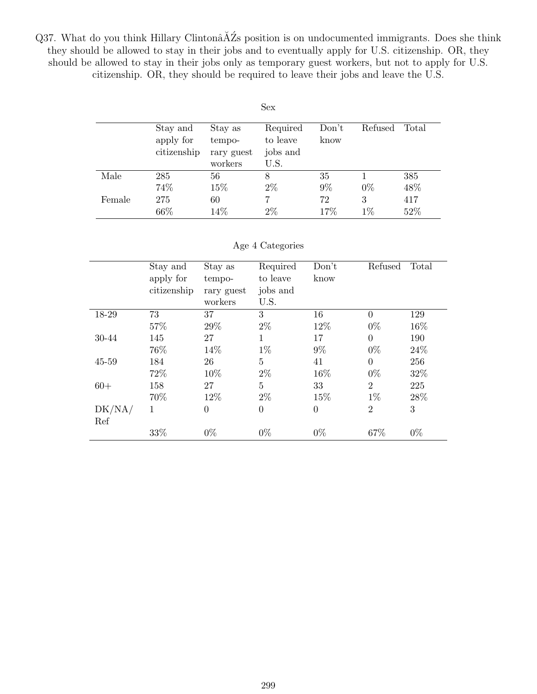Q37. What do you think Hillary Clintonâ $\breve{\text{A}}$ Zs position is on undocumented immigrants. Does she think they should be allowed to stay in their jobs and to eventually apply for U.S. citizenship. OR, they should be allowed to stay in their jobs only as temporary guest workers, but not to apply for U.S. citizenship. OR, they should be required to leave their jobs and leave the U.S.

|        |                                      |                                            | Sex                                      |               |            |            |
|--------|--------------------------------------|--------------------------------------------|------------------------------------------|---------------|------------|------------|
|        | Stay and<br>apply for<br>citizenship | Stay as<br>tempo-<br>rary guest<br>workers | Required<br>to leave<br>jobs and<br>U.S. | Don't<br>know | Refused    | Total      |
| Male   | 285<br>74%                           | 56<br>15%                                  | 8<br>$2\%$                               | 35<br>$9\%$   | $0\%$      | 385<br>48% |
| Female | 275<br>66%                           | 60<br>14%                                  | $2\%$                                    | 72<br>17%     | 3<br>$1\%$ | 417<br>52% |

#### Age 4 Categories

|           | Stay and    | Stay as        | Required       | Don't          | Refused  | Total |
|-----------|-------------|----------------|----------------|----------------|----------|-------|
|           | apply for   | tempo-         | to leave       | know           |          |       |
|           | citizenship | rary guest     | jobs and       |                |          |       |
|           |             | workers        | U.S.           |                |          |       |
| 18-29     | 73          | 37             | 3              | 16             | $\Omega$ | 129   |
|           | 57%         | 29%            | $2\%$          | 12%            | $0\%$    | 16%   |
| 30-44     | 145         | 27             | 1              | 17             | $\Omega$ | 190   |
|           | 76%         | 14%            | $1\%$          | $9\%$          | $0\%$    | 24%   |
| $45 - 59$ | 184         | 26             | 5              | 41             | $\Omega$ | 256   |
|           | 72%         | 10%            | $2\%$          | 16%            | $0\%$    | 32%   |
| $60+$     | 158         | 27             | 5              | 33             | 2        | 225   |
|           | 70%         | 12%            | $2\%$          | 15%            | $1\%$    | 28\%  |
| DK/NA/    | 1           | $\overline{0}$ | $\overline{0}$ | $\overline{0}$ | 2        | 3     |
| Ref       |             |                |                |                |          |       |
|           | 33%         | $0\%$          | $0\%$          | $0\%$          | 67%      | $0\%$ |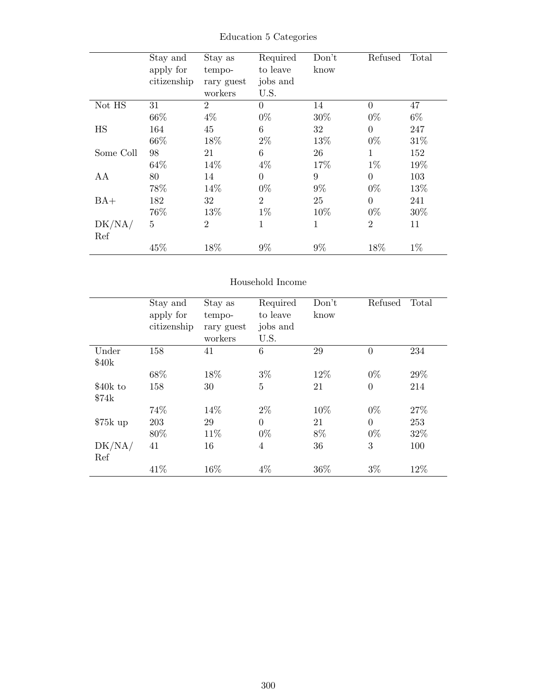|           | Stay and    | Stay as        | Required       | Don't | Refused        | Total |
|-----------|-------------|----------------|----------------|-------|----------------|-------|
|           | apply for   | tempo-         | to leave       | know  |                |       |
|           | citizenship | rary guest     | jobs and       |       |                |       |
|           |             | workers        | U.S.           |       |                |       |
| Not HS    | 31          | $\overline{2}$ | $\theta$       | 14    | $\theta$       | 47    |
|           | 66\%        | $4\%$          | $0\%$          | 30%   | $0\%$          | $6\%$ |
| HS        | 164         | 45             | 6              | 32    | $\overline{0}$ | 247   |
|           | 66\%        | 18%            | $2\%$          | 13%   | $0\%$          | 31\%  |
| Some Coll | 98          | 21             | 6              | 26    | 1              | 152   |
|           | 64%         | 14\%           | $4\%$          | 17%   | $1\%$          | 19%   |
| AA        | 80          | 14             | $\theta$       | 9     | $\theta$       | 103   |
|           | 78%         | 14%            | $0\%$          | $9\%$ | $0\%$          | 13%   |
| $BA+$     | 182         | 32             | $\overline{2}$ | 25    | $\overline{0}$ | 241   |
|           | 76%         | 13%            | $1\%$          | 10%   | $0\%$          | 30\%  |
| DK/NA/    | 5           | $\overline{2}$ | 1              | 1     | $\overline{2}$ | 11    |
| Ref       |             |                |                |       |                |       |
|           | 45%         | 18%            | $9\%$          | $9\%$ | 18%            | $1\%$ |

Education 5 Categories

## Household Income

|           | Stay and<br>apply for<br>citizenship | Stay as<br>tempo-<br>rary guest<br>workers | Required<br>to leave<br>jobs and<br>U.S. | Don't<br>know | Refused        | Total |
|-----------|--------------------------------------|--------------------------------------------|------------------------------------------|---------------|----------------|-------|
| Under     | 158                                  | 41                                         | $6\phantom{.}6$                          | 29            | $\overline{0}$ | 234   |
| \$40k     |                                      |                                            |                                          |               |                |       |
|           | 68\%                                 | 18%                                        | $3\%$                                    | 12%           | $0\%$          | 29%   |
| \$40k to  | 158                                  | 30                                         | $\mathbf 5$                              | 21            | $\overline{0}$ | 214   |
| \$74k     |                                      |                                            |                                          |               |                |       |
|           | 74%                                  | 14%                                        | $2\%$                                    | 10%           | $0\%$          | 27%   |
| $$75k$ up | 203                                  | 29                                         | $\overline{0}$                           | 21            | $\theta$       | 253   |
|           | 80%                                  | 11\%                                       | $0\%$                                    | 8%            | $0\%$          | 32%   |
| DK/NA/    | 41                                   | 16                                         | $\overline{4}$                           | 36            | 3              | 100   |
| Ref       |                                      |                                            |                                          |               |                |       |
|           | 41\%                                 | 16%                                        | $4\%$                                    | 36%           | $3\%$          | 12%   |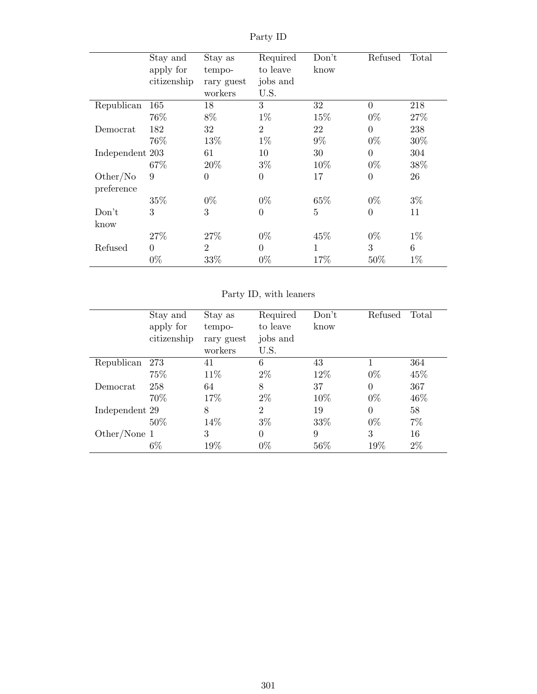| Stay and<br>Stay as | Required                 | Don't          | Refused        | Total  |
|---------------------|--------------------------|----------------|----------------|--------|
| tempo-              | to leave                 | know           |                |        |
| rary guest          | jobs and                 |                |                |        |
| workers             | U.S.                     |                |                |        |
| 18                  | 3                        | 32             | $\overline{0}$ | 218    |
| 8%                  | $1\%$                    | 15%            | $0\%$          | 27\%   |
| 32                  | $\overline{2}$           | 22             | $\overline{0}$ | 238    |
| 13%                 | $1\%$                    | $9\%$          | $0\%$          | $30\%$ |
| 61                  | 10                       | 30             | $\overline{0}$ | 304    |
| 20\%                | $3\%$                    | 10%            | $0\%$          | 38%    |
| $\overline{0}$      | $\theta$                 | 17             | $\overline{0}$ | 26     |
|                     |                          |                |                |        |
| $0\%$               | $0\%$                    | 65%            | $0\%$          | $3\%$  |
| 3                   | $\overline{0}$           | $\overline{5}$ | $\overline{0}$ | 11     |
|                     |                          |                |                |        |
| 27%                 | $0\%$                    | 45%            | $0\%$          | $1\%$  |
| $\overline{2}$      | $\overline{0}$           | 1              | 3              | 6      |
| 33%                 | $0\%$                    | 17%            | $50\%$         | $1\%$  |
|                     | apply for<br>citizenship |                |                |        |

Party ID

Party ID, with leaners

|                | Stay and    | Stay as    | Required       | Don't  | Refused  | Total |
|----------------|-------------|------------|----------------|--------|----------|-------|
|                | apply for   | tempo-     | to leave       | know   |          |       |
|                | citizenship | rary guest | jobs and       |        |          |       |
|                |             | workers    | U.S.           |        |          |       |
| Republican     | 273         | 41         | 6              | 43     |          | 364   |
|                | 75%         | 11\%       | $2\%$          | 12\%   | $0\%$    | 45%   |
| Democrat       | 258         | 64         | 8              | 37     | $\Omega$ | 367   |
|                | 70%         | 17%        | $2\%$          | 10%    | $0\%$    | 46\%  |
| Independent 29 |             | 8          | $\overline{2}$ | 19     | $\Omega$ | 58    |
|                | 50%         | 14\%       | $3\%$          | 33\%   | $0\%$    | $7\%$ |
| Other/None $1$ |             | 3          | 0              | 9      | 3        | 16    |
|                | $6\%$       | 19%        | $0\%$          | $56\%$ | 19%      | $2\%$ |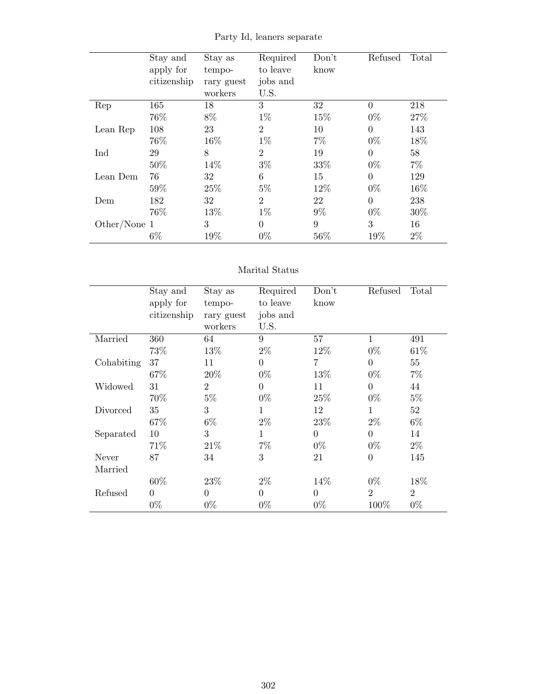|              | Stay and    | Stay as    | Required       | Don't | Refused        | Total |
|--------------|-------------|------------|----------------|-------|----------------|-------|
|              | apply for   | tempo-     | to leave       | know  |                |       |
|              | citizenship | rary guest | jobs and       |       |                |       |
|              |             | workers    | U.S.           |       |                |       |
| Rep          | 165         | 18         | 3              | 32    | $\theta$       | 218   |
|              | 76%         | 8%         | $1\%$          | 15%   | $0\%$          | 27%   |
| Lean Rep     | 108         | 23         | $\overline{2}$ | 10    | $\overline{0}$ | 143   |
|              | 76%         | 16%        | $1\%$          | $7\%$ | $0\%$          | 18%   |
| Ind          | 29          | 8          | $\overline{2}$ | 19    | $\theta$       | 58    |
|              | 50%         | 14%        | $3\%$          | 33%   | $0\%$          | $7\%$ |
| Lean Dem     | 76          | 32         | 6              | 15    | $\theta$       | 129   |
|              | 59%         | 25\%       | $5\%$          | 12%   | $0\%$          | 16%   |
| Dem          | 182         | 32         | $\overline{2}$ | 22    | $\theta$       | 238   |
|              | 76%         | 13%        | $1\%$          | $9\%$ | $0\%$          | 30%   |
| Other/None 1 |             | 3          | $\Omega$       | 9     | 3              | 16    |
|              | $6\%$       | 19%        | $0\%$          | 56%   | 19%            | $2\%$ |

Party Id, leaners separate

### Marital Status

|            | Stay and    | Stay as        | Required | Don't    | Refused          | Total          |
|------------|-------------|----------------|----------|----------|------------------|----------------|
|            | apply for   | tempo-         | to leave | know     |                  |                |
|            | citizenship | rary guest     | jobs and |          |                  |                |
|            |             | workers        | U.S.     |          |                  |                |
| Married    | 360         | 64             | 9        | 57       | 1                | 491            |
|            | 73%         | 13\%           | $2\%$    | 12\%     | $0\%$            | 61\%           |
| Cohabiting | 37          | 11             | $\Omega$ | 7        | $\overline{0}$   | 55             |
|            | 67%         | 20%            | $0\%$    | 13%      | $0\%$            | $7\%$          |
| Widowed    | 31          | $\overline{2}$ | $\Omega$ | 11       | $\overline{0}$   | 44             |
|            | 70%         | $5\%$          | $0\%$    | 25%      | $0\%$            | $5\%$          |
| Divorced   | 35          | 3              | 1        | 12       | 1                | 52             |
|            | 67%         | $6\%$          | $2\%$    | 23%      | $2\%$            | $6\%$          |
| Separated  | 10          | 3              | 1        | $\Omega$ | $\overline{0}$   | 14             |
|            | 71%         | 21\%           | $7\%$    | $0\%$    | $0\%$            | $2\%$          |
| Never      | 87          | 34             | 3        | 21       | $\boldsymbol{0}$ | 145            |
| Married    |             |                |          |          |                  |                |
|            | $60\%$      | 23%            | $2\%$    | 14%      | $0\%$            | 18%            |
| Refused    | $\theta$    | $\overline{0}$ | $\Omega$ | $\theta$ | $\overline{2}$   | $\overline{2}$ |
|            | $0\%$       | $0\%$          | $0\%$    | $0\%$    | 100%             | $0\%$          |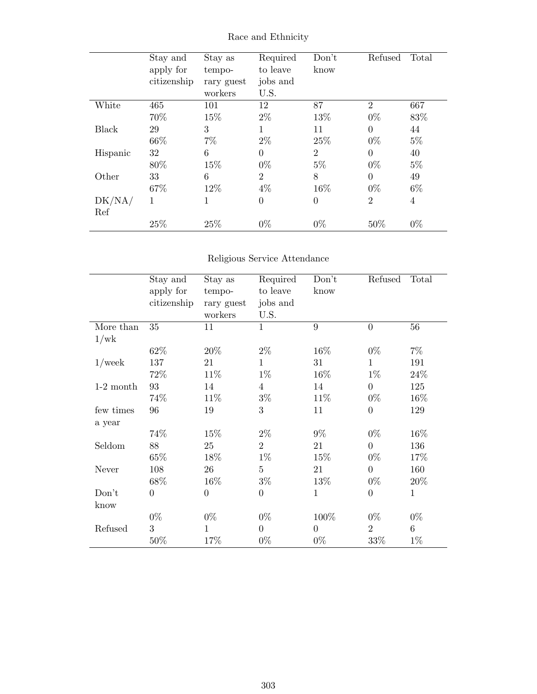|               | Stay and<br>apply for<br>citizenship | Stay as<br>tempo-<br>rary guest<br>workers | Required<br>to leave<br>jobs and<br>U.S. | Don't<br>know  | Refused        | Total          |
|---------------|--------------------------------------|--------------------------------------------|------------------------------------------|----------------|----------------|----------------|
| White         | 465                                  | 101                                        | 12                                       | 87             | $\overline{2}$ | 667            |
|               | 70%                                  | 15%                                        | $2\%$                                    | 13%            | $0\%$          | 83%            |
| Black         | 29                                   | 3                                          | 1                                        | 11             | $\theta$       | 44             |
|               | 66\%                                 | $7\%$                                      | $2\%$                                    | 25\%           | $0\%$          | $5\%$          |
| Hispanic      | 32                                   | 6                                          | $\theta$                                 | $\overline{2}$ | $\theta$       | 40             |
|               | 80%                                  | 15%                                        | $0\%$                                    | $5\%$          | $0\%$          | $5\%$          |
| Other         | 33                                   | 6                                          | $\overline{2}$                           | 8              | $\theta$       | 49             |
|               | 67%                                  | 12%                                        | $4\%$                                    | 16%            | $0\%$          | $6\%$          |
| DK/NA/<br>Ref | 1                                    | 1                                          | $\overline{0}$                           | $\theta$       | $\overline{2}$ | $\overline{4}$ |
|               | 25%                                  | 25%                                        | $0\%$                                    | $0\%$          | 50\%           | $0\%$          |

Race and Ethnicity

## Religious Service Attendance

|             | Stay and<br>apply for<br>citizenship | Stay as<br>tempo-<br>rary guest<br>workers | Required<br>to leave<br>jobs and<br>U.S. | Don't<br>know  | Refused        | Total        |
|-------------|--------------------------------------|--------------------------------------------|------------------------------------------|----------------|----------------|--------------|
| More than   | 35                                   | 11                                         | $\mathbf{1}$                             | 9              | $\overline{0}$ | 56           |
| 1/wk        |                                      |                                            |                                          |                |                |              |
|             | 62%                                  | 20%                                        | $2\%$                                    | 16%            | $0\%$          | $7\%$        |
| $1$ /week   | 137                                  | 21                                         | $\mathbf{1}$                             | 31             | $\mathbf{1}$   | 191          |
|             | 72%                                  | 11%                                        | $1\%$                                    | 16%            | $1\%$          | 24\%         |
| $1-2$ month | 93                                   | 14                                         | $\overline{4}$                           | 14             | $\overline{0}$ | 125          |
|             | 74%                                  | 11%                                        | $3\%$                                    | 11%            | $0\%$          | 16\%         |
| few times   | 96                                   | 19                                         | 3                                        | 11             | $\overline{0}$ | 129          |
| a year      |                                      |                                            |                                          |                |                |              |
|             | 74%                                  | 15%                                        | $2\%$                                    | $9\%$          | $0\%$          | 16\%         |
| Seldom      | 88                                   | 25                                         | $\overline{2}$                           | 21             | $\overline{0}$ | 136          |
|             | 65%                                  | 18%                                        | $1\%$                                    | 15%            | $0\%$          | 17\%         |
| Never       | 108                                  | 26                                         | $\overline{5}$                           | 21             | $\overline{0}$ | 160          |
|             | 68\%                                 | 16%                                        | $3\%$                                    | 13\%           | $0\%$          | 20\%         |
| Don't       | $\overline{0}$                       | $\boldsymbol{0}$                           | $\theta$                                 | $\mathbf{1}$   | $\overline{0}$ | $\mathbf{1}$ |
| know        |                                      |                                            |                                          |                |                |              |
|             | $0\%$                                | $0\%$                                      | $0\%$                                    | 100%           | $0\%$          | $0\%$        |
| Refused     | 3                                    | 1                                          | $\Omega$                                 | $\overline{0}$ | $\overline{2}$ | 6            |
|             | 50%                                  | 17%                                        | $0\%$                                    | $0\%$          | 33%            | $1\%$        |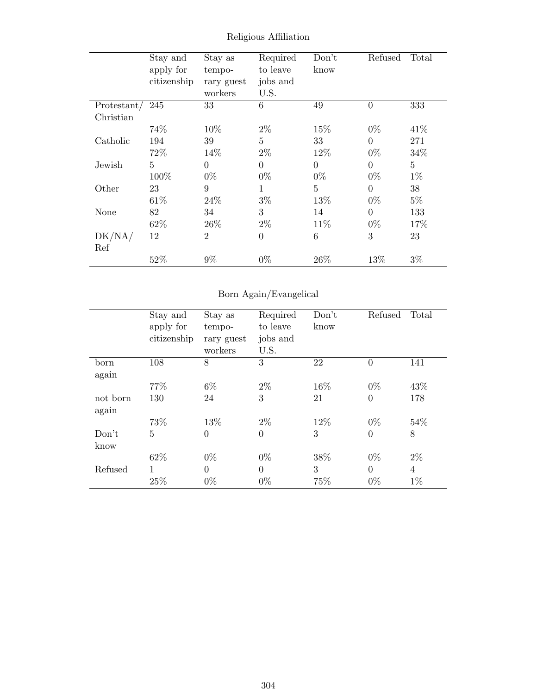|                 | Stay and       | Stay as        | Required       | Don't          | Refused        | Total          |
|-----------------|----------------|----------------|----------------|----------------|----------------|----------------|
|                 | apply for      | tempo-         | to leave       | know           |                |                |
|                 | citizenship    | rary guest     | jobs and       |                |                |                |
|                 |                | workers        | U.S.           |                |                |                |
| Protestant/ 245 |                | 33             | 6              | 49             | $\overline{0}$ | 333            |
| Christian       |                |                |                |                |                |                |
|                 | 74\%           | 10%            | $2\%$          | 15%            | $0\%$          | 41\%           |
| Catholic        | 194            | 39             | $\overline{5}$ | 33             | $\Omega$       | 271            |
|                 | 72%            | 14%            | $2\%$          | 12%            | $0\%$          | 34%            |
| Jewish          | $\overline{5}$ | $\Omega$       | $\overline{0}$ | $\overline{0}$ | $\Omega$       | $\overline{5}$ |
|                 | 100%           | $0\%$          | $0\%$          | $0\%$          | $0\%$          | $1\%$          |
| Other           | 23             | 9              | $\mathbf{1}$   | $\overline{5}$ | $\Omega$       | 38             |
|                 | 61\%           | 24\%           | $3\%$          | 13%            | $0\%$          | $5\%$          |
| None            | 82             | 34             | 3              | 14             | $\theta$       | 133            |
|                 | 62\%           | 26\%           | $2\%$          | 11\%           | $0\%$          | 17%            |
| DK/NA/          | 12             | $\overline{2}$ | $\overline{0}$ | 6              | 3              | 23             |
| Ref             |                |                |                |                |                |                |
|                 | 52%            | $9\%$          | $0\%$          | 26\%           | 13%            | $3\%$          |

Religious Affiliation

## Born Again/Evangelical

|                   | Stay and<br>apply for<br>citizenship | Stay as<br>tempo-<br>rary guest<br>workers | Required<br>to leave<br>jobs and<br>U.S. | Don't<br>know | Refused  | Total          |
|-------------------|--------------------------------------|--------------------------------------------|------------------------------------------|---------------|----------|----------------|
| born<br>again     | 108                                  | 8                                          | 3                                        | 22            | $\theta$ | 141            |
|                   | 77\%                                 | $6\%$                                      | $2\%$                                    | 16\%          | $0\%$    | 43\%           |
| not born<br>again | 130                                  | 24                                         | 3                                        | 21            | $\theta$ | 178            |
|                   | 73%                                  | 13%                                        | $2\%$                                    | 12%           | $0\%$    | 54\%           |
| Don't<br>know     | $\overline{5}$                       | $\overline{0}$                             | $\overline{0}$                           | 3             | $\theta$ | 8              |
|                   | 62\%                                 | $0\%$                                      | $0\%$                                    | 38%           | $0\%$    | $2\%$          |
| Refused           | 1                                    | $\theta$                                   | $\theta$                                 | 3             | $\Omega$ | $\overline{4}$ |
|                   | 25%                                  | $0\%$                                      | $0\%$                                    | 75%           | $0\%$    | $1\%$          |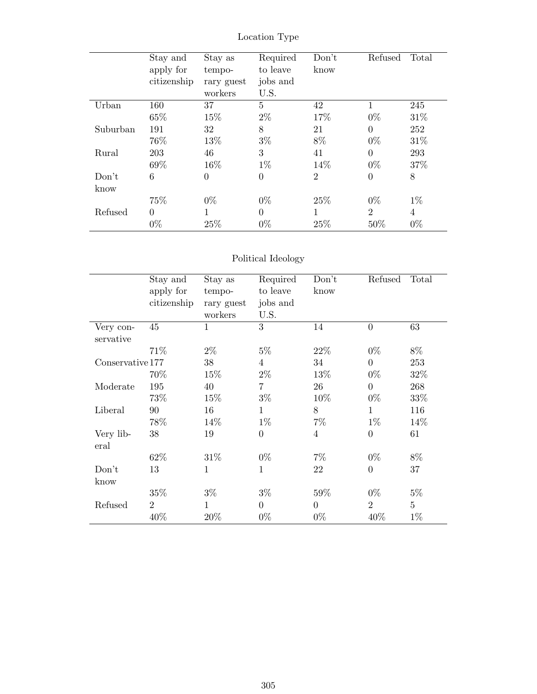|          | Stay and<br>apply for<br>citizenship | Stay as<br>tempo-<br>rary guest<br>workers | Required<br>to leave<br>jobs and<br>U.S. | Don't<br>know  | Refused        | Total |
|----------|--------------------------------------|--------------------------------------------|------------------------------------------|----------------|----------------|-------|
| Urban    | 160                                  | 37                                         | $\overline{5}$                           | 42             | $\mathbf 1$    | 245   |
|          | 65%                                  | 15%                                        | $2\%$                                    | 17%            | $0\%$          | 31%   |
| Suburban | 191                                  | 32                                         | 8                                        | 21             | $\theta$       | 252   |
|          | 76%                                  | 13%                                        | $3\%$                                    | 8%             | $0\%$          | 31\%  |
| Rural    | 203                                  | 46                                         | 3                                        | 41             | $\theta$       | 293   |
|          | 69%                                  | 16\%                                       | $1\%$                                    | 14%            | $0\%$          | 37%   |
| Don't    | 6                                    | $\overline{0}$                             | $\overline{0}$                           | $\overline{2}$ | $\overline{0}$ | 8     |
| know     |                                      |                                            |                                          |                |                |       |
|          | 75%                                  | $0\%$                                      | $0\%$                                    | 25\%           | $0\%$          | $1\%$ |
| Refused  | $\Omega$                             | $\mathbf{1}$                               | $\theta$                                 | 1              | $\overline{2}$ | 4     |
|          | $0\%$                                | 25%                                        | $0\%$                                    | 25%            | 50\%           | $0\%$ |

Location Type

## Political Ideology

|                        | Stay and<br>apply for<br>citizenship | Stay as<br>tempo-<br>rary guest<br>workers | Required<br>to leave<br>jobs and<br>U.S. | Don't<br>know  | Refused          | Total          |
|------------------------|--------------------------------------|--------------------------------------------|------------------------------------------|----------------|------------------|----------------|
| Very con-<br>servative | 45                                   | $\mathbf{1}$                               | 3                                        | 14             | $\overline{0}$   | 63             |
|                        | 71%                                  | $2\%$                                      | $5\%$                                    | 22\%           | $0\%$            | $8\%$          |
| Conservative 177       |                                      | 38                                         | 4                                        | 34             | $\Omega$         | 253            |
|                        | 70%                                  | $15\%$                                     | $2\%$                                    | 13%            | $0\%$            | 32\%           |
| Moderate               | 195                                  | 40                                         | $\overline{7}$                           | 26             | $\Omega$         | 268            |
|                        | 73%                                  | 15%                                        | $3\%$                                    | 10%            | $0\%$            | 33\%           |
| Liberal                | 90                                   | 16                                         | 1                                        | 8              | $\mathbf{1}$     | 116            |
|                        | 78%                                  | 14\%                                       | $1\%$                                    | $7\%$          | $1\%$            | 14%            |
| Very lib-<br>eral      | 38                                   | 19                                         | $\overline{0}$                           | $\overline{4}$ | $\theta$         | 61             |
|                        | 62%                                  | 31\%                                       | $0\%$                                    | $7\%$          | $0\%$            | $8\%$          |
| Don't<br>know          | 13                                   | $\mathbf{1}$                               | $\mathbf{1}$                             | 22             | $\boldsymbol{0}$ | 37             |
|                        | 35%                                  | $3\%$                                      | $3\%$                                    | 59%            | $0\%$            | $5\%$          |
| Refused                | $\overline{2}$                       | 1                                          | $\theta$                                 | $\theta$       | $\overline{2}$   | $\overline{5}$ |
|                        | 40%                                  | 20%                                        | $0\%$                                    | $0\%$          | 40%              | $1\%$          |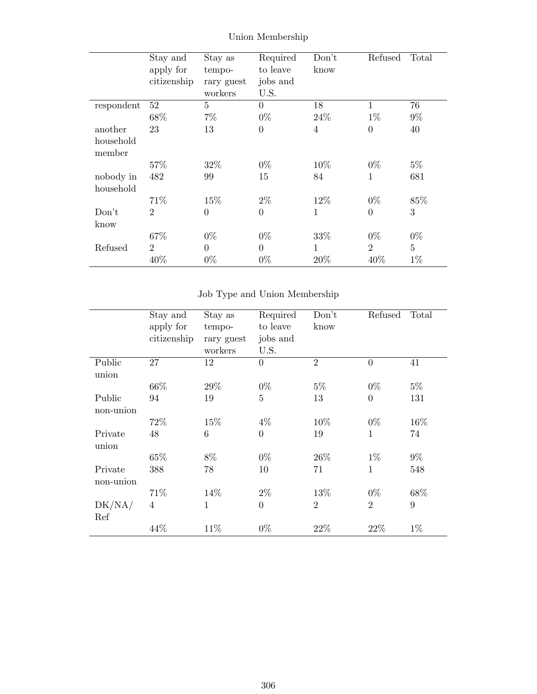|            | Stay and       | Stay as        | Required       | Don't        | Refused          | Total          |
|------------|----------------|----------------|----------------|--------------|------------------|----------------|
|            | apply for      | tempo-         | to leave       | know         |                  |                |
|            | citizenship    | rary guest     | jobs and       |              |                  |                |
|            |                | workers        | U.S.           |              |                  |                |
| respondent | 52             | $\overline{5}$ | $\theta$       | 18           | $\mathbf{1}$     | 76             |
|            | 68%            | $7\%$          | $0\%$          | 24\%         | $1\%$            | $9\%$          |
| another    | 23             | 13             | $\overline{0}$ | 4            | $\boldsymbol{0}$ | 40             |
| household  |                |                |                |              |                  |                |
| member     |                |                |                |              |                  |                |
|            | 57\%           | 32\%           | $0\%$          | 10%          | $0\%$            | $5\%$          |
| nobody in  | 482            | 99             | 15             | 84           | 1                | 681            |
| household  |                |                |                |              |                  |                |
|            | 71\%           | 15%            | $2\%$          | 12%          | $0\%$            | 85%            |
| Don't      | $\overline{2}$ | $\overline{0}$ | $\overline{0}$ | $\mathbf{1}$ | $\overline{0}$   | 3              |
| know       |                |                |                |              |                  |                |
|            | 67%            | $0\%$          | $0\%$          | 33%          | $0\%$            | $0\%$          |
| Refused    | $\overline{2}$ | $\overline{0}$ | $\overline{0}$ | 1            | $\overline{2}$   | $\overline{5}$ |
|            | 40%            | $0\%$          | $0\%$          | 20%          | 40%              | $1\%$          |

Union Membership

## Job Type and Union Membership

|                 | Stay and    | Stay as    | Required         | Don't          | Refused        | Total |
|-----------------|-------------|------------|------------------|----------------|----------------|-------|
|                 | apply for   | tempo-     | to leave         | know           |                |       |
|                 | citizenship | rary guest | jobs and         |                |                |       |
|                 |             | workers    | U.S.             |                |                |       |
| Public<br>union | 27          | 12         | $\overline{0}$   | $\overline{2}$ | $\overline{0}$ | 41    |
|                 | 66%         | 29%        | $0\%$            | $5\%$          | $0\%$          | $5\%$ |
| Public          | 94          | 19         | $\overline{5}$   | 13             | $\theta$       | 131   |
| non-union       |             |            |                  |                |                |       |
|                 | 72%         | 15%        | $4\%$            | 10%            | $0\%$          | 16%   |
| Private         | 48          | 6          | $\overline{0}$   | 19             | $\mathbf{1}$   | 74    |
| union           |             |            |                  |                |                |       |
|                 | 65%         | 8%         | $0\%$            | 26\%           | $1\%$          | $9\%$ |
| Private         | 388         | 78         | 10               | 71             | $\mathbf{1}$   | 548   |
| non-union       |             |            |                  |                |                |       |
|                 | 71%         | 14%        | $2\%$            | 13%            | $0\%$          | 68\%  |
| DK/NA/          | 4           | 1          | $\boldsymbol{0}$ | $\overline{2}$ | $\overline{2}$ | 9     |
| Ref             |             |            |                  |                |                |       |
|                 | 44%         | 11\%       | $0\%$            | 22%            | 22%            | $1\%$ |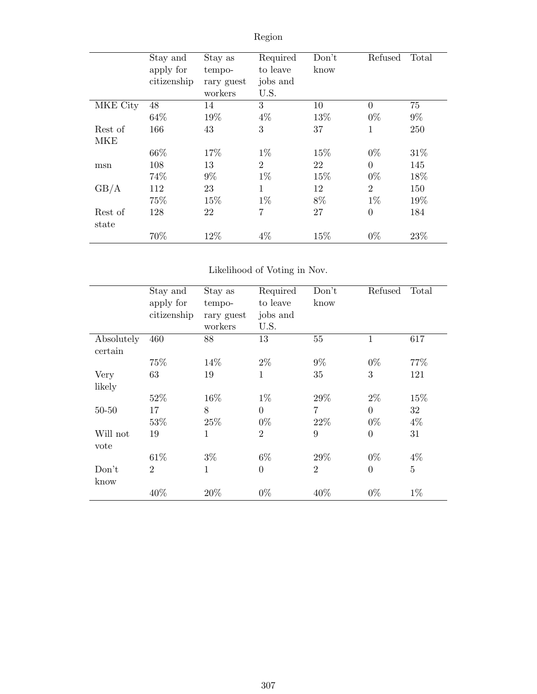|          | Stay and<br>apply for<br>citizenship | Stay as<br>tempo-<br>rary guest<br>workers | Required<br>to leave<br>jobs and<br>U.S. | Don't<br>know | Refused  | Total |
|----------|--------------------------------------|--------------------------------------------|------------------------------------------|---------------|----------|-------|
| MKE City | 48                                   | 14                                         | 3                                        | 10            | $\Omega$ | 75    |
|          | 64\%                                 | 19%                                        | $4\%$                                    | 13%           | $0\%$    | $9\%$ |
| Rest of  | 166                                  | 43                                         | 3                                        | 37            | 1        | 250   |
| MKE      |                                      |                                            |                                          |               |          |       |
|          | 66\%                                 | 17%                                        | $1\%$                                    | 15%           | $0\%$    | 31\%  |
| msn      | 108                                  | 13                                         | $\overline{2}$                           | 22            | $\Omega$ | 145   |
|          | 74%                                  | $9\%$                                      | $1\%$                                    | 15%           | $0\%$    | 18%   |
| GB/A     | 112                                  | 23                                         | 1                                        | 12            | 2        | 150   |
|          | 75%                                  | 15%                                        | $1\%$                                    | 8%            | $1\%$    | 19%   |
| Rest of  | 128                                  | 22                                         | $\overline{7}$                           | 27            | $\theta$ | 184   |
| state    |                                      |                                            |                                          |               |          |       |
|          | 70%                                  | 12%                                        | $4\%$                                    | 15\%          | $0\%$    | 23%   |

Region

## Likelihood of Voting in Nov.

|            | Stay and<br>apply for<br>citizenship | Stay as<br>tempo-<br>rary guest<br>workers | Required<br>to leave<br>jobs and<br>U.S. | Don't<br>know  | Refused        | Total          |
|------------|--------------------------------------|--------------------------------------------|------------------------------------------|----------------|----------------|----------------|
| Absolutely | 460                                  | 88                                         | 13                                       | 55             | $\mathbf{1}$   | 617            |
| certain    |                                      |                                            |                                          |                |                |                |
|            | 75%                                  | 14\%                                       | $2\%$                                    | $9\%$          | $0\%$          | 77%            |
| Very       | 63                                   | 19                                         | $\mathbf 1$                              | 35             | 3              | 121            |
| likely     |                                      |                                            |                                          |                |                |                |
|            | 52%                                  | 16%                                        | $1\%$                                    | 29%            | $2\%$          | 15\%           |
| $50 - 50$  | 17                                   | 8                                          | $\overline{0}$                           | 7              | $\theta$       | 32             |
|            | 53%                                  | 25%                                        | $0\%$                                    | 22%            | $0\%$          | $4\%$          |
| Will not   | 19                                   | 1                                          | $\overline{2}$                           | 9              | $\overline{0}$ | 31             |
| vote       |                                      |                                            |                                          |                |                |                |
|            | 61\%                                 | $3\%$                                      | $6\%$                                    | 29%            | $0\%$          | $4\%$          |
| Don't      | $\overline{2}$                       | $\mathbf{1}$                               | $\overline{0}$                           | $\overline{2}$ | $\overline{0}$ | $\overline{5}$ |
| know       |                                      |                                            |                                          |                |                |                |
|            | 40%                                  | 20%                                        | $0\%$                                    | 40%            | $0\%$          | $1\%$          |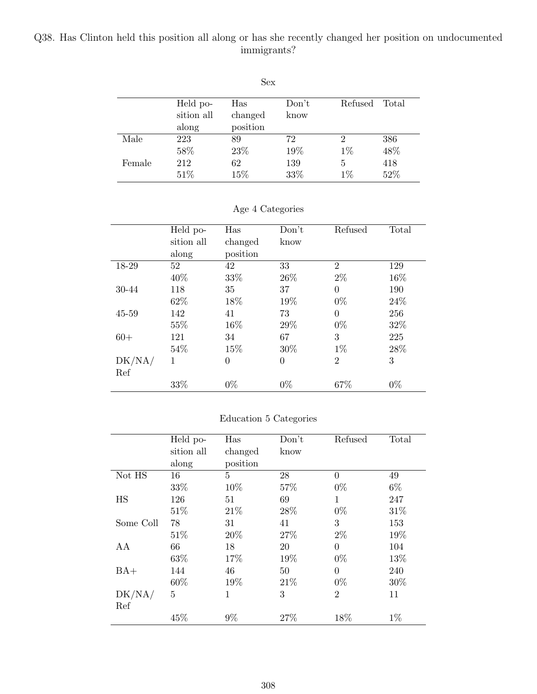### Q38. Has Clinton held this position all along or has she recently changed her position on undocumented immigrants?

|        |            | Sex      |       |         |       |
|--------|------------|----------|-------|---------|-------|
|        | Held po-   | Has      | Don't | Refused | Total |
|        | sition all | changed  | know  |         |       |
|        | along      | position |       |         |       |
| Male   | 223        | 89       | 72    | 2       | 386   |
|        | 58%        | 23%      | 19%   | $1\%$   | 48%   |
| Female | 212        | 62       | 139   | 5       | 418   |
|        | 51\%       | 15%      | 33%   | $1\%$   | 52%   |

|           | Held po-   | Has            | Don't          | Refused        | Total |
|-----------|------------|----------------|----------------|----------------|-------|
|           | sition all | changed        | know           |                |       |
|           | along      | position       |                |                |       |
| 18-29     | 52         | 42             | 33             | $\overline{2}$ | 129   |
|           | 40%        | 33%            | 26\%           | $2\%$          | 16%   |
| 30-44     | 118        | 35             | 37             | $\Omega$       | 190   |
|           | 62%        | 18%            | 19%            | $0\%$          | 24\%  |
| $45 - 59$ | 142        | 41             | 73             | $\Omega$       | 256   |
|           | 55%        | 16%            | 29%            | $0\%$          | 32\%  |
| $60+$     | 121        | 34             | 67             | 3              | 225   |
|           | 54%        | 15%            | 30%            | $1\%$          | 28%   |
| DK/NA/    | 1          | $\overline{0}$ | $\overline{0}$ | $\overline{2}$ | 3     |
| Ref       |            |                |                |                |       |
|           | 33%        | $0\%$          | $0\%$          | 67%            | $0\%$ |

### Age 4 Categories

### Education 5 Categories

|           | Held po-   | Has      | Don't | Refused        | Total |
|-----------|------------|----------|-------|----------------|-------|
|           | sition all | changed  | know  |                |       |
|           | along      | position |       |                |       |
| Not HS    | 16         | 5        | 28    | $\Omega$       | 49    |
|           | 33%        | 10%      | 57%   | $0\%$          | $6\%$ |
| <b>HS</b> | 126        | 51       | 69    | 1              | 247   |
|           | 51\%       | 21\%     | 28\%  | $0\%$          | 31\%  |
| Some Coll | 78         | 31       | 41    | 3              | 153   |
|           | 51\%       | 20%      | 27%   | $2\%$          | 19%   |
| AA        | 66         | 18       | 20    | $\Omega$       | 104   |
|           | 63%        | 17%      | 19%   | $0\%$          | 13%   |
| $BA+$     | 144        | 46       | 50    | $\Omega$       | 240   |
|           | 60%        | 19%      | 21\%  | $0\%$          | 30%   |
| DK/NA/    | 5          | 1        | 3     | $\overline{2}$ | 11    |
| Ref       |            |          |       |                |       |
|           | 45%        | 9%       | 27%   | 18%            | $1\%$ |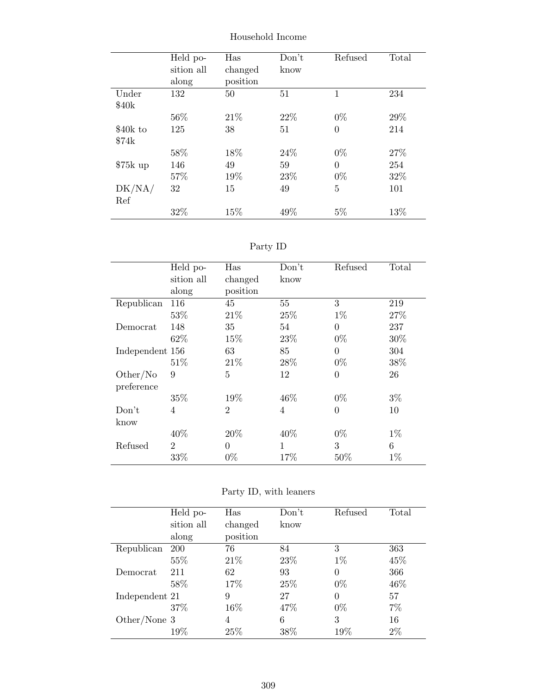|           | Held po-   | Has      | Don't | Refused        | Total |
|-----------|------------|----------|-------|----------------|-------|
|           | sition all | changed  | know  |                |       |
|           | along      | position |       |                |       |
| Under     | 132        | 50       | 51    | 1              | 234   |
| \$40k     |            |          |       |                |       |
|           | 56%        | 21\%     | 22\%  | $0\%$          | 29%   |
| \$40k to  | 125        | 38       | 51    | $\overline{0}$ | 214   |
| \$74k     |            |          |       |                |       |
|           | 58%        | 18%      | 24\%  | $0\%$          | 27%   |
| $$75k$ up | 146        | 49       | 59    | $\Omega$       | 254   |
|           | 57%        | 19%      | 23\%  | $0\%$          | 32%   |
| DK/NA/    | 32         | 15       | 49    | 5              | 101   |
| Ref       |            |          |       |                |       |
|           | 32%        | 15%      | 49%   | $5\%$          | 13%   |

Household Income

| aг<br>L |  |
|---------|--|
|---------|--|

|                 | Held po-       | Has            | Don't        | Refused        | Total |
|-----------------|----------------|----------------|--------------|----------------|-------|
|                 | sition all     | changed        | know         |                |       |
|                 | along          | position       |              |                |       |
| Republican      | 116            | 45             | 55           | 3              | 219   |
|                 | 53%            | 21\%           | 25\%         | $1\%$          | 27%   |
| Democrat        | 148            | 35             | 54           | $\theta$       | 237   |
|                 | 62%            | 15%            | 23%          | $0\%$          | 30%   |
| Independent 156 |                | 63             | 85           | $\overline{0}$ | 304   |
|                 | 51\%           | 21\%           | 28%          | $0\%$          | 38%   |
| Other/No        | 9              | 5              | 12           | $\overline{0}$ | 26    |
| preference      |                |                |              |                |       |
|                 | 35%            | 19%            | 46\%         | $0\%$          | $3\%$ |
| Don't           | 4              | $\overline{2}$ | 4            | $\Omega$       | 10    |
| know            |                |                |              |                |       |
|                 | 40%            | 20%            | 40\%         | $0\%$          | $1\%$ |
| Refused         | $\overline{2}$ | $\theta$       | $\mathbf{1}$ | 3              | 6     |
|                 | 33%            | $0\%$          | 17%          | 50%            | $1\%$ |

|                | Held po-   | Has      | Don't | Refused  | Total |
|----------------|------------|----------|-------|----------|-------|
|                | sition all | changed  | know  |          |       |
|                | along      | position |       |          |       |
| Republican     | 200        | 76       | 84    | 3        | 363   |
|                | 55%        | 21\%     | 23\%  | $1\%$    | 45%   |
| Democrat       | 211        | 62       | 93    | $\Omega$ | 366   |
|                | 58%        | 17%      | 25\%  | $0\%$    | 46\%  |
| Independent 21 |            | 9        | 27    | 0        | 57    |
|                | 37\%       | 16%      | 47%   | $0\%$    | 7%    |
| Other/None 3   |            | 4        | 6     | 3        | 16    |
|                | $19\%$     | 25\%     | 38\%  | $19\%$   | $2\%$ |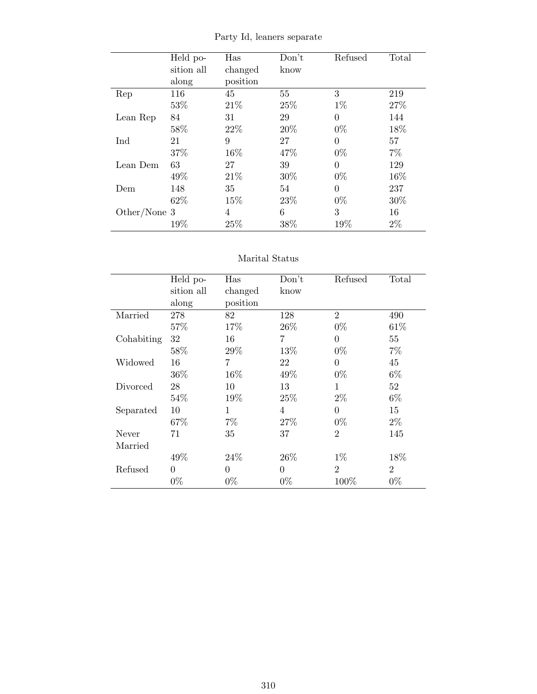|              | Held po-   | Has      | Don't | Refused  | Total |
|--------------|------------|----------|-------|----------|-------|
|              | sition all | changed  | know  |          |       |
|              | along      | position |       |          |       |
| Rep          | 116        | 45       | 55    | 3        | 219   |
|              | 53%        | 21\%     | 25%   | $1\%$    | 27%   |
| Lean Rep     | 84         | 31       | 29    | $\Omega$ | 144   |
|              | 58%        | 22%      | 20%   | $0\%$    | 18%   |
| Ind          | 21         | 9        | 27    | $\Omega$ | 57    |
|              | 37%        | 16%      | 47%   | $0\%$    | $7\%$ |
| Lean Dem     | 63         | 27       | 39    | $\theta$ | 129   |
|              | 49%        | 21\%     | 30%   | $0\%$    | 16%   |
| Dem          | 148        | 35       | 54    | $\theta$ | 237   |
|              | 62\%       | 15\%     | 23\%  | $0\%$    | 30%   |
| Other/None 3 |            | 4        | 6     | 3        | 16    |
|              | 19%        | 25%      | 38%   | 19%      | $2\%$ |

Party Id, leaners separate

### Marital Status

|            | Held po-   | Has      | Don't          | Refused        | Total          |
|------------|------------|----------|----------------|----------------|----------------|
|            | sition all | changed  | know           |                |                |
|            | along      | position |                |                |                |
| Married    | 278        | 82       | 128            | $\overline{2}$ | 490            |
|            | 57%        | 17%      | 26\%           | $0\%$          | 61\%           |
| Cohabiting | 32         | 16       | $\overline{7}$ | $\Omega$       | 55             |
|            | 58%        | 29%      | 13%            | $0\%$          | $7\%$          |
| Widowed    | 16         | 7        | 22             | $\theta$       | 45             |
|            | 36\%       | 16%      | 49%            | $0\%$          | $6\%$          |
| Divorced   | 28         | 10       | 13             | 1              | 52             |
|            | 54%        | 19%      | 25%            | $2\%$          | $6\%$          |
| Separated  | 10         | 1        | $\overline{4}$ | $\Omega$       | 15             |
|            | 67%        | $7\%$    | 27%            | $0\%$          | $2\%$          |
| Never      | 71         | 35       | 37             | $\overline{2}$ | 145            |
| Married    |            |          |                |                |                |
|            | 49%        | 24\%     | 26\%           | $1\%$          | 18%            |
| Refused    | $\theta$   | 0        | $\theta$       | $\overline{2}$ | $\overline{2}$ |
|            | $0\%$      | $0\%$    | $0\%$          | 100%           | $0\%$          |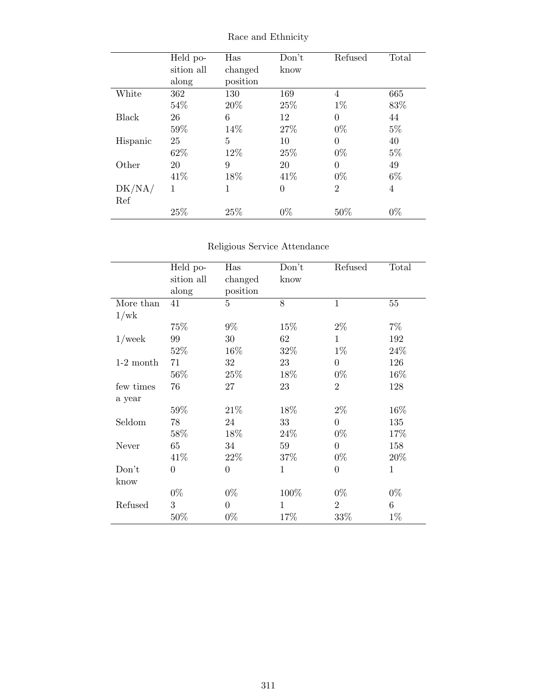|          | Held po-   | Has      | Don't          | Refused        | Total |
|----------|------------|----------|----------------|----------------|-------|
|          | sition all | changed  | know           |                |       |
|          | along      | position |                |                |       |
| White    | 362        | 130      | 169            | 4              | 665   |
|          | 54\%       | 20%      | 25\%           | $1\%$          | 83%   |
| Black    | 26         | 6        | 12             | 0              | 44    |
|          | 59%        | 14%      | 27\%           | $0\%$          | $5\%$ |
| Hispanic | 25         | 5        | 10             | 0              | 40    |
|          | 62\%       | 12%      | 25\%           | $0\%$          | $5\%$ |
| Other    | 20         | 9        | 20             | $\theta$       | 49    |
|          | 41\%       | 18%      | 41\%           | $0\%$          | $6\%$ |
| DK/NA/   | 1          | 1        | $\overline{0}$ | $\overline{2}$ | 4     |
| Ref      |            |          |                |                |       |
|          | 25%        | 25%      | $0\%$          | 50%            | $0\%$ |

Race and Ethnicity

## Religious Service Attendance

|             | Held po-       | Has            | Don't | Refused        | Total        |
|-------------|----------------|----------------|-------|----------------|--------------|
|             | sition all     | changed        | know  |                |              |
|             | along          | position       |       |                |              |
| More than   | 41             | 5              | 8     | $\mathbf{1}$   | 55           |
| 1/wk        |                |                |       |                |              |
|             | 75%            | $9\%$          | 15%   | $2\%$          | $7\%$        |
| $1$ /week   | 99             | 30             | 62    | $\mathbf{1}$   | 192          |
|             | 52%            | 16%            | 32%   | $1\%$          | 24%          |
| $1-2$ month | 71             | 32             | 23    | $\overline{0}$ | 126          |
|             | 56%            | $25\%$         | 18%   | $0\%$          | $16\%$       |
| few times   | 76             | 27             | 23    | $\overline{2}$ | 128          |
| a year      |                |                |       |                |              |
|             | 59%            | 21\%           | 18%   | $2\%$          | 16%          |
| Seldom      | 78             | 24             | 33    | $\overline{0}$ | 135          |
|             | 58%            | 18\%           | 24\%  | $0\%$          | 17%          |
| Never       | 65             | 34             | 59    | $\overline{0}$ | 158          |
|             | 41\%           | 22%            | 37%   | $0\%$          | 20%          |
| Don't       | $\overline{0}$ | $\overline{0}$ | 1     | $\overline{0}$ | $\mathbf{1}$ |
| know        |                |                |       |                |              |
|             | $0\%$          | $0\%$          | 100%  | $0\%$          | $0\%$        |
| Refused     | 3              | $\overline{0}$ | 1     | $\overline{2}$ | 6            |
|             | 50%            | $0\%$          | 17%   | 33%            | $1\%$        |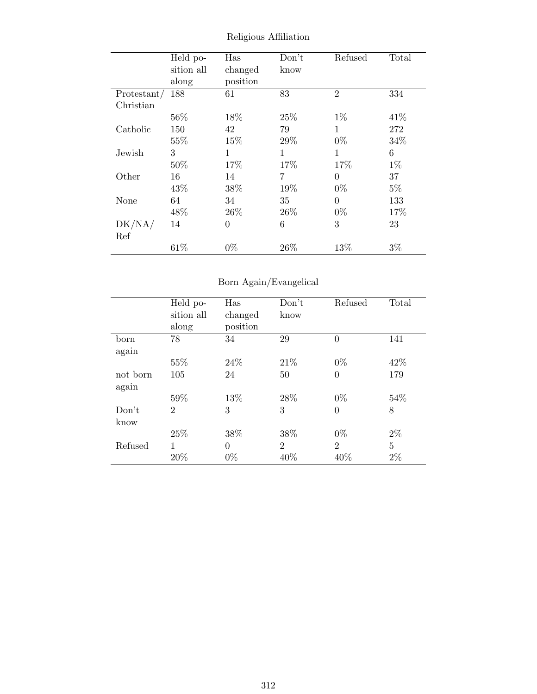|             | Held po-   | Has            | Don't | Refused        | Total |
|-------------|------------|----------------|-------|----------------|-------|
|             | sition all | changed        | know  |                |       |
|             | along      | position       |       |                |       |
| Protestant/ | 188        | 61             | 83    | $\overline{2}$ | 334   |
| Christian   |            |                |       |                |       |
|             | 56%        | 18%            | 25%   | $1\%$          | 41\%  |
| Catholic    | 150        | 42             | 79    | 1              | 272   |
|             | 55%        | 15%            | 29%   | $0\%$          | 34%   |
| Jewish      | 3          | 1              | 1     | 1              | 6     |
|             | 50%        | 17%            | 17%   | 17%            | $1\%$ |
| Other       | 16         | 14             | 7     | $\theta$       | 37    |
|             | 43%        | 38%            | 19%   | $0\%$          | $5\%$ |
| None        | 64         | 34             | 35    | $\Omega$       | 133   |
|             | 48%        | 26\%           | 26\%  | $0\%$          | 17%   |
| DK/NA/      | 14         | $\overline{0}$ | 6     | 3              | 23    |
| Ref         |            |                |       |                |       |
|             | 61\%       | $0\%$          | 26\%  | 13%            | $3\%$ |

Religious Affiliation

## Born Again/Evangelical

|          | Held po-       | Has      | Don't          | Refused        | Total          |
|----------|----------------|----------|----------------|----------------|----------------|
|          | sition all     | changed  | know           |                |                |
|          | along          | position |                |                |                |
| born     | 78             | 34       | 29             | $\theta$       | 141            |
| again    |                |          |                |                |                |
|          | 55%            | 24\%     | 21\%           | $0\%$          | 42%            |
| not born | 105            | 24       | 50             | $\Omega$       | 179            |
| again    |                |          |                |                |                |
|          | 59%            | 13\%     | 28\%           | $0\%$          | 54%            |
| Don't    | $\overline{2}$ | 3        | 3              | $\theta$       | 8              |
| know     |                |          |                |                |                |
|          | 25%            | 38%      | 38%            | $0\%$          | $2\%$          |
| Refused  | 1              | $\Omega$ | $\mathfrak{D}$ | $\mathfrak{D}$ | $\overline{5}$ |
|          | 20%            | $0\%$    | 40%            | 40%            | $2\%$          |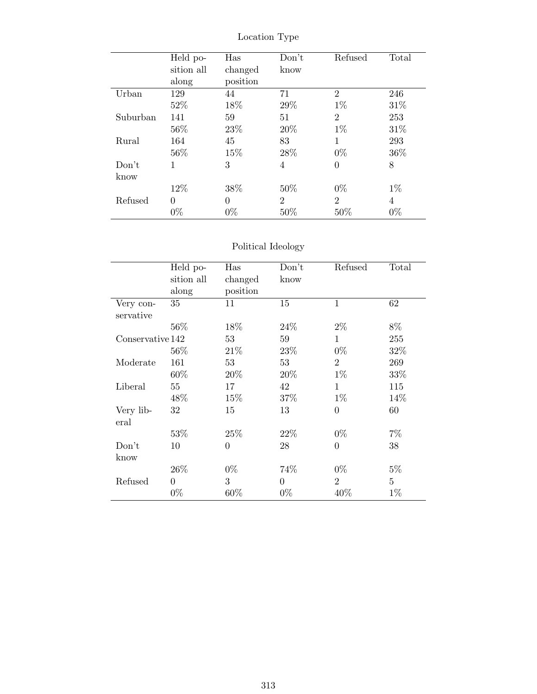|          | Held po-   | Has      | Don't          | Refused        | Total |
|----------|------------|----------|----------------|----------------|-------|
|          | sition all | changed  | know           |                |       |
|          | along      | position |                |                |       |
| Urban    | 129        | 44       | 71             | $\overline{2}$ | 246   |
|          | 52%        | 18%      | 29%            | $1\%$          | 31%   |
| Suburban | 141        | 59       | 51             | $\overline{2}$ | 253   |
|          | $56\%$     | 23%      | 20%            | $1\%$          | 31\%  |
| Rural    | 164        | 45       | 83             | 1              | 293   |
|          | 56%        | 15%      | 28\%           | $0\%$          | 36\%  |
| Don't    | 1          | 3        | 4              | $\theta$       | 8     |
| know     |            |          |                |                |       |
|          | 12%        | 38%      | 50%            | $0\%$          | $1\%$ |
| Refused  | $\theta$   | 0        | $\overline{2}$ | $\overline{2}$ | 4     |
|          | $0\%$      | $0\%$    | 50%            | 50%            | $0\%$ |

Location Type

## Political Ideology

|                  | Held po-       | Has            | Don't          | Refused        | Total          |
|------------------|----------------|----------------|----------------|----------------|----------------|
|                  | sition all     | changed        | know           |                |                |
|                  | along          | position       |                |                |                |
| Very con-        | 35             | 11             | 15             | $\mathbf{1}$   | 62             |
| servative        |                |                |                |                |                |
|                  | 56%            | 18%            | 24\%           | $2\%$          | 8%             |
| Conservative 142 |                | 53             | 59             | 1              | 255            |
|                  | $56\%$         | 21\%           | 23\%           | $0\%$          | 32%            |
| Moderate         | 161            | 53             | 53             | $\overline{2}$ | 269            |
|                  | 60%            | 20%            | 20%            | $1\%$          | 33%            |
| Liberal          | $55\,$         | 17             | 42             | $\mathbf{1}$   | 115            |
|                  | 48\%           | 15\%           | 37%            | $1\%$          | 14\%           |
| Very lib-        | 32             | 15             | 13             | $\overline{0}$ | 60             |
| eral             |                |                |                |                |                |
|                  | 53\%           | 25\%           | 22%            | $0\%$          | 7%             |
| Don't            | 10             | $\overline{0}$ | 28             | $\overline{0}$ | 38             |
| know             |                |                |                |                |                |
|                  | 26\%           | $0\%$          | 74\%           | $0\%$          | $5\%$          |
| Refused          | $\overline{0}$ | 3              | $\overline{0}$ | $\overline{2}$ | $\overline{5}$ |
|                  | $0\%$          | 60%            | $0\%$          | 40%            | $1\%$          |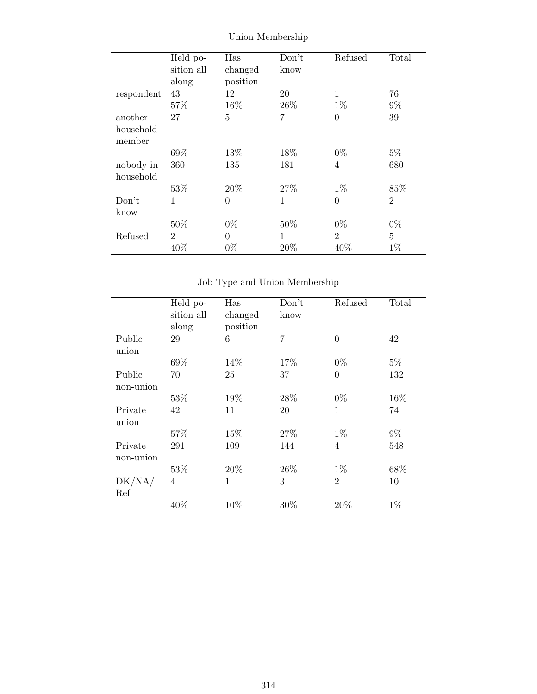|            | Held po-       | Has            | Don't        | Refused        | Total          |
|------------|----------------|----------------|--------------|----------------|----------------|
|            | sition all     | changed        | know         |                |                |
|            | along          | position       |              |                |                |
| respondent | 43             | 12             | 20           | 1              | 76             |
|            | 57%            | 16%            | 26\%         | $1\%$          | $9\%$          |
| another    | 27             | 5              | 7            | $\theta$       | 39             |
| household  |                |                |              |                |                |
| member     |                |                |              |                |                |
|            | 69%            | 13%            | 18%          | $0\%$          | $5\%$          |
| nobody in  | 360            | 135            | 181          | $\overline{4}$ | 680            |
| household  |                |                |              |                |                |
|            | 53%            | 20%            | 27\%         | $1\%$          | 85%            |
| Don't      | $\mathbf{1}$   | $\overline{0}$ | $\mathbf{1}$ | $\overline{0}$ | $\overline{2}$ |
| know       |                |                |              |                |                |
|            | 50%            | $0\%$          | 50%          | $0\%$          | $0\%$          |
| Refused    | $\overline{2}$ | $\theta$       | $\mathbf{1}$ | $\overline{2}$ | 5              |
|            | 40%            | $0\%$          | 20%          | 40%            | $1\%$          |

Union Membership

Job Type and Union Membership

|              | Held po-   | Has          | Don't          | Refused        | Total |
|--------------|------------|--------------|----------------|----------------|-------|
|              | sition all | changed      | know           |                |       |
|              | along      | position     |                |                |       |
| Public       | 29         | 6            | $\overline{7}$ | $\overline{0}$ | 42    |
| union        |            |              |                |                |       |
|              | 69%        | 14\%         | 17%            | $0\%$          | $5\%$ |
| Public       | 70         | 25           | 37             | $\overline{0}$ | 132   |
| non-union    |            |              |                |                |       |
|              | 53%        | 19%          | 28\%           | $0\%$          | 16%   |
| Private      | 42         | 11           | 20             | 1              | 74    |
| union        |            |              |                |                |       |
|              | 57%        | 15%          | 27\%           | $1\%$          | $9\%$ |
| Private      | 291        | 109          | 144            | $\overline{4}$ | 548   |
| non-union    |            |              |                |                |       |
|              | 53%        | 20%          | 26\%           | $1\%$          | 68%   |
| $\rm DK/NA/$ | 4          | $\mathbf{1}$ | 3              | $\mathfrak{D}$ | 10    |
| Ref          |            |              |                |                |       |
|              | 40%        | 10%          | 30%            | 20%            | $1\%$ |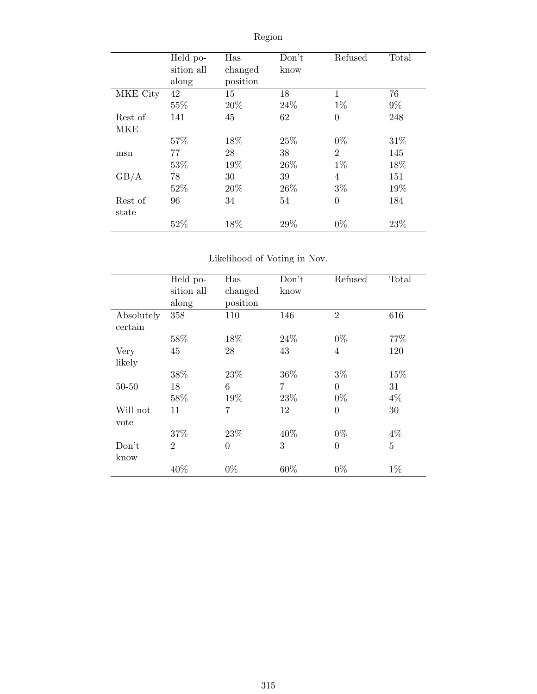|          | Held po-   | Has      | Don't | Refused        | Total |
|----------|------------|----------|-------|----------------|-------|
|          | sition all | changed  | know  |                |       |
|          | along      | position |       |                |       |
| MKE City | 42         | 15       | 18    | 1              | 76    |
|          | 55%        | 20%      | 24\%  | $1\%$          | $9\%$ |
| Rest of  | 141        | 45       | 62    | $\overline{0}$ | 248   |
| MKE      |            |          |       |                |       |
|          | 57%        | 18%      | 25\%  | $0\%$          | 31%   |
| msn      | 77         | 28       | 38    | $\overline{2}$ | 145   |
|          | 53%        | 19%      | 26\%  | $1\%$          | 18%   |
| GB/A     | 78         | 30       | 39    | 4              | 151   |
|          | 52%        | 20\%     | 26\%  | $3\%$          | 19%   |
| Rest of  | 96         | 34       | 54    | $\overline{0}$ | 184   |
| state    |            |          |       |                |       |
|          | 52%        | 18%      | 29%   | $0\%$          | 23%   |

# Region

## Likelihood of Voting in Nov.

|            | Held po-       | Has            | Don't          | Refused        | Total |
|------------|----------------|----------------|----------------|----------------|-------|
|            | sition all     | changed        | know           |                |       |
|            | along          | position       |                |                |       |
| Absolutely | 358            | 110            | 146            | $\overline{2}$ | 616   |
| certain    |                |                |                |                |       |
|            | 58%            | 18%            | 24\%           | $0\%$          | 77\%  |
| Very       | 45             | 28             | 43             | 4              | 120   |
| likely     |                |                |                |                |       |
|            | 38%            | 23%            | 36\%           | $3\%$          | 15%   |
| $50 - 50$  | 18             | 6              | $\overline{7}$ | $\overline{0}$ | 31    |
|            | 58%            | 19%            | 23\%           | $0\%$          | 4%    |
| Will not   | 11             | 7              | 12             | $\theta$       | 30    |
| vote       |                |                |                |                |       |
|            | 37%            | 23\%           | 40%            | $0\%$          | $4\%$ |
| Don't      | $\overline{2}$ | $\overline{0}$ | 3              | $\overline{0}$ | 5     |
| know       |                |                |                |                |       |
|            | 40%            | $0\%$          | 60%            | $0\%$          | $1\%$ |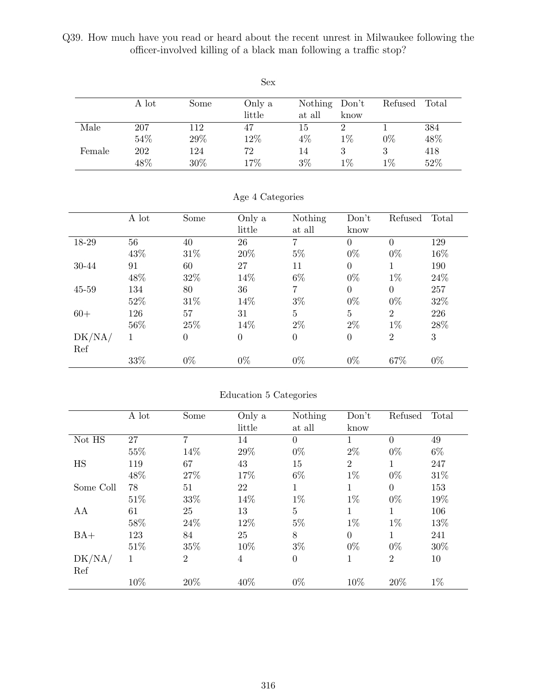Q39. How much have you read or heard about the recent unrest in Milwaukee following the officer-involved killing of a black man following a traffic stop?

|        |       |      | <b>Sex</b> |         |       |         |       |
|--------|-------|------|------------|---------|-------|---------|-------|
|        | A lot | Some | Only a     | Nothing | Don't | Refused | Total |
|        |       |      | little     | at all  | know  |         |       |
| Male   | 207   | 112  | 47         | 15      | 2     |         | 384   |
|        | 54%   | 29%  | 12%        | $4\%$   | $1\%$ | $0\%$   | 48%   |
| Female | 202   | 124  | 72         | 14      | 3     | 3       | 418   |
|        | 48%   | 30%  | 17%        | $3\%$   | $1\%$ | $1\%$   | 52%   |

|           | A lot | Some           | Only a   | Nothing          | Don't          | Refused        | Total  |
|-----------|-------|----------------|----------|------------------|----------------|----------------|--------|
|           |       |                | little   | at all           | know           |                |        |
| 18-29     | 56    | 40             | 26       | 7                | $\overline{0}$ | $\theta$       | 129    |
|           | 43%   | 31%            | 20%      | $5\%$            | $0\%$          | $0\%$          | 16%    |
| 30-44     | 91    | 60             | 27       | 11               | $\overline{0}$ | 1              | 190    |
|           | 48\%  | 32%            | 14%      | 6\%              | $0\%$          | $1\%$          | 24\%   |
| $45 - 59$ | 134   | 80             | 36       | $\overline{7}$   | $\theta$       | $\Omega$       | 257    |
|           | 52%   | 31%            | 14%      | $3\%$            | $0\%$          | $0\%$          | 32\%   |
| $60+$     | 126   | 57             | 31       | $\overline{5}$   | $\overline{5}$ | $\overline{2}$ | 226    |
|           | 56\%  | 25%            | 14%      | $2\%$            | $2\%$          | $1\%$          | $28\%$ |
| DK/NA/    | 1     | $\overline{0}$ | $\theta$ | $\boldsymbol{0}$ | $\overline{0}$ | $\overline{2}$ | 3      |
| Ref       |       |                |          |                  |                |                |        |
|           | 33%   | $0\%$          | $0\%$    | $0\%$            | $0\%$          | 67%            | $0\%$  |

### Age 4 Categories

### Education 5 Categories

|           | A lot  | Some           | Only a         | Nothing          | Don't          | Refused        | Total |
|-----------|--------|----------------|----------------|------------------|----------------|----------------|-------|
|           |        |                | little         | at all           | know           |                |       |
| Not HS    | 27     | 7              | 14             | $\overline{0}$   | 1              | $\theta$       | 49    |
|           | 55%    | 14%            | 29%            | $0\%$            | $2\%$          | $0\%$          | $6\%$ |
| <b>HS</b> | 119    | 67             | 43             | 15               | $\overline{2}$ | 1              | 247   |
|           | 48%    | 27%            | 17%            | $6\%$            | $1\%$          | $0\%$          | 31\%  |
| Some Coll | 78     | 51             | 22             | 1                | 1              | $\Omega$       | 153   |
|           | 51%    | $33\%$         | 14%            | $1\%$            | $1\%$          | $0\%$          | 19%   |
| AA        | 61     | 25             | 13             | $\overline{5}$   | 1              | 1              | 106   |
|           | $58\%$ | 24\%           | 12%            | $5\%$            | $1\%$          | $1\%$          | 13%   |
| $BA+$     | 123    | 84             | 25             | 8                | $\overline{0}$ | 1              | 241   |
|           | 51%    | 35%            | 10%            | $3\%$            | $0\%$          | $0\%$          | 30%   |
| DK/NA/    | 1      | $\overline{2}$ | $\overline{4}$ | $\boldsymbol{0}$ | 1              | $\overline{2}$ | 10    |
| Ref       |        |                |                |                  |                |                |       |
|           | 10%    | 20%            | 40%            | $0\%$            | 10%            | 20%            | $1\%$ |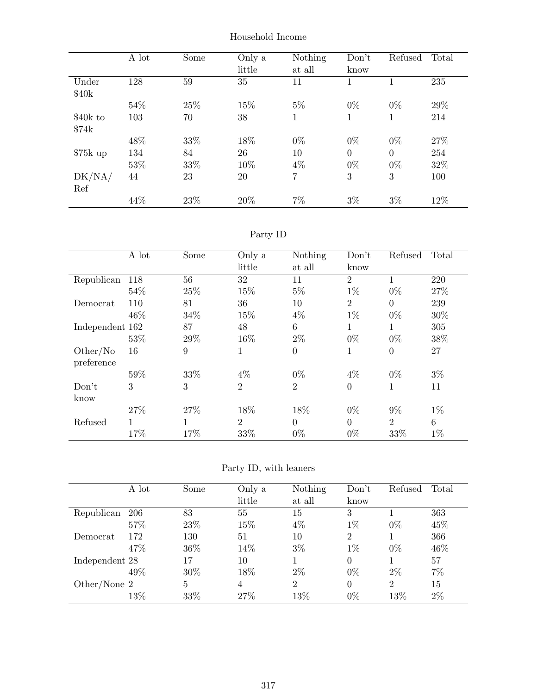|           | A lot | Some | Only a<br>little | Nothing<br>at all | Don't<br>know | Refused  | Total |
|-----------|-------|------|------------------|-------------------|---------------|----------|-------|
| Under     | 128   | 59   | 35               | 11                | 1             | 1        | 235   |
| \$40k     |       |      |                  |                   |               |          |       |
|           | 54\%  | 25%  | 15%              | $5\%$             | $0\%$         | $0\%$    | 29%   |
| \$40k to  | 103   | 70   | 38               | 1                 | 1             | 1        | 214   |
| \$74k     |       |      |                  |                   |               |          |       |
|           | 48%   | 33%  | 18%              | $0\%$             | $0\%$         | $0\%$    | 27\%  |
| $$75k$ up | 134   | 84   | 26               | 10                | $\theta$      | $\theta$ | 254   |
|           | 53%   | 33%  | 10%              | 4%                | $0\%$         | $0\%$    | 32%   |
| DK/NA/    | 44    | 23   | 20               | $\overline{7}$    | 3             | 3        | 100   |
| Ref       |       |      |                  |                   |               |          |       |
|           | 44%   | 23%  | 20%              | $7\%$             | $3\%$         | $3\%$    | 12%   |

Household Income

Party ID

|                 | A lot | Some | Only a         | Nothing          | Don't          | Refused        | Total |
|-----------------|-------|------|----------------|------------------|----------------|----------------|-------|
|                 |       |      | little         | at all           | know           |                |       |
| Republican      | 118   | 56   | 32             | 11               | $\overline{2}$ | 1              | 220   |
|                 | 54%   | 25%  | 15%            | $5\%$            | $1\%$          | $0\%$          | 27%   |
| Democrat        | 110   | 81   | 36             | 10               | $\overline{2}$ | $\overline{0}$ | 239   |
|                 | 46\%  | 34\% | 15%            | $4\%$            | $1\%$          | $0\%$          | 30%   |
| Independent 162 |       | 87   | 48             | 6                | 1              | 1              | 305   |
|                 | 53%   | 29%  | 16%            | $2\%$            | $0\%$          | $0\%$          | 38%   |
| Other/No        | 16    | 9    | 1              | $\boldsymbol{0}$ | 1              | $\overline{0}$ | 27    |
| preference      |       |      |                |                  |                |                |       |
|                 | 59%   | 33%  | $4\%$          | $0\%$            | $4\%$          | $0\%$          | $3\%$ |
| Don't           | 3     | 3    | $\overline{2}$ | $\overline{2}$   | $\overline{0}$ | 1              | 11    |
| know            |       |      |                |                  |                |                |       |
|                 | 27%   | 27%  | 18%            | 18%              | $0\%$          | $9\%$          | $1\%$ |
| Refused         | 1     | 1    | $\overline{2}$ | $\overline{0}$   | $\overline{0}$ | $\overline{2}$ | 6     |
|                 | 17%   | 17%  | 33%            | $0\%$            | $0\%$          | 33%            | $1\%$ |

Party ID, with leaners

|                | A lot | Some            | Only a | Nothing        | Don't          | Refused        | Total |
|----------------|-------|-----------------|--------|----------------|----------------|----------------|-------|
|                |       |                 | little | at all         | know           |                |       |
| Republican     | 206   | 83              | 55     | 15             | 3              |                | 363   |
|                | 57%   | 23%             | 15%    | $4\%$          | $1\%$          | $0\%$          | 45%   |
| Democrat       | 172   | 130             | 51     | 10             | $\overline{2}$ |                | 366   |
|                | 47\%  | 36\%            | 14%    | $3\%$          | $1\%$          | $0\%$          | 46\%  |
| Independent 28 |       | 17              | 10     |                | 0              |                | 57    |
|                | 49%   | 30%             | 18%    | $2\%$          | $0\%$          | $2\%$          | $7\%$ |
| Other/None 2   |       | $5\overline{)}$ | 4      | $\overline{2}$ | 0              | $\overline{2}$ | 15    |
|                | 13%   | 33%             | 27%    | 13%            | $0\%$          | 13%            | $2\%$ |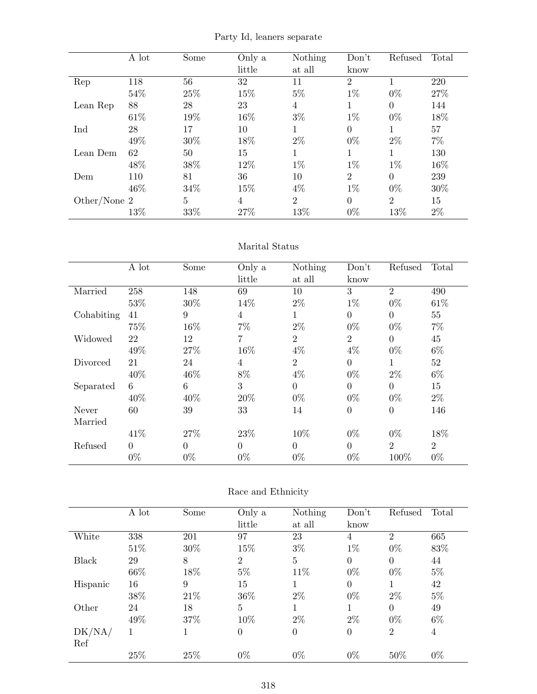| Party Id, leaners separate |  |
|----------------------------|--|
|----------------------------|--|

|                | A lot | Some | Only a | Nothing        | Don't          | Refused        | Total |
|----------------|-------|------|--------|----------------|----------------|----------------|-------|
|                |       |      | little | at all         | know           |                |       |
| Rep            | 118   | 56   | 32     | 11             | $\overline{2}$ |                | 220   |
|                | 54\%  | 25%  | 15%    | $5\%$          | $1\%$          | $0\%$          | 27%   |
| Lean Rep       | 88    | 28   | 23     | 4              |                | $\theta$       | 144   |
|                | 61\%  | 19%  | 16%    | $3\%$          | $1\%$          | $0\%$          | 18%   |
| Ind            | 28    | 17   | 10     | 1              | $\theta$       | 1              | 57    |
|                | 49%   | 30%  | 18%    | $2\%$          | $0\%$          | $2\%$          | $7\%$ |
| Lean Dem       | 62    | 50   | 15     | 1              | 1              | 1              | 130   |
|                | 48%   | 38%  | 12%    | $1\%$          | $1\%$          | $1\%$          | 16%   |
| Dem            | 110   | 81   | 36     | 10             | $\overline{2}$ | $\theta$       | 239   |
|                | 46\%  | 34\% | 15%    | $4\%$          | $1\%$          | $0\%$          | 30%   |
| Other/None $2$ |       | 5    | 4      | $\overline{2}$ | $\Omega$       | $\overline{2}$ | 15    |
|                | 13%   | 33%  | 27%    | 13%            | $0\%$          | 13%            | $2\%$ |

### Marital Status

|            | A lot    | Some     | Only a         | Nothing        | Don't            | Refused        | Total          |
|------------|----------|----------|----------------|----------------|------------------|----------------|----------------|
|            |          |          | little         | at all         | know             |                |                |
| Married    | 258      | 148      | 69             | 10             | 3                | $\overline{2}$ | 490            |
|            | 53%      | 30%      | 14%            | $2\%$          | $1\%$            | $0\%$          | 61\%           |
| Cohabiting | 41       | 9        | $\overline{4}$ | 1              | $\theta$         | $\Omega$       | 55             |
|            | 75%      | 16%      | $7\%$          | $2\%$          | $0\%$            | $0\%$          | $7\%$          |
| Widowed    | 22       | 12       | 7              | $\overline{2}$ | $\overline{2}$   | $\theta$       | 45             |
|            | 49%      | 27%      | 16%            | $4\%$          | $4\%$            | $0\%$          | $6\%$          |
| Divorced   | 21       | 24       | 4              | $\overline{2}$ | $\theta$         | 1              | 52             |
|            | 40%      | 46%      | 8%             | $4\%$          | $0\%$            | $2\%$          | $6\%$          |
| Separated  | 6        | 6        | 3              | $\overline{0}$ | $\overline{0}$   | $\Omega$       | 15             |
|            | 40%      | 40%      | 20%            | $0\%$          | $0\%$            | $0\%$          | $2\%$          |
| Never      | 60       | 39       | 33             | 14             | $\boldsymbol{0}$ | $\theta$       | 146            |
| Married    |          |          |                |                |                  |                |                |
|            | 41\%     | 27%      | 23%            | 10%            | $0\%$            | $0\%$          | 18%            |
| Refused    | $\Omega$ | $\Omega$ | $\Omega$       | $\theta$       | $\overline{0}$   | $\overline{2}$ | $\overline{2}$ |
|            | $0\%$    | $0\%$    | $0\%$          | $0\%$          | $0\%$            | 100%           | $0\%$          |

## Race and Ethnicity

|              | A lot | Some | Only a         | Nothing        | Don't          | Refused        | Total |
|--------------|-------|------|----------------|----------------|----------------|----------------|-------|
|              |       |      | little         | at all         | know           |                |       |
| White        | 338   | 201  | 97             | 23             | 4              | $\overline{2}$ | 665   |
|              | 51\%  | 30%  | 15%            | $3\%$          | $1\%$          | $0\%$          | 83%   |
| <b>Black</b> | 29    | 8    | $\overline{2}$ | $\overline{5}$ | $\theta$       | $\overline{0}$ | 44    |
|              | 66%   | 18%  | $5\%$          | 11\%           | $0\%$          | $0\%$          | $5\%$ |
| Hispanic     | 16    | 9    | 15             | 1              | $\theta$       |                | 42    |
|              | 38%   | 21\% | 36\%           | $2\%$          | $0\%$          | $2\%$          | $5\%$ |
| Other        | 24    | 18   | $\overline{5}$ | 1              | 1              | $\Omega$       | 49    |
|              | 49%   | 37%  | 10%            | $2\%$          | $2\%$          | $0\%$          | $6\%$ |
| DK/NA/       |       |      | $\overline{0}$ | $\overline{0}$ | $\overline{0}$ | $\overline{2}$ | 4     |
| Ref          |       |      |                |                |                |                |       |
|              | 25%   | 25%  | $0\%$          | $0\%$          | $0\%$          | 50%            | $0\%$ |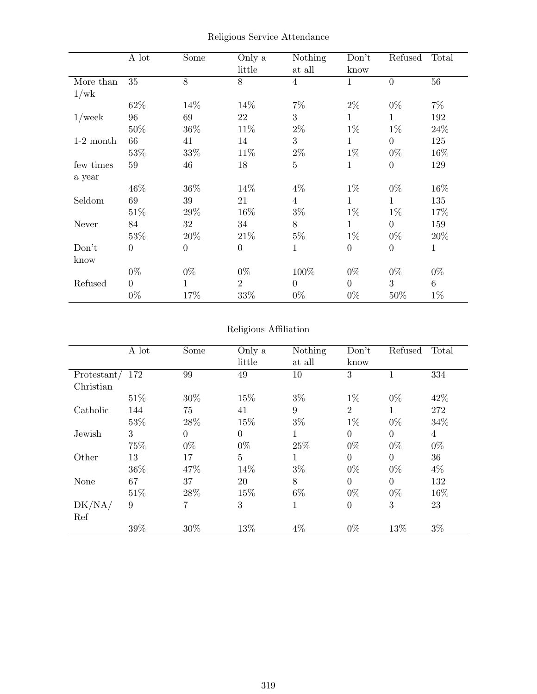|             | A lot            | Some             | Only a<br>little | Nothing<br>at all | Don't<br>know    | Refused          | Total           |
|-------------|------------------|------------------|------------------|-------------------|------------------|------------------|-----------------|
| More than   | 35               | 8                | 8                | $\overline{4}$    | 1                | $\boldsymbol{0}$ | 56              |
| 1/wk        |                  |                  |                  |                   |                  |                  |                 |
|             | 62%              | 14%              | 14%              | $7\%$             | $2\%$            | $0\%$            | $7\%$           |
| $1$ /week   | 96               | 69               | 22               | 3                 | $\mathbf{1}$     | $\mathbf 1$      | 192             |
|             | 50%              | 36%              | 11\%             | $2\%$             | $1\%$            | $1\%$            | 24%             |
| $1-2$ month | 66               | 41               | 14               | 3                 | $\mathbf{1}$     | $\boldsymbol{0}$ | 125             |
|             | 53%              | 33\%             | 11\%             | $2\%$             | $1\%$            | $0\%$            | 16%             |
| few times   | 59               | 46               | 18               | $\bf 5$           | 1                | $\boldsymbol{0}$ | 129             |
| a year      |                  |                  |                  |                   |                  |                  |                 |
|             | 46\%             | 36\%             | 14%              | $4\%$             | $1\%$            | $0\%$            | 16%             |
| Seldom      | 69               | 39               | 21               | $\overline{4}$    | 1                | 1                | 135             |
|             | 51\%             | 29\%             | 16%              | $3\%$             | $1\%$            | $1\%$            | 17%             |
| Never       | 84               | 32               | 34               | $8\,$             | $\mathbf 1$      | $\overline{0}$   | 159             |
|             | 53%              | 20%              | 21\%             | $5\%$             | $1\%$            | $0\%$            | 20%             |
| Don't       | $\boldsymbol{0}$ | $\boldsymbol{0}$ | $\boldsymbol{0}$ | $\mathbf{1}$      | $\boldsymbol{0}$ | $\boldsymbol{0}$ | $\mathbf{1}$    |
| know        |                  |                  |                  |                   |                  |                  |                 |
|             | $0\%$            | $0\%$            | $0\%$            | 100%              | $0\%$            | $0\%$            | $0\%$           |
| Refused     | $\overline{0}$   | 1                | $\overline{2}$   | $\overline{0}$    | $\overline{0}$   | 3                | $6\phantom{.}6$ |
|             | $0\%$            | 17%              | 33\%             | $0\%$             | $0\%$            | 50%              | $1\%$           |

Religious Service Attendance

## Religious Affiliation

|             | A lot | Some           | Only a         | Nothing     | Don't          | Refused        | Total          |
|-------------|-------|----------------|----------------|-------------|----------------|----------------|----------------|
|             |       |                | little         | at all      | know           |                |                |
| Protestant/ | 172   | 99             | 49             | 10          | 3              | 1              | 334            |
| Christian   |       |                |                |             |                |                |                |
|             | 51\%  | 30%            | 15%            | $3\%$       | $1\%$          | $0\%$          | 42%            |
| Catholic    | 144   | 75             | 41             | 9           | $\overline{2}$ | 1              | 272            |
|             | 53%   | 28%            | 15%            | $3\%$       | $1\%$          | $0\%$          | 34%            |
| Jewish      | 3     | $\overline{0}$ | $\overline{0}$ | 1           | $\overline{0}$ | $\overline{0}$ | $\overline{4}$ |
|             | 75%   | $0\%$          | $0\%$          | 25%         | $0\%$          | $0\%$          | $0\%$          |
| Other       | 13    | 17             | $\overline{5}$ | 1           | $\theta$       | $\overline{0}$ | 36             |
|             | 36\%  | 47%            | 14%            | $3\%$       | $0\%$          | $0\%$          | $4\%$          |
| None        | 67    | 37             | 20             | 8           | $\overline{0}$ | $\overline{0}$ | 132            |
|             | 51\%  | 28\%           | 15%            | $6\%$       | $0\%$          | $0\%$          | 16%            |
| DK/NA/      | 9     | 7              | 3              | $\mathbf 1$ | $\theta$       | 3              | 23             |
| Ref         |       |                |                |             |                |                |                |
|             | 39%   | 30%            | 13%            | 4%          | $0\%$          | 13%            | $3\%$          |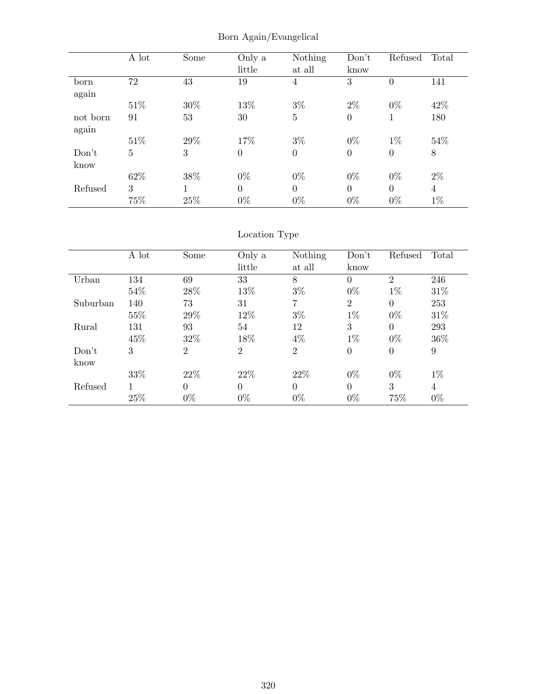|          | A lot          | Some | Only a<br>little | Nothing<br>at all | Don't<br>know    | Refused        | Total          |
|----------|----------------|------|------------------|-------------------|------------------|----------------|----------------|
| born     | 72             | 43   | 19               | 4                 | 3                | $\overline{0}$ | 141            |
| again    |                |      |                  |                   |                  |                |                |
|          | 51%            | 30%  | 13%              | $3\%$             | $2\%$            | $0\%$          | 42\%           |
| not born | 91             | 53   | 30               | $\overline{5}$    | $\boldsymbol{0}$ | 1              | 180            |
| again    |                |      |                  |                   |                  |                |                |
|          | 51\%           | 29%  | 17%              | $3\%$             | $0\%$            | $1\%$          | 54%            |
| Don't    | $\overline{5}$ | 3    | $\theta$         | $\boldsymbol{0}$  | $\overline{0}$   | $\overline{0}$ | $8\,$          |
| know     |                |      |                  |                   |                  |                |                |
|          | 62\%           | 38%  | $0\%$            | $0\%$             | $0\%$            | $0\%$          | $2\%$          |
| Refused  | 3              | 1    | $\theta$         | $\theta$          | $\theta$         | $\theta$       | $\overline{4}$ |
|          | 75%            | 25%  | $0\%$            | $0\%$             | $0\%$            | $0\%$          | $1\%$          |

Born Again/Evangelical

# Location Type

|          | A lot | Some           | Only a         | Nothing        | Don't          | Refused        | Total          |
|----------|-------|----------------|----------------|----------------|----------------|----------------|----------------|
|          |       |                | little         | at all         | know           |                |                |
| Urban    | 134   | 69             | 33             | 8              | $\overline{0}$ | $\overline{2}$ | 246            |
|          | 54%   | 28%            | 13%            | $3\%$          | $0\%$          | $1\%$          | 31\%           |
| Suburban | 140   | 73             | 31             | 7              | $\overline{2}$ | $\overline{0}$ | 253            |
|          | 55%   | 29%            | 12%            | $3\%$          | $1\%$          | $0\%$          | 31\%           |
| Rural    | 131   | 93             | 54             | 12             | 3              | $\theta$       | 293            |
|          | 45%   | 32%            | 18%            | $4\%$          | $1\%$          | $0\%$          | 36\%           |
| Don't    | 3     | $\overline{2}$ | $\overline{2}$ | $\overline{2}$ | $\overline{0}$ | $\overline{0}$ | 9              |
| know     |       |                |                |                |                |                |                |
|          | 33%   | 22\%           | 22\%           | 22\%           | $0\%$          | $0\%$          | $1\%$          |
| Refused  |       | $\Omega$       | $\theta$       | $\theta$       | $\theta$       | 3              | $\overline{4}$ |
|          | 25%   | $0\%$          | $0\%$          | $0\%$          | $0\%$          | 75%            | $0\%$          |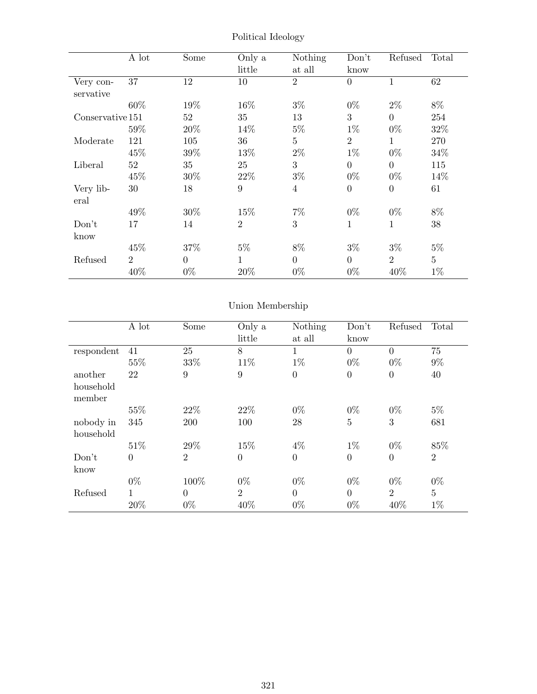|                        | A lot          | Some     | Only a         | Nothing        | Don't          | Refused          | Total          |
|------------------------|----------------|----------|----------------|----------------|----------------|------------------|----------------|
|                        |                |          | little         | at all         | know           |                  |                |
| Very con-<br>servative | 37             | 12       | 10             | $\overline{2}$ | $\overline{0}$ |                  | 62             |
|                        | 60%            | 19%      | 16%            | $3\%$          | $0\%$          | $2\%$            | 8%             |
| Conservative 151       |                | 52       | 35             | 13             | 3              | $\overline{0}$   | 254            |
|                        | 59%            | 20%      | 14%            | $5\%$          | $1\%$          | $0\%$            | 32%            |
| Moderate               | 121            | 105      | 36             | $\overline{5}$ | $\overline{2}$ | 1                | 270            |
|                        | 45\%           | 39%      | 13%            | $2\%$          | $1\%$          | $0\%$            | 34%            |
| Liberal                | 52             | 35       | 25             | 3              | $\overline{0}$ | $\overline{0}$   | 115            |
|                        | 45%            | 30%      | 22\%           | $3\%$          | $0\%$          | $0\%$            | 14%            |
| Very lib-<br>eral      | 30             | 18       | 9              | $\overline{4}$ | $\overline{0}$ | $\boldsymbol{0}$ | 61             |
|                        | 49%            | 30%      | 15\%           | $7\%$          | $0\%$          | $0\%$            | 8%             |
| Don't                  | 17             | 14       | $\overline{2}$ | 3              | $\mathbf 1$    | 1                | 38             |
| know                   |                |          |                |                |                |                  |                |
|                        | 45%            | 37%      | $5\%$          | 8%             | $3\%$          | $3\%$            | $5\%$          |
| Refused                | $\overline{2}$ | $\theta$ | $\mathbf{1}$   | $\overline{0}$ | $\overline{0}$ | $\overline{2}$   | $\overline{5}$ |
|                        | 40%            | $0\%$    | 20%            | $0\%$          | $0\%$          | 40\%             | $1\%$          |

Political Ideology

# Union Membership

|                        | A lot        | Some             | Only a<br>little | Nothing<br>at all | Don't<br>know  | Refused        | Total          |
|------------------------|--------------|------------------|------------------|-------------------|----------------|----------------|----------------|
| respondent             | 41           | 25               | 8                | 1                 | $\theta$       | $\theta$       | 75             |
|                        | 55%          | 33%              | 11\%             | $1\%$             | $0\%$          | $0\%$          | $9\%$          |
| another                | 22           | $\boldsymbol{9}$ | $\boldsymbol{9}$ | $\boldsymbol{0}$  | $\overline{0}$ | $\theta$       | 40             |
| household<br>member    |              |                  |                  |                   |                |                |                |
|                        | 55%          | 22\%             | 22%              | $0\%$             | $0\%$          | $0\%$          | $5\%$          |
| nobody in<br>household | 345          | 200              | 100              | 28                | $\overline{5}$ | 3              | 681            |
|                        | 51\%         | 29%              | 15%              | $4\%$             | $1\%$          | $0\%$          | 85%            |
| Don't<br>know          | $\theta$     | $\overline{2}$   | $\overline{0}$   | $\overline{0}$    | $\overline{0}$ | $\overline{0}$ | $\overline{2}$ |
|                        | $0\%$        | 100%             | $0\%$            | $0\%$             | $0\%$          | $0\%$          | $0\%$          |
| Refused                | $\mathbf{1}$ | $\theta$         | $\overline{2}$   | $\overline{0}$    | $\overline{0}$ | $\overline{2}$ | $\overline{5}$ |
|                        | 20%          | $0\%$            | 40%              | $0\%$             | $0\%$          | 40%            | $1\%$          |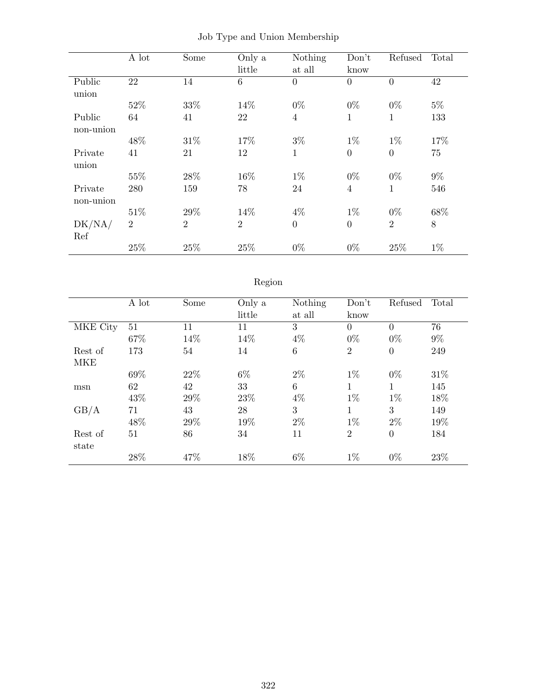|           | A lot          | Some           | Only a         | Nothing        | Don't          | Refused          | Total |
|-----------|----------------|----------------|----------------|----------------|----------------|------------------|-------|
|           |                |                | little         | at all         | know           |                  |       |
| Public    | 22             | 14             | 6              | $\overline{0}$ | $\overline{0}$ | $\overline{0}$   | 42    |
| union     |                |                |                |                |                |                  |       |
|           | 52%            | 33%            | 14%            | $0\%$          | $0\%$          | $0\%$            | $5\%$ |
| Public    | 64             | 41             | 22             | $\overline{4}$ | $\mathbf 1$    | 1                | 133   |
| non-union |                |                |                |                |                |                  |       |
|           | 48%            | 31\%           | 17%            | $3\%$          | $1\%$          | $1\%$            | 17%   |
| Private   | 41             | 21             | 12             | $\mathbf{1}$   | $\overline{0}$ | $\boldsymbol{0}$ | 75    |
| union     |                |                |                |                |                |                  |       |
|           | 55%            | 28\%           | 16%            | $1\%$          | $0\%$          | $0\%$            | $9\%$ |
| Private   | 280            | 159            | 78             | 24             | $\overline{4}$ | $\mathbf 1$      | 546   |
| non-union |                |                |                |                |                |                  |       |
|           | 51\%           | 29%            | 14%            | $4\%$          | $1\%$          | $0\%$            | 68%   |
| DK/NA/    | $\overline{2}$ | $\overline{2}$ | $\overline{2}$ | $\overline{0}$ | $\overline{0}$ | $\overline{2}$   | $8\,$ |
| Ref       |                |                |                |                |                |                  |       |
|           | 25%            | 25%            | 25%            | $0\%$          | $0\%$          | 25%              | $1\%$ |

|  |  |  |  |  | Job Type and Union Membership |
|--|--|--|--|--|-------------------------------|
|--|--|--|--|--|-------------------------------|

# Region

|            | A lot | Some | Only a | Nothing | Don't          | Refused        | Total |
|------------|-------|------|--------|---------|----------------|----------------|-------|
|            |       |      | little | at all  | know           |                |       |
| MKE City   | 51    | 11   | 11     | 3       | $\overline{0}$ | $\theta$       | 76    |
|            | 67%   | 14%  | 14%    | $4\%$   | $0\%$          | $0\%$          | $9\%$ |
| Rest of    | 173   | 54   | 14     | $\,6$   | $\overline{2}$ | $\theta$       | 249   |
| <b>MKE</b> |       |      |        |         |                |                |       |
|            | 69%   | 22%  | 6%     | $2\%$   | $1\%$          | $0\%$          | 31\%  |
| msn        | 62    | 42   | 33     | 6       | 1              | 1              | 145   |
|            | 43%   | 29%  | 23%    | $4\%$   | $1\%$          | $1\%$          | 18%   |
| GB/A       | 71    | 43   | 28     | 3       | 1              | 3              | 149   |
|            | 48%   | 29%  | 19%    | $2\%$   | $1\%$          | $2\%$          | 19%   |
| Rest of    | 51    | 86   | 34     | 11      | $\overline{2}$ | $\overline{0}$ | 184   |
| state      |       |      |        |         |                |                |       |
|            | 28%   | 47%  | 18%    | $6\%$   | $1\%$          | $0\%$          | 23%   |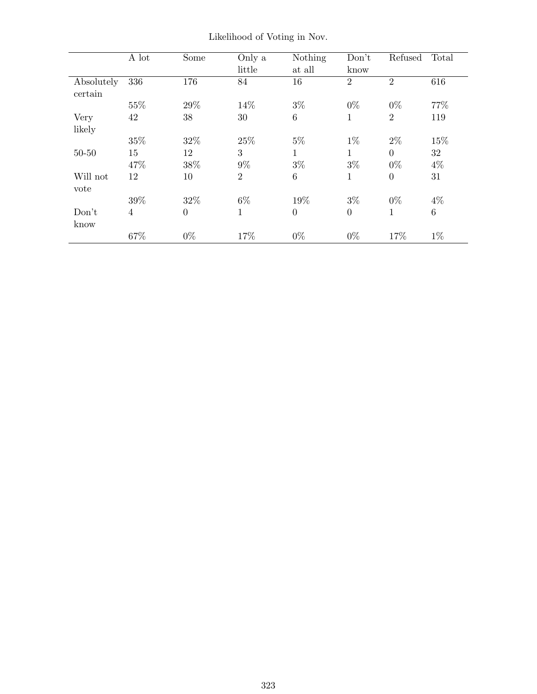|            | A lot          | Some     | Only a         | Nothing          | Don't          | Refused        | Total   |
|------------|----------------|----------|----------------|------------------|----------------|----------------|---------|
|            |                |          | little         | at all           | know           |                |         |
| Absolutely | 336            | 176      | 84             | 16               | $\overline{2}$ | $\overline{2}$ | 616     |
| certain    |                |          |                |                  |                |                |         |
|            | 55%            | 29%      | 14%            | $3\%$            | $0\%$          | $0\%$          | 77%     |
| Very       | 42             | 38       | 30             | $\,6$            | $\mathbf 1$    | $\overline{2}$ | 119     |
| likely     |                |          |                |                  |                |                |         |
|            | $35\%$         | 32%      | 25%            | $5\%$            | $1\%$          | $2\%$          | 15%     |
| $50 - 50$  | 15             | 12       | 3              | $\mathbf{1}$     | 1              | $\overline{0}$ | 32      |
|            | 47%            | 38%      | $9\%$          | $3\%$            | $3\%$          | $0\%$          | $4\%$   |
| Will not   | 12             | 10       | $\overline{2}$ | 6                | $\mathbf{1}$   | $\overline{0}$ | 31      |
| vote       |                |          |                |                  |                |                |         |
|            | 39%            | 32%      | $6\%$          | 19%              | $3\%$          | $0\%$          | $4\%$   |
| Don't      | $\overline{4}$ | $\theta$ | $\mathbf 1$    | $\boldsymbol{0}$ | $\overline{0}$ | $\mathbf{1}$   | $\,6\,$ |
| know       |                |          |                |                  |                |                |         |
|            | 67%            | $0\%$    | 17%            | $0\%$            | $0\%$          | 17%            | $1\%$   |

Likelihood of Voting in Nov.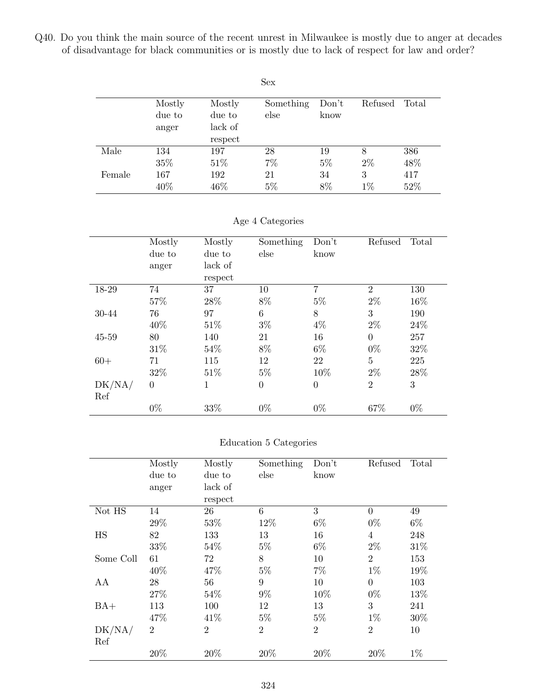Q40. Do you think the main source of the recent unrest in Milwaukee is mostly due to anger at decades of disadvantage for black communities or is mostly due to lack of respect for law and order?

|        |        |         | Sex       |       |         |       |
|--------|--------|---------|-----------|-------|---------|-------|
|        | Mostly | Mostly  | Something | Don't | Refused | Total |
|        | due to | due to  | else      | know  |         |       |
|        | anger  | lack of |           |       |         |       |
|        |        | respect |           |       |         |       |
| Male   | 134    | 197     | 28        | 19    | 8       | 386   |
|        | 35%    | 51\%    | 7%        | $5\%$ | $2\%$   | 48%   |
| Female | 167    | 192     | 21        | 34    | 3       | 417   |
|        | 40%    | 46\%    | $5\%$     | 8%    | $1\%$   | 52%   |

### Age 4 Categories

|        | Mostly         | Mostly  | Something      | Don't          | Refused        | Total |
|--------|----------------|---------|----------------|----------------|----------------|-------|
|        | due to         | due to  | else           | know           |                |       |
|        | anger          | lack of |                |                |                |       |
|        |                | respect |                |                |                |       |
| 18-29  | 74             | 37      | 10             | 7              | $\overline{2}$ | 130   |
|        | 57%            | 28%     | 8%             | $5\%$          | $2\%$          | 16%   |
| 30-44  | 76             | 97      | 6              | 8              | 3              | 190   |
|        | 40%            | 51%     | $3\%$          | $4\%$          | $2\%$          | 24\%  |
| 45-59  | 80             | 140     | 21             | 16             | $\theta$       | 257   |
|        | 31\%           | 54%     | 8%             | $6\%$          | $0\%$          | 32%   |
| $60+$  | 71             | 115     | 12             | 22             | 5              | 225   |
|        | 32%            | 51%     | $5\%$          | 10%            | $2\%$          | 28%   |
| DK/NA/ | $\overline{0}$ | 1       | $\overline{0}$ | $\overline{0}$ | $\overline{2}$ | 3     |
| Ref    |                |         |                |                |                |       |
|        | $0\%$          | 33%     | $0\%$          | $0\%$          | 67%            | $0\%$ |

#### Education 5 Categories

|           | Mostly         | Mostly         | Something      | Don't          | Refused        | Total |
|-----------|----------------|----------------|----------------|----------------|----------------|-------|
|           | due to         | due to         | else           | know           |                |       |
|           | anger          | lack of        |                |                |                |       |
|           |                | respect        |                |                |                |       |
| Not HS    | 14             | 26             | 6              | 3              | $\overline{0}$ | 49    |
|           | 29%            | 53%            | 12%            | $6\%$          | $0\%$          | $6\%$ |
| <b>HS</b> | 82             | 133            | 13             | 16             | 4              | 248   |
|           | 33%            | 54%            | $5\%$          | $6\%$          | $2\%$          | 31\%  |
| Some Coll | 61             | 72             | 8              | 10             | $\overline{2}$ | 153   |
|           | 40%            | 47%            | $5\%$          | $7\%$          | $1\%$          | 19%   |
| AA        | 28             | 56             | 9              | 10             | $\theta$       | 103   |
|           | 27%            | 54%            | $9\%$          | 10%            | $0\%$          | 13%   |
| $BA+$     | 113            | 100            | 12             | 13             | 3              | 241   |
|           | 47%            | 41\%           | $5\%$          | $5\%$          | $1\%$          | 30%   |
| DK/NA/    | $\overline{2}$ | $\overline{2}$ | $\overline{2}$ | $\overline{2}$ | $\overline{2}$ | 10    |
| Ref       |                |                |                |                |                |       |
|           | 20%            | 20%            | 20%            | 20%            | 20%            | $1\%$ |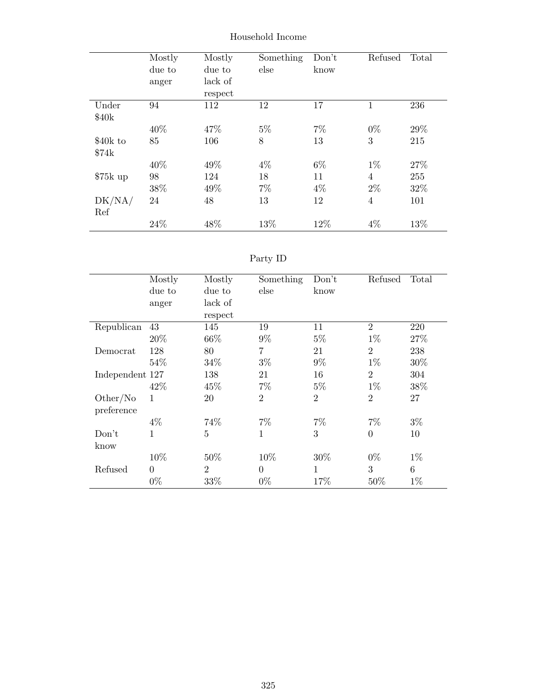|                   | Mostly | Mostly  | Something | Don't | Refused        | Total |
|-------------------|--------|---------|-----------|-------|----------------|-------|
|                   | due to | due to  | else      | know  |                |       |
|                   | anger  | lack of |           |       |                |       |
|                   |        | respect |           |       |                |       |
| Under             | 94     | 112     | 12        | 17    | 1              | 236   |
| \$40 <sub>k</sub> |        |         |           |       |                |       |
|                   | 40%    | 47%     | $5\%$     | $7\%$ | $0\%$          | 29%   |
| \$40k to          | 85     | 106     | 8         | 13    | 3              | 215   |
| \$74k             |        |         |           |       |                |       |
|                   | 40%    | 49%     | $4\%$     | $6\%$ | $1\%$          | 27%   |
| $$75k$ up         | 98     | 124     | 18        | 11    | $\overline{4}$ | 255   |
|                   | 38%    | 49%     | $7\%$     | $4\%$ | $2\%$          | 32\%  |
| DK/NA/            | 24     | 48      | 13        | 12    | $\overline{4}$ | 101   |
| Ref               |        |         |           |       |                |       |
|                   | 24%    | 48%     | 13%       | 12%   | $4\%$          | 13%   |

#### Household Income

# Party ID

|                 | Mostly   | Mostly         | Something      | Don't          | Refused        | Total |
|-----------------|----------|----------------|----------------|----------------|----------------|-------|
|                 | due to   | due to         | else           | know           |                |       |
|                 | anger    | lack of        |                |                |                |       |
|                 |          | respect        |                |                |                |       |
| Republican      | 43       | 145            | 19             | 11             | $\overline{2}$ | 220   |
|                 | 20%      | 66%            | $9\%$          | $5\%$          | $1\%$          | 27%   |
| Democrat        | 128      | 80             | 7              | 21             | $\overline{2}$ | 238   |
|                 | 54%      | 34%            | $3\%$          | $9\%$          | $1\%$          | 30%   |
| Independent 127 |          | 138            | 21             | 16             | $\overline{2}$ | 304   |
|                 | 42\%     | 45%            | $7\%$          | $5\%$          | $1\%$          | 38%   |
| Other/No        | 1        | 20             | $\overline{2}$ | $\overline{2}$ | $\overline{2}$ | 27    |
| preference      |          |                |                |                |                |       |
|                 | $4\%$    | 74%            | $7\%$          | $7\%$          | $7\%$          | $3\%$ |
| Don't           | 1        | $5\,$          | 1              | 3              | $\overline{0}$ | 10    |
| know            |          |                |                |                |                |       |
|                 | 10%      | 50%            | 10%            | 30%            | $0\%$          | $1\%$ |
| Refused         | $\theta$ | $\overline{2}$ | $\theta$       | 1              | 3              | 6     |
|                 | $0\%$    | $33\%$         | $0\%$          | 17%            | 50%            | $1\%$ |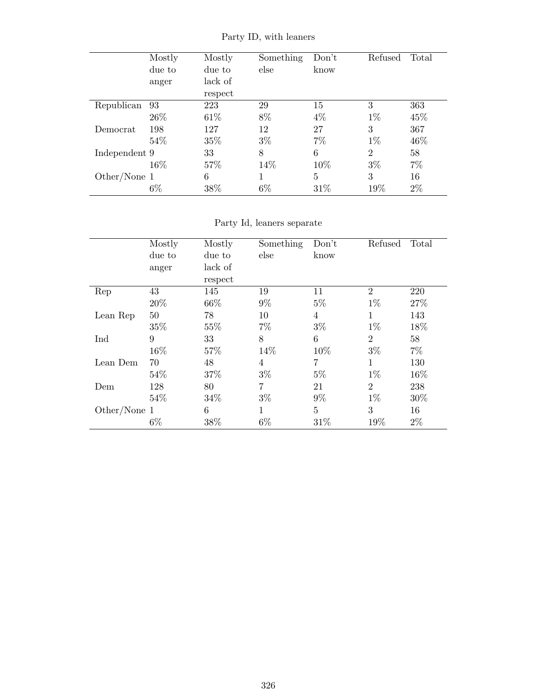|               | Mostly | Mostly  | Something | Don't | Refused        | Total |
|---------------|--------|---------|-----------|-------|----------------|-------|
|               | due to | due to  | else      | know  |                |       |
|               | anger  | lack of |           |       |                |       |
|               |        | respect |           |       |                |       |
| Republican    | 93     | 223     | 29        | 15    | 3              | 363   |
|               | 26\%   | 61\%    | 8%        | $4\%$ | $1\%$          | 45%   |
| Democrat      | 198    | 127     | 12        | 27    | 3              | 367   |
|               | 54\%   | 35%     | $3\%$     | $7\%$ | $1\%$          | 46%   |
| Independent 9 |        | 33      | 8         | 6     | $\overline{2}$ | 58    |
|               | 16\%   | 57%     | 14%       | 10%   | $3\%$          | $7\%$ |
| Other/None 1  |        | 6       |           | 5     | 3              | 16    |
|               | $6\%$  | 38%     | 6%        | 31%   | 19%            | $2\%$ |

Party ID, with leaners

Party Id, leaners separate

|              | Mostly | Mostly  | Something | Don't | Refused        | Total |
|--------------|--------|---------|-----------|-------|----------------|-------|
|              | due to | due to  | else      | know  |                |       |
|              | anger  | lack of |           |       |                |       |
|              |        | respect |           |       |                |       |
| Rep          | 43     | 145     | 19        | 11    | $\overline{2}$ | 220   |
|              | 20%    | 66%     | $9\%$     | $5\%$ | $1\%$          | 27%   |
| Lean Rep     | 50     | 78      | 10        | 4     | 1              | 143   |
|              | 35%    | 55%     | $7\%$     | $3\%$ | $1\%$          | 18%   |
| Ind          | 9      | 33      | 8         | 6     | $\overline{2}$ | 58    |
|              | 16%    | 57%     | 14%       | 10%   | $3\%$          | $7\%$ |
| Lean Dem     | 70     | 48      | 4         | 7     | 1              | 130   |
|              | 54\%   | 37%     | $3\%$     | $5\%$ | $1\%$          | 16%   |
| Dem          | 128    | 80      | 7         | 21    | $\overline{2}$ | 238   |
|              | 54%    | 34\%    | $3\%$     | $9\%$ | $1\%$          | 30\%  |
| Other/None 1 |        | 6       | 1         | 5     | 3              | 16    |
|              | $6\%$  | 38%     | $6\%$     | 31\%  | 19%            | $2\%$ |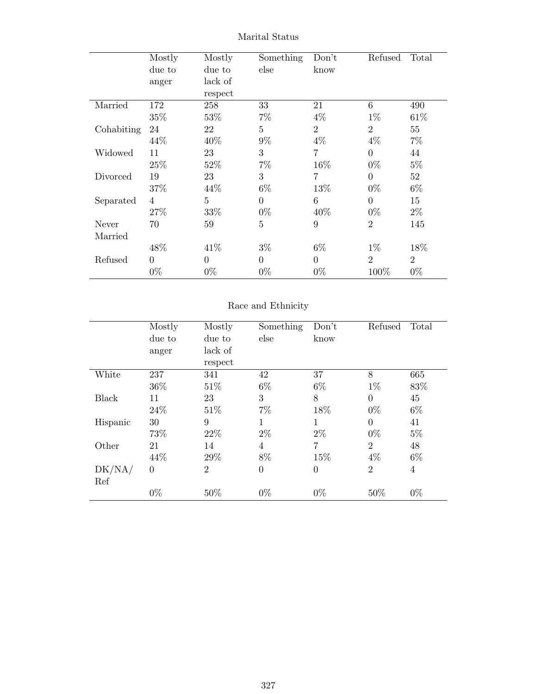|            | Mostly         | Mostly         | Something      | Don't          | Refused        | Total          |
|------------|----------------|----------------|----------------|----------------|----------------|----------------|
|            | due to         | due to         | else           | know           |                |                |
|            | anger          | lack of        |                |                |                |                |
|            |                | respect        |                |                |                |                |
| Married    | 172            | 258            | 33             | 21             | 6              | 490            |
|            | 35%            | 53%            | $7\%$          | $4\%$          | $1\%$          | 61\%           |
| Cohabiting | 24             | 22             | $\overline{5}$ | $\overline{2}$ | $\overline{2}$ | 55             |
|            | 44\%           | 40\%           | $9\%$          | $4\%$          | $4\%$          | $7\%$          |
| Widowed    | 11             | 23             | 3              | $\overline{7}$ | $\theta$       | 44             |
|            | 25\%           | 52\%           | $7\%$          | 16%            | $0\%$          | $5\%$          |
| Divorced   | 19             | 23             | 3              | 7              | $\overline{0}$ | 52             |
|            | 37%            | 44\%           | $6\%$          | 13%            | $0\%$          | $6\%$          |
| Separated  | $\overline{4}$ | $\overline{5}$ | $\theta$       | 6              | $\theta$       | 15             |
|            | 27\%           | 33%            | $0\%$          | 40%            | $0\%$          | $2\%$          |
| Never      | 70             | 59             | 5              | 9              | $\overline{2}$ | 145            |
| Married    |                |                |                |                |                |                |
|            | 48\%           | 41\%           | $3\%$          | $6\%$          | $1\%$          | 18%            |
| Refused    | $\Omega$       | $\theta$       | $\Omega$       | $\overline{0}$ | $\overline{2}$ | $\overline{2}$ |
|            | $0\%$          | $0\%$          | $0\%$          | $0\%$          | 100%           | $0\%$          |

Marital Status

# Race and Ethnicity

|              | Mostly<br>due to | Mostly<br>due to | Something<br>else | Don't<br>know  | Refused        | Total |
|--------------|------------------|------------------|-------------------|----------------|----------------|-------|
|              | anger            | lack of          |                   |                |                |       |
|              |                  | respect          |                   |                |                |       |
| White        | 237              | 341              | 42                | 37             | 8              | 665   |
|              | 36%              | 51\%             | $6\%$             | $6\%$          | $1\%$          | 83%   |
| <b>Black</b> | 11               | 23               | 3                 | 8              | $\overline{0}$ | 45    |
|              | 24\%             | 51\%             | $7\%$             | 18%            | $0\%$          | $6\%$ |
| Hispanic     | 30               | 9                | 1                 | 1              | $\theta$       | 41    |
|              | 73%              | 22\%             | $2\%$             | $2\%$          | $0\%$          | $5\%$ |
| Other        | 21               | 14               | 4                 | 7              | $\overline{2}$ | 48    |
|              | 44\%             | 29%              | 8%                | 15%            | $4\%$          | $6\%$ |
| DK/NA/       | $\theta$         | $\overline{2}$   | $\overline{0}$    | $\overline{0}$ | $\overline{2}$ | 4     |
| Ref          |                  |                  |                   |                |                |       |
|              | $0\%$            | 50%              | $0\%$             | $0\%$          | 50%            | $0\%$ |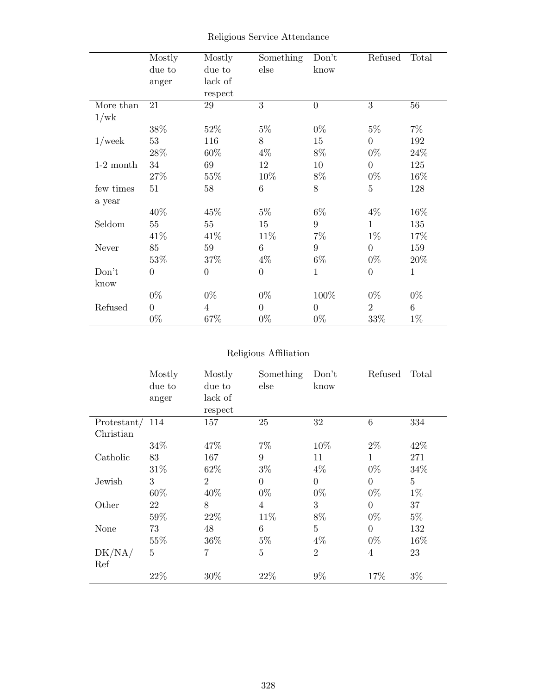|             | Mostly<br>due to<br>anger | Mostly<br>due to<br>lack of | Something<br>else | Don't<br>know    | Refused        | Total        |
|-------------|---------------------------|-----------------------------|-------------------|------------------|----------------|--------------|
| More than   | 21                        | respect<br>29               | 3                 | $\boldsymbol{0}$ | 3              | 56           |
| 1/wk        |                           |                             |                   |                  |                |              |
|             | 38%                       | 52%                         | $5\%$             | $0\%$            | $5\%$          | $7\%$        |
| $1$ /week   | 53                        | 116                         | 8                 | 15               | $\Omega$       | 192          |
|             | 28%                       | 60%                         | $4\%$             | $8\%$            | $0\%$          | 24%          |
| $1-2$ month | 34                        | 69                          | 12                | 10               | $\Omega$       | 125          |
|             | 27%                       | 55%                         | 10%               | 8%               | $0\%$          | 16%          |
| few times   | 51                        | 58                          | $\,6\,$           | 8                | $\overline{5}$ | 128          |
| a year      |                           |                             |                   |                  |                |              |
|             | 40%                       | 45%                         | $5\%$             | $6\%$            | $4\%$          | 16%          |
| Seldom      | 55                        | 55                          | 15                | 9                | $\mathbf{1}$   | 135          |
|             | 41\%                      | 41\%                        | 11\%              | $7\%$            | $1\%$          | 17%          |
| Never       | 85                        | 59                          | $6\phantom{.}6$   | 9                | $\overline{0}$ | 159          |
|             | 53\%                      | 37%                         | $4\%$             | $6\%$            | $0\%$          | 20\%         |
| Don't       | $\overline{0}$            | $\theta$                    | $\overline{0}$    | 1                | $\theta$       | $\mathbf{1}$ |
| know        |                           |                             |                   |                  |                |              |
|             | $0\%$                     | $0\%$                       | $0\%$             | 100%             | $0\%$          | $0\%$        |
| Refused     | $\overline{0}$            | $\overline{4}$              | $\overline{0}$    | $\overline{0}$   | $\overline{2}$ | 6            |
|             | $0\%$                     | 67%                         | $0\%$             | $0\%$            | 33%            | $1\%$        |

# Religious Service Attendance

#### Religious Affiliation

|                 | Mostly         | Mostly         | Something      | Don't          | Refused        | Total          |
|-----------------|----------------|----------------|----------------|----------------|----------------|----------------|
|                 | due to         | due to         | else           | know           |                |                |
|                 | anger          | lack of        |                |                |                |                |
|                 |                | respect        |                |                |                |                |
| Protestant/ 114 |                | 157            | 25             | 32             | 6              | 334            |
| Christian       |                |                |                |                |                |                |
|                 | 34\%           | 47%            | $7\%$          | 10%            | $2\%$          | 42\%           |
| Catholic        | 83             | 167            | 9              | 11             | 1              | 271            |
|                 | 31\%           | 62%            | $3\%$          | $4\%$          | $0\%$          | 34%            |
| Jewish          | 3              | $\overline{2}$ | $\overline{0}$ | $\theta$       | $\overline{0}$ | $\overline{5}$ |
|                 | 60%            | 40%            | $0\%$          | $0\%$          | $0\%$          | $1\%$          |
| Other           | 22             | 8              | $\overline{4}$ | 3              | $\overline{0}$ | 37             |
|                 | 59%            | 22\%           | 11\%           | 8%             | $0\%$          | $5\%$          |
| None            | 73             | 48             | 6              | $\overline{5}$ | $\theta$       | 132            |
|                 | 55%            | 36%            | $5\%$          | $4\%$          | $0\%$          | 16%            |
| DK/NA/          | $\overline{5}$ | 7              | $\overline{5}$ | $\overline{2}$ | $\overline{4}$ | 23             |
| Ref             |                |                |                |                |                |                |
|                 | 22%            | 30%            | 22%            | $9\%$          | 17%            | $3\%$          |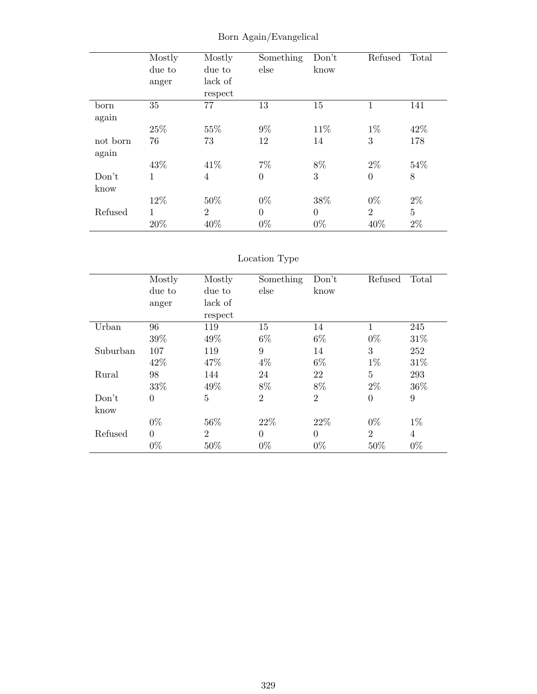|          | Mostly | Mostly         | Something | Don't    | Refused          | Total          |
|----------|--------|----------------|-----------|----------|------------------|----------------|
|          | due to | due to         | else      | know     |                  |                |
|          | anger  | lack of        |           |          |                  |                |
|          |        | respect        |           |          |                  |                |
| born     | 35     | 77             | 13        | 15       | 1                | 141            |
| again    |        |                |           |          |                  |                |
|          | 25%    | 55%            | $9\%$     | 11\%     | $1\%$            | 42%            |
| not born | 76     | 73             | 12        | 14       | 3                | 178            |
| again    |        |                |           |          |                  |                |
|          | 43%    | 41\%           | $7\%$     | 8%       | $2\%$            | 54%            |
| Don't    | 1      | $\overline{4}$ | $\theta$  | 3        | $\boldsymbol{0}$ | 8              |
| know     |        |                |           |          |                  |                |
|          | 12%    | 50%            | $0\%$     | 38%      | $0\%$            | $2\%$          |
| Refused  | 1      | $\overline{2}$ | $\theta$  | $\Omega$ | $\overline{2}$   | $\overline{5}$ |
|          | 20%    | 40%            | $0\%$     | $0\%$    | 40%              | $2\%$          |

# Born Again/Evangelical

# Location Type

|          | Mostly         | Mostly         | Something      | Don't          | Refused        | Total |
|----------|----------------|----------------|----------------|----------------|----------------|-------|
|          | due to         | due to         | else           | know           |                |       |
|          | anger          | lack of        |                |                |                |       |
|          |                | respect        |                |                |                |       |
| Urban    | 96             | 119            | 15             | 14             | 1              | 245   |
|          | 39%            | 49%            | $6\%$          | $6\%$          | $0\%$          | 31\%  |
| Suburban | 107            | 119            | 9              | 14             | 3              | 252   |
|          | 42\%           | 47\%           | $4\%$          | $6\%$          | $1\%$          | 31\%  |
| Rural    | 98             | 144            | 24             | 22             | 5              | 293   |
|          | 33%            | 49%            | 8%             | 8%             | $2\%$          | 36\%  |
| Don't    | $\overline{0}$ | $\overline{5}$ | $\overline{2}$ | $\overline{2}$ | $\overline{0}$ | 9     |
| know     |                |                |                |                |                |       |
|          | $0\%$          | 56%            | 22\%           | 22%            | $0\%$          | $1\%$ |
| Refused  | $\overline{0}$ | $\overline{2}$ | $\theta$       | $\Omega$       | $\overline{2}$ | 4     |
|          | $0\%$          | 50%            | $0\%$          | $0\%$          | 50%            | $0\%$ |
|          |                |                |                |                |                |       |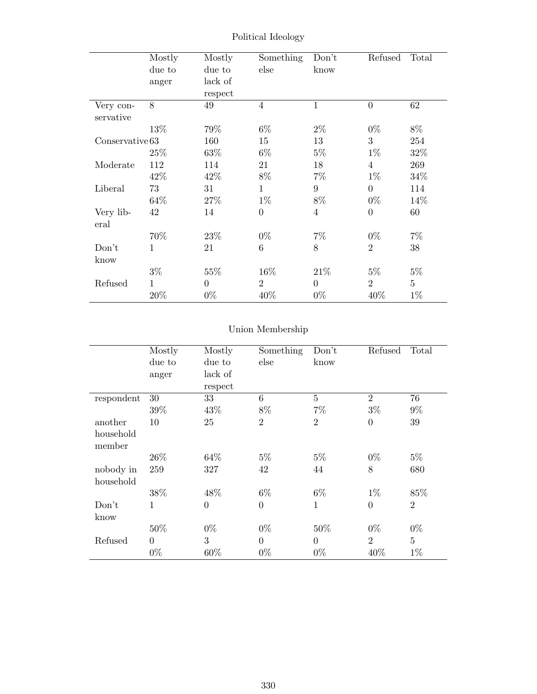|                        | Mostly<br>due to<br>anger | Mostly<br>due to<br>lack of<br>respect | Something<br>else | Don't<br>know  | Refused        | Total          |
|------------------------|---------------------------|----------------------------------------|-------------------|----------------|----------------|----------------|
| Very con-<br>servative | 8                         | 49                                     | $\overline{4}$    | $\mathbf{1}$   | $\theta$       | 62             |
|                        | 13%                       | 79%                                    | $6\%$             | $2\%$          | $0\%$          | 8%             |
| Conserveative 63       |                           | 160                                    | 15                | 13             | 3              | 254            |
|                        | 25\%                      | 63%                                    | $6\%$             | $5\%$          | $1\%$          | 32%            |
| Moderate               | 112                       | 114                                    | 21                | 18             | $\overline{4}$ | 269            |
|                        | 42\%                      | 42\%                                   | 8%                | $7\%$          | $1\%$          | 34%            |
| Liberal                | 73                        | 31                                     | $\mathbf{1}$      | 9              | $\theta$       | 114            |
|                        | 64%                       | 27%                                    | $1\%$             | 8%             | $0\%$          | 14\%           |
| Very lib-<br>eral      | 42                        | 14                                     | $\overline{0}$    | $\overline{4}$ | $\Omega$       | 60             |
|                        | 70%                       | 23%                                    | $0\%$             | $7\%$          | $0\%$          | $7\%$          |
| Don't                  | $\mathbf{1}$              | 21                                     | 6                 | 8              | $\overline{2}$ | 38             |
| know                   |                           |                                        |                   |                |                |                |
|                        | $3\%$                     | 55%                                    | 16%               | 21\%           | $5\%$          | $5\%$          |
| Refused                | 1                         | $\Omega$                               | $\overline{2}$    | $\overline{0}$ | $\overline{2}$ | $\overline{5}$ |
|                        | 20%                       | $0\%$                                  | 40%               | $0\%$          | 40%            | $1\%$          |

Political Ideology

# Union Membership

|            | Mostly   | Mostly         | Something      | Don't          | Refused        | Total          |
|------------|----------|----------------|----------------|----------------|----------------|----------------|
|            | due to   | due to         | else           | know           |                |                |
|            | anger    | lack of        |                |                |                |                |
|            |          | respect        |                |                |                |                |
| respondent | 30       | 33             | 6              | $\overline{5}$ | $\overline{2}$ | 76             |
|            | 39%      | 43%            | 8%             | $7\%$          | $3\%$          | $9\%$          |
| another    | 10       | 25             | $\overline{2}$ | $\overline{2}$ | $\theta$       | 39             |
| household  |          |                |                |                |                |                |
| member     |          |                |                |                |                |                |
|            | $26\%$   | 64\%           | $5\%$          | $5\%$          | $0\%$          | $5\%$          |
| nobody in  | 259      | 327            | 42             | 44             | 8              | 680            |
| household  |          |                |                |                |                |                |
|            | 38%      | 48%            | $6\%$          | $6\%$          | $1\%$          | 85%            |
| Don't      | 1        | $\overline{0}$ | $\overline{0}$ | $\mathbf 1$    | $\overline{0}$ | $\overline{2}$ |
| know       |          |                |                |                |                |                |
|            | 50%      | $0\%$          | $0\%$          | 50%            | $0\%$          | $0\%$          |
| Refused    | $\theta$ | 3              | $\overline{0}$ | $\theta$       | $\overline{2}$ | $\overline{5}$ |
|            | $0\%$    | 60%            | $0\%$          | $0\%$          | 40%            | $1\%$          |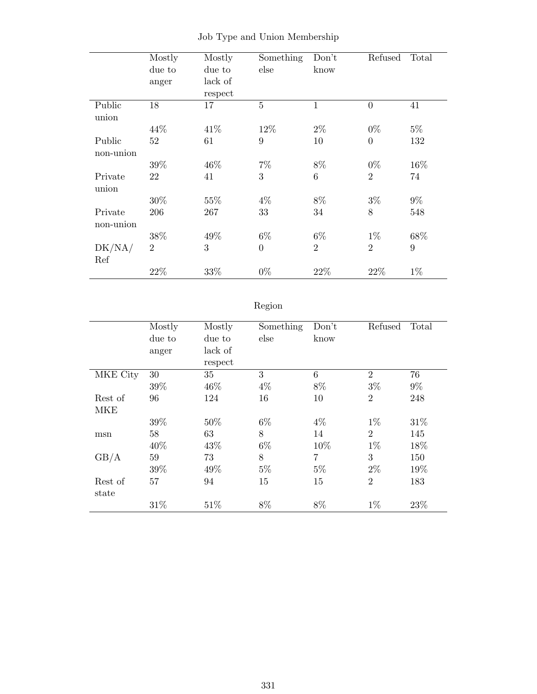|           | Mostly         | Mostly  | Something      | Don't          | Refused        | Total |
|-----------|----------------|---------|----------------|----------------|----------------|-------|
|           | due to         | due to  | else           | know           |                |       |
|           | anger          | lack of |                |                |                |       |
|           |                | respect |                |                |                |       |
| Public    | 18             | 17      | $\overline{5}$ | $\mathbf{1}$   | $\theta$       | 41    |
| union     |                |         |                |                |                |       |
|           | 44%            | 41\%    | 12%            | $2\%$          | $0\%$          | $5\%$ |
| Public    | 52             | 61      | 9              | 10             | $\overline{0}$ | 132   |
| non-union |                |         |                |                |                |       |
|           | 39%            | 46\%    | $7\%$          | 8%             | $0\%$          | 16%   |
| Private   | 22             | 41      | 3              | $\,6$          | $\overline{2}$ | 74    |
| union     |                |         |                |                |                |       |
|           | 30%            | $55\%$  | $4\%$          | $8\%$          | $3\%$          | $9\%$ |
| Private   | 206            | 267     | 33             | 34             | 8              | 548   |
| non-union |                |         |                |                |                |       |
|           | 38%            | 49%     | $6\%$          | $6\%$          | $1\%$          | 68%   |
| DK/NA/    | $\overline{2}$ | 3       | $\theta$       | $\overline{2}$ | $\overline{2}$ | 9     |
| Ref       |                |         |                |                |                |       |
|           | 22\%           | 33\%    | $0\%$          | 22%            | 22%            | $1\%$ |

|  |  |  |  |  | Job Type and Union Membership |
|--|--|--|--|--|-------------------------------|
|--|--|--|--|--|-------------------------------|

# Region

|            | Mostly | Mostly  | Something | Don't | Refused        | Total |
|------------|--------|---------|-----------|-------|----------------|-------|
|            | due to | due to  | else      | know  |                |       |
|            | anger  | lack of |           |       |                |       |
|            |        | respect |           |       |                |       |
| MKE City   | 30     | 35      | 3         | 6     | $\overline{2}$ | 76    |
|            | 39%    | 46%     | $4\%$     | $8\%$ | $3\%$          | $9\%$ |
| Rest of    | 96     | 124     | 16        | 10    | $\overline{2}$ | 248   |
| <b>MKE</b> |        |         |           |       |                |       |
|            | 39%    | 50%     | $6\%$     | $4\%$ | $1\%$          | 31\%  |
| msn        | 58     | 63      | 8         | 14    | $\overline{2}$ | 145   |
|            | 40%    | 43%     | $6\%$     | 10%   | $1\%$          | 18%   |
| GB/A       | 59     | 73      | 8         | 7     | 3              | 150   |
|            | 39%    | 49%     | $5\%$     | $5\%$ | $2\%$          | 19%   |
| Rest of    | 57     | 94      | 15        | 15    | $\overline{2}$ | 183   |
| state      |        |         |           |       |                |       |
|            | 31%    | 51%     | 8%        | 8%    | $1\%$          | 23%   |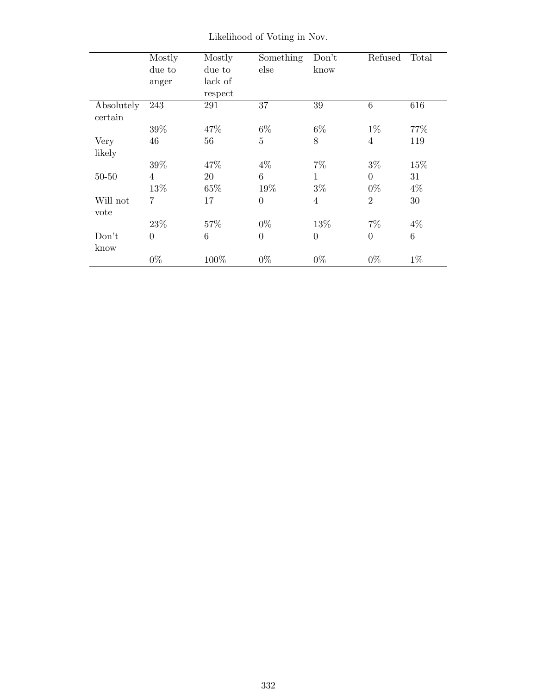|            | Mostly         | Mostly  | Something       | Don't          | Refused         | Total |
|------------|----------------|---------|-----------------|----------------|-----------------|-------|
|            | due to         | due to  | else            | know           |                 |       |
|            | anger          | lack of |                 |                |                 |       |
|            |                | respect |                 |                |                 |       |
| Absolutely | 243            | 291     | 37              | 39             | $6\phantom{.}6$ | 616   |
| certain    |                |         |                 |                |                 |       |
|            | 39%            | 47%     | $6\%$           | $6\%$          | $1\%$           | 77%   |
| Very       | 46             | 56      | $\overline{5}$  | 8              | $\overline{4}$  | 119   |
| likely     |                |         |                 |                |                 |       |
|            | 39%            | 47%     | $4\%$           | $7\%$          | $3\%$           | 15%   |
| $50 - 50$  | $\overline{4}$ | 20      | $6\phantom{.}6$ | $\mathbf{1}$   | $\overline{0}$  | 31    |
|            | 13%            | 65%     | 19%             | $3\%$          | $0\%$           | $4\%$ |
| Will not   | 7              | 17      | $\overline{0}$  | $\overline{4}$ | $\overline{2}$  | 30    |
| vote       |                |         |                 |                |                 |       |
|            | 23%            | 57%     | $0\%$           | 13%            | $7\%$           | $4\%$ |
| Don't      | $\overline{0}$ | 6       | $\overline{0}$  | $\overline{0}$ | $\overline{0}$  | 6     |
| know       |                |         |                 |                |                 |       |
|            | $0\%$          | 100%    | $0\%$           | $0\%$          | $0\%$           | $1\%$ |
|            |                |         |                 |                |                 |       |

Likelihood of Voting in Nov.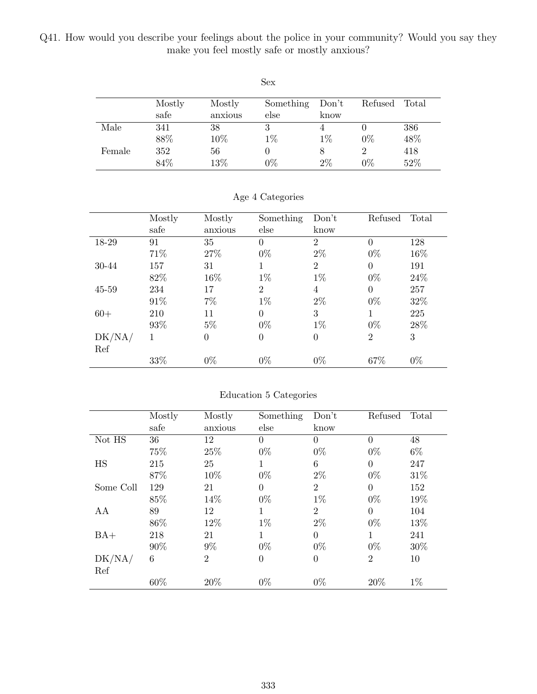Q41. How would you describe your feelings about the police in your community? Would you say they make you feel mostly safe or mostly anxious?

| Sex    |        |         |           |       |         |       |  |  |
|--------|--------|---------|-----------|-------|---------|-------|--|--|
|        | Mostly | Mostly  | Something | Don't | Refused | Total |  |  |
|        | safe   | anxious | else      | know  |         |       |  |  |
| Male   | 341    | 38      | 3         | 4     |         | 386   |  |  |
|        | 88%    | 10%     | $1\%$     | $1\%$ | $0\%$   | 48%   |  |  |
| Female | 352    | 56      |           | 8     | 2       | 418   |  |  |
|        | 84%    | 13%     | $0\%$     | 2%    | $0\%$   | 52%   |  |  |

|        | Mostly | Mostly         | Something      | Don't          | Refused        | Total |
|--------|--------|----------------|----------------|----------------|----------------|-------|
|        | safe   | anxious        | else           | know           |                |       |
| 18-29  | 91     | 35             | $\theta$       | $\overline{2}$ | $\overline{0}$ | 128   |
|        | 71%    | 27%            | $0\%$          | $2\%$          | $0\%$          | 16%   |
| 30-44  | 157    | 31             | 1              | $\overline{2}$ | $\overline{0}$ | 191   |
|        | 82\%   | $16\%$         | $1\%$          | $1\%$          | $0\%$          | 24\%  |
| 45-59  | 234    | 17             | $\overline{2}$ | 4              | $\overline{0}$ | 257   |
|        | 91\%   | $7\%$          | $1\%$          | $2\%$          | $0\%$          | 32%   |
| $60+$  | 210    | 11             | $\Omega$       | 3              | 1              | 225   |
|        | 93%    | $5\%$          | $0\%$          | $1\%$          | $0\%$          | 28%   |
| DK/NA/ | 1      | $\overline{0}$ | $\theta$       | $\overline{0}$ | $\overline{2}$ | 3     |
| Ref    |        |                |                |                |                |       |
|        | 33%    | $0\%$          | $0\%$          | $0\%$          | 67%            | $0\%$ |

#### Age 4 Categories

#### Education 5 Categories

|           | Mostly | Mostly         | Something      | Don't          | Refused        | Total |
|-----------|--------|----------------|----------------|----------------|----------------|-------|
|           | safe   | anxious        | else           | know           |                |       |
| Not HS    | 36     | 12             | $\overline{0}$ | $\theta$       | $\theta$       | 48    |
|           | 75%    | 25%            | $0\%$          | $0\%$          | $0\%$          | $6\%$ |
| HS        | 215    | 25             | $\mathbf 1$    | 6              | $\theta$       | 247   |
|           | 87%    | 10%            | $0\%$          | $2\%$          | $0\%$          | 31\%  |
| Some Coll | 129    | 21             | $\Omega$       | $\overline{2}$ | $\Omega$       | 152   |
|           | 85%    | 14%            | $0\%$          | $1\%$          | $0\%$          | 19%   |
| AA        | 89     | 12             | 1              | $\overline{2}$ | $\Omega$       | 104   |
|           | 86\%   | 12%            | $1\%$          | $2\%$          | $0\%$          | 13%   |
| $BA+$     | 218    | 21             | 1              | $\theta$       | 1              | 241   |
|           | 90%    | 9%             | $0\%$          | $0\%$          | $0\%$          | 30%   |
| DK/NA/    | 6      | $\overline{2}$ | $\theta$       | $\overline{0}$ | $\overline{2}$ | 10    |
| Ref       |        |                |                |                |                |       |
|           | 60%    | 20%            | $0\%$          | $0\%$          | 20%            | $1\%$ |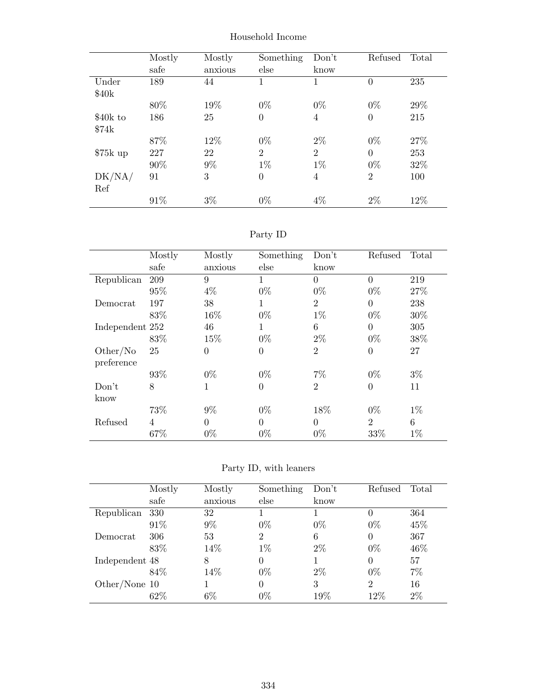|           | Mostly<br>safe | Mostly<br>anxious | Something<br>else | Don't<br>know  | Refused        | Total |
|-----------|----------------|-------------------|-------------------|----------------|----------------|-------|
| Under     | 189            | 44                | 1                 | 1              | $\theta$       | 235   |
| \$40k     |                |                   |                   |                |                |       |
|           | 80%            | 19%               | $0\%$             | $0\%$          | $0\%$          | 29%   |
| \$40k to  | 186            | 25                | $\theta$          | 4              | $\overline{0}$ | 215   |
| \$74k     |                |                   |                   |                |                |       |
|           | 87%            | 12%               | $0\%$             | $2\%$          | $0\%$          | 27%   |
| $$75k$ up | 227            | 22                | $\overline{2}$    | $\overline{2}$ | $\theta$       | 253   |
|           | 90%            | $9\%$             | $1\%$             | $1\%$          | $0\%$          | 32%   |
| DK/NA/    | 91             | 3                 | $\theta$          | 4              | $\overline{2}$ | 100   |
| Ref       |                |                   |                   |                |                |       |
|           | 91%            | $3\%$             | $0\%$             | $4\%$          | $2\%$          | 12%   |

Household Income

# Party ID

|                        | Mostly         | Mostly         | Something | Don't          | Refused        | Total |
|------------------------|----------------|----------------|-----------|----------------|----------------|-------|
|                        | safe           | anxious        | else      | know           |                |       |
| Republican             | 209            | 9              | 1         | $\theta$       | $\theta$       | 219   |
|                        | 95%            | $4\%$          | $0\%$     | $0\%$          | $0\%$          | 27%   |
| Democrat               | 197            | 38             | 1         | $\overline{2}$ | $\overline{0}$ | 238   |
|                        | 83%            | 16%            | $0\%$     | $1\%$          | $0\%$          | 30%   |
| Independent 252        |                | 46             | 1         | 6              | $\overline{0}$ | 305   |
|                        | 83%            | 15%            | $0\%$     | $2\%$          | $0\%$          | 38%   |
| Other/No<br>preference | 25             | $\overline{0}$ | $\theta$  | $\overline{2}$ | $\overline{0}$ | 27    |
|                        | 93%            | $0\%$          | $0\%$     | $7\%$          | $0\%$          | $3\%$ |
| Don't<br>know          | 8              | 1              | $\theta$  | $\overline{2}$ | $\theta$       | 11    |
|                        | 73%            | $9\%$          | $0\%$     | 18%            | $0\%$          | $1\%$ |
| Refused                | $\overline{4}$ | $\overline{0}$ | $\theta$  | $\theta$       | $\overline{2}$ | 6     |
|                        | 67%            | $0\%$          | $0\%$     | $0\%$          | 33%            | $1\%$ |

Party ID, with leaners

|                 | Mostly | Mostly  | Something      | Don't | Refused        | Total |
|-----------------|--------|---------|----------------|-------|----------------|-------|
|                 | safe   | anxious | else           | know  |                |       |
| Republican      | 330    | 32      |                |       | $\theta$       | 364   |
|                 | 91\%   | 9%      | $0\%$          | $0\%$ | $0\%$          | 45%   |
| Democrat        | 306    | 53      | $\overline{2}$ | 6     | $\theta$       | 367   |
|                 | 83\%   | 14%     | $1\%$          | $2\%$ | $0\%$          | 46\%  |
| Independent 48  |        | 8       | $\Omega$       |       | $\Omega$       | 57    |
|                 | 84\%   | 14%     | $0\%$          | $2\%$ | $0\%$          | $7\%$ |
| Other/None $10$ |        |         | $\Omega$       | 3     | $\overline{2}$ | 16    |
|                 | 62\%   | $6\%$   | $0\%$          | 19%   | $12\%$         | $2\%$ |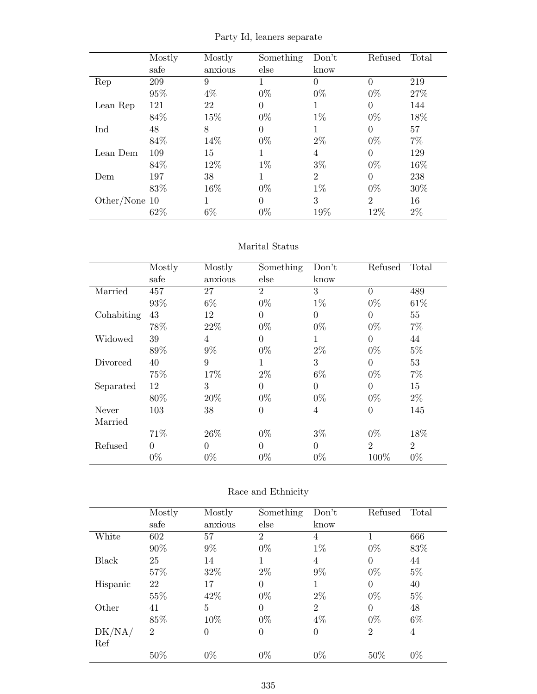|                 | Mostly | Mostly  | Something | Don't          | Refused        | Total |
|-----------------|--------|---------|-----------|----------------|----------------|-------|
|                 | safe   | anxious | else      | know           |                |       |
| Rep             | 209    | 9       | 1         | $\Omega$       |                | 219   |
|                 | 95%    | 4%      | $0\%$     | $0\%$          | $0\%$          | 27%   |
| Lean Rep        | 121    | 22      | 0         | 1              | $\Omega$       | 144   |
|                 | 84\%   | 15%     | $0\%$     | $1\%$          | $0\%$          | 18%   |
| Ind             | 48     | 8       | 0         | 1              | $\Omega$       | 57    |
|                 | 84%    | 14%     | $0\%$     | $2\%$          | $0\%$          | $7\%$ |
| Lean Dem        | 109    | 15      | 1         | 4              | $\Omega$       | 129   |
|                 | 84\%   | 12%     | $1\%$     | $3\%$          | $0\%$          | 16%   |
| Dem             | 197    | 38      | 1         | $\overline{2}$ | $\Omega$       | 238   |
|                 | 83%    | 16%     | $0\%$     | $1\%$          | $0\%$          | 30\%  |
| Other/None $10$ |        | 1       | 0         | 3              | $\overline{2}$ | 16    |
|                 | 62%    | $6\%$   | $0\%$     | 19%            | 12%            | $2\%$ |

Party Id, leaners separate

#### Marital Status

|            | Mostly   | Mostly         | Something      | Don't          | Refused        | Total          |
|------------|----------|----------------|----------------|----------------|----------------|----------------|
|            | safe     | anxious        | else           | know           |                |                |
| Married    | 457      | 27             | $\overline{2}$ | 3              | 0              | 489            |
|            | 93%      | $6\%$          | $0\%$          | $1\%$          | $0\%$          | 61\%           |
| Cohabiting | 43       | 12             | $\Omega$       | $\overline{0}$ | $\Omega$       | 55             |
|            | 78%      | 22%            | $0\%$          | $0\%$          | $0\%$          | $7\%$          |
| Widowed    | 39       | $\overline{4}$ | $\Omega$       | 1              | 0              | 44             |
|            | 89%      | $9\%$          | $0\%$          | $2\%$          | $0\%$          | $5\%$          |
| Divorced   | 40       | 9              | 1              | 3              | $\Omega$       | 53             |
|            | 75%      | 17%            | $2\%$          | $6\%$          | $0\%$          | $7\%$          |
| Separated  | 12       | 3              | $\Omega$       | $\overline{0}$ | $\Omega$       | 15             |
|            | 80%      | 20%            | $0\%$          | $0\%$          | $0\%$          | $2\%$          |
| Never      | 103      | 38             | $\theta$       | 4              | $\overline{0}$ | 145            |
| Married    |          |                |                |                |                |                |
|            | 71%      | 26\%           | $0\%$          | $3\%$          | $0\%$          | 18%            |
| Refused    | $\Omega$ | $\theta$       | $\Omega$       | $\overline{0}$ | $\overline{2}$ | $\overline{2}$ |
|            | $0\%$    | $0\%$          | $0\%$          | $0\%$          | 100\%          | $0\%$          |

### Race and Ethnicity

|              | Mostly         | Mostly         | Something      | Don't          | Refused        | Total          |
|--------------|----------------|----------------|----------------|----------------|----------------|----------------|
|              | safe           | anxious        | else           | know           |                |                |
| White        | 602            | 57             | $\overline{2}$ | 4              |                | 666            |
|              | 90%            | $9\%$          | $0\%$          | $1\%$          | $0\%$          | 83%            |
| <b>Black</b> | 25             | 14             | 1              | 4              | $\overline{0}$ | 44             |
|              | 57%            | 32\%           | $2\%$          | 9%             | $0\%$          | $5\%$          |
| Hispanic     | 22             | 17             | $\Omega$       |                | $\theta$       | 40             |
|              | 55%            | 42\%           | $0\%$          | $2\%$          | $0\%$          | $5\%$          |
| Other        | 41             | $\overline{5}$ | $\theta$       | $\overline{2}$ | $\theta$       | 48             |
|              | 85%            | 10%            | $0\%$          | $4\%$          | $0\%$          | $6\%$          |
| DK/NA/       | $\overline{2}$ | $\theta$       | $\theta$       | $\theta$       | $\overline{2}$ | $\overline{4}$ |
| Ref          |                |                |                |                |                |                |
|              | 50%            | $0\%$          | $0\%$          | $0\%$          | 50%            | $0\%$          |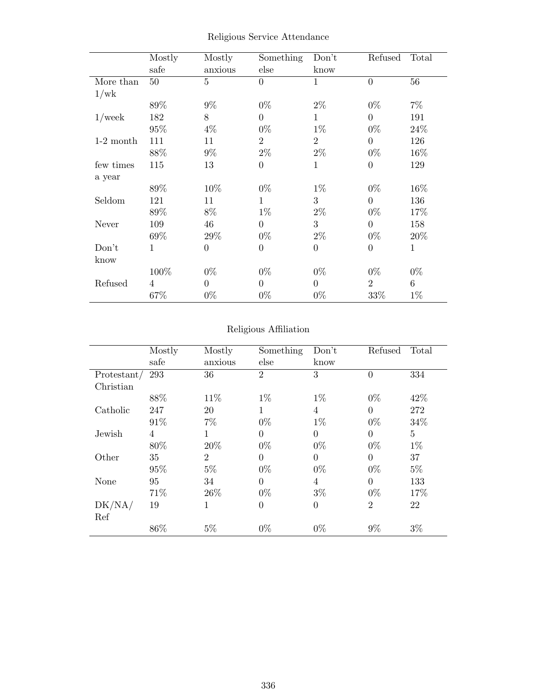|             | Mostly<br>safe | Mostly<br>anxious | Something<br>else | Don't<br>know  | Refused        | Total        |
|-------------|----------------|-------------------|-------------------|----------------|----------------|--------------|
| More than   | 50             | $\overline{5}$    | $\overline{0}$    | $\mathbf{1}$   | $\overline{0}$ | 56           |
| 1/wk        |                |                   |                   |                |                |              |
|             | 89%            | $9\%$             | $0\%$             | $2\%$          | $0\%$          | $7\%$        |
| $1$ /week   | 182            | 8                 | $\overline{0}$    | $\mathbf{1}$   | $\theta$       | 191          |
|             | 95%            | $4\%$             | $0\%$             | $1\%$          | $0\%$          | 24\%         |
| $1-2$ month | 111            | 11                | $\overline{2}$    | $\overline{2}$ | $\overline{0}$ | 126          |
|             | 88%            | $9\%$             | $2\%$             | $2\%$          | $0\%$          | 16%          |
| few times   | 115            | 13                | $\overline{0}$    | $\mathbf{1}$   | $\overline{0}$ | 129          |
| a year      |                |                   |                   |                |                |              |
|             | 89%            | 10%               | $0\%$             | $1\%$          | $0\%$          | 16%          |
| Seldom      | 121            | 11                | $\mathbf{1}$      | 3              | $\theta$       | 136          |
|             | 89%            | $8\%$             | $1\%$             | $2\%$          | $0\%$          | 17%          |
| Never       | 109            | 46                | $\overline{0}$    | 3              | $\overline{0}$ | 158          |
|             | 69%            | 29\%              | $0\%$             | $2\%$          | $0\%$          | 20%          |
| Don't       | 1              | $\Omega$          | $\boldsymbol{0}$  | $\overline{0}$ | $\overline{0}$ | $\mathbf{1}$ |
| know        |                |                   |                   |                |                |              |
|             | 100%           | $0\%$             | $0\%$             | $0\%$          | $0\%$          | $0\%$        |
| Refused     | 4              | $\Omega$          | $\boldsymbol{0}$  | $\overline{0}$ | $\overline{2}$ | 6            |
|             | 67%            | $0\%$             | $0\%$             | $0\%$          | 33%            | $1\%$        |

Religious Service Attendance

### Religious Affiliation

|             | Mostly<br>safe | Mostly<br>anxious | Something<br>else | Don't<br>know  | Refused        | Total |
|-------------|----------------|-------------------|-------------------|----------------|----------------|-------|
| Protestant/ | 293            | 36                | $\overline{2}$    | 3              | $\overline{0}$ | 334   |
| Christian   |                |                   |                   |                |                |       |
|             | 88%            | 11\%              | $1\%$             | $1\%$          | $0\%$          | 42\%  |
| Catholic    | 247            | 20                | 1                 | $\overline{4}$ | $\Omega$       | 272   |
|             | 91\%           | $7\%$             | $0\%$             | $1\%$          | $0\%$          | 34%   |
| Jewish      | 4              | 1                 | $\overline{0}$    | $\Omega$       | $\theta$       | 5     |
|             | 80%            | 20%               | $0\%$             | $0\%$          | $0\%$          | $1\%$ |
| Other       | 35             | $\overline{2}$    | $\overline{0}$    | $\Omega$       | $\overline{0}$ | 37    |
|             | 95%            | $5\%$             | $0\%$             | $0\%$          | $0\%$          | $5\%$ |
| None        | 95             | 34                | $\overline{0}$    | $\overline{4}$ | $\theta$       | 133   |
|             | 71\%           | 26\%              | $0\%$             | $3\%$          | $0\%$          | 17%   |
| DK/NA/      | 19             | $\mathbf{1}$      | $\overline{0}$    | $\Omega$       | $\overline{2}$ | 22    |
| Ref         |                |                   |                   |                |                |       |
|             | 86\%           | $5\%$             | $0\%$             | $0\%$          | $9\%$          | $3\%$ |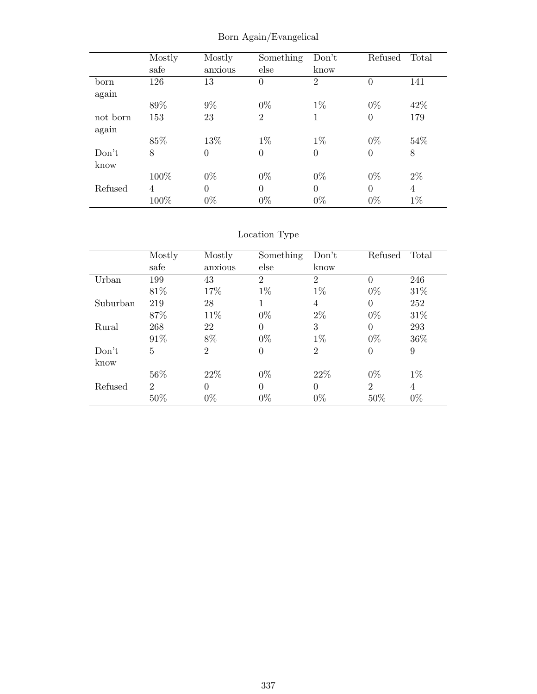|          | Mostly | Mostly           | Something      | Don't          | Refused          | Total          |
|----------|--------|------------------|----------------|----------------|------------------|----------------|
|          | safe   | anxious          | else           | know           |                  |                |
| born     | 126    | 13               | $\theta$       | $\overline{2}$ | $\theta$         | 141            |
| again    |        |                  |                |                |                  |                |
|          | 89%    | $9\%$            | $0\%$          | $1\%$          | $0\%$            | 42\%           |
| not born | 153    | 23               | $\overline{2}$ | 1              | $\overline{0}$   | 179            |
| again    |        |                  |                |                |                  |                |
|          | 85%    | 13%              | $1\%$          | $1\%$          | $0\%$            | 54%            |
| Don't    | 8      | $\boldsymbol{0}$ | $\theta$       | $\overline{0}$ | $\boldsymbol{0}$ | 8              |
| know     |        |                  |                |                |                  |                |
|          | 100%   | $0\%$            | $0\%$          | $0\%$          | $0\%$            | $2\%$          |
| Refused  | 4      | $\theta$         | $\Omega$       | $\theta$       | $\Omega$         | $\overline{4}$ |
|          | 100%   | $0\%$            | $0\%$          | $0\%$          | $0\%$            | $1\%$          |

Born Again/Evangelical

# Location Type

|          | Mostly                      | Mostly         | Something      | Don't          | Refused        | Total          |
|----------|-----------------------------|----------------|----------------|----------------|----------------|----------------|
|          | safe                        | anxious        | else           | know           |                |                |
| Urban    | 199                         | 43             | $\overline{2}$ | $\overline{2}$ | $\theta$       | 246            |
|          | 81\%                        | 17%            | $1\%$          | $1\%$          | $0\%$          | 31\%           |
| Suburban | 219                         | 28             | 1              | 4              | $\overline{0}$ | 252            |
|          | 87\%                        | 11\%           | $0\%$          | $2\%$          | $0\%$          | 31\%           |
| Rural    | 268                         | 22             | $\Omega$       | 3              | $\theta$       | 293            |
|          | 91%                         | 8%             | $0\%$          | $1\%$          | $0\%$          | 36\%           |
| Don't    | 5                           | $\overline{2}$ | $\theta$       | $\overline{2}$ | $\overline{0}$ | 9              |
| know     |                             |                |                |                |                |                |
|          | 56%                         | 22\%           | $0\%$          | 22%            | $0\%$          | $1\%$          |
| Refused  | $\mathcal{D}_{\mathcal{L}}$ | $\theta$       | $\Omega$       | $\theta$       | $\overline{2}$ | $\overline{4}$ |
|          | 50%                         | $0\%$          | $0\%$          | $0\%$          | 50%            | $0\%$          |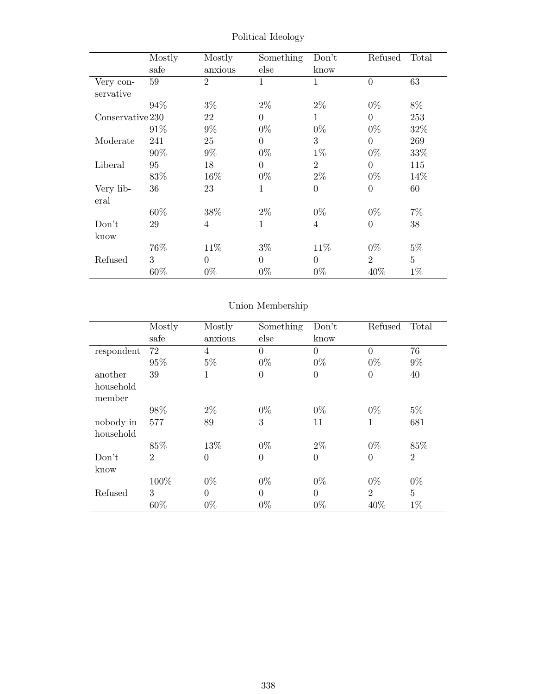|                  | Mostly | Mostly         | Something      | Don't          | Refused          | Total          |
|------------------|--------|----------------|----------------|----------------|------------------|----------------|
|                  | safe   | anxious        | else           | know           |                  |                |
| Very con-        | 59     | $\overline{2}$ | 1              | $\mathbf 1$    | $\overline{0}$   | 63             |
| servative        |        |                |                |                |                  |                |
|                  | 94%    | $3\%$          | $2\%$          | $2\%$          | $0\%$            | 8%             |
| Conservative 230 |        | 22             | $\overline{0}$ | $\mathbf{1}$   | $\overline{0}$   | 253            |
|                  | 91%    | $9\%$          | $0\%$          | $0\%$          | $0\%$            | 32%            |
| Moderate         | 241    | 25             | $\theta$       | 3              | $\overline{0}$   | 269            |
|                  | 90%    | $9\%$          | $0\%$          | $1\%$          | $0\%$            | 33%            |
| Liberal          | 95     | 18             | $\overline{0}$ | $\overline{2}$ | $\overline{0}$   | 115            |
|                  | 83%    | 16%            | $0\%$          | $2\%$          | $0\%$            | 14\%           |
| Very lib-        | 36     | 23             | $\mathbf{1}$   | $\theta$       | $\boldsymbol{0}$ | 60             |
| eral             |        |                |                |                |                  |                |
|                  | 60\%   | 38%            | $2\%$          | $0\%$          | $0\%$            | $7\%$          |
| Don't            | 29     | $\overline{4}$ | 1              | $\overline{4}$ | $\overline{0}$   | 38             |
| know             |        |                |                |                |                  |                |
|                  | 76%    | 11\%           | $3\%$          | 11\%           | $0\%$            | $5\%$          |
| Refused          | 3      | $\Omega$       | $\theta$       | $\Omega$       | $\overline{2}$   | $\overline{5}$ |
|                  | 60%    | $0\%$          | $0\%$          | $0\%$          | 40\%             | $1\%$          |

Political Ideology

# Union Membership

|                     | Mostly         | Mostly         | Something      | Don't    | Refused        | Total          |
|---------------------|----------------|----------------|----------------|----------|----------------|----------------|
|                     | safe           | anxious        | else           | know     |                |                |
| respondent          | 72             | 4              | $\theta$       | $\theta$ | 0              | 76             |
|                     | 95%            | $5\%$          | $0\%$          | $0\%$    | $0\%$          | $9\%$          |
| another             | 39             | $\mathbf{1}$   | $\overline{0}$ | $\theta$ | $\overline{0}$ | 40             |
| household<br>member |                |                |                |          |                |                |
|                     | 98%            | $2\%$          | $0\%$          | $0\%$    | $0\%$          | $5\%$          |
| nobody in           | 577            | 89             | 3              | 11       | 1              | 681            |
| household           |                |                |                |          |                |                |
|                     | 85%            | 13%            | $0\%$          | $2\%$    | $0\%$          | 85%            |
| Don't               | $\overline{2}$ | $\overline{0}$ | $\overline{0}$ | $\theta$ | $\theta$       | $\overline{2}$ |
| know                |                |                |                |          |                |                |
|                     | 100%           | $0\%$          | $0\%$          | $0\%$    | $0\%$          | $0\%$          |
| Refused             | 3              | $\theta$       | $\theta$       | $\Omega$ | $\overline{2}$ | $\overline{5}$ |
|                     | 60%            | $0\%$          | $0\%$          | $0\%$    | 40%            | $1\%$          |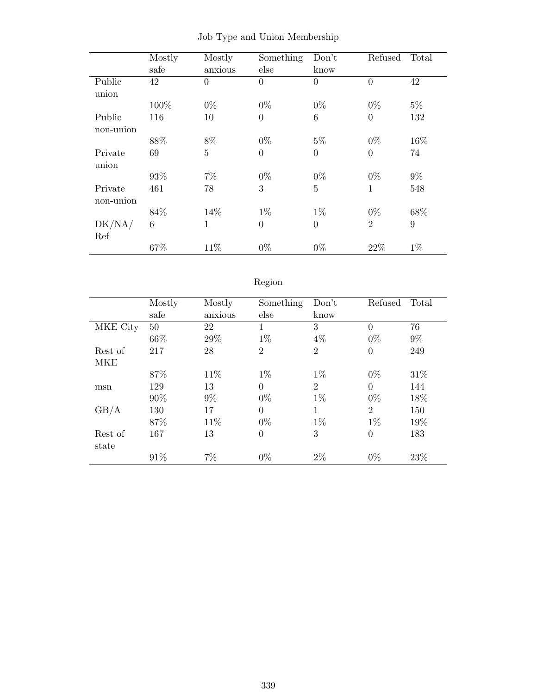|           | Mostly | Mostly         | Something        | Don't          | Refused        | Total |
|-----------|--------|----------------|------------------|----------------|----------------|-------|
|           | safe   | anxious        | else             | know           |                |       |
| Public    | 42     | $\overline{0}$ | $\overline{0}$   | $\overline{0}$ | $\overline{0}$ | 42    |
| union     |        |                |                  |                |                |       |
|           | 100%   | $0\%$          | $0\%$            | $0\%$          | $0\%$          | $5\%$ |
| Public    | 116    | 10             | $\boldsymbol{0}$ | 6              | $\theta$       | 132   |
| non-union |        |                |                  |                |                |       |
|           | 88%    | 8%             | $0\%$            | $5\%$          | $0\%$          | 16%   |
| Private   | 69     | $\overline{5}$ | $\overline{0}$   | $\overline{0}$ | $\overline{0}$ | 74    |
| union     |        |                |                  |                |                |       |
|           | 93%    | $7\%$          | $0\%$            | $0\%$          | $0\%$          | $9\%$ |
| Private   | 461    | 78             | 3                | $\overline{5}$ | $\mathbf{1}$   | 548   |
| non-union |        |                |                  |                |                |       |
|           | 84\%   | 14\%           | $1\%$            | $1\%$          | $0\%$          | 68%   |
| DK/NA/    | 6      | 1              | $\theta$         | $\Omega$       | $\overline{2}$ | 9     |
| Ref       |        |                |                  |                |                |       |
|           | 67%    | 11%            | $0\%$            | $0\%$          | 22%            | $1\%$ |

|  |  |  |  |  | Job Type and Union Membership |
|--|--|--|--|--|-------------------------------|
|--|--|--|--|--|-------------------------------|

# Region

|          | Mostly | Mostly  | Something        | Don't          | Refused        | Total |
|----------|--------|---------|------------------|----------------|----------------|-------|
|          | safe   | anxious | else             | know           |                |       |
| MKE City | 50     | 22      | 1                | 3              | $\Omega$       | 76    |
|          | 66\%   | 29%     | $1\%$            | $4\%$          | $0\%$          | $9\%$ |
| Rest of  | 217    | 28      | $\overline{2}$   | $\overline{2}$ | $\Omega$       | 249   |
| MKE      |        |         |                  |                |                |       |
|          | 87%    | 11\%    | $1\%$            | $1\%$          | $0\%$          | 31\%  |
| msn      | 129    | 13      | $\overline{0}$   | $\overline{2}$ | $\Omega$       | 144   |
|          | $90\%$ | $9\%$   | $0\%$            | $1\%$          | $0\%$          | 18%   |
| GB/A     | 130    | 17      | $\overline{0}$   | 1              | $\overline{2}$ | 150   |
|          | 87%    | 11\%    | $0\%$            | $1\%$          | $1\%$          | 19%   |
| Rest of  | 167    | 13      | $\boldsymbol{0}$ | 3              | $\overline{0}$ | 183   |
| state    |        |         |                  |                |                |       |
|          | 91%    | $7\%$   | $0\%$            | $2\%$          | $0\%$          | 23%   |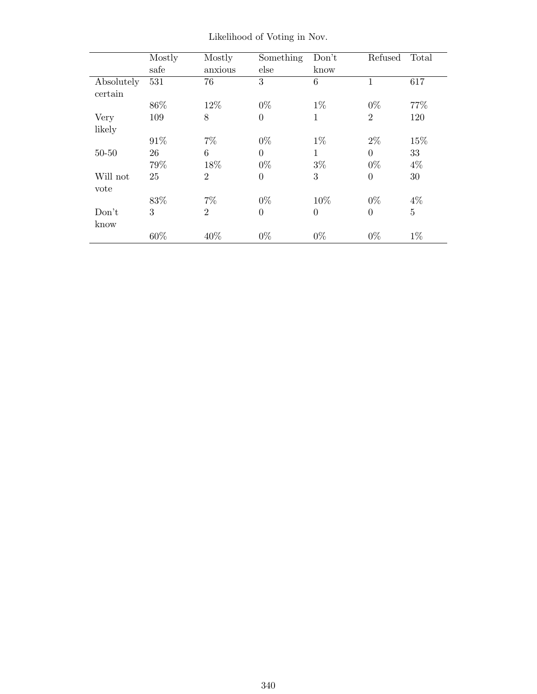|            | Mostly<br>safe | Mostly<br>anxious | Something<br>else | Don't<br>know  | Refused          | Total          |
|------------|----------------|-------------------|-------------------|----------------|------------------|----------------|
| Absolutely | 531            | 76                | 3                 | 6              | 1                | 617            |
| certain    |                |                   |                   |                |                  |                |
|            | 86\%           | 12%               | $0\%$             | $1\%$          | $0\%$            | 77\%           |
| Very       | 109            | 8                 | $\theta$          | 1              | $\overline{2}$   | 120            |
| likely     |                |                   |                   |                |                  |                |
|            | 91\%           | $7\%$             | $0\%$             | $1\%$          | $2\%$            | 15%            |
| $50 - 50$  | 26             | 6                 | $\Omega$          | 1              | $\theta$         | 33             |
|            | 79%            | 18%               | $0\%$             | $3\%$          | $0\%$            | $4\%$          |
| Will not   | 25             | $\overline{2}$    | $\overline{0}$    | 3              | $\boldsymbol{0}$ | 30             |
| vote       |                |                   |                   |                |                  |                |
|            | 83%            | $7\%$             | $0\%$             | 10%            | $0\%$            | $4\%$          |
| Don't      | 3              | $\overline{2}$    | $\overline{0}$    | $\overline{0}$ | $\overline{0}$   | $\overline{5}$ |
| know       |                |                   |                   |                |                  |                |
|            | 60%            | 40%               | $0\%$             | $0\%$          | $0\%$            | $1\%$          |

Likelihood of Voting in Nov.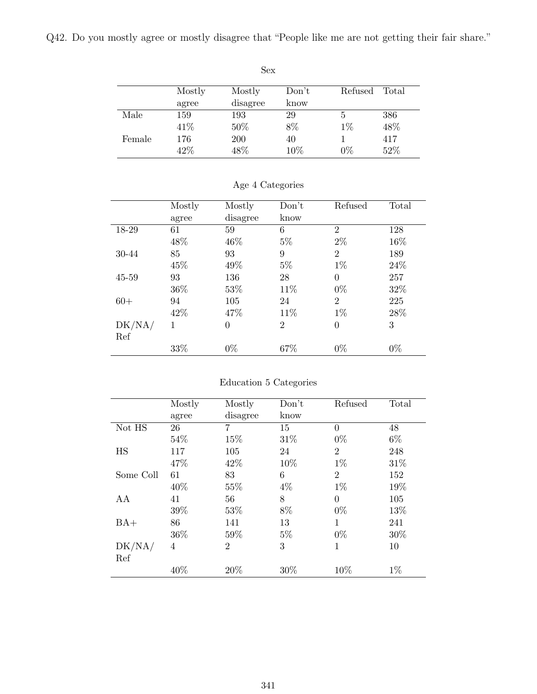Q42. Do you mostly agree or mostly disagree that "People like me are not getting their fair share."

|        |        | Sex      |       |         |       |
|--------|--------|----------|-------|---------|-------|
|        | Mostly | Mostly   | Don't | Refused | Total |
|        | agree  | disagree | know  |         |       |
| Male   | 159    | 193      | 29    | 5       | 386   |
|        | 41\%   | 50%      | 8%    | $1\%$   | 48%   |
| Female | 176    | 200      | 40    |         | 417   |
|        | 42%    | 48%      | 10%   | $0\%$   | 52%   |

|           | Mostly | Mostly   | Don't          | Refused        | Total |
|-----------|--------|----------|----------------|----------------|-------|
|           | agree  | disagree | know           |                |       |
| 18-29     | 61     | 59       | 6              | $\overline{2}$ | 128   |
|           | 48%    | 46%      | $5\%$          | $2\%$          | 16%   |
| 30-44     | 85     | 93       | 9              | $\overline{2}$ | 189   |
|           | 45%    | 49%      | $5\%$          | $1\%$          | 24\%  |
| $45 - 59$ | 93     | 136      | 28             | $\theta$       | 257   |
|           | 36\%   | 53%      | 11%            | $0\%$          | 32%   |
| $60+$     | 94     | 105      | 24             | $\overline{2}$ | 225   |
|           | 42\%   | 47%      | 11%            | $1\%$          | 28\%  |
| DK/NA/    | 1      | $\theta$ | $\overline{2}$ | $\overline{0}$ | 3     |
| Ref       |        |          |                |                |       |
|           | 33%    | $0\%$    | 67%            | $0\%$          | $0\%$ |
|           |        |          |                |                |       |

### Age 4 Categories

#### Education 5 Categories

|           | Mostly | Mostly         | Don't | Refused        | Total |
|-----------|--------|----------------|-------|----------------|-------|
|           | agree  | disagree       | know  |                |       |
| Not HS    | 26     | $\overline{7}$ | 15    | $\theta$       | 48    |
|           | 54%    | 15%            | 31\%  | $0\%$          | $6\%$ |
| HS        | 117    | 105            | 24    | $\overline{2}$ | 248   |
|           | 47\%   | 42\%           | 10%   | $1\%$          | 31\%  |
| Some Coll | 61     | 83             | 6     | $\overline{2}$ | 152   |
|           | 40\%   | 55%            | $4\%$ | $1\%$          | 19%   |
| AA        | 41     | 56             | 8     | $\Omega$       | 105   |
|           | 39%    | 53%            | 8%    | $0\%$          | 13%   |
| $BA+$     | 86     | 141            | 13    | $\mathbf{1}$   | 241   |
|           | 36\%   | 59%            | $5\%$ | $0\%$          | 30\%  |
| DK/NA/    | 4      | $\overline{2}$ | 3     | 1              | 10    |
| Ref       |        |                |       |                |       |
|           | 40%    | 20%            | 30%   | 10\%           | $1\%$ |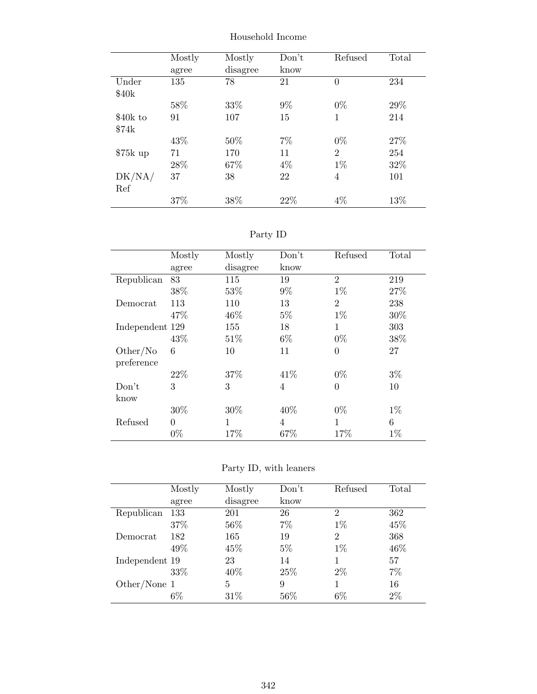|           | Mostly | Mostly   | Don't | Refused        | Total |
|-----------|--------|----------|-------|----------------|-------|
|           | agree  | disagree | know  |                |       |
| Under     | 135    | 78       | 21    | $\overline{0}$ | 234   |
| \$40k     |        |          |       |                |       |
|           | 58%    | 33%      | $9\%$ | $0\%$          | 29\%  |
| \$40k to  | 91     | 107      | 15    | 1              | 214   |
| \$74k     |        |          |       |                |       |
|           | 43%    | 50%      | 7%    | $0\%$          | 27%   |
| $$75k$ up | 71     | 170      | 11    | $\overline{2}$ | 254   |
|           | 28%    | 67%      | $4\%$ | $1\%$          | 32%   |
| DK/NA/    | 37     | 38       | 22    | 4              | 101   |
| Ref       |        |          |       |                |       |
|           | 37%    | 38%      | 22%   | 4%             | 13%   |

Household Income

Party ID

|                 | Mostly   | Mostly   | Don't          | Refused        | Total |
|-----------------|----------|----------|----------------|----------------|-------|
|                 | agree    | disagree | know           |                |       |
| Republican      | 83       | 115      | 19             | $\overline{2}$ | 219   |
|                 | 38%      | 53%      | $9\%$          | $1\%$          | 27%   |
| Democrat        | 113      | 110      | 13             | $\overline{2}$ | 238   |
|                 | 47\%     | 46\%     | $5\%$          | $1\%$          | 30%   |
| Independent 129 |          | 155      | 18             | 1              | 303   |
|                 | 43\%     | 51\%     | $6\%$          | $0\%$          | 38%   |
| Other/No        | 6        | 10       | 11             | $\theta$       | 27    |
| preference      |          |          |                |                |       |
|                 | 22\%     | 37%      | 41\%           | $0\%$          | $3\%$ |
| Don't           | 3        | 3        | $\overline{4}$ | $\theta$       | 10    |
| know            |          |          |                |                |       |
|                 | 30%      | 30\%     | 40\%           | $0\%$          | $1\%$ |
| Refused         | $\theta$ | 1        | 4              | 1              | 6     |
|                 | $0\%$    | 17%      | 67%            | 17%            | $1\%$ |

Party ID, with leaners

|                | Mostly | Mostly   | Don't  | Refused        | Total |
|----------------|--------|----------|--------|----------------|-------|
|                | agree  | disagree | know   |                |       |
| Republican     | 133    | 201      | 26     | $\mathfrak{D}$ | 362   |
|                | 37%    | 56%      | 7%     | $1\%$          | 45%   |
| Democrat       | 182    | 165      | 19     | $\overline{2}$ | 368   |
|                | 49%    | 45%      | $5\%$  | $1\%$          | 46\%  |
| Independent 19 |        | 23       | 14     |                | 57    |
|                | 33%    | 40%      | 25\%   | $2\%$          | 7%    |
| Other/None 1   |        | 5        | 9      |                | 16    |
|                | $6\%$  | 31\%     | $56\%$ | $6\%$          | 2%    |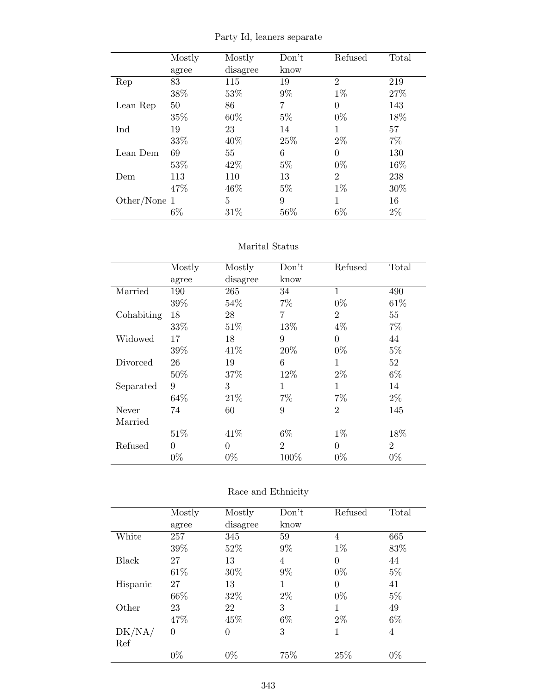|  |  |  | Party Id, leaners separate |
|--|--|--|----------------------------|
|--|--|--|----------------------------|

|              | Mostly | Mostly   | Don't | Refused        | Total |
|--------------|--------|----------|-------|----------------|-------|
|              | agree  | disagree | know  |                |       |
| Rep          | 83     | 115      | 19    | $\overline{2}$ | 219   |
|              | 38%    | 53%      | $9\%$ | $1\%$          | 27%   |
| Lean Rep     | 50     | 86       | 7     | $\theta$       | 143   |
|              | 35%    | 60%      | $5\%$ | $0\%$          | 18%   |
| Ind          | 19     | 23       | 14    | 1              | 57    |
|              | 33%    | 40%      | 25%   | $2\%$          | 7%    |
| Lean Dem     | 69     | 55       | 6     | $\Omega$       | 130   |
|              | 53%    | 42\%     | $5\%$ | $0\%$          | 16%   |
| Dem          | 113    | 110      | 13    | $\overline{2}$ | 238   |
|              | 47%    | 46\%     | $5\%$ | $1\%$          | 30%   |
| Other/None 1 |        | 5        | 9     | 1              | 16    |
|              | $6\%$  | 31%      | 56\%  | $6\%$          | $2\%$ |

#### Marital Status

|            | Mostly   | Mostly   | Don't          | Refused        | Total          |
|------------|----------|----------|----------------|----------------|----------------|
|            | agree    | disagree | know           |                |                |
| Married    | 190      | 265      | 34             | $\mathbf{1}$   | 490            |
|            | 39%      | 54%      | $7\%$          | $0\%$          | 61\%           |
| Cohabiting | 18       | 28       | 7              | $\overline{2}$ | 55             |
|            | 33%      | 51\%     | 13%            | $4\%$          | $7\%$          |
| Widowed    | 17       | 18       | 9              | $\theta$       | 44             |
|            | 39%      | 41\%     | 20%            | $0\%$          | $5\%$          |
| Divorced   | 26       | 19       | 6              | 1              | 52             |
|            | 50%      | 37\%     | 12%            | $2\%$          | 6%             |
| Separated  | 9        | 3        | 1              | 1              | 14             |
|            | 64\%     | 21\%     | $7\%$          | $7\%$          | $2\%$          |
| Never      | 74       | 60       | 9              | $\overline{2}$ | 145            |
| Married    |          |          |                |                |                |
|            | 51\%     | 41\%     | $6\%$          | $1\%$          | 18%            |
| Refused    | $\theta$ | $\theta$ | $\overline{2}$ | $\theta$       | $\overline{2}$ |
|            | $0\%$    | $0\%$    | 100%           | $0\%$          | $0\%$          |

### Race and Ethnicity

|              | Mostly   | Mostly   | Don't | Refused  | Total          |
|--------------|----------|----------|-------|----------|----------------|
|              | agree    | disagree | know  |          |                |
| White        | 257      | 345      | 59    | 4        | 665            |
|              | 39%      | 52%      | $9\%$ | $1\%$    | 83%            |
| Black        | 27       | 13       | 4     | $\theta$ | 44             |
|              | 61\%     | 30%      | $9\%$ | $0\%$    | $5\%$          |
| Hispanic     | 27       | 13       | 1     | $\theta$ | 41             |
|              | 66\%     | 32%      | $2\%$ | $0\%$    | $5\%$          |
| Other        | 23       | 22       | 3     | 1        | 49             |
|              | 47%      | 45%      | $6\%$ | $2\%$    | $6\%$          |
| $\rm DK/NA/$ | $\theta$ | $\theta$ | 3     | 1        | $\overline{4}$ |
| Ref          |          |          |       |          |                |
|              | $0\%$    | $0\%$    | 75%   | 25%      | $0\%$          |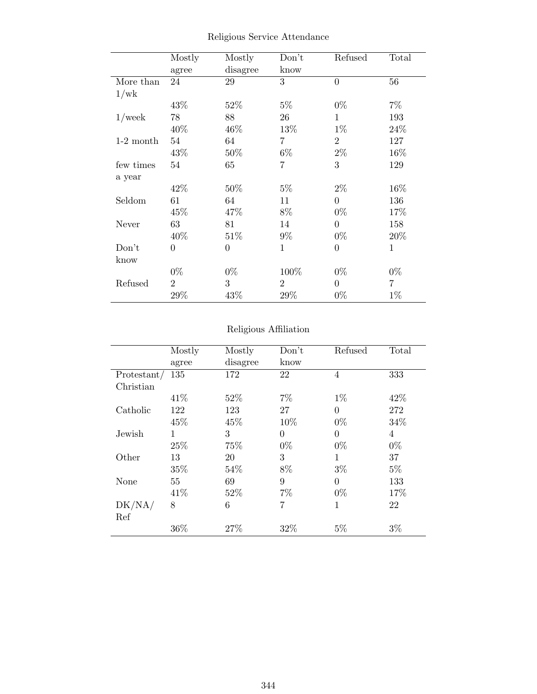|             | Mostly         | Mostly         | Don't          | Refused        | Total       |
|-------------|----------------|----------------|----------------|----------------|-------------|
|             | agree          | disagree       | know           |                |             |
| More than   | 24             | 29             | 3              | $\overline{0}$ | 56          |
| 1/wk        |                |                |                |                |             |
|             | 43%            | 52%            | $5\%$          | $0\%$          | $7\%$       |
| $1$ /week   | 78             | 88             | 26             | $\mathbf{1}$   | 193         |
|             | 40%            | 46%            | 13\%           | $1\%$          | 24%         |
| $1-2$ month | 54             | 64             | $\overline{7}$ | $\overline{2}$ | 127         |
|             | 43%            | 50%            | $6\%$          | $2\%$          | 16%         |
| few times   | 54             | 65             | 7              | 3              | 129         |
| a year      |                |                |                |                |             |
|             | 42\%           | $50\%$         | $5\%$          | $2\%$          | 16%         |
| Seldom      | 61             | 64             | 11             | $\Omega$       | 136         |
|             | 45%            | 47%            | 8%             | $0\%$          | 17%         |
| Never       | 63             | 81             | 14             | $\overline{0}$ | 158         |
|             | 40%            | 51\%           | $9\%$          | $0\%$          | 20%         |
| Don't       | $\overline{0}$ | $\overline{0}$ | $\mathbf{1}$   | $\theta$       | $\mathbf 1$ |
| know        |                |                |                |                |             |
|             | $0\%$          | $0\%$          | 100%           | $0\%$          | $0\%$       |
| Refused     | $\overline{2}$ | 3              | $\overline{2}$ | $\theta$       | 7           |
|             | 29%            | 43\%           | $29\%$         | $0\%$          | $1\%$       |

Religious Service Attendance

# Religious Affiliation

|              | Mostly | Mostly   | Don't          | Refused        | Total |
|--------------|--------|----------|----------------|----------------|-------|
|              | agree  | disagree | know           |                |       |
| Protestant/  | 135    | 172      | 22             | 4              | 333   |
| Christian    |        |          |                |                |       |
|              | 41\%   | 52\%     | 7%             | $1\%$          | 42\%  |
| Catholic     | 122    | 123      | 27             | $\theta$       | 272   |
|              | 45%    | 45%      | 10%            | $0\%$          | 34%   |
| Jewish       | 1      | 3        | $\overline{0}$ | $\overline{0}$ | 4     |
|              | 25%    | 75%      | $0\%$          | $0\%$          | $0\%$ |
| Other        | 13     | 20       | 3              | 1              | 37    |
|              | 35%    | 54%      | 8%             | $3\%$          | $5\%$ |
| None         | 55     | 69       | 9              | $\theta$       | 133   |
|              | 41\%   | 52%      | 7%             | $0\%$          | 17%   |
| $\rm DK/NA/$ | 8      | 6        | 7              | 1              | 22    |
| Ref          |        |          |                |                |       |
|              | 36%    | 27%      | 32%            | 5%             | $3\%$ |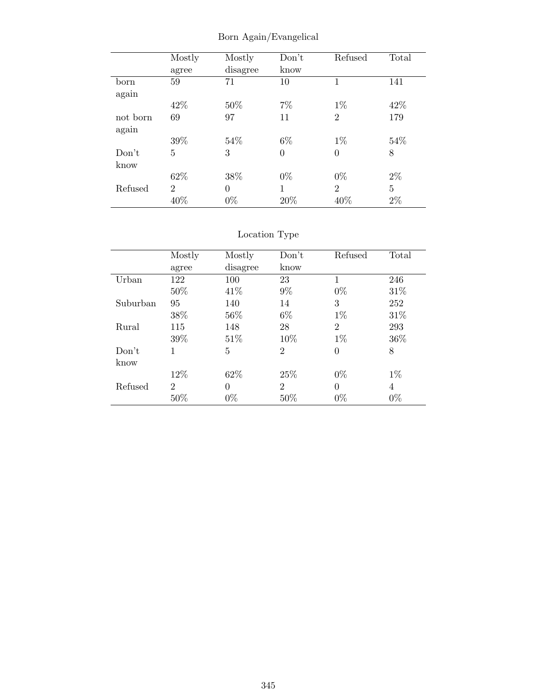|          | Mostly         | Mostly   | Don't    | Refused        | Total          |
|----------|----------------|----------|----------|----------------|----------------|
|          | agree          | disagree | know     |                |                |
| born     | 59             | 71       | 10       | 1              | 141            |
| again    |                |          |          |                |                |
|          | 42\%           | 50%      | $7\%$    | $1\%$          | 42\%           |
| not born | 69             | 97       | 11       | $\overline{2}$ | 179            |
| again    |                |          |          |                |                |
|          | 39%            | 54\%     | $6\%$    | $1\%$          | 54%            |
| Don't    | 5              | 3        | $\theta$ | $\overline{0}$ | 8              |
| know     |                |          |          |                |                |
|          | 62%            | 38%      | $0\%$    | $0\%$          | $2\%$          |
| Refused  | $\overline{2}$ | $\theta$ | 1        | $\overline{2}$ | $\overline{5}$ |
|          | 40%            | $0\%$    | 20%      | 40%            | $2\%$          |

Born Again/Evangelical

### Location Type

|          | Mostly         | Mostly   | Don't          | Refused        | Total |
|----------|----------------|----------|----------------|----------------|-------|
|          | agree          | disagree | know           |                |       |
| Urban    | 122            | 100      | 23             | 1              | 246   |
|          | 50%            | 41\%     | $9\%$          | $0\%$          | 31\%  |
| Suburban | 95             | 140      | 14             | 3              | 252   |
|          | 38%            | 56%      | $6\%$          | $1\%$          | 31\%  |
| Rural    | 115            | 148      | 28             | $\overline{2}$ | 293   |
|          | 39%            | 51\%     | 10%            | $1\%$          | 36%   |
| Don't    | 1              | 5        | $\overline{2}$ | $\theta$       | 8     |
| know     |                |          |                |                |       |
|          | 12%            | 62\%     | 25\%           | $0\%$          | $1\%$ |
| Refused  | $\overline{2}$ | $\Omega$ | $\overline{2}$ | $\Omega$       | 4     |
|          | 50%            | $0\%$    | 50%            | $0\%$          | $0\%$ |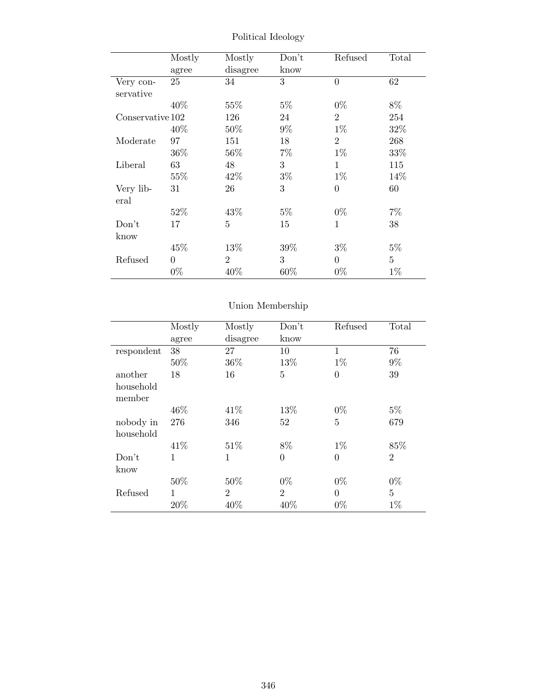|                  | Mostly   | Mostly         | Don't  | Refused        | Total          |
|------------------|----------|----------------|--------|----------------|----------------|
|                  | agree    | disagree       | know   |                |                |
| Very con-        | 25       | 34             | 3      | $\theta$       | 62             |
| servative        |          |                |        |                |                |
|                  | 40%      | 55%            | $5\%$  | $0\%$          | $8\%$          |
| Conservative 102 |          | 126            | 24     | $\overline{2}$ | 254            |
|                  | 40\%     | 50%            | $9\%$  | $1\%$          | 32%            |
| Moderate         | 97       | 151            | 18     | $\overline{2}$ | 268            |
|                  | $36\%$   | $56\%$         | $7\%$  | $1\%$          | 33%            |
| Liberal          | 63       | 48             | 3      | 1              | 115            |
|                  | 55\%     | 42\%           | $3\%$  | $1\%$          | 14\%           |
| Very lib-        | 31       | 26             | 3      | $\overline{0}$ | 60             |
| eral             |          |                |        |                |                |
|                  | 52%      | 43\%           | $5\%$  | $0\%$          | 7%             |
| Don't            | 17       | 5              | 15     | 1              | 38             |
| know             |          |                |        |                |                |
|                  | 45%      | 13\%           | $39\%$ | $3\%$          | $5\%$          |
| Refused          | $\Omega$ | $\overline{2}$ | 3      | $\theta$       | $\overline{5}$ |
|                  | $0\%$    | 40\%           | 60%    | $0\%$          | $1\%$          |

Political Ideology

# Union Membership

|            | Mostly | Mostly         | Don't          | Refused        | Total          |
|------------|--------|----------------|----------------|----------------|----------------|
|            | agree  | disagree       | know           |                |                |
| respondent | 38     | 27             | 10             | $\mathbf{1}$   | 76             |
|            | 50%    | 36%            | 13%            | $1\%$          | $9\%$          |
| another    | 18     | 16             | 5              | $\overline{0}$ | 39             |
| household  |        |                |                |                |                |
| member     |        |                |                |                |                |
|            | 46\%   | 41\%           | 13%            | $0\%$          | $5\%$          |
| nobody in  | 276    | 346            | 52             | $\overline{5}$ | 679            |
| household  |        |                |                |                |                |
|            | 41\%   | 51\%           | 8%             | $1\%$          | 85%            |
| Don't      | 1      | 1              | $\overline{0}$ | $\overline{0}$ | $\overline{2}$ |
| know       |        |                |                |                |                |
|            | 50%    | 50%            | $0\%$          | $0\%$          | $0\%$          |
| Refused    | 1      | $\overline{2}$ | $\overline{2}$ | $\theta$       | $\overline{5}$ |
|            | 20%    | 40%            | 40%            | $0\%$          | $1\%$          |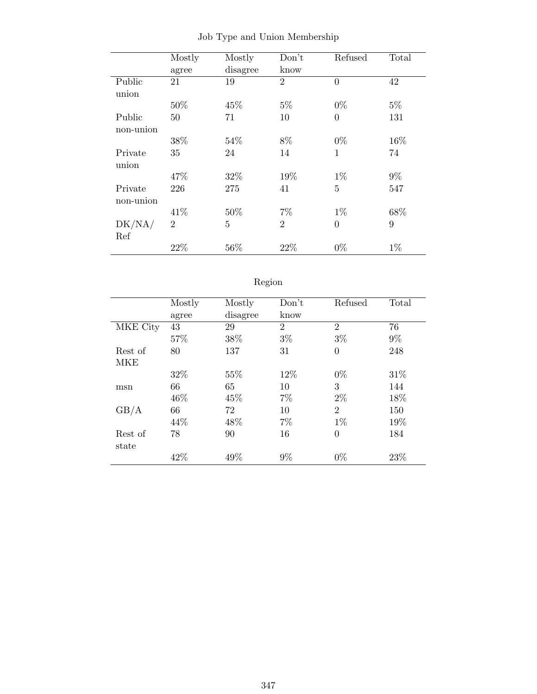|           | Mostly         | Mostly         | Don't          | Refused        | Total |
|-----------|----------------|----------------|----------------|----------------|-------|
|           | agree          | disagree       | know           |                |       |
| Public    | 21             | 19             | $\overline{2}$ | $\overline{0}$ | 42    |
| union     |                |                |                |                |       |
|           | 50%            | 45%            | $5\%$          | $0\%$          | $5\%$ |
| Public    | 50             | 71             | 10             | $\theta$       | 131   |
| non-union |                |                |                |                |       |
|           | 38%            | 54%            | 8%             | $0\%$          | 16%   |
| Private   | 35             | 24             | 14             | 1              | 74    |
| union     |                |                |                |                |       |
|           | 47%            | 32%            | 19%            | $1\%$          | $9\%$ |
| Private   | 226            | 275            | 41             | 5              | 547   |
| non-union |                |                |                |                |       |
|           | 41\%           | 50%            | $7\%$          | $1\%$          | 68%   |
| DK/NA/    | $\overline{2}$ | $\overline{5}$ | $\overline{2}$ | $\overline{0}$ | 9     |
| Ref       |                |                |                |                |       |
|           | 22%            | 56%            | 22%            | $0\%$          | $1\%$ |

Job Type and Union Membership

|          | Mostly | Mostly   | Don't          | Refused        | Total |
|----------|--------|----------|----------------|----------------|-------|
|          | agree  | disagree | know           |                |       |
| MKE City | 43     | 29       | $\overline{2}$ | $\overline{2}$ | 76    |
|          | 57%    | 38%      | $3\%$          | $3\%$          | $9\%$ |
| Rest of  | 80     | 137      | 31             | $\theta$       | 248   |
| MKE      |        |          |                |                |       |
|          | 32%    | 55%      | 12%            | $0\%$          | 31\%  |
| msn      | 66     | 65       | 10             | 3              | 144   |
|          | 46\%   | 45%      | 7%             | $2\%$          | 18%   |
| GB/A     | 66     | 72       | 10             | $\overline{2}$ | 150   |
|          | 44\%   | 48\%     | 7%             | $1\%$          | 19%   |
| Rest of  | 78     | 90       | 16             | $\overline{0}$ | 184   |
| state    |        |          |                |                |       |
|          | 42%    | 49%      | $9\%$          | $0\%$          | 23\%  |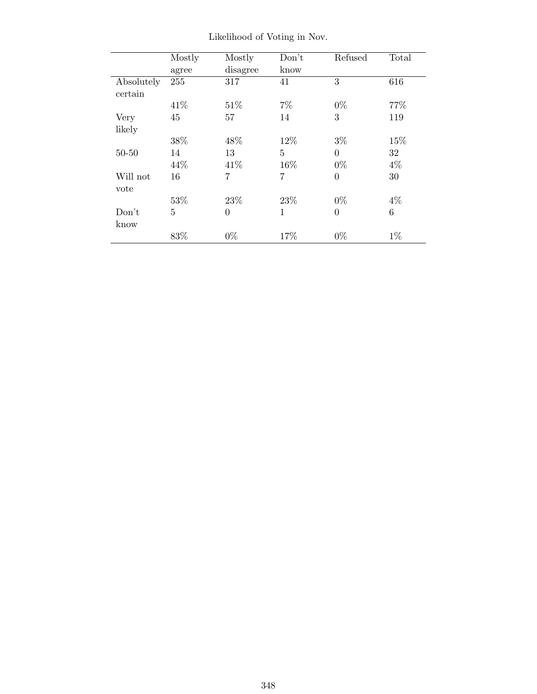|            | Mostly | Mostly   | Don't       | Refused        | Total |
|------------|--------|----------|-------------|----------------|-------|
|            | agree  | disagree | know        |                |       |
| Absolutely | 255    | 317      | 41          | 3              | 616   |
| certain    |        |          |             |                |       |
|            | 41\%   | 51\%     | $7\%$       | $0\%$          | 77%   |
| Very       | 45     | 57       | 14          | 3              | 119   |
| likely     |        |          |             |                |       |
|            | 38%    | 48\%     | 12%         | $3\%$          | 15%   |
| $50 - 50$  | 14     | 13       | 5           | $\theta$       | 32    |
|            | 44%    | 41\%     | 16%         | $0\%$          | $4\%$ |
| Will not   | 16     | 7        | 7           | $\theta$       | 30    |
| vote       |        |          |             |                |       |
|            | 53%    | 23%      | 23\%        | $0\%$          | $4\%$ |
| Don't      | 5      | $\theta$ | $\mathbf 1$ | $\overline{0}$ | 6     |
| know       |        |          |             |                |       |
|            | 83%    | $0\%$    | 17%         | $0\%$          | $1\%$ |

Likelihood of Voting in Nov.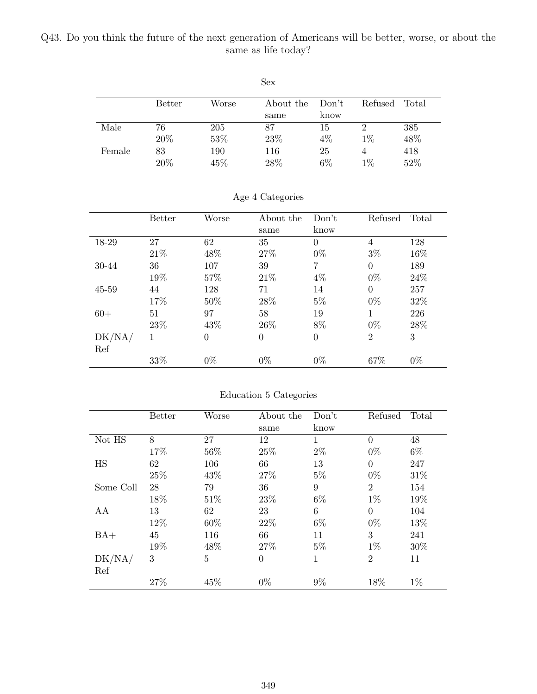### Q43. Do you think the future of the next generation of Americans will be better, worse, or about the same as life today?

|        |               |       | <b>Sex</b> |       |         |       |
|--------|---------------|-------|------------|-------|---------|-------|
|        | <b>Better</b> | Worse | About the  | Don't | Refused | Total |
|        |               |       | same       | know  |         |       |
| Male   | 76            | 205   | 87         | 15    | 2       | 385   |
|        | 20%           | 53%   | 23%        | $4\%$ | $1\%$   | 48%   |
| Female | 83            | 190   | 116        | 25    | 4       | 418   |
|        | 20%           | 45\%  | 28%        | $6\%$ | $1\%$   | 52%   |

|           | <b>Better</b> | Worse          | About the | Don't    | Refused        | Total |
|-----------|---------------|----------------|-----------|----------|----------------|-------|
|           |               |                | same      | know     |                |       |
| 18-29     | 27            | 62             | 35        | $\theta$ | 4              | 128   |
|           | 21\%          | 48%            | 27\%      | $0\%$    | $3\%$          | 16%   |
| 30-44     | 36            | 107            | 39        | 7        | $\Omega$       | 189   |
|           | 19%           | 57%            | 21\%      | $4\%$    | $0\%$          | 24\%  |
| $45 - 59$ | 44            | 128            | 71        | 14       | $\theta$       | 257   |
|           | 17%           | 50%            | 28%       | $5\%$    | $0\%$          | 32%   |
| $60+$     | 51            | 97             | 58        | 19       | 1              | 226   |
|           | 23%           | 43%            | 26\%      | 8%       | $0\%$          | 28%   |
| DK/NA/    | 1             | $\overline{0}$ | $\Omega$  | $\Omega$ | $\overline{2}$ | 3     |
| Ref       |               |                |           |          |                |       |
|           | 33%           | $0\%$          | $0\%$     | $0\%$    | 67%            | $0\%$ |

#### Age 4 Categories

#### Education 5 Categories

|           | Better | Worse          | About the      | Don't | Refused        | Total |
|-----------|--------|----------------|----------------|-------|----------------|-------|
|           |        |                | same           | know  |                |       |
| Not HS    | 8      | 27             | 12             | 1     | $\theta$       | 48    |
|           | 17%    | 56%            | 25%            | $2\%$ | $0\%$          | $6\%$ |
| <b>HS</b> | 62     | 106            | 66             | 13    | $\theta$       | 247   |
|           | 25%    | 43%            | 27\%           | $5\%$ | $0\%$          | 31\%  |
| Some Coll | 28     | 79             | 36             | 9     | $\overline{2}$ | 154   |
|           | 18%    | 51\%           | 23%            | $6\%$ | $1\%$          | 19%   |
| AA        | 13     | 62             | 23             | 6     | $\theta$       | 104   |
|           | 12%    | 60%            | 22\%           | $6\%$ | $0\%$          | 13%   |
| $BA+$     | 45     | 116            | 66             | 11    | 3              | 241   |
|           | 19%    | 48%            | 27\%           | $5\%$ | $1\%$          | 30%   |
| DK/NA/    | 3      | $\overline{5}$ | $\overline{0}$ | 1     | $\overline{2}$ | 11    |
| Ref       |        |                |                |       |                |       |
|           | 27%    | 45%            | $0\%$          | $9\%$ | 18%            | $1\%$ |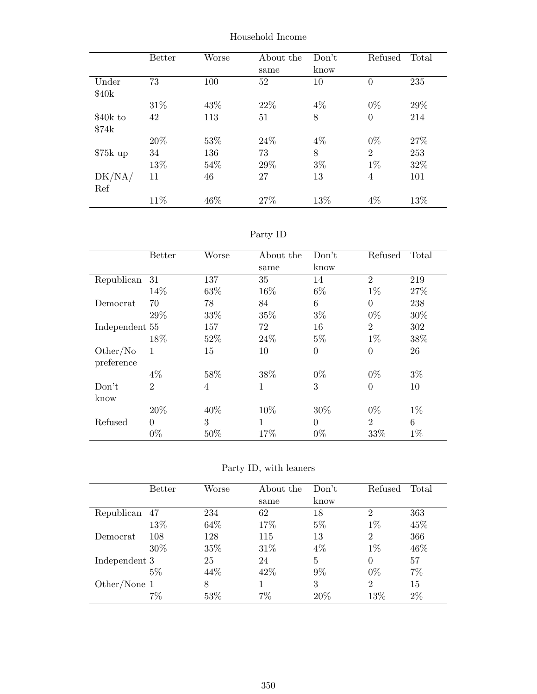|           | <b>Better</b> | Worse | About the | Don't | Refused        | Total |
|-----------|---------------|-------|-----------|-------|----------------|-------|
|           |               |       | same      | know  |                |       |
| Under     | 73            | 100   | 52        | 10    | $\overline{0}$ | 235   |
| \$40k     |               |       |           |       |                |       |
|           | 31\%          | 43%   | 22\%      | $4\%$ | $0\%$          | 29%   |
| \$40k to  | 42            | 113   | 51        | 8     | $\overline{0}$ | 214   |
| \$74k     |               |       |           |       |                |       |
|           | 20%           | 53%   | 24\%      | $4\%$ | $0\%$          | 27%   |
| $$75k$ up | 34            | 136   | 73        | 8     | $\overline{2}$ | 253   |
|           | 13%           | 54\%  | 29%       | $3\%$ | $1\%$          | 32%   |
| DK/NA/    | 11            | 46    | 27        | 13    | $\overline{4}$ | 101   |
| Ref       |               |       |           |       |                |       |
|           | 11\%          | 46\%  | 27%       | 13%   | $4\%$          | 13%   |

Household Income

# Party ID

|                | <b>Better</b>  | Worse          | About the    | Don't          | Refused        | Total |
|----------------|----------------|----------------|--------------|----------------|----------------|-------|
|                |                |                | same         | know           |                |       |
| Republican     | 31             | 137            | 35           | 14             | $\overline{2}$ | 219   |
|                | 14%            | 63%            | 16%          | $6\%$          | $1\%$          | 27%   |
| Democrat       | 70             | 78             | 84           | 6              | $\overline{0}$ | 238   |
|                | 29%            | 33%            | 35%          | $3\%$          | $0\%$          | 30%   |
| Independent 55 |                | 157            | 72           | 16             | $\overline{2}$ | 302   |
|                | 18%            | 52%            | 24\%         | $5\%$          | $1\%$          | 38%   |
| Other/No       | 1              | 15             | 10           | $\overline{0}$ | $\overline{0}$ | 26    |
| preference     | $4\%$          | 58%            | 38%          | $0\%$          | $0\%$          | $3\%$ |
| Don't          | $\overline{2}$ | $\overline{4}$ | $\mathbf{1}$ | 3              | $\overline{0}$ | 10    |
| know           |                |                |              |                |                |       |
|                | 20%            | 40\%           | 10%          | 30%            | $0\%$          | $1\%$ |
| Refused        | $\theta$       | 3              | 1            | $\theta$       | $\overline{2}$ | 6     |
|                | $0\%$          | 50%            | 17%          | $0\%$          | 33%            | $1\%$ |

Party ID, with leaners

|               | <b>Better</b> | Worse | About the | Don't          | Refused        | Total |
|---------------|---------------|-------|-----------|----------------|----------------|-------|
|               |               |       | same      | know           |                |       |
| Republican    | 47            | 234   | 62        | 18             | $\overline{2}$ | 363   |
|               | 13%           | 64\%  | 17%       | $5\%$          | $1\%$          | 45\%  |
| Democrat      | 108           | 128   | 115       | 13             | $\overline{2}$ | 366   |
|               | 30%           | 35%   | 31\%      | $4\%$          | $1\%$          | 46\%  |
| Independent 3 |               | 25    | 24        | $\overline{5}$ | $\theta$       | 57    |
|               | $5\%$         | 44\%  | 42\%      | $9\%$          | $0\%$          | $7\%$ |
| Other/None 1  |               | 8     |           | 3              | 2              | 15    |
|               | $7\%$         | 53%   | 7%        | 20%            | 13%            | $2\%$ |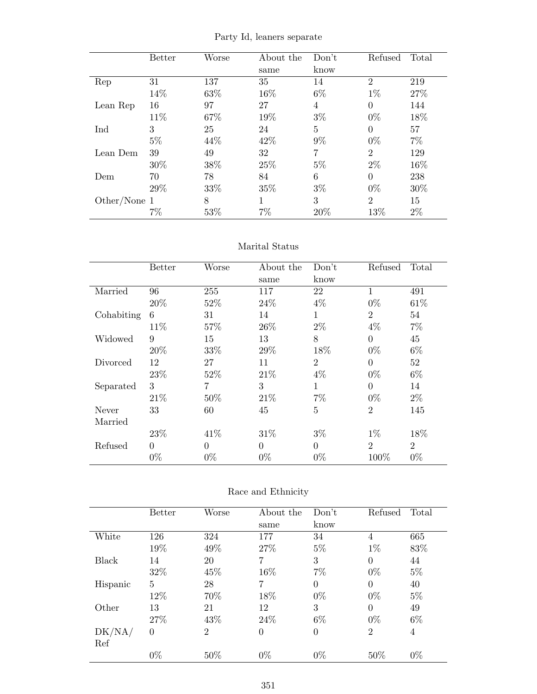|  |  |  |  | Party Id, leaners separate |
|--|--|--|--|----------------------------|
|--|--|--|--|----------------------------|

|              | <b>Better</b> | Worse  | About the | Don't          | Refused        | Total |
|--------------|---------------|--------|-----------|----------------|----------------|-------|
|              |               |        | same      | know           |                |       |
| Rep          | 31            | 137    | 35        | 14             | $\overline{2}$ | 219   |
|              | 14%           | 63%    | 16%       | $6\%$          | $1\%$          | 27%   |
| Lean Rep     | 16            | 97     | 27        | $\overline{4}$ | $\theta$       | 144   |
|              | 11\%          | 67%    | 19%       | $3\%$          | $0\%$          | 18%   |
| Ind          | 3             | 25     | 24        | 5              | $\theta$       | 57    |
|              | $5\%$         | 44\%   | 42\%      | $9\%$          | $0\%$          | $7\%$ |
| Lean Dem     | 39            | 49     | 32        | 7              | 2              | 129   |
|              | 30%           | 38%    | 25%       | $5\%$          | $2\%$          | 16%   |
| Dem          | 70            | 78     | 84        | 6              | $\theta$       | 238   |
|              | 29%           | 33%    | 35%       | $3\%$          | $0\%$          | 30%   |
| Other/None 1 |               | 8      | 1         | 3              | $\overline{2}$ | 15    |
|              | $7\%$         | $53\%$ | $7\%$     | 20%            | 13%            | $2\%$ |

#### Marital Status

|            | <b>Better</b>   | Worse    | About the<br>same | Don't<br>know  | Refused        | Total          |
|------------|-----------------|----------|-------------------|----------------|----------------|----------------|
| Married    | 96              | 255      | 117               | 22             | 1              | 491            |
|            | 20%             | 52%      | 24\%              | $4\%$          | $0\%$          | 61\%           |
| Cohabiting | $6\phantom{.}6$ | 31       | 14                | 1              | $\overline{2}$ | 54             |
|            | 11\%            | 57%      | 26\%              | $2\%$          | $4\%$          | $7\%$          |
| Widowed    | 9               | 15       | 13                | 8              | $\theta$       | 45             |
|            | 20%             | 33%      | 29%               | 18%            | $0\%$          | $6\%$          |
| Divorced   | 12              | 27       | 11                | $\overline{2}$ | $\theta$       | 52             |
|            | 23\%            | 52%      | 21\%              | $4\%$          | $0\%$          | $6\%$          |
| Separated  | 3               | 7        | 3                 | $\mathbf{1}$   | $\Omega$       | 14             |
|            | 21\%            | 50%      | 21\%              | $7\%$          | $0\%$          | $2\%$          |
| Never      | 33              | 60       | 45                | $\overline{5}$ | $\overline{2}$ | 145            |
| Married    |                 |          |                   |                |                |                |
|            | 23%             | 41\%     | 31\%              | $3\%$          | $1\%$          | 18%            |
| Refused    | $\overline{0}$  | $\theta$ | $\theta$          | $\theta$       | $\overline{2}$ | $\overline{2}$ |
|            | $0\%$           | $0\%$    | $0\%$             | $0\%$          | 100%           | $0\%$          |

#### Race and Ethnicity

|          | <b>Better</b> | Worse          | About the      | Don't    | Refused        | Total |
|----------|---------------|----------------|----------------|----------|----------------|-------|
|          |               |                | same           | know     |                |       |
| White    | 126           | 324            | 177            | 34       | 4              | 665   |
|          | 19%           | 49%            | 27%            | $5\%$    | $1\%$          | 83%   |
| Black    | 14            | 20             | 7              | 3        | $\overline{0}$ | 44    |
|          | 32%           | 45%            | 16%            | $7\%$    | $0\%$          | $5\%$ |
| Hispanic | 5             | 28             | 7              | $\Omega$ | $\overline{0}$ | 40    |
|          | 12%           | 70%            | 18%            | $0\%$    | $0\%$          | $5\%$ |
| Other    | 13            | 21             | 12             | 3        | $\theta$       | 49    |
|          | 27\%          | 43\%           | 24\%           | $6\%$    | $0\%$          | $6\%$ |
| DK/NA/   | $\theta$      | $\overline{2}$ | $\overline{0}$ | $\Omega$ | $\overline{2}$ | 4     |
| Ref      |               |                |                |          |                |       |
|          | $0\%$         | 50%            | $0\%$          | $0\%$    | 50%            | $0\%$ |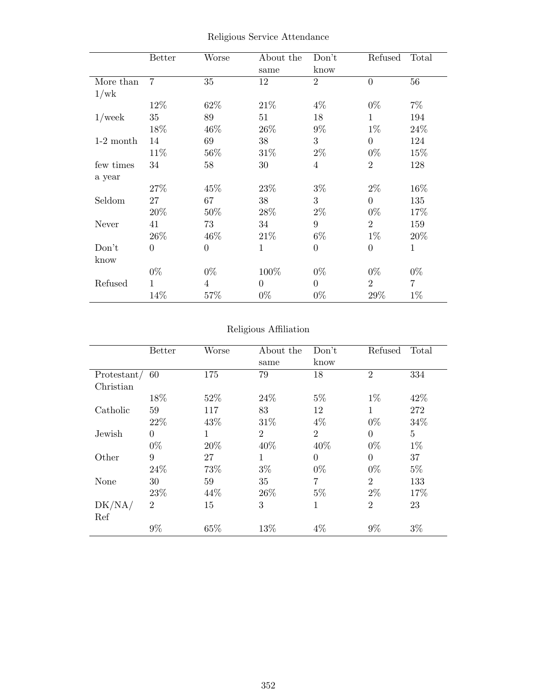|             | <b>Better</b>  | Worse          | About the      | Don't          | Refused        | Total |
|-------------|----------------|----------------|----------------|----------------|----------------|-------|
|             |                |                | same           | know           |                |       |
| More than   | $\overline{7}$ | 35             | 12             | $\overline{2}$ | $\overline{0}$ | 56    |
| 1/wk        |                |                |                |                |                |       |
|             | 12%            | 62%            | 21\%           | $4\%$          | $0\%$          | $7\%$ |
| $1$ /week   | 35             | 89             | 51             | 18             | 1              | 194   |
|             | 18%            | 46%            | 26\%           | $9\%$          | $1\%$          | 24\%  |
| $1-2$ month | 14             | 69             | 38             | 3              | $\overline{0}$ | 124   |
|             | 11%            | 56%            | 31\%           | $2\%$          | $0\%$          | 15%   |
| few times   | 34             | 58             | 30             | $\overline{4}$ | $\overline{2}$ | 128   |
| a year      |                |                |                |                |                |       |
|             | 27%            | 45%            | 23%            | $3\%$          | $2\%$          | 16%   |
| Seldom      | 27             | 67             | 38             | 3              | $\overline{0}$ | 135   |
|             | 20%            | 50%            | 28%            | $2\%$          | $0\%$          | 17%   |
| Never       | 41             | 73             | 34             | 9              | $\overline{2}$ | 159   |
|             | 26\%           | 46%            | 21\%           | $6\%$          | $1\%$          | 20%   |
| Don't       | $\theta$       | $\overline{0}$ | $\mathbf{1}$   | $\overline{0}$ | $\overline{0}$ | 1     |
| know        |                |                |                |                |                |       |
|             | $0\%$          | $0\%$          | 100%           | $0\%$          | $0\%$          | $0\%$ |
| Refused     | 1              | $\overline{4}$ | $\overline{0}$ | $\overline{0}$ | $\overline{2}$ | 7     |
|             | 14%            | 57%            | $0\%$          | $0\%$          | 29%            | $1\%$ |

Religious Service Attendance

### Religious Affiliation

|             | Better         | Worse | About the      | Don't          | Refused        | Total |
|-------------|----------------|-------|----------------|----------------|----------------|-------|
|             |                |       | same           | know           |                |       |
| Protestant/ | 60             | 175   | 79             | 18             | $\overline{2}$ | 334   |
| Christian   |                |       |                |                |                |       |
|             | 18%            | 52%   | 24\%           | $5\%$          | $1\%$          | 42\%  |
| Catholic    | 59             | 117   | 83             | 12             | 1              | 272   |
|             | 22%            | 43%   | 31\%           | $4\%$          | $0\%$          | 34%   |
| Jewish      | $\theta$       | 1     | $\overline{2}$ | $\overline{2}$ | $\overline{0}$ | 5     |
|             | $0\%$          | 20%   | 40%            | 40%            | $0\%$          | $1\%$ |
| Other       | 9              | 27    | $\mathbf{1}$   | $\theta$       | $\overline{0}$ | 37    |
|             | 24%            | 73%   | $3\%$          | $0\%$          | $0\%$          | $5\%$ |
| None        | 30             | 59    | 35             | $\overline{7}$ | $\overline{2}$ | 133   |
|             | 23\%           | 44\%  | 26\%           | $5\%$          | $2\%$          | 17%   |
| DK/NA/      | $\overline{2}$ | 15    | 3              | 1              | $\overline{2}$ | 23    |
| Ref         |                |       |                |                |                |       |
|             | $9\%$          | 65%   | 13%            | 4%             | $9\%$          | $3\%$ |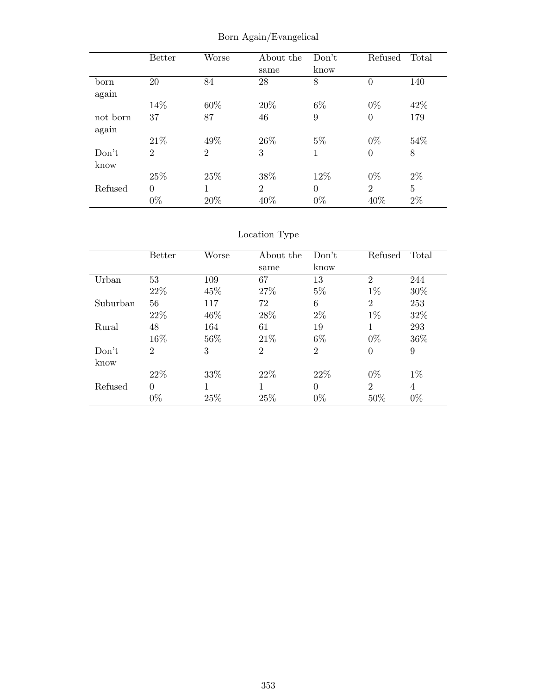|          | <b>Better</b>  | Worse          | About the      | Don't    | Refused        | Total |
|----------|----------------|----------------|----------------|----------|----------------|-------|
|          |                |                | same           | know     |                |       |
| born     | 20             | 84             | 28             | 8        | $\overline{0}$ | 140   |
| again    |                |                |                |          |                |       |
|          | 14%            | 60%            | 20%            | $6\%$    | $0\%$          | 42\%  |
| not born | 37             | 87             | 46             | 9        | $\overline{0}$ | 179   |
| again    |                |                |                |          |                |       |
|          | 21\%           | 49%            | 26\%           | $5\%$    | $0\%$          | 54\%  |
| Don't    | $\overline{2}$ | $\overline{2}$ | 3              | 1        | $\overline{0}$ | 8     |
| know     |                |                |                |          |                |       |
|          | 25%            | 25\%           | 38\%           | 12%      | $0\%$          | $2\%$ |
| Refused  | $\Omega$       | 1              | $\overline{2}$ | $\Omega$ | $\overline{2}$ | 5     |
|          | $0\%$          | 20%            | 40\%           | $0\%$    | 40%            | $2\%$ |

Born Again/Evangelical

# Location Type

|          | <b>Better</b>  | Worse | About the      | Don't          | Refused        | Total |
|----------|----------------|-------|----------------|----------------|----------------|-------|
|          |                |       | same           | know           |                |       |
| Urban    | 53             | 109   | 67             | 13             | $\overline{2}$ | 244   |
|          | 22%            | 45\%  | 27\%           | $5\%$          | $1\%$          | 30%   |
| Suburban | 56             | 117   | 72             | 6              | $\overline{2}$ | 253   |
|          | 22%            | 46\%  | 28%            | $2\%$          | $1\%$          | 32\%  |
| Rural    | 48             | 164   | 61             | 19             |                | 293   |
|          | 16%            | 56%   | 21\%           | $6\%$          | $0\%$          | 36%   |
| Don't    | $\overline{2}$ | 3     | $\mathfrak{D}$ | $\overline{2}$ | $\Omega$       | 9     |
| know     |                |       |                |                |                |       |
|          | 22\%           | 33%   | 22\%           | 22\%           | $0\%$          | $1\%$ |
| Refused  | $\overline{0}$ | 1     | 1              | $\theta$       | $\overline{2}$ | 4     |
|          | $0\%$          | 25%   | 25\%           | $0\%$          | 50%            | $0\%$ |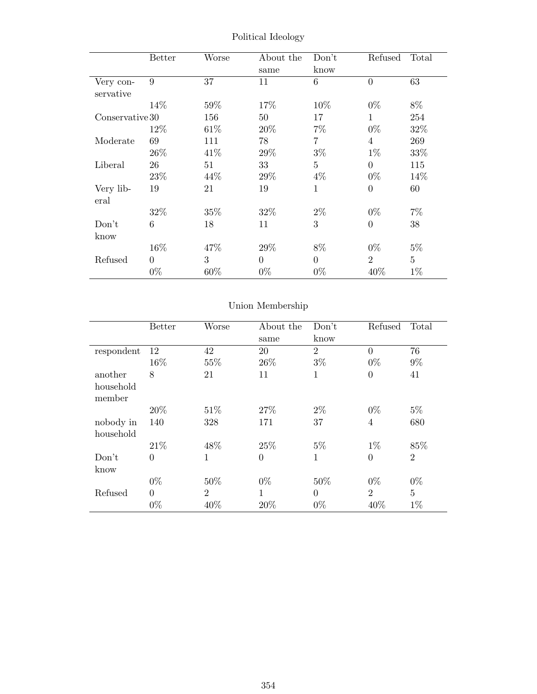|                        | <b>Better</b> | Worse  | About the<br>same | Don't<br>know  | Refused        | Total          |
|------------------------|---------------|--------|-------------------|----------------|----------------|----------------|
| Very con-<br>servative | 9             | 37     | 11                | 6              | $\Omega$       | 63             |
|                        | 14%           | 59%    | 17%               | 10\%           | $0\%$          | 8%             |
| Conservative 30        |               | 156    | 50                | 17             | 1              | 254            |
|                        | 12%           | 61\%   | 20%               | $7\%$          | $0\%$          | 32%            |
| Moderate               | 69            | 111    | 78                | $\overline{7}$ | 4              | 269            |
|                        | 26\%          | 41\%   | 29%               | $3\%$          | $1\%$          | 33%            |
| Liberal                | 26            | 51     | 33                | $\overline{5}$ | $\theta$       | 115            |
|                        | 23\%          | 44\%   | 29%               | $4\%$          | $0\%$          | 14%            |
| Very lib-<br>eral      | 19            | 21     | 19                | $\mathbf{1}$   | $\overline{0}$ | 60             |
|                        | 32%           | $35\%$ | $32\%$            | $2\%$          | $0\%$          | $7\%$          |
| Don't                  | 6             | 18     | 11                | 3              | $\theta$       | 38             |
| know                   |               |        |                   |                |                |                |
|                        | 16%           | 47%    | 29%               | 8%             | $0\%$          | $5\%$          |
| Refused                | $\theta$      | 3      | $\theta$          | $\overline{0}$ | $\overline{2}$ | $\overline{5}$ |
|                        | $0\%$         | 60%    | $0\%$             | $0\%$          | 40%            | $1\%$          |

Political Ideology

# Union Membership

|                     | <b>Better</b> | Worse          | About the<br>same | Don't<br>know  | Refused        | Total          |
|---------------------|---------------|----------------|-------------------|----------------|----------------|----------------|
| respondent          | 12            | 42             | 20                | $\overline{2}$ | $\overline{0}$ | 76             |
|                     | 16%           | 55%            | 26\%              | $3\%$          | $0\%$          | $9\%$          |
| another             | 8             | 21             | 11                | 1              | $\overline{0}$ | 41             |
| household<br>member |               |                |                   |                |                |                |
|                     | 20%           | 51\%           | 27\%              | $2\%$          | $0\%$          | $5\%$          |
| nobody in           | 140           | 328            | 171               | 37             | $\overline{4}$ | 680            |
| household           |               |                |                   |                |                |                |
|                     | 21\%          | 48\%           | 25%               | $5\%$          | $1\%$          | 85%            |
| Don't               | $\Omega$      | 1              | $\overline{0}$    | $\mathbf{1}$   | $\overline{0}$ | $\overline{2}$ |
| know                |               |                |                   |                |                |                |
|                     | $0\%$         | 50%            | $0\%$             | 50%            | $0\%$          | $0\%$          |
| Refused             | $\Omega$      | $\overline{2}$ | 1                 | $\theta$       | $\overline{2}$ | $\overline{5}$ |
|                     | $0\%$         | 40%            | 20%               | $0\%$          | 40%            | $1\%$          |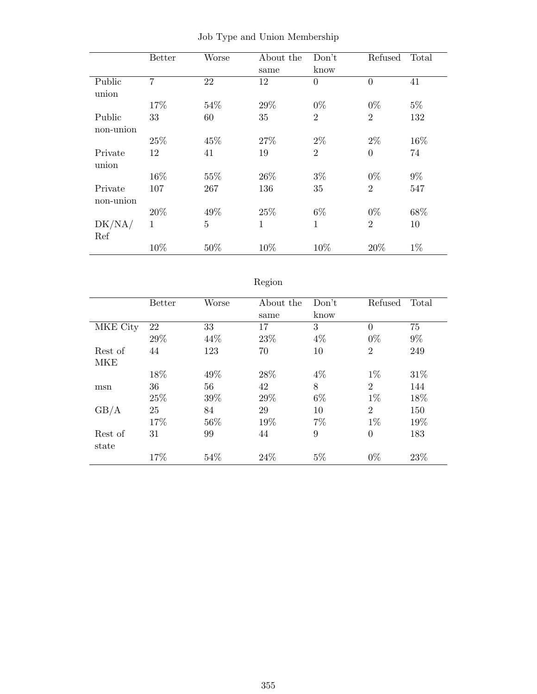|                      | <b>Better</b>  | Worse          | About the<br>same | Don't<br>know  | Refused        | Total |
|----------------------|----------------|----------------|-------------------|----------------|----------------|-------|
| Public<br>union      | $\overline{7}$ | 22             | 12                | $\overline{0}$ | $\overline{0}$ | 41    |
|                      | 17%            | 54%            | 29%               | $0\%$          | $0\%$          | $5\%$ |
| Public<br>non-union  | 33             | 60             | 35                | $\overline{2}$ | $\overline{2}$ | 132   |
|                      | 25%            | 45%            | 27%               | $2\%$          | $2\%$          | 16%   |
| Private<br>union     | 12             | 41             | 19                | $\overline{2}$ | $\overline{0}$ | 74    |
|                      | 16%            | 55%            | 26\%              | $3\%$          | $0\%$          | $9\%$ |
| Private<br>non-union | 107            | 267            | 136               | 35             | $\overline{2}$ | 547   |
|                      | 20%            | 49%            | 25%               | $6\%$          | $0\%$          | 68%   |
| DK/NA/<br>Ref        | 1              | $\overline{5}$ | $\mathbf 1$       | 1              | $\overline{2}$ | 10    |
|                      | 10%            | 50%            | 10%               | 10%            | 20%            | $1\%$ |

Job Type and Union Membership

# Region

|            | <b>Better</b> | Worse | About the | Don't | Refused        | Total  |
|------------|---------------|-------|-----------|-------|----------------|--------|
|            |               |       | same      | know  |                |        |
| MKE City   | 22            | 33    | 17        | 3     | $\Omega$       | 75     |
|            | 29%           | 44\%  | 23%       | $4\%$ | $0\%$          | $9\%$  |
| Rest of    | 44            | 123   | 70        | 10    | $\overline{2}$ | 249    |
| <b>MKE</b> |               |       |           |       |                |        |
|            | 18%           | 49%   | 28\%      | $4\%$ | $1\%$          | 31%    |
| msn        | 36            | 56    | 42        | 8     | $\overline{2}$ | 144    |
|            | 25%           | 39%   | 29%       | $6\%$ | $1\%$          | 18%    |
| GB/A       | 25            | 84    | 29        | 10    | $\overline{2}$ | 150    |
|            | 17%           | 56%   | 19%       | $7\%$ | $1\%$          | 19%    |
| Rest of    | 31            | 99    | 44        | 9     | $\overline{0}$ | 183    |
| state      |               |       |           |       |                |        |
|            | 17%           | 54%   | 24\%      | $5\%$ | $0\%$          | $23\%$ |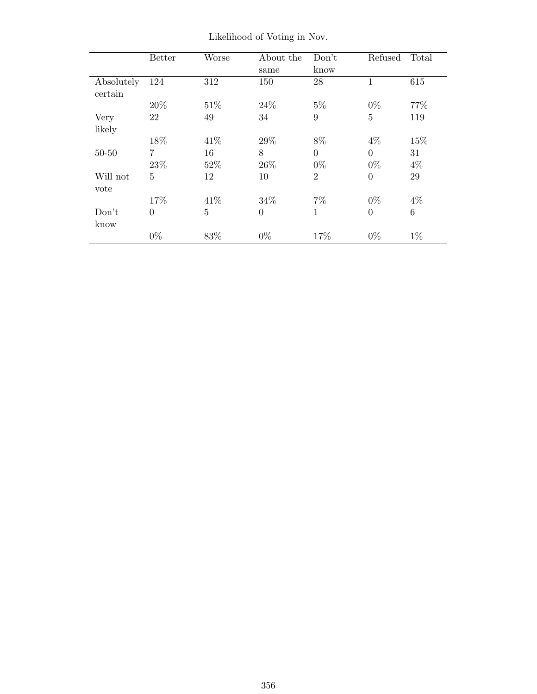|                       | <b>Better</b>  | Worse          | About the<br>same | Don't<br>know           | Refused           | Total       |
|-----------------------|----------------|----------------|-------------------|-------------------------|-------------------|-------------|
| Absolutely<br>certain | 124            | 312            | 150               | 28                      |                   | 615         |
|                       | 20%            | 51\%           | 24\%              | $5\%$                   | $0\%$             | 77%         |
| Very<br>likely        | 22             | 49             | 34                | 9                       | $\overline{5}$    | 119         |
|                       | 18%            | 41\%           | 29%               | 8%                      | $4\%$             | 15%         |
| $50 - 50$             | 7<br>$23\%$    | 16<br>52%      | 8<br>26\%         | $\overline{0}$<br>$0\%$ | $\Omega$<br>$0\%$ | 31<br>$4\%$ |
| Will not<br>vote      | $\overline{5}$ | 12             | 10                | $\overline{2}$          | $\overline{0}$    | 29          |
|                       | 17%            | 41\%           | 34\%              | $7\%$                   | $0\%$             | $4\%$       |
| Don't<br>know         | $\overline{0}$ | $\overline{5}$ | $\overline{0}$    | $\mathbf{1}$            | $\overline{0}$    | 6           |
|                       | $0\%$          | $83\%$         | $0\%$             | 17%                     | $0\%$             | $1\%$       |

Likelihood of Voting in Nov.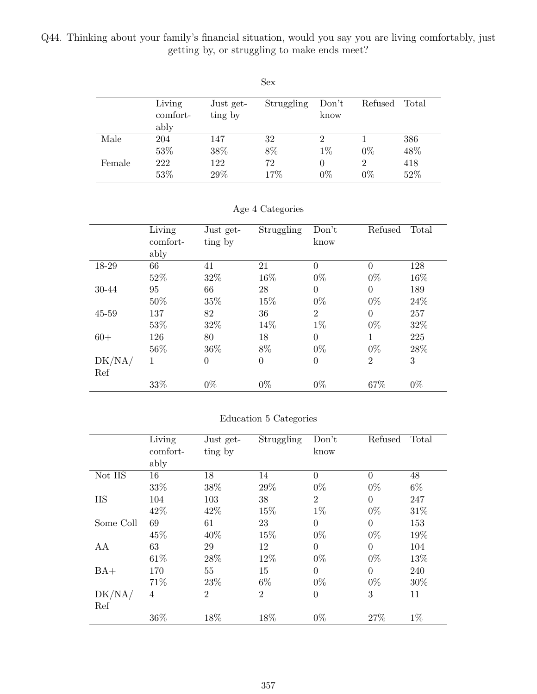Q44. Thinking about your family's financial situation, would you say you are living comfortably, just getting by, or struggling to make ends meet?

|        |                    |                      | Sex        |               |         |       |
|--------|--------------------|----------------------|------------|---------------|---------|-------|
|        | Living<br>comfort- | Just get-<br>ting by | Struggling | Don't<br>know | Refused | Total |
|        | ably               |                      |            |               |         |       |
| Male   | 204                | 147                  | 32         | 2             |         | 386   |
|        | 53%                | 38%                  | 8%         | $1\%$         | $0\%$   | 48%   |
| Female | 222                | 122                  | 72         | $\theta$      | 2       | 418   |
|        | 53%                | 29%                  | 17%        | $0\%$         | $0\%$   | 52%   |

| Age 4 Categories |
|------------------|
|                  |

|        | Living<br>comfort- | Just get-<br>ting by | Struggling       | Don't<br>know  | Refused        | Total |
|--------|--------------------|----------------------|------------------|----------------|----------------|-------|
|        | ably               |                      |                  |                |                |       |
| 18-29  | 66                 | 41                   | 21               | $\overline{0}$ | $\theta$       | 128   |
|        | 52%                | 32%                  | 16%              | $0\%$          | $0\%$          | 16%   |
| 30-44  | 95                 | 66                   | 28               | $\overline{0}$ | $\Omega$       | 189   |
|        | 50%                | 35%                  | 15%              | $0\%$          | $0\%$          | 24%   |
| 45-59  | 137                | 82                   | 36               | $\overline{2}$ | $\Omega$       | 257   |
|        | 53%                | 32%                  | 14%              | $1\%$          | $0\%$          | 32%   |
| $60+$  | 126                | 80                   | 18               | $\overline{0}$ | 1              | 225   |
|        | 56%                | 36\%                 | 8%               | $0\%$          | $0\%$          | 28%   |
| DK/NA/ | 1                  | $\overline{0}$       | $\boldsymbol{0}$ | $\overline{0}$ | $\overline{2}$ | 3     |
| Ref    |                    |                      |                  |                |                |       |
|        | 33%                | $0\%$                | $0\%$            | $0\%$          | 67%            | $0\%$ |

#### Education 5 Categories

|           | Living<br>comfort-<br>ably | Just get-<br>ting by | Struggling     | Don't<br>know  | Refused        | Total |
|-----------|----------------------------|----------------------|----------------|----------------|----------------|-------|
| Not HS    | 16                         | 18                   | 14             | $\overline{0}$ | $\theta$       | 48    |
|           | 33%                        | 38%                  | 29%            | $0\%$          | $0\%$          | $6\%$ |
| HS        | 104                        | 103                  | 38             | $\overline{2}$ | $\overline{0}$ | 247   |
|           | 42%                        | 42\%                 | 15%            | $1\%$          | $0\%$          | 31\%  |
| Some Coll | 69                         | 61                   | 23             | $\theta$       | $\overline{0}$ | 153   |
|           | 45%                        | 40%                  | 15%            | $0\%$          | $0\%$          | 19%   |
| AA        | 63                         | 29                   | 12             | $\theta$       | $\overline{0}$ | 104   |
|           | 61\%                       | 28%                  | 12%            | $0\%$          | $0\%$          | 13%   |
| $BA+$     | 170                        | 55                   | 15             | $\overline{0}$ | $\overline{0}$ | 240   |
|           | 71%                        | 23\%                 | $6\%$          | $0\%$          | $0\%$          | 30%   |
| DK/NA/    | $\overline{4}$             | $\overline{2}$       | $\overline{2}$ | $\theta$       | 3              | 11    |
| Ref       |                            |                      |                |                |                |       |
|           | 36%                        | 18%                  | 18%            | $0\%$          | 27%            | $1\%$ |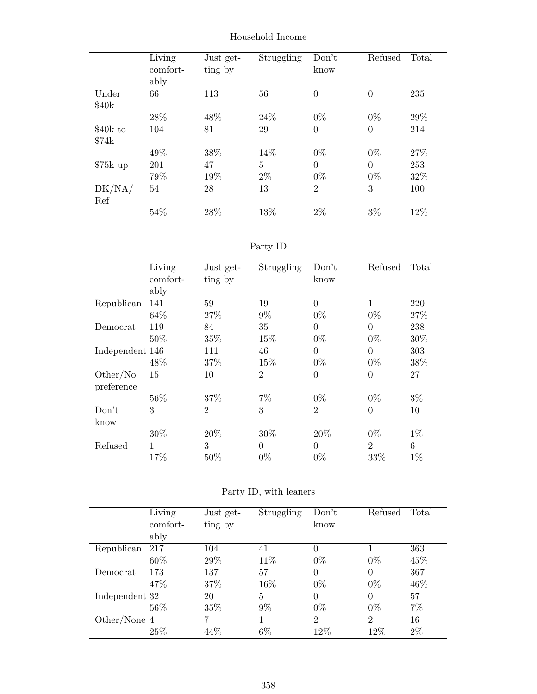|           | Living<br>comfort- | Just get-<br>ting by | Struggling | Don't<br>know  | Refused        | Total |
|-----------|--------------------|----------------------|------------|----------------|----------------|-------|
|           | ably               |                      |            |                |                |       |
| Under     | 66                 | 113                  | 56         | $\theta$       | $\overline{0}$ | 235   |
| \$40k     |                    |                      |            |                |                |       |
|           | 28%                | 48%                  | 24\%       | $0\%$          | $0\%$          | 29%   |
| \$40k to  | 104                | 81                   | 29         | $\overline{0}$ | $\overline{0}$ | 214   |
| \$74k     |                    |                      |            |                |                |       |
|           | 49%                | 38%                  | 14%        | $0\%$          | $0\%$          | 27%   |
| $$75k$ up | 201                | 47                   | 5          | $\theta$       | $\overline{0}$ | 253   |
|           | 79%                | 19%                  | $2\%$      | $0\%$          | $0\%$          | 32%   |
| DK/NA/    | 54                 | 28                   | 13         | $\overline{2}$ | 3              | 100   |
| Ref       |                    |                      |            |                |                |       |
|           | 54%                | 28%                  | 13%        | 2%             | $3\%$          | 12%   |

Household Income

| aг<br>L |  |
|---------|--|
|---------|--|

|                 | Living   | Just get-      | Struggling     | Don't          | Refused          | Total |
|-----------------|----------|----------------|----------------|----------------|------------------|-------|
|                 | comfort- | ting by        |                | know           |                  |       |
|                 | ably     |                |                |                |                  |       |
| Republican      | 141      | 59             | 19             | $\overline{0}$ | 1                | 220   |
|                 | 64\%     | 27\%           | $9\%$          | $0\%$          | $0\%$            | 27%   |
| Democrat        | 119      | 84             | 35             | $\overline{0}$ | $\boldsymbol{0}$ | 238   |
|                 | 50%      | 35%            | 15%            | $0\%$          | $0\%$            | 30%   |
| Independent 146 |          | 111            | 46             | $\overline{0}$ | $\overline{0}$   | 303   |
|                 | 48%      | 37%            | 15%            | $0\%$          | $0\%$            | 38%   |
| Other/No        | 15       | 10             | $\overline{2}$ | $\theta$       | $\overline{0}$   | 27    |
| preference      |          |                |                |                |                  |       |
|                 | 56%      | 37%            | $7\%$          | $0\%$          | $0\%$            | $3\%$ |
| Don't           | 3        | $\overline{2}$ | 3              | $\overline{2}$ | $\overline{0}$   | 10    |
| know            |          |                |                |                |                  |       |
|                 | 30%      | 20%            | 30%            | 20%            | $0\%$            | $1\%$ |
| Refused         | 1        | 3              | $\Omega$       | $\theta$       | $\overline{2}$   | 6     |
|                 | 17%      | $50\%$         | $0\%$          | $0\%$          | 33%              | $1\%$ |

|                | Living<br>comfort- | Just get-<br>ting by | Struggling     | Don't<br>know  | Refused        | Total |
|----------------|--------------------|----------------------|----------------|----------------|----------------|-------|
|                | ably               |                      |                |                |                |       |
| Republican     | 217                | 104                  | 41             | $\theta$       |                | 363   |
|                | 60%                | 29%                  | 11\%           | $0\%$          | $0\%$          | 45%   |
| Democrat       | 173                | 137                  | 57             | $\theta$       | $\theta$       | 367   |
|                | 47\%               | 37%                  | 16%            | $0\%$          | $0\%$          | 46\%  |
| Independent 32 |                    | 20                   | $\overline{5}$ | $\Omega$       | $\Omega$       | 57    |
|                | 56%                | 35%                  | $9\%$          | $0\%$          | $0\%$          | $7\%$ |
| Other/None $4$ |                    | 7                    |                | $\overline{2}$ | $\overline{2}$ | 16    |
|                | 25\%               | 44\%                 | 6%             | 12%            | 12%            | $2\%$ |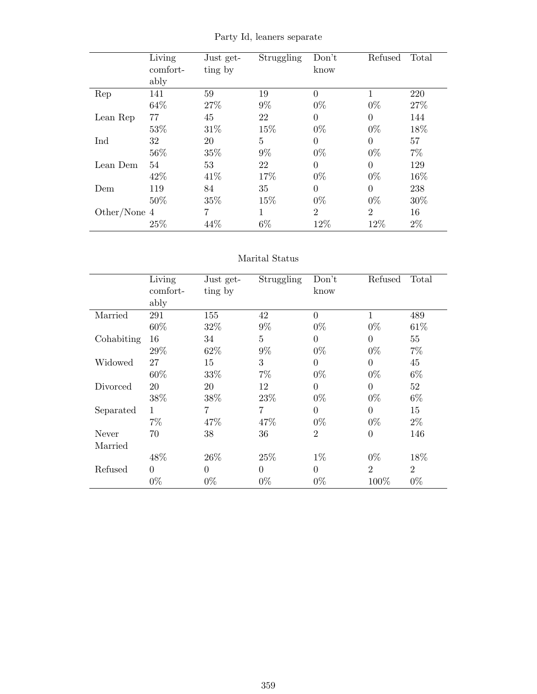Party Id, leaners separate

|              | Living<br>comfort-<br>ably | Just get-<br>ting by | Struggling     | Don't<br>know  | Refused        | Total |
|--------------|----------------------------|----------------------|----------------|----------------|----------------|-------|
| Rep          | 141                        | 59                   | 19             | $\Omega$       | 1              | 220   |
|              | 64%                        | 27\%                 | $9\%$          | $0\%$          | $0\%$          | 27%   |
| Lean Rep     | 77                         | 45                   | 22             | $\Omega$       | $\theta$       | 144   |
|              | 53%                        | 31\%                 | 15%            | $0\%$          | $0\%$          | 18%   |
| Ind          | 32                         | 20                   | $\overline{5}$ | $\theta$       | $\overline{0}$ | 57    |
|              | 56%                        | 35%                  | $9\%$          | $0\%$          | $0\%$          | $7\%$ |
| Lean Dem     | 54                         | 53                   | 22             | $\theta$       | $\overline{0}$ | 129   |
|              | 42\%                       | 41\%                 | 17%            | $0\%$          | $0\%$          | 16%   |
| Dem          | 119                        | 84                   | 35             | $\Omega$       | $\theta$       | 238   |
|              | 50%                        | 35%                  | 15%            | $0\%$          | $0\%$          | 30%   |
| Other/None 4 |                            | 7                    | 1              | $\overline{2}$ | $\overline{2}$ | 16    |
|              | 25\%                       | 44%                  | $6\%$          | 12%            | 12%            | $2\%$ |

#### Marital Status

|            | Living       | Just get- | Struggling     | Don't            | Refused        | Total          |
|------------|--------------|-----------|----------------|------------------|----------------|----------------|
|            | comfort-     | ting by   |                | know             |                |                |
|            | ably         |           |                |                  |                |                |
| Married    | 291          | 155       | 42             | $\overline{0}$   | 1              | 489            |
|            | 60%          | 32%       | $9\%$          | $0\%$            | $0\%$          | 61\%           |
| Cohabiting | 16           | 34        | $\overline{5}$ | $\boldsymbol{0}$ | $\theta$       | 55             |
|            | 29%          | 62%       | $9\%$          | $0\%$            | $0\%$          | $7\%$          |
| Widowed    | 27           | 15        | 3              | $\boldsymbol{0}$ | $\overline{0}$ | 45             |
|            | 60%          | 33%       | $7\%$          | $0\%$            | $0\%$          | $6\%$          |
| Divorced   | 20           | 20        | 12             | $\overline{0}$   | $\overline{0}$ | 52             |
|            | 38%          | 38%       | 23\%           | $0\%$            | $0\%$          | $6\%$          |
| Separated  | $\mathbf{1}$ | 7         | 7              | $\overline{0}$   | $\overline{0}$ | 15             |
|            | $7\%$        | 47%       | 47%            | $0\%$            | $0\%$          | $2\%$          |
| Never      | 70           | 38        | 36             | $\overline{2}$   | $\overline{0}$ | 146            |
| Married    |              |           |                |                  |                |                |
|            | 48\%         | 26\%      | 25%            | $1\%$            | $0\%$          | 18%            |
| Refused    | $\theta$     | $\theta$  | $\overline{0}$ | $\overline{0}$   | $\overline{2}$ | $\overline{2}$ |
|            | $0\%$        | $0\%$     | $0\%$          | $0\%$            | 100%           | $0\%$          |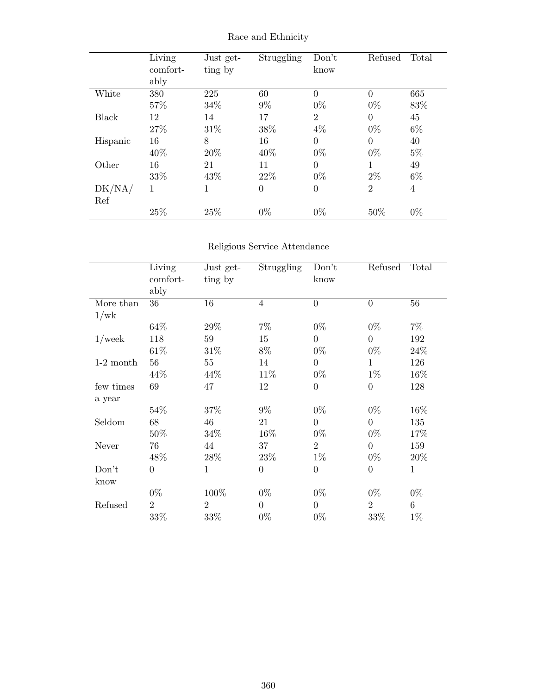|              | Living<br>comfort- | Just get-<br>ting by | Struggling     | Don't<br>know  | Refused        | Total          |
|--------------|--------------------|----------------------|----------------|----------------|----------------|----------------|
|              | ably               |                      |                |                |                |                |
| White        | 380                | 225                  | 60             | $\Omega$       | $\theta$       | 665            |
|              | 57%                | 34\%                 | $9\%$          | $0\%$          | $0\%$          | 83%            |
| <b>Black</b> | 12                 | 14                   | 17             | $\overline{2}$ | $\overline{0}$ | 45             |
|              | 27%                | 31%                  | $38\%$         | $4\%$          | $0\%$          | $6\%$          |
| Hispanic     | 16                 | 8                    | 16             | $\overline{0}$ | $\overline{0}$ | 40             |
|              | 40\%               | 20%                  | 40%            | $0\%$          | $0\%$          | $5\%$          |
| Other        | 16                 | 21                   | 11             | $\Omega$       | 1              | 49             |
|              | 33%                | 43%                  | 22%            | $0\%$          | $2\%$          | $6\%$          |
| DK/NA/       | 1                  | 1                    | $\overline{0}$ | $\theta$       | 2              | $\overline{4}$ |
| Ref          |                    |                      |                |                |                |                |
|              | 25%                | 25%                  | $0\%$          | $0\%$          | 50%            | $0\%$          |

Race and Ethnicity

### Religious Service Attendance

|             | Living<br>comfort-<br>ably | Just get-<br>ting by | Struggling     | Don't<br>know  | Refused        | Total        |
|-------------|----------------------------|----------------------|----------------|----------------|----------------|--------------|
| More than   | 36                         | 16                   | $\overline{4}$ | $\overline{0}$ | $\overline{0}$ | 56           |
| 1/wk        |                            |                      |                |                |                |              |
|             | 64%                        | 29%                  | $7\%$          | $0\%$          | $0\%$          | $7\%$        |
| $1$ /week   | 118                        | 59                   | 15             | $\overline{0}$ | $\overline{0}$ | 192          |
|             | 61\%                       | $31\%$               | $8\%$          | $0\%$          | $0\%$          | 24\%         |
| $1-2$ month | 56                         | 55                   | 14             | $\overline{0}$ | $\mathbf 1$    | 126          |
|             | 44\%                       | 44%                  | 11%            | $0\%$          | $1\%$          | 16\%         |
| few times   | 69                         | 47                   | 12             | $\overline{0}$ | $\overline{0}$ | 128          |
| a year      |                            |                      |                |                |                |              |
|             | 54%                        | 37%                  | $9\%$          | $0\%$          | $0\%$          | 16%          |
| Seldom      | 68                         | 46                   | 21             | $\overline{0}$ | $\overline{0}$ | 135          |
|             | 50%                        | $34\%$               | 16%            | $0\%$          | $0\%$          | 17%          |
| Never       | 76                         | 44                   | 37             | $\overline{2}$ | $\overline{0}$ | 159          |
|             | 48%                        | 28\%                 | 23%            | $1\%$          | $0\%$          | 20%          |
| Don't       | $\overline{0}$             | $\mathbf{1}$         | $\theta$       | $\overline{0}$ | $\overline{0}$ | $\mathbf{1}$ |
| know        |                            |                      |                |                |                |              |
|             | $0\%$                      | 100%                 | $0\%$          | $0\%$          | $0\%$          | $0\%$        |
| Refused     | $\overline{2}$             | $\overline{2}$       | $\theta$       | $\overline{0}$ | $\overline{2}$ | 6            |
|             | 33%                        | 33%                  | $0\%$          | $0\%$          | 33%            | $1\%$        |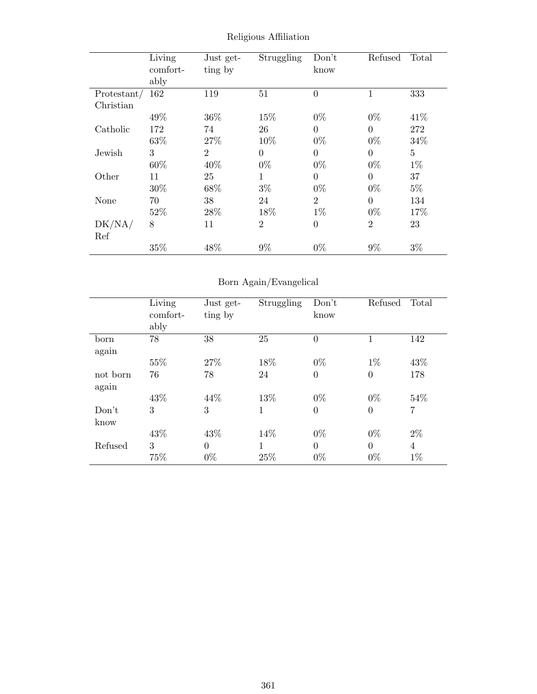|             | Living<br>comfort-<br>ably | Just get-<br>ting by | Struggling     | Don't<br>know  | Refused        | Total          |
|-------------|----------------------------|----------------------|----------------|----------------|----------------|----------------|
| Protestant/ | 162                        | 119                  | 51             | $\theta$       | 1              | 333            |
| Christian   |                            |                      |                |                |                |                |
|             | 49%                        | 36\%                 | 15%            | $0\%$          | $0\%$          | 41\%           |
| Catholic    | 172                        | 74                   | 26             | 0              | $\overline{0}$ | 272            |
|             | 63%                        | 27\%                 | 10%            | $0\%$          | $0\%$          | 34%            |
| Jewish      | 3                          | $\overline{2}$       | $\theta$       | $\overline{0}$ | $\theta$       | $\overline{5}$ |
|             | 60%                        | 40%                  | $0\%$          | $0\%$          | $0\%$          | $1\%$          |
| Other       | 11                         | 25                   | 1              | $\overline{0}$ | $\overline{0}$ | 37             |
|             | 30%                        | 68\%                 | $3\%$          | $0\%$          | $0\%$          | $5\%$          |
| None        | 70                         | 38                   | 24             | $\overline{2}$ | $\theta$       | 134            |
|             | 52%                        | 28\%                 | 18%            | $1\%$          | $0\%$          | 17%            |
| DK/NA/      | 8                          | 11                   | $\overline{2}$ | $\theta$       | $\overline{2}$ | 23             |
| Ref         |                            |                      |                |                |                |                |
|             | 35%                        | 48%                  | $9\%$          | $0\%$          | $9\%$          | $3\%$          |

Religious Affiliation

## Born Again/Evangelical

|          | Living<br>comfort-<br>ably | Just get-<br>ting by | Struggling | Don't<br>know  | Refused        | Total          |
|----------|----------------------------|----------------------|------------|----------------|----------------|----------------|
| born     | 78                         | 38                   | 25         | $\overline{0}$ | 1              | 142            |
| again    |                            |                      |            |                |                |                |
|          | 55%                        | 27%                  | 18%        | $0\%$          | $1\%$          | 43%            |
| not born | 76                         | 78                   | 24         | $\overline{0}$ | $\overline{0}$ | 178            |
| again    |                            |                      |            |                |                |                |
|          | 43\%                       | 44\%                 | 13%        | $0\%$          | $0\%$          | 54%            |
| Don't    | 3                          | 3                    | 1          | $\overline{0}$ | $\overline{0}$ | $\overline{7}$ |
| know     |                            |                      |            |                |                |                |
|          | 43%                        | 43%                  | 14%        | $0\%$          | $0\%$          | $2\%$          |
| Refused  | 3                          | $\overline{0}$       | 1          | $\theta$       | $\overline{0}$ | $\overline{4}$ |
|          | 75%                        | $0\%$                | 25\%       | $0\%$          | $0\%$          | $1\%$          |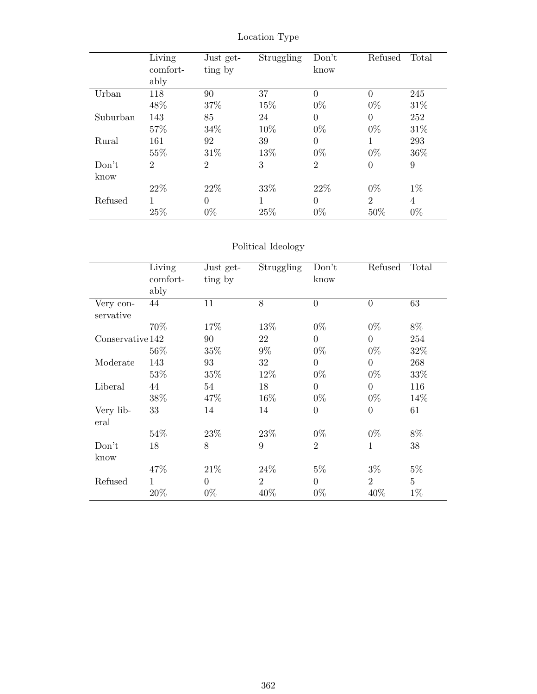Location Type

|          | Living<br>comfort- | Just get-<br>ting by | Struggling | Don't<br>know  | Refused        | Total |
|----------|--------------------|----------------------|------------|----------------|----------------|-------|
|          | ably               |                      |            |                |                |       |
| Urban    | 118                | 90                   | 37         | $\Omega$       | $\theta$       | 245   |
|          | 48%                | 37%                  | 15%        | $0\%$          | $0\%$          | 31\%  |
| Suburban | 143                | 85                   | 24         | $\Omega$       | $\overline{0}$ | 252   |
|          | 57%                | 34%                  | 10%        | $0\%$          | $0\%$          | 31\%  |
| Rural    | 161                | 92                   | 39         | $\Omega$       | 1              | 293   |
|          | 55%                | 31\%                 | 13%        | $0\%$          | $0\%$          | 36%   |
| Don't    | $\overline{2}$     | $\overline{2}$       | 3          | $\overline{2}$ | $\overline{0}$ | 9     |
| know     |                    |                      |            |                |                |       |
|          | 22\%               | 22\%                 | 33%        | 22\%           | $0\%$          | $1\%$ |
| Refused  |                    | $\overline{0}$       | 1          | $\Omega$       | $\overline{2}$ | 4     |
|          | 25%                | $0\%$                | 25%        | $0\%$          | 50%            | $0\%$ |

## Political Ideology

|                   | Living<br>comfort-<br>ably | Just get-<br>ting by | <b>Struggling</b> | Don't<br>know  | Refused        | Total          |
|-------------------|----------------------------|----------------------|-------------------|----------------|----------------|----------------|
| Very con-         | 44                         | 11                   | 8                 | $\overline{0}$ | $\overline{0}$ | 63             |
| servative         |                            |                      |                   |                |                |                |
|                   | 70%                        | 17%                  | 13%               | $0\%$          | $0\%$          | 8%             |
| Conservative 142  |                            | 90                   | 22                | $\Omega$       | $\overline{0}$ | 254            |
|                   | 56\%                       | 35%                  | $9\%$             | $0\%$          | $0\%$          | 32%            |
| Moderate          | 143                        | 93                   | 32                | $\Omega$       | $\overline{0}$ | 268            |
|                   | 53%                        | 35%                  | 12%               | $0\%$          | $0\%$          | 33%            |
| Liberal           | 44                         | 54                   | 18                | $\Omega$       | $\overline{0}$ | 116            |
|                   | 38%                        | 47%                  | 16%               | $0\%$          | $0\%$          | 14\%           |
| Very lib-<br>eral | 33                         | 14                   | 14                | $\Omega$       | $\overline{0}$ | 61             |
|                   | 54\%                       | 23%                  | 23\%              | $0\%$          | $0\%$          | 8%             |
| Don't             | 18                         | 8                    | 9                 | $\overline{2}$ | $\mathbf{1}$   | 38             |
| know              |                            |                      |                   |                |                |                |
|                   | 47%                        | 21\%                 | 24\%              | $5\%$          | $3\%$          | $5\%$          |
| Refused           | $\mathbf{1}$               | $\Omega$             | $\overline{2}$    | $\Omega$       | $\overline{2}$ | $\overline{5}$ |
|                   | 20%                        | $0\%$                | 40%               | $0\%$          | 40\%           | $1\%$          |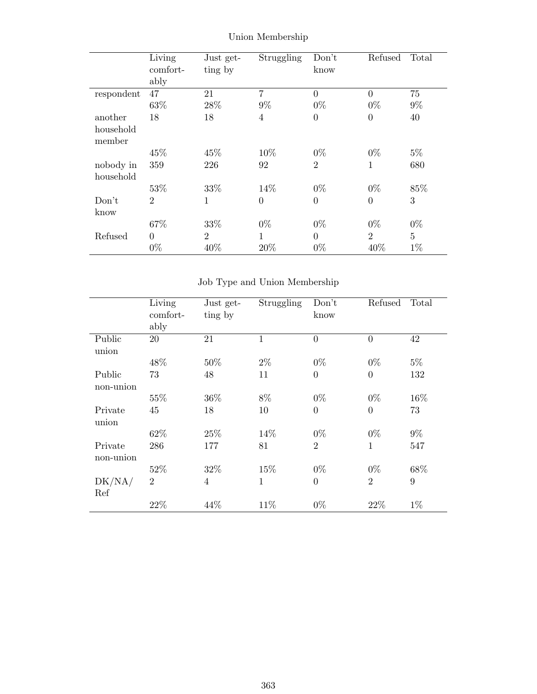|            | Living         | Just get-      | Struggling     | Don't            | Refused          | Total          |
|------------|----------------|----------------|----------------|------------------|------------------|----------------|
|            | comfort-       | ting by        |                | know             |                  |                |
|            | ably           |                |                |                  |                  |                |
| respondent | 47             | 21             | $\overline{7}$ | $\theta$         | $\overline{0}$   | 75             |
|            | 63%            | 28\%           | $9\%$          | $0\%$            | $0\%$            | $9\%$          |
| another    | 18             | 18             | 4              | $\boldsymbol{0}$ | $\boldsymbol{0}$ | 40             |
| household  |                |                |                |                  |                  |                |
| member     |                |                |                |                  |                  |                |
|            | 45%            | 45\%           | 10%            | $0\%$            | $0\%$            | $5\%$          |
| nobody in  | 359            | 226            | 92             | $\overline{2}$   | 1                | 680            |
| household  |                |                |                |                  |                  |                |
|            | 53%            | 33%            | 14%            | $0\%$            | $0\%$            | 85%            |
| Don't      | $\overline{2}$ | 1              | $\overline{0}$ | $\overline{0}$   | $\boldsymbol{0}$ | 3              |
| know       |                |                |                |                  |                  |                |
|            | 67%            | 33%            | $0\%$          | $0\%$            | $0\%$            | $0\%$          |
| Refused    | $\Omega$       | $\overline{2}$ | $\mathbf{1}$   | $\Omega$         | $\overline{2}$   | $\overline{5}$ |
|            | $0\%$          | 40%            | 20%            | $0\%$            | 40%              | $1\%$          |

Union Membership

Job Type and Union Membership

|                      | Living<br>comfort-<br>ably | Just get-<br>ting by | Struggling   | Don't<br>know  | Refused        | Total |
|----------------------|----------------------------|----------------------|--------------|----------------|----------------|-------|
| Public<br>union      | 20                         | 21                   | 1            | $\theta$       | $\overline{0}$ | 42    |
|                      | 48%                        | 50%                  | $2\%$        | $0\%$          | $0\%$          | $5\%$ |
| Public<br>non-union  | 73                         | 48                   | 11           | $\overline{0}$ | $\overline{0}$ | 132   |
|                      | 55%                        | 36%                  | 8%           | $0\%$          | $0\%$          | 16%   |
| Private<br>union     | 45                         | 18                   | 10           | $\overline{0}$ | $\overline{0}$ | 73    |
|                      | 62%                        | 25%                  | 14%          | $0\%$          | $0\%$          | $9\%$ |
| Private<br>non-union | 286                        | 177                  | 81           | $\overline{2}$ | 1              | 547   |
|                      | 52%                        | 32%                  | 15%          | $0\%$          | $0\%$          | 68%   |
| DK/NA/<br>Ref        | $\overline{2}$             | $\overline{4}$       | $\mathbf{1}$ | $\Omega$       | $\overline{2}$ | 9     |
|                      | 22%                        | 44\%                 | 11\%         | $0\%$          | 22%            | $1\%$ |